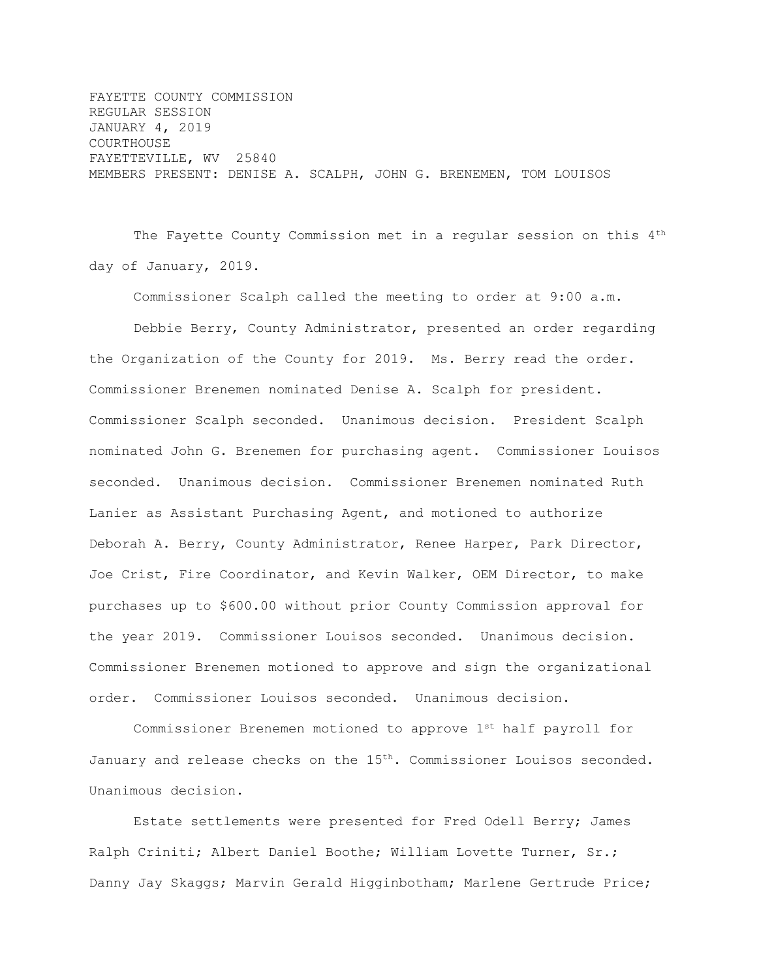FAYETTE COUNTY COMMISSION REGULAR SESSION JANUARY 4, 2019 COURTHOUSE FAYETTEVILLE, WV 25840 MEMBERS PRESENT: DENISE A. SCALPH, JOHN G. BRENEMEN, TOM LOUISOS

The Fayette County Commission met in a regular session on this 4<sup>th</sup> day of January, 2019.

Commissioner Scalph called the meeting to order at 9:00 a.m.

Debbie Berry, County Administrator, presented an order regarding the Organization of the County for 2019. Ms. Berry read the order. Commissioner Brenemen nominated Denise A. Scalph for president. Commissioner Scalph seconded. Unanimous decision. President Scalph nominated John G. Brenemen for purchasing agent. Commissioner Louisos seconded. Unanimous decision. Commissioner Brenemen nominated Ruth Lanier as Assistant Purchasing Agent, and motioned to authorize Deborah A. Berry, County Administrator, Renee Harper, Park Director, Joe Crist, Fire Coordinator, and Kevin Walker, OEM Director, to make purchases up to \$600.00 without prior County Commission approval for the year 2019. Commissioner Louisos seconded. Unanimous decision. Commissioner Brenemen motioned to approve and sign the organizational order. Commissioner Louisos seconded. Unanimous decision.

Commissioner Brenemen motioned to approve 1st half payroll for January and release checks on the 15<sup>th</sup>. Commissioner Louisos seconded. Unanimous decision.

Estate settlements were presented for Fred Odell Berry; James Ralph Criniti; Albert Daniel Boothe; William Lovette Turner, Sr.; Danny Jay Skaggs; Marvin Gerald Higginbotham; Marlene Gertrude Price;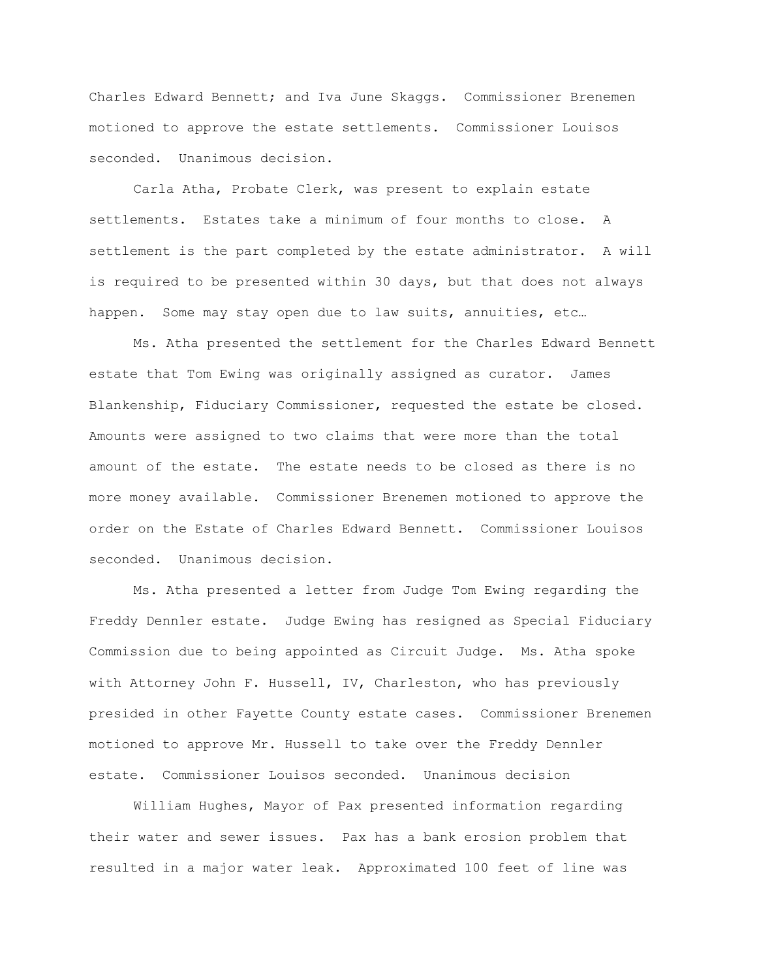Charles Edward Bennett; and Iva June Skaggs. Commissioner Brenemen motioned to approve the estate settlements. Commissioner Louisos seconded. Unanimous decision.

Carla Atha, Probate Clerk, was present to explain estate settlements. Estates take a minimum of four months to close. A settlement is the part completed by the estate administrator. A will is required to be presented within 30 days, but that does not always happen. Some may stay open due to law suits, annuities, etc...

Ms. Atha presented the settlement for the Charles Edward Bennett estate that Tom Ewing was originally assigned as curator. James Blankenship, Fiduciary Commissioner, requested the estate be closed. Amounts were assigned to two claims that were more than the total amount of the estate. The estate needs to be closed as there is no more money available. Commissioner Brenemen motioned to approve the order on the Estate of Charles Edward Bennett. Commissioner Louisos seconded. Unanimous decision.

Ms. Atha presented a letter from Judge Tom Ewing regarding the Freddy Dennler estate. Judge Ewing has resigned as Special Fiduciary Commission due to being appointed as Circuit Judge. Ms. Atha spoke with Attorney John F. Hussell, IV, Charleston, who has previously presided in other Fayette County estate cases. Commissioner Brenemen motioned to approve Mr. Hussell to take over the Freddy Dennler estate. Commissioner Louisos seconded. Unanimous decision

William Hughes, Mayor of Pax presented information regarding their water and sewer issues. Pax has a bank erosion problem that resulted in a major water leak. Approximated 100 feet of line was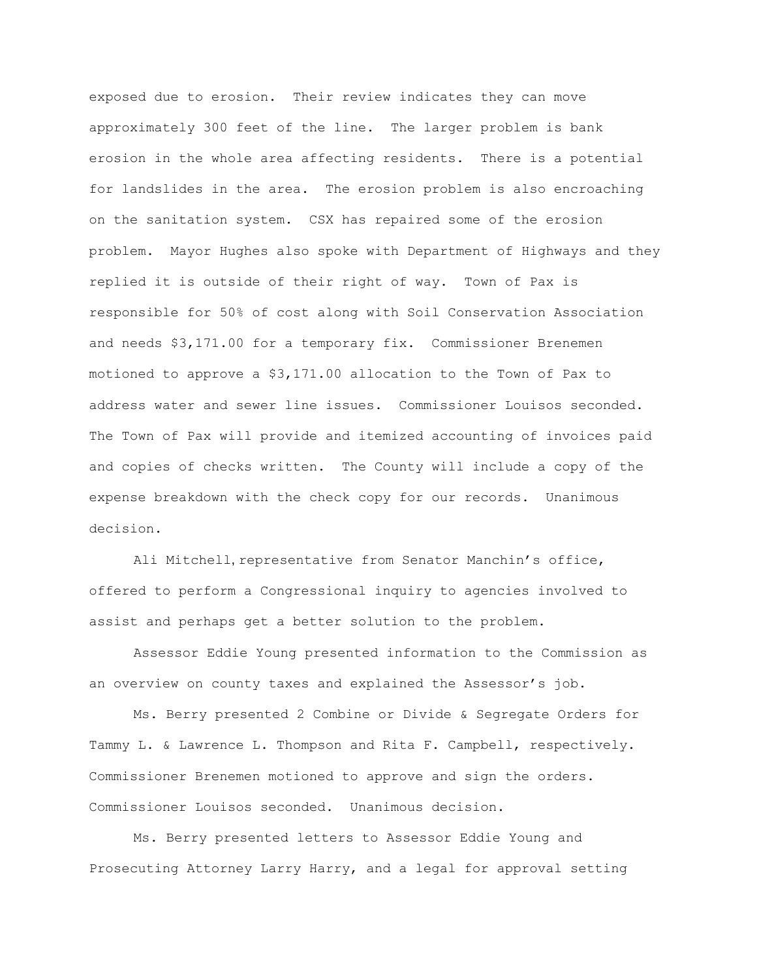exposed due to erosion. Their review indicates they can move approximately 300 feet of the line. The larger problem is bank erosion in the whole area affecting residents. There is a potential for landslides in the area. The erosion problem is also encroaching on the sanitation system. CSX has repaired some of the erosion problem. Mayor Hughes also spoke with Department of Highways and they replied it is outside of their right of way. Town of Pax is responsible for 50% of cost along with Soil Conservation Association and needs \$3,171.00 for a temporary fix. Commissioner Brenemen motioned to approve a \$3,171.00 allocation to the Town of Pax to address water and sewer line issues. Commissioner Louisos seconded. The Town of Pax will provide and itemized accounting of invoices paid and copies of checks written. The County will include a copy of the expense breakdown with the check copy for our records. Unanimous decision.

Ali Mitchell, representative from Senator Manchin's office, offered to perform a Congressional inquiry to agencies involved to assist and perhaps get a better solution to the problem.

Assessor Eddie Young presented information to the Commission as an overview on county taxes and explained the Assessor's job.

Ms. Berry presented 2 Combine or Divide & Segregate Orders for Tammy L. & Lawrence L. Thompson and Rita F. Campbell, respectively. Commissioner Brenemen motioned to approve and sign the orders. Commissioner Louisos seconded. Unanimous decision.

Ms. Berry presented letters to Assessor Eddie Young and Prosecuting Attorney Larry Harry, and a legal for approval setting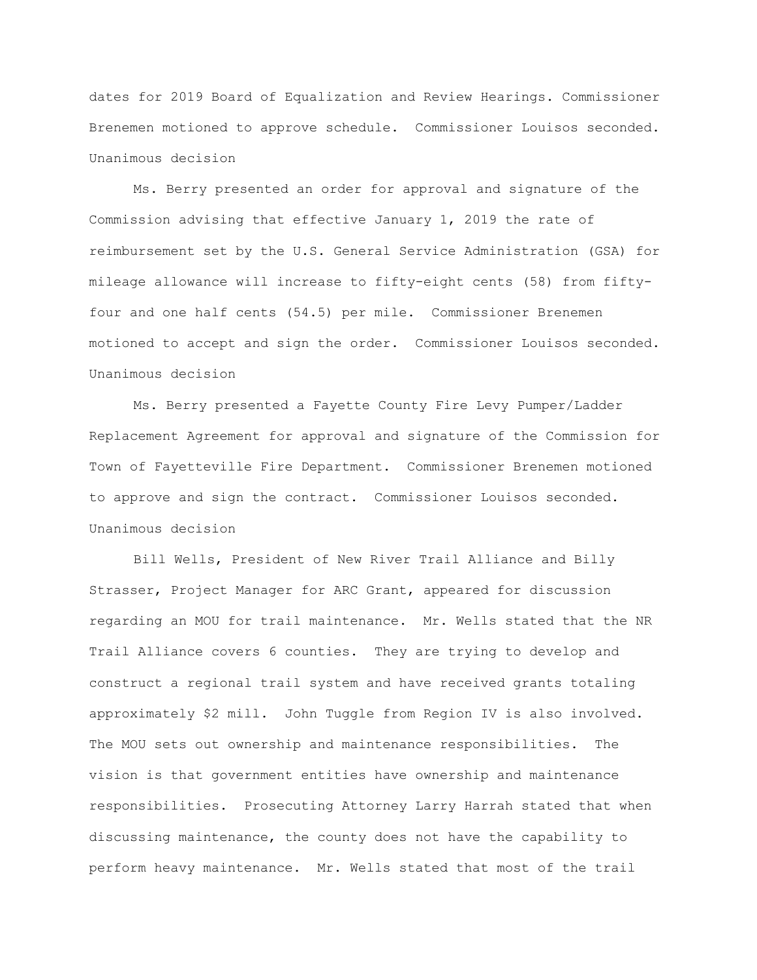dates for 2019 Board of Equalization and Review Hearings. Commissioner Brenemen motioned to approve schedule. Commissioner Louisos seconded. Unanimous decision

Ms. Berry presented an order for approval and signature of the Commission advising that effective January 1, 2019 the rate of reimbursement set by the U.S. General Service Administration (GSA) for mileage allowance will increase to fifty-eight cents (58) from fiftyfour and one half cents (54.5) per mile. Commissioner Brenemen motioned to accept and sign the order. Commissioner Louisos seconded. Unanimous decision

Ms. Berry presented a Fayette County Fire Levy Pumper/Ladder Replacement Agreement for approval and signature of the Commission for Town of Fayetteville Fire Department. Commissioner Brenemen motioned to approve and sign the contract. Commissioner Louisos seconded. Unanimous decision

Bill Wells, President of New River Trail Alliance and Billy Strasser, Project Manager for ARC Grant, appeared for discussion regarding an MOU for trail maintenance. Mr. Wells stated that the NR Trail Alliance covers 6 counties. They are trying to develop and construct a regional trail system and have received grants totaling approximately \$2 mill. John Tuggle from Region IV is also involved. The MOU sets out ownership and maintenance responsibilities. The vision is that government entities have ownership and maintenance responsibilities. Prosecuting Attorney Larry Harrah stated that when discussing maintenance, the county does not have the capability to perform heavy maintenance. Mr. Wells stated that most of the trail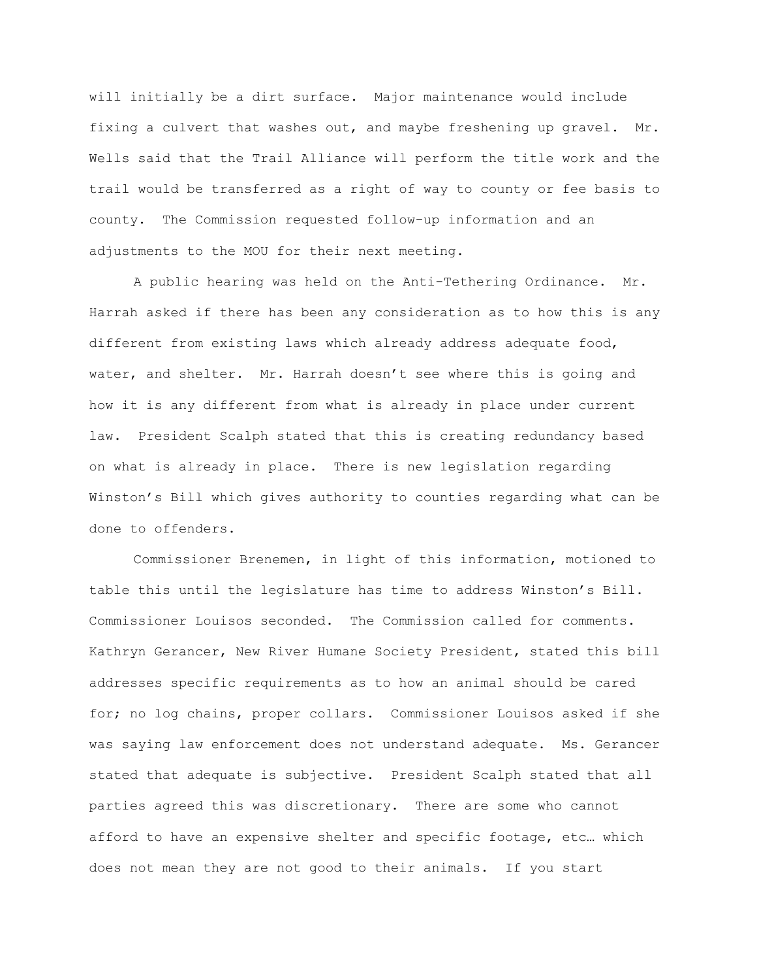will initially be a dirt surface. Major maintenance would include fixing a culvert that washes out, and maybe freshening up gravel. Mr. Wells said that the Trail Alliance will perform the title work and the trail would be transferred as a right of way to county or fee basis to county. The Commission requested follow-up information and an adjustments to the MOU for their next meeting.

A public hearing was held on the Anti-Tethering Ordinance. Mr. Harrah asked if there has been any consideration as to how this is any different from existing laws which already address adequate food, water, and shelter. Mr. Harrah doesn't see where this is going and how it is any different from what is already in place under current law. President Scalph stated that this is creating redundancy based on what is already in place. There is new legislation regarding Winston's Bill which gives authority to counties regarding what can be done to offenders.

Commissioner Brenemen, in light of this information, motioned to table this until the legislature has time to address Winston's Bill. Commissioner Louisos seconded. The Commission called for comments. Kathryn Gerancer, New River Humane Society President, stated this bill addresses specific requirements as to how an animal should be cared for; no log chains, proper collars. Commissioner Louisos asked if she was saying law enforcement does not understand adequate. Ms. Gerancer stated that adequate is subjective. President Scalph stated that all parties agreed this was discretionary. There are some who cannot afford to have an expensive shelter and specific footage, etc… which does not mean they are not good to their animals. If you start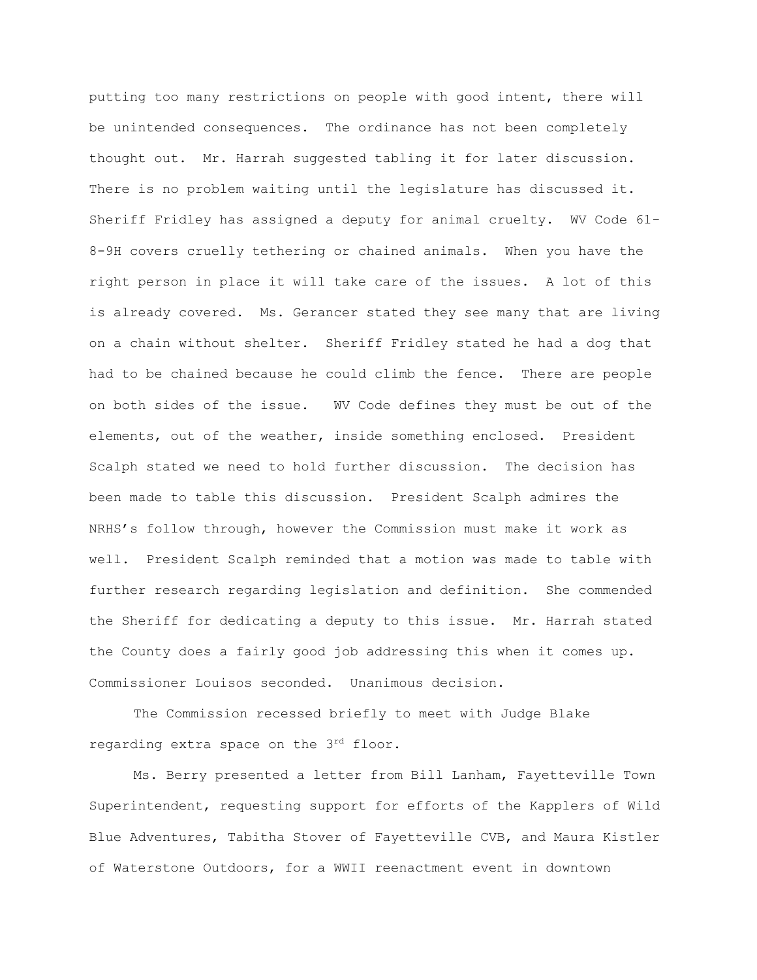putting too many restrictions on people with good intent, there will be unintended consequences. The ordinance has not been completely thought out. Mr. Harrah suggested tabling it for later discussion. There is no problem waiting until the legislature has discussed it. Sheriff Fridley has assigned a deputy for animal cruelty. WV Code 61- 8-9H covers cruelly tethering or chained animals. When you have the right person in place it will take care of the issues. A lot of this is already covered. Ms. Gerancer stated they see many that are living on a chain without shelter. Sheriff Fridley stated he had a dog that had to be chained because he could climb the fence. There are people on both sides of the issue. WV Code defines they must be out of the elements, out of the weather, inside something enclosed. President Scalph stated we need to hold further discussion. The decision has been made to table this discussion. President Scalph admires the NRHS's follow through, however the Commission must make it work as well. President Scalph reminded that a motion was made to table with further research regarding legislation and definition. She commended the Sheriff for dedicating a deputy to this issue. Mr. Harrah stated the County does a fairly good job addressing this when it comes up. Commissioner Louisos seconded. Unanimous decision.

The Commission recessed briefly to meet with Judge Blake regarding extra space on the 3rd floor.

Ms. Berry presented a letter from Bill Lanham, Fayetteville Town Superintendent, requesting support for efforts of the Kapplers of Wild Blue Adventures, Tabitha Stover of Fayetteville CVB, and Maura Kistler of Waterstone Outdoors, for a WWII reenactment event in downtown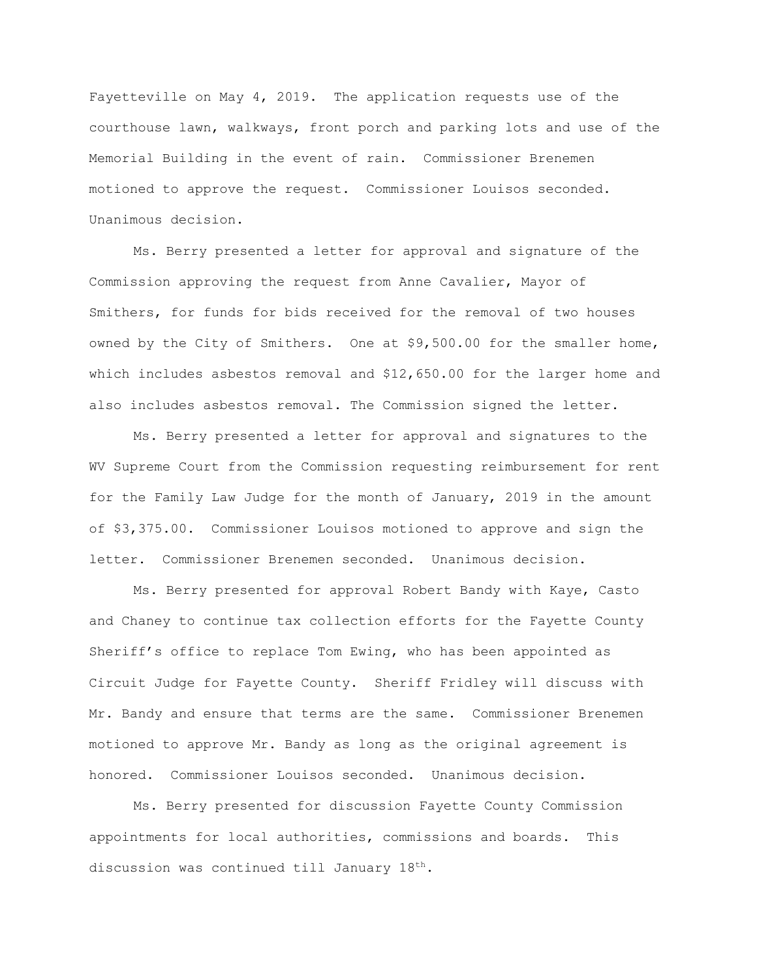Fayetteville on May 4, 2019. The application requests use of the courthouse lawn, walkways, front porch and parking lots and use of the Memorial Building in the event of rain. Commissioner Brenemen motioned to approve the request. Commissioner Louisos seconded. Unanimous decision.

Ms. Berry presented a letter for approval and signature of the Commission approving the request from Anne Cavalier, Mayor of Smithers, for funds for bids received for the removal of two houses owned by the City of Smithers. One at \$9,500.00 for the smaller home, which includes asbestos removal and \$12,650.00 for the larger home and also includes asbestos removal. The Commission signed the letter.

Ms. Berry presented a letter for approval and signatures to the WV Supreme Court from the Commission requesting reimbursement for rent for the Family Law Judge for the month of January, 2019 in the amount of \$3,375.00. Commissioner Louisos motioned to approve and sign the letter. Commissioner Brenemen seconded. Unanimous decision.

Ms. Berry presented for approval Robert Bandy with Kaye, Casto and Chaney to continue tax collection efforts for the Fayette County Sheriff's office to replace Tom Ewing, who has been appointed as Circuit Judge for Fayette County. Sheriff Fridley will discuss with Mr. Bandy and ensure that terms are the same. Commissioner Brenemen motioned to approve Mr. Bandy as long as the original agreement is honored. Commissioner Louisos seconded. Unanimous decision.

Ms. Berry presented for discussion Fayette County Commission appointments for local authorities, commissions and boards. This discussion was continued till January 18<sup>th</sup>.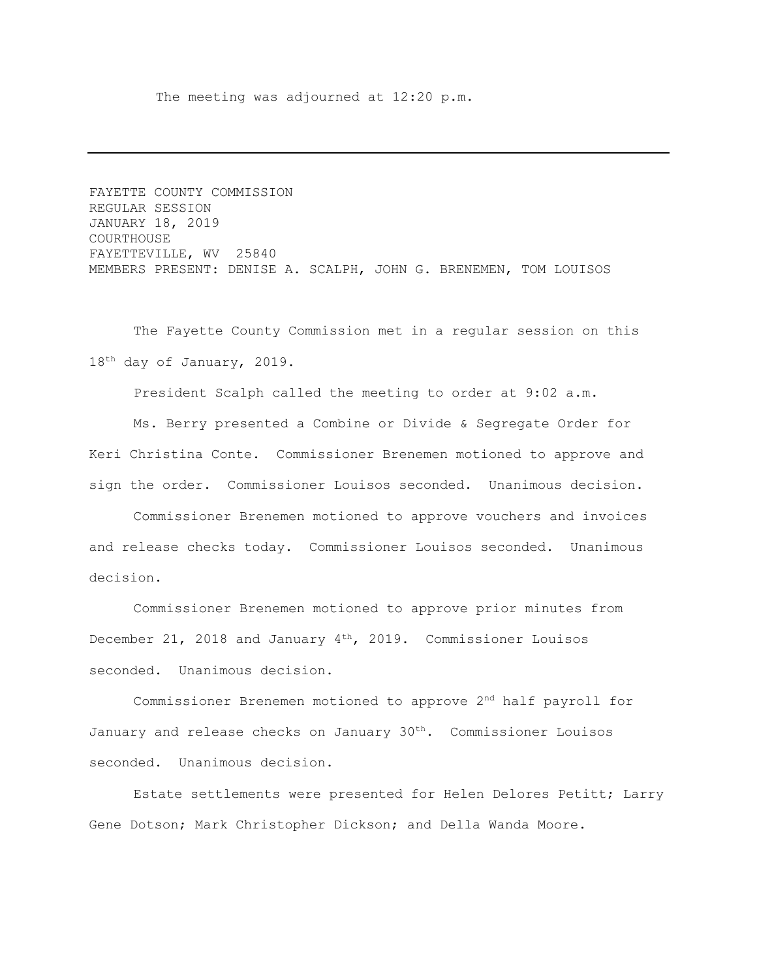The meeting was adjourned at 12:20 p.m.

FAYETTE COUNTY COMMISSION REGULAR SESSION JANUARY 18, 2019 COURTHOUSE FAYETTEVILLE, WV 25840 MEMBERS PRESENT: DENISE A. SCALPH, JOHN G. BRENEMEN, TOM LOUISOS

The Fayette County Commission met in a regular session on this 18<sup>th</sup> day of January, 2019.

President Scalph called the meeting to order at 9:02 a.m.

Ms. Berry presented a Combine or Divide & Segregate Order for Keri Christina Conte. Commissioner Brenemen motioned to approve and sign the order. Commissioner Louisos seconded. Unanimous decision.

Commissioner Brenemen motioned to approve vouchers and invoices and release checks today. Commissioner Louisos seconded. Unanimous decision.

Commissioner Brenemen motioned to approve prior minutes from December 21, 2018 and January  $4<sup>th</sup>$ , 2019. Commissioner Louisos seconded. Unanimous decision.

Commissioner Brenemen motioned to approve 2nd half payroll for January and release checks on January  $30<sup>th</sup>$ . Commissioner Louisos seconded. Unanimous decision.

Estate settlements were presented for Helen Delores Petitt; Larry Gene Dotson; Mark Christopher Dickson; and Della Wanda Moore.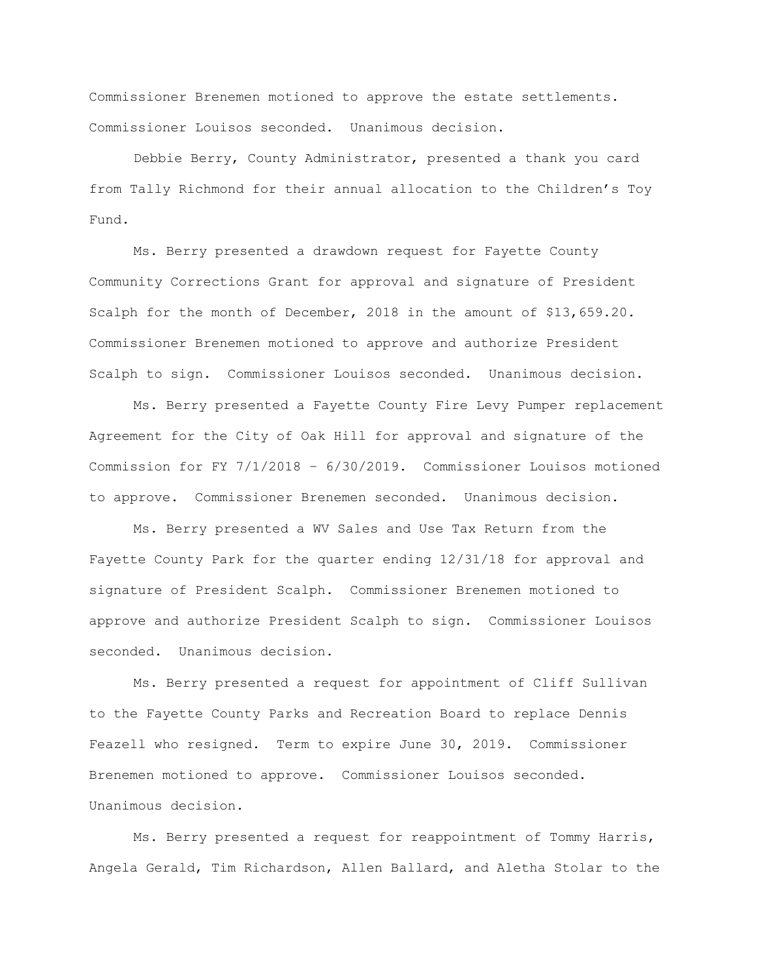Commissioner Brenemen motioned to approve the estate settlements. Commissioner Louisos seconded. Unanimous decision.

Debbie Berry, County Administrator, presented a thank you card from Tally Richmond for their annual allocation to the Children's Toy Fund.

Ms. Berry presented a drawdown request for Fayette County Community Corrections Grant for approval and signature of President Scalph for the month of December, 2018 in the amount of \$13,659.20. Commissioner Brenemen motioned to approve and authorize President Scalph to sign. Commissioner Louisos seconded. Unanimous decision.

Ms. Berry presented a Fayette County Fire Levy Pumper replacement Agreement for the City of Oak Hill for approval and signature of the Commission for FY 7/1/2018 – 6/30/2019. Commissioner Louisos motioned to approve. Commissioner Brenemen seconded. Unanimous decision.

Ms. Berry presented a WV Sales and Use Tax Return from the Fayette County Park for the quarter ending 12/31/18 for approval and signature of President Scalph. Commissioner Brenemen motioned to approve and authorize President Scalph to sign. Commissioner Louisos seconded. Unanimous decision.

Ms. Berry presented a request for appointment of Cliff Sullivan to the Fayette County Parks and Recreation Board to replace Dennis Feazell who resigned. Term to expire June 30, 2019. Commissioner Brenemen motioned to approve. Commissioner Louisos seconded. Unanimous decision.

Ms. Berry presented a request for reappointment of Tommy Harris, Angela Gerald, Tim Richardson, Allen Ballard, and Aletha Stolar to the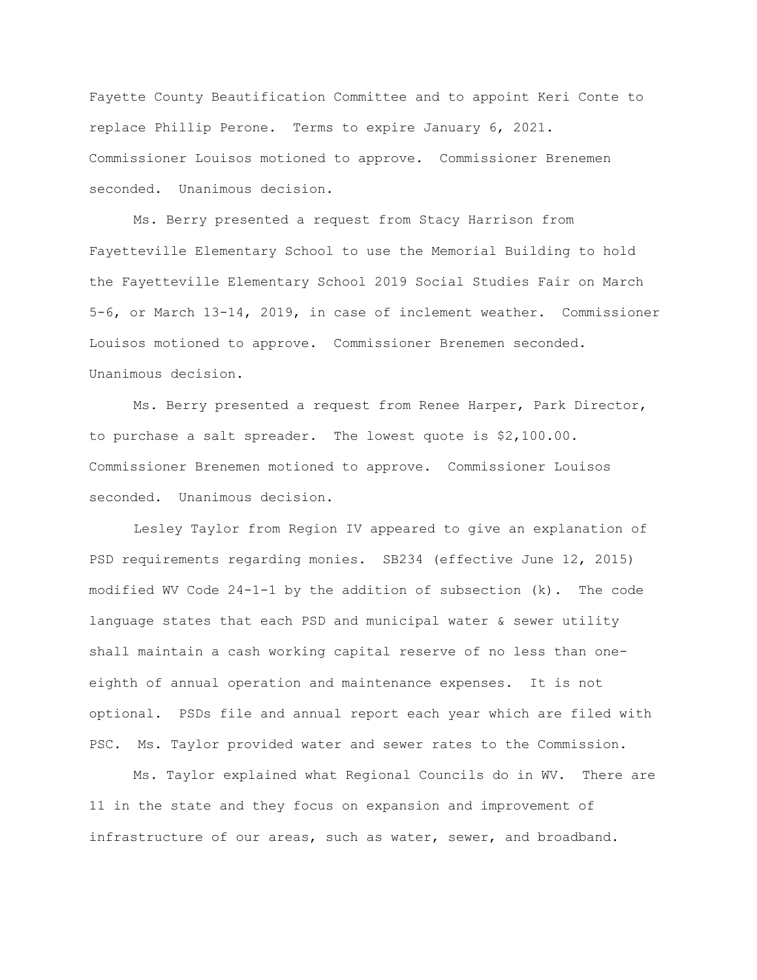Fayette County Beautification Committee and to appoint Keri Conte to replace Phillip Perone. Terms to expire January 6, 2021. Commissioner Louisos motioned to approve. Commissioner Brenemen seconded. Unanimous decision.

Ms. Berry presented a request from Stacy Harrison from Fayetteville Elementary School to use the Memorial Building to hold the Fayetteville Elementary School 2019 Social Studies Fair on March 5-6, or March 13-14, 2019, in case of inclement weather. Commissioner Louisos motioned to approve. Commissioner Brenemen seconded. Unanimous decision.

Ms. Berry presented a request from Renee Harper, Park Director, to purchase a salt spreader. The lowest quote is \$2,100.00. Commissioner Brenemen motioned to approve. Commissioner Louisos seconded. Unanimous decision.

Lesley Taylor from Region IV appeared to give an explanation of PSD requirements regarding monies. SB234 (effective June 12, 2015) modified WV Code 24-1-1 by the addition of subsection (k). The code language states that each PSD and municipal water & sewer utility shall maintain a cash working capital reserve of no less than oneeighth of annual operation and maintenance expenses. It is not optional. PSDs file and annual report each year which are filed with PSC. Ms. Taylor provided water and sewer rates to the Commission.

Ms. Taylor explained what Regional Councils do in WV. There are 11 in the state and they focus on expansion and improvement of infrastructure of our areas, such as water, sewer, and broadband.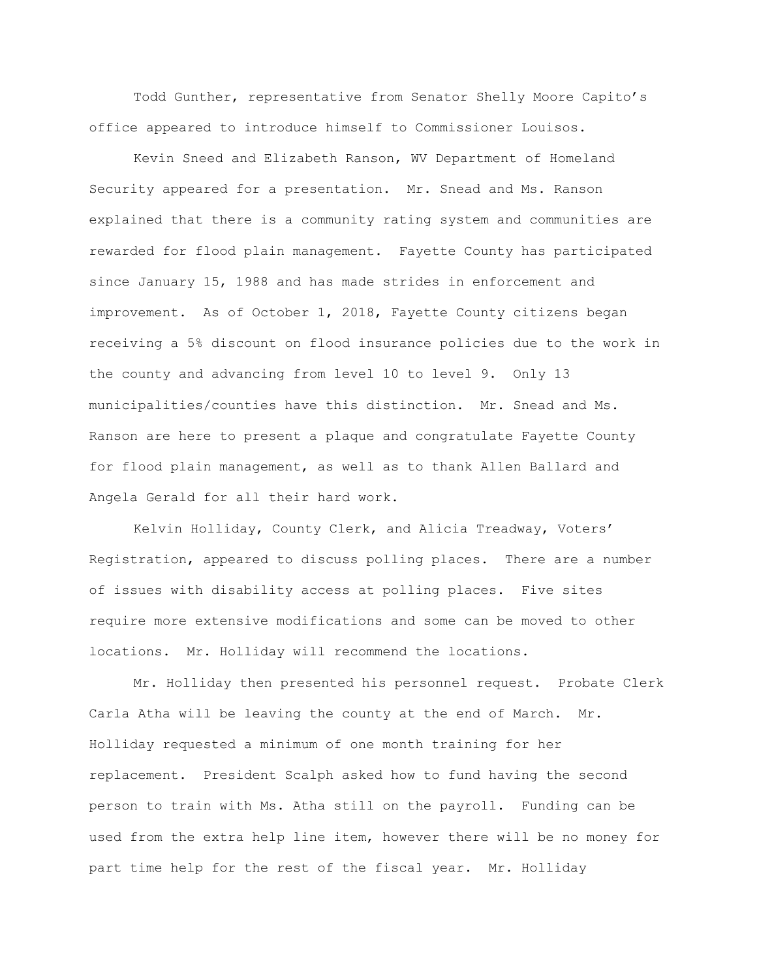Todd Gunther, representative from Senator Shelly Moore Capito's office appeared to introduce himself to Commissioner Louisos.

Kevin Sneed and Elizabeth Ranson, WV Department of Homeland Security appeared for a presentation. Mr. Snead and Ms. Ranson explained that there is a community rating system and communities are rewarded for flood plain management. Fayette County has participated since January 15, 1988 and has made strides in enforcement and improvement. As of October 1, 2018, Fayette County citizens began receiving a 5% discount on flood insurance policies due to the work in the county and advancing from level 10 to level 9. Only 13 municipalities/counties have this distinction. Mr. Snead and Ms. Ranson are here to present a plaque and congratulate Fayette County for flood plain management, as well as to thank Allen Ballard and Angela Gerald for all their hard work.

Kelvin Holliday, County Clerk, and Alicia Treadway, Voters' Registration, appeared to discuss polling places. There are a number of issues with disability access at polling places. Five sites require more extensive modifications and some can be moved to other locations. Mr. Holliday will recommend the locations.

Mr. Holliday then presented his personnel request. Probate Clerk Carla Atha will be leaving the county at the end of March. Mr. Holliday requested a minimum of one month training for her replacement. President Scalph asked how to fund having the second person to train with Ms. Atha still on the payroll. Funding can be used from the extra help line item, however there will be no money for part time help for the rest of the fiscal year. Mr. Holliday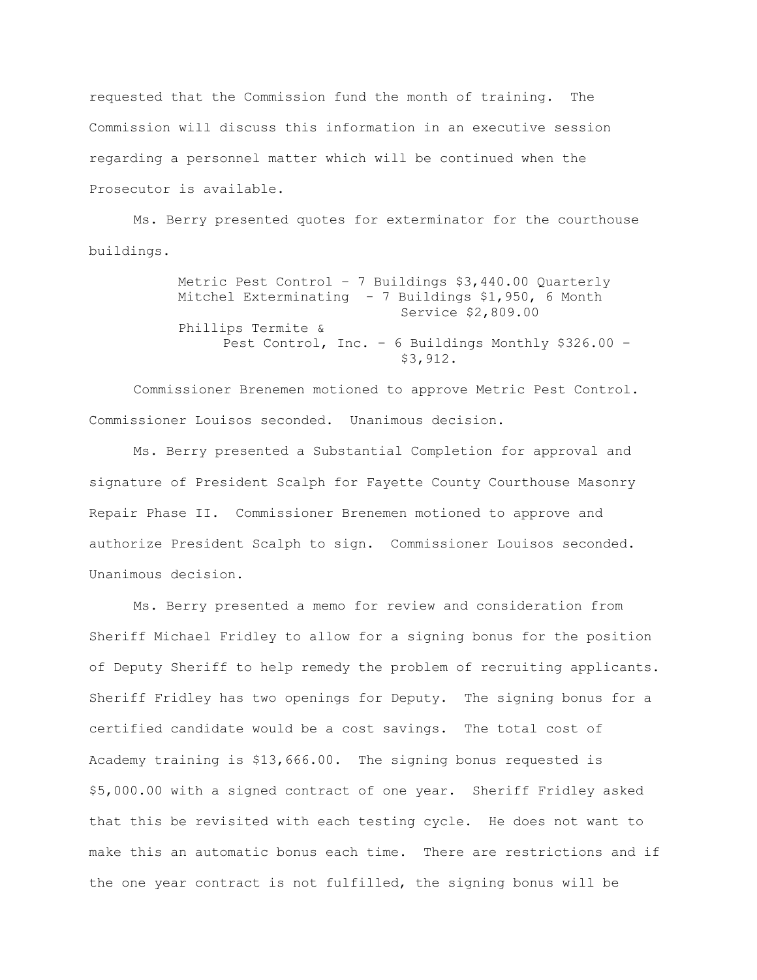requested that the Commission fund the month of training. The Commission will discuss this information in an executive session regarding a personnel matter which will be continued when the Prosecutor is available.

Ms. Berry presented quotes for exterminator for the courthouse buildings.

> Metric Pest Control – 7 Buildings \$3,440.00 Quarterly Mitchel Exterminating - 7 Buildings \$1,950, 6 Month Service \$2,809.00 Phillips Termite & Pest Control, Inc. – 6 Buildings Monthly \$326.00 – \$3,912.

Commissioner Brenemen motioned to approve Metric Pest Control. Commissioner Louisos seconded. Unanimous decision.

Ms. Berry presented a Substantial Completion for approval and signature of President Scalph for Fayette County Courthouse Masonry Repair Phase II. Commissioner Brenemen motioned to approve and authorize President Scalph to sign. Commissioner Louisos seconded. Unanimous decision.

Ms. Berry presented a memo for review and consideration from Sheriff Michael Fridley to allow for a signing bonus for the position of Deputy Sheriff to help remedy the problem of recruiting applicants. Sheriff Fridley has two openings for Deputy. The signing bonus for a certified candidate would be a cost savings. The total cost of Academy training is \$13,666.00. The signing bonus requested is \$5,000.00 with a signed contract of one year. Sheriff Fridley asked that this be revisited with each testing cycle. He does not want to make this an automatic bonus each time. There are restrictions and if the one year contract is not fulfilled, the signing bonus will be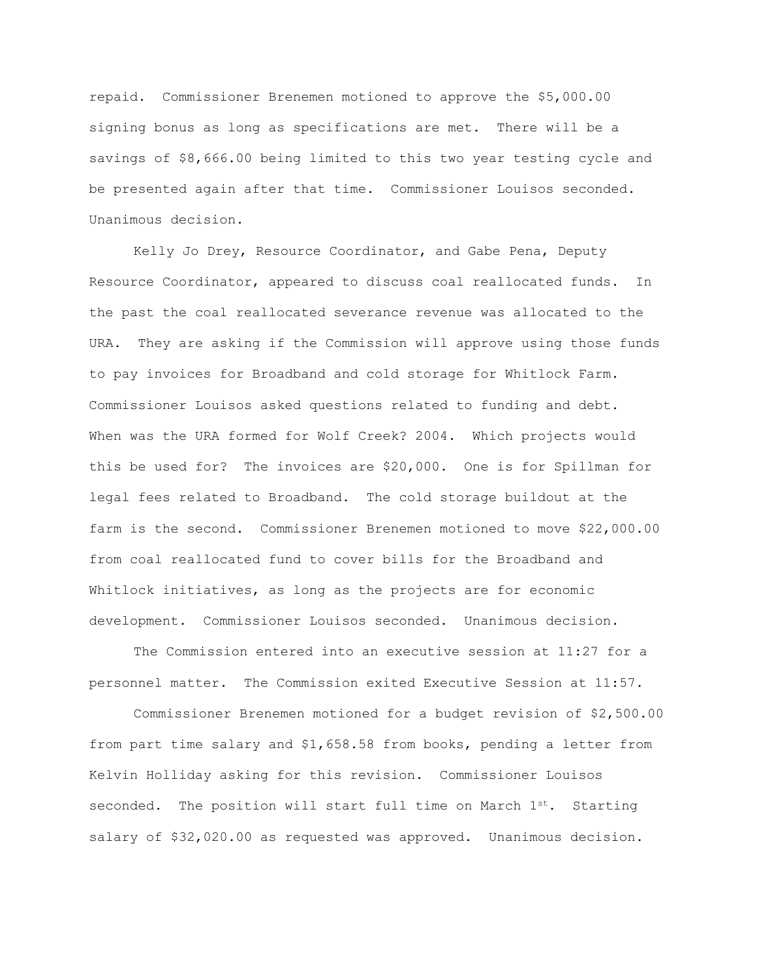repaid. Commissioner Brenemen motioned to approve the \$5,000.00 signing bonus as long as specifications are met. There will be a savings of \$8,666.00 being limited to this two year testing cycle and be presented again after that time. Commissioner Louisos seconded. Unanimous decision.

Kelly Jo Drey, Resource Coordinator, and Gabe Pena, Deputy Resource Coordinator, appeared to discuss coal reallocated funds. In the past the coal reallocated severance revenue was allocated to the URA. They are asking if the Commission will approve using those funds to pay invoices for Broadband and cold storage for Whitlock Farm. Commissioner Louisos asked questions related to funding and debt. When was the URA formed for Wolf Creek? 2004. Which projects would this be used for? The invoices are \$20,000. One is for Spillman for legal fees related to Broadband. The cold storage buildout at the farm is the second. Commissioner Brenemen motioned to move \$22,000.00 from coal reallocated fund to cover bills for the Broadband and Whitlock initiatives, as long as the projects are for economic development. Commissioner Louisos seconded. Unanimous decision.

The Commission entered into an executive session at 11:27 for a personnel matter. The Commission exited Executive Session at 11:57.

Commissioner Brenemen motioned for a budget revision of \$2,500.00 from part time salary and \$1,658.58 from books, pending a letter from Kelvin Holliday asking for this revision. Commissioner Louisos seconded. The position will start full time on March 1st. Starting salary of \$32,020.00 as requested was approved. Unanimous decision.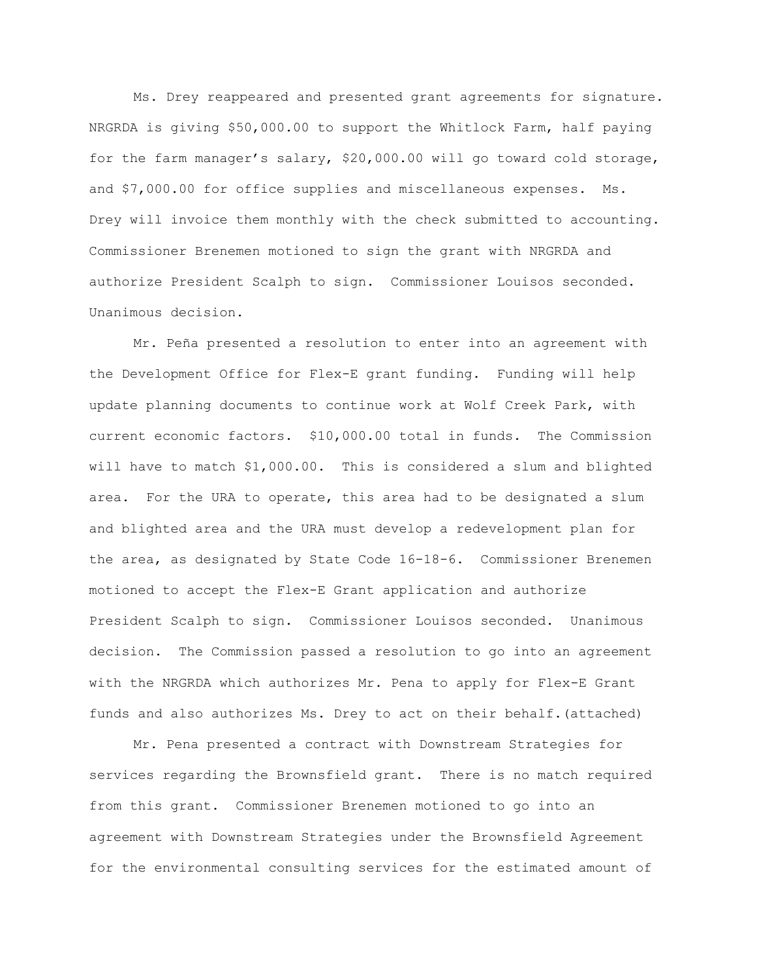Ms. Drey reappeared and presented grant agreements for signature. NRGRDA is giving \$50,000.00 to support the Whitlock Farm, half paying for the farm manager's salary, \$20,000.00 will go toward cold storage, and \$7,000.00 for office supplies and miscellaneous expenses. Ms. Drey will invoice them monthly with the check submitted to accounting. Commissioner Brenemen motioned to sign the grant with NRGRDA and authorize President Scalph to sign. Commissioner Louisos seconded. Unanimous decision.

Mr. Peña presented a resolution to enter into an agreement with the Development Office for Flex-E grant funding. Funding will help update planning documents to continue work at Wolf Creek Park, with current economic factors. \$10,000.00 total in funds. The Commission will have to match \$1,000.00. This is considered a slum and blighted area. For the URA to operate, this area had to be designated a slum and blighted area and the URA must develop a redevelopment plan for the area, as designated by State Code 16-18-6. Commissioner Brenemen motioned to accept the Flex-E Grant application and authorize President Scalph to sign. Commissioner Louisos seconded. Unanimous decision. The Commission passed a resolution to go into an agreement with the NRGRDA which authorizes Mr. Pena to apply for Flex-E Grant funds and also authorizes Ms. Drey to act on their behalf.(attached)

Mr. Pena presented a contract with Downstream Strategies for services regarding the Brownsfield grant. There is no match required from this grant. Commissioner Brenemen motioned to go into an agreement with Downstream Strategies under the Brownsfield Agreement for the environmental consulting services for the estimated amount of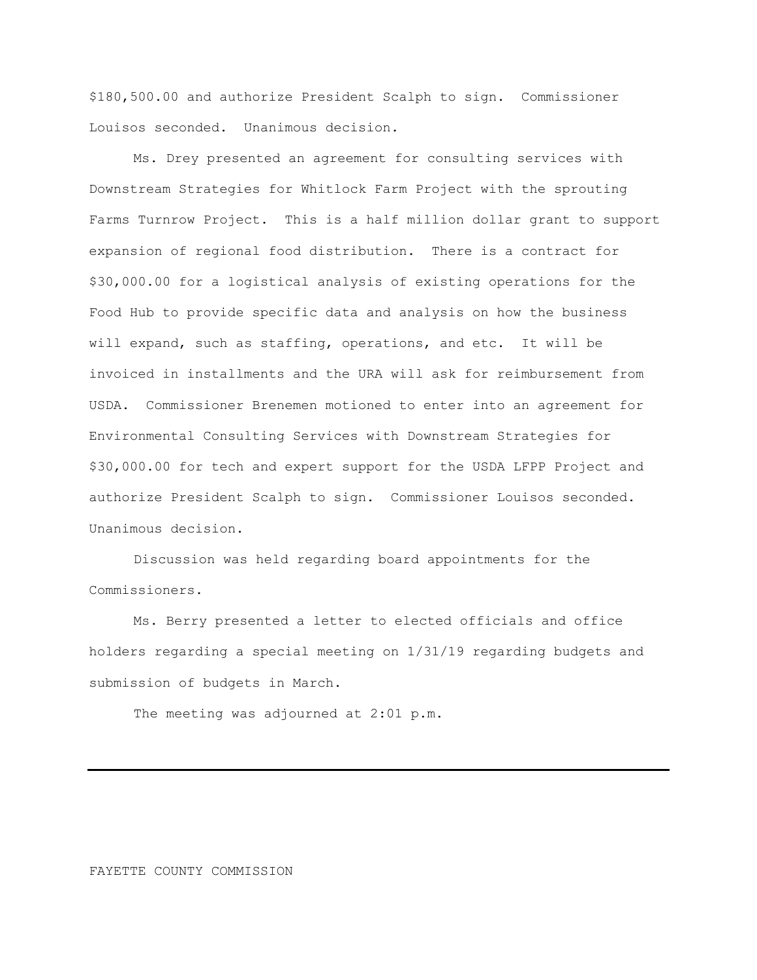\$180,500.00 and authorize President Scalph to sign. Commissioner Louisos seconded. Unanimous decision.

Ms. Drey presented an agreement for consulting services with Downstream Strategies for Whitlock Farm Project with the sprouting Farms Turnrow Project. This is a half million dollar grant to support expansion of regional food distribution. There is a contract for \$30,000.00 for a logistical analysis of existing operations for the Food Hub to provide specific data and analysis on how the business will expand, such as staffing, operations, and etc. It will be invoiced in installments and the URA will ask for reimbursement from USDA. Commissioner Brenemen motioned to enter into an agreement for Environmental Consulting Services with Downstream Strategies for \$30,000.00 for tech and expert support for the USDA LFPP Project and authorize President Scalph to sign. Commissioner Louisos seconded. Unanimous decision.

Discussion was held regarding board appointments for the Commissioners.

Ms. Berry presented a letter to elected officials and office holders regarding a special meeting on 1/31/19 regarding budgets and submission of budgets in March.

The meeting was adjourned at 2:01 p.m.

## FAYETTE COUNTY COMMISSION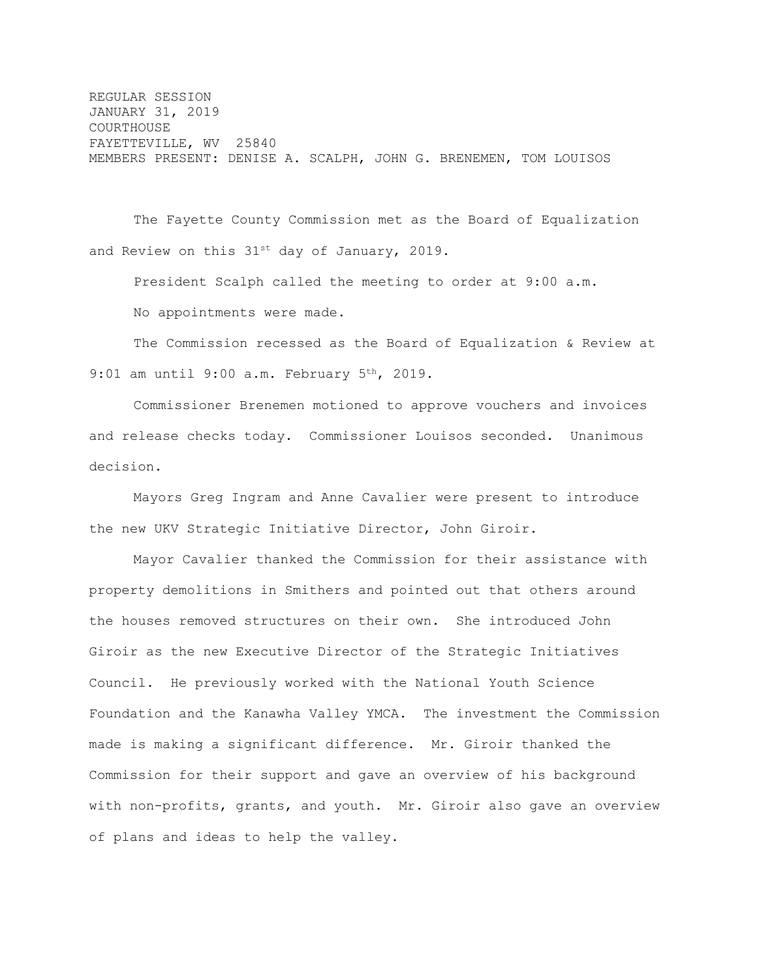REGULAR SESSION JANUARY 31, 2019 COURTHOUSE FAYETTEVILLE, WV 25840 MEMBERS PRESENT: DENISE A. SCALPH, JOHN G. BRENEMEN, TOM LOUISOS

The Fayette County Commission met as the Board of Equalization and Review on this  $31^{st}$  day of January, 2019.

President Scalph called the meeting to order at 9:00 a.m. No appointments were made.

The Commission recessed as the Board of Equalization & Review at 9:01 am until 9:00 a.m. February 5<sup>th</sup>, 2019.

Commissioner Brenemen motioned to approve vouchers and invoices and release checks today. Commissioner Louisos seconded. Unanimous decision.

Mayors Greg Ingram and Anne Cavalier were present to introduce the new UKV Strategic Initiative Director, John Giroir.

Mayor Cavalier thanked the Commission for their assistance with property demolitions in Smithers and pointed out that others around the houses removed structures on their own. She introduced John Giroir as the new Executive Director of the Strategic Initiatives Council. He previously worked with the National Youth Science Foundation and the Kanawha Valley YMCA. The investment the Commission made is making a significant difference. Mr. Giroir thanked the Commission for their support and gave an overview of his background with non-profits, grants, and youth. Mr. Giroir also gave an overview of plans and ideas to help the valley.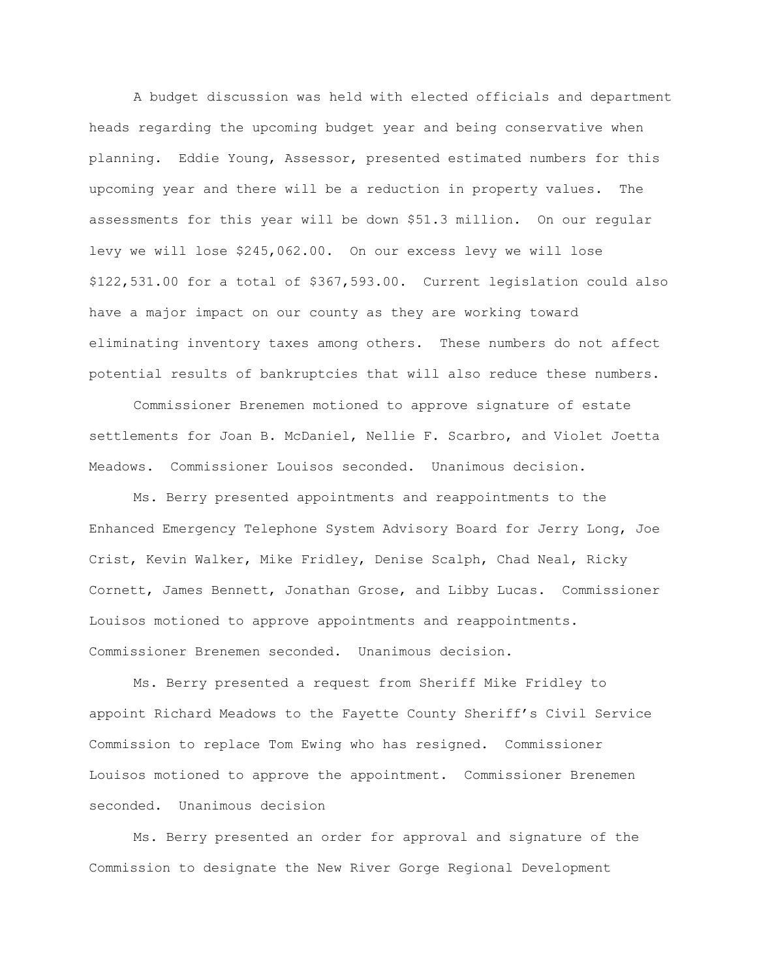A budget discussion was held with elected officials and department heads regarding the upcoming budget year and being conservative when planning. Eddie Young, Assessor, presented estimated numbers for this upcoming year and there will be a reduction in property values. The assessments for this year will be down \$51.3 million. On our regular levy we will lose \$245,062.00. On our excess levy we will lose \$122,531.00 for a total of \$367,593.00. Current legislation could also have a major impact on our county as they are working toward eliminating inventory taxes among others. These numbers do not affect potential results of bankruptcies that will also reduce these numbers.

Commissioner Brenemen motioned to approve signature of estate settlements for Joan B. McDaniel, Nellie F. Scarbro, and Violet Joetta Meadows. Commissioner Louisos seconded. Unanimous decision.

Ms. Berry presented appointments and reappointments to the Enhanced Emergency Telephone System Advisory Board for Jerry Long, Joe Crist, Kevin Walker, Mike Fridley, Denise Scalph, Chad Neal, Ricky Cornett, James Bennett, Jonathan Grose, and Libby Lucas. Commissioner Louisos motioned to approve appointments and reappointments. Commissioner Brenemen seconded. Unanimous decision.

Ms. Berry presented a request from Sheriff Mike Fridley to appoint Richard Meadows to the Fayette County Sheriff's Civil Service Commission to replace Tom Ewing who has resigned. Commissioner Louisos motioned to approve the appointment. Commissioner Brenemen seconded. Unanimous decision

Ms. Berry presented an order for approval and signature of the Commission to designate the New River Gorge Regional Development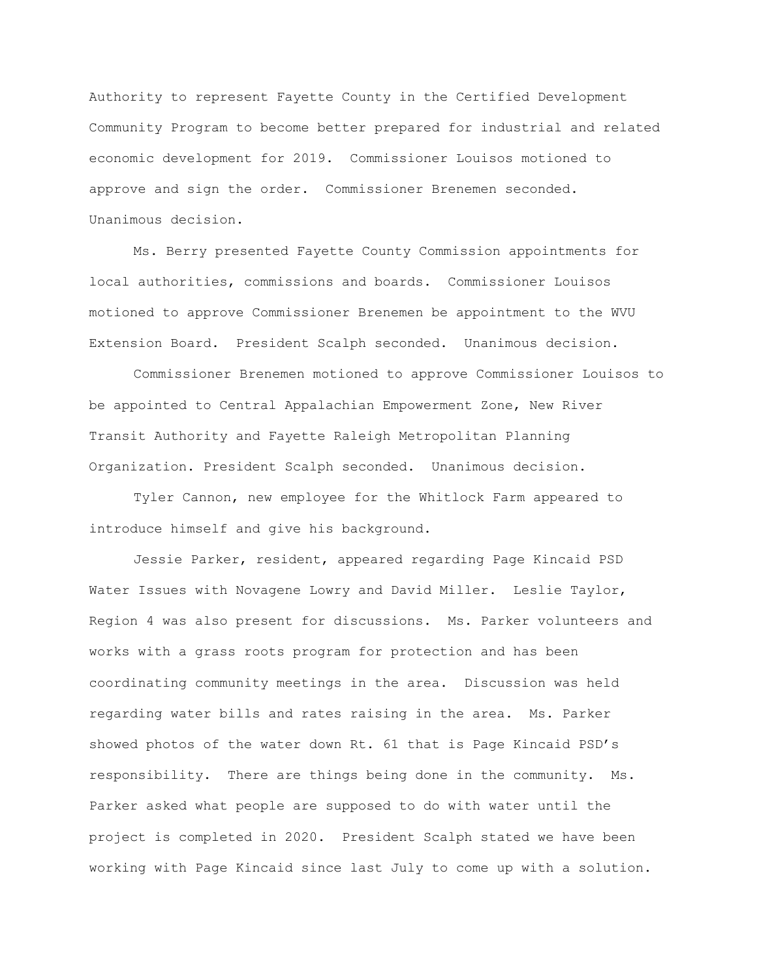Authority to represent Fayette County in the Certified Development Community Program to become better prepared for industrial and related economic development for 2019. Commissioner Louisos motioned to approve and sign the order. Commissioner Brenemen seconded. Unanimous decision.

Ms. Berry presented Fayette County Commission appointments for local authorities, commissions and boards. Commissioner Louisos motioned to approve Commissioner Brenemen be appointment to the WVU Extension Board. President Scalph seconded. Unanimous decision.

Commissioner Brenemen motioned to approve Commissioner Louisos to be appointed to Central Appalachian Empowerment Zone, New River Transit Authority and Fayette Raleigh Metropolitan Planning Organization. President Scalph seconded. Unanimous decision.

Tyler Cannon, new employee for the Whitlock Farm appeared to introduce himself and give his background.

Jessie Parker, resident, appeared regarding Page Kincaid PSD Water Issues with Novagene Lowry and David Miller. Leslie Taylor, Region 4 was also present for discussions. Ms. Parker volunteers and works with a grass roots program for protection and has been coordinating community meetings in the area. Discussion was held regarding water bills and rates raising in the area. Ms. Parker showed photos of the water down Rt. 61 that is Page Kincaid PSD's responsibility. There are things being done in the community. Ms. Parker asked what people are supposed to do with water until the project is completed in 2020. President Scalph stated we have been working with Page Kincaid since last July to come up with a solution.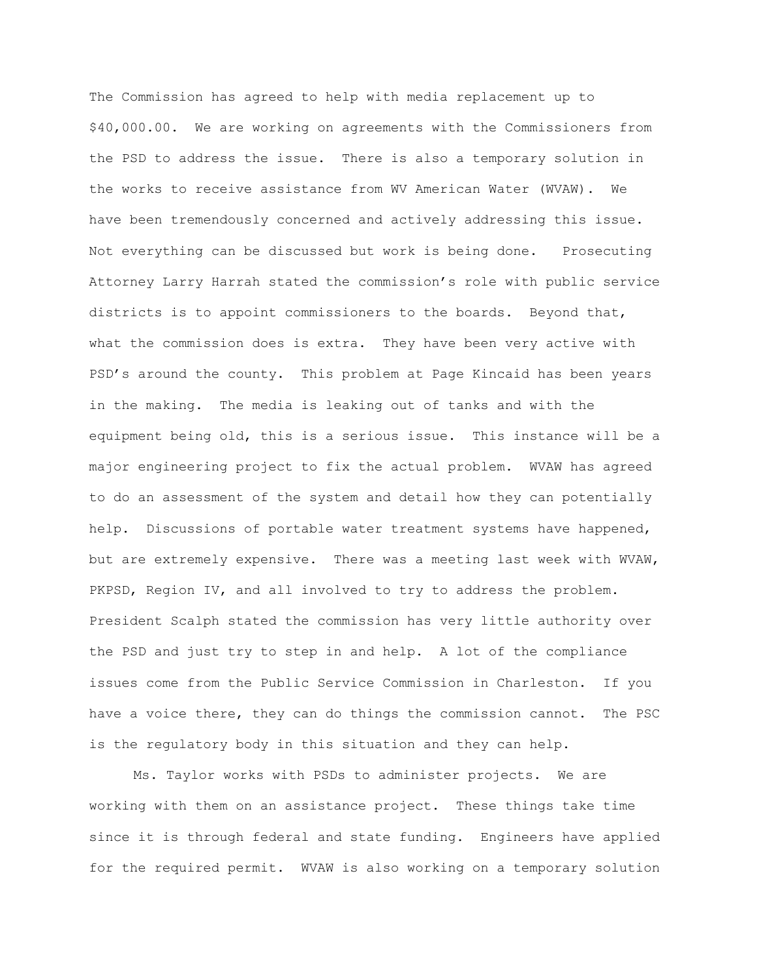The Commission has agreed to help with media replacement up to \$40,000.00. We are working on agreements with the Commissioners from the PSD to address the issue. There is also a temporary solution in the works to receive assistance from WV American Water (WVAW). We have been tremendously concerned and actively addressing this issue. Not everything can be discussed but work is being done. Prosecuting Attorney Larry Harrah stated the commission's role with public service districts is to appoint commissioners to the boards. Beyond that, what the commission does is extra. They have been very active with PSD's around the county. This problem at Page Kincaid has been years in the making. The media is leaking out of tanks and with the equipment being old, this is a serious issue. This instance will be a major engineering project to fix the actual problem. WVAW has agreed to do an assessment of the system and detail how they can potentially help. Discussions of portable water treatment systems have happened, but are extremely expensive. There was a meeting last week with WVAW, PKPSD, Region IV, and all involved to try to address the problem. President Scalph stated the commission has very little authority over the PSD and just try to step in and help. A lot of the compliance issues come from the Public Service Commission in Charleston. If you have a voice there, they can do things the commission cannot. The PSC is the regulatory body in this situation and they can help.

Ms. Taylor works with PSDs to administer projects. We are working with them on an assistance project. These things take time since it is through federal and state funding. Engineers have applied for the required permit. WVAW is also working on a temporary solution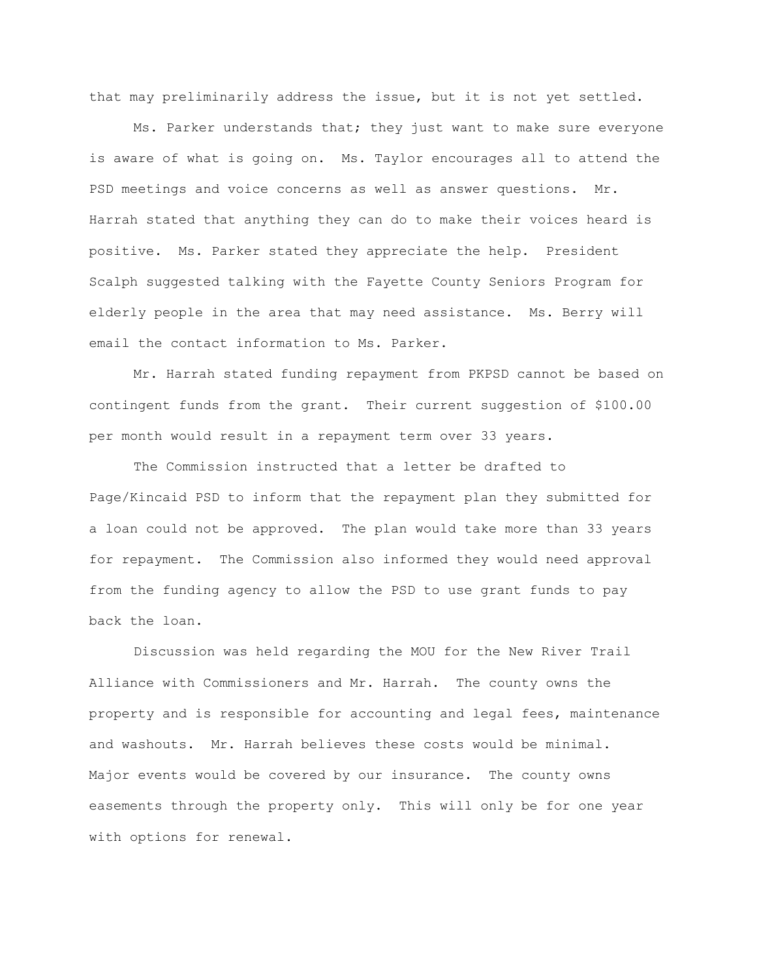that may preliminarily address the issue, but it is not yet settled.

Ms. Parker understands that; they just want to make sure everyone is aware of what is going on. Ms. Taylor encourages all to attend the PSD meetings and voice concerns as well as answer questions. Mr. Harrah stated that anything they can do to make their voices heard is positive. Ms. Parker stated they appreciate the help. President Scalph suggested talking with the Fayette County Seniors Program for elderly people in the area that may need assistance. Ms. Berry will email the contact information to Ms. Parker.

Mr. Harrah stated funding repayment from PKPSD cannot be based on contingent funds from the grant. Their current suggestion of \$100.00 per month would result in a repayment term over 33 years.

The Commission instructed that a letter be drafted to Page/Kincaid PSD to inform that the repayment plan they submitted for a loan could not be approved. The plan would take more than 33 years for repayment. The Commission also informed they would need approval from the funding agency to allow the PSD to use grant funds to pay back the loan.

Discussion was held regarding the MOU for the New River Trail Alliance with Commissioners and Mr. Harrah. The county owns the property and is responsible for accounting and legal fees, maintenance and washouts. Mr. Harrah believes these costs would be minimal. Major events would be covered by our insurance. The county owns easements through the property only. This will only be for one year with options for renewal.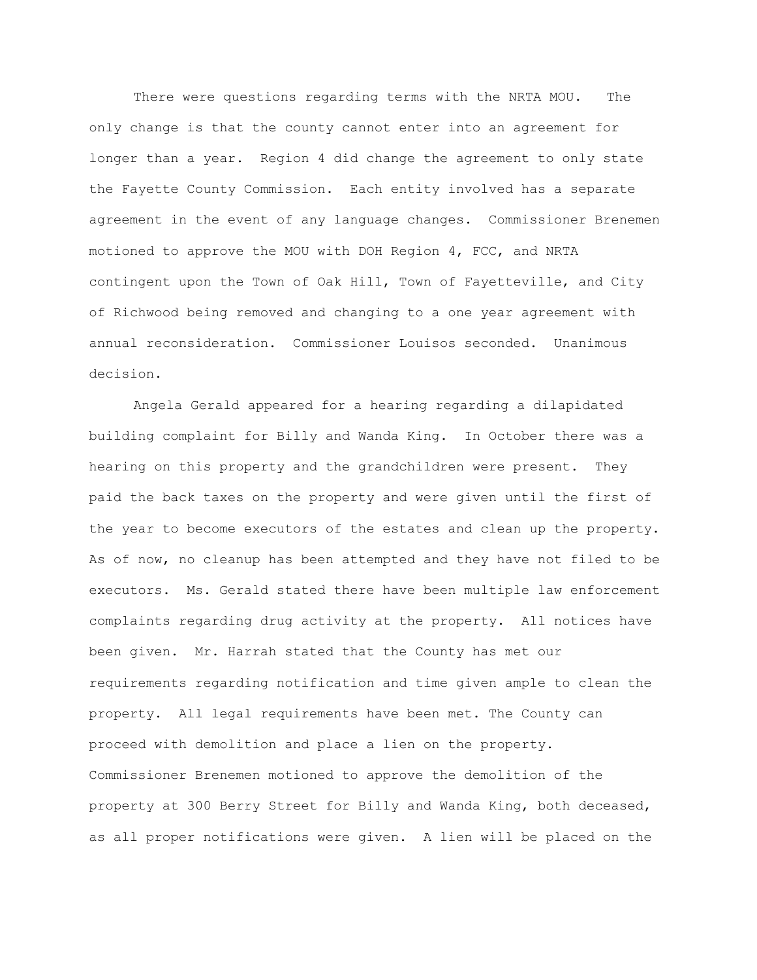There were questions regarding terms with the NRTA MOU. The only change is that the county cannot enter into an agreement for longer than a year. Region 4 did change the agreement to only state the Fayette County Commission. Each entity involved has a separate agreement in the event of any language changes. Commissioner Brenemen motioned to approve the MOU with DOH Region 4, FCC, and NRTA contingent upon the Town of Oak Hill, Town of Fayetteville, and City of Richwood being removed and changing to a one year agreement with annual reconsideration. Commissioner Louisos seconded. Unanimous decision.

Angela Gerald appeared for a hearing regarding a dilapidated building complaint for Billy and Wanda King. In October there was a hearing on this property and the grandchildren were present. They paid the back taxes on the property and were given until the first of the year to become executors of the estates and clean up the property. As of now, no cleanup has been attempted and they have not filed to be executors. Ms. Gerald stated there have been multiple law enforcement complaints regarding drug activity at the property. All notices have been given. Mr. Harrah stated that the County has met our requirements regarding notification and time given ample to clean the property. All legal requirements have been met. The County can proceed with demolition and place a lien on the property. Commissioner Brenemen motioned to approve the demolition of the property at 300 Berry Street for Billy and Wanda King, both deceased, as all proper notifications were given. A lien will be placed on the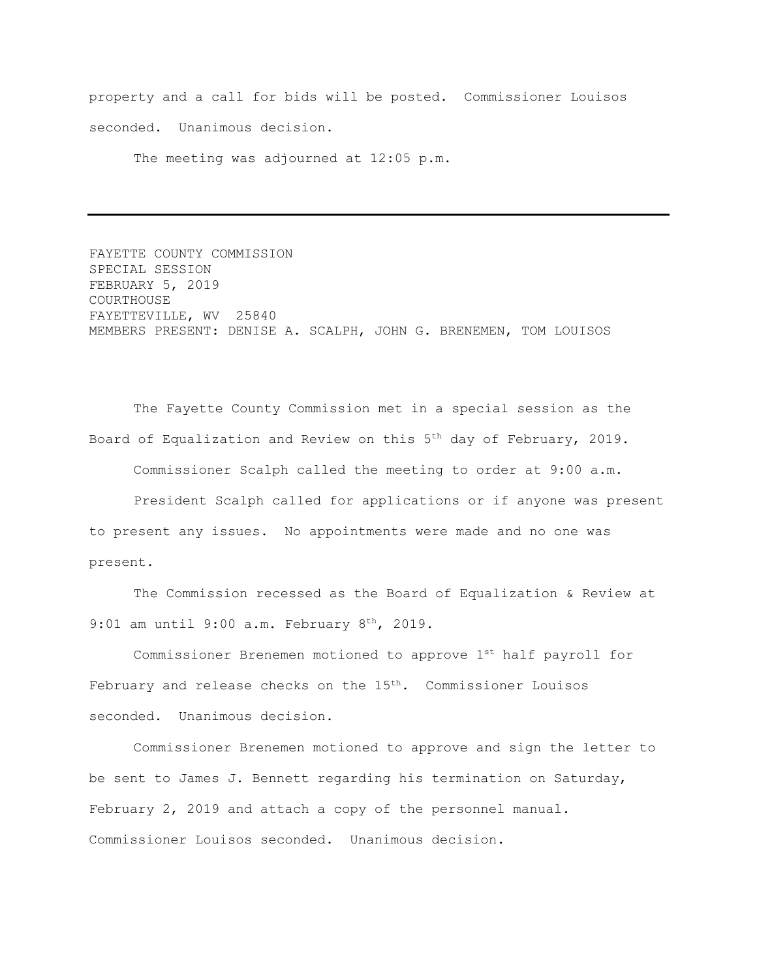property and a call for bids will be posted. Commissioner Louisos seconded. Unanimous decision.

The meeting was adjourned at 12:05 p.m.

FAYETTE COUNTY COMMISSION SPECIAL SESSION FEBRUARY 5, 2019 COURTHOUSE FAYETTEVILLE, WV 25840 MEMBERS PRESENT: DENISE A. SCALPH, JOHN G. BRENEMEN, TOM LOUISOS

The Fayette County Commission met in a special session as the Board of Equalization and Review on this  $5<sup>th</sup>$  day of February, 2019.

Commissioner Scalph called the meeting to order at 9:00 a.m.

President Scalph called for applications or if anyone was present to present any issues. No appointments were made and no one was present.

The Commission recessed as the Board of Equalization & Review at 9:01 am until 9:00 a.m. February 8<sup>th</sup>, 2019.

Commissioner Brenemen motioned to approve 1st half payroll for February and release checks on the 15<sup>th</sup>. Commissioner Louisos seconded. Unanimous decision.

Commissioner Brenemen motioned to approve and sign the letter to be sent to James J. Bennett regarding his termination on Saturday, February 2, 2019 and attach a copy of the personnel manual. Commissioner Louisos seconded. Unanimous decision.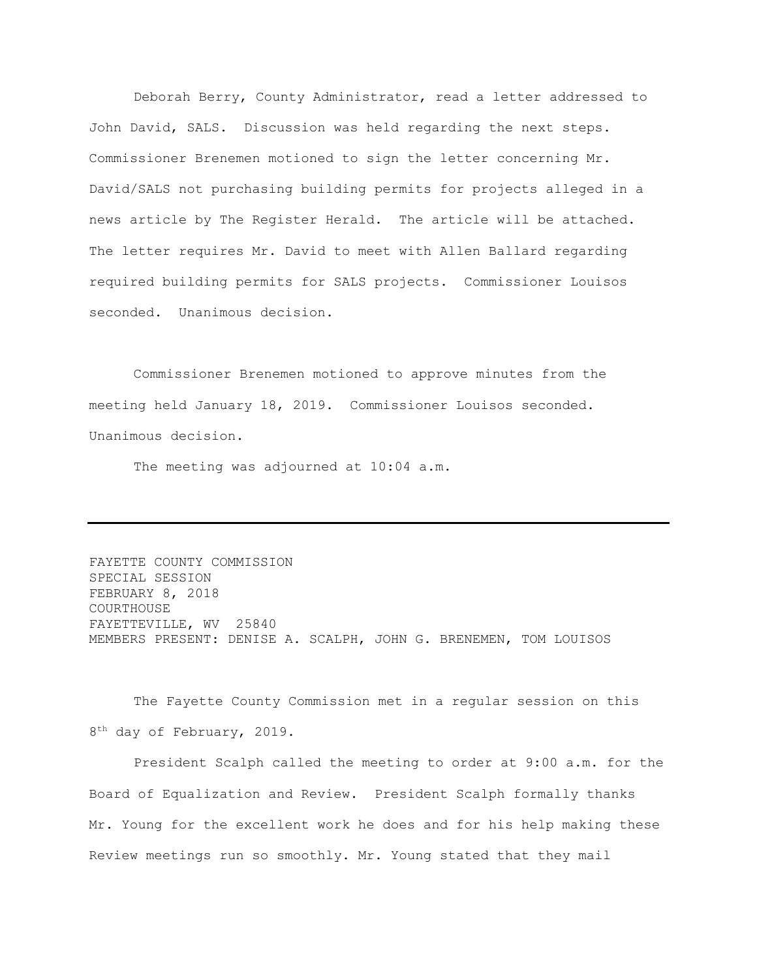Deborah Berry, County Administrator, read a letter addressed to John David, SALS. Discussion was held regarding the next steps. Commissioner Brenemen motioned to sign the letter concerning Mr. David/SALS not purchasing building permits for projects alleged in a news article by The Register Herald. The article will be attached. The letter requires Mr. David to meet with Allen Ballard regarding required building permits for SALS projects. Commissioner Louisos seconded. Unanimous decision.

Commissioner Brenemen motioned to approve minutes from the meeting held January 18, 2019. Commissioner Louisos seconded. Unanimous decision.

The meeting was adjourned at 10:04 a.m.

FAYETTE COUNTY COMMISSION SPECIAL SESSION FEBRUARY 8, 2018 COURTHOUSE FAYETTEVILLE, WV 25840 MEMBERS PRESENT: DENISE A. SCALPH, JOHN G. BRENEMEN, TOM LOUISOS

The Fayette County Commission met in a regular session on this 8<sup>th</sup> day of February, 2019.

President Scalph called the meeting to order at 9:00 a.m. for the Board of Equalization and Review. President Scalph formally thanks Mr. Young for the excellent work he does and for his help making these Review meetings run so smoothly. Mr. Young stated that they mail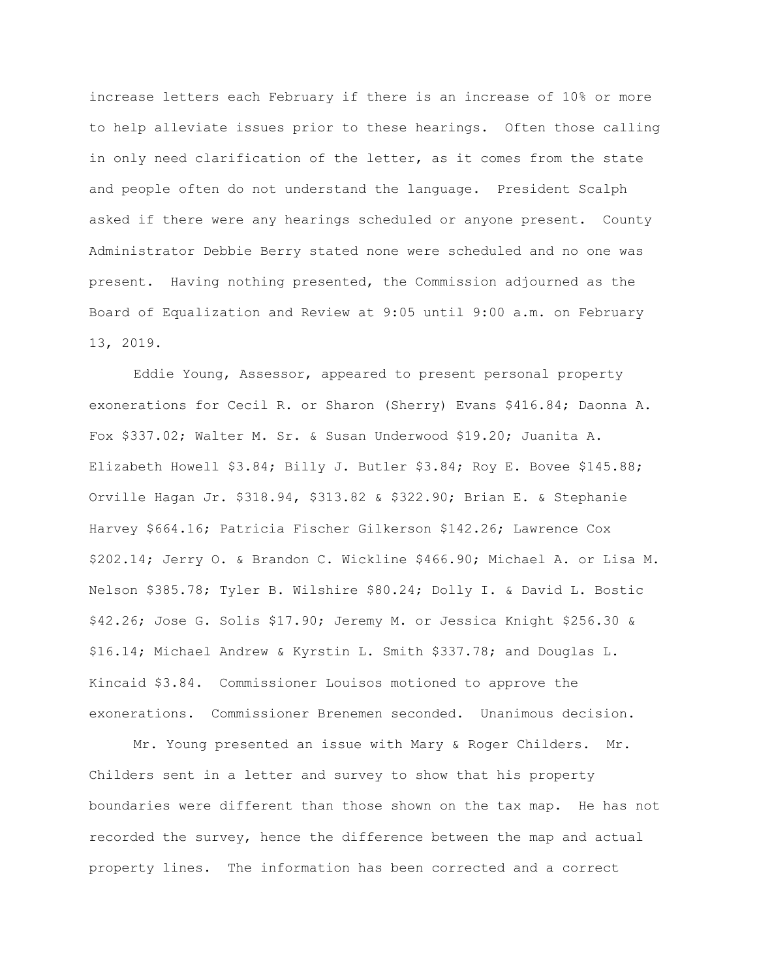increase letters each February if there is an increase of 10% or more to help alleviate issues prior to these hearings. Often those calling in only need clarification of the letter, as it comes from the state and people often do not understand the language. President Scalph asked if there were any hearings scheduled or anyone present. County Administrator Debbie Berry stated none were scheduled and no one was present. Having nothing presented, the Commission adjourned as the Board of Equalization and Review at 9:05 until 9:00 a.m. on February 13, 2019.

Eddie Young, Assessor, appeared to present personal property exonerations for Cecil R. or Sharon (Sherry) Evans \$416.84; Daonna A. Fox \$337.02; Walter M. Sr. & Susan Underwood \$19.20; Juanita A. Elizabeth Howell \$3.84; Billy J. Butler \$3.84; Roy E. Bovee \$145.88; Orville Hagan Jr. \$318.94, \$313.82 & \$322.90; Brian E. & Stephanie Harvey \$664.16; Patricia Fischer Gilkerson \$142.26; Lawrence Cox \$202.14; Jerry O. & Brandon C. Wickline \$466.90; Michael A. or Lisa M. Nelson \$385.78; Tyler B. Wilshire \$80.24; Dolly I. & David L. Bostic \$42.26; Jose G. Solis \$17.90; Jeremy M. or Jessica Knight \$256.30 & \$16.14; Michael Andrew & Kyrstin L. Smith \$337.78; and Douglas L. Kincaid \$3.84. Commissioner Louisos motioned to approve the exonerations. Commissioner Brenemen seconded. Unanimous decision.

Mr. Young presented an issue with Mary & Roger Childers. Mr. Childers sent in a letter and survey to show that his property boundaries were different than those shown on the tax map. He has not recorded the survey, hence the difference between the map and actual property lines. The information has been corrected and a correct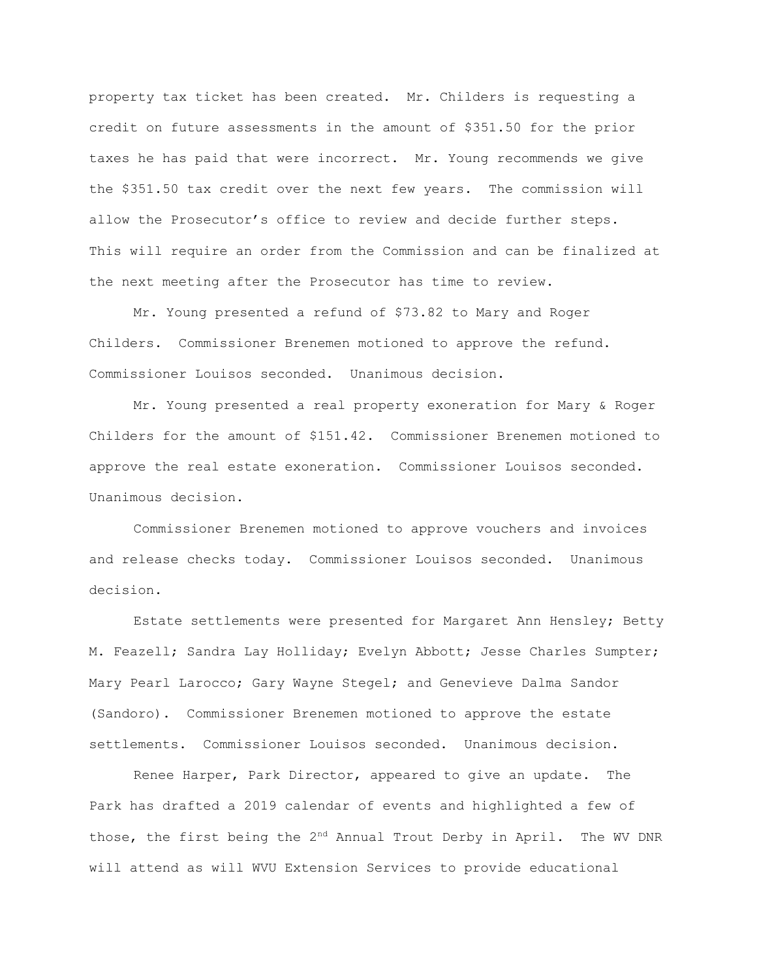property tax ticket has been created. Mr. Childers is requesting a credit on future assessments in the amount of \$351.50 for the prior taxes he has paid that were incorrect. Mr. Young recommends we give the \$351.50 tax credit over the next few years. The commission will allow the Prosecutor's office to review and decide further steps. This will require an order from the Commission and can be finalized at the next meeting after the Prosecutor has time to review.

Mr. Young presented a refund of \$73.82 to Mary and Roger Childers. Commissioner Brenemen motioned to approve the refund. Commissioner Louisos seconded. Unanimous decision.

Mr. Young presented a real property exoneration for Mary & Roger Childers for the amount of \$151.42. Commissioner Brenemen motioned to approve the real estate exoneration. Commissioner Louisos seconded. Unanimous decision.

Commissioner Brenemen motioned to approve vouchers and invoices and release checks today. Commissioner Louisos seconded. Unanimous decision.

Estate settlements were presented for Margaret Ann Hensley; Betty M. Feazell; Sandra Lay Holliday; Evelyn Abbott; Jesse Charles Sumpter; Mary Pearl Larocco; Gary Wayne Stegel; and Genevieve Dalma Sandor (Sandoro). Commissioner Brenemen motioned to approve the estate settlements. Commissioner Louisos seconded. Unanimous decision.

Renee Harper, Park Director, appeared to give an update. The Park has drafted a 2019 calendar of events and highlighted a few of those, the first being the 2<sup>nd</sup> Annual Trout Derby in April. The WV DNR will attend as will WVU Extension Services to provide educational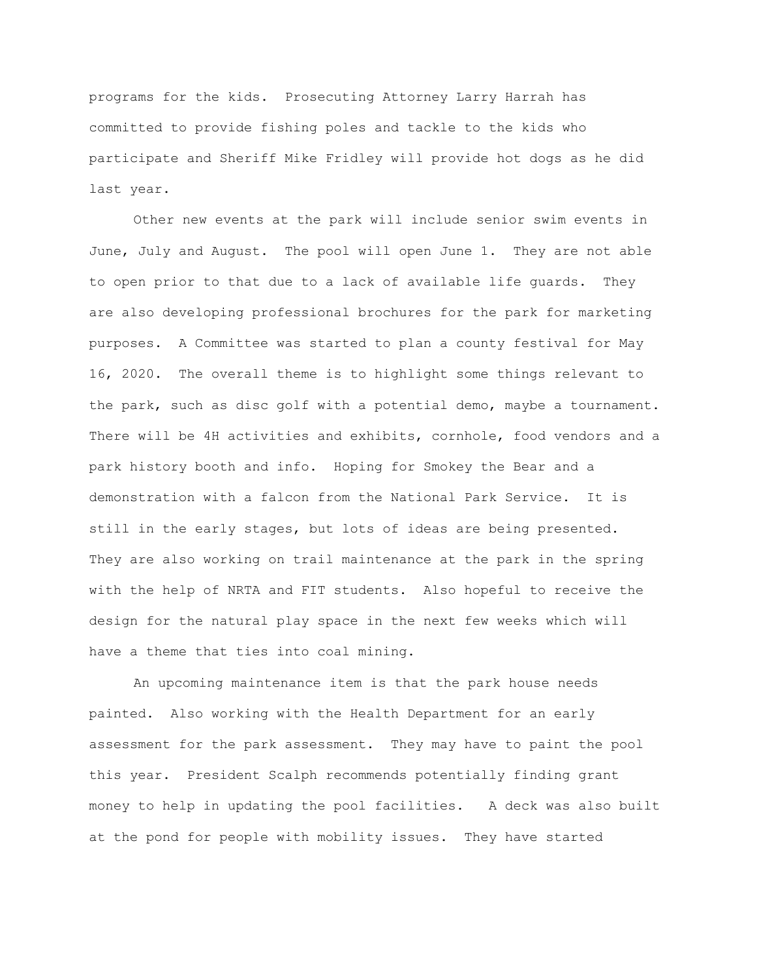programs for the kids. Prosecuting Attorney Larry Harrah has committed to provide fishing poles and tackle to the kids who participate and Sheriff Mike Fridley will provide hot dogs as he did last year.

Other new events at the park will include senior swim events in June, July and August. The pool will open June 1. They are not able to open prior to that due to a lack of available life guards. They are also developing professional brochures for the park for marketing purposes. A Committee was started to plan a county festival for May 16, 2020. The overall theme is to highlight some things relevant to the park, such as disc golf with a potential demo, maybe a tournament. There will be 4H activities and exhibits, cornhole, food vendors and a park history booth and info. Hoping for Smokey the Bear and a demonstration with a falcon from the National Park Service. It is still in the early stages, but lots of ideas are being presented. They are also working on trail maintenance at the park in the spring with the help of NRTA and FIT students. Also hopeful to receive the design for the natural play space in the next few weeks which will have a theme that ties into coal mining.

An upcoming maintenance item is that the park house needs painted. Also working with the Health Department for an early assessment for the park assessment. They may have to paint the pool this year. President Scalph recommends potentially finding grant money to help in updating the pool facilities. A deck was also built at the pond for people with mobility issues. They have started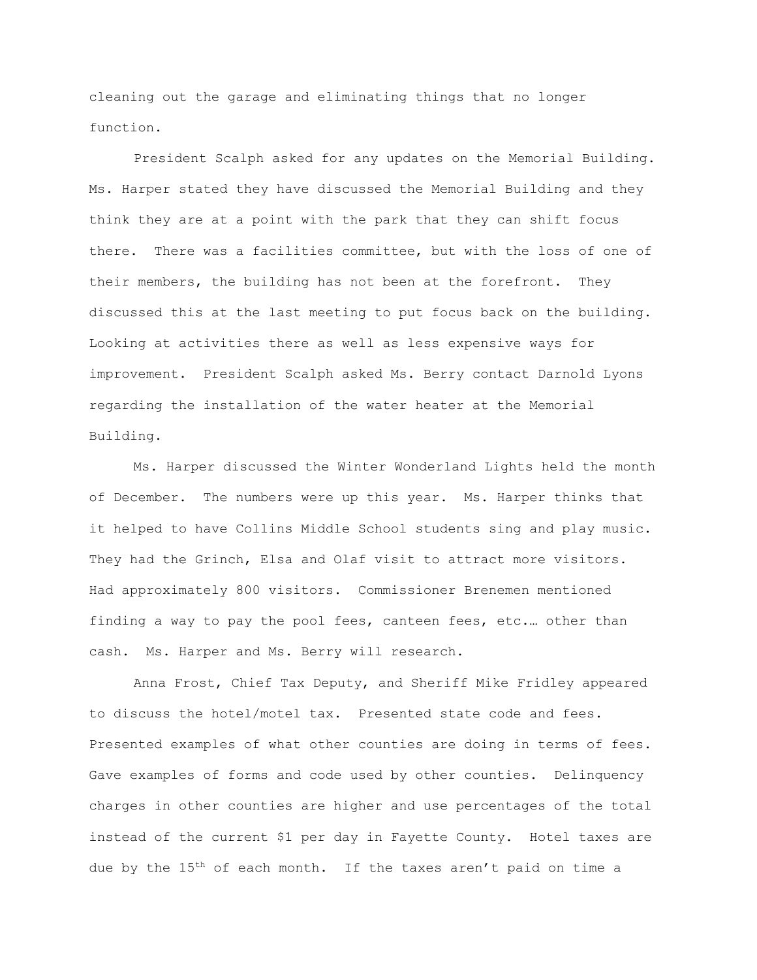cleaning out the garage and eliminating things that no longer function.

President Scalph asked for any updates on the Memorial Building. Ms. Harper stated they have discussed the Memorial Building and they think they are at a point with the park that they can shift focus there. There was a facilities committee, but with the loss of one of their members, the building has not been at the forefront. They discussed this at the last meeting to put focus back on the building. Looking at activities there as well as less expensive ways for improvement. President Scalph asked Ms. Berry contact Darnold Lyons regarding the installation of the water heater at the Memorial Building.

Ms. Harper discussed the Winter Wonderland Lights held the month of December. The numbers were up this year. Ms. Harper thinks that it helped to have Collins Middle School students sing and play music. They had the Grinch, Elsa and Olaf visit to attract more visitors. Had approximately 800 visitors. Commissioner Brenemen mentioned finding a way to pay the pool fees, canteen fees, etc.… other than cash. Ms. Harper and Ms. Berry will research.

Anna Frost, Chief Tax Deputy, and Sheriff Mike Fridley appeared to discuss the hotel/motel tax. Presented state code and fees. Presented examples of what other counties are doing in terms of fees. Gave examples of forms and code used by other counties. Delinquency charges in other counties are higher and use percentages of the total instead of the current \$1 per day in Fayette County. Hotel taxes are due by the  $15<sup>th</sup>$  of each month. If the taxes aren't paid on time a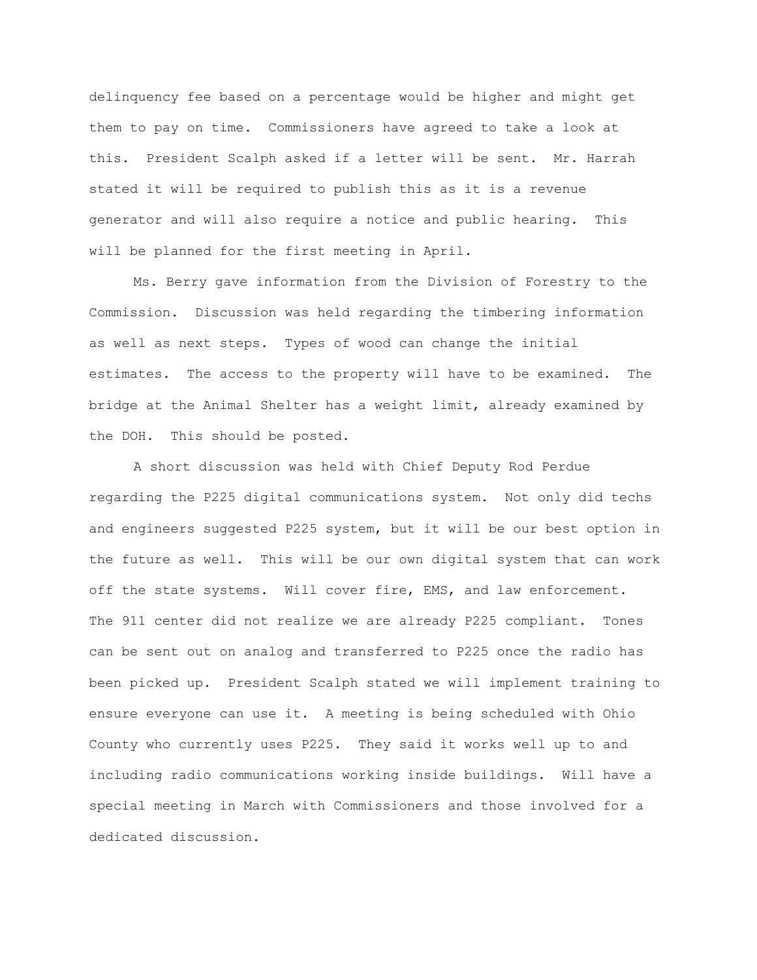delinquency fee based on a percentage would be higher and might get them to pay on time. Commissioners have agreed to take a look at this. President Scalph asked if a letter will be sent. Mr. Harrah stated it will be required to publish this as it is a revenue generator and will also require a notice and public hearing. This will be planned for the first meeting in April.

Ms. Berry gave information from the Division of Forestry to the Commission. Discussion was held regarding the timbering information as well as next steps. Types of wood can change the initial estimates. The access to the property will have to be examined. The bridge at the Animal Shelter has a weight limit, already examined by the DOH. This should be posted.

A short discussion was held with Chief Deputy Rod Perdue regarding the P225 digital communications system. Not only did techs and engineers suggested P225 system, but it will be our best option in the future as well. This will be our own digital system that can work off the state systems. Will cover fire, EMS, and law enforcement. The 911 center did not realize we are already P225 compliant. Tones can be sent out on analog and transferred to P225 once the radio has been picked up. President Scalph stated we will implement training to ensure everyone can use it. A meeting is being scheduled with Ohio County who currently uses P225. They said it works well up to and including radio communications working inside buildings. Will have a special meeting in March with Commissioners and those involved for a dedicated discussion.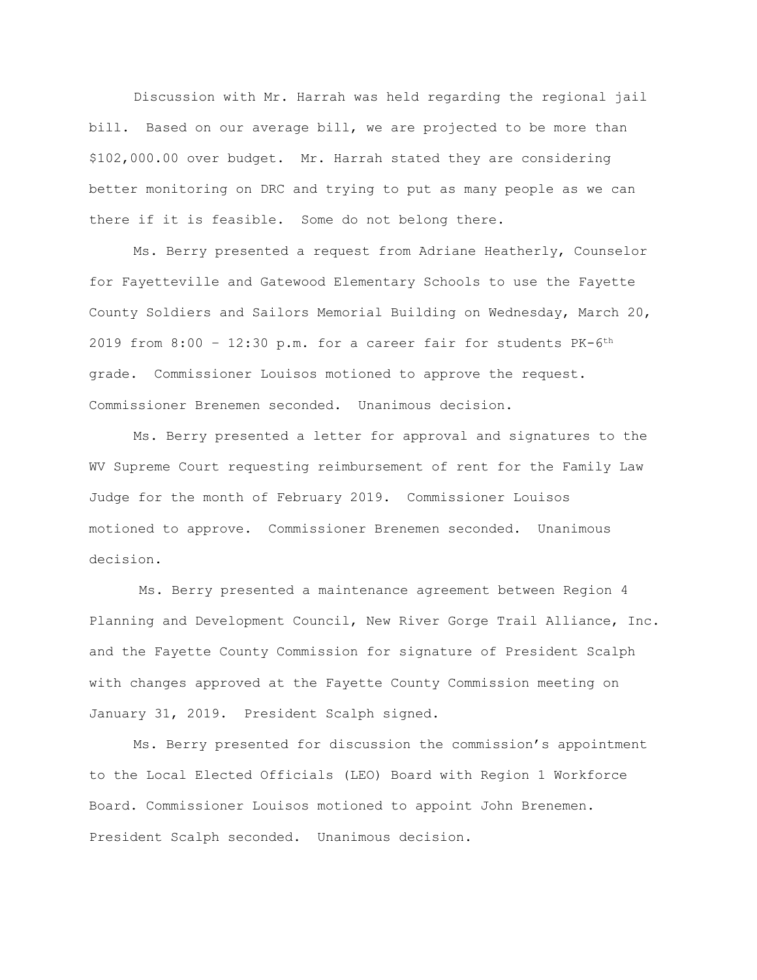Discussion with Mr. Harrah was held regarding the regional jail bill. Based on our average bill, we are projected to be more than \$102,000.00 over budget. Mr. Harrah stated they are considering better monitoring on DRC and trying to put as many people as we can there if it is feasible. Some do not belong there.

Ms. Berry presented a request from Adriane Heatherly, Counselor for Fayetteville and Gatewood Elementary Schools to use the Fayette County Soldiers and Sailors Memorial Building on Wednesday, March 20, 2019 from  $8:00 - 12:30$  p.m. for a career fair for students PK-6<sup>th</sup> grade. Commissioner Louisos motioned to approve the request. Commissioner Brenemen seconded. Unanimous decision.

Ms. Berry presented a letter for approval and signatures to the WV Supreme Court requesting reimbursement of rent for the Family Law Judge for the month of February 2019. Commissioner Louisos motioned to approve. Commissioner Brenemen seconded. Unanimous decision.

Ms. Berry presented a maintenance agreement between Region 4 Planning and Development Council, New River Gorge Trail Alliance, Inc. and the Fayette County Commission for signature of President Scalph with changes approved at the Fayette County Commission meeting on January 31, 2019. President Scalph signed.

Ms. Berry presented for discussion the commission's appointment to the Local Elected Officials (LEO) Board with Region 1 Workforce Board. Commissioner Louisos motioned to appoint John Brenemen. President Scalph seconded. Unanimous decision.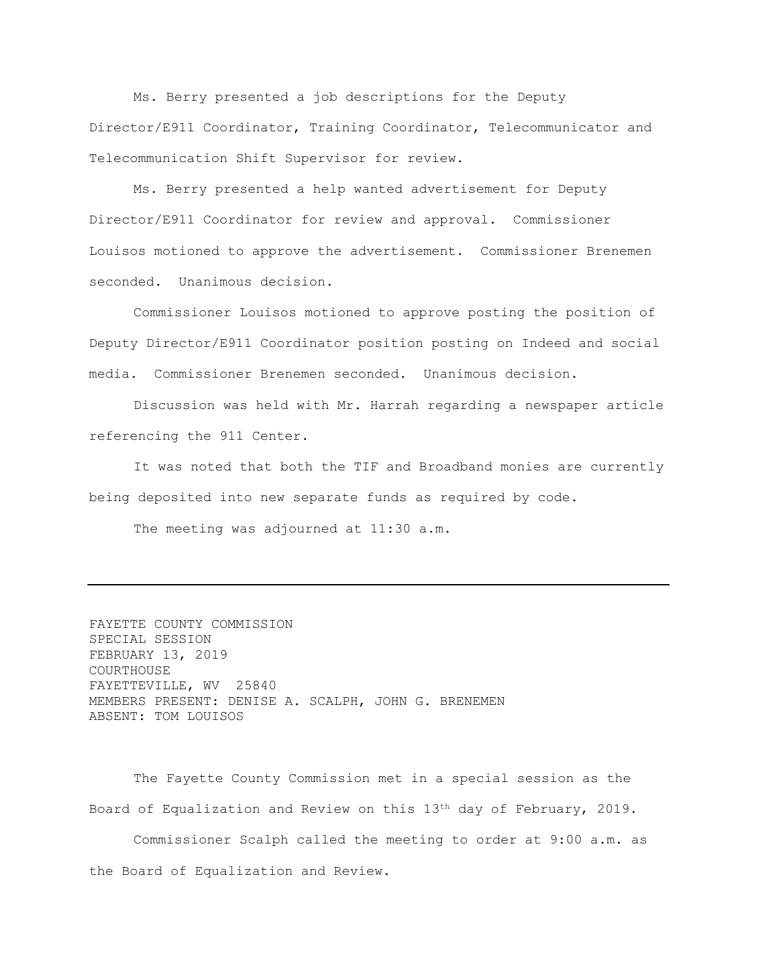Ms. Berry presented a job descriptions for the Deputy Director/E911 Coordinator, Training Coordinator, Telecommunicator and Telecommunication Shift Supervisor for review.

Ms. Berry presented a help wanted advertisement for Deputy Director/E911 Coordinator for review and approval. Commissioner Louisos motioned to approve the advertisement. Commissioner Brenemen seconded. Unanimous decision.

Commissioner Louisos motioned to approve posting the position of Deputy Director/E911 Coordinator position posting on Indeed and social media. Commissioner Brenemen seconded. Unanimous decision.

Discussion was held with Mr. Harrah regarding a newspaper article referencing the 911 Center.

It was noted that both the TIF and Broadband monies are currently being deposited into new separate funds as required by code.

The meeting was adjourned at 11:30 a.m.

FAYETTE COUNTY COMMISSION SPECIAL SESSION FEBRUARY 13, 2019 COURTHOUSE FAYETTEVILLE, WV 25840 MEMBERS PRESENT: DENISE A. SCALPH, JOHN G. BRENEMEN ABSENT: TOM LOUISOS

The Fayette County Commission met in a special session as the Board of Equalization and Review on this  $13<sup>th</sup>$  day of February, 2019.

Commissioner Scalph called the meeting to order at 9:00 a.m. as the Board of Equalization and Review.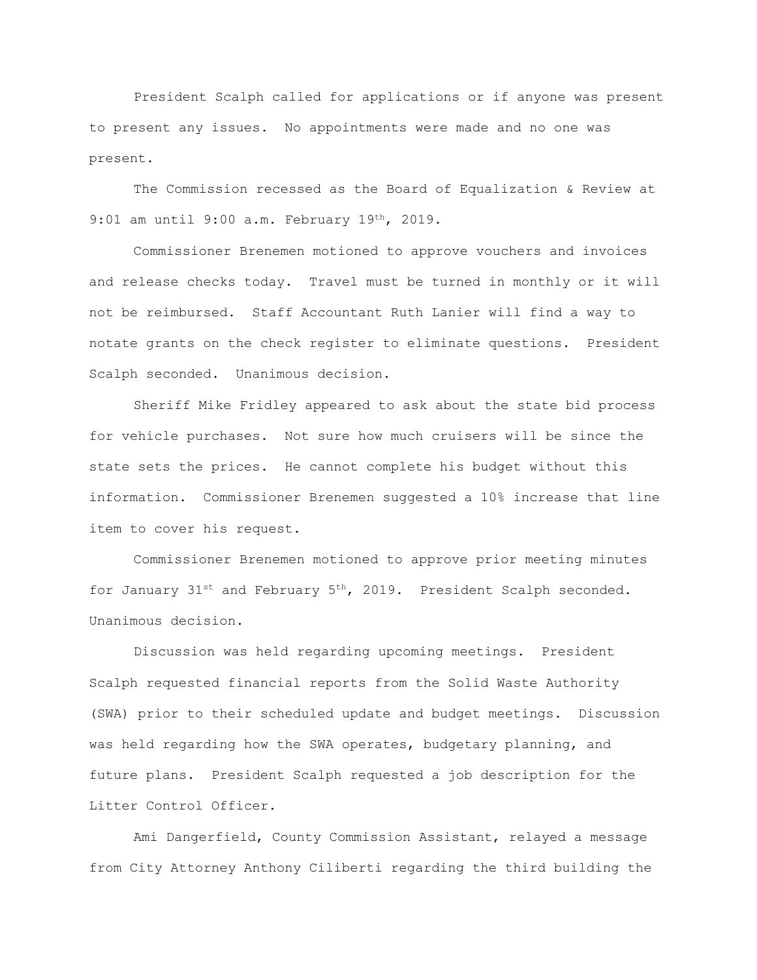President Scalph called for applications or if anyone was present to present any issues. No appointments were made and no one was present.

The Commission recessed as the Board of Equalization & Review at 9:01 am until 9:00 a.m. February 19th, 2019.

Commissioner Brenemen motioned to approve vouchers and invoices and release checks today. Travel must be turned in monthly or it will not be reimbursed. Staff Accountant Ruth Lanier will find a way to notate grants on the check register to eliminate questions. President Scalph seconded. Unanimous decision.

Sheriff Mike Fridley appeared to ask about the state bid process for vehicle purchases. Not sure how much cruisers will be since the state sets the prices. He cannot complete his budget without this information. Commissioner Brenemen suggested a 10% increase that line item to cover his request.

Commissioner Brenemen motioned to approve prior meeting minutes for January  $31^{st}$  and February  $5^{th}$ , 2019. President Scalph seconded. Unanimous decision.

Discussion was held regarding upcoming meetings. President Scalph requested financial reports from the Solid Waste Authority (SWA) prior to their scheduled update and budget meetings. Discussion was held regarding how the SWA operates, budgetary planning, and future plans. President Scalph requested a job description for the Litter Control Officer.

Ami Dangerfield, County Commission Assistant, relayed a message from City Attorney Anthony Ciliberti regarding the third building the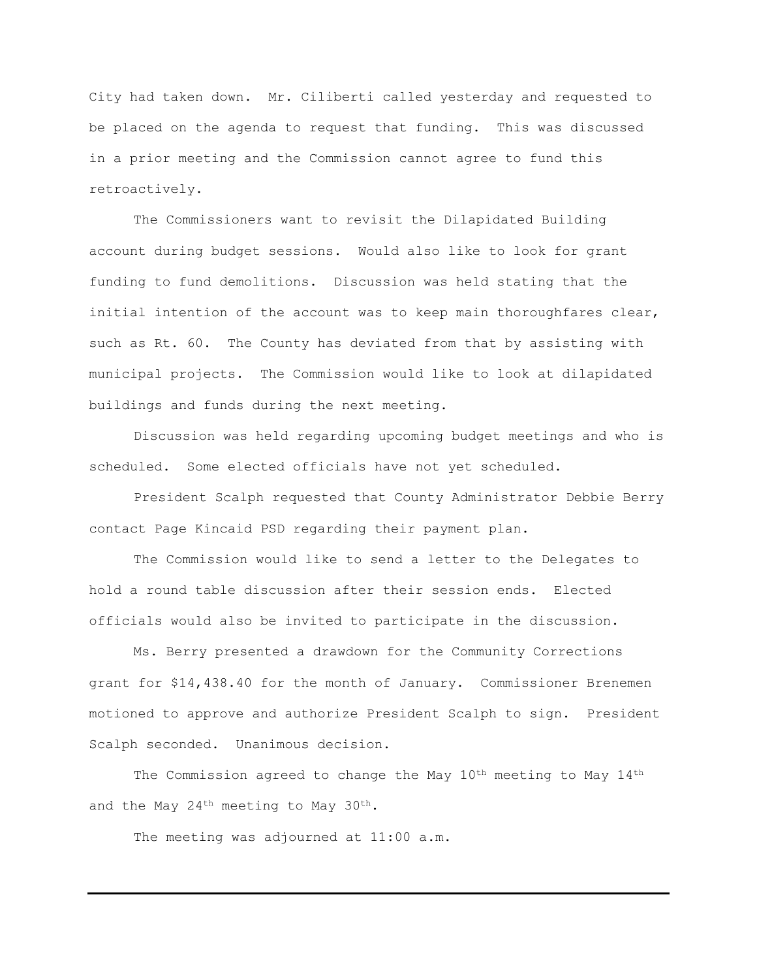City had taken down. Mr. Ciliberti called yesterday and requested to be placed on the agenda to request that funding. This was discussed in a prior meeting and the Commission cannot agree to fund this retroactively.

The Commissioners want to revisit the Dilapidated Building account during budget sessions. Would also like to look for grant funding to fund demolitions. Discussion was held stating that the initial intention of the account was to keep main thoroughfares clear, such as Rt. 60. The County has deviated from that by assisting with municipal projects. The Commission would like to look at dilapidated buildings and funds during the next meeting.

Discussion was held regarding upcoming budget meetings and who is scheduled. Some elected officials have not yet scheduled.

President Scalph requested that County Administrator Debbie Berry contact Page Kincaid PSD regarding their payment plan.

The Commission would like to send a letter to the Delegates to hold a round table discussion after their session ends. Elected officials would also be invited to participate in the discussion.

Ms. Berry presented a drawdown for the Community Corrections grant for \$14,438.40 for the month of January. Commissioner Brenemen motioned to approve and authorize President Scalph to sign. President Scalph seconded. Unanimous decision.

The Commission agreed to change the May 10<sup>th</sup> meeting to May 14<sup>th</sup> and the May 24<sup>th</sup> meeting to May 30<sup>th</sup>.

The meeting was adjourned at 11:00 a.m.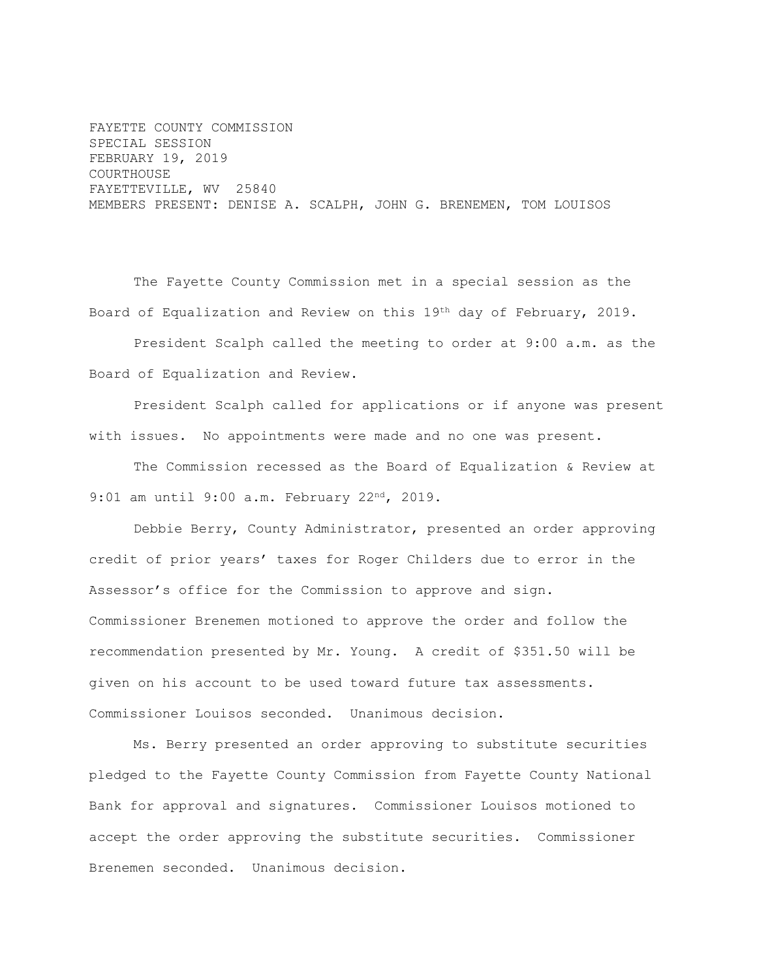FAYETTE COUNTY COMMISSION SPECIAL SESSION FEBRUARY 19, 2019 COURTHOUSE FAYETTEVILLE, WV 25840 MEMBERS PRESENT: DENISE A. SCALPH, JOHN G. BRENEMEN, TOM LOUISOS

The Fayette County Commission met in a special session as the Board of Equalization and Review on this 19th day of February, 2019. President Scalph called the meeting to order at 9:00 a.m. as the

Board of Equalization and Review.

President Scalph called for applications or if anyone was present with issues. No appointments were made and no one was present.

The Commission recessed as the Board of Equalization & Review at 9:01 am until 9:00 a.m. February 22<sup>nd</sup>, 2019.

Debbie Berry, County Administrator, presented an order approving credit of prior years' taxes for Roger Childers due to error in the Assessor's office for the Commission to approve and sign. Commissioner Brenemen motioned to approve the order and follow the recommendation presented by Mr. Young. A credit of \$351.50 will be given on his account to be used toward future tax assessments. Commissioner Louisos seconded. Unanimous decision.

Ms. Berry presented an order approving to substitute securities pledged to the Fayette County Commission from Fayette County National Bank for approval and signatures. Commissioner Louisos motioned to accept the order approving the substitute securities. Commissioner Brenemen seconded. Unanimous decision.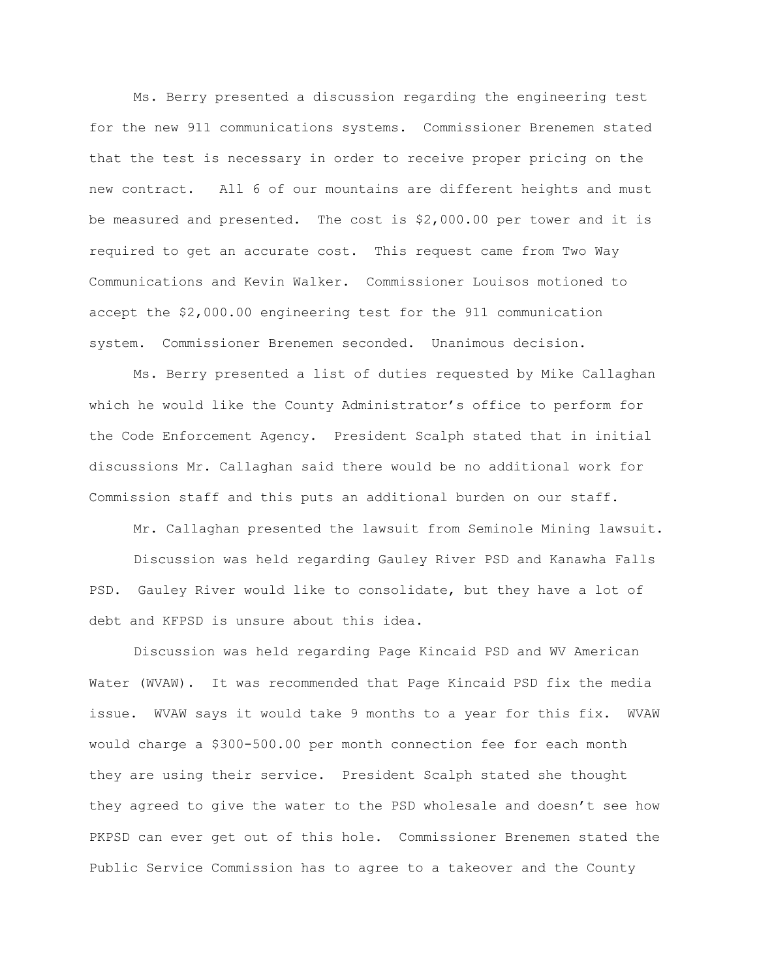Ms. Berry presented a discussion regarding the engineering test for the new 911 communications systems. Commissioner Brenemen stated that the test is necessary in order to receive proper pricing on the new contract. All 6 of our mountains are different heights and must be measured and presented. The cost is \$2,000.00 per tower and it is required to get an accurate cost. This request came from Two Way Communications and Kevin Walker. Commissioner Louisos motioned to accept the \$2,000.00 engineering test for the 911 communication system. Commissioner Brenemen seconded. Unanimous decision.

Ms. Berry presented a list of duties requested by Mike Callaghan which he would like the County Administrator's office to perform for the Code Enforcement Agency. President Scalph stated that in initial discussions Mr. Callaghan said there would be no additional work for Commission staff and this puts an additional burden on our staff.

Mr. Callaghan presented the lawsuit from Seminole Mining lawsuit. Discussion was held regarding Gauley River PSD and Kanawha Falls PSD. Gauley River would like to consolidate, but they have a lot of debt and KFPSD is unsure about this idea.

Discussion was held regarding Page Kincaid PSD and WV American Water (WVAW). It was recommended that Page Kincaid PSD fix the media issue. WVAW says it would take 9 months to a year for this fix. WVAW would charge a \$300-500.00 per month connection fee for each month they are using their service. President Scalph stated she thought they agreed to give the water to the PSD wholesale and doesn't see how PKPSD can ever get out of this hole. Commissioner Brenemen stated the Public Service Commission has to agree to a takeover and the County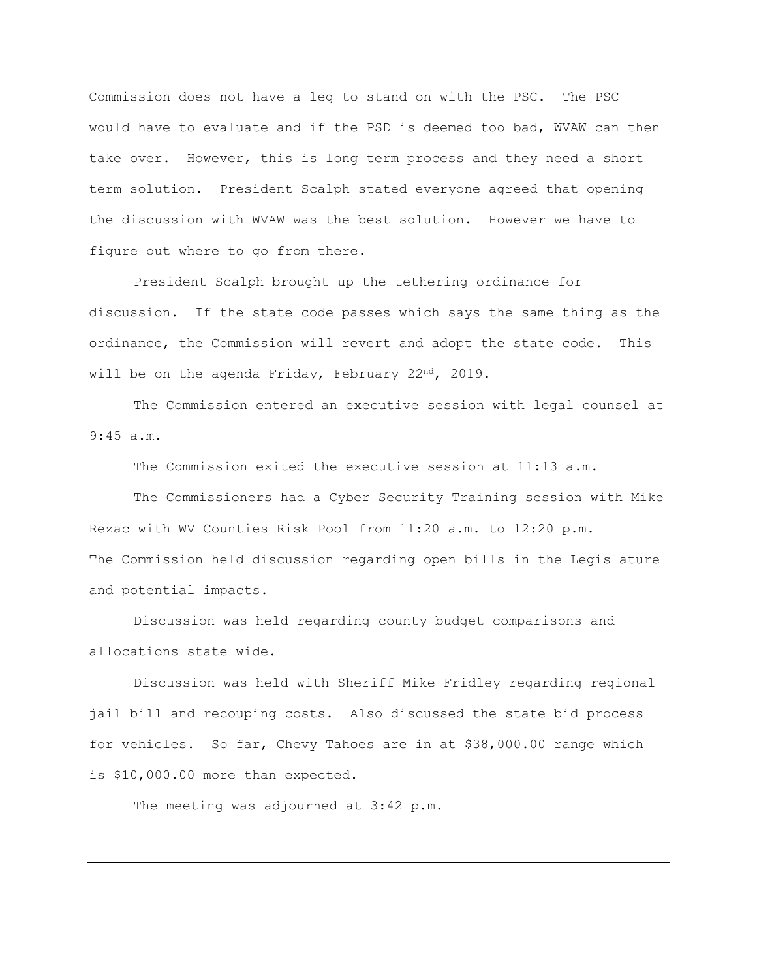Commission does not have a leg to stand on with the PSC. The PSC would have to evaluate and if the PSD is deemed too bad, WVAW can then take over. However, this is long term process and they need a short term solution. President Scalph stated everyone agreed that opening the discussion with WVAW was the best solution. However we have to figure out where to go from there.

President Scalph brought up the tethering ordinance for discussion. If the state code passes which says the same thing as the ordinance, the Commission will revert and adopt the state code. This will be on the agenda Friday, February 22<sup>nd</sup>, 2019.

The Commission entered an executive session with legal counsel at 9:45 a.m.

The Commission exited the executive session at 11:13 a.m.

The Commissioners had a Cyber Security Training session with Mike Rezac with WV Counties Risk Pool from 11:20 a.m. to 12:20 p.m. The Commission held discussion regarding open bills in the Legislature and potential impacts.

Discussion was held regarding county budget comparisons and allocations state wide.

Discussion was held with Sheriff Mike Fridley regarding regional jail bill and recouping costs. Also discussed the state bid process for vehicles. So far, Chevy Tahoes are in at \$38,000.00 range which is \$10,000.00 more than expected.

The meeting was adjourned at 3:42 p.m.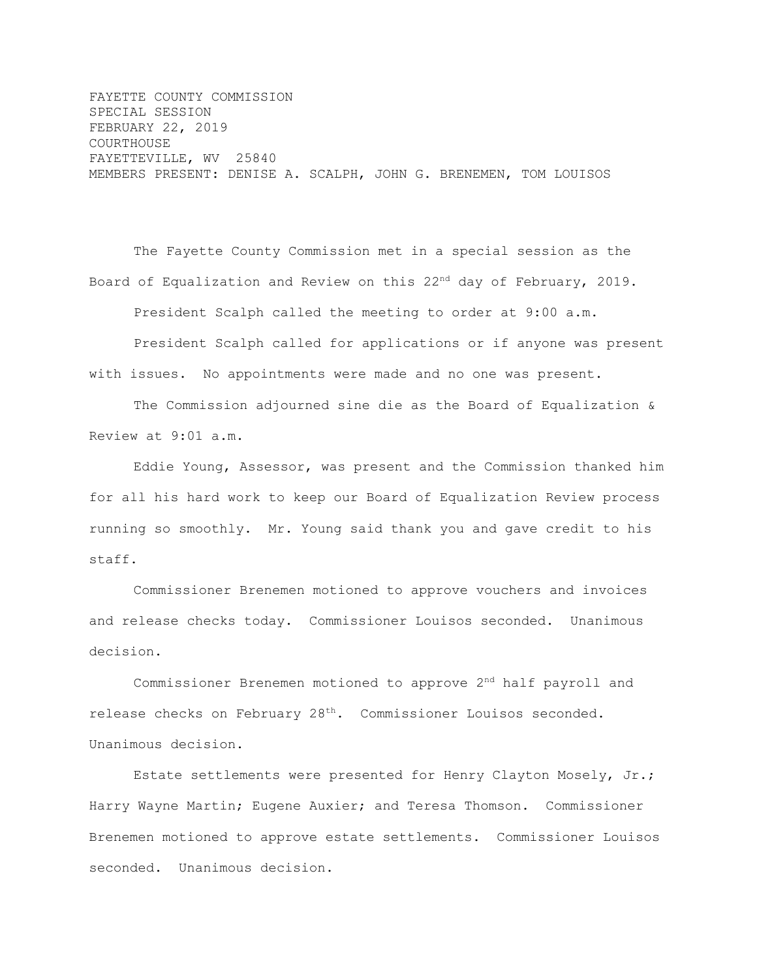FAYETTE COUNTY COMMISSION SPECIAL SESSION FEBRUARY 22, 2019 COURTHOUSE FAYETTEVILLE, WV 25840 MEMBERS PRESENT: DENISE A. SCALPH, JOHN G. BRENEMEN, TOM LOUISOS

The Fayette County Commission met in a special session as the Board of Equalization and Review on this 22<sup>nd</sup> day of February, 2019. President Scalph called the meeting to order at 9:00 a.m. President Scalph called for applications or if anyone was present with issues. No appointments were made and no one was present.

The Commission adjourned sine die as the Board of Equalization & Review at 9:01 a.m.

Eddie Young, Assessor, was present and the Commission thanked him for all his hard work to keep our Board of Equalization Review process running so smoothly. Mr. Young said thank you and gave credit to his staff.

Commissioner Brenemen motioned to approve vouchers and invoices and release checks today. Commissioner Louisos seconded. Unanimous decision.

Commissioner Brenemen motioned to approve 2nd half payroll and release checks on February  $28<sup>th</sup>$ . Commissioner Louisos seconded. Unanimous decision.

Estate settlements were presented for Henry Clayton Mosely, Jr.; Harry Wayne Martin; Eugene Auxier; and Teresa Thomson. Commissioner Brenemen motioned to approve estate settlements. Commissioner Louisos seconded. Unanimous decision.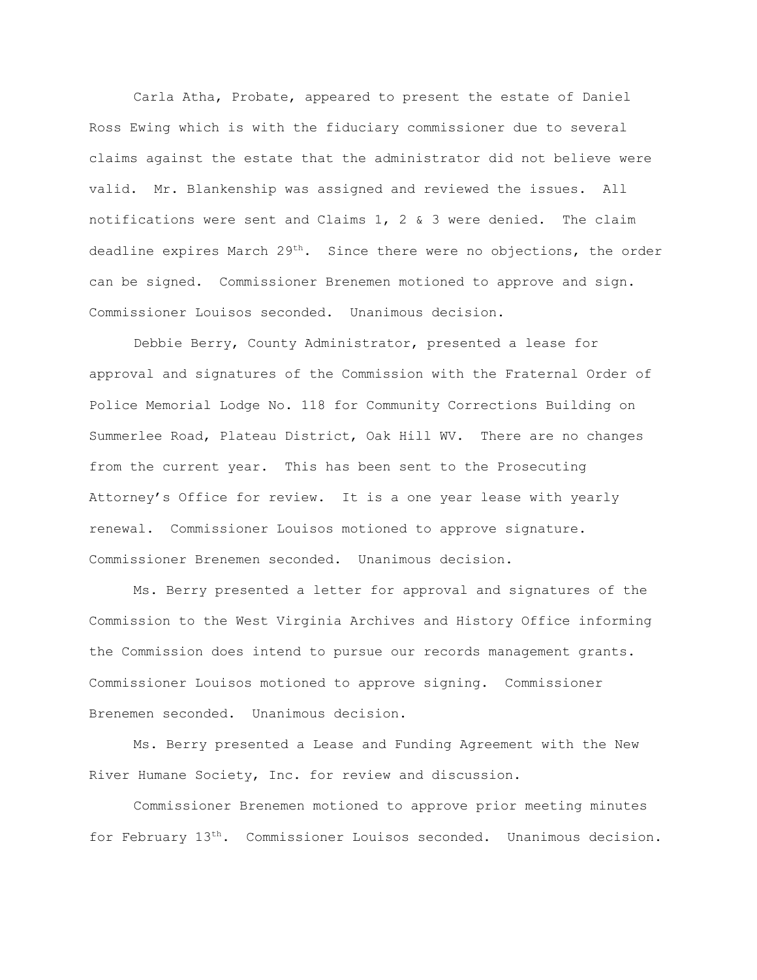Carla Atha, Probate, appeared to present the estate of Daniel Ross Ewing which is with the fiduciary commissioner due to several claims against the estate that the administrator did not believe were valid. Mr. Blankenship was assigned and reviewed the issues. All notifications were sent and Claims 1, 2 & 3 were denied. The claim deadline expires March 29<sup>th</sup>. Since there were no objections, the order can be signed. Commissioner Brenemen motioned to approve and sign. Commissioner Louisos seconded. Unanimous decision.

Debbie Berry, County Administrator, presented a lease for approval and signatures of the Commission with the Fraternal Order of Police Memorial Lodge No. 118 for Community Corrections Building on Summerlee Road, Plateau District, Oak Hill WV. There are no changes from the current year. This has been sent to the Prosecuting Attorney's Office for review. It is a one year lease with yearly renewal. Commissioner Louisos motioned to approve signature. Commissioner Brenemen seconded. Unanimous decision.

Ms. Berry presented a letter for approval and signatures of the Commission to the West Virginia Archives and History Office informing the Commission does intend to pursue our records management grants. Commissioner Louisos motioned to approve signing. Commissioner Brenemen seconded. Unanimous decision.

Ms. Berry presented a Lease and Funding Agreement with the New River Humane Society, Inc. for review and discussion.

Commissioner Brenemen motioned to approve prior meeting minutes for February 13th. Commissioner Louisos seconded. Unanimous decision.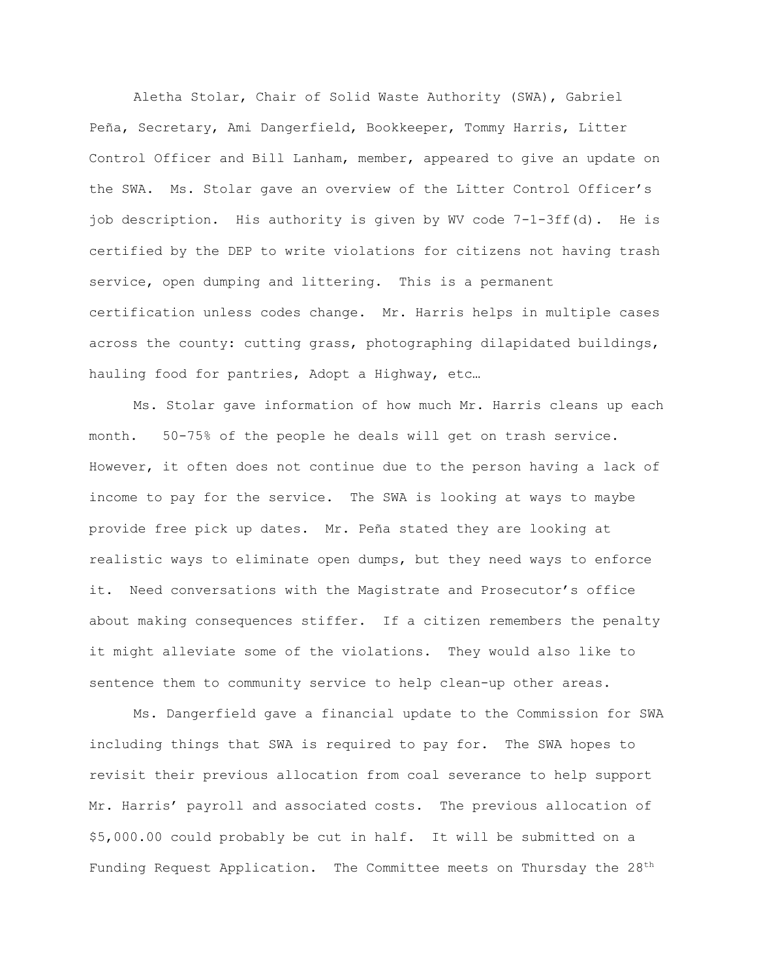Aletha Stolar, Chair of Solid Waste Authority (SWA), Gabriel Peña, Secretary, Ami Dangerfield, Bookkeeper, Tommy Harris, Litter Control Officer and Bill Lanham, member, appeared to give an update on the SWA. Ms. Stolar gave an overview of the Litter Control Officer's job description. His authority is given by WV code 7-1-3ff(d). He is certified by the DEP to write violations for citizens not having trash service, open dumping and littering. This is a permanent certification unless codes change. Mr. Harris helps in multiple cases across the county: cutting grass, photographing dilapidated buildings, hauling food for pantries, Adopt a Highway, etc…

Ms. Stolar gave information of how much Mr. Harris cleans up each month. 50-75% of the people he deals will get on trash service. However, it often does not continue due to the person having a lack of income to pay for the service. The SWA is looking at ways to maybe provide free pick up dates. Mr. Peña stated they are looking at realistic ways to eliminate open dumps, but they need ways to enforce it. Need conversations with the Magistrate and Prosecutor's office about making consequences stiffer. If a citizen remembers the penalty it might alleviate some of the violations. They would also like to sentence them to community service to help clean-up other areas.

Ms. Dangerfield gave a financial update to the Commission for SWA including things that SWA is required to pay for. The SWA hopes to revisit their previous allocation from coal severance to help support Mr. Harris' payroll and associated costs. The previous allocation of \$5,000.00 could probably be cut in half. It will be submitted on a Funding Request Application. The Committee meets on Thursday the 28<sup>th</sup>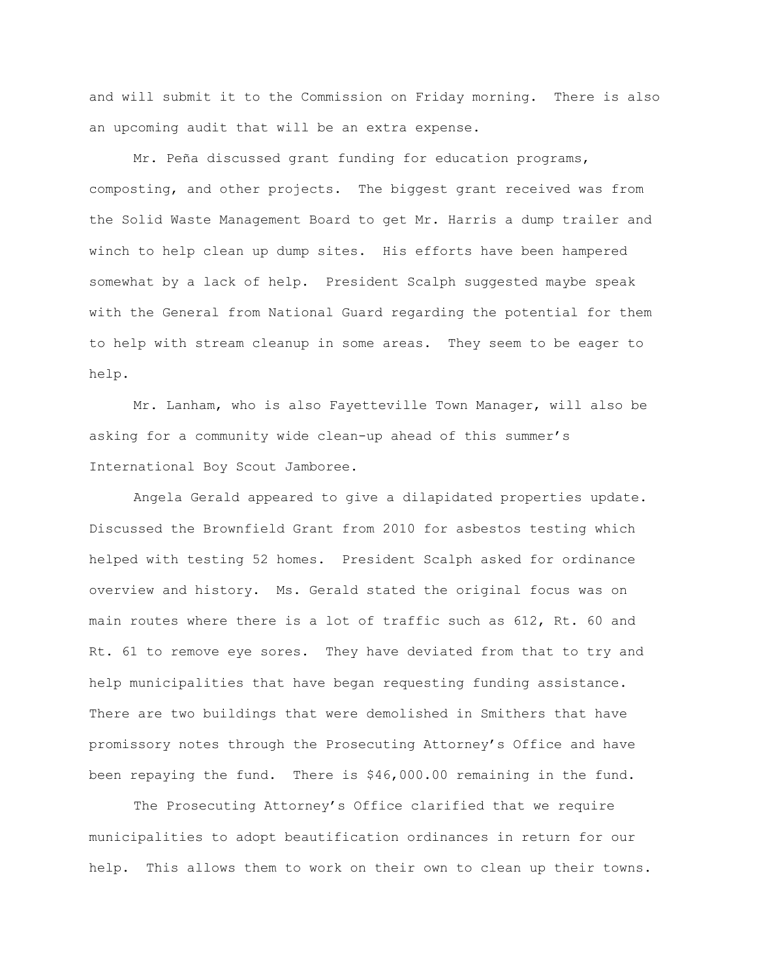and will submit it to the Commission on Friday morning. There is also an upcoming audit that will be an extra expense.

Mr. Peña discussed grant funding for education programs, composting, and other projects. The biggest grant received was from the Solid Waste Management Board to get Mr. Harris a dump trailer and winch to help clean up dump sites. His efforts have been hampered somewhat by a lack of help. President Scalph suggested maybe speak with the General from National Guard regarding the potential for them to help with stream cleanup in some areas. They seem to be eager to help.

Mr. Lanham, who is also Fayetteville Town Manager, will also be asking for a community wide clean-up ahead of this summer's International Boy Scout Jamboree.

Angela Gerald appeared to give a dilapidated properties update. Discussed the Brownfield Grant from 2010 for asbestos testing which helped with testing 52 homes. President Scalph asked for ordinance overview and history. Ms. Gerald stated the original focus was on main routes where there is a lot of traffic such as 612, Rt. 60 and Rt. 61 to remove eye sores. They have deviated from that to try and help municipalities that have began requesting funding assistance. There are two buildings that were demolished in Smithers that have promissory notes through the Prosecuting Attorney's Office and have been repaying the fund. There is \$46,000.00 remaining in the fund.

The Prosecuting Attorney's Office clarified that we require municipalities to adopt beautification ordinances in return for our help. This allows them to work on their own to clean up their towns.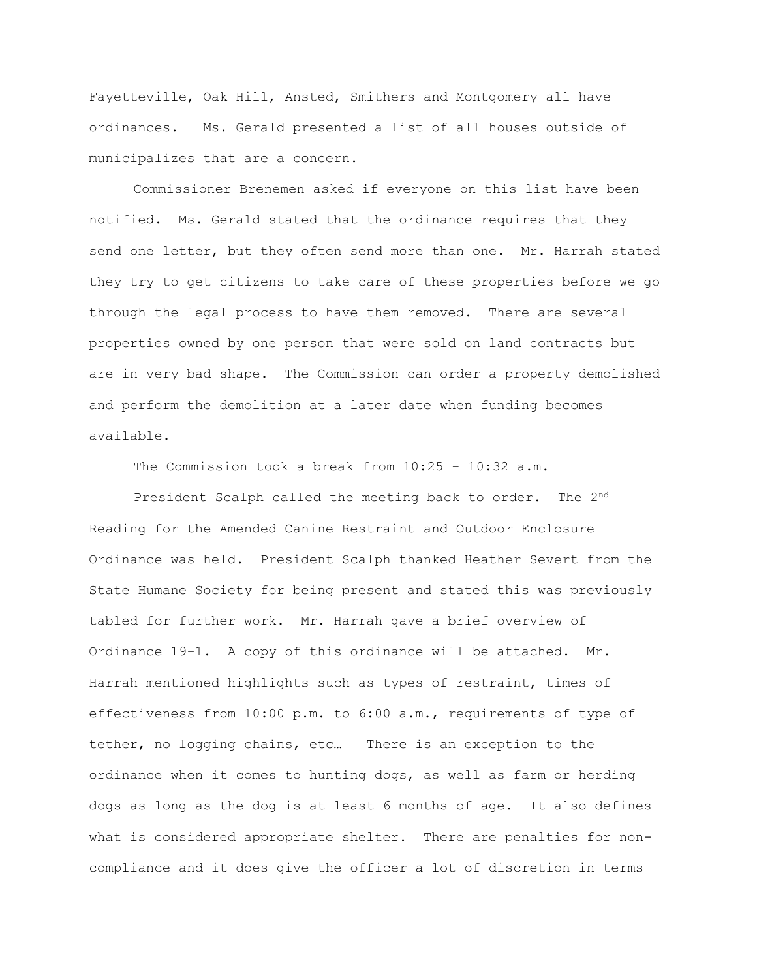Fayetteville, Oak Hill, Ansted, Smithers and Montgomery all have ordinances. Ms. Gerald presented a list of all houses outside of municipalizes that are a concern.

Commissioner Brenemen asked if everyone on this list have been notified. Ms. Gerald stated that the ordinance requires that they send one letter, but they often send more than one. Mr. Harrah stated they try to get citizens to take care of these properties before we go through the legal process to have them removed. There are several properties owned by one person that were sold on land contracts but are in very bad shape. The Commission can order a property demolished and perform the demolition at a later date when funding becomes available.

The Commission took a break from 10:25 - 10:32 a.m.

President Scalph called the meeting back to order. The 2<sup>nd</sup> Reading for the Amended Canine Restraint and Outdoor Enclosure Ordinance was held. President Scalph thanked Heather Severt from the State Humane Society for being present and stated this was previously tabled for further work. Mr. Harrah gave a brief overview of Ordinance 19-1. A copy of this ordinance will be attached. Mr. Harrah mentioned highlights such as types of restraint, times of effectiveness from 10:00 p.m. to 6:00 a.m., requirements of type of tether, no logging chains, etc… There is an exception to the ordinance when it comes to hunting dogs, as well as farm or herding dogs as long as the dog is at least 6 months of age. It also defines what is considered appropriate shelter. There are penalties for noncompliance and it does give the officer a lot of discretion in terms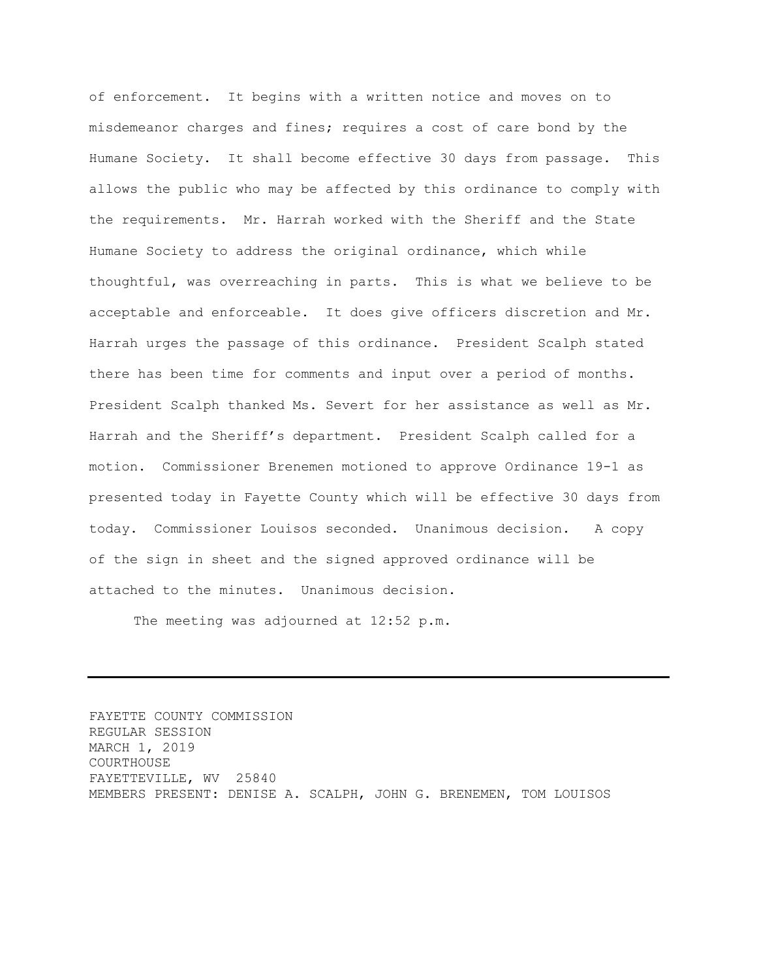of enforcement. It begins with a written notice and moves on to misdemeanor charges and fines; requires a cost of care bond by the Humane Society. It shall become effective 30 days from passage. This allows the public who may be affected by this ordinance to comply with the requirements. Mr. Harrah worked with the Sheriff and the State Humane Society to address the original ordinance, which while thoughtful, was overreaching in parts. This is what we believe to be acceptable and enforceable. It does give officers discretion and Mr. Harrah urges the passage of this ordinance. President Scalph stated there has been time for comments and input over a period of months. President Scalph thanked Ms. Severt for her assistance as well as Mr. Harrah and the Sheriff's department. President Scalph called for a motion. Commissioner Brenemen motioned to approve Ordinance 19-1 as presented today in Fayette County which will be effective 30 days from today. Commissioner Louisos seconded. Unanimous decision. A copy of the sign in sheet and the signed approved ordinance will be attached to the minutes. Unanimous decision.

The meeting was adjourned at 12:52 p.m.

FAYETTE COUNTY COMMISSION REGULAR SESSION MARCH 1, 2019 COURTHOUSE FAYETTEVILLE, WV 25840 MEMBERS PRESENT: DENISE A. SCALPH, JOHN G. BRENEMEN, TOM LOUISOS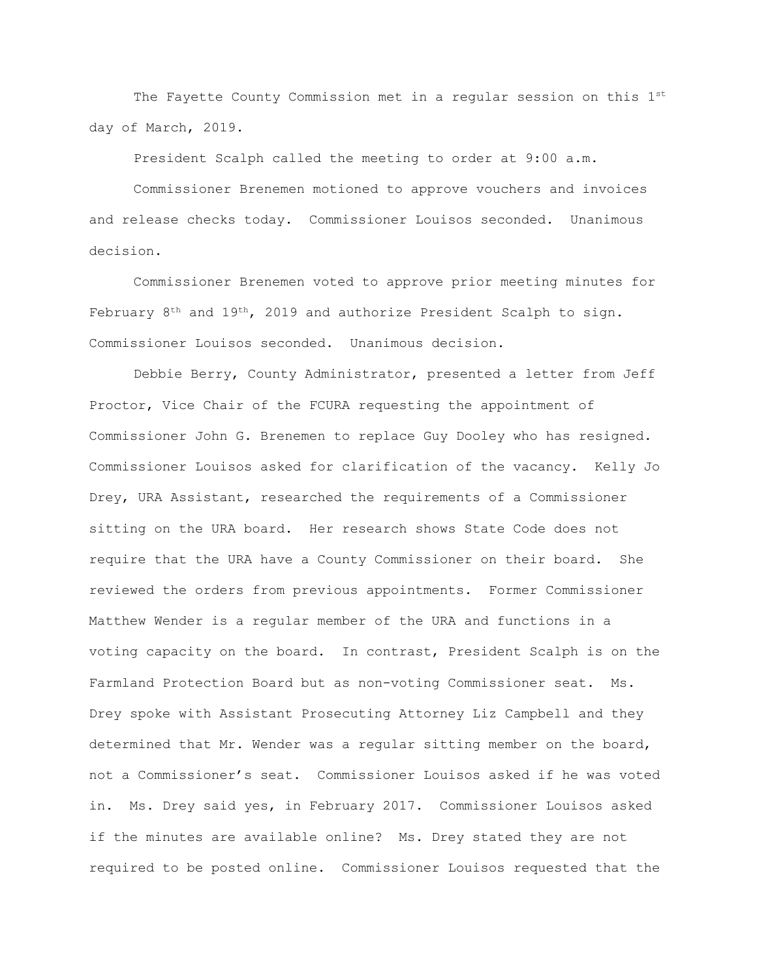The Fayette County Commission met in a regular session on this 1st day of March, 2019.

President Scalph called the meeting to order at 9:00 a.m.

Commissioner Brenemen motioned to approve vouchers and invoices and release checks today. Commissioner Louisos seconded. Unanimous decision.

Commissioner Brenemen voted to approve prior meeting minutes for February 8th and 19th, 2019 and authorize President Scalph to sign. Commissioner Louisos seconded. Unanimous decision.

Debbie Berry, County Administrator, presented a letter from Jeff Proctor, Vice Chair of the FCURA requesting the appointment of Commissioner John G. Brenemen to replace Guy Dooley who has resigned. Commissioner Louisos asked for clarification of the vacancy. Kelly Jo Drey, URA Assistant, researched the requirements of a Commissioner sitting on the URA board. Her research shows State Code does not require that the URA have a County Commissioner on their board. She reviewed the orders from previous appointments. Former Commissioner Matthew Wender is a regular member of the URA and functions in a voting capacity on the board. In contrast, President Scalph is on the Farmland Protection Board but as non-voting Commissioner seat. Ms. Drey spoke with Assistant Prosecuting Attorney Liz Campbell and they determined that Mr. Wender was a regular sitting member on the board, not a Commissioner's seat. Commissioner Louisos asked if he was voted in. Ms. Drey said yes, in February 2017. Commissioner Louisos asked if the minutes are available online? Ms. Drey stated they are not required to be posted online. Commissioner Louisos requested that the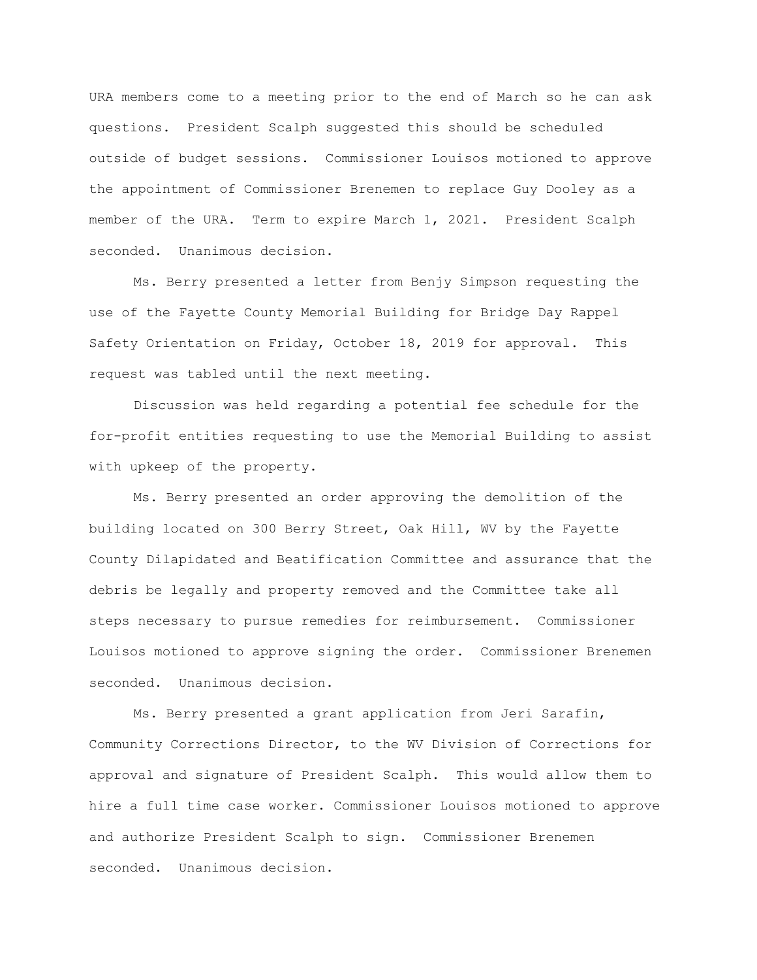URA members come to a meeting prior to the end of March so he can ask questions. President Scalph suggested this should be scheduled outside of budget sessions. Commissioner Louisos motioned to approve the appointment of Commissioner Brenemen to replace Guy Dooley as a member of the URA. Term to expire March 1, 2021. President Scalph seconded. Unanimous decision.

Ms. Berry presented a letter from Benjy Simpson requesting the use of the Fayette County Memorial Building for Bridge Day Rappel Safety Orientation on Friday, October 18, 2019 for approval. This request was tabled until the next meeting.

Discussion was held regarding a potential fee schedule for the for-profit entities requesting to use the Memorial Building to assist with upkeep of the property.

Ms. Berry presented an order approving the demolition of the building located on 300 Berry Street, Oak Hill, WV by the Fayette County Dilapidated and Beatification Committee and assurance that the debris be legally and property removed and the Committee take all steps necessary to pursue remedies for reimbursement. Commissioner Louisos motioned to approve signing the order. Commissioner Brenemen seconded. Unanimous decision.

Ms. Berry presented a grant application from Jeri Sarafin, Community Corrections Director, to the WV Division of Corrections for approval and signature of President Scalph. This would allow them to hire a full time case worker. Commissioner Louisos motioned to approve and authorize President Scalph to sign. Commissioner Brenemen seconded. Unanimous decision.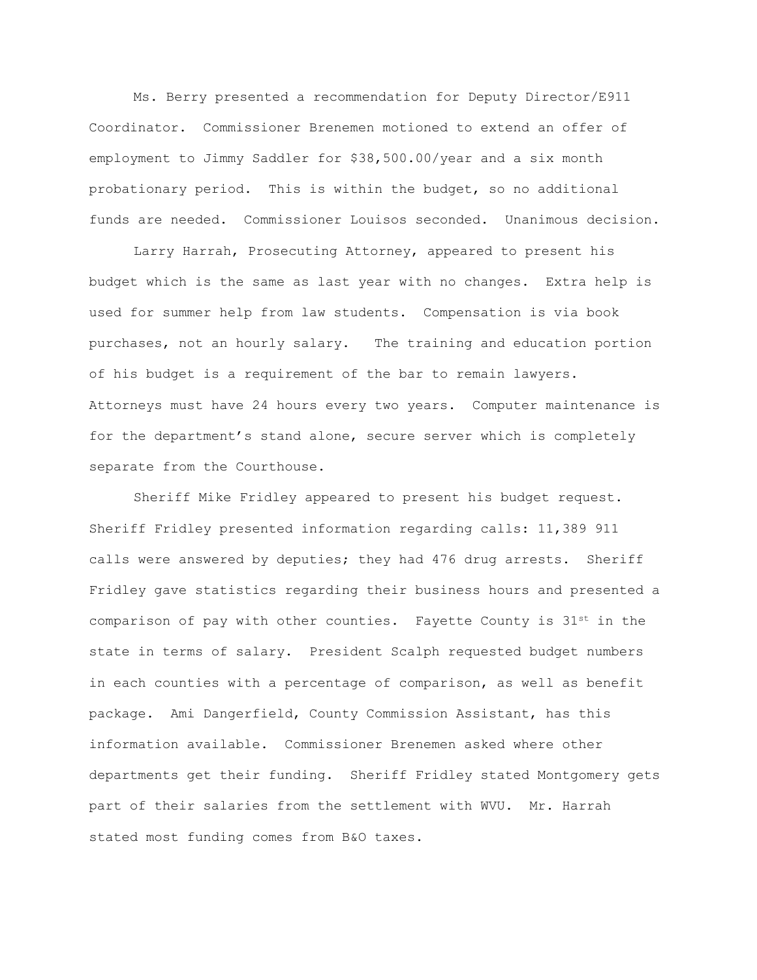Ms. Berry presented a recommendation for Deputy Director/E911 Coordinator. Commissioner Brenemen motioned to extend an offer of employment to Jimmy Saddler for \$38,500.00/year and a six month probationary period. This is within the budget, so no additional funds are needed. Commissioner Louisos seconded. Unanimous decision.

Larry Harrah, Prosecuting Attorney, appeared to present his budget which is the same as last year with no changes. Extra help is used for summer help from law students. Compensation is via book purchases, not an hourly salary. The training and education portion of his budget is a requirement of the bar to remain lawyers. Attorneys must have 24 hours every two years. Computer maintenance is for the department's stand alone, secure server which is completely separate from the Courthouse.

Sheriff Mike Fridley appeared to present his budget request. Sheriff Fridley presented information regarding calls: 11,389 911 calls were answered by deputies; they had 476 drug arrests. Sheriff Fridley gave statistics regarding their business hours and presented a comparison of pay with other counties. Fayette County is  $31^{st}$  in the state in terms of salary. President Scalph requested budget numbers in each counties with a percentage of comparison, as well as benefit package. Ami Dangerfield, County Commission Assistant, has this information available. Commissioner Brenemen asked where other departments get their funding. Sheriff Fridley stated Montgomery gets part of their salaries from the settlement with WVU. Mr. Harrah stated most funding comes from B&O taxes.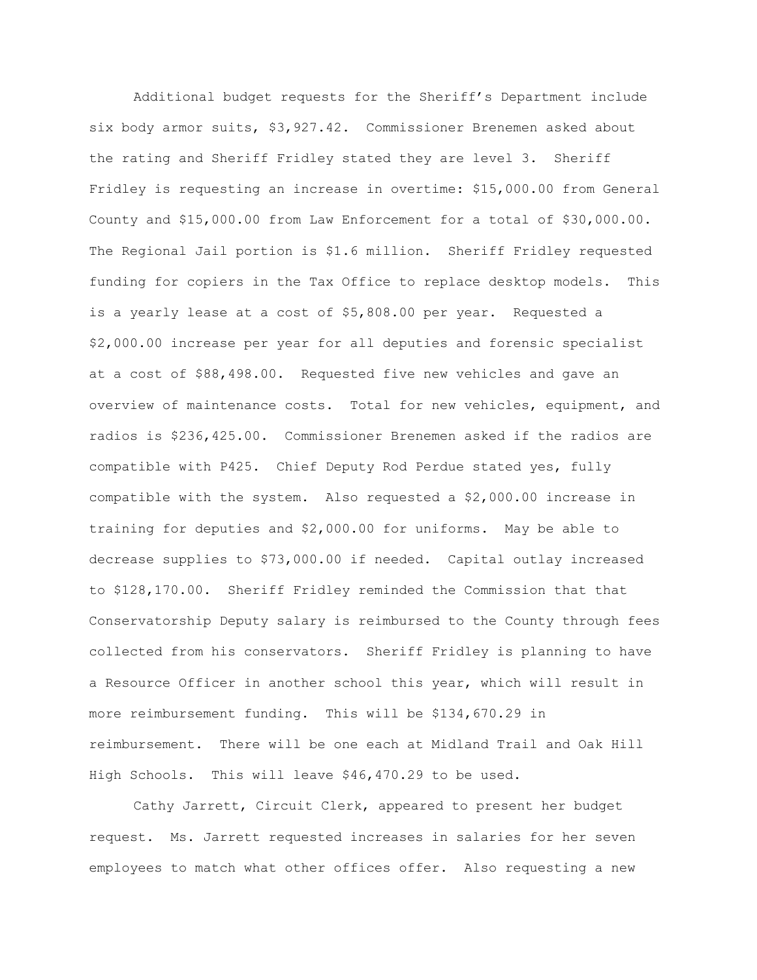Additional budget requests for the Sheriff's Department include six body armor suits, \$3,927.42. Commissioner Brenemen asked about the rating and Sheriff Fridley stated they are level 3. Sheriff Fridley is requesting an increase in overtime: \$15,000.00 from General County and \$15,000.00 from Law Enforcement for a total of \$30,000.00. The Regional Jail portion is \$1.6 million. Sheriff Fridley requested funding for copiers in the Tax Office to replace desktop models. This is a yearly lease at a cost of \$5,808.00 per year. Requested a \$2,000.00 increase per year for all deputies and forensic specialist at a cost of \$88,498.00. Requested five new vehicles and gave an overview of maintenance costs. Total for new vehicles, equipment, and radios is \$236,425.00. Commissioner Brenemen asked if the radios are compatible with P425. Chief Deputy Rod Perdue stated yes, fully compatible with the system. Also requested a \$2,000.00 increase in training for deputies and \$2,000.00 for uniforms. May be able to decrease supplies to \$73,000.00 if needed. Capital outlay increased to \$128,170.00. Sheriff Fridley reminded the Commission that that Conservatorship Deputy salary is reimbursed to the County through fees collected from his conservators. Sheriff Fridley is planning to have a Resource Officer in another school this year, which will result in more reimbursement funding. This will be \$134,670.29 in reimbursement. There will be one each at Midland Trail and Oak Hill High Schools. This will leave \$46,470.29 to be used.

Cathy Jarrett, Circuit Clerk, appeared to present her budget request. Ms. Jarrett requested increases in salaries for her seven employees to match what other offices offer. Also requesting a new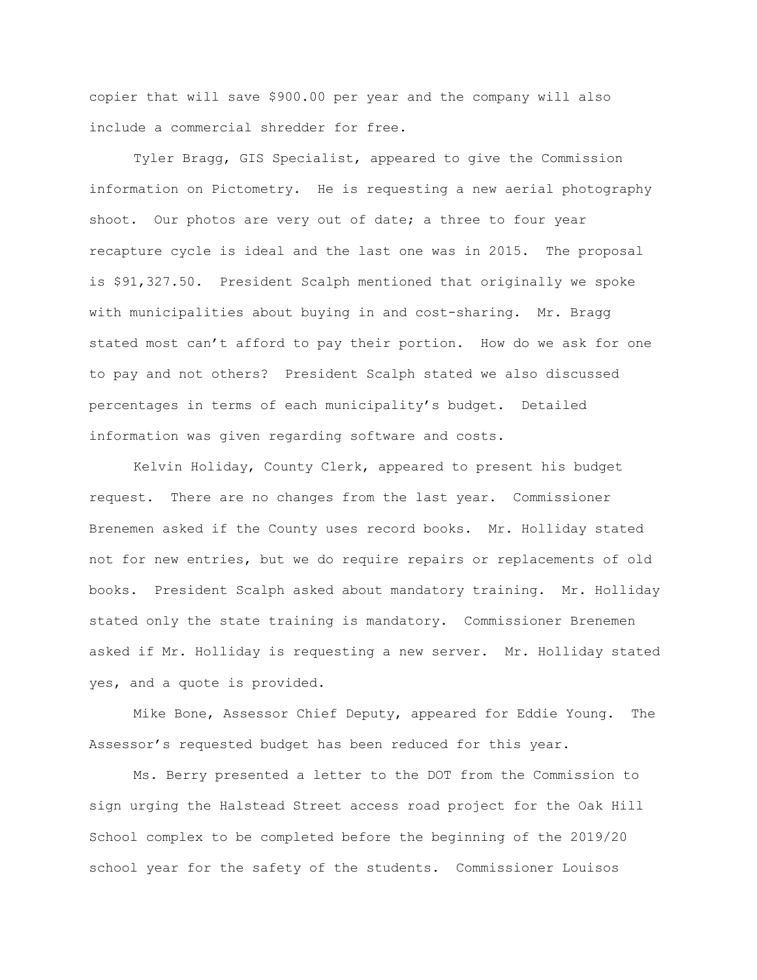copier that will save \$900.00 per year and the company will also include a commercial shredder for free.

Tyler Bragg, GIS Specialist, appeared to give the Commission information on Pictometry. He is requesting a new aerial photography shoot. Our photos are very out of date; a three to four year recapture cycle is ideal and the last one was in 2015. The proposal is \$91,327.50. President Scalph mentioned that originally we spoke with municipalities about buying in and cost-sharing. Mr. Bragg stated most can't afford to pay their portion. How do we ask for one to pay and not others? President Scalph stated we also discussed percentages in terms of each municipality's budget. Detailed information was given regarding software and costs.

Kelvin Holiday, County Clerk, appeared to present his budget request. There are no changes from the last year. Commissioner Brenemen asked if the County uses record books. Mr. Holliday stated not for new entries, but we do require repairs or replacements of old books. President Scalph asked about mandatory training. Mr. Holliday stated only the state training is mandatory. Commissioner Brenemen asked if Mr. Holliday is requesting a new server. Mr. Holliday stated yes, and a quote is provided.

Mike Bone, Assessor Chief Deputy, appeared for Eddie Young. The Assessor's requested budget has been reduced for this year.

Ms. Berry presented a letter to the DOT from the Commission to sign urging the Halstead Street access road project for the Oak Hill School complex to be completed before the beginning of the 2019/20 school year for the safety of the students. Commissioner Louisos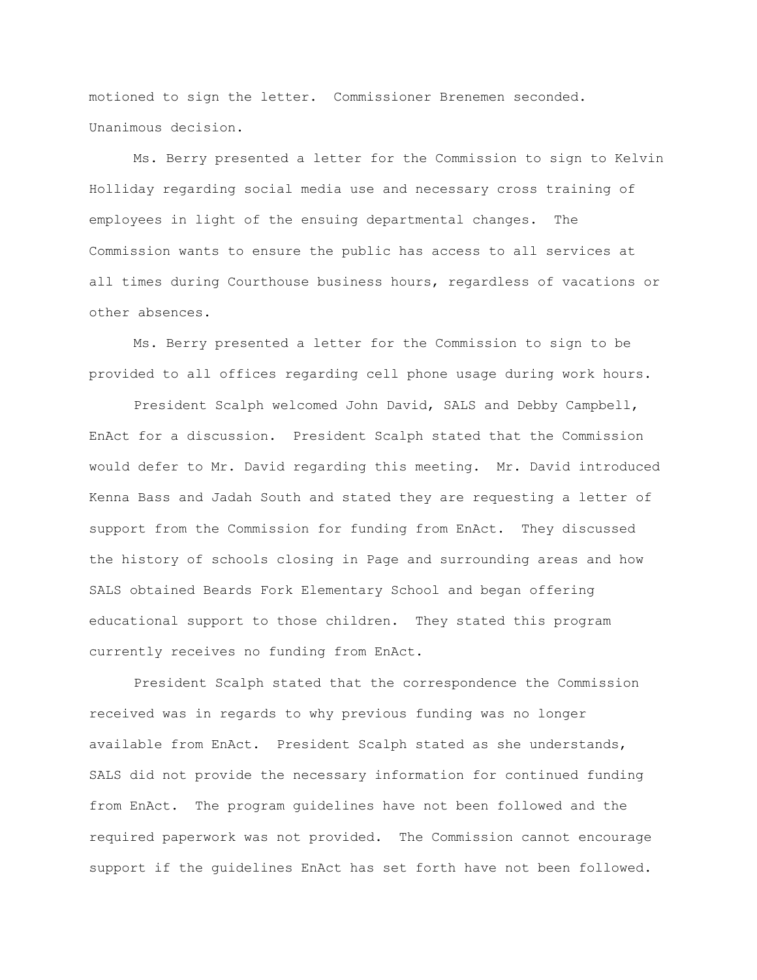motioned to sign the letter. Commissioner Brenemen seconded. Unanimous decision.

Ms. Berry presented a letter for the Commission to sign to Kelvin Holliday regarding social media use and necessary cross training of employees in light of the ensuing departmental changes. The Commission wants to ensure the public has access to all services at all times during Courthouse business hours, regardless of vacations or other absences.

Ms. Berry presented a letter for the Commission to sign to be provided to all offices regarding cell phone usage during work hours.

President Scalph welcomed John David, SALS and Debby Campbell, EnAct for a discussion. President Scalph stated that the Commission would defer to Mr. David regarding this meeting. Mr. David introduced Kenna Bass and Jadah South and stated they are requesting a letter of support from the Commission for funding from EnAct. They discussed the history of schools closing in Page and surrounding areas and how SALS obtained Beards Fork Elementary School and began offering educational support to those children. They stated this program currently receives no funding from EnAct.

President Scalph stated that the correspondence the Commission received was in regards to why previous funding was no longer available from EnAct. President Scalph stated as she understands, SALS did not provide the necessary information for continued funding from EnAct. The program guidelines have not been followed and the required paperwork was not provided. The Commission cannot encourage support if the guidelines EnAct has set forth have not been followed.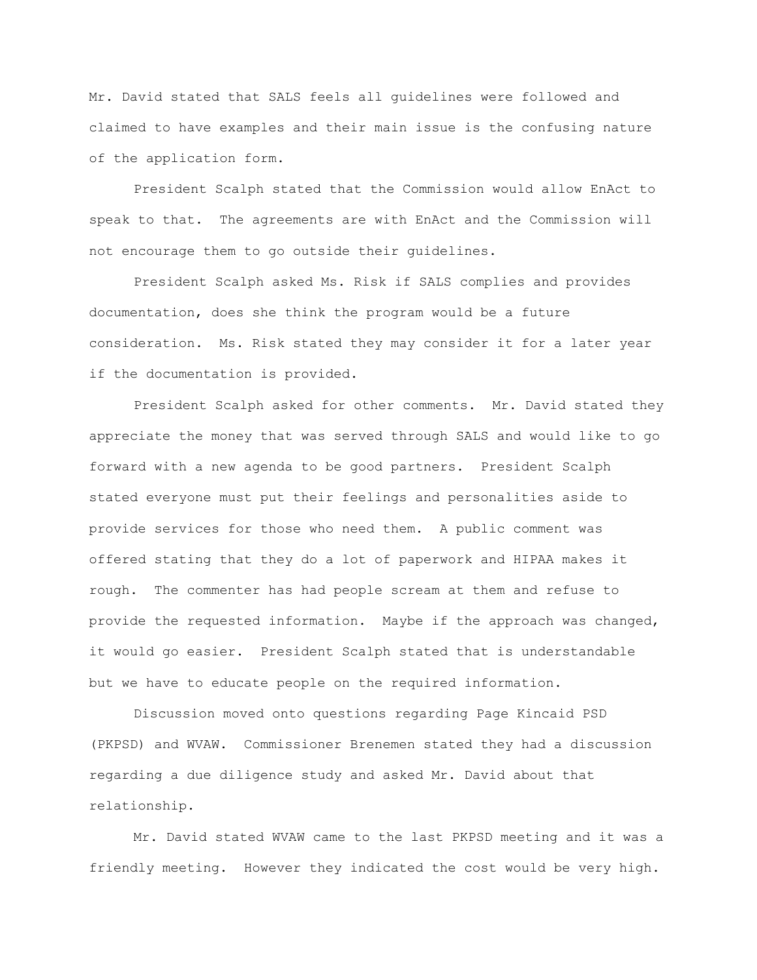Mr. David stated that SALS feels all guidelines were followed and claimed to have examples and their main issue is the confusing nature of the application form.

President Scalph stated that the Commission would allow EnAct to speak to that. The agreements are with EnAct and the Commission will not encourage them to go outside their guidelines.

President Scalph asked Ms. Risk if SALS complies and provides documentation, does she think the program would be a future consideration. Ms. Risk stated they may consider it for a later year if the documentation is provided.

President Scalph asked for other comments. Mr. David stated they appreciate the money that was served through SALS and would like to go forward with a new agenda to be good partners. President Scalph stated everyone must put their feelings and personalities aside to provide services for those who need them. A public comment was offered stating that they do a lot of paperwork and HIPAA makes it rough. The commenter has had people scream at them and refuse to provide the requested information. Maybe if the approach was changed, it would go easier. President Scalph stated that is understandable but we have to educate people on the required information.

Discussion moved onto questions regarding Page Kincaid PSD (PKPSD) and WVAW. Commissioner Brenemen stated they had a discussion regarding a due diligence study and asked Mr. David about that relationship.

Mr. David stated WVAW came to the last PKPSD meeting and it was a friendly meeting. However they indicated the cost would be very high.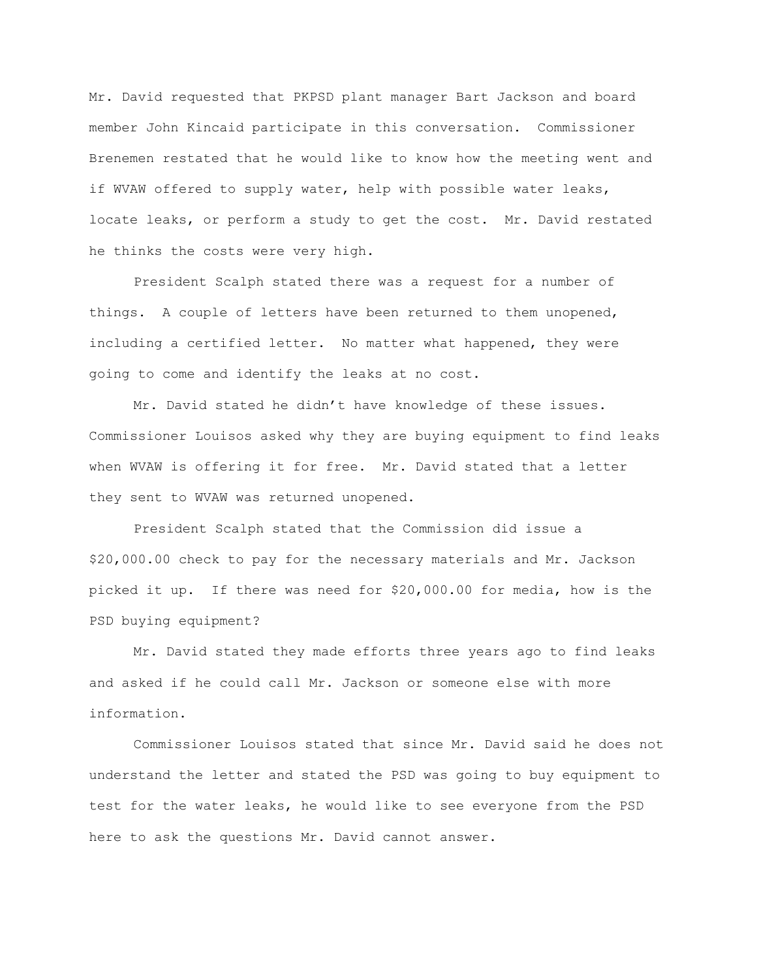Mr. David requested that PKPSD plant manager Bart Jackson and board member John Kincaid participate in this conversation. Commissioner Brenemen restated that he would like to know how the meeting went and if WVAW offered to supply water, help with possible water leaks, locate leaks, or perform a study to get the cost. Mr. David restated he thinks the costs were very high.

President Scalph stated there was a request for a number of things. A couple of letters have been returned to them unopened, including a certified letter. No matter what happened, they were going to come and identify the leaks at no cost.

Mr. David stated he didn't have knowledge of these issues. Commissioner Louisos asked why they are buying equipment to find leaks when WVAW is offering it for free. Mr. David stated that a letter they sent to WVAW was returned unopened.

President Scalph stated that the Commission did issue a \$20,000.00 check to pay for the necessary materials and Mr. Jackson picked it up. If there was need for \$20,000.00 for media, how is the PSD buying equipment?

Mr. David stated they made efforts three years ago to find leaks and asked if he could call Mr. Jackson or someone else with more information.

Commissioner Louisos stated that since Mr. David said he does not understand the letter and stated the PSD was going to buy equipment to test for the water leaks, he would like to see everyone from the PSD here to ask the questions Mr. David cannot answer.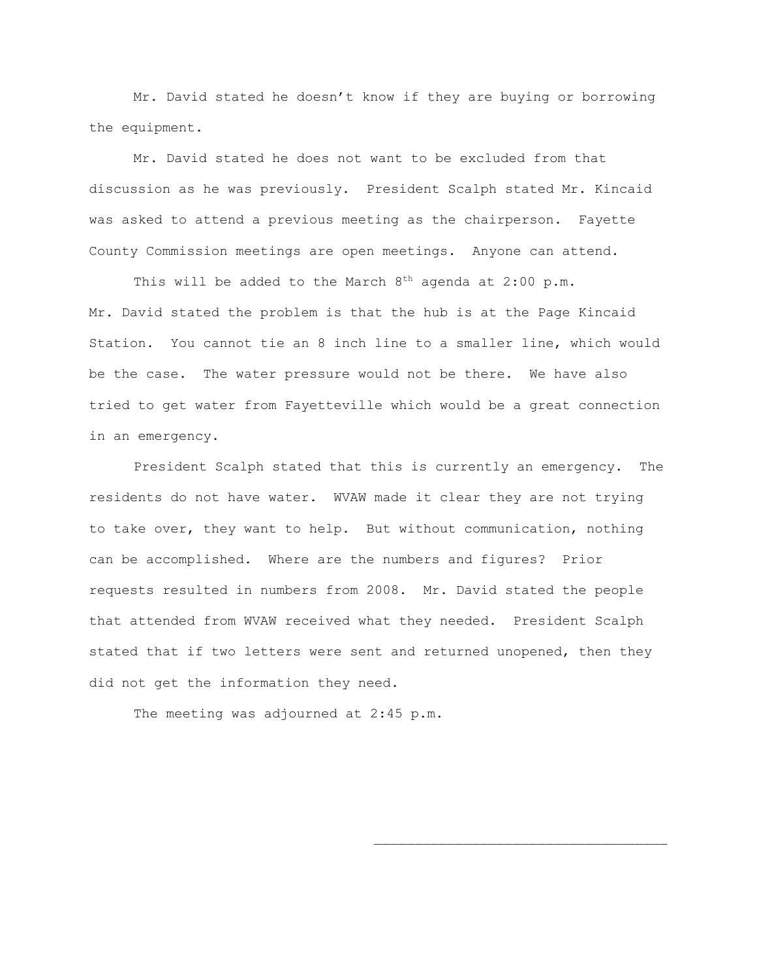Mr. David stated he doesn't know if they are buying or borrowing the equipment.

Mr. David stated he does not want to be excluded from that discussion as he was previously. President Scalph stated Mr. Kincaid was asked to attend a previous meeting as the chairperson. Fayette County Commission meetings are open meetings. Anyone can attend.

This will be added to the March  $8<sup>th</sup>$  agenda at 2:00 p.m. Mr. David stated the problem is that the hub is at the Page Kincaid Station. You cannot tie an 8 inch line to a smaller line, which would be the case. The water pressure would not be there. We have also tried to get water from Fayetteville which would be a great connection in an emergency.

President Scalph stated that this is currently an emergency. The residents do not have water. WVAW made it clear they are not trying to take over, they want to help. But without communication, nothing can be accomplished. Where are the numbers and figures? Prior requests resulted in numbers from 2008. Mr. David stated the people that attended from WVAW received what they needed. President Scalph stated that if two letters were sent and returned unopened, then they did not get the information they need.

The meeting was adjourned at 2:45 p.m.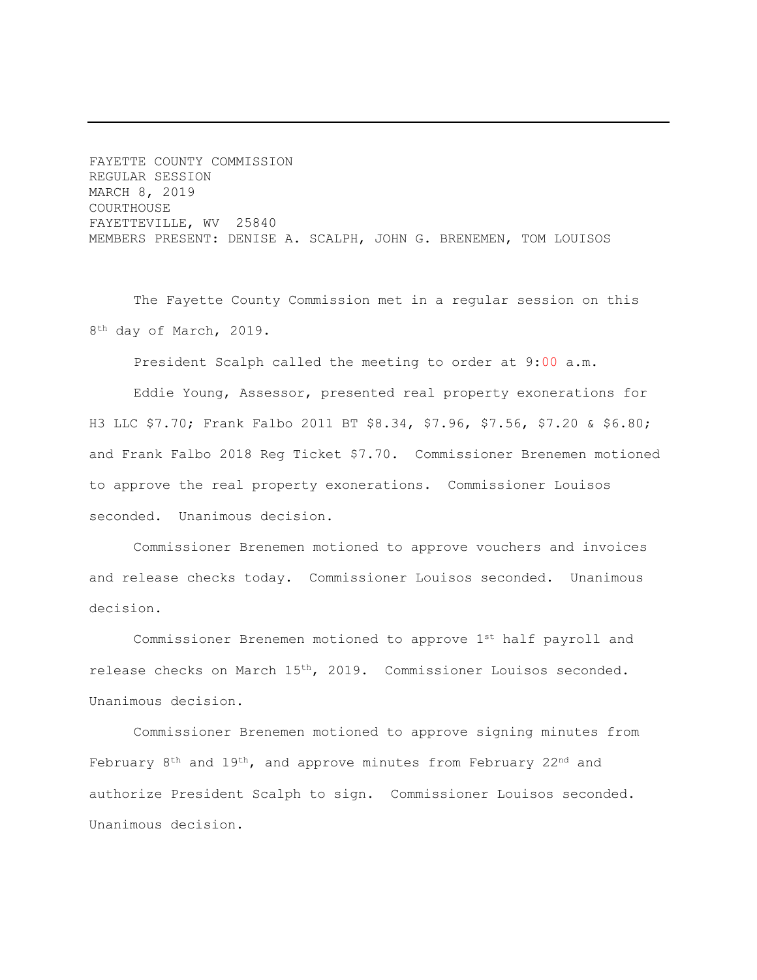FAYETTE COUNTY COMMISSION REGULAR SESSION MARCH 8, 2019 COURTHOUSE FAYETTEVILLE, WV 25840 MEMBERS PRESENT: DENISE A. SCALPH, JOHN G. BRENEMEN, TOM LOUISOS

The Fayette County Commission met in a regular session on this 8<sup>th</sup> day of March, 2019.

President Scalph called the meeting to order at 9:00 a.m.

Eddie Young, Assessor, presented real property exonerations for H3 LLC \$7.70; Frank Falbo 2011 BT \$8.34, \$7.96, \$7.56, \$7.20 & \$6.80; and Frank Falbo 2018 Reg Ticket \$7.70. Commissioner Brenemen motioned to approve the real property exonerations. Commissioner Louisos seconded. Unanimous decision.

Commissioner Brenemen motioned to approve vouchers and invoices and release checks today. Commissioner Louisos seconded. Unanimous decision.

Commissioner Brenemen motioned to approve 1<sup>st</sup> half payroll and release checks on March 15th, 2019. Commissioner Louisos seconded. Unanimous decision.

Commissioner Brenemen motioned to approve signing minutes from February  $8<sup>th</sup>$  and  $19<sup>th</sup>$ , and approve minutes from February  $22<sup>nd</sup>$  and authorize President Scalph to sign. Commissioner Louisos seconded. Unanimous decision.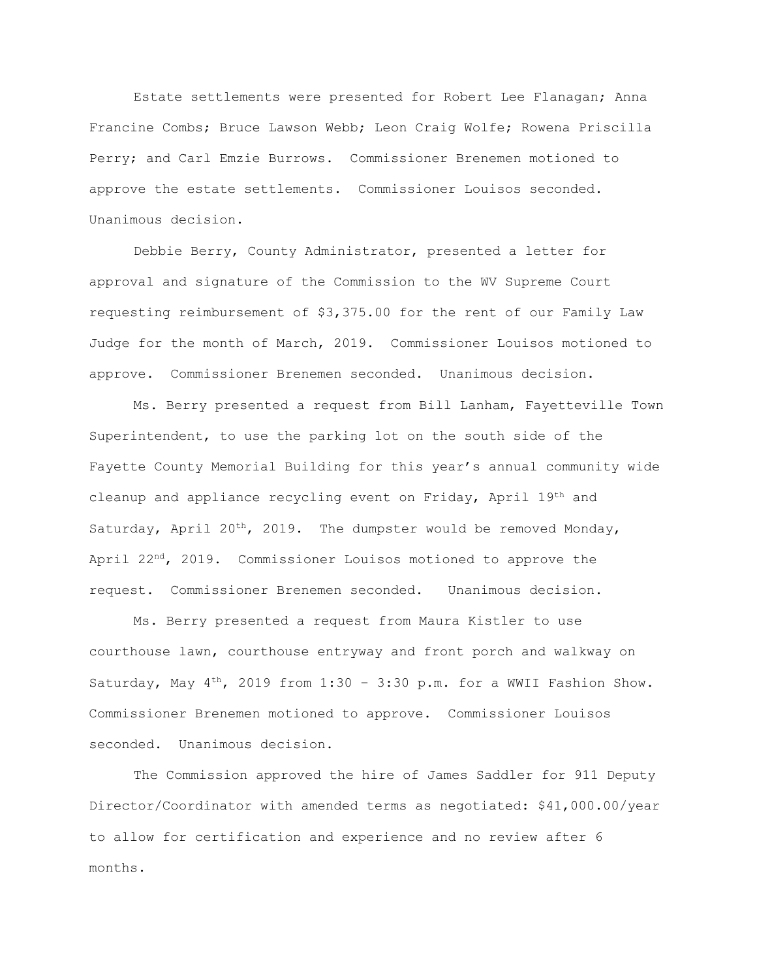Estate settlements were presented for Robert Lee Flanagan; Anna Francine Combs; Bruce Lawson Webb; Leon Craig Wolfe; Rowena Priscilla Perry; and Carl Emzie Burrows. Commissioner Brenemen motioned to approve the estate settlements. Commissioner Louisos seconded. Unanimous decision.

Debbie Berry, County Administrator, presented a letter for approval and signature of the Commission to the WV Supreme Court requesting reimbursement of \$3,375.00 for the rent of our Family Law Judge for the month of March, 2019. Commissioner Louisos motioned to approve. Commissioner Brenemen seconded. Unanimous decision.

Ms. Berry presented a request from Bill Lanham, Fayetteville Town Superintendent, to use the parking lot on the south side of the Fayette County Memorial Building for this year's annual community wide cleanup and appliance recycling event on Friday, April 19th and Saturday, April 20<sup>th</sup>, 2019. The dumpster would be removed Monday, April  $22^{nd}$ ,  $2019$ . Commissioner Louisos motioned to approve the request. Commissioner Brenemen seconded. Unanimous decision.

Ms. Berry presented a request from Maura Kistler to use courthouse lawn, courthouse entryway and front porch and walkway on Saturday, May  $4^{\text{th}}$ , 2019 from 1:30 - 3:30 p.m. for a WWII Fashion Show. Commissioner Brenemen motioned to approve. Commissioner Louisos seconded. Unanimous decision.

The Commission approved the hire of James Saddler for 911 Deputy Director/Coordinator with amended terms as negotiated: \$41,000.00/year to allow for certification and experience and no review after 6 months.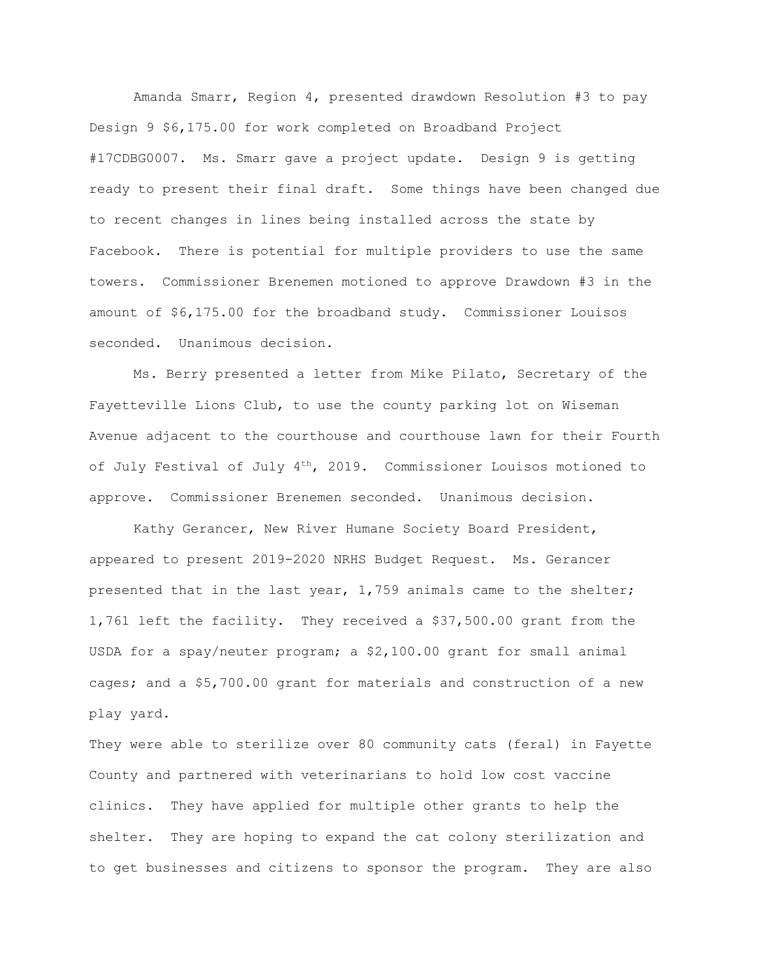Amanda Smarr, Region 4, presented drawdown Resolution #3 to pay Design 9 \$6,175.00 for work completed on Broadband Project #17CDBG0007. Ms. Smarr gave a project update. Design 9 is getting ready to present their final draft. Some things have been changed due to recent changes in lines being installed across the state by Facebook. There is potential for multiple providers to use the same towers. Commissioner Brenemen motioned to approve Drawdown #3 in the amount of \$6,175.00 for the broadband study. Commissioner Louisos seconded. Unanimous decision.

Ms. Berry presented a letter from Mike Pilato, Secretary of the Fayetteville Lions Club, to use the county parking lot on Wiseman Avenue adjacent to the courthouse and courthouse lawn for their Fourth of July Festival of July  $4^{\text{th}}$ , 2019. Commissioner Louisos motioned to approve. Commissioner Brenemen seconded. Unanimous decision.

Kathy Gerancer, New River Humane Society Board President, appeared to present 2019-2020 NRHS Budget Request. Ms. Gerancer presented that in the last year, 1,759 animals came to the shelter; 1,761 left the facility. They received a \$37,500.00 grant from the USDA for a spay/neuter program; a \$2,100.00 grant for small animal cages; and a \$5,700.00 grant for materials and construction of a new play yard.

They were able to sterilize over 80 community cats (feral) in Fayette County and partnered with veterinarians to hold low cost vaccine clinics. They have applied for multiple other grants to help the shelter. They are hoping to expand the cat colony sterilization and to get businesses and citizens to sponsor the program. They are also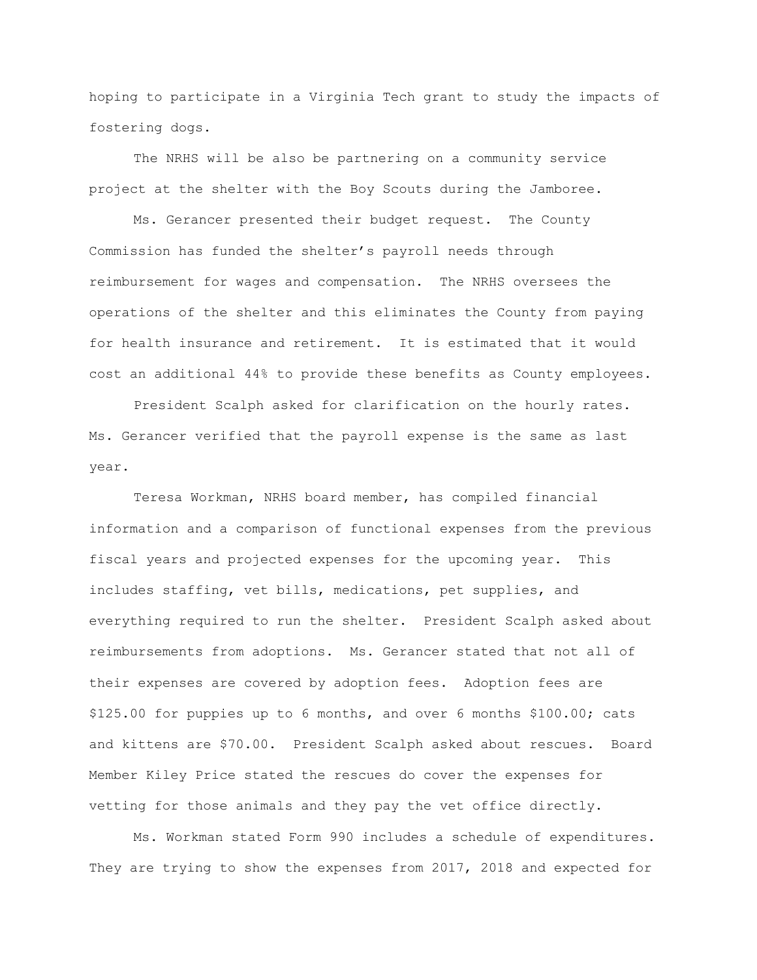hoping to participate in a Virginia Tech grant to study the impacts of fostering dogs.

The NRHS will be also be partnering on a community service project at the shelter with the Boy Scouts during the Jamboree.

Ms. Gerancer presented their budget request. The County Commission has funded the shelter's payroll needs through reimbursement for wages and compensation. The NRHS oversees the operations of the shelter and this eliminates the County from paying for health insurance and retirement. It is estimated that it would cost an additional 44% to provide these benefits as County employees.

President Scalph asked for clarification on the hourly rates. Ms. Gerancer verified that the payroll expense is the same as last year.

Teresa Workman, NRHS board member, has compiled financial information and a comparison of functional expenses from the previous fiscal years and projected expenses for the upcoming year. This includes staffing, vet bills, medications, pet supplies, and everything required to run the shelter. President Scalph asked about reimbursements from adoptions. Ms. Gerancer stated that not all of their expenses are covered by adoption fees. Adoption fees are \$125.00 for puppies up to 6 months, and over 6 months \$100.00; cats and kittens are \$70.00. President Scalph asked about rescues. Board Member Kiley Price stated the rescues do cover the expenses for vetting for those animals and they pay the vet office directly.

Ms. Workman stated Form 990 includes a schedule of expenditures. They are trying to show the expenses from 2017, 2018 and expected for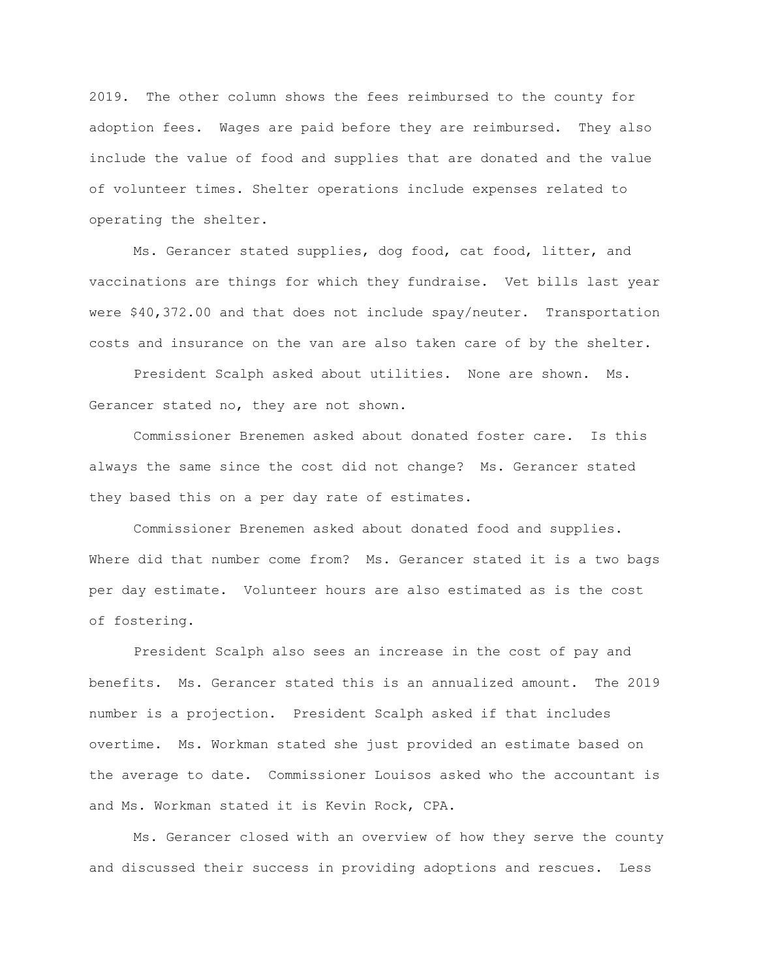2019. The other column shows the fees reimbursed to the county for adoption fees. Wages are paid before they are reimbursed. They also include the value of food and supplies that are donated and the value of volunteer times. Shelter operations include expenses related to operating the shelter.

Ms. Gerancer stated supplies, dog food, cat food, litter, and vaccinations are things for which they fundraise. Vet bills last year were \$40,372.00 and that does not include spay/neuter. Transportation costs and insurance on the van are also taken care of by the shelter.

President Scalph asked about utilities. None are shown. Ms. Gerancer stated no, they are not shown.

Commissioner Brenemen asked about donated foster care. Is this always the same since the cost did not change? Ms. Gerancer stated they based this on a per day rate of estimates.

Commissioner Brenemen asked about donated food and supplies. Where did that number come from? Ms. Gerancer stated it is a two bags per day estimate. Volunteer hours are also estimated as is the cost of fostering.

President Scalph also sees an increase in the cost of pay and benefits. Ms. Gerancer stated this is an annualized amount. The 2019 number is a projection. President Scalph asked if that includes overtime. Ms. Workman stated she just provided an estimate based on the average to date. Commissioner Louisos asked who the accountant is and Ms. Workman stated it is Kevin Rock, CPA.

Ms. Gerancer closed with an overview of how they serve the county and discussed their success in providing adoptions and rescues. Less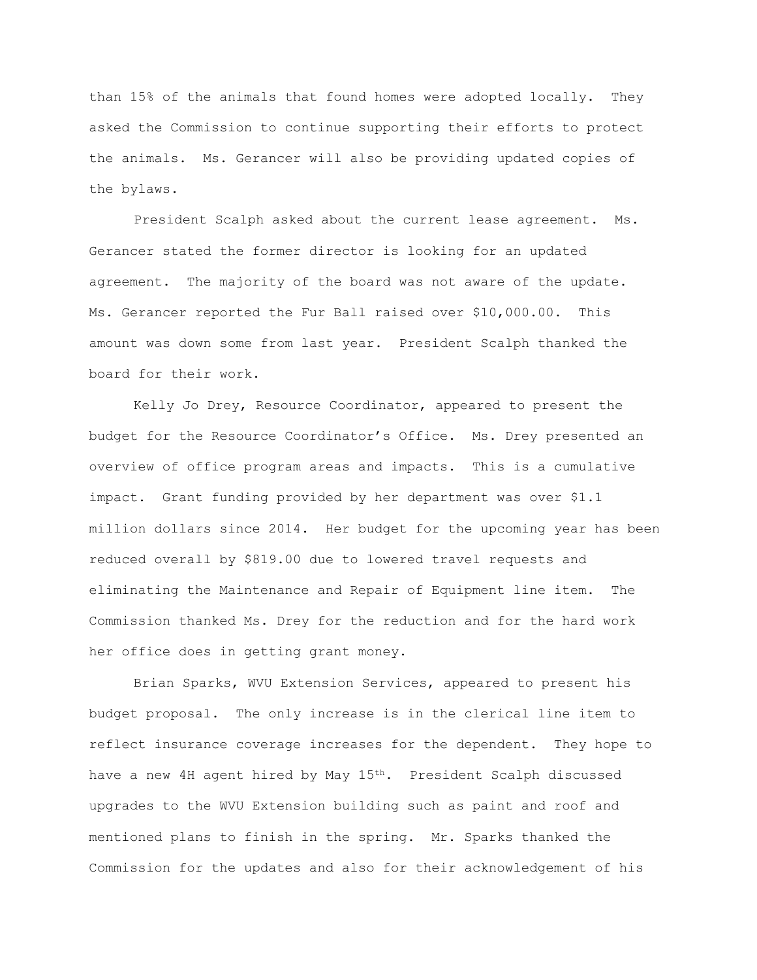than 15% of the animals that found homes were adopted locally. They asked the Commission to continue supporting their efforts to protect the animals. Ms. Gerancer will also be providing updated copies of the bylaws.

President Scalph asked about the current lease agreement. Ms. Gerancer stated the former director is looking for an updated agreement. The majority of the board was not aware of the update. Ms. Gerancer reported the Fur Ball raised over \$10,000.00. This amount was down some from last year. President Scalph thanked the board for their work.

Kelly Jo Drey, Resource Coordinator, appeared to present the budget for the Resource Coordinator's Office. Ms. Drey presented an overview of office program areas and impacts. This is a cumulative impact. Grant funding provided by her department was over \$1.1 million dollars since 2014. Her budget for the upcoming year has been reduced overall by \$819.00 due to lowered travel requests and eliminating the Maintenance and Repair of Equipment line item. The Commission thanked Ms. Drey for the reduction and for the hard work her office does in getting grant money.

Brian Sparks, WVU Extension Services, appeared to present his budget proposal. The only increase is in the clerical line item to reflect insurance coverage increases for the dependent. They hope to have a new 4H agent hired by May 15<sup>th</sup>. President Scalph discussed upgrades to the WVU Extension building such as paint and roof and mentioned plans to finish in the spring. Mr. Sparks thanked the Commission for the updates and also for their acknowledgement of his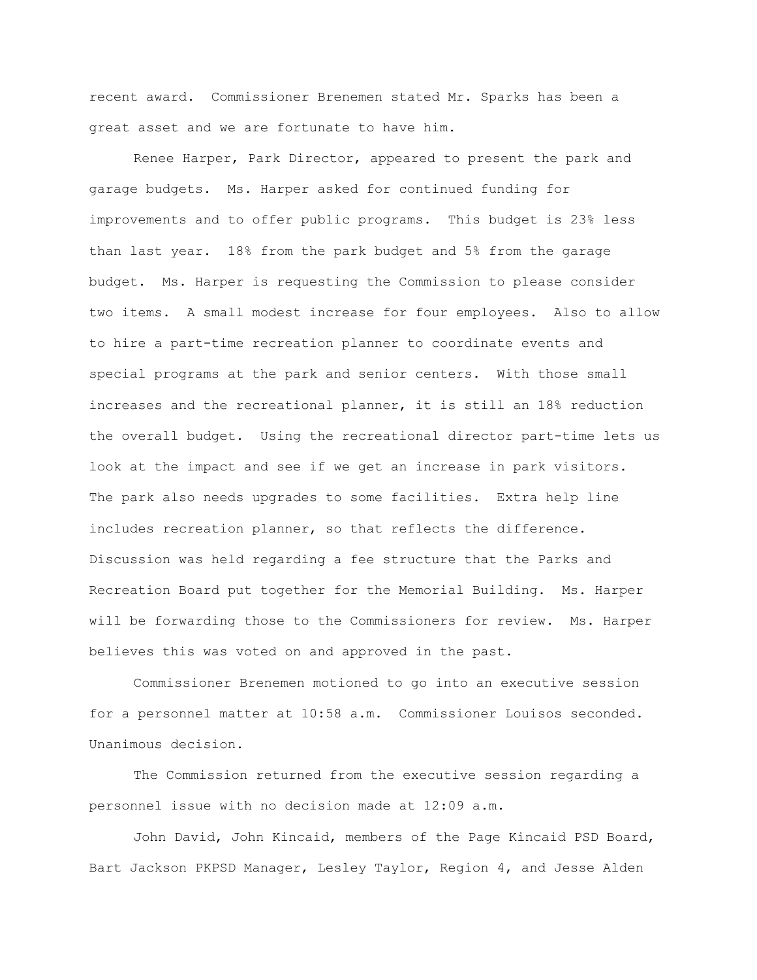recent award. Commissioner Brenemen stated Mr. Sparks has been a great asset and we are fortunate to have him.

Renee Harper, Park Director, appeared to present the park and garage budgets. Ms. Harper asked for continued funding for improvements and to offer public programs. This budget is 23% less than last year. 18% from the park budget and 5% from the garage budget. Ms. Harper is requesting the Commission to please consider two items. A small modest increase for four employees. Also to allow to hire a part-time recreation planner to coordinate events and special programs at the park and senior centers. With those small increases and the recreational planner, it is still an 18% reduction the overall budget. Using the recreational director part-time lets us look at the impact and see if we get an increase in park visitors. The park also needs upgrades to some facilities. Extra help line includes recreation planner, so that reflects the difference. Discussion was held regarding a fee structure that the Parks and Recreation Board put together for the Memorial Building. Ms. Harper will be forwarding those to the Commissioners for review. Ms. Harper believes this was voted on and approved in the past.

Commissioner Brenemen motioned to go into an executive session for a personnel matter at 10:58 a.m. Commissioner Louisos seconded. Unanimous decision.

The Commission returned from the executive session regarding a personnel issue with no decision made at 12:09 a.m.

John David, John Kincaid, members of the Page Kincaid PSD Board, Bart Jackson PKPSD Manager, Lesley Taylor, Region 4, and Jesse Alden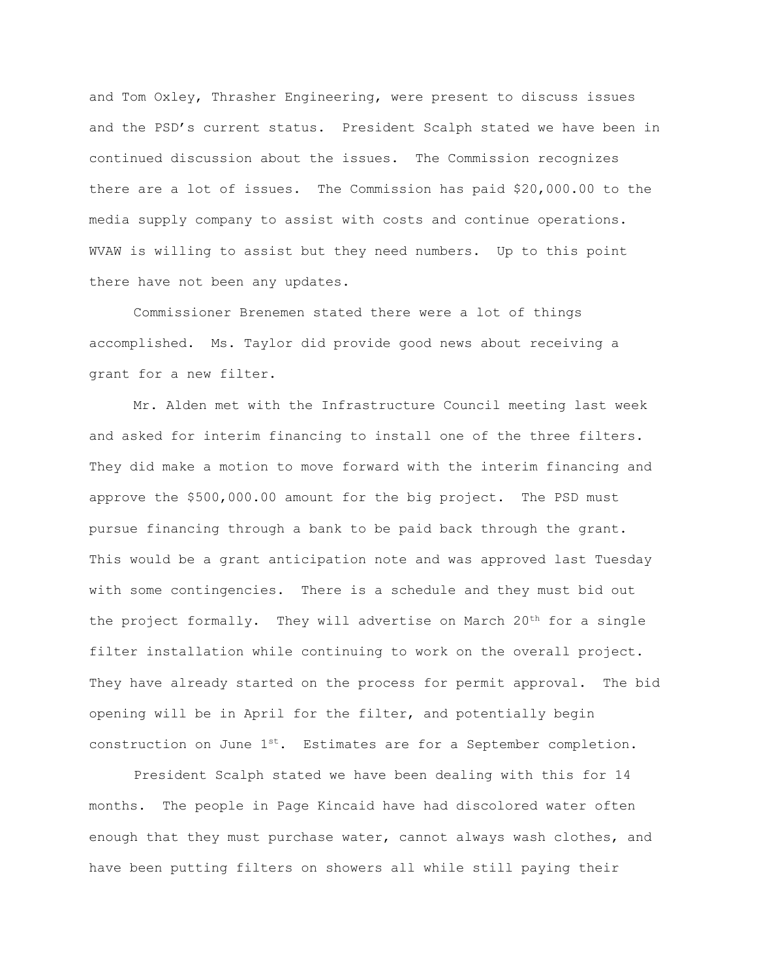and Tom Oxley, Thrasher Engineering, were present to discuss issues and the PSD's current status. President Scalph stated we have been in continued discussion about the issues. The Commission recognizes there are a lot of issues. The Commission has paid \$20,000.00 to the media supply company to assist with costs and continue operations. WVAW is willing to assist but they need numbers. Up to this point there have not been any updates.

Commissioner Brenemen stated there were a lot of things accomplished. Ms. Taylor did provide good news about receiving a grant for a new filter.

Mr. Alden met with the Infrastructure Council meeting last week and asked for interim financing to install one of the three filters. They did make a motion to move forward with the interim financing and approve the \$500,000.00 amount for the big project. The PSD must pursue financing through a bank to be paid back through the grant. This would be a grant anticipation note and was approved last Tuesday with some contingencies. There is a schedule and they must bid out the project formally. They will advertise on March  $20<sup>th</sup>$  for a single filter installation while continuing to work on the overall project. They have already started on the process for permit approval. The bid opening will be in April for the filter, and potentially begin construction on June 1<sup>st</sup>. Estimates are for a September completion.

President Scalph stated we have been dealing with this for 14 months. The people in Page Kincaid have had discolored water often enough that they must purchase water, cannot always wash clothes, and have been putting filters on showers all while still paying their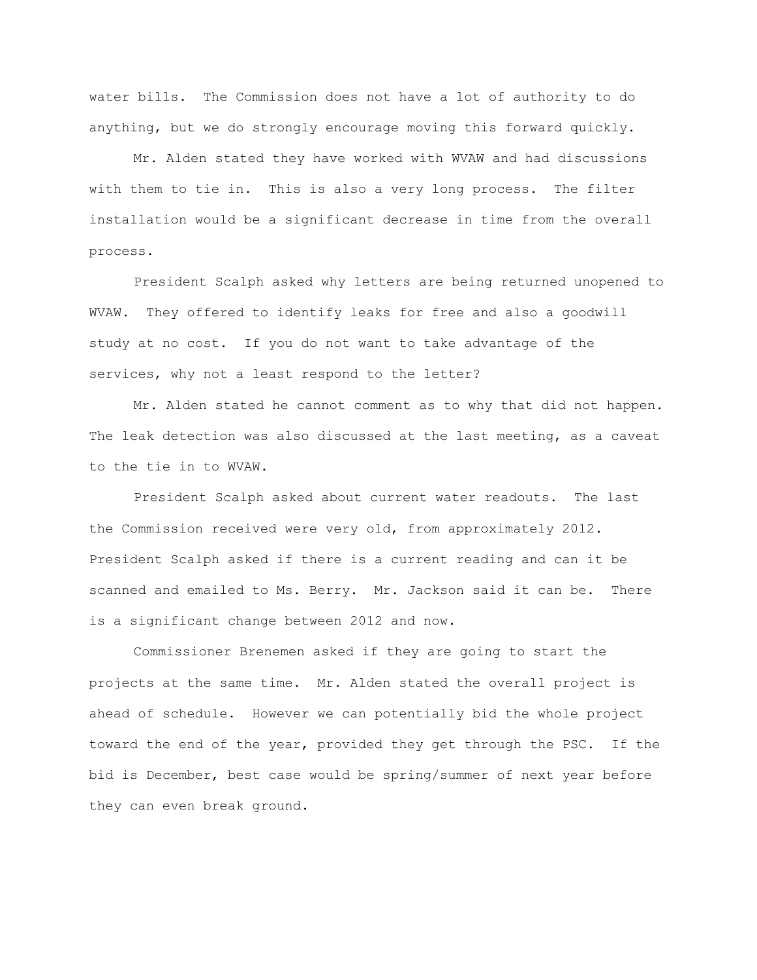water bills. The Commission does not have a lot of authority to do anything, but we do strongly encourage moving this forward quickly.

Mr. Alden stated they have worked with WVAW and had discussions with them to tie in. This is also a very long process. The filter installation would be a significant decrease in time from the overall process.

President Scalph asked why letters are being returned unopened to WVAW. They offered to identify leaks for free and also a goodwill study at no cost. If you do not want to take advantage of the services, why not a least respond to the letter?

Mr. Alden stated he cannot comment as to why that did not happen. The leak detection was also discussed at the last meeting, as a caveat to the tie in to WVAW.

President Scalph asked about current water readouts. The last the Commission received were very old, from approximately 2012. President Scalph asked if there is a current reading and can it be scanned and emailed to Ms. Berry. Mr. Jackson said it can be. There is a significant change between 2012 and now.

Commissioner Brenemen asked if they are going to start the projects at the same time. Mr. Alden stated the overall project is ahead of schedule. However we can potentially bid the whole project toward the end of the year, provided they get through the PSC. If the bid is December, best case would be spring/summer of next year before they can even break ground.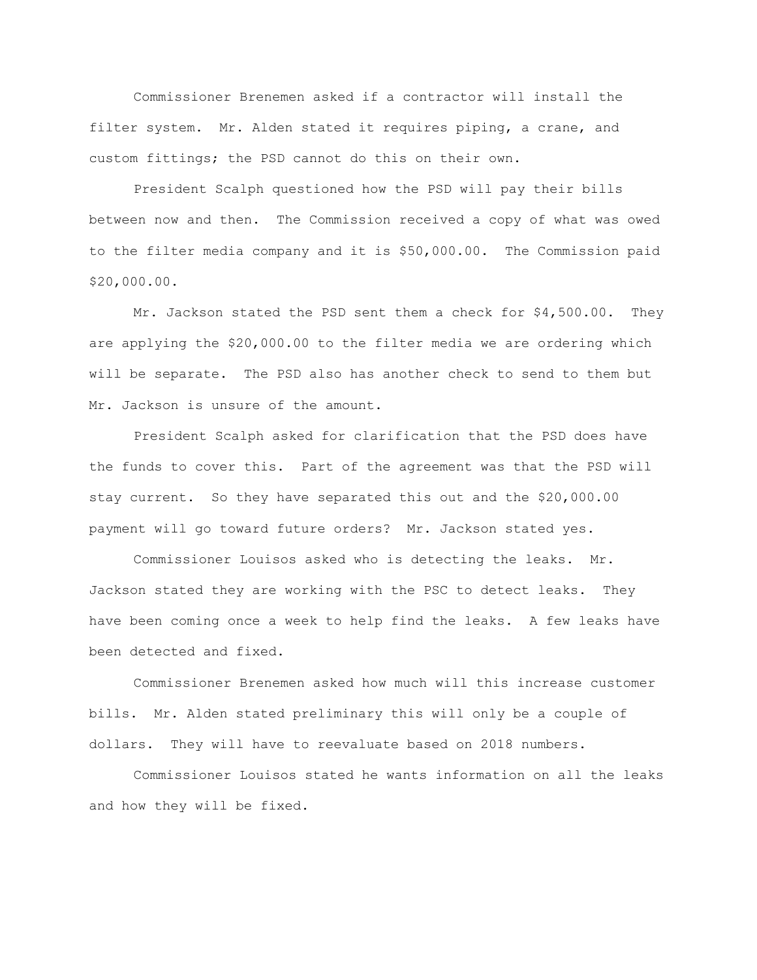Commissioner Brenemen asked if a contractor will install the filter system. Mr. Alden stated it requires piping, a crane, and custom fittings; the PSD cannot do this on their own.

President Scalph questioned how the PSD will pay their bills between now and then. The Commission received a copy of what was owed to the filter media company and it is \$50,000.00. The Commission paid \$20,000.00.

Mr. Jackson stated the PSD sent them a check for \$4,500.00. They are applying the \$20,000.00 to the filter media we are ordering which will be separate. The PSD also has another check to send to them but Mr. Jackson is unsure of the amount.

President Scalph asked for clarification that the PSD does have the funds to cover this. Part of the agreement was that the PSD will stay current. So they have separated this out and the \$20,000.00 payment will go toward future orders? Mr. Jackson stated yes.

Commissioner Louisos asked who is detecting the leaks. Mr. Jackson stated they are working with the PSC to detect leaks. They have been coming once a week to help find the leaks. A few leaks have been detected and fixed.

Commissioner Brenemen asked how much will this increase customer bills. Mr. Alden stated preliminary this will only be a couple of dollars. They will have to reevaluate based on 2018 numbers.

Commissioner Louisos stated he wants information on all the leaks and how they will be fixed.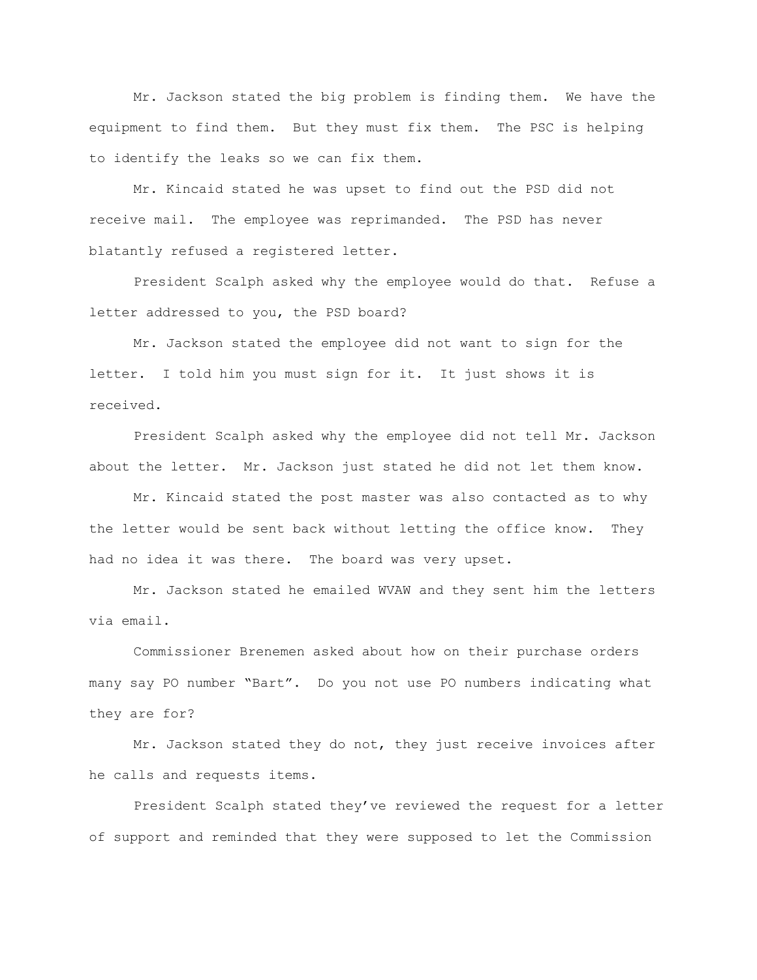Mr. Jackson stated the big problem is finding them. We have the equipment to find them. But they must fix them. The PSC is helping to identify the leaks so we can fix them.

Mr. Kincaid stated he was upset to find out the PSD did not receive mail. The employee was reprimanded. The PSD has never blatantly refused a registered letter.

President Scalph asked why the employee would do that. Refuse a letter addressed to you, the PSD board?

Mr. Jackson stated the employee did not want to sign for the letter. I told him you must sign for it. It just shows it is received.

President Scalph asked why the employee did not tell Mr. Jackson about the letter. Mr. Jackson just stated he did not let them know.

Mr. Kincaid stated the post master was also contacted as to why the letter would be sent back without letting the office know. They had no idea it was there. The board was very upset.

Mr. Jackson stated he emailed WVAW and they sent him the letters via email.

Commissioner Brenemen asked about how on their purchase orders many say PO number "Bart". Do you not use PO numbers indicating what they are for?

Mr. Jackson stated they do not, they just receive invoices after he calls and requests items.

President Scalph stated they've reviewed the request for a letter of support and reminded that they were supposed to let the Commission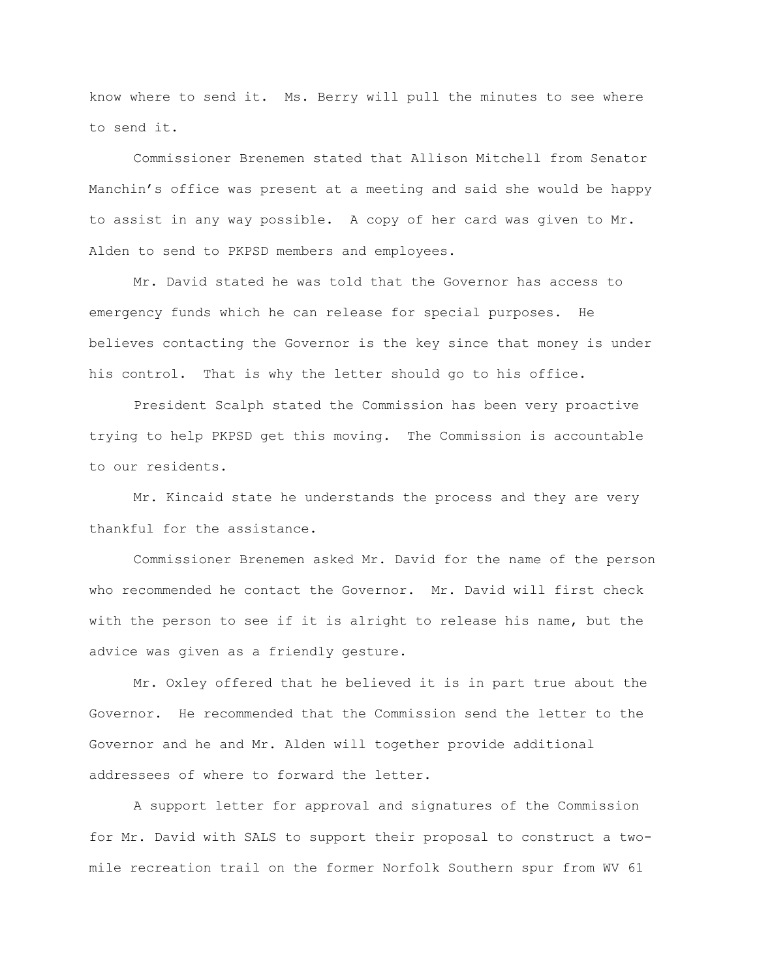know where to send it. Ms. Berry will pull the minutes to see where to send it.

Commissioner Brenemen stated that Allison Mitchell from Senator Manchin's office was present at a meeting and said she would be happy to assist in any way possible. A copy of her card was given to Mr. Alden to send to PKPSD members and employees.

Mr. David stated he was told that the Governor has access to emergency funds which he can release for special purposes. He believes contacting the Governor is the key since that money is under his control. That is why the letter should go to his office.

President Scalph stated the Commission has been very proactive trying to help PKPSD get this moving. The Commission is accountable to our residents.

Mr. Kincaid state he understands the process and they are very thankful for the assistance.

Commissioner Brenemen asked Mr. David for the name of the person who recommended he contact the Governor. Mr. David will first check with the person to see if it is alright to release his name, but the advice was given as a friendly gesture.

Mr. Oxley offered that he believed it is in part true about the Governor. He recommended that the Commission send the letter to the Governor and he and Mr. Alden will together provide additional addressees of where to forward the letter.

A support letter for approval and signatures of the Commission for Mr. David with SALS to support their proposal to construct a twomile recreation trail on the former Norfolk Southern spur from WV 61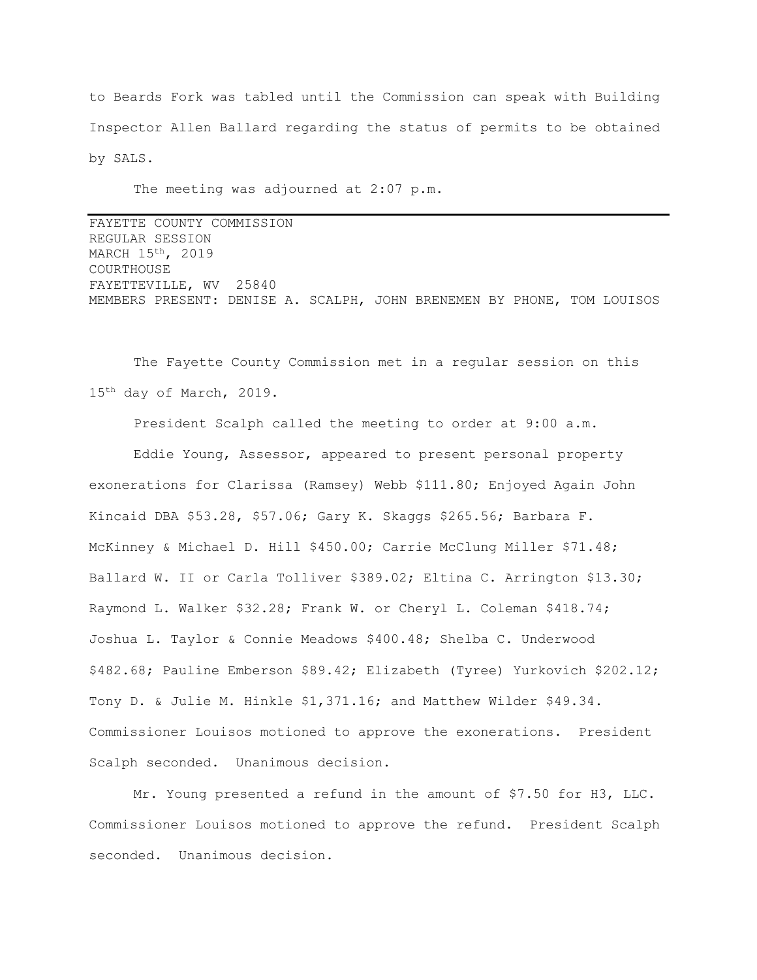to Beards Fork was tabled until the Commission can speak with Building Inspector Allen Ballard regarding the status of permits to be obtained by SALS.

The meeting was adjourned at 2:07 p.m.

FAYETTE COUNTY COMMISSION REGULAR SESSION MARCH 15th, 2019 COURTHOUSE FAYETTEVILLE, WV 25840 MEMBERS PRESENT: DENISE A. SCALPH, JOHN BRENEMEN BY PHONE, TOM LOUISOS

The Fayette County Commission met in a regular session on this 15<sup>th</sup> day of March, 2019.

President Scalph called the meeting to order at 9:00 a.m.

Eddie Young, Assessor, appeared to present personal property exonerations for Clarissa (Ramsey) Webb \$111.80; Enjoyed Again John Kincaid DBA \$53.28, \$57.06; Gary K. Skaggs \$265.56; Barbara F. McKinney & Michael D. Hill \$450.00; Carrie McClung Miller \$71.48; Ballard W. II or Carla Tolliver \$389.02; Eltina C. Arrington \$13.30; Raymond L. Walker \$32.28; Frank W. or Cheryl L. Coleman \$418.74; Joshua L. Taylor & Connie Meadows \$400.48; Shelba C. Underwood \$482.68; Pauline Emberson \$89.42; Elizabeth (Tyree) Yurkovich \$202.12; Tony D. & Julie M. Hinkle \$1,371.16; and Matthew Wilder \$49.34. Commissioner Louisos motioned to approve the exonerations. President Scalph seconded. Unanimous decision.

Mr. Young presented a refund in the amount of \$7.50 for H3, LLC. Commissioner Louisos motioned to approve the refund. President Scalph seconded. Unanimous decision.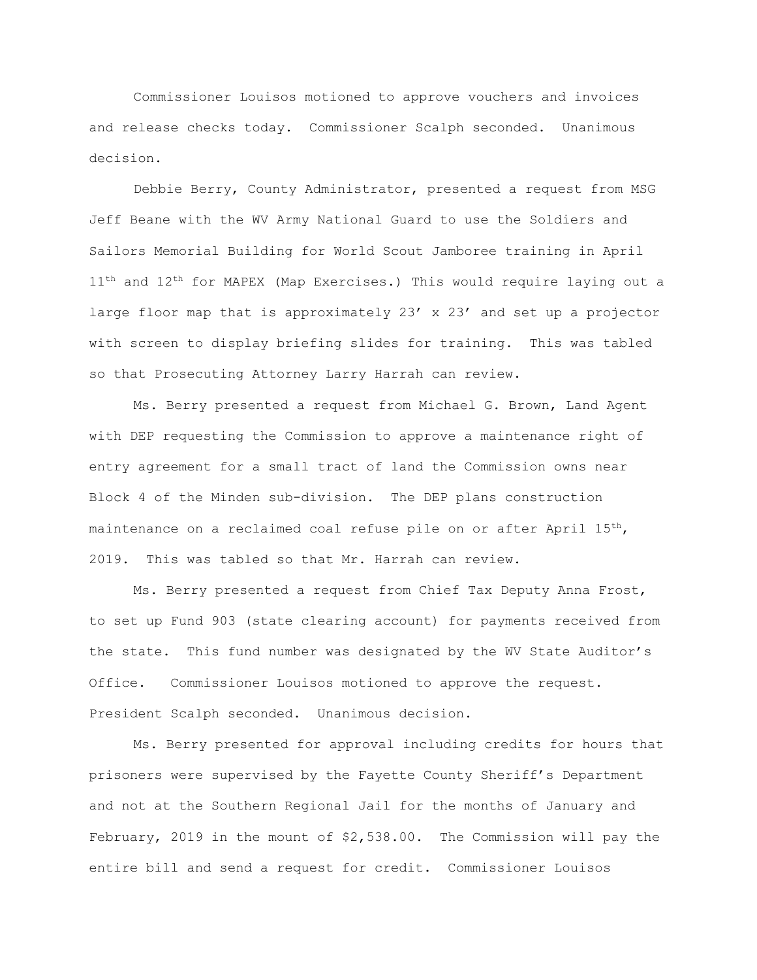Commissioner Louisos motioned to approve vouchers and invoices and release checks today. Commissioner Scalph seconded. Unanimous decision.

Debbie Berry, County Administrator, presented a request from MSG Jeff Beane with the WV Army National Guard to use the Soldiers and Sailors Memorial Building for World Scout Jamboree training in April  $11<sup>th</sup>$  and  $12<sup>th</sup>$  for MAPEX (Map Exercises.) This would require laying out a large floor map that is approximately 23' x 23' and set up a projector with screen to display briefing slides for training. This was tabled so that Prosecuting Attorney Larry Harrah can review.

Ms. Berry presented a request from Michael G. Brown, Land Agent with DEP requesting the Commission to approve a maintenance right of entry agreement for a small tract of land the Commission owns near Block 4 of the Minden sub-division. The DEP plans construction maintenance on a reclaimed coal refuse pile on or after April  $15<sup>th</sup>$ , 2019. This was tabled so that Mr. Harrah can review.

Ms. Berry presented a request from Chief Tax Deputy Anna Frost, to set up Fund 903 (state clearing account) for payments received from the state. This fund number was designated by the WV State Auditor's Office. Commissioner Louisos motioned to approve the request. President Scalph seconded. Unanimous decision.

Ms. Berry presented for approval including credits for hours that prisoners were supervised by the Fayette County Sheriff's Department and not at the Southern Regional Jail for the months of January and February, 2019 in the mount of \$2,538.00. The Commission will pay the entire bill and send a request for credit. Commissioner Louisos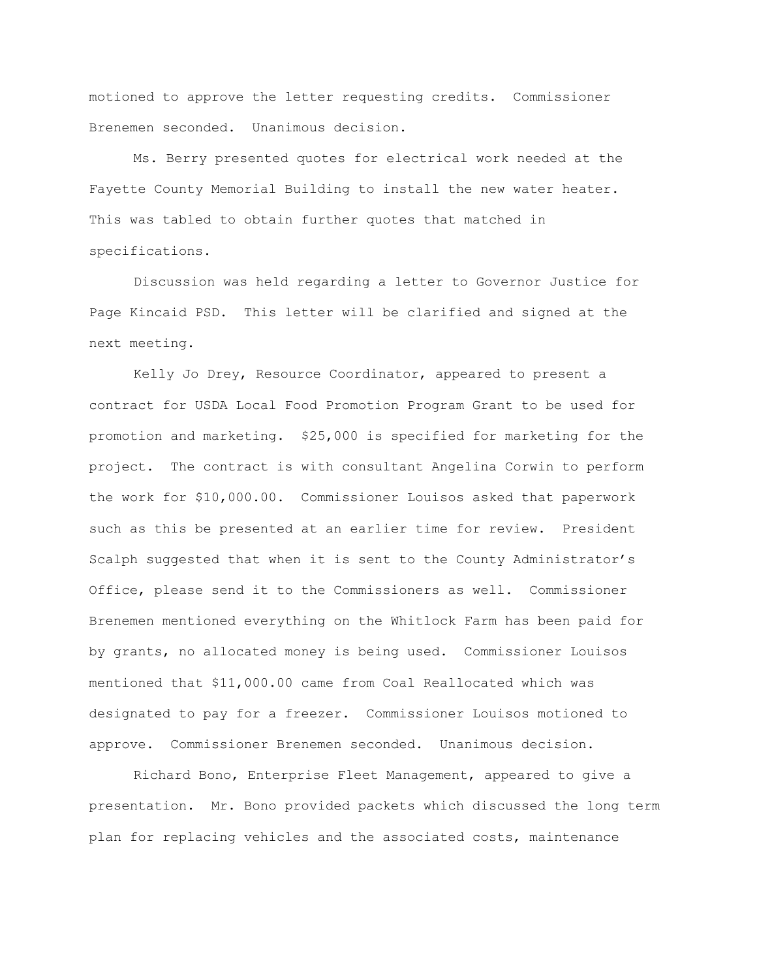motioned to approve the letter requesting credits. Commissioner Brenemen seconded. Unanimous decision.

Ms. Berry presented quotes for electrical work needed at the Fayette County Memorial Building to install the new water heater. This was tabled to obtain further quotes that matched in specifications.

Discussion was held regarding a letter to Governor Justice for Page Kincaid PSD. This letter will be clarified and signed at the next meeting.

Kelly Jo Drey, Resource Coordinator, appeared to present a contract for USDA Local Food Promotion Program Grant to be used for promotion and marketing. \$25,000 is specified for marketing for the project. The contract is with consultant Angelina Corwin to perform the work for \$10,000.00. Commissioner Louisos asked that paperwork such as this be presented at an earlier time for review. President Scalph suggested that when it is sent to the County Administrator's Office, please send it to the Commissioners as well. Commissioner Brenemen mentioned everything on the Whitlock Farm has been paid for by grants, no allocated money is being used. Commissioner Louisos mentioned that \$11,000.00 came from Coal Reallocated which was designated to pay for a freezer. Commissioner Louisos motioned to approve. Commissioner Brenemen seconded. Unanimous decision.

Richard Bono, Enterprise Fleet Management, appeared to give a presentation. Mr. Bono provided packets which discussed the long term plan for replacing vehicles and the associated costs, maintenance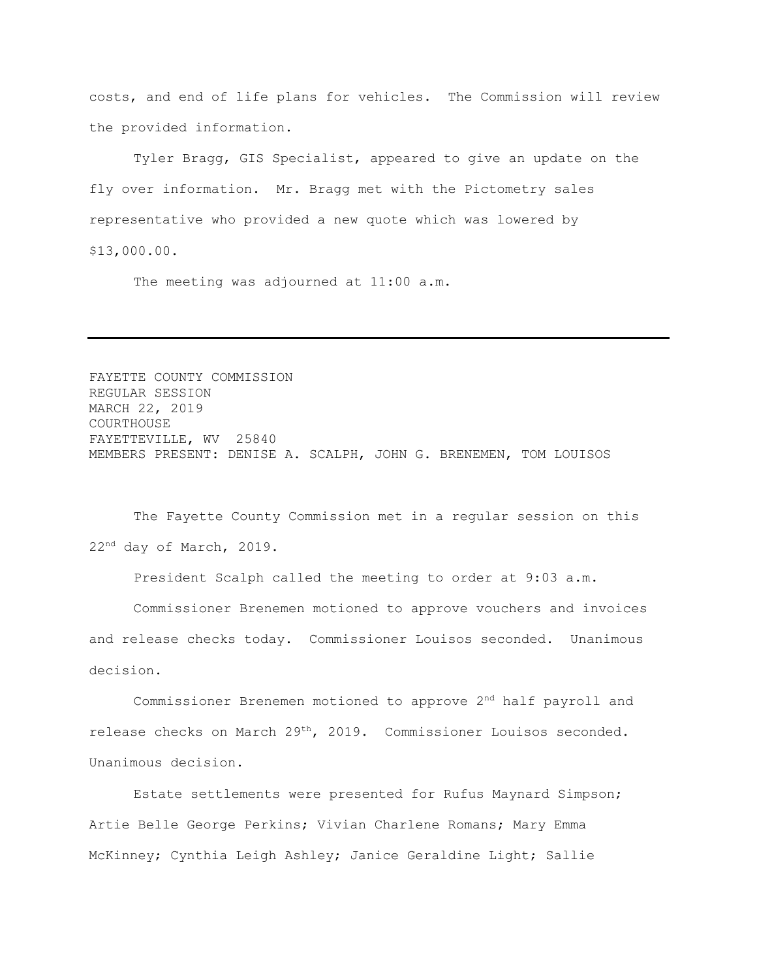costs, and end of life plans for vehicles. The Commission will review the provided information.

Tyler Bragg, GIS Specialist, appeared to give an update on the fly over information. Mr. Bragg met with the Pictometry sales representative who provided a new quote which was lowered by \$13,000.00.

The meeting was adjourned at 11:00 a.m.

FAYETTE COUNTY COMMISSION REGULAR SESSION MARCH 22, 2019 COURTHOUSE FAYETTEVILLE, WV 25840 MEMBERS PRESENT: DENISE A. SCALPH, JOHN G. BRENEMEN, TOM LOUISOS

The Fayette County Commission met in a regular session on this 22nd day of March, 2019.

President Scalph called the meeting to order at 9:03 a.m.

Commissioner Brenemen motioned to approve vouchers and invoices and release checks today. Commissioner Louisos seconded. Unanimous decision.

Commissioner Brenemen motioned to approve 2nd half payroll and release checks on March 29th, 2019. Commissioner Louisos seconded. Unanimous decision.

Estate settlements were presented for Rufus Maynard Simpson; Artie Belle George Perkins; Vivian Charlene Romans; Mary Emma McKinney; Cynthia Leigh Ashley; Janice Geraldine Light; Sallie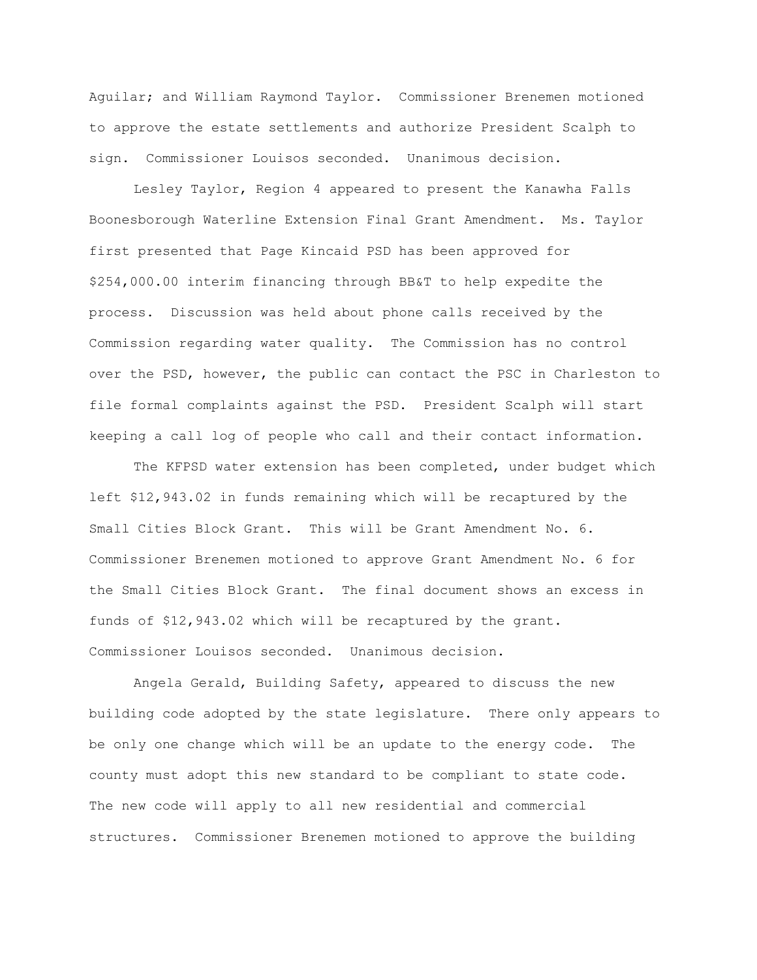Aguilar; and William Raymond Taylor. Commissioner Brenemen motioned to approve the estate settlements and authorize President Scalph to sign. Commissioner Louisos seconded. Unanimous decision.

Lesley Taylor, Region 4 appeared to present the Kanawha Falls Boonesborough Waterline Extension Final Grant Amendment. Ms. Taylor first presented that Page Kincaid PSD has been approved for \$254,000.00 interim financing through BB&T to help expedite the process. Discussion was held about phone calls received by the Commission regarding water quality. The Commission has no control over the PSD, however, the public can contact the PSC in Charleston to file formal complaints against the PSD. President Scalph will start keeping a call log of people who call and their contact information.

The KFPSD water extension has been completed, under budget which left \$12,943.02 in funds remaining which will be recaptured by the Small Cities Block Grant. This will be Grant Amendment No. 6. Commissioner Brenemen motioned to approve Grant Amendment No. 6 for the Small Cities Block Grant. The final document shows an excess in funds of \$12,943.02 which will be recaptured by the grant. Commissioner Louisos seconded. Unanimous decision.

Angela Gerald, Building Safety, appeared to discuss the new building code adopted by the state legislature. There only appears to be only one change which will be an update to the energy code. The county must adopt this new standard to be compliant to state code. The new code will apply to all new residential and commercial structures. Commissioner Brenemen motioned to approve the building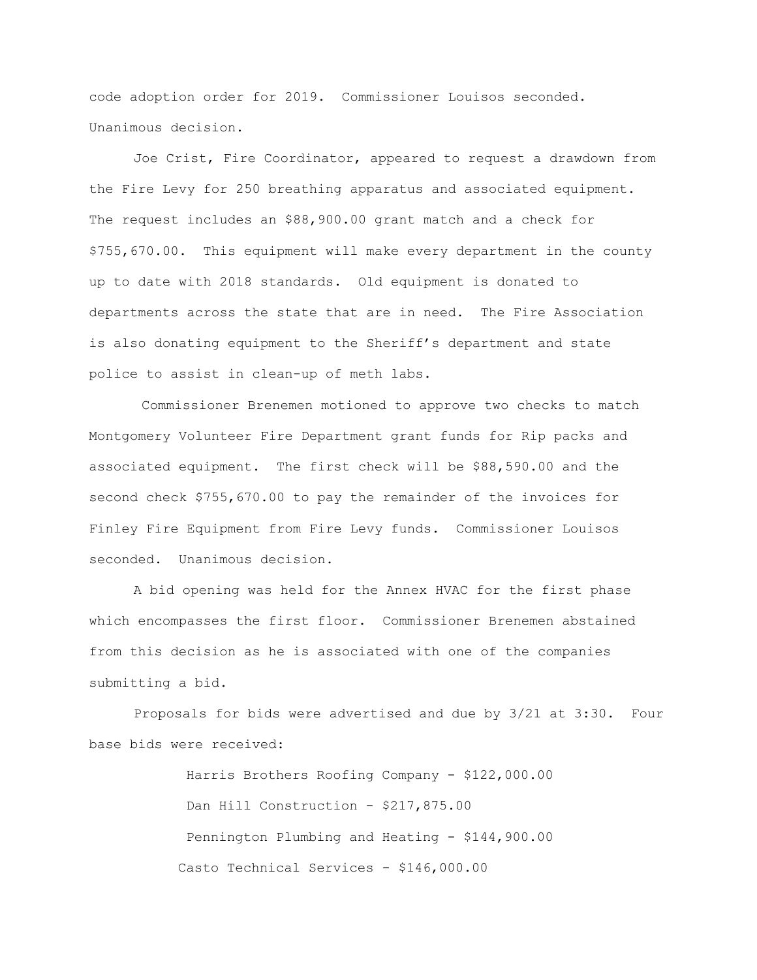code adoption order for 2019. Commissioner Louisos seconded. Unanimous decision.

Joe Crist, Fire Coordinator, appeared to request a drawdown from the Fire Levy for 250 breathing apparatus and associated equipment. The request includes an \$88,900.00 grant match and a check for \$755,670.00. This equipment will make every department in the county up to date with 2018 standards. Old equipment is donated to departments across the state that are in need. The Fire Association is also donating equipment to the Sheriff's department and state police to assist in clean-up of meth labs.

Commissioner Brenemen motioned to approve two checks to match Montgomery Volunteer Fire Department grant funds for Rip packs and associated equipment. The first check will be \$88,590.00 and the second check \$755,670.00 to pay the remainder of the invoices for Finley Fire Equipment from Fire Levy funds. Commissioner Louisos seconded. Unanimous decision.

A bid opening was held for the Annex HVAC for the first phase which encompasses the first floor. Commissioner Brenemen abstained from this decision as he is associated with one of the companies submitting a bid.

Proposals for bids were advertised and due by 3/21 at 3:30. Four base bids were received:

> Harris Brothers Roofing Company - \$122,000.00 Dan Hill Construction - \$217,875.00 Pennington Plumbing and Heating - \$144,900.00 Casto Technical Services - \$146,000.00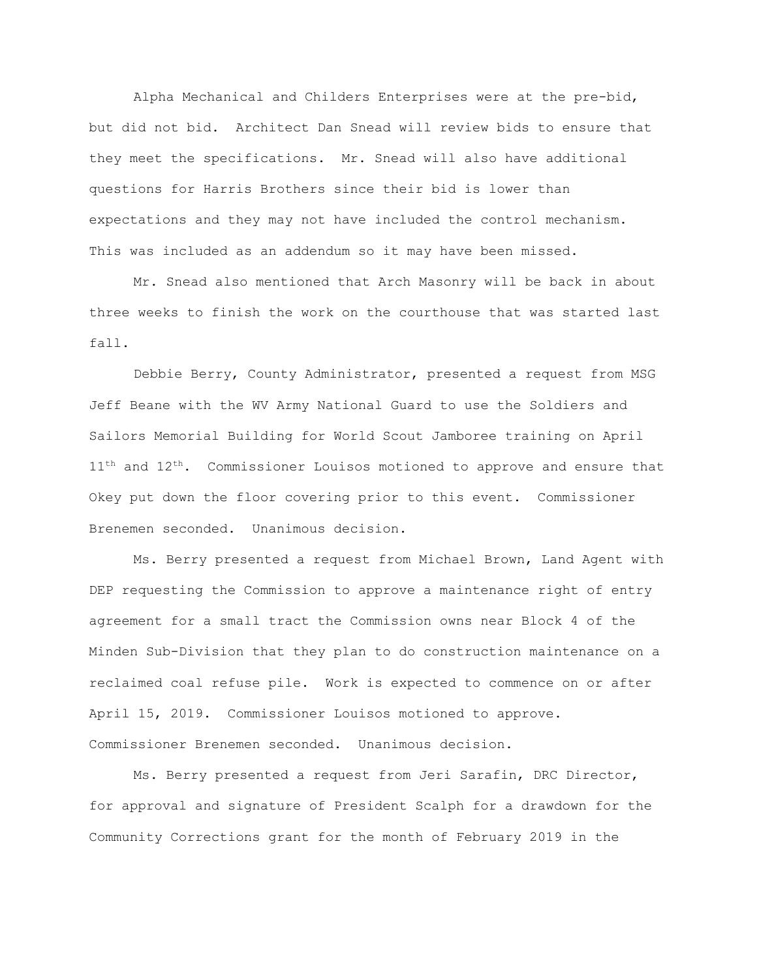Alpha Mechanical and Childers Enterprises were at the pre-bid, but did not bid. Architect Dan Snead will review bids to ensure that they meet the specifications. Mr. Snead will also have additional questions for Harris Brothers since their bid is lower than expectations and they may not have included the control mechanism. This was included as an addendum so it may have been missed.

Mr. Snead also mentioned that Arch Masonry will be back in about three weeks to finish the work on the courthouse that was started last fall.

Debbie Berry, County Administrator, presented a request from MSG Jeff Beane with the WV Army National Guard to use the Soldiers and Sailors Memorial Building for World Scout Jamboree training on April  $11<sup>th</sup>$  and  $12<sup>th</sup>$ . Commissioner Louisos motioned to approve and ensure that Okey put down the floor covering prior to this event. Commissioner Brenemen seconded. Unanimous decision.

Ms. Berry presented a request from Michael Brown, Land Agent with DEP requesting the Commission to approve a maintenance right of entry agreement for a small tract the Commission owns near Block 4 of the Minden Sub-Division that they plan to do construction maintenance on a reclaimed coal refuse pile. Work is expected to commence on or after April 15, 2019. Commissioner Louisos motioned to approve. Commissioner Brenemen seconded. Unanimous decision.

Ms. Berry presented a request from Jeri Sarafin, DRC Director, for approval and signature of President Scalph for a drawdown for the Community Corrections grant for the month of February 2019 in the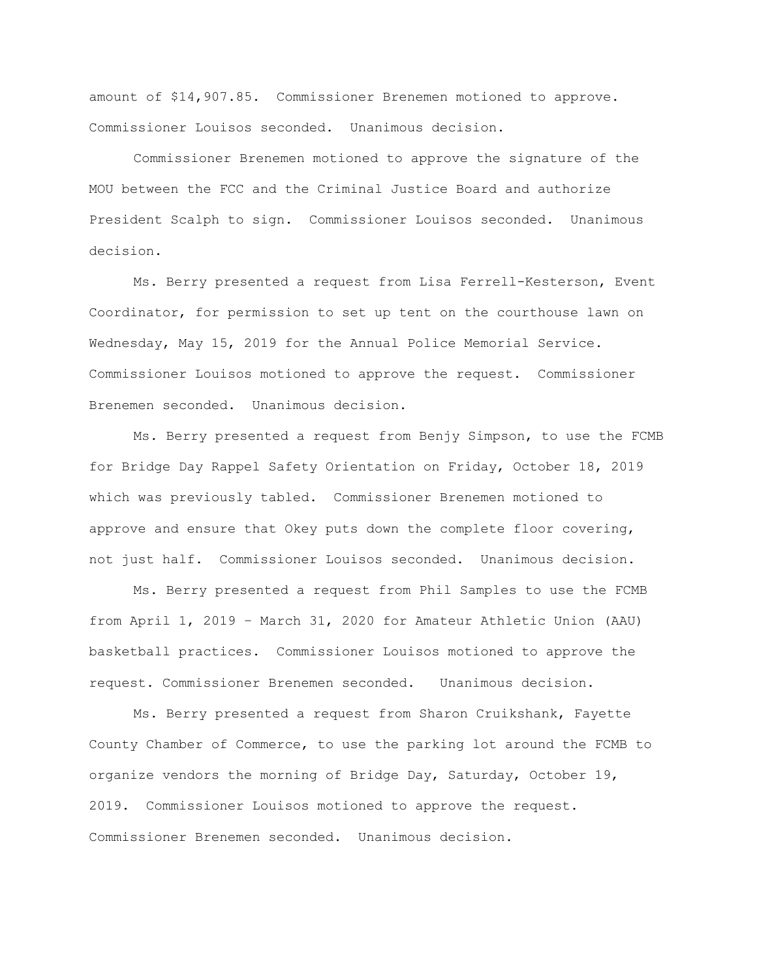amount of \$14,907.85. Commissioner Brenemen motioned to approve. Commissioner Louisos seconded. Unanimous decision.

Commissioner Brenemen motioned to approve the signature of the MOU between the FCC and the Criminal Justice Board and authorize President Scalph to sign. Commissioner Louisos seconded. Unanimous decision.

Ms. Berry presented a request from Lisa Ferrell-Kesterson, Event Coordinator, for permission to set up tent on the courthouse lawn on Wednesday, May 15, 2019 for the Annual Police Memorial Service. Commissioner Louisos motioned to approve the request. Commissioner Brenemen seconded. Unanimous decision.

Ms. Berry presented a request from Benjy Simpson, to use the FCMB for Bridge Day Rappel Safety Orientation on Friday, October 18, 2019 which was previously tabled. Commissioner Brenemen motioned to approve and ensure that Okey puts down the complete floor covering, not just half. Commissioner Louisos seconded. Unanimous decision.

Ms. Berry presented a request from Phil Samples to use the FCMB from April 1, 2019 – March 31, 2020 for Amateur Athletic Union (AAU) basketball practices. Commissioner Louisos motioned to approve the request. Commissioner Brenemen seconded. Unanimous decision.

Ms. Berry presented a request from Sharon Cruikshank, Fayette County Chamber of Commerce, to use the parking lot around the FCMB to organize vendors the morning of Bridge Day, Saturday, October 19, 2019. Commissioner Louisos motioned to approve the request. Commissioner Brenemen seconded. Unanimous decision.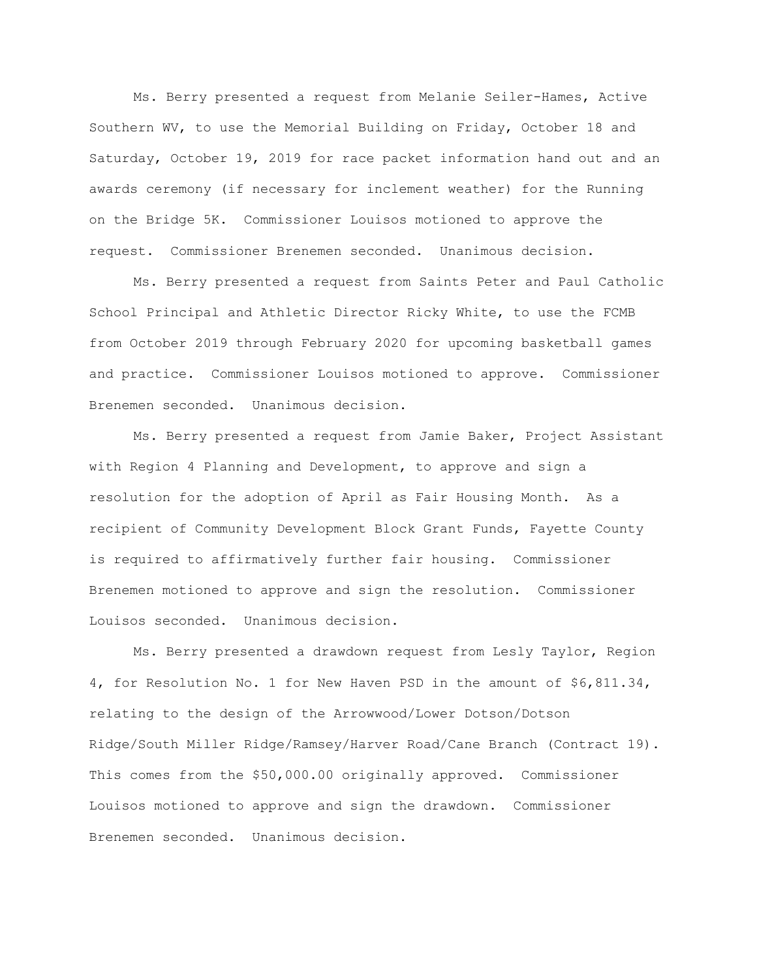Ms. Berry presented a request from Melanie Seiler-Hames, Active Southern WV, to use the Memorial Building on Friday, October 18 and Saturday, October 19, 2019 for race packet information hand out and an awards ceremony (if necessary for inclement weather) for the Running on the Bridge 5K. Commissioner Louisos motioned to approve the request. Commissioner Brenemen seconded. Unanimous decision.

Ms. Berry presented a request from Saints Peter and Paul Catholic School Principal and Athletic Director Ricky White, to use the FCMB from October 2019 through February 2020 for upcoming basketball games and practice. Commissioner Louisos motioned to approve. Commissioner Brenemen seconded. Unanimous decision.

Ms. Berry presented a request from Jamie Baker, Project Assistant with Region 4 Planning and Development, to approve and sign a resolution for the adoption of April as Fair Housing Month. As a recipient of Community Development Block Grant Funds, Fayette County is required to affirmatively further fair housing. Commissioner Brenemen motioned to approve and sign the resolution. Commissioner Louisos seconded. Unanimous decision.

Ms. Berry presented a drawdown request from Lesly Taylor, Region 4, for Resolution No. 1 for New Haven PSD in the amount of \$6,811.34, relating to the design of the Arrowwood/Lower Dotson/Dotson Ridge/South Miller Ridge/Ramsey/Harver Road/Cane Branch (Contract 19). This comes from the \$50,000.00 originally approved. Commissioner Louisos motioned to approve and sign the drawdown. Commissioner Brenemen seconded. Unanimous decision.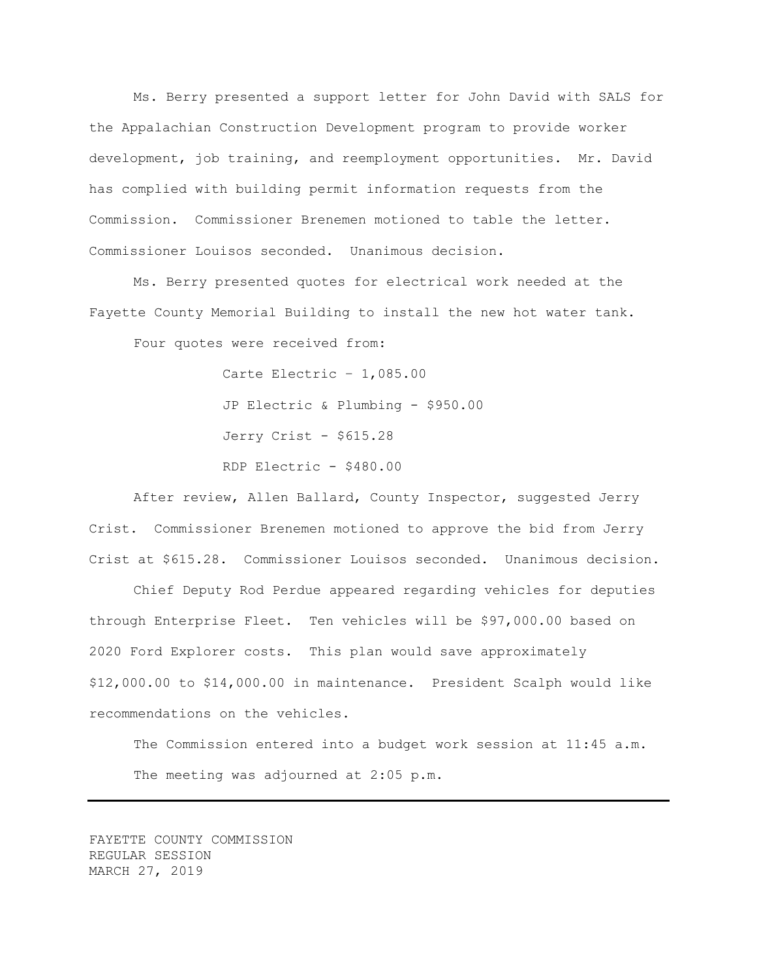Ms. Berry presented a support letter for John David with SALS for the Appalachian Construction Development program to provide worker development, job training, and reemployment opportunities. Mr. David has complied with building permit information requests from the Commission. Commissioner Brenemen motioned to table the letter. Commissioner Louisos seconded. Unanimous decision.

Ms. Berry presented quotes for electrical work needed at the Fayette County Memorial Building to install the new hot water tank.

Four quotes were received from:

Carte Electric – 1,085.00 JP Electric & Plumbing - \$950.00 Jerry Crist - \$615.28 RDP Electric - \$480.00

After review, Allen Ballard, County Inspector, suggested Jerry Crist. Commissioner Brenemen motioned to approve the bid from Jerry Crist at \$615.28. Commissioner Louisos seconded. Unanimous decision.

Chief Deputy Rod Perdue appeared regarding vehicles for deputies through Enterprise Fleet. Ten vehicles will be \$97,000.00 based on 2020 Ford Explorer costs. This plan would save approximately \$12,000.00 to \$14,000.00 in maintenance. President Scalph would like recommendations on the vehicles.

The Commission entered into a budget work session at 11:45 a.m. The meeting was adjourned at 2:05 p.m.

FAYETTE COUNTY COMMISSION REGULAR SESSION MARCH 27, 2019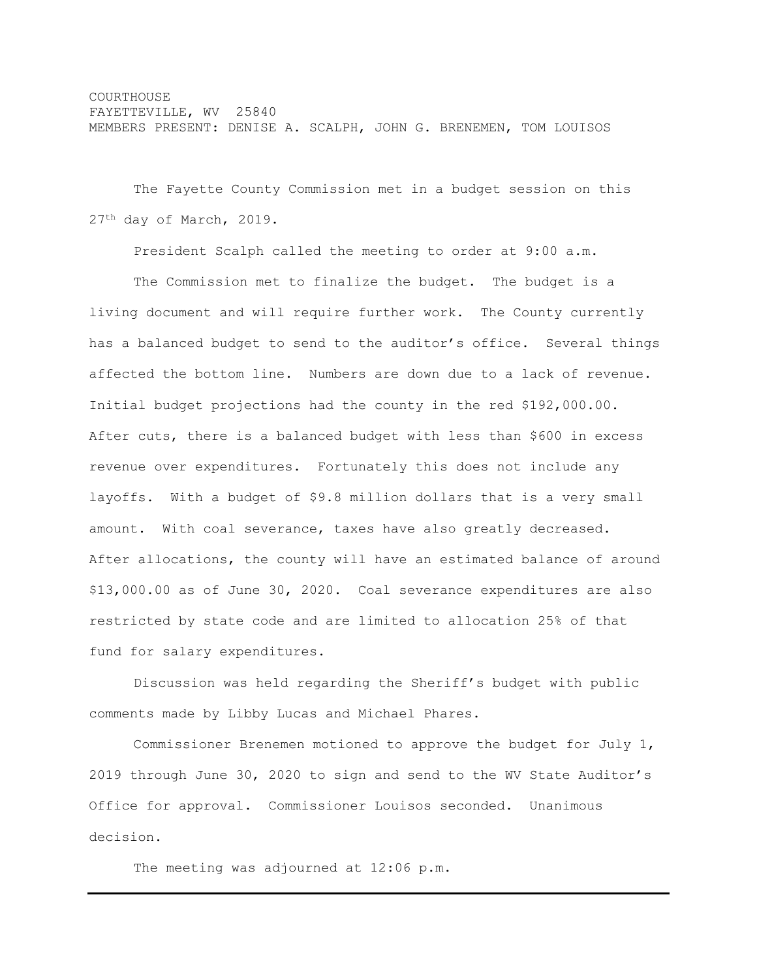COURTHOUSE FAYETTEVILLE, WV 25840 MEMBERS PRESENT: DENISE A. SCALPH, JOHN G. BRENEMEN, TOM LOUISOS

The Fayette County Commission met in a budget session on this 27th day of March, 2019.

President Scalph called the meeting to order at 9:00 a.m.

The Commission met to finalize the budget. The budget is a living document and will require further work. The County currently has a balanced budget to send to the auditor's office. Several things affected the bottom line. Numbers are down due to a lack of revenue. Initial budget projections had the county in the red \$192,000.00. After cuts, there is a balanced budget with less than \$600 in excess revenue over expenditures. Fortunately this does not include any layoffs. With a budget of \$9.8 million dollars that is a very small amount. With coal severance, taxes have also greatly decreased. After allocations, the county will have an estimated balance of around \$13,000.00 as of June 30, 2020. Coal severance expenditures are also restricted by state code and are limited to allocation 25% of that fund for salary expenditures.

Discussion was held regarding the Sheriff's budget with public comments made by Libby Lucas and Michael Phares.

Commissioner Brenemen motioned to approve the budget for July 1, 2019 through June 30, 2020 to sign and send to the WV State Auditor's Office for approval. Commissioner Louisos seconded. Unanimous decision.

The meeting was adjourned at 12:06 p.m.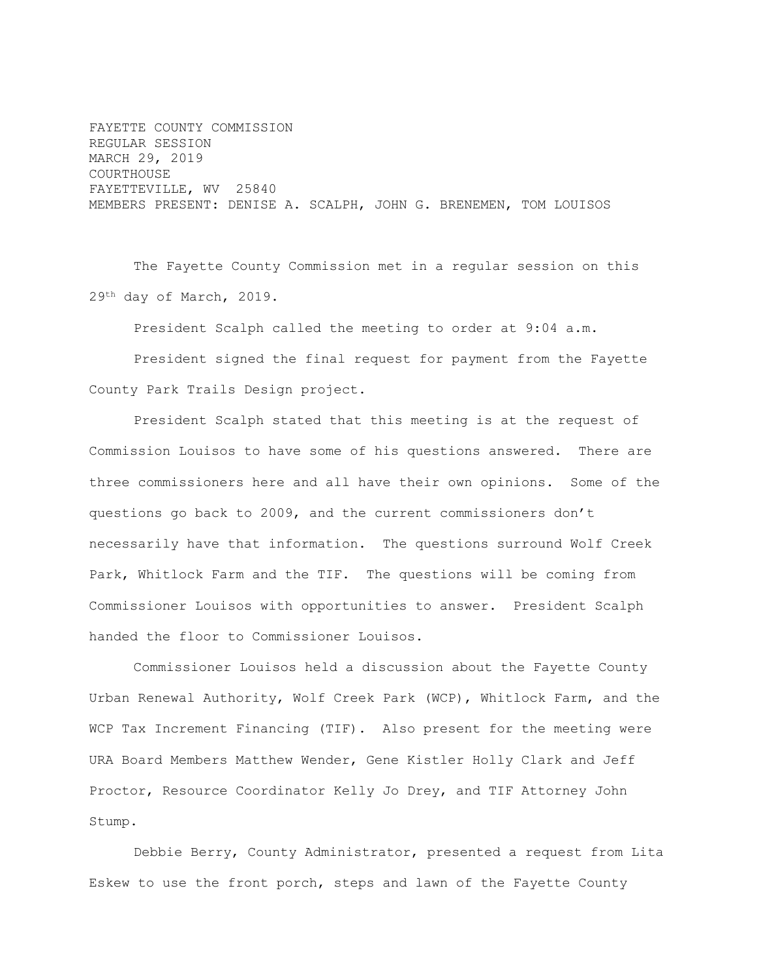FAYETTE COUNTY COMMISSION REGULAR SESSION MARCH 29, 2019 COURTHOUSE FAYETTEVILLE, WV 25840 MEMBERS PRESENT: DENISE A. SCALPH, JOHN G. BRENEMEN, TOM LOUISOS

The Fayette County Commission met in a regular session on this 29th day of March, 2019.

President Scalph called the meeting to order at 9:04 a.m.

President signed the final request for payment from the Fayette County Park Trails Design project.

President Scalph stated that this meeting is at the request of Commission Louisos to have some of his questions answered. There are three commissioners here and all have their own opinions. Some of the questions go back to 2009, and the current commissioners don't necessarily have that information. The questions surround Wolf Creek Park, Whitlock Farm and the TIF. The questions will be coming from Commissioner Louisos with opportunities to answer. President Scalph handed the floor to Commissioner Louisos.

Commissioner Louisos held a discussion about the Fayette County Urban Renewal Authority, Wolf Creek Park (WCP), Whitlock Farm, and the WCP Tax Increment Financing (TIF). Also present for the meeting were URA Board Members Matthew Wender, Gene Kistler Holly Clark and Jeff Proctor, Resource Coordinator Kelly Jo Drey, and TIF Attorney John Stump.

Debbie Berry, County Administrator, presented a request from Lita Eskew to use the front porch, steps and lawn of the Fayette County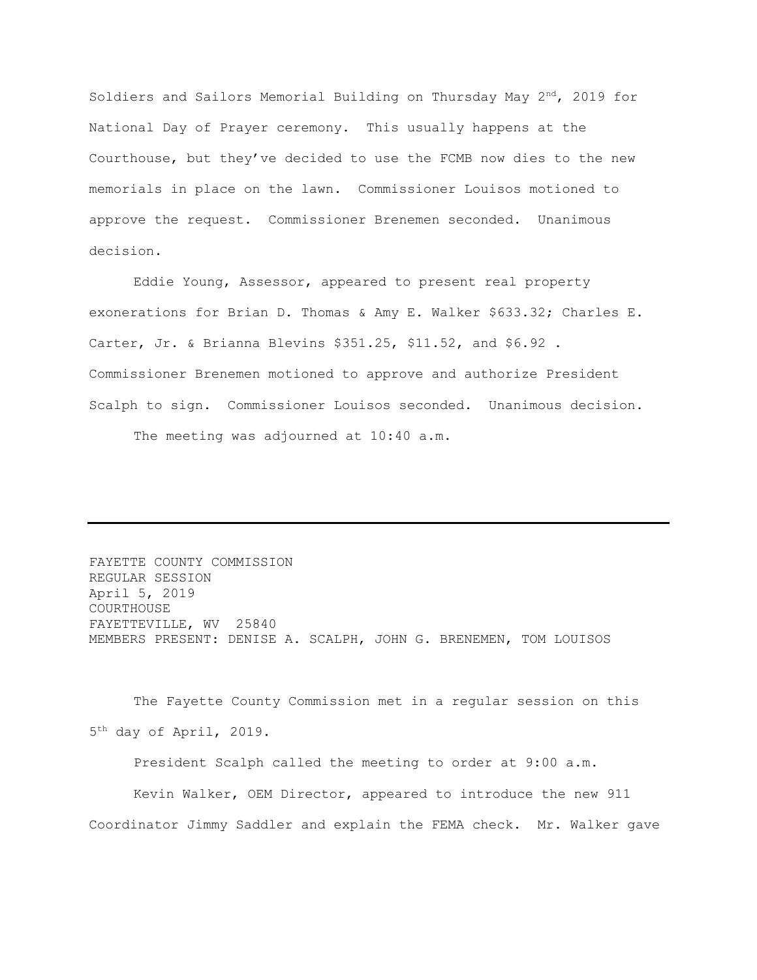Soldiers and Sailors Memorial Building on Thursday May  $2<sup>nd</sup>$ , 2019 for National Day of Prayer ceremony. This usually happens at the Courthouse, but they've decided to use the FCMB now dies to the new memorials in place on the lawn. Commissioner Louisos motioned to approve the request. Commissioner Brenemen seconded. Unanimous decision.

Eddie Young, Assessor, appeared to present real property exonerations for Brian D. Thomas & Amy E. Walker \$633.32; Charles E. Carter, Jr. & Brianna Blevins \$351.25, \$11.52, and \$6.92 . Commissioner Brenemen motioned to approve and authorize President Scalph to sign. Commissioner Louisos seconded. Unanimous decision. The meeting was adjourned at 10:40 a.m.

FAYETTE COUNTY COMMISSION REGULAR SESSION April 5, 2019 COURTHOUSE FAYETTEVILLE, WV 25840 MEMBERS PRESENT: DENISE A. SCALPH, JOHN G. BRENEMEN, TOM LOUISOS

The Fayette County Commission met in a regular session on this 5 th day of April, 2019.

President Scalph called the meeting to order at 9:00 a.m.

Kevin Walker, OEM Director, appeared to introduce the new 911 Coordinator Jimmy Saddler and explain the FEMA check. Mr. Walker gave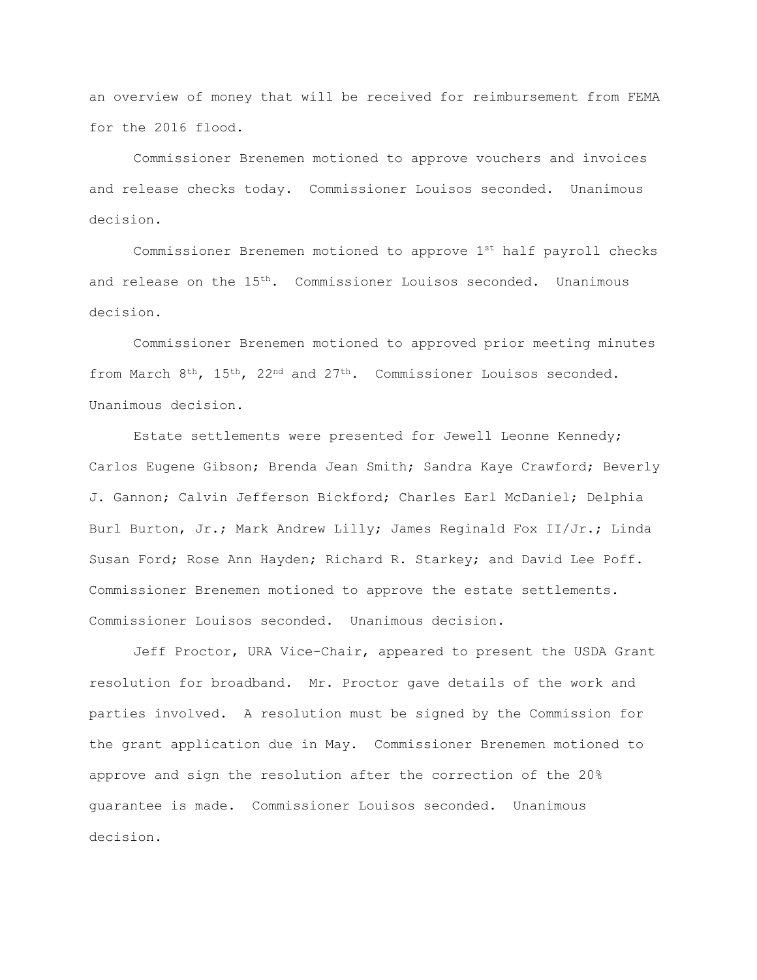an overview of money that will be received for reimbursement from FEMA for the 2016 flood.

Commissioner Brenemen motioned to approve vouchers and invoices and release checks today. Commissioner Louisos seconded. Unanimous decision.

Commissioner Brenemen motioned to approve 1st half payroll checks and release on the  $15<sup>th</sup>$ . Commissioner Louisos seconded. Unanimous decision.

Commissioner Brenemen motioned to approved prior meeting minutes from March 8<sup>th</sup>, 15<sup>th</sup>, 22<sup>nd</sup> and 27<sup>th</sup>. Commissioner Louisos seconded. Unanimous decision.

Estate settlements were presented for Jewell Leonne Kennedy; Carlos Eugene Gibson; Brenda Jean Smith; Sandra Kaye Crawford; Beverly J. Gannon; Calvin Jefferson Bickford; Charles Earl McDaniel; Delphia Burl Burton, Jr.; Mark Andrew Lilly; James Reginald Fox II/Jr.; Linda Susan Ford; Rose Ann Hayden; Richard R. Starkey; and David Lee Poff. Commissioner Brenemen motioned to approve the estate settlements. Commissioner Louisos seconded. Unanimous decision.

Jeff Proctor, URA Vice-Chair, appeared to present the USDA Grant resolution for broadband. Mr. Proctor gave details of the work and parties involved. A resolution must be signed by the Commission for the grant application due in May. Commissioner Brenemen motioned to approve and sign the resolution after the correction of the 20% guarantee is made. Commissioner Louisos seconded. Unanimous decision.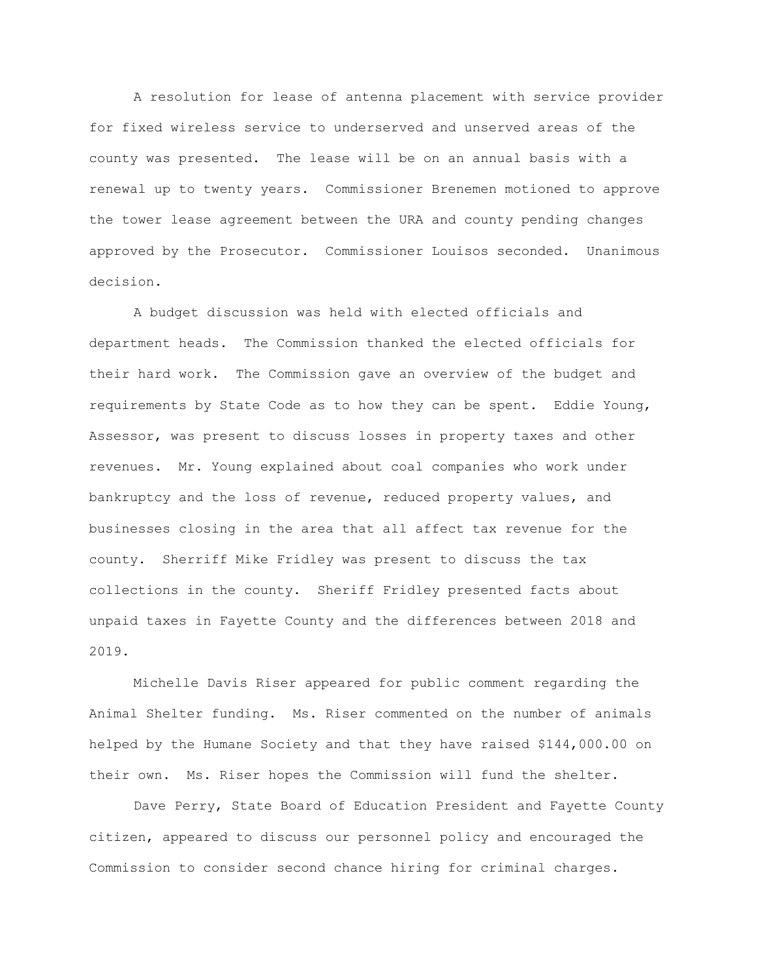A resolution for lease of antenna placement with service provider for fixed wireless service to underserved and unserved areas of the county was presented. The lease will be on an annual basis with a renewal up to twenty years. Commissioner Brenemen motioned to approve the tower lease agreement between the URA and county pending changes approved by the Prosecutor. Commissioner Louisos seconded. Unanimous decision.

A budget discussion was held with elected officials and department heads. The Commission thanked the elected officials for their hard work. The Commission gave an overview of the budget and requirements by State Code as to how they can be spent. Eddie Young, Assessor, was present to discuss losses in property taxes and other revenues. Mr. Young explained about coal companies who work under bankruptcy and the loss of revenue, reduced property values, and businesses closing in the area that all affect tax revenue for the county. Sherriff Mike Fridley was present to discuss the tax collections in the county. Sheriff Fridley presented facts about unpaid taxes in Fayette County and the differences between 2018 and 2019.

Michelle Davis Riser appeared for public comment regarding the Animal Shelter funding. Ms. Riser commented on the number of animals helped by the Humane Society and that they have raised \$144,000.00 on their own. Ms. Riser hopes the Commission will fund the shelter.

Dave Perry, State Board of Education President and Fayette County citizen, appeared to discuss our personnel policy and encouraged the Commission to consider second chance hiring for criminal charges.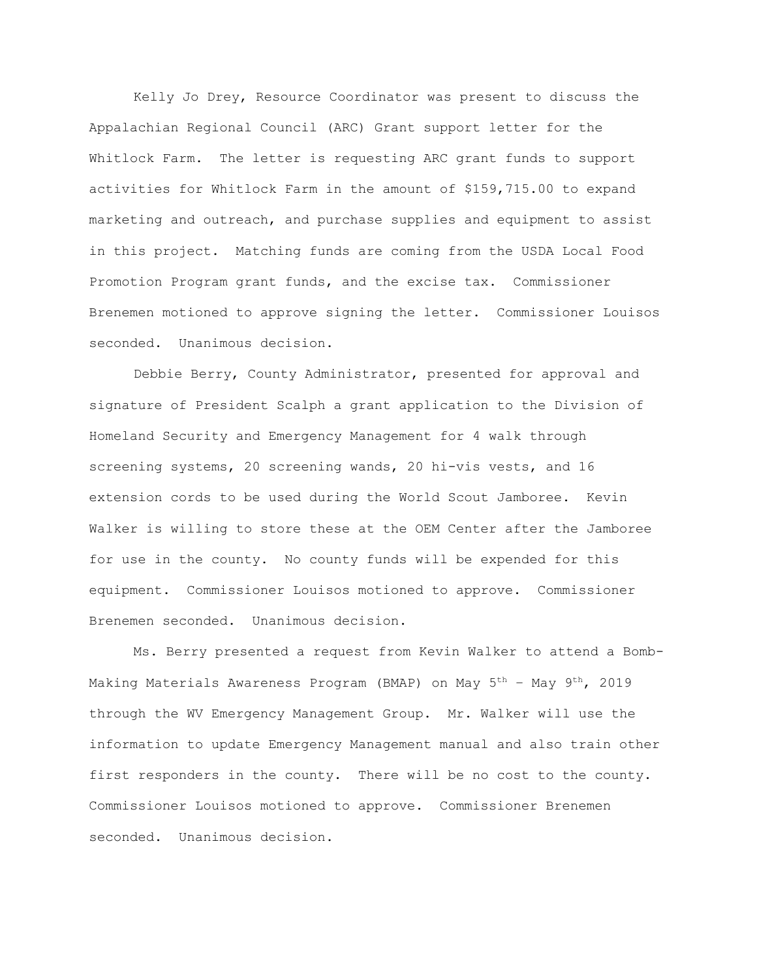Kelly Jo Drey, Resource Coordinator was present to discuss the Appalachian Regional Council (ARC) Grant support letter for the Whitlock Farm. The letter is requesting ARC grant funds to support activities for Whitlock Farm in the amount of \$159,715.00 to expand marketing and outreach, and purchase supplies and equipment to assist in this project. Matching funds are coming from the USDA Local Food Promotion Program grant funds, and the excise tax. Commissioner Brenemen motioned to approve signing the letter. Commissioner Louisos seconded. Unanimous decision.

Debbie Berry, County Administrator, presented for approval and signature of President Scalph a grant application to the Division of Homeland Security and Emergency Management for 4 walk through screening systems, 20 screening wands, 20 hi-vis vests, and 16 extension cords to be used during the World Scout Jamboree. Kevin Walker is willing to store these at the OEM Center after the Jamboree for use in the county. No county funds will be expended for this equipment. Commissioner Louisos motioned to approve. Commissioner Brenemen seconded. Unanimous decision.

Ms. Berry presented a request from Kevin Walker to attend a Bomb-Making Materials Awareness Program (BMAP) on May 5th – May 9th, 2019 through the WV Emergency Management Group. Mr. Walker will use the information to update Emergency Management manual and also train other first responders in the county. There will be no cost to the county. Commissioner Louisos motioned to approve. Commissioner Brenemen seconded. Unanimous decision.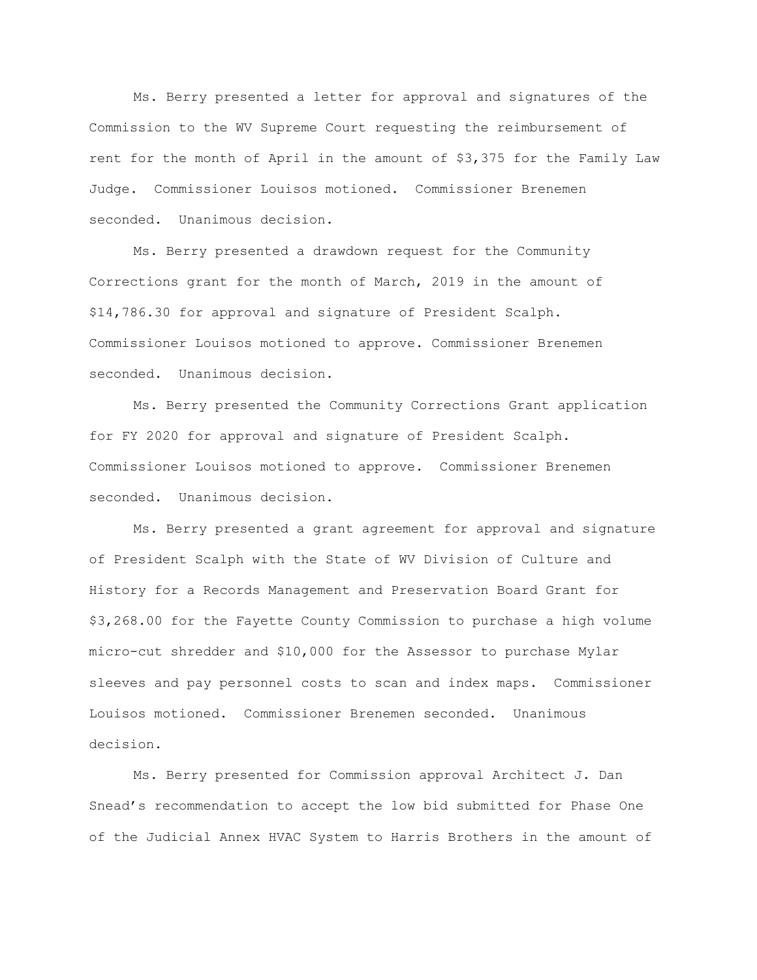Ms. Berry presented a letter for approval and signatures of the Commission to the WV Supreme Court requesting the reimbursement of rent for the month of April in the amount of \$3,375 for the Family Law Judge. Commissioner Louisos motioned. Commissioner Brenemen seconded. Unanimous decision.

Ms. Berry presented a drawdown request for the Community Corrections grant for the month of March, 2019 in the amount of \$14,786.30 for approval and signature of President Scalph. Commissioner Louisos motioned to approve. Commissioner Brenemen seconded. Unanimous decision.

Ms. Berry presented the Community Corrections Grant application for FY 2020 for approval and signature of President Scalph. Commissioner Louisos motioned to approve. Commissioner Brenemen seconded. Unanimous decision.

Ms. Berry presented a grant agreement for approval and signature of President Scalph with the State of WV Division of Culture and History for a Records Management and Preservation Board Grant for \$3,268.00 for the Fayette County Commission to purchase a high volume micro-cut shredder and \$10,000 for the Assessor to purchase Mylar sleeves and pay personnel costs to scan and index maps. Commissioner Louisos motioned. Commissioner Brenemen seconded. Unanimous decision.

Ms. Berry presented for Commission approval Architect J. Dan Snead's recommendation to accept the low bid submitted for Phase One of the Judicial Annex HVAC System to Harris Brothers in the amount of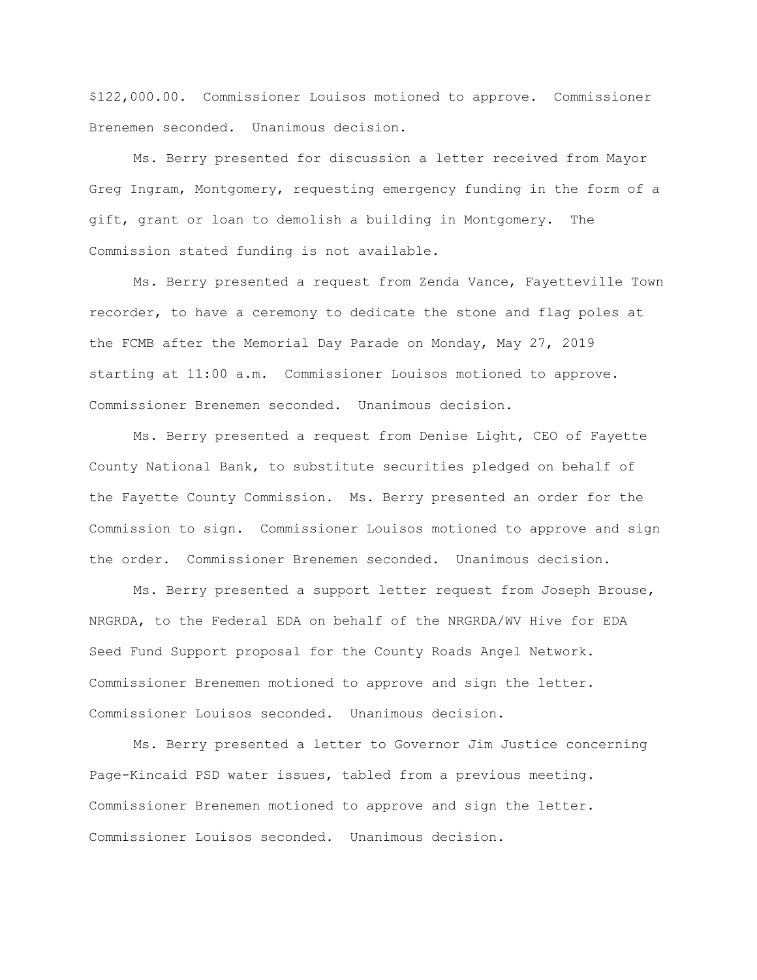\$122,000.00. Commissioner Louisos motioned to approve. Commissioner Brenemen seconded. Unanimous decision.

Ms. Berry presented for discussion a letter received from Mayor Greg Ingram, Montgomery, requesting emergency funding in the form of a gift, grant or loan to demolish a building in Montgomery. The Commission stated funding is not available.

Ms. Berry presented a request from Zenda Vance, Fayetteville Town recorder, to have a ceremony to dedicate the stone and flag poles at the FCMB after the Memorial Day Parade on Monday, May 27, 2019 starting at 11:00 a.m. Commissioner Louisos motioned to approve. Commissioner Brenemen seconded. Unanimous decision.

Ms. Berry presented a request from Denise Light, CEO of Fayette County National Bank, to substitute securities pledged on behalf of the Fayette County Commission. Ms. Berry presented an order for the Commission to sign. Commissioner Louisos motioned to approve and sign the order. Commissioner Brenemen seconded. Unanimous decision.

Ms. Berry presented a support letter request from Joseph Brouse, NRGRDA, to the Federal EDA on behalf of the NRGRDA/WV Hive for EDA Seed Fund Support proposal for the County Roads Angel Network. Commissioner Brenemen motioned to approve and sign the letter. Commissioner Louisos seconded. Unanimous decision.

Ms. Berry presented a letter to Governor Jim Justice concerning Page-Kincaid PSD water issues, tabled from a previous meeting. Commissioner Brenemen motioned to approve and sign the letter. Commissioner Louisos seconded. Unanimous decision.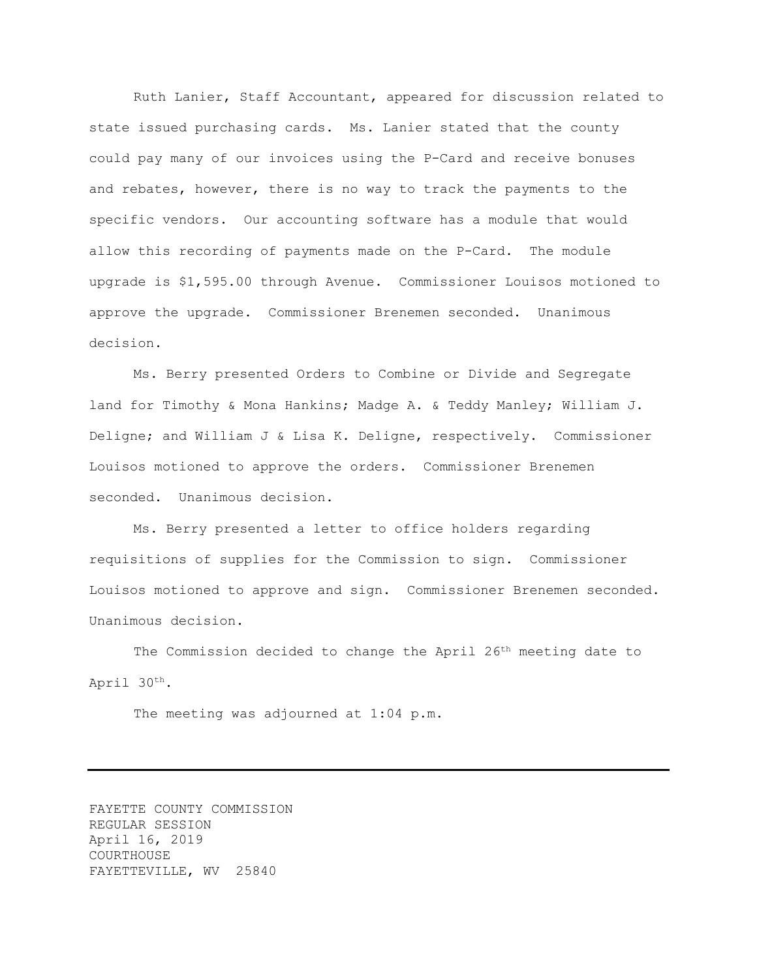Ruth Lanier, Staff Accountant, appeared for discussion related to state issued purchasing cards. Ms. Lanier stated that the county could pay many of our invoices using the P-Card and receive bonuses and rebates, however, there is no way to track the payments to the specific vendors. Our accounting software has a module that would allow this recording of payments made on the P-Card. The module upgrade is \$1,595.00 through Avenue. Commissioner Louisos motioned to approve the upgrade. Commissioner Brenemen seconded. Unanimous decision.

Ms. Berry presented Orders to Combine or Divide and Segregate land for Timothy & Mona Hankins; Madge A. & Teddy Manley; William J. Deligne; and William J & Lisa K. Deligne, respectively. Commissioner Louisos motioned to approve the orders. Commissioner Brenemen seconded. Unanimous decision.

Ms. Berry presented a letter to office holders regarding requisitions of supplies for the Commission to sign. Commissioner Louisos motioned to approve and sign. Commissioner Brenemen seconded. Unanimous decision.

The Commission decided to change the April 26<sup>th</sup> meeting date to April 30th.

The meeting was adjourned at 1:04 p.m.

FAYETTE COUNTY COMMISSION REGULAR SESSION April 16, 2019 COURTHOUSE FAYETTEVILLE, WV 25840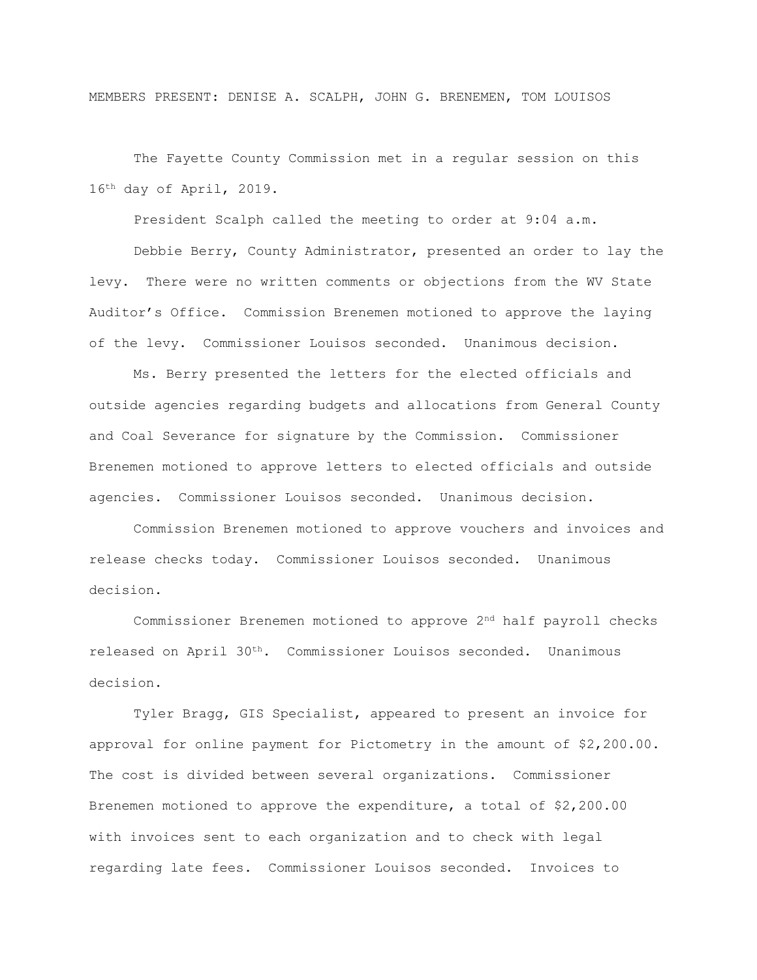MEMBERS PRESENT: DENISE A. SCALPH, JOHN G. BRENEMEN, TOM LOUISOS

The Fayette County Commission met in a regular session on this 16th day of April, 2019.

President Scalph called the meeting to order at 9:04 a.m.

Debbie Berry, County Administrator, presented an order to lay the levy. There were no written comments or objections from the WV State Auditor's Office. Commission Brenemen motioned to approve the laying of the levy. Commissioner Louisos seconded. Unanimous decision.

Ms. Berry presented the letters for the elected officials and outside agencies regarding budgets and allocations from General County and Coal Severance for signature by the Commission. Commissioner Brenemen motioned to approve letters to elected officials and outside agencies. Commissioner Louisos seconded. Unanimous decision.

Commission Brenemen motioned to approve vouchers and invoices and release checks today. Commissioner Louisos seconded. Unanimous decision.

Commissioner Brenemen motioned to approve 2nd half payroll checks released on April 30<sup>th</sup>. Commissioner Louisos seconded. Unanimous decision.

Tyler Bragg, GIS Specialist, appeared to present an invoice for approval for online payment for Pictometry in the amount of \$2,200.00. The cost is divided between several organizations. Commissioner Brenemen motioned to approve the expenditure, a total of \$2,200.00 with invoices sent to each organization and to check with legal regarding late fees. Commissioner Louisos seconded. Invoices to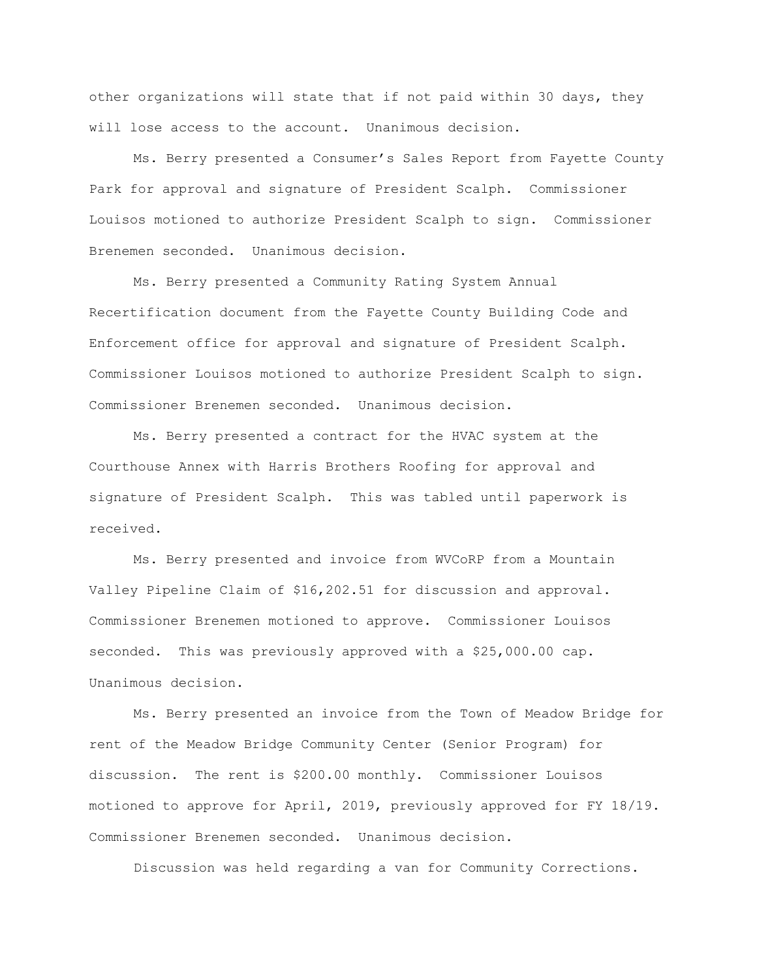other organizations will state that if not paid within 30 days, they will lose access to the account. Unanimous decision.

Ms. Berry presented a Consumer's Sales Report from Fayette County Park for approval and signature of President Scalph. Commissioner Louisos motioned to authorize President Scalph to sign. Commissioner Brenemen seconded. Unanimous decision.

Ms. Berry presented a Community Rating System Annual Recertification document from the Fayette County Building Code and Enforcement office for approval and signature of President Scalph. Commissioner Louisos motioned to authorize President Scalph to sign. Commissioner Brenemen seconded. Unanimous decision.

Ms. Berry presented a contract for the HVAC system at the Courthouse Annex with Harris Brothers Roofing for approval and signature of President Scalph. This was tabled until paperwork is received.

Ms. Berry presented and invoice from WVCoRP from a Mountain Valley Pipeline Claim of \$16,202.51 for discussion and approval. Commissioner Brenemen motioned to approve. Commissioner Louisos seconded. This was previously approved with a \$25,000.00 cap. Unanimous decision.

Ms. Berry presented an invoice from the Town of Meadow Bridge for rent of the Meadow Bridge Community Center (Senior Program) for discussion. The rent is \$200.00 monthly. Commissioner Louisos motioned to approve for April, 2019, previously approved for FY 18/19. Commissioner Brenemen seconded. Unanimous decision.

Discussion was held regarding a van for Community Corrections.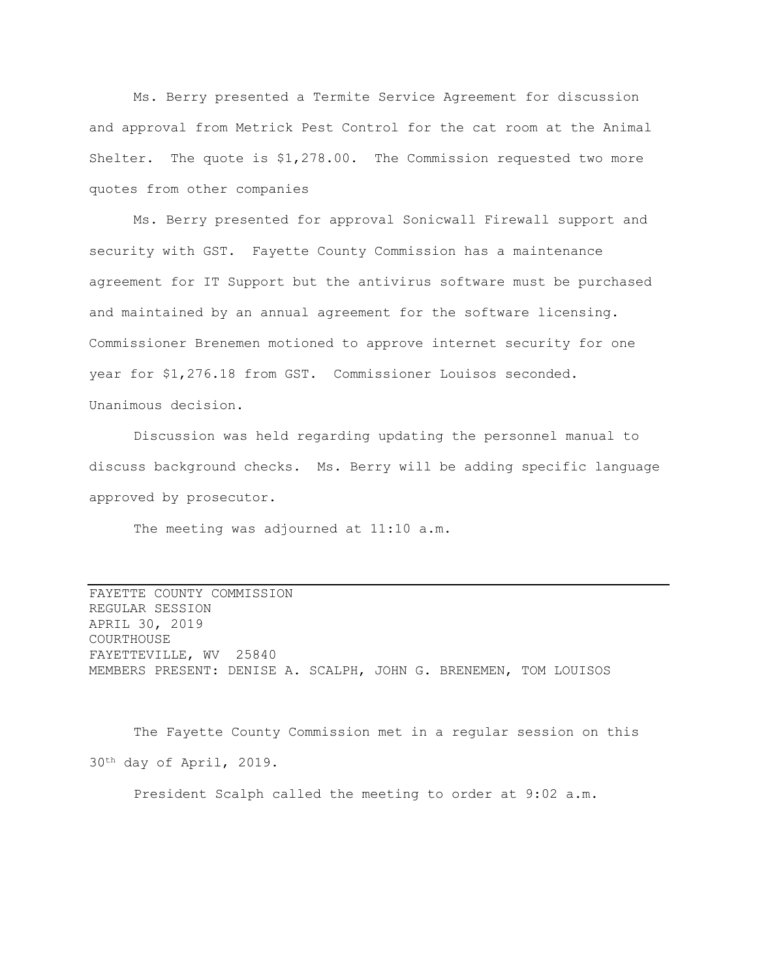Ms. Berry presented a Termite Service Agreement for discussion and approval from Metrick Pest Control for the cat room at the Animal Shelter. The quote is \$1,278.00. The Commission requested two more quotes from other companies

Ms. Berry presented for approval Sonicwall Firewall support and security with GST. Fayette County Commission has a maintenance agreement for IT Support but the antivirus software must be purchased and maintained by an annual agreement for the software licensing. Commissioner Brenemen motioned to approve internet security for one year for \$1,276.18 from GST. Commissioner Louisos seconded. Unanimous decision.

Discussion was held regarding updating the personnel manual to discuss background checks. Ms. Berry will be adding specific language approved by prosecutor.

The meeting was adjourned at 11:10 a.m.

FAYETTE COUNTY COMMISSION REGULAR SESSION APRIL 30, 2019 COURTHOUSE FAYETTEVILLE, WV 25840 MEMBERS PRESENT: DENISE A. SCALPH, JOHN G. BRENEMEN, TOM LOUISOS

The Fayette County Commission met in a regular session on this 30th day of April, 2019.

President Scalph called the meeting to order at 9:02 a.m.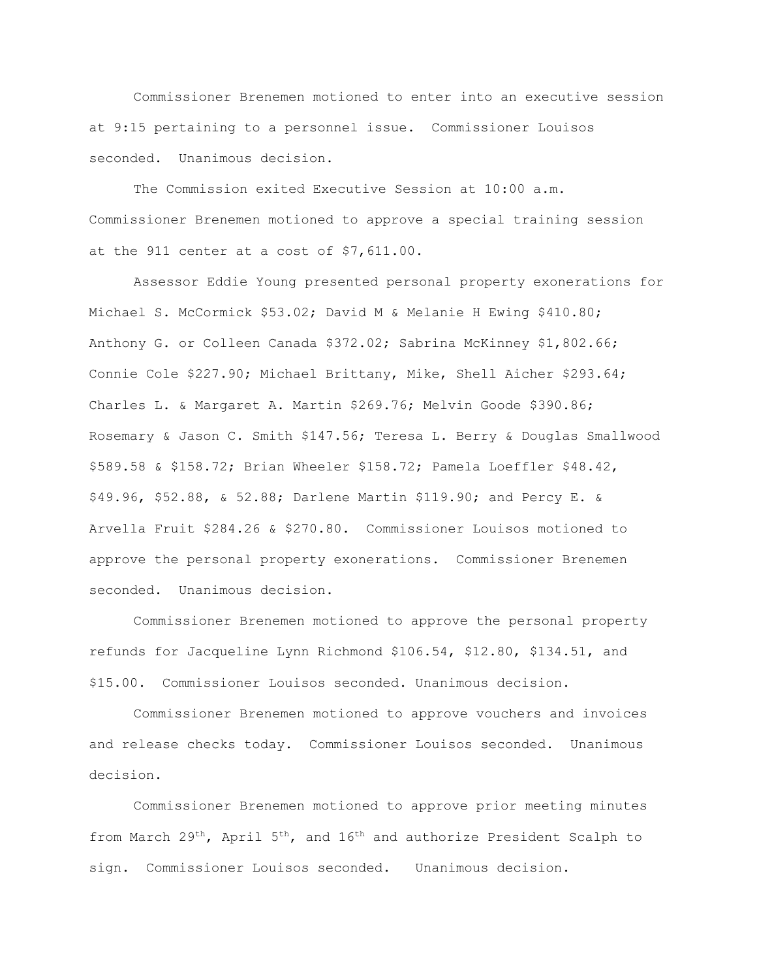Commissioner Brenemen motioned to enter into an executive session at 9:15 pertaining to a personnel issue. Commissioner Louisos seconded. Unanimous decision.

The Commission exited Executive Session at 10:00 a.m. Commissioner Brenemen motioned to approve a special training session at the 911 center at a cost of \$7,611.00.

Assessor Eddie Young presented personal property exonerations for Michael S. McCormick \$53.02; David M & Melanie H Ewing \$410.80; Anthony G. or Colleen Canada \$372.02; Sabrina McKinney \$1,802.66; Connie Cole \$227.90; Michael Brittany, Mike, Shell Aicher \$293.64; Charles L. & Margaret A. Martin \$269.76; Melvin Goode \$390.86; Rosemary & Jason C. Smith \$147.56; Teresa L. Berry & Douglas Smallwood \$589.58 & \$158.72; Brian Wheeler \$158.72; Pamela Loeffler \$48.42, \$49.96, \$52.88, & 52.88; Darlene Martin \$119.90; and Percy E. & Arvella Fruit \$284.26 & \$270.80. Commissioner Louisos motioned to approve the personal property exonerations. Commissioner Brenemen seconded. Unanimous decision.

Commissioner Brenemen motioned to approve the personal property refunds for Jacqueline Lynn Richmond \$106.54, \$12.80, \$134.51, and \$15.00. Commissioner Louisos seconded. Unanimous decision.

Commissioner Brenemen motioned to approve vouchers and invoices and release checks today. Commissioner Louisos seconded. Unanimous decision.

Commissioner Brenemen motioned to approve prior meeting minutes from March 29<sup>th</sup>, April 5<sup>th</sup>, and 16<sup>th</sup> and authorize President Scalph to sign. Commissioner Louisos seconded. Unanimous decision.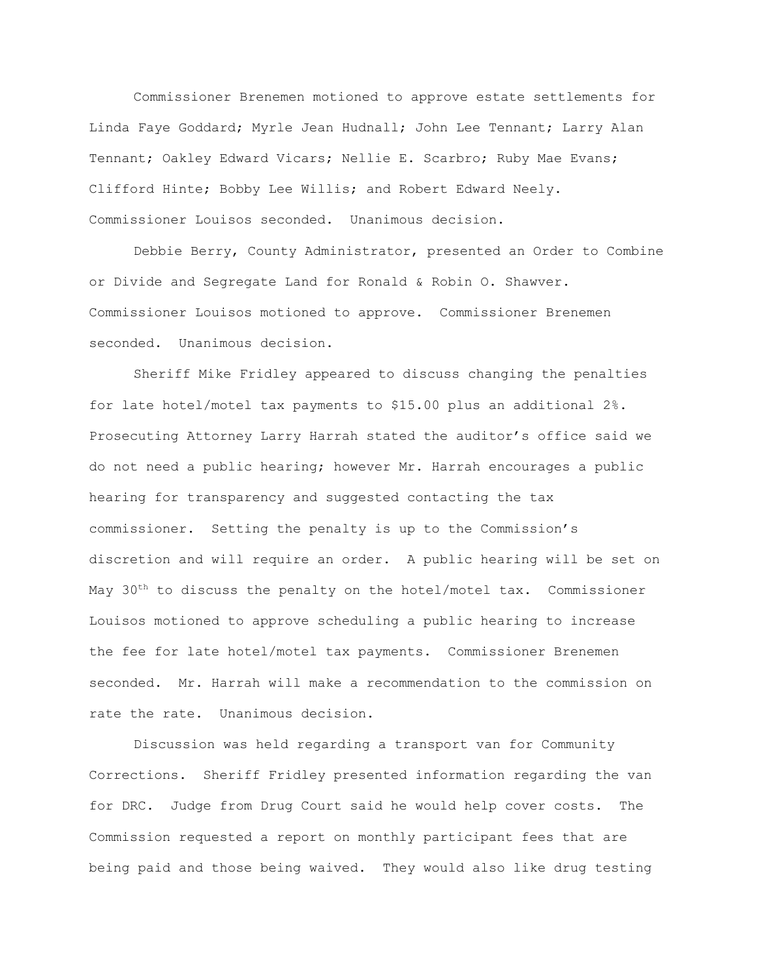Commissioner Brenemen motioned to approve estate settlements for Linda Faye Goddard; Myrle Jean Hudnall; John Lee Tennant; Larry Alan Tennant; Oakley Edward Vicars; Nellie E. Scarbro; Ruby Mae Evans; Clifford Hinte; Bobby Lee Willis; and Robert Edward Neely. Commissioner Louisos seconded. Unanimous decision.

Debbie Berry, County Administrator, presented an Order to Combine or Divide and Segregate Land for Ronald & Robin O. Shawver. Commissioner Louisos motioned to approve. Commissioner Brenemen seconded. Unanimous decision.

Sheriff Mike Fridley appeared to discuss changing the penalties for late hotel/motel tax payments to \$15.00 plus an additional 2%. Prosecuting Attorney Larry Harrah stated the auditor's office said we do not need a public hearing; however Mr. Harrah encourages a public hearing for transparency and suggested contacting the tax commissioner. Setting the penalty is up to the Commission's discretion and will require an order. A public hearing will be set on May  $30<sup>th</sup>$  to discuss the penalty on the hotel/motel tax. Commissioner Louisos motioned to approve scheduling a public hearing to increase the fee for late hotel/motel tax payments. Commissioner Brenemen seconded. Mr. Harrah will make a recommendation to the commission on rate the rate. Unanimous decision.

Discussion was held regarding a transport van for Community Corrections. Sheriff Fridley presented information regarding the van for DRC. Judge from Drug Court said he would help cover costs. The Commission requested a report on monthly participant fees that are being paid and those being waived. They would also like drug testing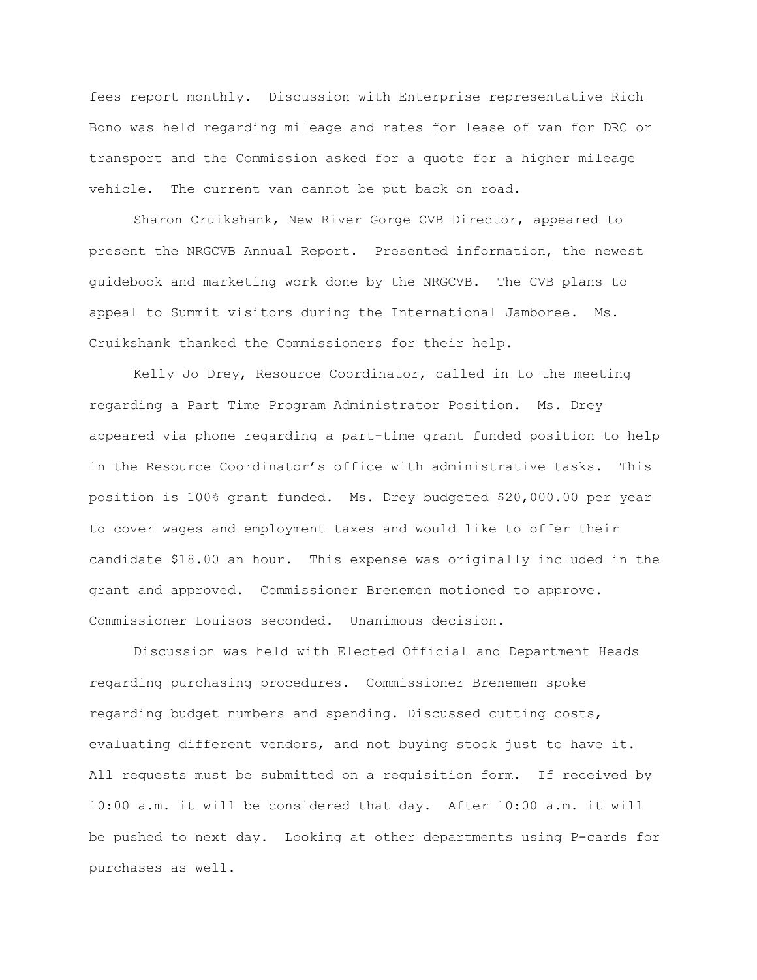fees report monthly. Discussion with Enterprise representative Rich Bono was held regarding mileage and rates for lease of van for DRC or transport and the Commission asked for a quote for a higher mileage vehicle. The current van cannot be put back on road.

Sharon Cruikshank, New River Gorge CVB Director, appeared to present the NRGCVB Annual Report. Presented information, the newest guidebook and marketing work done by the NRGCVB. The CVB plans to appeal to Summit visitors during the International Jamboree. Ms. Cruikshank thanked the Commissioners for their help.

Kelly Jo Drey, Resource Coordinator, called in to the meeting regarding a Part Time Program Administrator Position. Ms. Drey appeared via phone regarding a part-time grant funded position to help in the Resource Coordinator's office with administrative tasks. This position is 100% grant funded. Ms. Drey budgeted \$20,000.00 per year to cover wages and employment taxes and would like to offer their candidate \$18.00 an hour. This expense was originally included in the grant and approved. Commissioner Brenemen motioned to approve. Commissioner Louisos seconded. Unanimous decision.

Discussion was held with Elected Official and Department Heads regarding purchasing procedures. Commissioner Brenemen spoke regarding budget numbers and spending. Discussed cutting costs, evaluating different vendors, and not buying stock just to have it. All requests must be submitted on a requisition form. If received by 10:00 a.m. it will be considered that day. After 10:00 a.m. it will be pushed to next day. Looking at other departments using P-cards for purchases as well.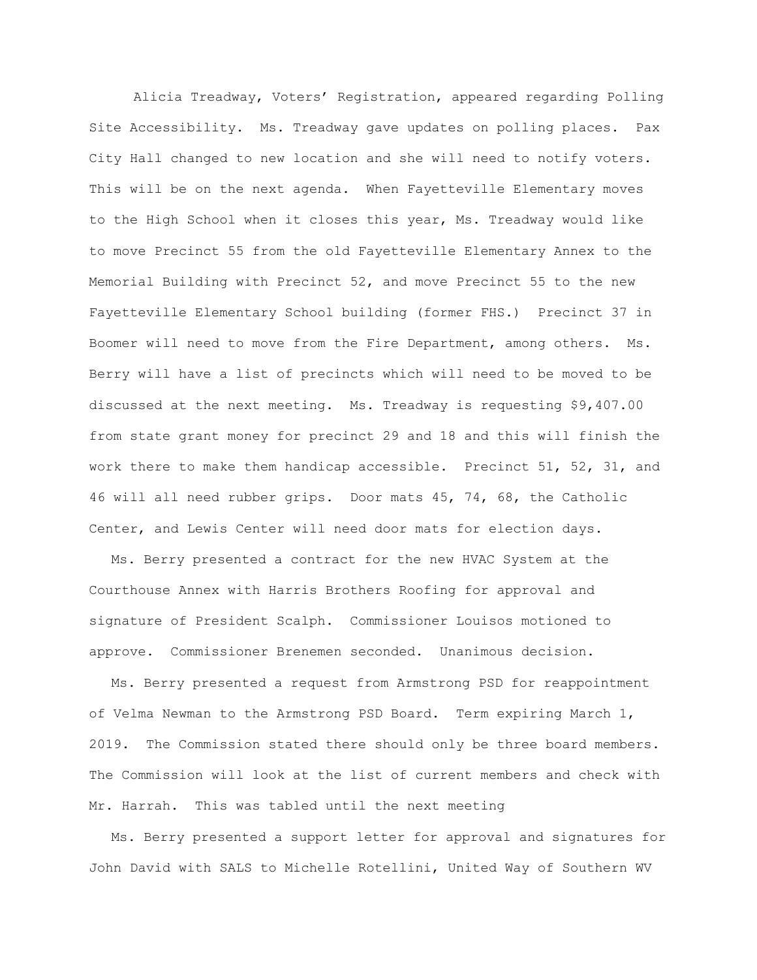Alicia Treadway, Voters' Registration, appeared regarding Polling Site Accessibility. Ms. Treadway gave updates on polling places. Pax City Hall changed to new location and she will need to notify voters. This will be on the next agenda. When Fayetteville Elementary moves to the High School when it closes this year, Ms. Treadway would like to move Precinct 55 from the old Fayetteville Elementary Annex to the Memorial Building with Precinct 52, and move Precinct 55 to the new Fayetteville Elementary School building (former FHS.) Precinct 37 in Boomer will need to move from the Fire Department, among others. Ms. Berry will have a list of precincts which will need to be moved to be discussed at the next meeting. Ms. Treadway is requesting \$9,407.00 from state grant money for precinct 29 and 18 and this will finish the work there to make them handicap accessible. Precinct 51, 52, 31, and 46 will all need rubber grips. Door mats 45, 74, 68, the Catholic Center, and Lewis Center will need door mats for election days.

Ms. Berry presented a contract for the new HVAC System at the Courthouse Annex with Harris Brothers Roofing for approval and signature of President Scalph. Commissioner Louisos motioned to approve. Commissioner Brenemen seconded. Unanimous decision.

Ms. Berry presented a request from Armstrong PSD for reappointment of Velma Newman to the Armstrong PSD Board. Term expiring March 1, 2019. The Commission stated there should only be three board members. The Commission will look at the list of current members and check with Mr. Harrah. This was tabled until the next meeting

Ms. Berry presented a support letter for approval and signatures for John David with SALS to Michelle Rotellini, United Way of Southern WV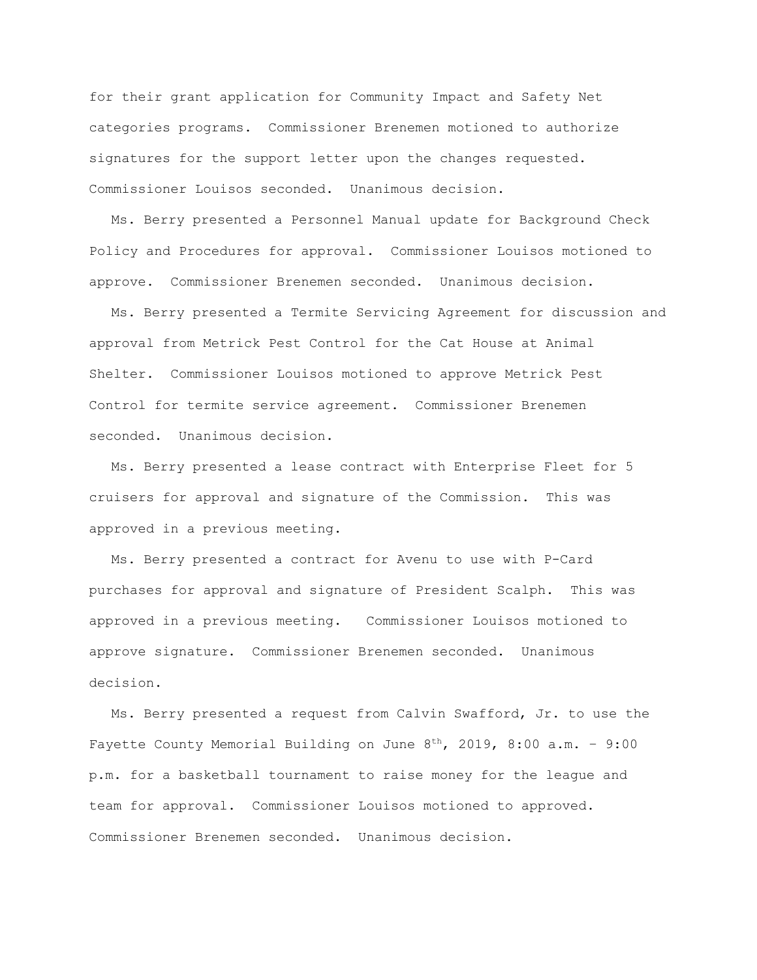for their grant application for Community Impact and Safety Net categories programs. Commissioner Brenemen motioned to authorize signatures for the support letter upon the changes requested. Commissioner Louisos seconded. Unanimous decision.

Ms. Berry presented a Personnel Manual update for Background Check Policy and Procedures for approval. Commissioner Louisos motioned to approve. Commissioner Brenemen seconded. Unanimous decision.

Ms. Berry presented a Termite Servicing Agreement for discussion and approval from Metrick Pest Control for the Cat House at Animal Shelter. Commissioner Louisos motioned to approve Metrick Pest Control for termite service agreement. Commissioner Brenemen seconded. Unanimous decision.

Ms. Berry presented a lease contract with Enterprise Fleet for 5 cruisers for approval and signature of the Commission. This was approved in a previous meeting.

Ms. Berry presented a contract for Avenu to use with P-Card purchases for approval and signature of President Scalph. This was approved in a previous meeting. Commissioner Louisos motioned to approve signature. Commissioner Brenemen seconded. Unanimous decision.

Ms. Berry presented a request from Calvin Swafford, Jr. to use the Fayette County Memorial Building on June  $8^{th}$ , 2019, 8:00 a.m. - 9:00 p.m. for a basketball tournament to raise money for the league and team for approval. Commissioner Louisos motioned to approved. Commissioner Brenemen seconded. Unanimous decision.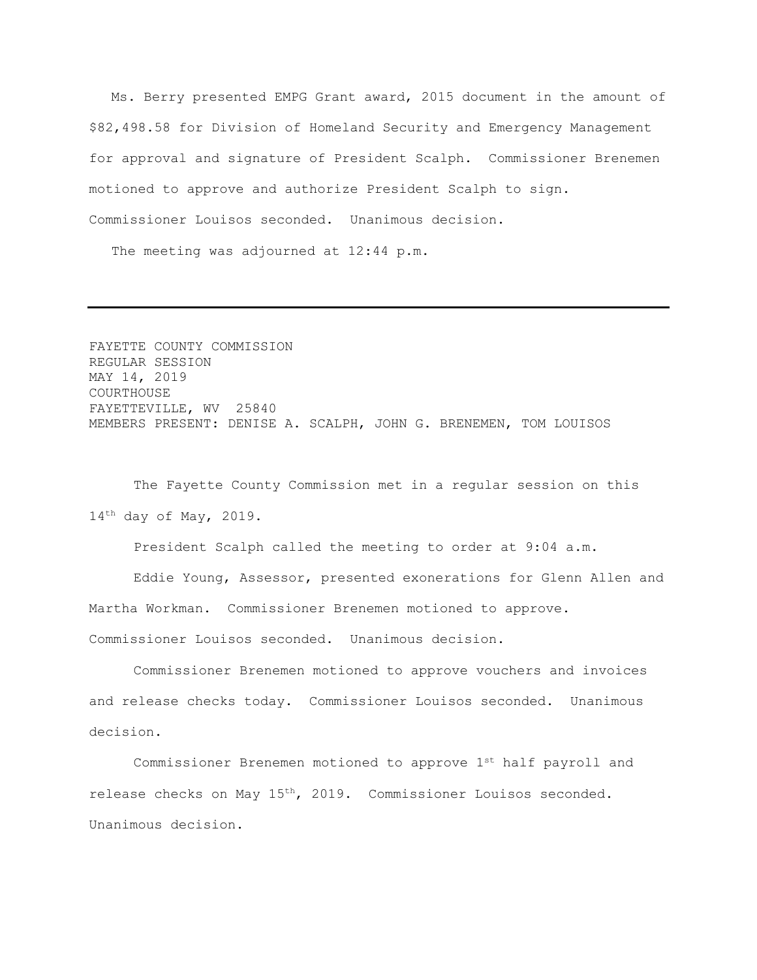Ms. Berry presented EMPG Grant award, 2015 document in the amount of \$82,498.58 for Division of Homeland Security and Emergency Management for approval and signature of President Scalph. Commissioner Brenemen motioned to approve and authorize President Scalph to sign. Commissioner Louisos seconded. Unanimous decision.

The meeting was adjourned at 12:44 p.m.

FAYETTE COUNTY COMMISSION REGULAR SESSION MAY 14, 2019 COURTHOUSE FAYETTEVILLE, WV 25840 MEMBERS PRESENT: DENISE A. SCALPH, JOHN G. BRENEMEN, TOM LOUISOS

The Fayette County Commission met in a regular session on this 14th day of May, 2019.

President Scalph called the meeting to order at 9:04 a.m.

Eddie Young, Assessor, presented exonerations for Glenn Allen and Martha Workman. Commissioner Brenemen motioned to approve. Commissioner Louisos seconded. Unanimous decision.

Commissioner Brenemen motioned to approve vouchers and invoices and release checks today. Commissioner Louisos seconded. Unanimous decision.

Commissioner Brenemen motioned to approve 1<sup>st</sup> half payroll and release checks on May 15th, 2019. Commissioner Louisos seconded. Unanimous decision.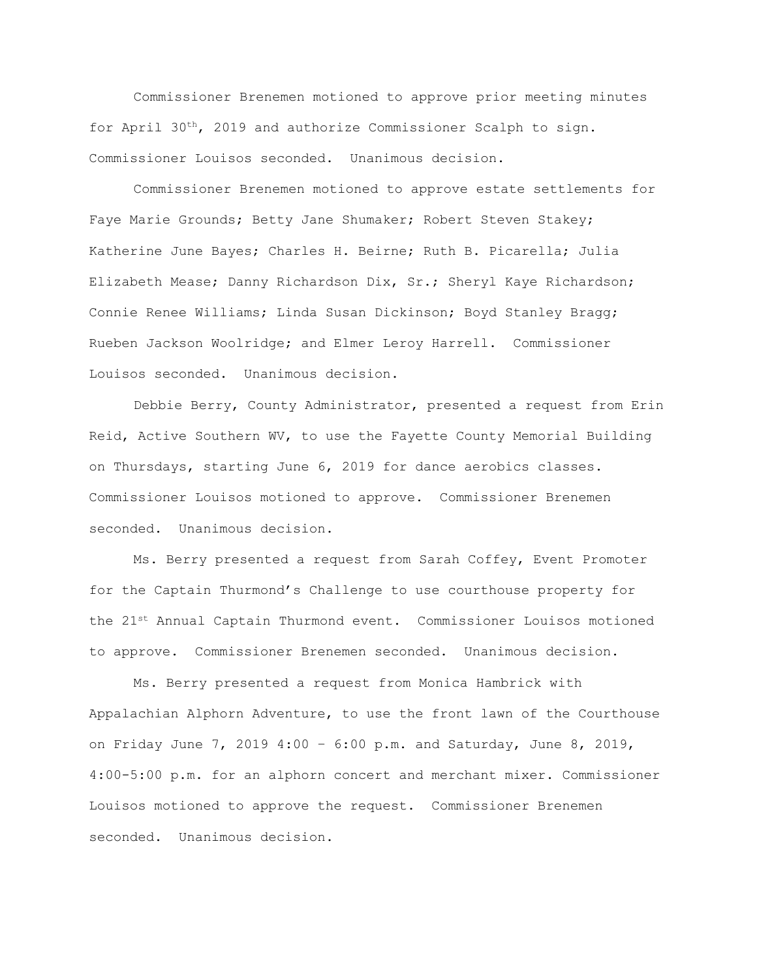Commissioner Brenemen motioned to approve prior meeting minutes for April 30th, 2019 and authorize Commissioner Scalph to sign. Commissioner Louisos seconded. Unanimous decision.

Commissioner Brenemen motioned to approve estate settlements for Faye Marie Grounds; Betty Jane Shumaker; Robert Steven Stakey; Katherine June Bayes; Charles H. Beirne; Ruth B. Picarella; Julia Elizabeth Mease; Danny Richardson Dix, Sr.; Sheryl Kaye Richardson; Connie Renee Williams; Linda Susan Dickinson; Boyd Stanley Bragg; Rueben Jackson Woolridge; and Elmer Leroy Harrell. Commissioner Louisos seconded. Unanimous decision.

Debbie Berry, County Administrator, presented a request from Erin Reid, Active Southern WV, to use the Fayette County Memorial Building on Thursdays, starting June 6, 2019 for dance aerobics classes. Commissioner Louisos motioned to approve. Commissioner Brenemen seconded. Unanimous decision.

Ms. Berry presented a request from Sarah Coffey, Event Promoter for the Captain Thurmond's Challenge to use courthouse property for the 21st Annual Captain Thurmond event. Commissioner Louisos motioned to approve. Commissioner Brenemen seconded. Unanimous decision.

Ms. Berry presented a request from Monica Hambrick with Appalachian Alphorn Adventure, to use the front lawn of the Courthouse on Friday June 7, 2019 4:00 – 6:00 p.m. and Saturday, June 8, 2019, 4:00-5:00 p.m. for an alphorn concert and merchant mixer. Commissioner Louisos motioned to approve the request. Commissioner Brenemen seconded. Unanimous decision.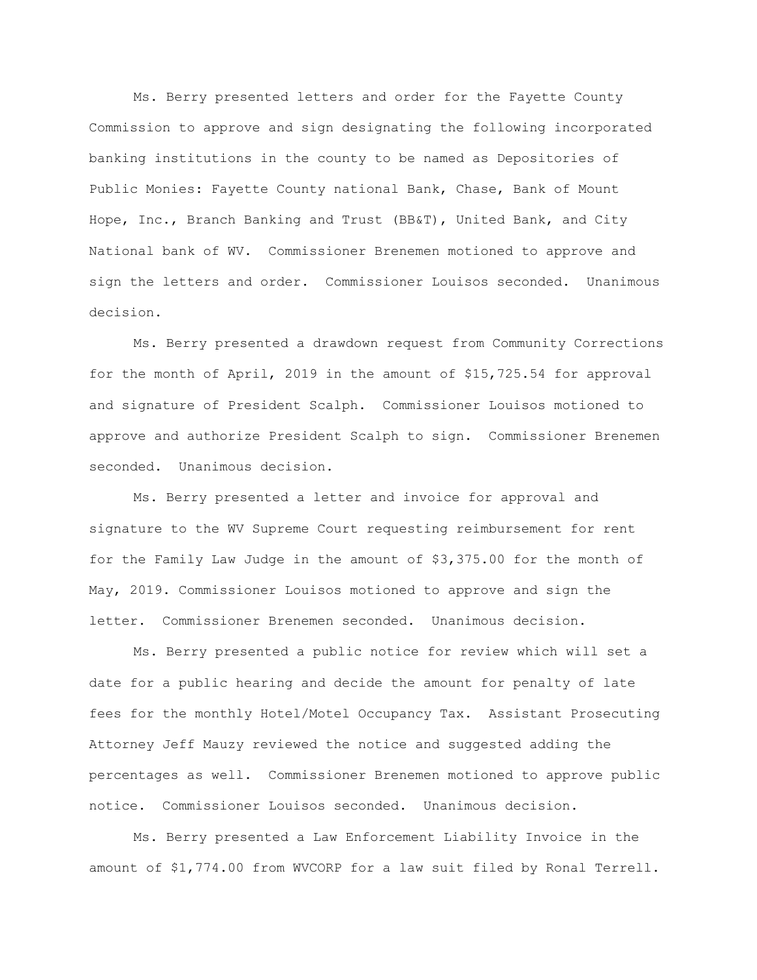Ms. Berry presented letters and order for the Fayette County Commission to approve and sign designating the following incorporated banking institutions in the county to be named as Depositories of Public Monies: Fayette County national Bank, Chase, Bank of Mount Hope, Inc., Branch Banking and Trust (BB&T), United Bank, and City National bank of WV. Commissioner Brenemen motioned to approve and sign the letters and order. Commissioner Louisos seconded. Unanimous decision.

Ms. Berry presented a drawdown request from Community Corrections for the month of April, 2019 in the amount of \$15,725.54 for approval and signature of President Scalph. Commissioner Louisos motioned to approve and authorize President Scalph to sign. Commissioner Brenemen seconded. Unanimous decision.

Ms. Berry presented a letter and invoice for approval and signature to the WV Supreme Court requesting reimbursement for rent for the Family Law Judge in the amount of \$3,375.00 for the month of May, 2019. Commissioner Louisos motioned to approve and sign the letter. Commissioner Brenemen seconded. Unanimous decision.

Ms. Berry presented a public notice for review which will set a date for a public hearing and decide the amount for penalty of late fees for the monthly Hotel/Motel Occupancy Tax. Assistant Prosecuting Attorney Jeff Mauzy reviewed the notice and suggested adding the percentages as well. Commissioner Brenemen motioned to approve public notice. Commissioner Louisos seconded. Unanimous decision.

Ms. Berry presented a Law Enforcement Liability Invoice in the amount of \$1,774.00 from WVCORP for a law suit filed by Ronal Terrell.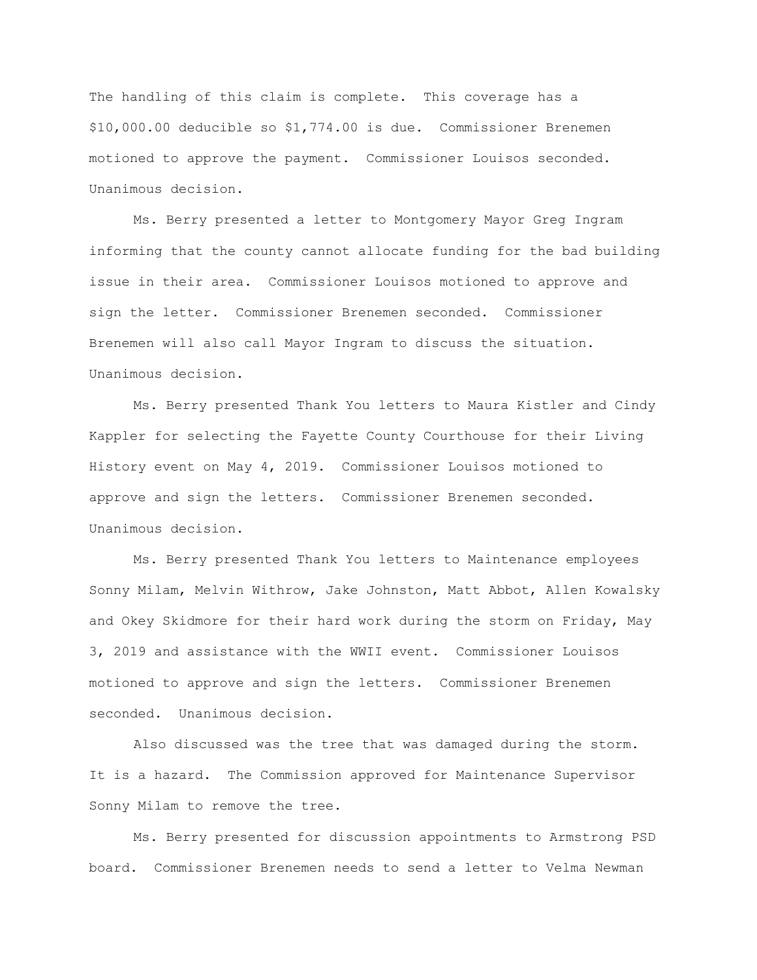The handling of this claim is complete. This coverage has a \$10,000.00 deducible so \$1,774.00 is due. Commissioner Brenemen motioned to approve the payment. Commissioner Louisos seconded. Unanimous decision.

Ms. Berry presented a letter to Montgomery Mayor Greg Ingram informing that the county cannot allocate funding for the bad building issue in their area. Commissioner Louisos motioned to approve and sign the letter. Commissioner Brenemen seconded. Commissioner Brenemen will also call Mayor Ingram to discuss the situation. Unanimous decision.

Ms. Berry presented Thank You letters to Maura Kistler and Cindy Kappler for selecting the Fayette County Courthouse for their Living History event on May 4, 2019. Commissioner Louisos motioned to approve and sign the letters. Commissioner Brenemen seconded. Unanimous decision.

Ms. Berry presented Thank You letters to Maintenance employees Sonny Milam, Melvin Withrow, Jake Johnston, Matt Abbot, Allen Kowalsky and Okey Skidmore for their hard work during the storm on Friday, May 3, 2019 and assistance with the WWII event. Commissioner Louisos motioned to approve and sign the letters. Commissioner Brenemen seconded. Unanimous decision.

Also discussed was the tree that was damaged during the storm. It is a hazard. The Commission approved for Maintenance Supervisor Sonny Milam to remove the tree.

Ms. Berry presented for discussion appointments to Armstrong PSD board. Commissioner Brenemen needs to send a letter to Velma Newman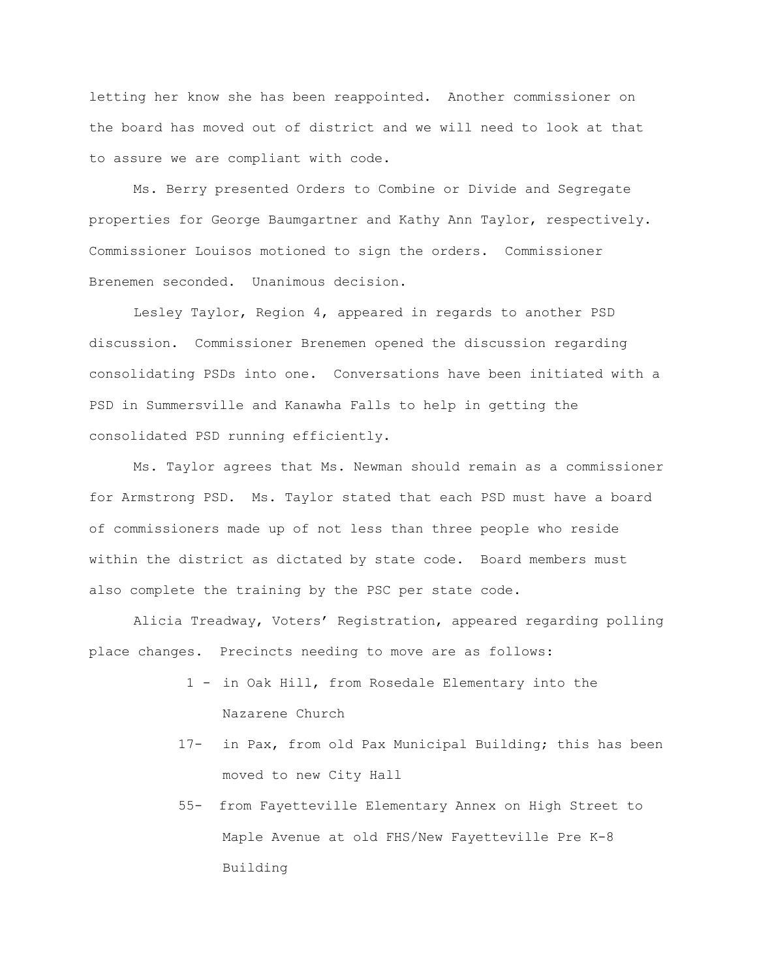letting her know she has been reappointed. Another commissioner on the board has moved out of district and we will need to look at that to assure we are compliant with code.

Ms. Berry presented Orders to Combine or Divide and Segregate properties for George Baumgartner and Kathy Ann Taylor, respectively. Commissioner Louisos motioned to sign the orders. Commissioner Brenemen seconded. Unanimous decision.

Lesley Taylor, Region 4, appeared in regards to another PSD discussion. Commissioner Brenemen opened the discussion regarding consolidating PSDs into one. Conversations have been initiated with a PSD in Summersville and Kanawha Falls to help in getting the consolidated PSD running efficiently.

Ms. Taylor agrees that Ms. Newman should remain as a commissioner for Armstrong PSD. Ms. Taylor stated that each PSD must have a board of commissioners made up of not less than three people who reside within the district as dictated by state code. Board members must also complete the training by the PSC per state code.

Alicia Treadway, Voters' Registration, appeared regarding polling place changes. Precincts needing to move are as follows:

- 1 in Oak Hill, from Rosedale Elementary into the Nazarene Church
- 17- in Pax, from old Pax Municipal Building; this has been moved to new City Hall
- 55- from Fayetteville Elementary Annex on High Street to Maple Avenue at old FHS/New Fayetteville Pre K-8 Building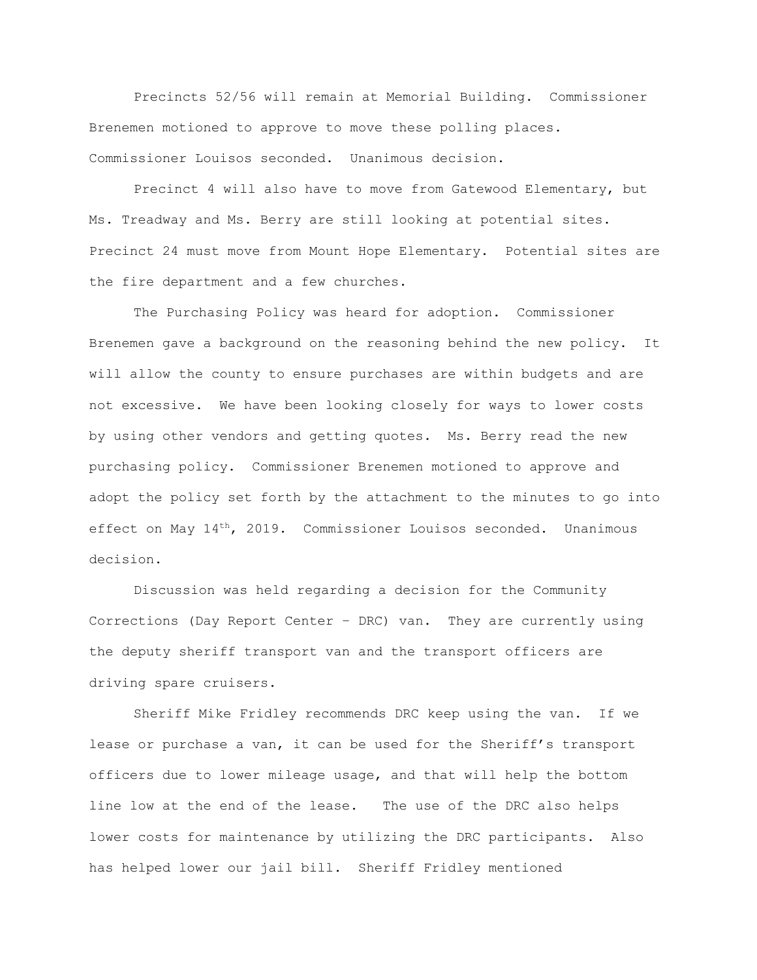Precincts 52/56 will remain at Memorial Building. Commissioner Brenemen motioned to approve to move these polling places. Commissioner Louisos seconded. Unanimous decision.

Precinct 4 will also have to move from Gatewood Elementary, but Ms. Treadway and Ms. Berry are still looking at potential sites. Precinct 24 must move from Mount Hope Elementary. Potential sites are the fire department and a few churches.

The Purchasing Policy was heard for adoption. Commissioner Brenemen gave a background on the reasoning behind the new policy. It will allow the county to ensure purchases are within budgets and are not excessive. We have been looking closely for ways to lower costs by using other vendors and getting quotes. Ms. Berry read the new purchasing policy. Commissioner Brenemen motioned to approve and adopt the policy set forth by the attachment to the minutes to go into effect on May 14<sup>th</sup>, 2019. Commissioner Louisos seconded. Unanimous decision.

Discussion was held regarding a decision for the Community Corrections (Day Report Center – DRC) van. They are currently using the deputy sheriff transport van and the transport officers are driving spare cruisers.

Sheriff Mike Fridley recommends DRC keep using the van. If we lease or purchase a van, it can be used for the Sheriff's transport officers due to lower mileage usage, and that will help the bottom line low at the end of the lease. The use of the DRC also helps lower costs for maintenance by utilizing the DRC participants. Also has helped lower our jail bill. Sheriff Fridley mentioned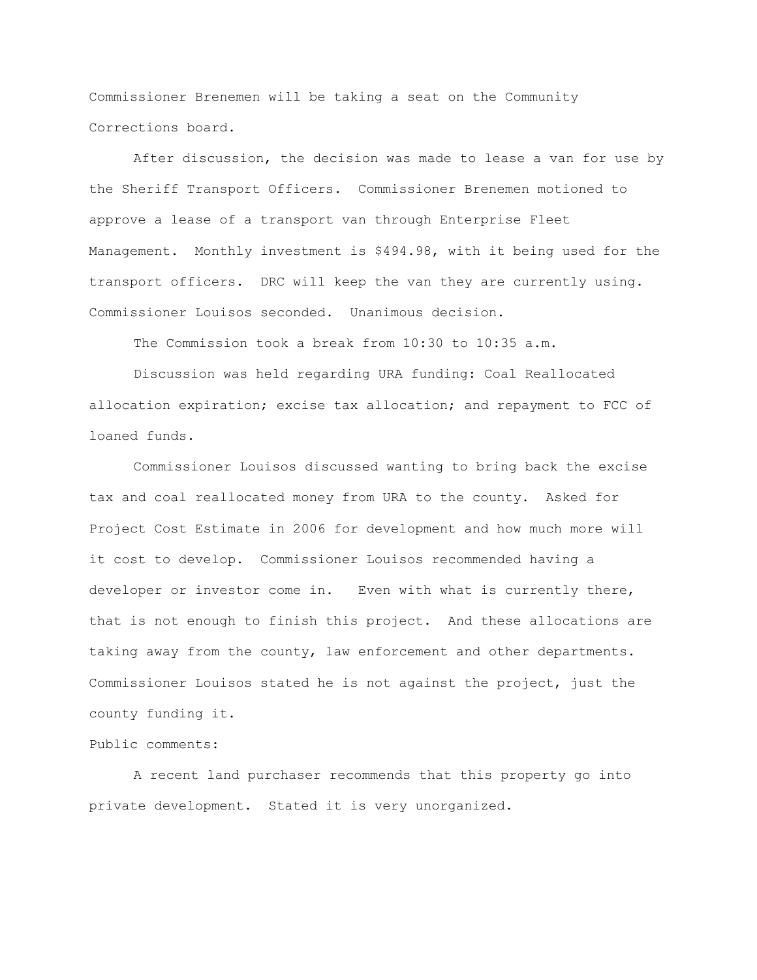Commissioner Brenemen will be taking a seat on the Community Corrections board.

After discussion, the decision was made to lease a van for use by the Sheriff Transport Officers. Commissioner Brenemen motioned to approve a lease of a transport van through Enterprise Fleet Management. Monthly investment is \$494.98, with it being used for the transport officers. DRC will keep the van they are currently using. Commissioner Louisos seconded. Unanimous decision.

The Commission took a break from 10:30 to 10:35 a.m.

Discussion was held regarding URA funding: Coal Reallocated allocation expiration; excise tax allocation; and repayment to FCC of loaned funds.

Commissioner Louisos discussed wanting to bring back the excise tax and coal reallocated money from URA to the county. Asked for Project Cost Estimate in 2006 for development and how much more will it cost to develop. Commissioner Louisos recommended having a developer or investor come in. Even with what is currently there, that is not enough to finish this project. And these allocations are taking away from the county, law enforcement and other departments. Commissioner Louisos stated he is not against the project, just the county funding it.

## Public comments:

A recent land purchaser recommends that this property go into private development. Stated it is very unorganized.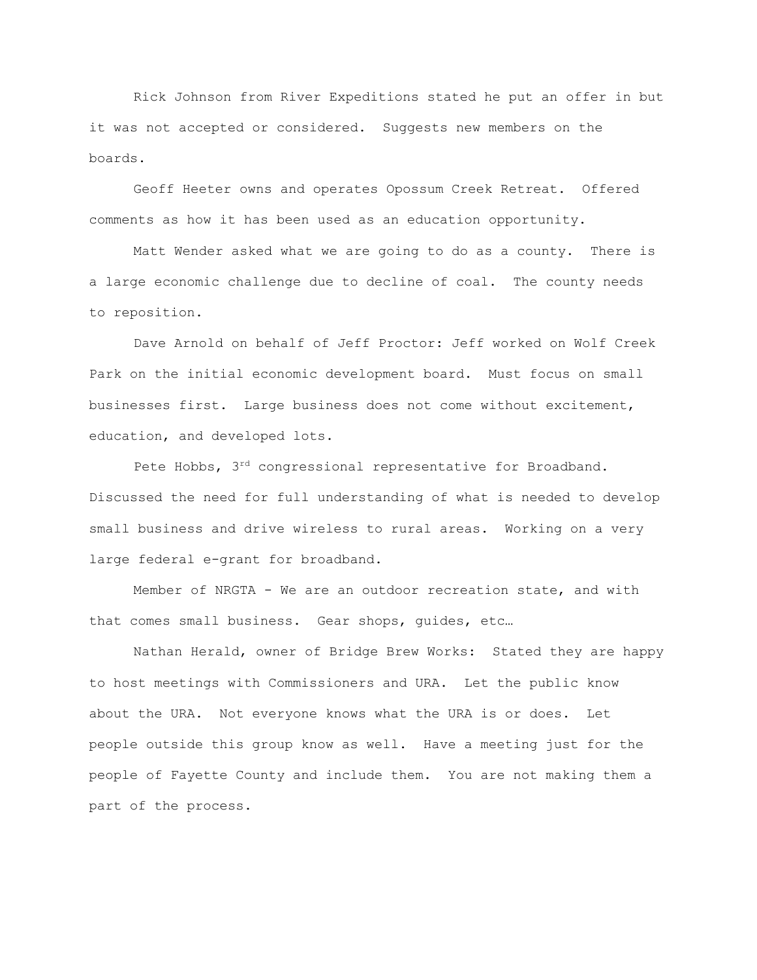Rick Johnson from River Expeditions stated he put an offer in but it was not accepted or considered. Suggests new members on the boards.

Geoff Heeter owns and operates Opossum Creek Retreat. Offered comments as how it has been used as an education opportunity.

Matt Wender asked what we are going to do as a county. There is a large economic challenge due to decline of coal. The county needs to reposition.

Dave Arnold on behalf of Jeff Proctor: Jeff worked on Wolf Creek Park on the initial economic development board. Must focus on small businesses first. Large business does not come without excitement, education, and developed lots.

Pete Hobbs,  $3^{rd}$  congressional representative for Broadband. Discussed the need for full understanding of what is needed to develop small business and drive wireless to rural areas. Working on a very large federal e-grant for broadband.

Member of NRGTA - We are an outdoor recreation state, and with that comes small business. Gear shops, guides, etc…

Nathan Herald, owner of Bridge Brew Works: Stated they are happy to host meetings with Commissioners and URA. Let the public know about the URA. Not everyone knows what the URA is or does. Let people outside this group know as well. Have a meeting just for the people of Fayette County and include them. You are not making them a part of the process.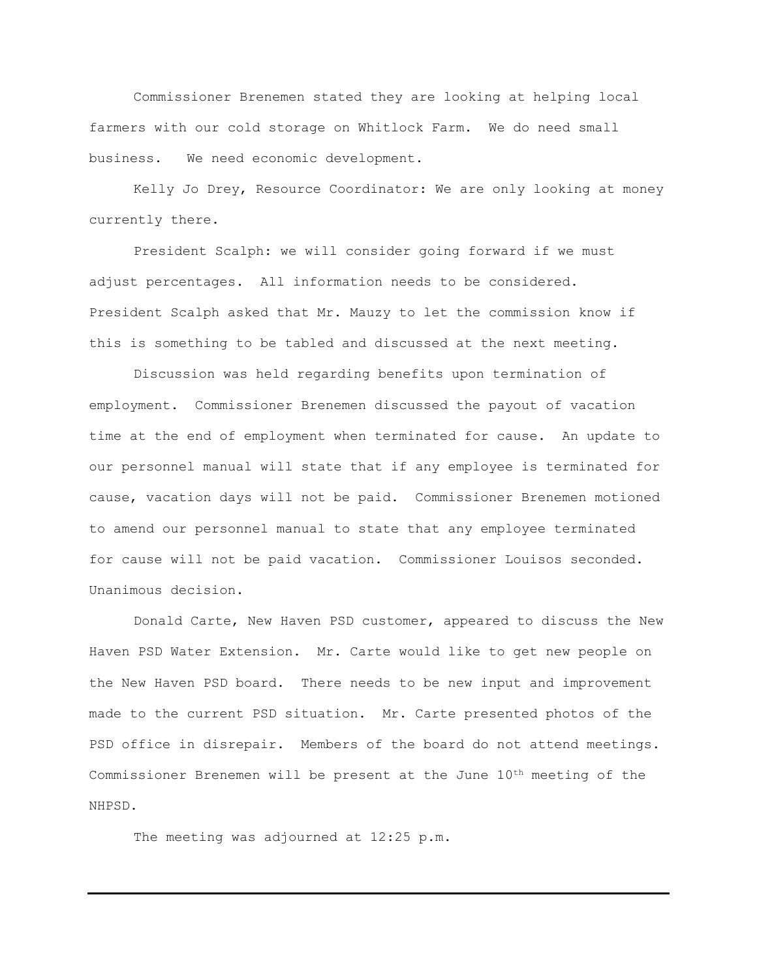Commissioner Brenemen stated they are looking at helping local farmers with our cold storage on Whitlock Farm. We do need small business. We need economic development.

Kelly Jo Drey, Resource Coordinator: We are only looking at money currently there.

President Scalph: we will consider going forward if we must adjust percentages. All information needs to be considered. President Scalph asked that Mr. Mauzy to let the commission know if this is something to be tabled and discussed at the next meeting.

Discussion was held regarding benefits upon termination of employment. Commissioner Brenemen discussed the payout of vacation time at the end of employment when terminated for cause. An update to our personnel manual will state that if any employee is terminated for cause, vacation days will not be paid. Commissioner Brenemen motioned to amend our personnel manual to state that any employee terminated for cause will not be paid vacation. Commissioner Louisos seconded. Unanimous decision.

Donald Carte, New Haven PSD customer, appeared to discuss the New Haven PSD Water Extension. Mr. Carte would like to get new people on the New Haven PSD board. There needs to be new input and improvement made to the current PSD situation. Mr. Carte presented photos of the PSD office in disrepair. Members of the board do not attend meetings. Commissioner Brenemen will be present at the June 10th meeting of the NHPSD.

The meeting was adjourned at 12:25 p.m.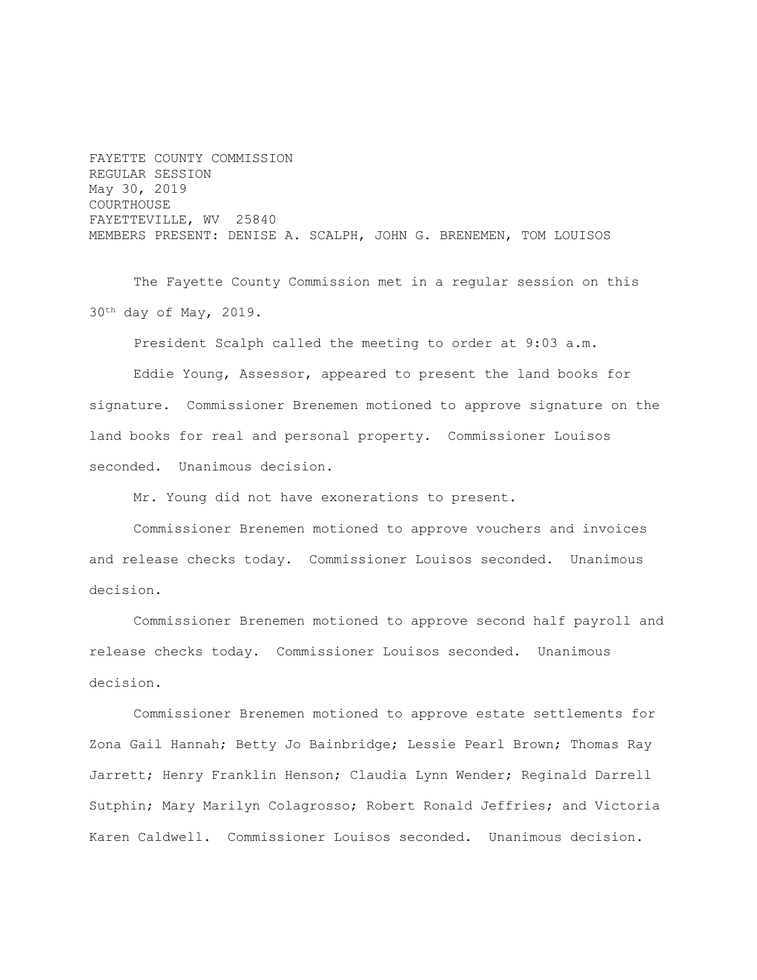FAYETTE COUNTY COMMISSION REGULAR SESSION May 30, 2019 COURTHOUSE FAYETTEVILLE, WV 25840 MEMBERS PRESENT: DENISE A. SCALPH, JOHN G. BRENEMEN, TOM LOUISOS

The Fayette County Commission met in a regular session on this 30th day of May, 2019.

President Scalph called the meeting to order at 9:03 a.m.

Eddie Young, Assessor, appeared to present the land books for signature. Commissioner Brenemen motioned to approve signature on the land books for real and personal property. Commissioner Louisos seconded. Unanimous decision.

Mr. Young did not have exonerations to present.

Commissioner Brenemen motioned to approve vouchers and invoices and release checks today. Commissioner Louisos seconded. Unanimous decision.

Commissioner Brenemen motioned to approve second half payroll and release checks today. Commissioner Louisos seconded. Unanimous decision.

Commissioner Brenemen motioned to approve estate settlements for Zona Gail Hannah; Betty Jo Bainbridge; Lessie Pearl Brown; Thomas Ray Jarrett; Henry Franklin Henson; Claudia Lynn Wender; Reginald Darrell Sutphin; Mary Marilyn Colagrosso; Robert Ronald Jeffries; and Victoria Karen Caldwell. Commissioner Louisos seconded. Unanimous decision.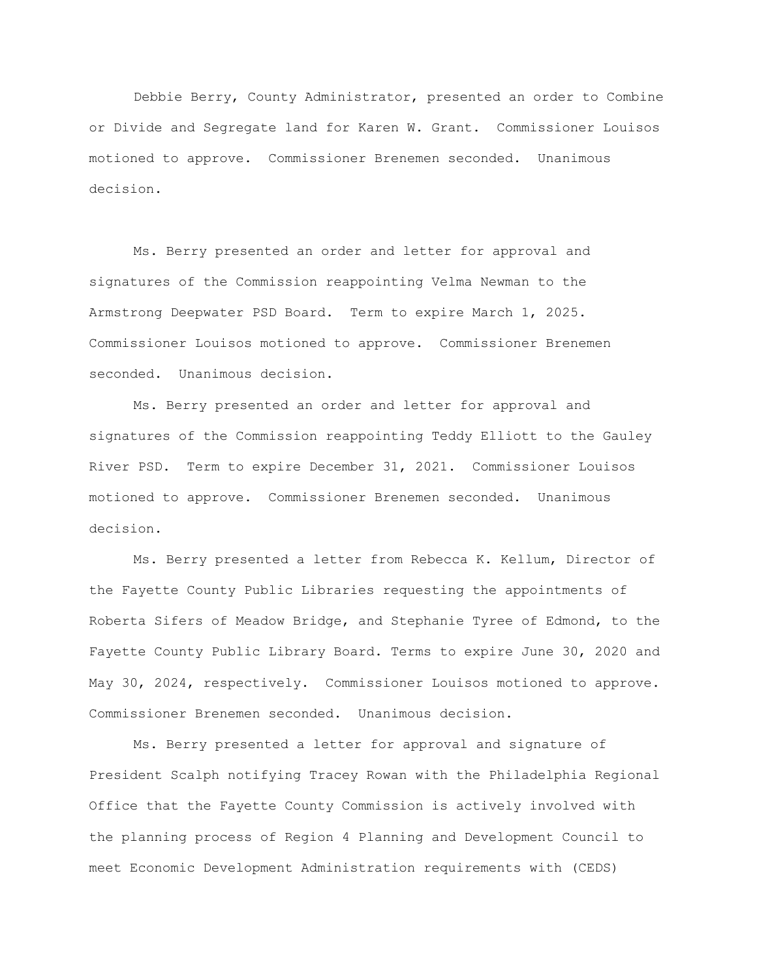Debbie Berry, County Administrator, presented an order to Combine or Divide and Segregate land for Karen W. Grant. Commissioner Louisos motioned to approve. Commissioner Brenemen seconded. Unanimous decision.

Ms. Berry presented an order and letter for approval and signatures of the Commission reappointing Velma Newman to the Armstrong Deepwater PSD Board. Term to expire March 1, 2025. Commissioner Louisos motioned to approve. Commissioner Brenemen seconded. Unanimous decision.

Ms. Berry presented an order and letter for approval and signatures of the Commission reappointing Teddy Elliott to the Gauley River PSD. Term to expire December 31, 2021. Commissioner Louisos motioned to approve. Commissioner Brenemen seconded. Unanimous decision.

Ms. Berry presented a letter from Rebecca K. Kellum, Director of the Fayette County Public Libraries requesting the appointments of Roberta Sifers of Meadow Bridge, and Stephanie Tyree of Edmond, to the Fayette County Public Library Board. Terms to expire June 30, 2020 and May 30, 2024, respectively. Commissioner Louisos motioned to approve. Commissioner Brenemen seconded. Unanimous decision.

Ms. Berry presented a letter for approval and signature of President Scalph notifying Tracey Rowan with the Philadelphia Regional Office that the Fayette County Commission is actively involved with the planning process of Region 4 Planning and Development Council to meet Economic Development Administration requirements with (CEDS)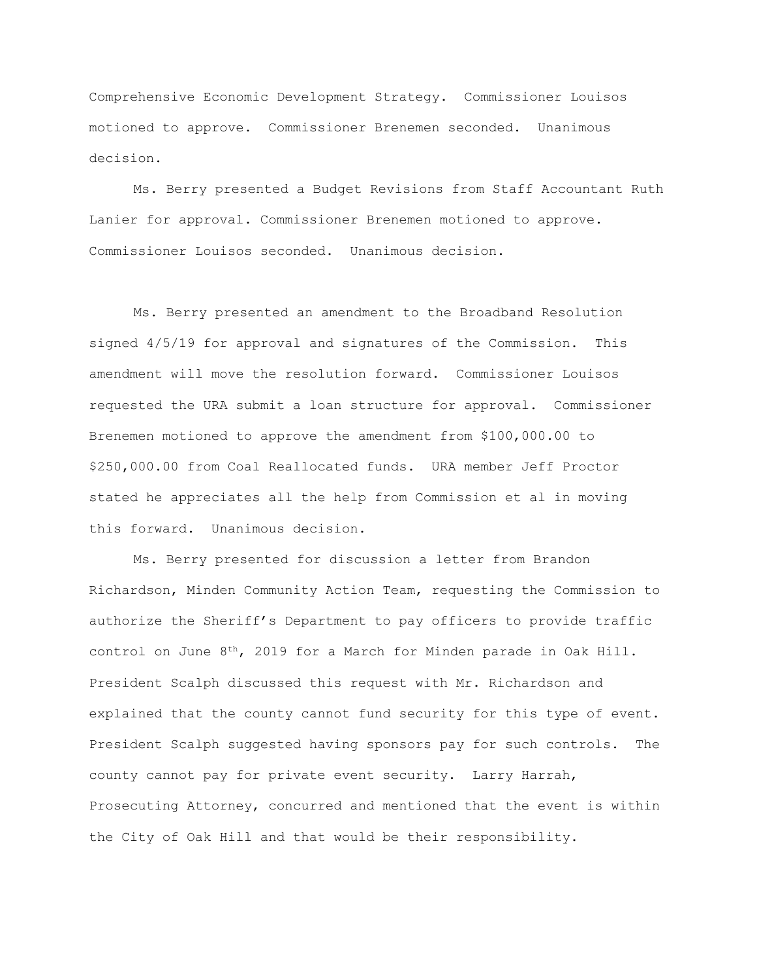Comprehensive Economic Development Strategy. Commissioner Louisos motioned to approve. Commissioner Brenemen seconded. Unanimous decision.

Ms. Berry presented a Budget Revisions from Staff Accountant Ruth Lanier for approval. Commissioner Brenemen motioned to approve. Commissioner Louisos seconded. Unanimous decision.

Ms. Berry presented an amendment to the Broadband Resolution signed 4/5/19 for approval and signatures of the Commission. This amendment will move the resolution forward. Commissioner Louisos requested the URA submit a loan structure for approval. Commissioner Brenemen motioned to approve the amendment from \$100,000.00 to \$250,000.00 from Coal Reallocated funds. URA member Jeff Proctor stated he appreciates all the help from Commission et al in moving this forward. Unanimous decision.

Ms. Berry presented for discussion a letter from Brandon Richardson, Minden Community Action Team, requesting the Commission to authorize the Sheriff's Department to pay officers to provide traffic control on June 8th, 2019 for a March for Minden parade in Oak Hill. President Scalph discussed this request with Mr. Richardson and explained that the county cannot fund security for this type of event. President Scalph suggested having sponsors pay for such controls. The county cannot pay for private event security. Larry Harrah, Prosecuting Attorney, concurred and mentioned that the event is within the City of Oak Hill and that would be their responsibility.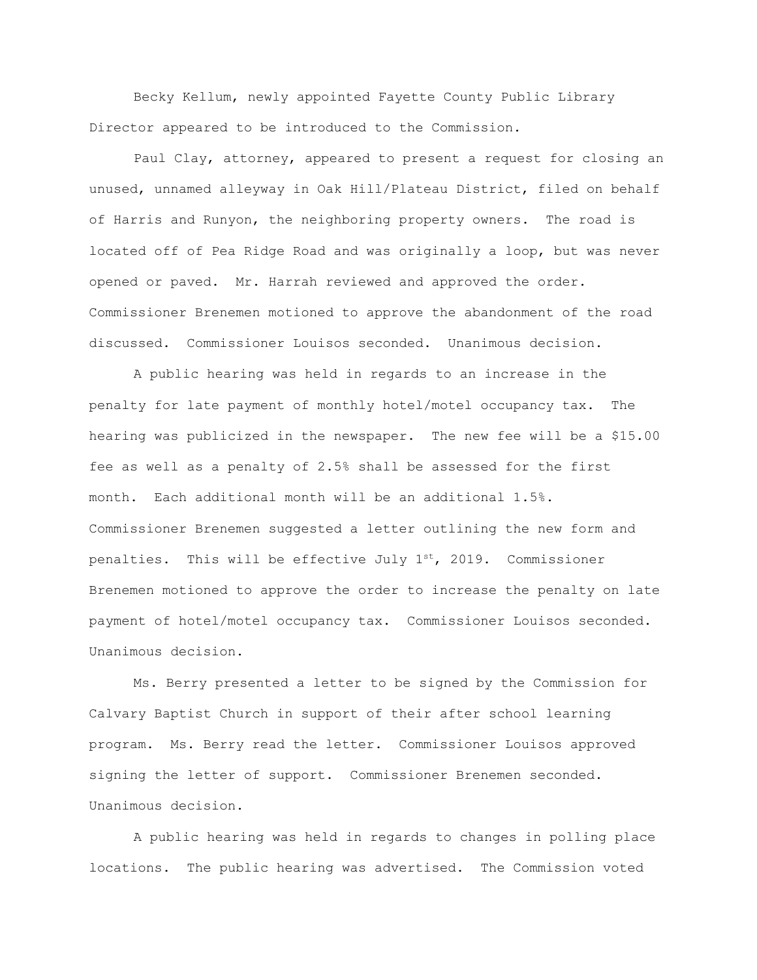Becky Kellum, newly appointed Fayette County Public Library Director appeared to be introduced to the Commission.

Paul Clay, attorney, appeared to present a request for closing an unused, unnamed alleyway in Oak Hill/Plateau District, filed on behalf of Harris and Runyon, the neighboring property owners. The road is located off of Pea Ridge Road and was originally a loop, but was never opened or paved. Mr. Harrah reviewed and approved the order. Commissioner Brenemen motioned to approve the abandonment of the road discussed. Commissioner Louisos seconded. Unanimous decision.

A public hearing was held in regards to an increase in the penalty for late payment of monthly hotel/motel occupancy tax. The hearing was publicized in the newspaper. The new fee will be a \$15.00 fee as well as a penalty of 2.5% shall be assessed for the first month. Each additional month will be an additional 1.5%. Commissioner Brenemen suggested a letter outlining the new form and penalties. This will be effective July  $1^{st}$ , 2019. Commissioner Brenemen motioned to approve the order to increase the penalty on late payment of hotel/motel occupancy tax. Commissioner Louisos seconded. Unanimous decision.

Ms. Berry presented a letter to be signed by the Commission for Calvary Baptist Church in support of their after school learning program. Ms. Berry read the letter. Commissioner Louisos approved signing the letter of support. Commissioner Brenemen seconded. Unanimous decision.

A public hearing was held in regards to changes in polling place locations. The public hearing was advertised. The Commission voted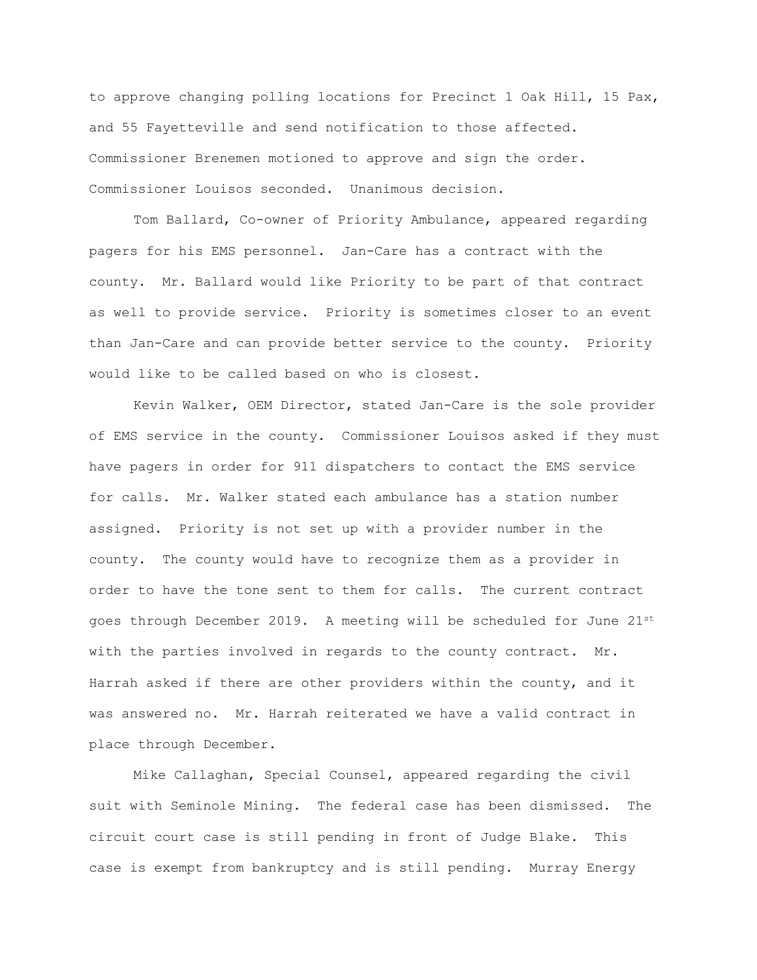to approve changing polling locations for Precinct 1 Oak Hill, 15 Pax, and 55 Fayetteville and send notification to those affected. Commissioner Brenemen motioned to approve and sign the order. Commissioner Louisos seconded. Unanimous decision.

Tom Ballard, Co-owner of Priority Ambulance, appeared regarding pagers for his EMS personnel. Jan-Care has a contract with the county. Mr. Ballard would like Priority to be part of that contract as well to provide service. Priority is sometimes closer to an event than Jan-Care and can provide better service to the county. Priority would like to be called based on who is closest.

Kevin Walker, OEM Director, stated Jan-Care is the sole provider of EMS service in the county. Commissioner Louisos asked if they must have pagers in order for 911 dispatchers to contact the EMS service for calls. Mr. Walker stated each ambulance has a station number assigned. Priority is not set up with a provider number in the county. The county would have to recognize them as a provider in order to have the tone sent to them for calls. The current contract goes through December 2019. A meeting will be scheduled for June 21st with the parties involved in regards to the county contract. Mr. Harrah asked if there are other providers within the county, and it was answered no. Mr. Harrah reiterated we have a valid contract in place through December.

Mike Callaghan, Special Counsel, appeared regarding the civil suit with Seminole Mining. The federal case has been dismissed. The circuit court case is still pending in front of Judge Blake. This case is exempt from bankruptcy and is still pending. Murray Energy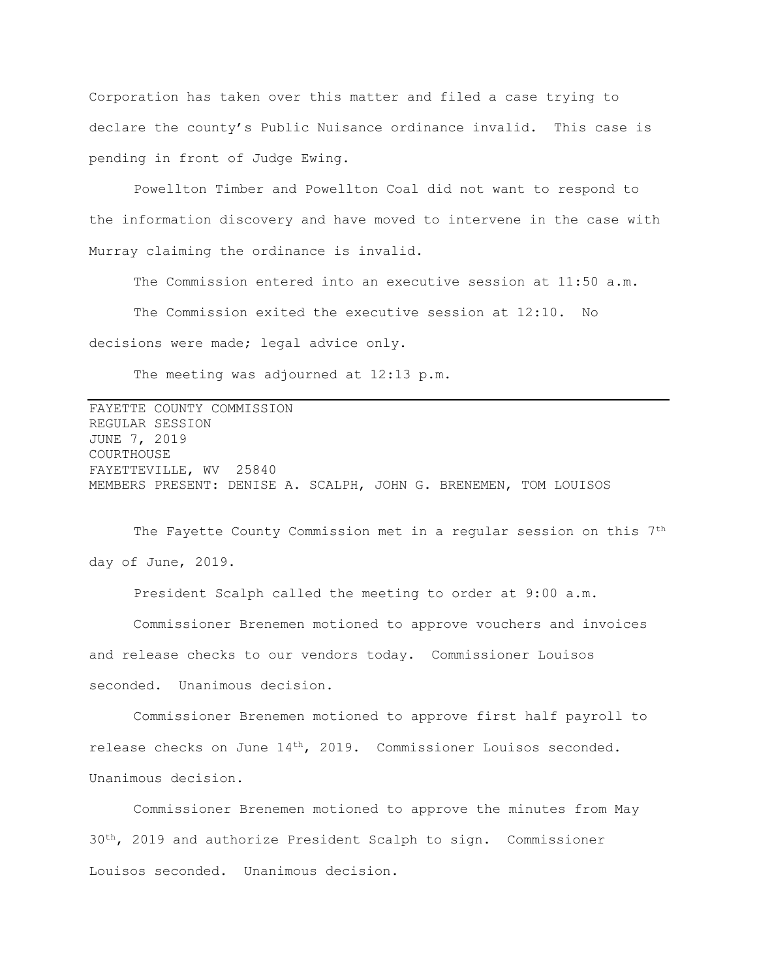Corporation has taken over this matter and filed a case trying to declare the county's Public Nuisance ordinance invalid. This case is pending in front of Judge Ewing.

Powellton Timber and Powellton Coal did not want to respond to the information discovery and have moved to intervene in the case with Murray claiming the ordinance is invalid.

The Commission entered into an executive session at 11:50 a.m.

The Commission exited the executive session at 12:10. No decisions were made; legal advice only.

The meeting was adjourned at 12:13 p.m.

FAYETTE COUNTY COMMISSION REGULAR SESSION JUNE 7, 2019 COURTHOUSE FAYETTEVILLE, WV 25840 MEMBERS PRESENT: DENISE A. SCALPH, JOHN G. BRENEMEN, TOM LOUISOS

The Fayette County Commission met in a regular session on this 7<sup>th</sup> day of June, 2019.

President Scalph called the meeting to order at 9:00 a.m. Commissioner Brenemen motioned to approve vouchers and invoices and release checks to our vendors today. Commissioner Louisos seconded. Unanimous decision.

Commissioner Brenemen motioned to approve first half payroll to release checks on June 14th, 2019. Commissioner Louisos seconded. Unanimous decision.

Commissioner Brenemen motioned to approve the minutes from May  $30<sup>th</sup>$ , 2019 and authorize President Scalph to sign. Commissioner Louisos seconded. Unanimous decision.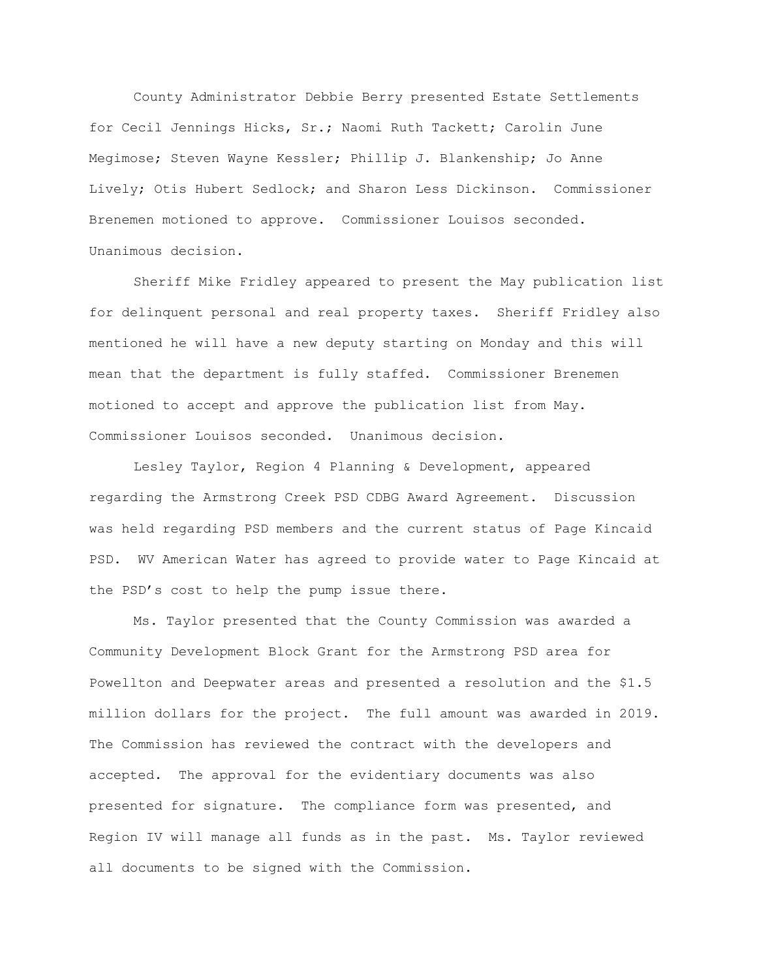County Administrator Debbie Berry presented Estate Settlements for Cecil Jennings Hicks, Sr.; Naomi Ruth Tackett; Carolin June Megimose; Steven Wayne Kessler; Phillip J. Blankenship; Jo Anne Lively; Otis Hubert Sedlock; and Sharon Less Dickinson. Commissioner Brenemen motioned to approve. Commissioner Louisos seconded. Unanimous decision.

Sheriff Mike Fridley appeared to present the May publication list for delinquent personal and real property taxes. Sheriff Fridley also mentioned he will have a new deputy starting on Monday and this will mean that the department is fully staffed. Commissioner Brenemen motioned to accept and approve the publication list from May. Commissioner Louisos seconded. Unanimous decision.

Lesley Taylor, Region 4 Planning & Development, appeared regarding the Armstrong Creek PSD CDBG Award Agreement. Discussion was held regarding PSD members and the current status of Page Kincaid PSD. WV American Water has agreed to provide water to Page Kincaid at the PSD's cost to help the pump issue there.

Ms. Taylor presented that the County Commission was awarded a Community Development Block Grant for the Armstrong PSD area for Powellton and Deepwater areas and presented a resolution and the \$1.5 million dollars for the project. The full amount was awarded in 2019. The Commission has reviewed the contract with the developers and accepted. The approval for the evidentiary documents was also presented for signature. The compliance form was presented, and Region IV will manage all funds as in the past. Ms. Taylor reviewed all documents to be signed with the Commission.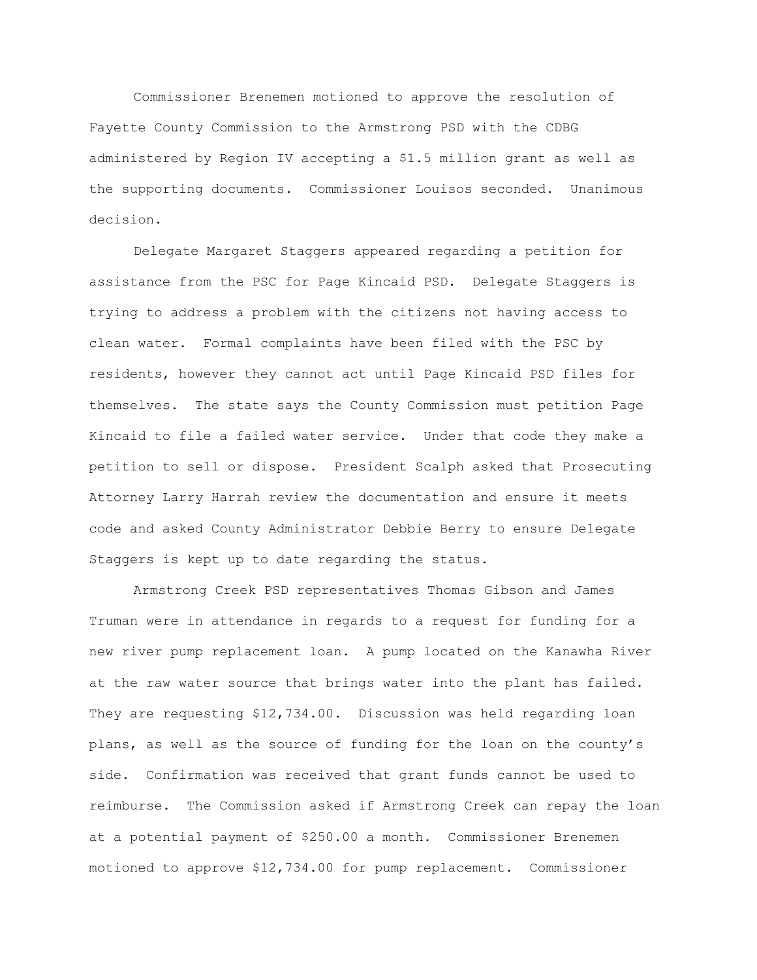Commissioner Brenemen motioned to approve the resolution of Fayette County Commission to the Armstrong PSD with the CDBG administered by Region IV accepting a \$1.5 million grant as well as the supporting documents. Commissioner Louisos seconded. Unanimous decision.

Delegate Margaret Staggers appeared regarding a petition for assistance from the PSC for Page Kincaid PSD. Delegate Staggers is trying to address a problem with the citizens not having access to clean water. Formal complaints have been filed with the PSC by residents, however they cannot act until Page Kincaid PSD files for themselves. The state says the County Commission must petition Page Kincaid to file a failed water service. Under that code they make a petition to sell or dispose. President Scalph asked that Prosecuting Attorney Larry Harrah review the documentation and ensure it meets code and asked County Administrator Debbie Berry to ensure Delegate Staggers is kept up to date regarding the status.

Armstrong Creek PSD representatives Thomas Gibson and James Truman were in attendance in regards to a request for funding for a new river pump replacement loan. A pump located on the Kanawha River at the raw water source that brings water into the plant has failed. They are requesting \$12,734.00. Discussion was held regarding loan plans, as well as the source of funding for the loan on the county's side. Confirmation was received that grant funds cannot be used to reimburse. The Commission asked if Armstrong Creek can repay the loan at a potential payment of \$250.00 a month. Commissioner Brenemen motioned to approve \$12,734.00 for pump replacement. Commissioner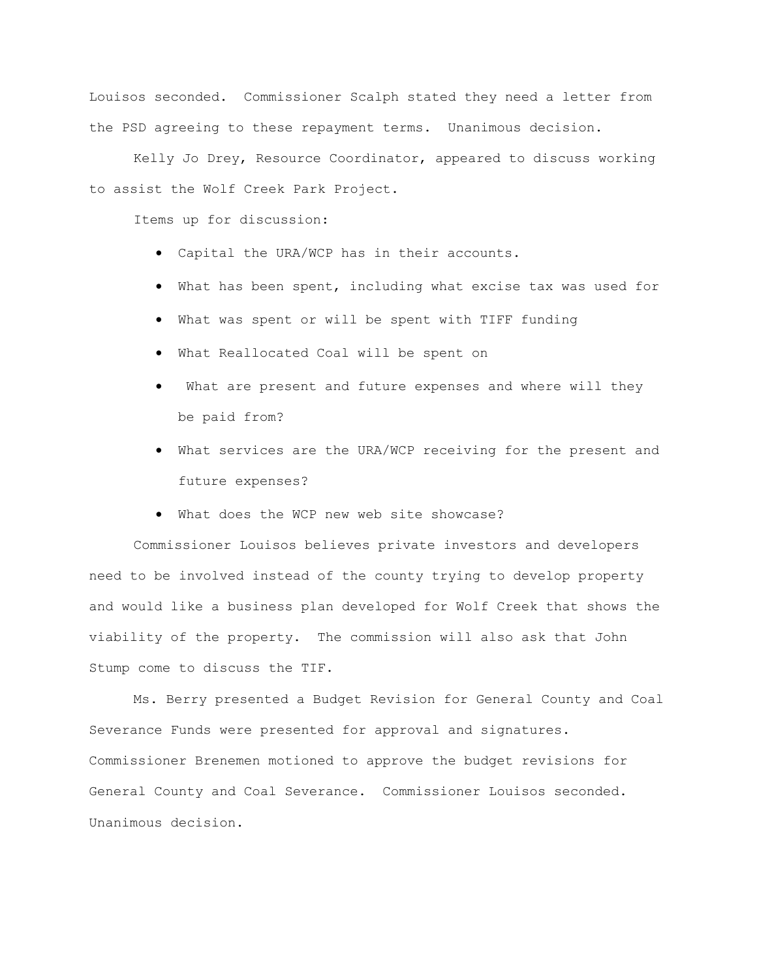Louisos seconded. Commissioner Scalph stated they need a letter from the PSD agreeing to these repayment terms. Unanimous decision.

Kelly Jo Drey, Resource Coordinator, appeared to discuss working to assist the Wolf Creek Park Project.

Items up for discussion:

- Capital the URA/WCP has in their accounts.
- What has been spent, including what excise tax was used for
- What was spent or will be spent with TIFF funding
- What Reallocated Coal will be spent on
- What are present and future expenses and where will they be paid from?
- What services are the URA/WCP receiving for the present and future expenses?
- What does the WCP new web site showcase?

Commissioner Louisos believes private investors and developers need to be involved instead of the county trying to develop property and would like a business plan developed for Wolf Creek that shows the viability of the property. The commission will also ask that John Stump come to discuss the TIF.

Ms. Berry presented a Budget Revision for General County and Coal Severance Funds were presented for approval and signatures. Commissioner Brenemen motioned to approve the budget revisions for General County and Coal Severance. Commissioner Louisos seconded. Unanimous decision.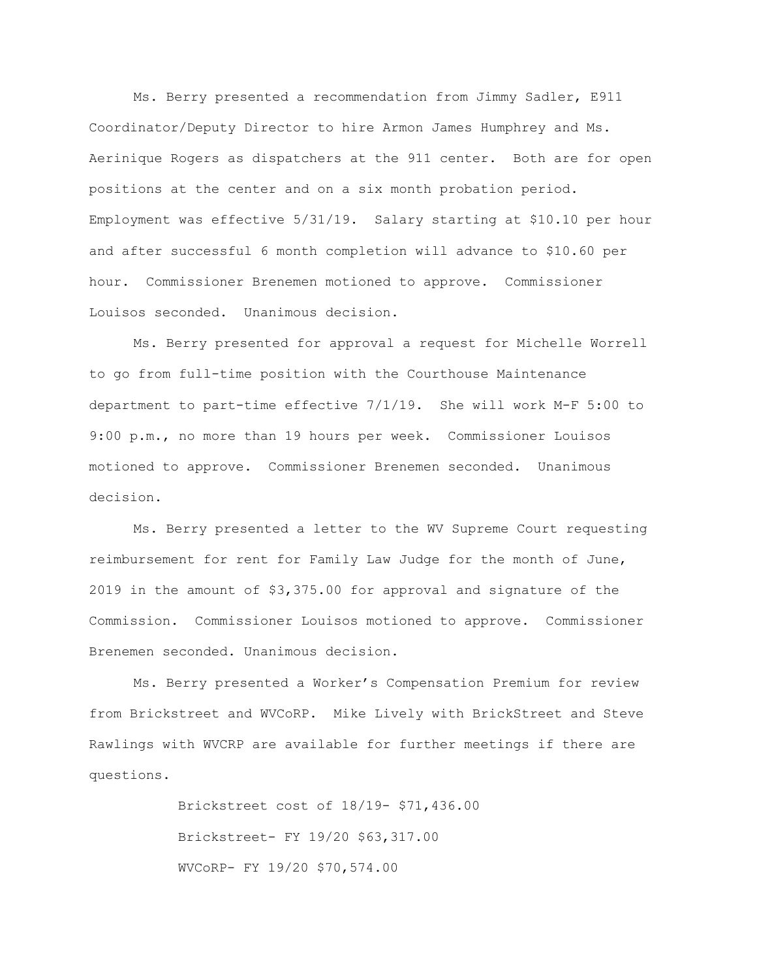Ms. Berry presented a recommendation from Jimmy Sadler, E911 Coordinator/Deputy Director to hire Armon James Humphrey and Ms. Aerinique Rogers as dispatchers at the 911 center. Both are for open positions at the center and on a six month probation period. Employment was effective 5/31/19. Salary starting at \$10.10 per hour and after successful 6 month completion will advance to \$10.60 per hour. Commissioner Brenemen motioned to approve. Commissioner Louisos seconded. Unanimous decision.

Ms. Berry presented for approval a request for Michelle Worrell to go from full-time position with the Courthouse Maintenance department to part-time effective 7/1/19. She will work M-F 5:00 to 9:00 p.m., no more than 19 hours per week. Commissioner Louisos motioned to approve. Commissioner Brenemen seconded. Unanimous decision.

Ms. Berry presented a letter to the WV Supreme Court requesting reimbursement for rent for Family Law Judge for the month of June, 2019 in the amount of \$3,375.00 for approval and signature of the Commission. Commissioner Louisos motioned to approve. Commissioner Brenemen seconded. Unanimous decision.

Ms. Berry presented a Worker's Compensation Premium for review from Brickstreet and WVCoRP. Mike Lively with BrickStreet and Steve Rawlings with WVCRP are available for further meetings if there are questions.

> Brickstreet cost of 18/19- \$71,436.00 Brickstreet- FY 19/20 \$63,317.00 WVCoRP- FY 19/20 \$70,574.00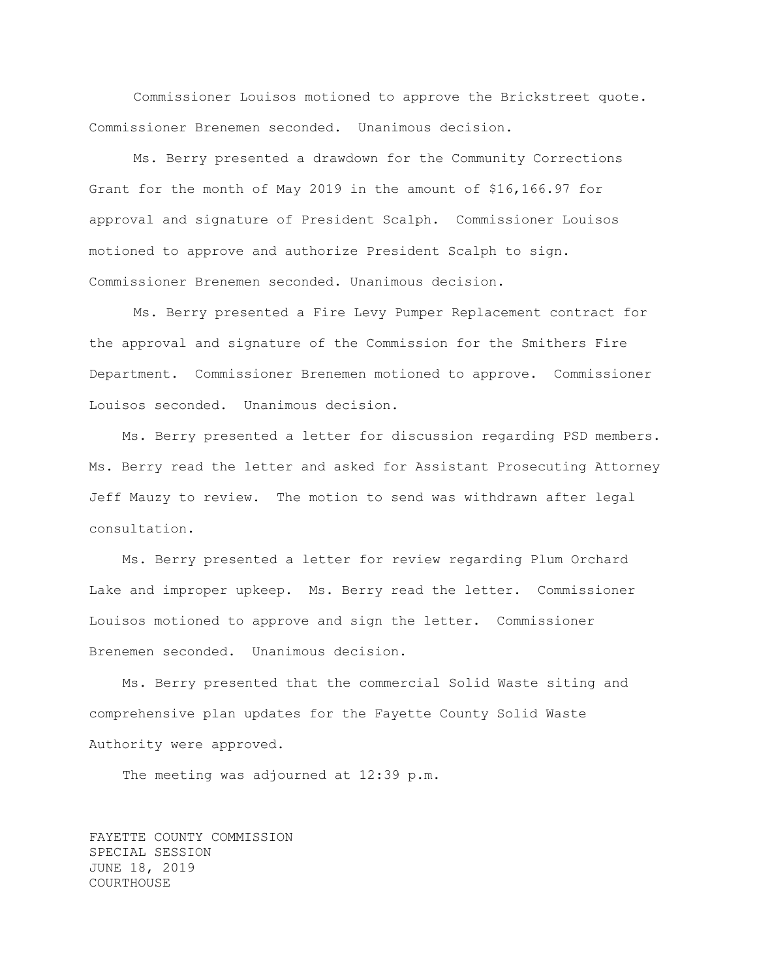Commissioner Louisos motioned to approve the Brickstreet quote. Commissioner Brenemen seconded. Unanimous decision.

Ms. Berry presented a drawdown for the Community Corrections Grant for the month of May 2019 in the amount of \$16,166.97 for approval and signature of President Scalph. Commissioner Louisos motioned to approve and authorize President Scalph to sign. Commissioner Brenemen seconded. Unanimous decision.

Ms. Berry presented a Fire Levy Pumper Replacement contract for the approval and signature of the Commission for the Smithers Fire Department. Commissioner Brenemen motioned to approve. Commissioner Louisos seconded. Unanimous decision.

Ms. Berry presented a letter for discussion regarding PSD members. Ms. Berry read the letter and asked for Assistant Prosecuting Attorney Jeff Mauzy to review. The motion to send was withdrawn after legal consultation.

Ms. Berry presented a letter for review regarding Plum Orchard Lake and improper upkeep. Ms. Berry read the letter. Commissioner Louisos motioned to approve and sign the letter. Commissioner Brenemen seconded. Unanimous decision.

Ms. Berry presented that the commercial Solid Waste siting and comprehensive plan updates for the Fayette County Solid Waste Authority were approved.

The meeting was adjourned at 12:39 p.m.

FAYETTE COUNTY COMMISSION SPECIAL SESSION JUNE 18, 2019 COURTHOUSE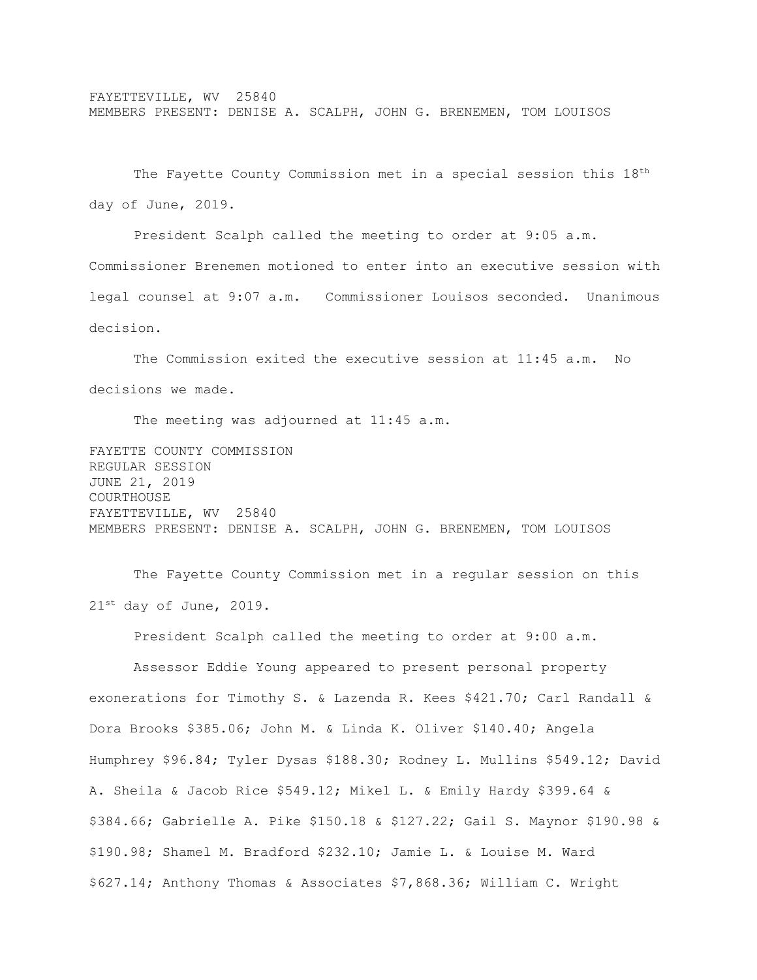The Fayette County Commission met in a special session this 18<sup>th</sup> day of June, 2019.

President Scalph called the meeting to order at 9:05 a.m. Commissioner Brenemen motioned to enter into an executive session with legal counsel at 9:07 a.m. Commissioner Louisos seconded. Unanimous decision.

The Commission exited the executive session at 11:45 a.m. No decisions we made.

The meeting was adjourned at 11:45 a.m.

FAYETTE COUNTY COMMISSION REGULAR SESSION JUNE 21, 2019 COURTHOUSE FAYETTEVILLE, WV 25840 MEMBERS PRESENT: DENISE A. SCALPH, JOHN G. BRENEMEN, TOM LOUISOS

The Fayette County Commission met in a regular session on this 21st day of June, 2019.

President Scalph called the meeting to order at 9:00 a.m.

Assessor Eddie Young appeared to present personal property exonerations for Timothy S. & Lazenda R. Kees \$421.70; Carl Randall & Dora Brooks \$385.06; John M. & Linda K. Oliver \$140.40; Angela Humphrey \$96.84; Tyler Dysas \$188.30; Rodney L. Mullins \$549.12; David A. Sheila & Jacob Rice \$549.12; Mikel L. & Emily Hardy \$399.64 & \$384.66; Gabrielle A. Pike \$150.18 & \$127.22; Gail S. Maynor \$190.98 & \$190.98; Shamel M. Bradford \$232.10; Jamie L. & Louise M. Ward \$627.14; Anthony Thomas & Associates \$7,868.36; William C. Wright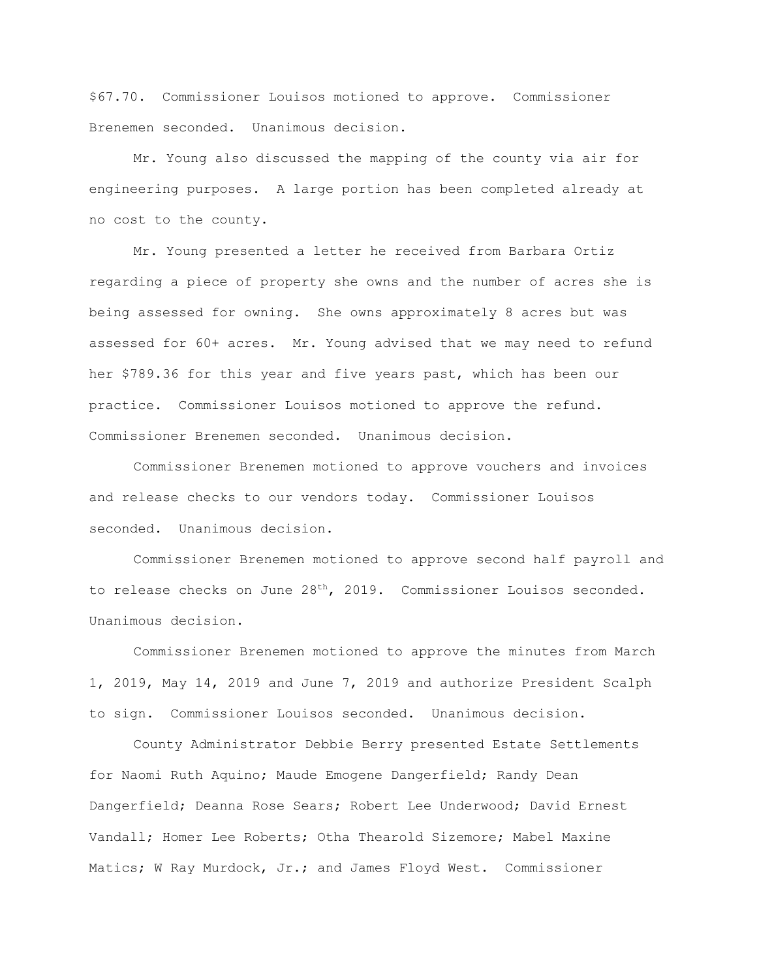\$67.70. Commissioner Louisos motioned to approve. Commissioner Brenemen seconded. Unanimous decision.

Mr. Young also discussed the mapping of the county via air for engineering purposes. A large portion has been completed already at no cost to the county.

Mr. Young presented a letter he received from Barbara Ortiz regarding a piece of property she owns and the number of acres she is being assessed for owning. She owns approximately 8 acres but was assessed for 60+ acres. Mr. Young advised that we may need to refund her \$789.36 for this year and five years past, which has been our practice. Commissioner Louisos motioned to approve the refund. Commissioner Brenemen seconded. Unanimous decision.

Commissioner Brenemen motioned to approve vouchers and invoices and release checks to our vendors today. Commissioner Louisos seconded. Unanimous decision.

Commissioner Brenemen motioned to approve second half payroll and to release checks on June  $28<sup>th</sup>$ , 2019. Commissioner Louisos seconded. Unanimous decision.

Commissioner Brenemen motioned to approve the minutes from March 1, 2019, May 14, 2019 and June 7, 2019 and authorize President Scalph to sign. Commissioner Louisos seconded. Unanimous decision.

County Administrator Debbie Berry presented Estate Settlements for Naomi Ruth Aquino; Maude Emogene Dangerfield; Randy Dean Dangerfield; Deanna Rose Sears; Robert Lee Underwood; David Ernest Vandall; Homer Lee Roberts; Otha Thearold Sizemore; Mabel Maxine Matics; W Ray Murdock, Jr.; and James Floyd West. Commissioner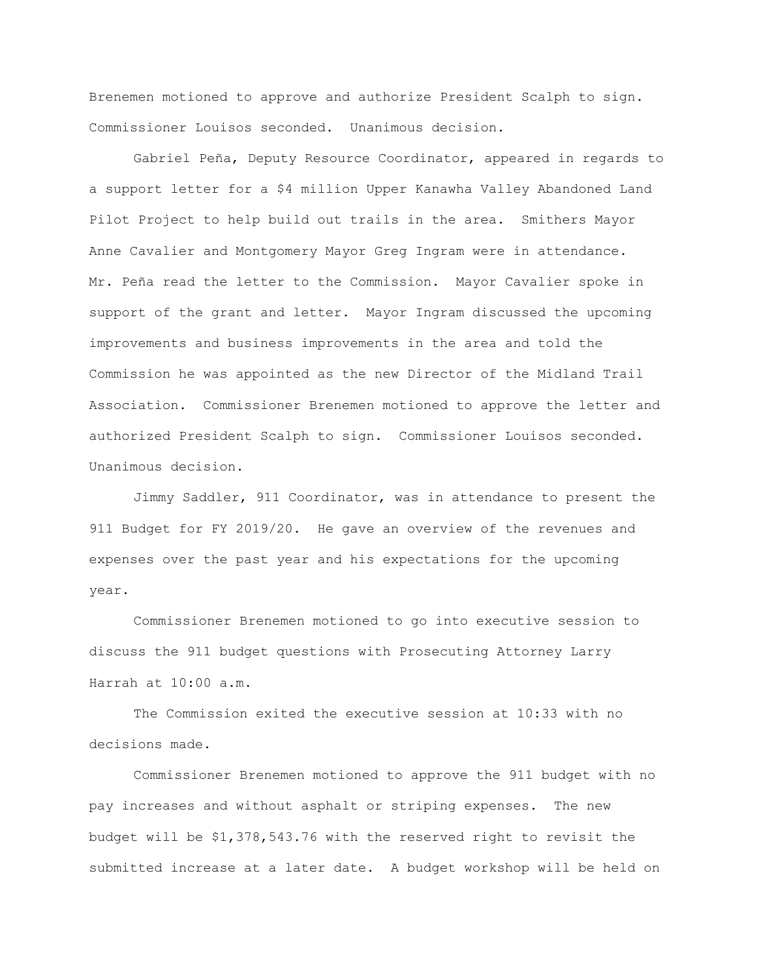Brenemen motioned to approve and authorize President Scalph to sign. Commissioner Louisos seconded. Unanimous decision.

Gabriel Peña, Deputy Resource Coordinator, appeared in regards to a support letter for a \$4 million Upper Kanawha Valley Abandoned Land Pilot Project to help build out trails in the area. Smithers Mayor Anne Cavalier and Montgomery Mayor Greg Ingram were in attendance. Mr. Peña read the letter to the Commission. Mayor Cavalier spoke in support of the grant and letter. Mayor Ingram discussed the upcoming improvements and business improvements in the area and told the Commission he was appointed as the new Director of the Midland Trail Association. Commissioner Brenemen motioned to approve the letter and authorized President Scalph to sign. Commissioner Louisos seconded. Unanimous decision.

Jimmy Saddler, 911 Coordinator, was in attendance to present the 911 Budget for FY 2019/20. He gave an overview of the revenues and expenses over the past year and his expectations for the upcoming year.

Commissioner Brenemen motioned to go into executive session to discuss the 911 budget questions with Prosecuting Attorney Larry Harrah at 10:00 a.m.

The Commission exited the executive session at 10:33 with no decisions made.

Commissioner Brenemen motioned to approve the 911 budget with no pay increases and without asphalt or striping expenses. The new budget will be \$1,378,543.76 with the reserved right to revisit the submitted increase at a later date. A budget workshop will be held on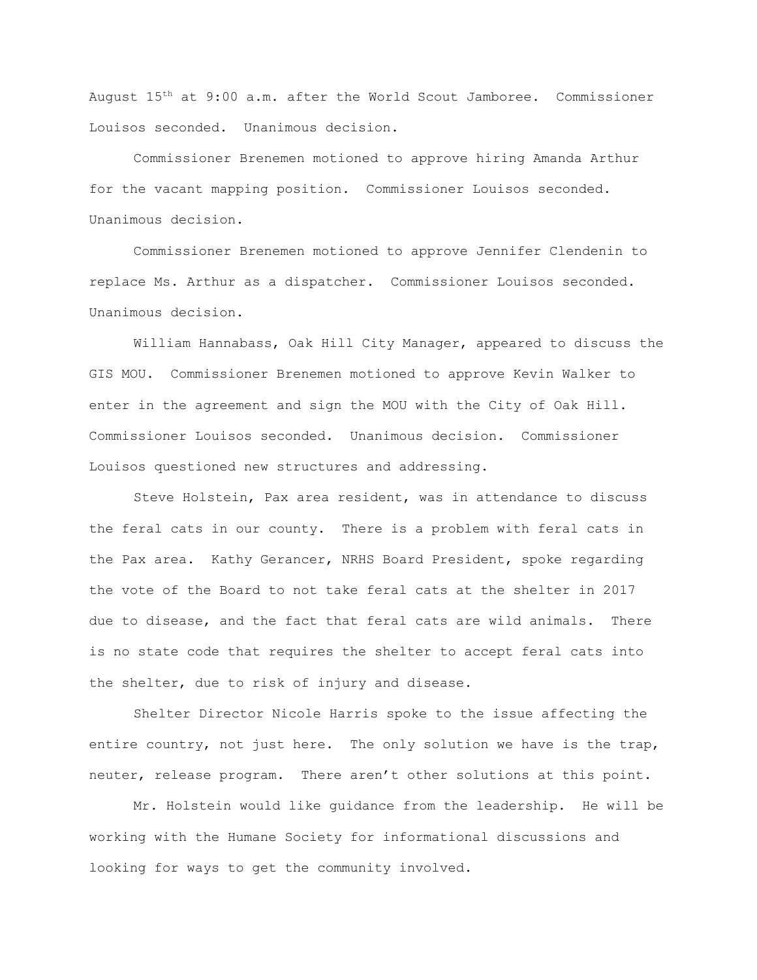August 15th at 9:00 a.m. after the World Scout Jamboree. Commissioner Louisos seconded. Unanimous decision.

Commissioner Brenemen motioned to approve hiring Amanda Arthur for the vacant mapping position. Commissioner Louisos seconded. Unanimous decision.

Commissioner Brenemen motioned to approve Jennifer Clendenin to replace Ms. Arthur as a dispatcher. Commissioner Louisos seconded. Unanimous decision.

William Hannabass, Oak Hill City Manager, appeared to discuss the GIS MOU. Commissioner Brenemen motioned to approve Kevin Walker to enter in the agreement and sign the MOU with the City of Oak Hill. Commissioner Louisos seconded. Unanimous decision. Commissioner Louisos questioned new structures and addressing.

Steve Holstein, Pax area resident, was in attendance to discuss the feral cats in our county. There is a problem with feral cats in the Pax area. Kathy Gerancer, NRHS Board President, spoke regarding the vote of the Board to not take feral cats at the shelter in 2017 due to disease, and the fact that feral cats are wild animals. There is no state code that requires the shelter to accept feral cats into the shelter, due to risk of injury and disease.

Shelter Director Nicole Harris spoke to the issue affecting the entire country, not just here. The only solution we have is the trap, neuter, release program. There aren't other solutions at this point.

Mr. Holstein would like guidance from the leadership. He will be working with the Humane Society for informational discussions and looking for ways to get the community involved.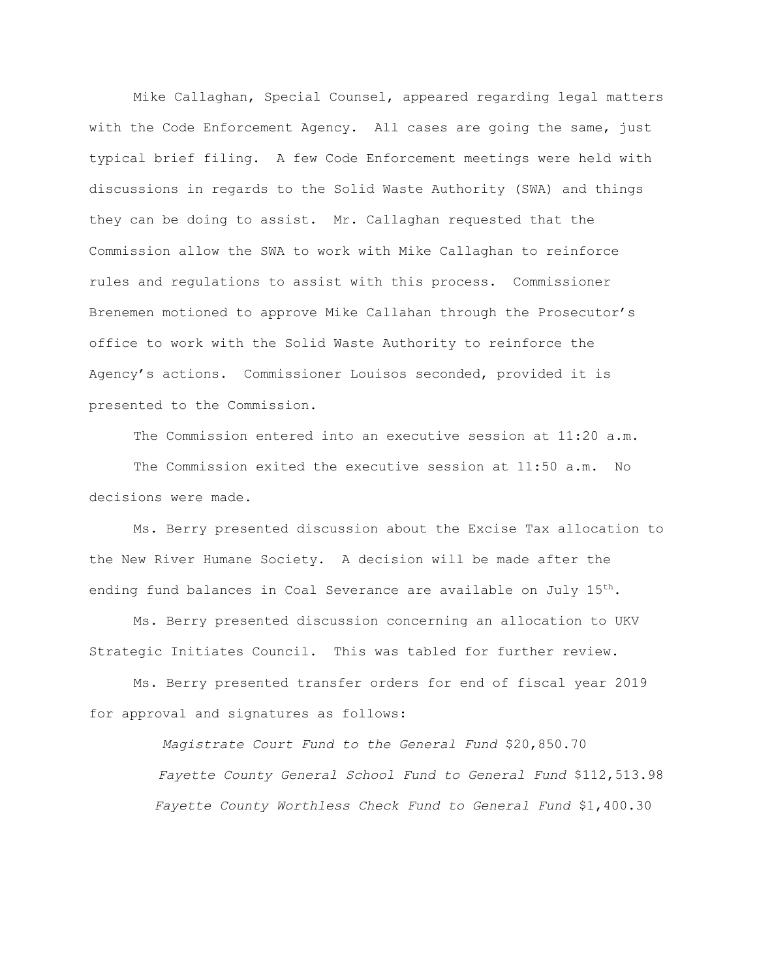Mike Callaghan, Special Counsel, appeared regarding legal matters with the Code Enforcement Agency. All cases are going the same, just typical brief filing. A few Code Enforcement meetings were held with discussions in regards to the Solid Waste Authority (SWA) and things they can be doing to assist. Mr. Callaghan requested that the Commission allow the SWA to work with Mike Callaghan to reinforce rules and regulations to assist with this process. Commissioner Brenemen motioned to approve Mike Callahan through the Prosecutor's office to work with the Solid Waste Authority to reinforce the Agency's actions. Commissioner Louisos seconded, provided it is presented to the Commission.

The Commission entered into an executive session at 11:20 a.m. The Commission exited the executive session at 11:50 a.m. No decisions were made.

Ms. Berry presented discussion about the Excise Tax allocation to the New River Humane Society. A decision will be made after the ending fund balances in Coal Severance are available on July  $15^{th}$ .

Ms. Berry presented discussion concerning an allocation to UKV Strategic Initiates Council. This was tabled for further review.

Ms. Berry presented transfer orders for end of fiscal year 2019 for approval and signatures as follows:

> *Magistrate Court Fund to the General Fund* \$20,850.70  *Fayette County General School Fund to General Fund* \$112,513.98  *Fayette County Worthless Check Fund to General Fund* \$1,400.30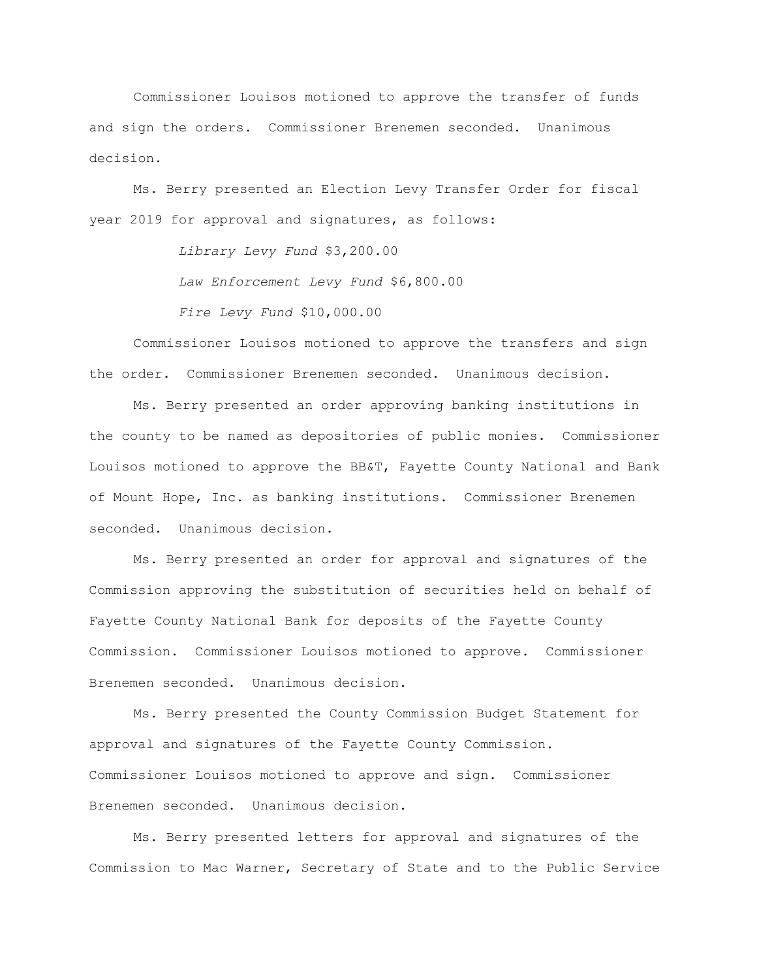Commissioner Louisos motioned to approve the transfer of funds and sign the orders. Commissioner Brenemen seconded. Unanimous decision.

Ms. Berry presented an Election Levy Transfer Order for fiscal year 2019 for approval and signatures, as follows:

> *Library Levy Fund* \$3,200.00 *Law Enforcement Levy Fund* \$6,800.00 *Fire Levy Fund* \$10,000.00

Commissioner Louisos motioned to approve the transfers and sign the order. Commissioner Brenemen seconded. Unanimous decision.

Ms. Berry presented an order approving banking institutions in the county to be named as depositories of public monies. Commissioner Louisos motioned to approve the BB&T, Fayette County National and Bank of Mount Hope, Inc. as banking institutions. Commissioner Brenemen seconded. Unanimous decision.

Ms. Berry presented an order for approval and signatures of the Commission approving the substitution of securities held on behalf of Fayette County National Bank for deposits of the Fayette County Commission. Commissioner Louisos motioned to approve. Commissioner Brenemen seconded. Unanimous decision.

Ms. Berry presented the County Commission Budget Statement for approval and signatures of the Fayette County Commission. Commissioner Louisos motioned to approve and sign. Commissioner Brenemen seconded. Unanimous decision.

Ms. Berry presented letters for approval and signatures of the Commission to Mac Warner, Secretary of State and to the Public Service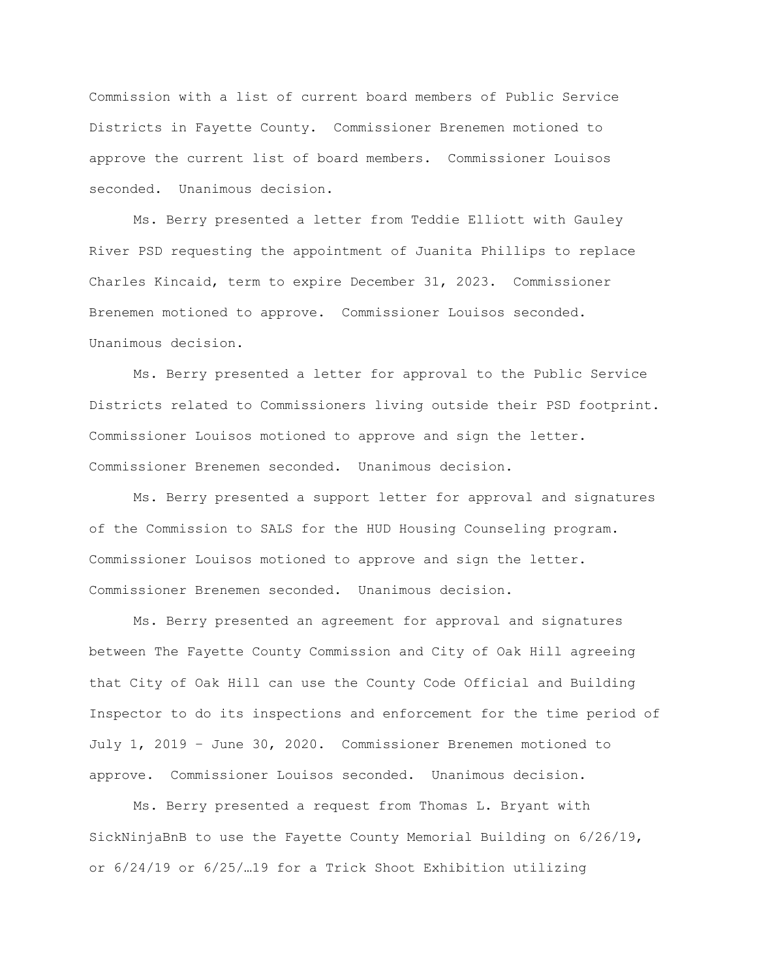Commission with a list of current board members of Public Service Districts in Fayette County. Commissioner Brenemen motioned to approve the current list of board members. Commissioner Louisos seconded. Unanimous decision.

Ms. Berry presented a letter from Teddie Elliott with Gauley River PSD requesting the appointment of Juanita Phillips to replace Charles Kincaid, term to expire December 31, 2023. Commissioner Brenemen motioned to approve. Commissioner Louisos seconded. Unanimous decision.

Ms. Berry presented a letter for approval to the Public Service Districts related to Commissioners living outside their PSD footprint. Commissioner Louisos motioned to approve and sign the letter. Commissioner Brenemen seconded. Unanimous decision.

Ms. Berry presented a support letter for approval and signatures of the Commission to SALS for the HUD Housing Counseling program. Commissioner Louisos motioned to approve and sign the letter. Commissioner Brenemen seconded. Unanimous decision.

Ms. Berry presented an agreement for approval and signatures between The Fayette County Commission and City of Oak Hill agreeing that City of Oak Hill can use the County Code Official and Building Inspector to do its inspections and enforcement for the time period of July 1, 2019 – June 30, 2020. Commissioner Brenemen motioned to approve. Commissioner Louisos seconded. Unanimous decision.

Ms. Berry presented a request from Thomas L. Bryant with SickNinjaBnB to use the Fayette County Memorial Building on 6/26/19, or 6/24/19 or 6/25/…19 for a Trick Shoot Exhibition utilizing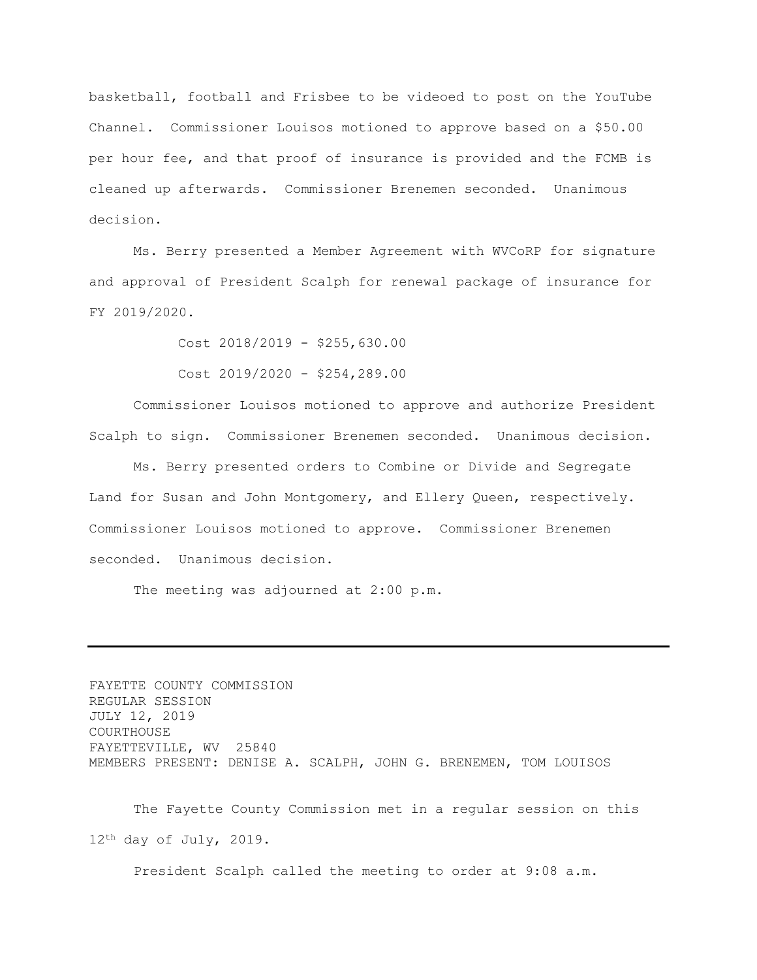basketball, football and Frisbee to be videoed to post on the YouTube Channel. Commissioner Louisos motioned to approve based on a \$50.00 per hour fee, and that proof of insurance is provided and the FCMB is cleaned up afterwards. Commissioner Brenemen seconded. Unanimous decision.

Ms. Berry presented a Member Agreement with WVCoRP for signature and approval of President Scalph for renewal package of insurance for FY 2019/2020.

Cost 2018/2019 - \$255,630.00

Cost 2019/2020 - \$254,289.00

Commissioner Louisos motioned to approve and authorize President Scalph to sign. Commissioner Brenemen seconded. Unanimous decision.

Ms. Berry presented orders to Combine or Divide and Segregate Land for Susan and John Montgomery, and Ellery Queen, respectively. Commissioner Louisos motioned to approve. Commissioner Brenemen seconded. Unanimous decision.

The meeting was adjourned at 2:00 p.m.

FAYETTE COUNTY COMMISSION REGULAR SESSION JULY 12, 2019 COURTHOUSE FAYETTEVILLE, WV 25840 MEMBERS PRESENT: DENISE A. SCALPH, JOHN G. BRENEMEN, TOM LOUISOS

The Fayette County Commission met in a regular session on this 12th day of July, 2019.

President Scalph called the meeting to order at 9:08 a.m.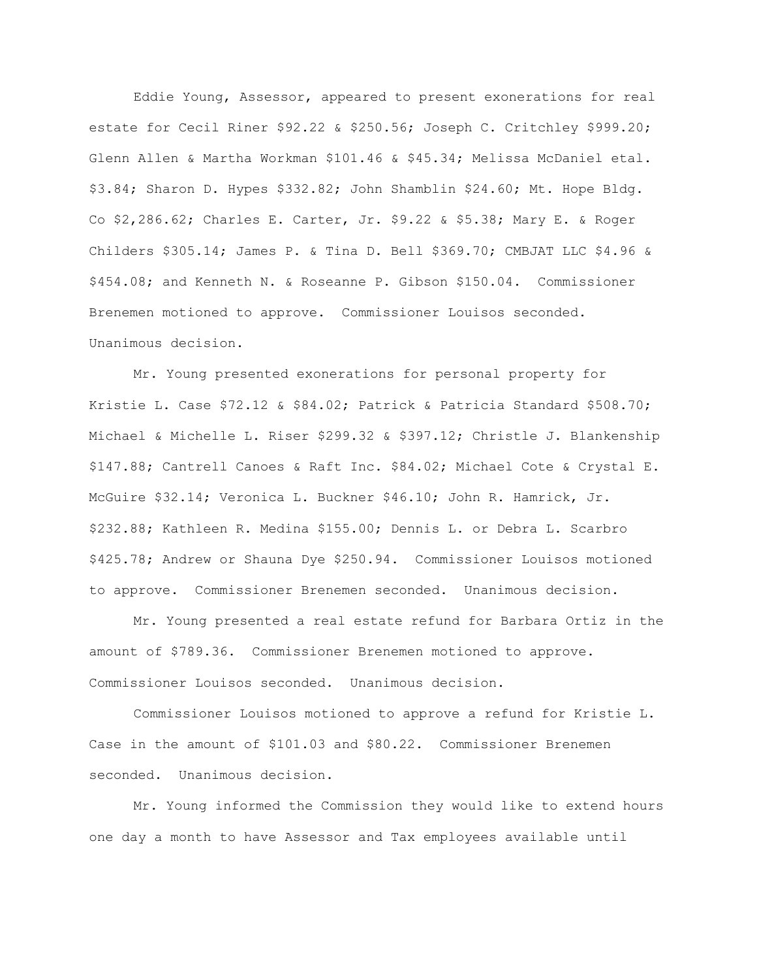Eddie Young, Assessor, appeared to present exonerations for real estate for Cecil Riner \$92.22 & \$250.56; Joseph C. Critchley \$999.20; Glenn Allen & Martha Workman \$101.46 & \$45.34; Melissa McDaniel etal. \$3.84; Sharon D. Hypes \$332.82; John Shamblin \$24.60; Mt. Hope Bldg. Co \$2,286.62; Charles E. Carter, Jr. \$9.22 & \$5.38; Mary E. & Roger Childers \$305.14; James P. & Tina D. Bell \$369.70; CMBJAT LLC \$4.96 & \$454.08; and Kenneth N. & Roseanne P. Gibson \$150.04. Commissioner Brenemen motioned to approve. Commissioner Louisos seconded. Unanimous decision.

Mr. Young presented exonerations for personal property for Kristie L. Case \$72.12 & \$84.02; Patrick & Patricia Standard \$508.70; Michael & Michelle L. Riser \$299.32 & \$397.12; Christle J. Blankenship \$147.88; Cantrell Canoes & Raft Inc. \$84.02; Michael Cote & Crystal E. McGuire \$32.14; Veronica L. Buckner \$46.10; John R. Hamrick, Jr. \$232.88; Kathleen R. Medina \$155.00; Dennis L. or Debra L. Scarbro \$425.78; Andrew or Shauna Dye \$250.94. Commissioner Louisos motioned to approve. Commissioner Brenemen seconded. Unanimous decision.

Mr. Young presented a real estate refund for Barbara Ortiz in the amount of \$789.36. Commissioner Brenemen motioned to approve. Commissioner Louisos seconded. Unanimous decision.

Commissioner Louisos motioned to approve a refund for Kristie L. Case in the amount of \$101.03 and \$80.22. Commissioner Brenemen seconded. Unanimous decision.

Mr. Young informed the Commission they would like to extend hours one day a month to have Assessor and Tax employees available until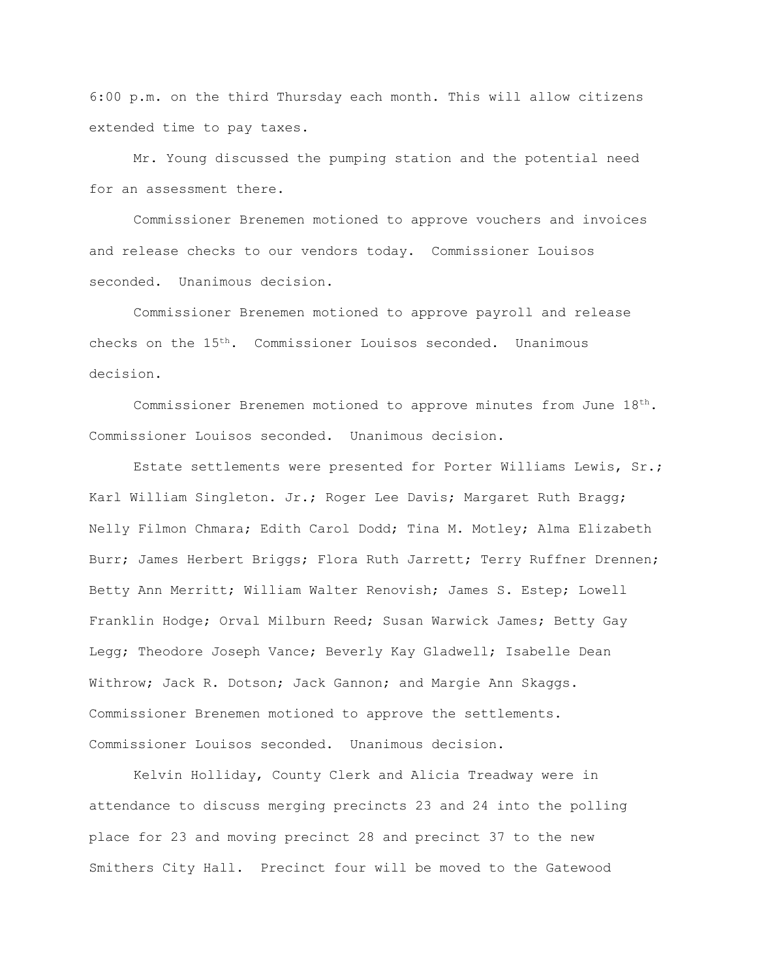6:00 p.m. on the third Thursday each month. This will allow citizens extended time to pay taxes.

Mr. Young discussed the pumping station and the potential need for an assessment there.

Commissioner Brenemen motioned to approve vouchers and invoices and release checks to our vendors today. Commissioner Louisos seconded. Unanimous decision.

Commissioner Brenemen motioned to approve payroll and release checks on the 15th. Commissioner Louisos seconded. Unanimous decision.

Commissioner Brenemen motioned to approve minutes from June  $18<sup>th</sup>$ . Commissioner Louisos seconded. Unanimous decision.

Estate settlements were presented for Porter Williams Lewis, Sr.; Karl William Singleton. Jr.; Roger Lee Davis; Margaret Ruth Bragg; Nelly Filmon Chmara; Edith Carol Dodd; Tina M. Motley; Alma Elizabeth Burr; James Herbert Briggs; Flora Ruth Jarrett; Terry Ruffner Drennen; Betty Ann Merritt; William Walter Renovish; James S. Estep; Lowell Franklin Hodge; Orval Milburn Reed; Susan Warwick James; Betty Gay Legg; Theodore Joseph Vance; Beverly Kay Gladwell; Isabelle Dean Withrow; Jack R. Dotson; Jack Gannon; and Margie Ann Skaggs. Commissioner Brenemen motioned to approve the settlements. Commissioner Louisos seconded. Unanimous decision.

Kelvin Holliday, County Clerk and Alicia Treadway were in attendance to discuss merging precincts 23 and 24 into the polling place for 23 and moving precinct 28 and precinct 37 to the new Smithers City Hall. Precinct four will be moved to the Gatewood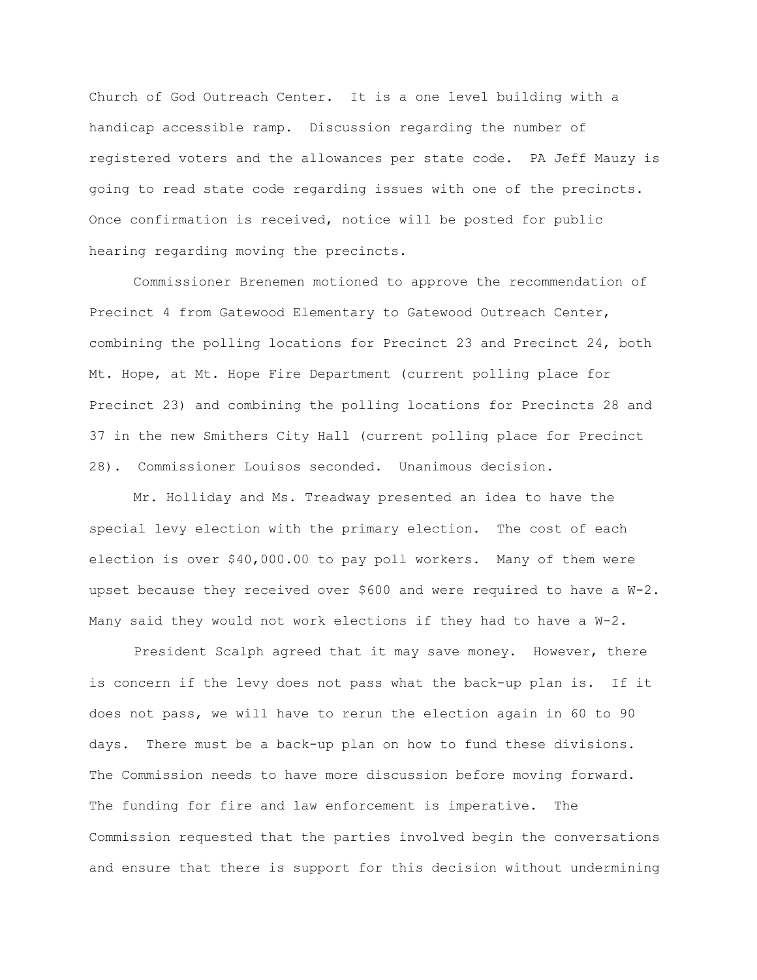Church of God Outreach Center. It is a one level building with a handicap accessible ramp. Discussion regarding the number of registered voters and the allowances per state code. PA Jeff Mauzy is going to read state code regarding issues with one of the precincts. Once confirmation is received, notice will be posted for public hearing regarding moving the precincts.

Commissioner Brenemen motioned to approve the recommendation of Precinct 4 from Gatewood Elementary to Gatewood Outreach Center, combining the polling locations for Precinct 23 and Precinct 24, both Mt. Hope, at Mt. Hope Fire Department (current polling place for Precinct 23) and combining the polling locations for Precincts 28 and 37 in the new Smithers City Hall (current polling place for Precinct 28). Commissioner Louisos seconded. Unanimous decision.

Mr. Holliday and Ms. Treadway presented an idea to have the special levy election with the primary election. The cost of each election is over \$40,000.00 to pay poll workers. Many of them were upset because they received over \$600 and were required to have a W-2. Many said they would not work elections if they had to have a  $W-2$ .

President Scalph agreed that it may save money. However, there is concern if the levy does not pass what the back-up plan is. If it does not pass, we will have to rerun the election again in 60 to 90 days. There must be a back-up plan on how to fund these divisions. The Commission needs to have more discussion before moving forward. The funding for fire and law enforcement is imperative. The Commission requested that the parties involved begin the conversations and ensure that there is support for this decision without undermining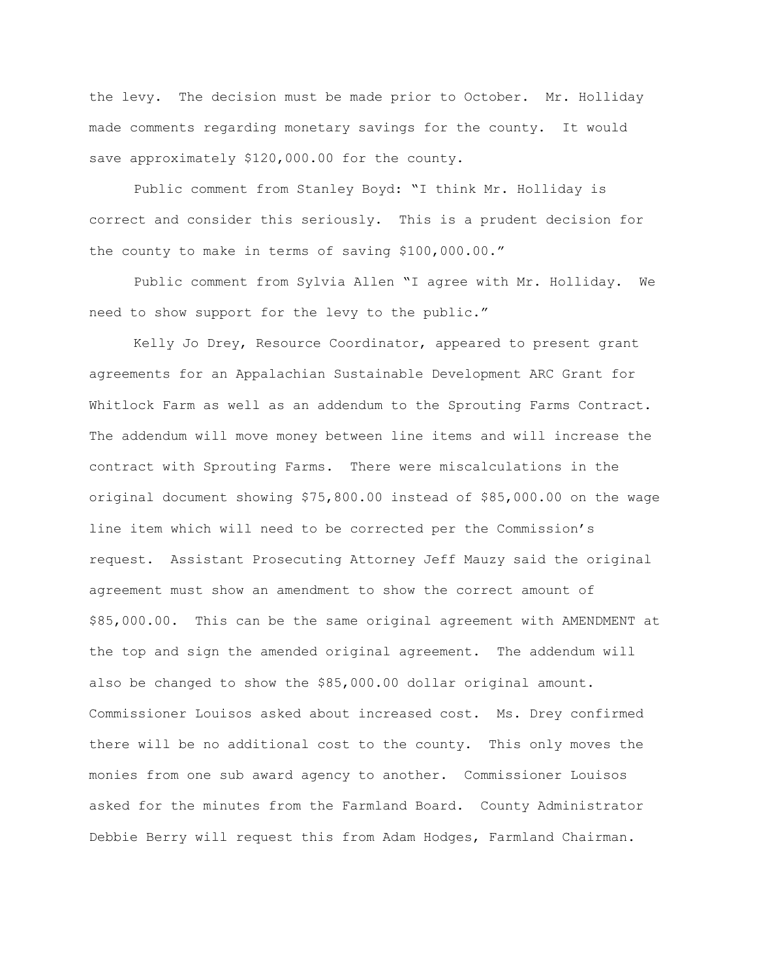the levy. The decision must be made prior to October. Mr. Holliday made comments regarding monetary savings for the county. It would save approximately \$120,000.00 for the county.

Public comment from Stanley Boyd: "I think Mr. Holliday is correct and consider this seriously. This is a prudent decision for the county to make in terms of saving \$100,000.00."

Public comment from Sylvia Allen "I agree with Mr. Holliday. We need to show support for the levy to the public."

Kelly Jo Drey, Resource Coordinator, appeared to present grant agreements for an Appalachian Sustainable Development ARC Grant for Whitlock Farm as well as an addendum to the Sprouting Farms Contract. The addendum will move money between line items and will increase the contract with Sprouting Farms. There were miscalculations in the original document showing \$75,800.00 instead of \$85,000.00 on the wage line item which will need to be corrected per the Commission's request. Assistant Prosecuting Attorney Jeff Mauzy said the original agreement must show an amendment to show the correct amount of \$85,000.00. This can be the same original agreement with AMENDMENT at the top and sign the amended original agreement. The addendum will also be changed to show the \$85,000.00 dollar original amount. Commissioner Louisos asked about increased cost. Ms. Drey confirmed there will be no additional cost to the county. This only moves the monies from one sub award agency to another. Commissioner Louisos asked for the minutes from the Farmland Board. County Administrator Debbie Berry will request this from Adam Hodges, Farmland Chairman.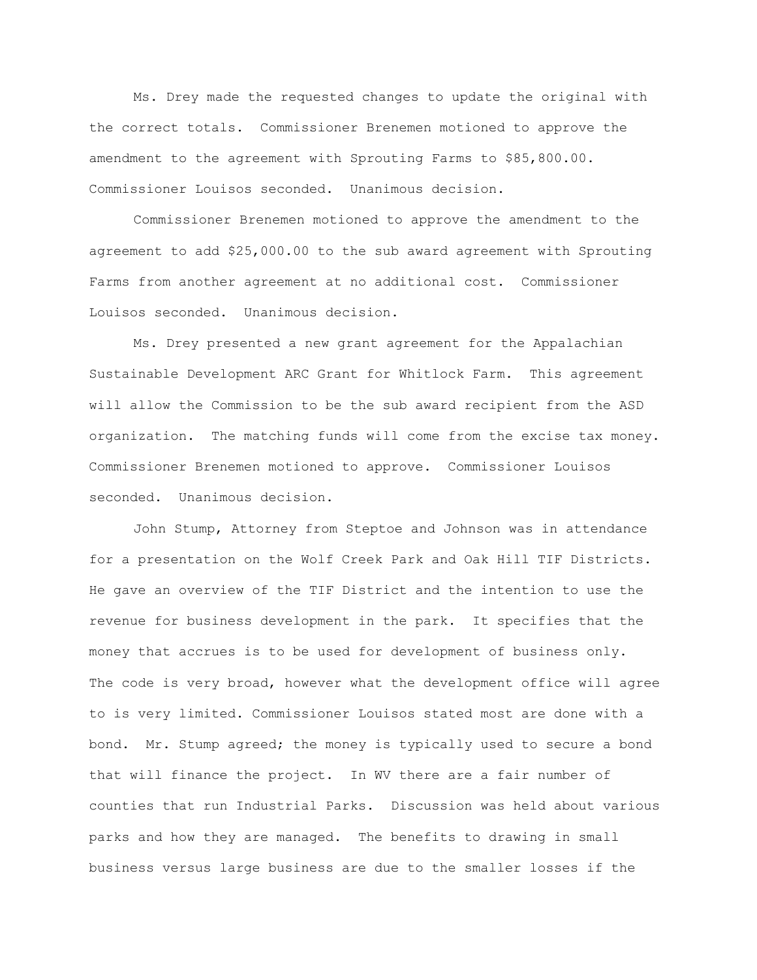Ms. Drey made the requested changes to update the original with the correct totals. Commissioner Brenemen motioned to approve the amendment to the agreement with Sprouting Farms to \$85,800.00. Commissioner Louisos seconded. Unanimous decision.

Commissioner Brenemen motioned to approve the amendment to the agreement to add \$25,000.00 to the sub award agreement with Sprouting Farms from another agreement at no additional cost. Commissioner Louisos seconded. Unanimous decision.

Ms. Drey presented a new grant agreement for the Appalachian Sustainable Development ARC Grant for Whitlock Farm. This agreement will allow the Commission to be the sub award recipient from the ASD organization. The matching funds will come from the excise tax money. Commissioner Brenemen motioned to approve. Commissioner Louisos seconded. Unanimous decision.

John Stump, Attorney from Steptoe and Johnson was in attendance for a presentation on the Wolf Creek Park and Oak Hill TIF Districts. He gave an overview of the TIF District and the intention to use the revenue for business development in the park. It specifies that the money that accrues is to be used for development of business only. The code is very broad, however what the development office will agree to is very limited. Commissioner Louisos stated most are done with a bond. Mr. Stump agreed; the money is typically used to secure a bond that will finance the project. In WV there are a fair number of counties that run Industrial Parks. Discussion was held about various parks and how they are managed. The benefits to drawing in small business versus large business are due to the smaller losses if the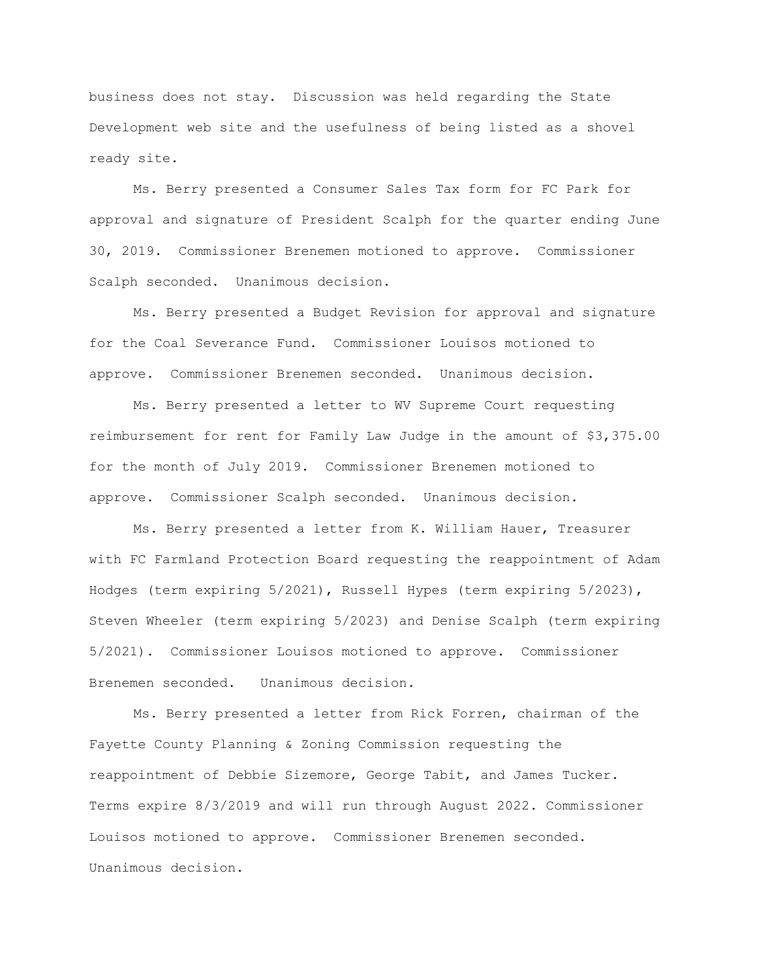business does not stay. Discussion was held regarding the State Development web site and the usefulness of being listed as a shovel ready site.

Ms. Berry presented a Consumer Sales Tax form for FC Park for approval and signature of President Scalph for the quarter ending June 30, 2019. Commissioner Brenemen motioned to approve. Commissioner Scalph seconded. Unanimous decision.

Ms. Berry presented a Budget Revision for approval and signature for the Coal Severance Fund. Commissioner Louisos motioned to approve. Commissioner Brenemen seconded. Unanimous decision.

Ms. Berry presented a letter to WV Supreme Court requesting reimbursement for rent for Family Law Judge in the amount of \$3,375.00 for the month of July 2019. Commissioner Brenemen motioned to approve. Commissioner Scalph seconded. Unanimous decision.

Ms. Berry presented a letter from K. William Hauer, Treasurer with FC Farmland Protection Board requesting the reappointment of Adam Hodges (term expiring 5/2021), Russell Hypes (term expiring 5/2023), Steven Wheeler (term expiring 5/2023) and Denise Scalph (term expiring 5/2021). Commissioner Louisos motioned to approve. Commissioner Brenemen seconded. Unanimous decision.

Ms. Berry presented a letter from Rick Forren, chairman of the Fayette County Planning & Zoning Commission requesting the reappointment of Debbie Sizemore, George Tabit, and James Tucker. Terms expire 8/3/2019 and will run through August 2022. Commissioner Louisos motioned to approve. Commissioner Brenemen seconded. Unanimous decision.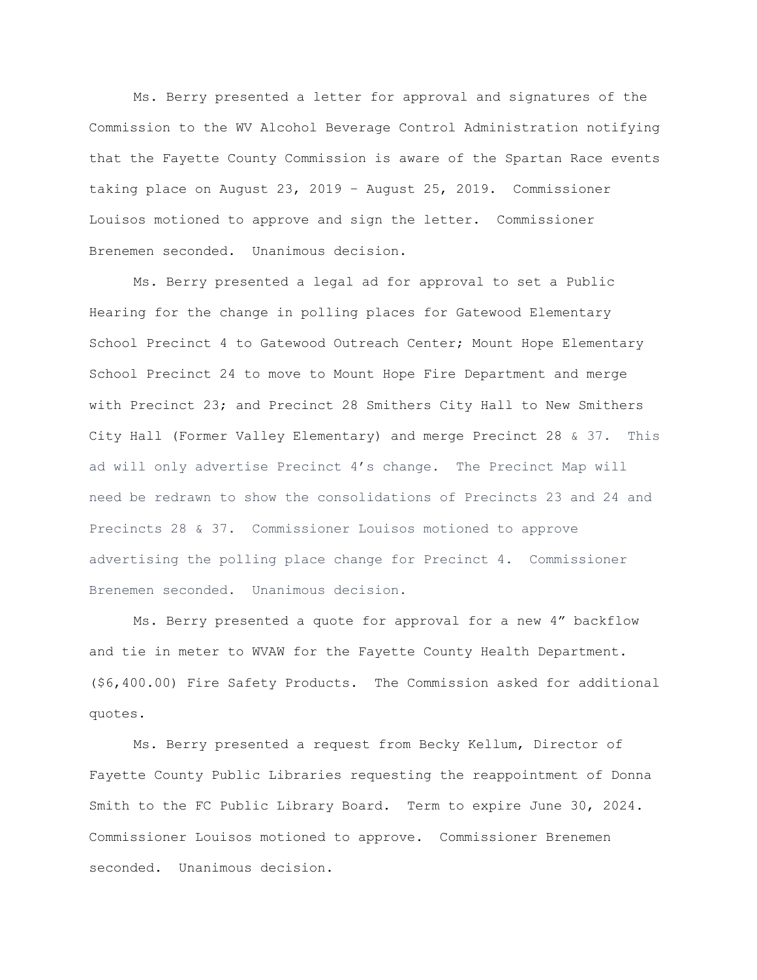Ms. Berry presented a letter for approval and signatures of the Commission to the WV Alcohol Beverage Control Administration notifying that the Fayette County Commission is aware of the Spartan Race events taking place on August 23, 2019 – August 25, 2019. Commissioner Louisos motioned to approve and sign the letter. Commissioner Brenemen seconded. Unanimous decision.

Ms. Berry presented a legal ad for approval to set a Public Hearing for the change in polling places for Gatewood Elementary School Precinct 4 to Gatewood Outreach Center; Mount Hope Elementary School Precinct 24 to move to Mount Hope Fire Department and merge with Precinct 23; and Precinct 28 Smithers City Hall to New Smithers City Hall (Former Valley Elementary) and merge Precinct 28 & 37. This ad will only advertise Precinct 4's change. The Precinct Map will need be redrawn to show the consolidations of Precincts 23 and 24 and Precincts 28 & 37. Commissioner Louisos motioned to approve advertising the polling place change for Precinct 4. Commissioner Brenemen seconded. Unanimous decision.

Ms. Berry presented a quote for approval for a new 4" backflow and tie in meter to WVAW for the Fayette County Health Department. (\$6,400.00) Fire Safety Products. The Commission asked for additional quotes.

Ms. Berry presented a request from Becky Kellum, Director of Fayette County Public Libraries requesting the reappointment of Donna Smith to the FC Public Library Board. Term to expire June 30, 2024. Commissioner Louisos motioned to approve. Commissioner Brenemen seconded. Unanimous decision.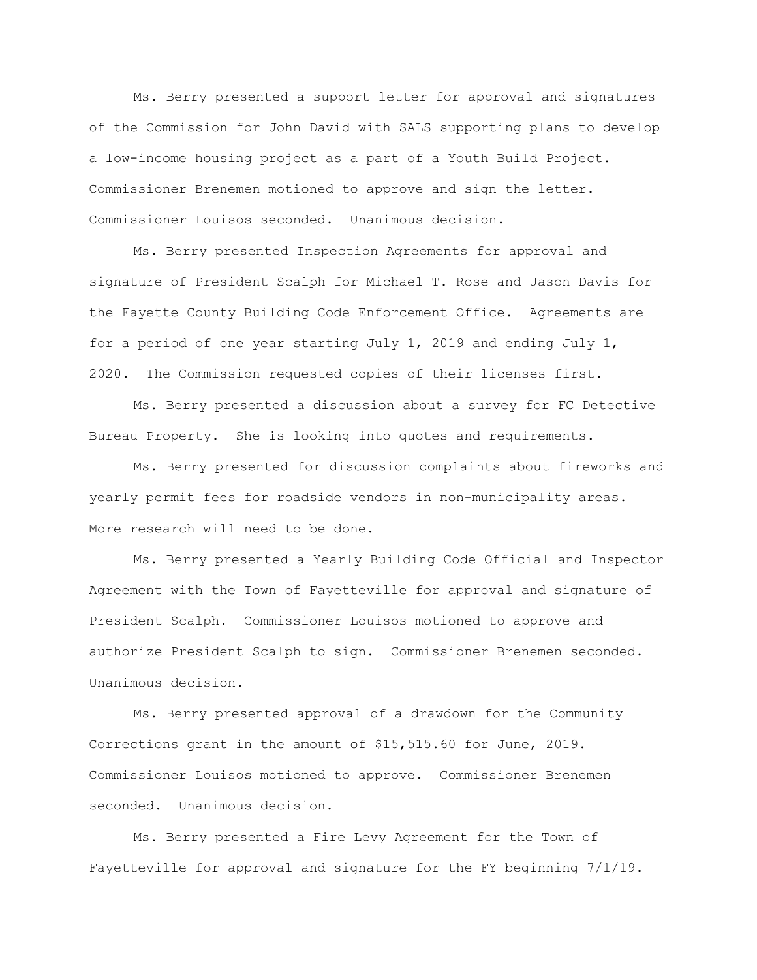Ms. Berry presented a support letter for approval and signatures of the Commission for John David with SALS supporting plans to develop a low-income housing project as a part of a Youth Build Project. Commissioner Brenemen motioned to approve and sign the letter. Commissioner Louisos seconded. Unanimous decision.

Ms. Berry presented Inspection Agreements for approval and signature of President Scalph for Michael T. Rose and Jason Davis for the Fayette County Building Code Enforcement Office. Agreements are for a period of one year starting July 1, 2019 and ending July 1, 2020. The Commission requested copies of their licenses first.

Ms. Berry presented a discussion about a survey for FC Detective Bureau Property. She is looking into quotes and requirements.

Ms. Berry presented for discussion complaints about fireworks and yearly permit fees for roadside vendors in non-municipality areas. More research will need to be done.

Ms. Berry presented a Yearly Building Code Official and Inspector Agreement with the Town of Fayetteville for approval and signature of President Scalph. Commissioner Louisos motioned to approve and authorize President Scalph to sign. Commissioner Brenemen seconded. Unanimous decision.

Ms. Berry presented approval of a drawdown for the Community Corrections grant in the amount of \$15,515.60 for June, 2019. Commissioner Louisos motioned to approve. Commissioner Brenemen seconded. Unanimous decision.

Ms. Berry presented a Fire Levy Agreement for the Town of Fayetteville for approval and signature for the FY beginning 7/1/19.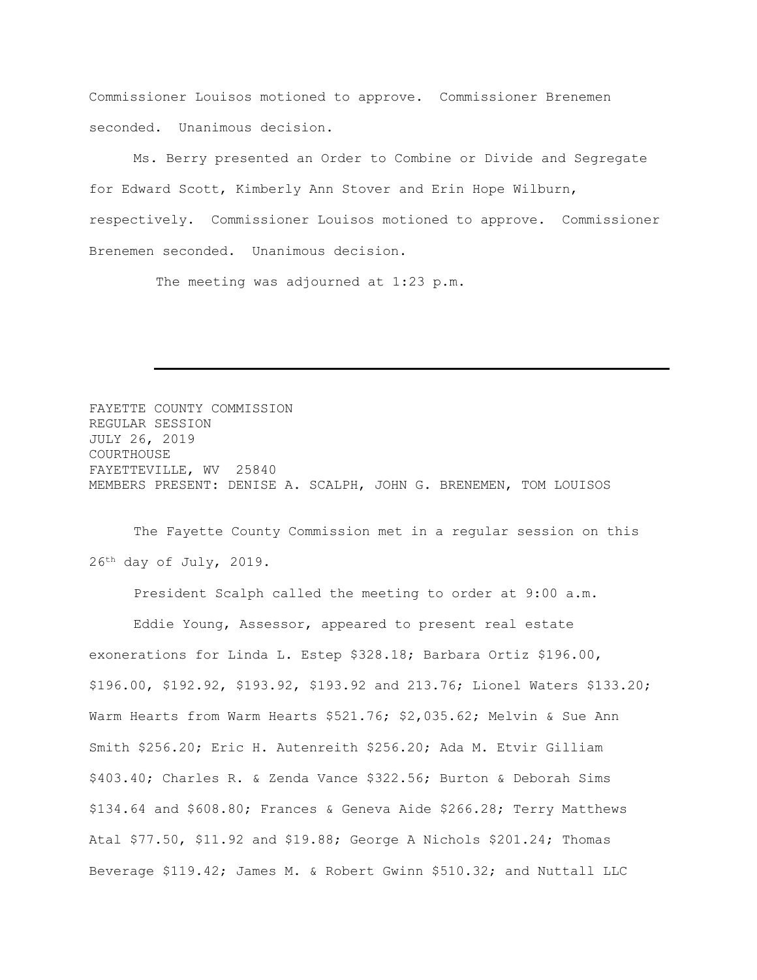Commissioner Louisos motioned to approve. Commissioner Brenemen seconded. Unanimous decision.

Ms. Berry presented an Order to Combine or Divide and Segregate for Edward Scott, Kimberly Ann Stover and Erin Hope Wilburn, respectively. Commissioner Louisos motioned to approve. Commissioner Brenemen seconded. Unanimous decision.

The meeting was adjourned at 1:23 p.m.

FAYETTE COUNTY COMMISSION REGULAR SESSION JULY 26, 2019 COURTHOUSE FAYETTEVILLE, WV 25840 MEMBERS PRESENT: DENISE A. SCALPH, JOHN G. BRENEMEN, TOM LOUISOS

The Fayette County Commission met in a regular session on this 26th day of July, 2019.

President Scalph called the meeting to order at 9:00 a.m.

Eddie Young, Assessor, appeared to present real estate exonerations for Linda L. Estep \$328.18; Barbara Ortiz \$196.00, \$196.00, \$192.92, \$193.92, \$193.92 and 213.76; Lionel Waters \$133.20; Warm Hearts from Warm Hearts \$521.76; \$2,035.62; Melvin & Sue Ann Smith \$256.20; Eric H. Autenreith \$256.20; Ada M. Etvir Gilliam \$403.40; Charles R. & Zenda Vance \$322.56; Burton & Deborah Sims \$134.64 and \$608.80; Frances & Geneva Aide \$266.28; Terry Matthews Atal \$77.50, \$11.92 and \$19.88; George A Nichols \$201.24; Thomas Beverage \$119.42; James M. & Robert Gwinn \$510.32; and Nuttall LLC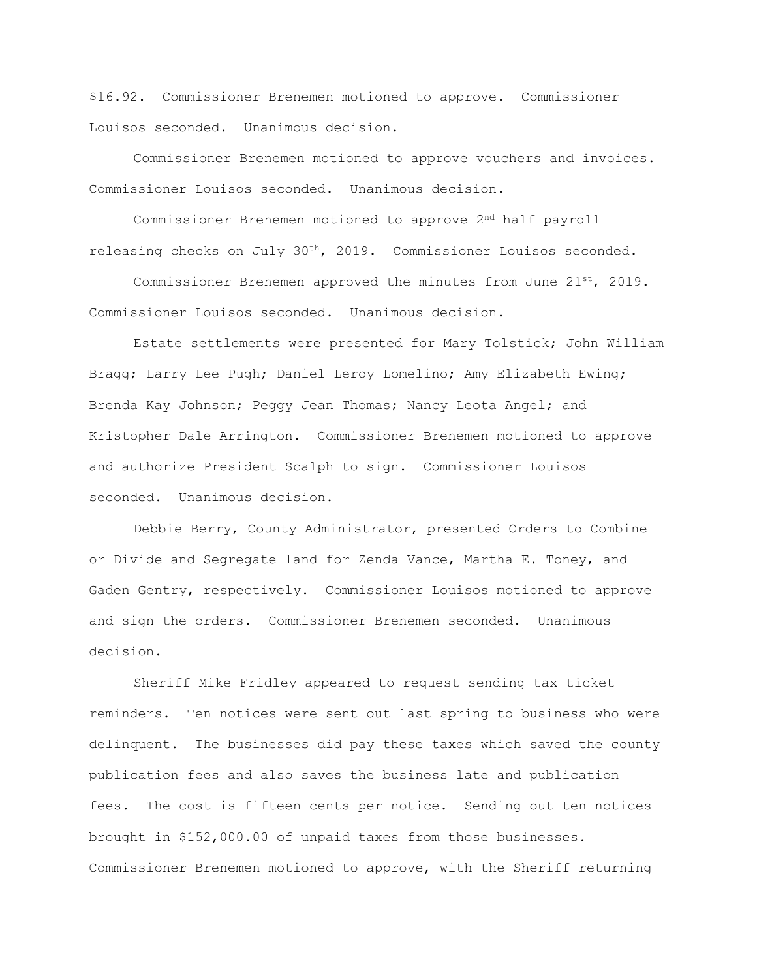\$16.92. Commissioner Brenemen motioned to approve. Commissioner Louisos seconded. Unanimous decision.

Commissioner Brenemen motioned to approve vouchers and invoices. Commissioner Louisos seconded. Unanimous decision.

Commissioner Brenemen motioned to approve 2nd half payroll releasing checks on July 30th, 2019. Commissioner Louisos seconded.

Commissioner Brenemen approved the minutes from June  $21^{st}$ , 2019. Commissioner Louisos seconded. Unanimous decision.

Estate settlements were presented for Mary Tolstick; John William Bragg; Larry Lee Pugh; Daniel Leroy Lomelino; Amy Elizabeth Ewing; Brenda Kay Johnson; Peggy Jean Thomas; Nancy Leota Angel; and Kristopher Dale Arrington. Commissioner Brenemen motioned to approve and authorize President Scalph to sign. Commissioner Louisos seconded. Unanimous decision.

Debbie Berry, County Administrator, presented Orders to Combine or Divide and Segregate land for Zenda Vance, Martha E. Toney, and Gaden Gentry, respectively. Commissioner Louisos motioned to approve and sign the orders. Commissioner Brenemen seconded. Unanimous decision.

Sheriff Mike Fridley appeared to request sending tax ticket reminders. Ten notices were sent out last spring to business who were delinquent. The businesses did pay these taxes which saved the county publication fees and also saves the business late and publication fees. The cost is fifteen cents per notice. Sending out ten notices brought in \$152,000.00 of unpaid taxes from those businesses. Commissioner Brenemen motioned to approve, with the Sheriff returning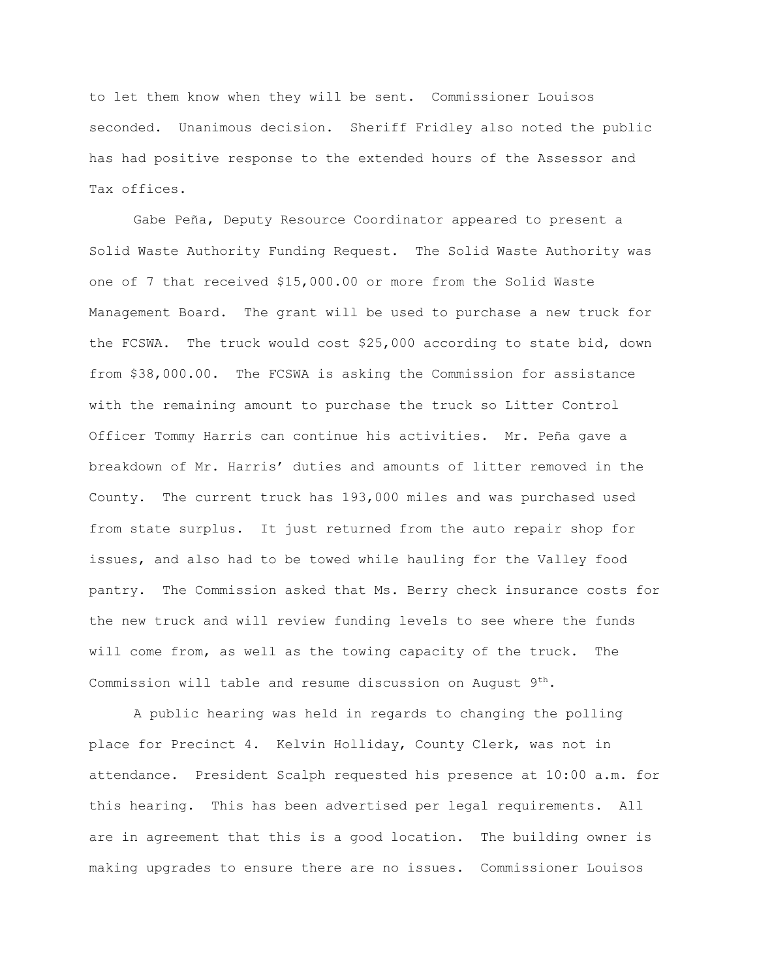to let them know when they will be sent. Commissioner Louisos seconded. Unanimous decision. Sheriff Fridley also noted the public has had positive response to the extended hours of the Assessor and Tax offices.

Gabe Peña, Deputy Resource Coordinator appeared to present a Solid Waste Authority Funding Request. The Solid Waste Authority was one of 7 that received \$15,000.00 or more from the Solid Waste Management Board. The grant will be used to purchase a new truck for the FCSWA. The truck would cost \$25,000 according to state bid, down from \$38,000.00. The FCSWA is asking the Commission for assistance with the remaining amount to purchase the truck so Litter Control Officer Tommy Harris can continue his activities. Mr. Peña gave a breakdown of Mr. Harris' duties and amounts of litter removed in the County. The current truck has 193,000 miles and was purchased used from state surplus. It just returned from the auto repair shop for issues, and also had to be towed while hauling for the Valley food pantry. The Commission asked that Ms. Berry check insurance costs for the new truck and will review funding levels to see where the funds will come from, as well as the towing capacity of the truck. The Commission will table and resume discussion on August  $9^{th}$ .

A public hearing was held in regards to changing the polling place for Precinct 4. Kelvin Holliday, County Clerk, was not in attendance. President Scalph requested his presence at 10:00 a.m. for this hearing. This has been advertised per legal requirements. All are in agreement that this is a good location. The building owner is making upgrades to ensure there are no issues. Commissioner Louisos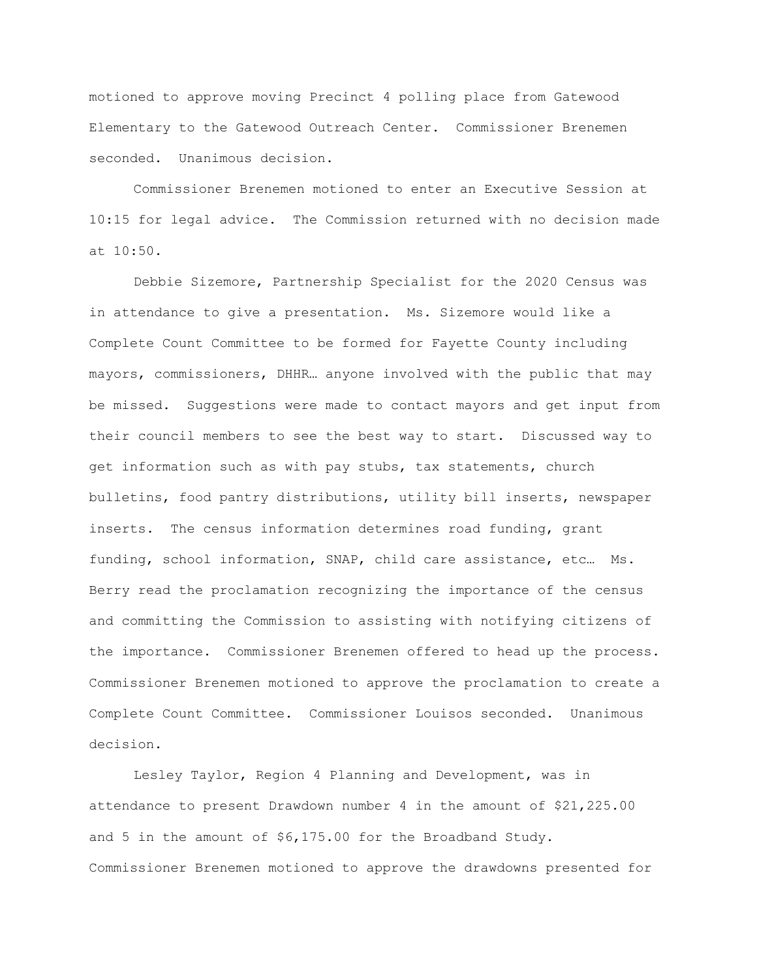motioned to approve moving Precinct 4 polling place from Gatewood Elementary to the Gatewood Outreach Center. Commissioner Brenemen seconded. Unanimous decision.

Commissioner Brenemen motioned to enter an Executive Session at 10:15 for legal advice. The Commission returned with no decision made at 10:50.

Debbie Sizemore, Partnership Specialist for the 2020 Census was in attendance to give a presentation. Ms. Sizemore would like a Complete Count Committee to be formed for Fayette County including mayors, commissioners, DHHR… anyone involved with the public that may be missed. Suggestions were made to contact mayors and get input from their council members to see the best way to start. Discussed way to get information such as with pay stubs, tax statements, church bulletins, food pantry distributions, utility bill inserts, newspaper inserts. The census information determines road funding, grant funding, school information, SNAP, child care assistance, etc… Ms. Berry read the proclamation recognizing the importance of the census and committing the Commission to assisting with notifying citizens of the importance. Commissioner Brenemen offered to head up the process. Commissioner Brenemen motioned to approve the proclamation to create a Complete Count Committee. Commissioner Louisos seconded. Unanimous decision.

Lesley Taylor, Region 4 Planning and Development, was in attendance to present Drawdown number 4 in the amount of \$21,225.00 and 5 in the amount of \$6,175.00 for the Broadband Study. Commissioner Brenemen motioned to approve the drawdowns presented for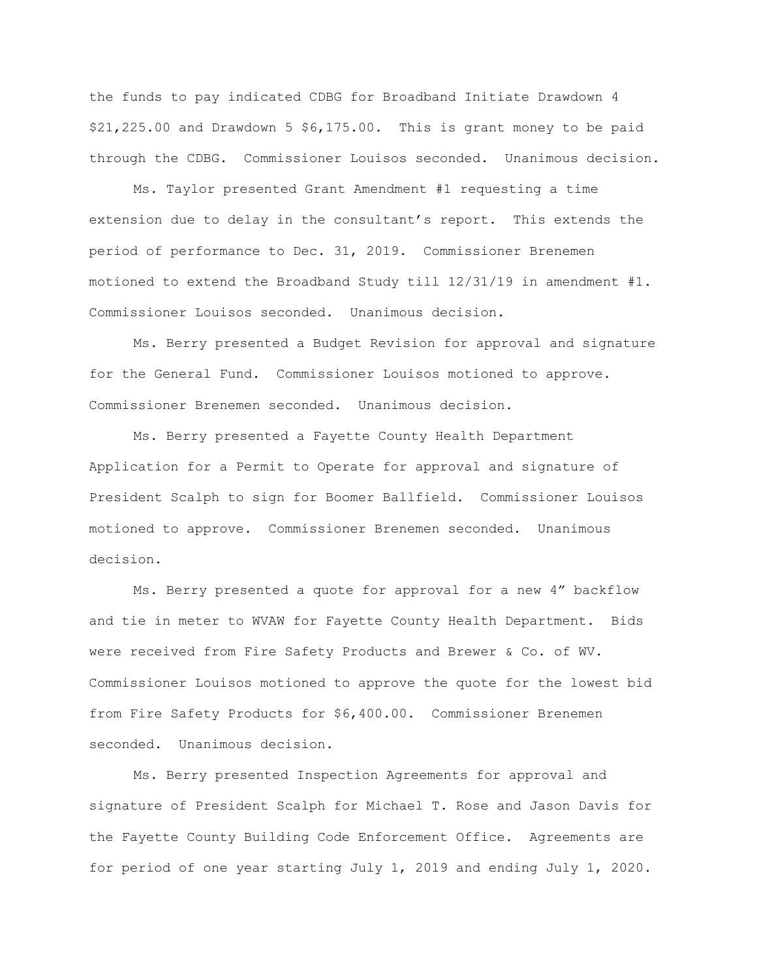the funds to pay indicated CDBG for Broadband Initiate Drawdown 4 \$21,225.00 and Drawdown 5 \$6,175.00. This is grant money to be paid through the CDBG. Commissioner Louisos seconded. Unanimous decision.

Ms. Taylor presented Grant Amendment #1 requesting a time extension due to delay in the consultant's report. This extends the period of performance to Dec. 31, 2019. Commissioner Brenemen motioned to extend the Broadband Study till 12/31/19 in amendment #1. Commissioner Louisos seconded. Unanimous decision.

Ms. Berry presented a Budget Revision for approval and signature for the General Fund. Commissioner Louisos motioned to approve. Commissioner Brenemen seconded. Unanimous decision.

Ms. Berry presented a Fayette County Health Department Application for a Permit to Operate for approval and signature of President Scalph to sign for Boomer Ballfield. Commissioner Louisos motioned to approve. Commissioner Brenemen seconded. Unanimous decision.

Ms. Berry presented a quote for approval for a new 4" backflow and tie in meter to WVAW for Fayette County Health Department. Bids were received from Fire Safety Products and Brewer & Co. of WV. Commissioner Louisos motioned to approve the quote for the lowest bid from Fire Safety Products for \$6,400.00. Commissioner Brenemen seconded. Unanimous decision.

Ms. Berry presented Inspection Agreements for approval and signature of President Scalph for Michael T. Rose and Jason Davis for the Fayette County Building Code Enforcement Office. Agreements are for period of one year starting July 1, 2019 and ending July 1, 2020.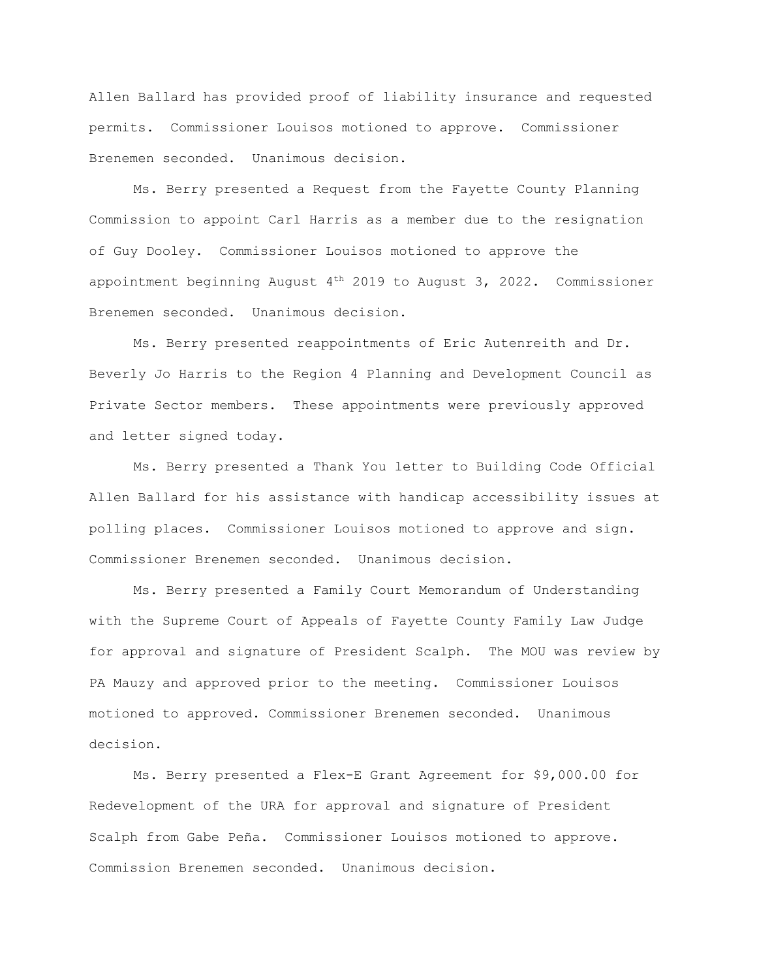Allen Ballard has provided proof of liability insurance and requested permits. Commissioner Louisos motioned to approve. Commissioner Brenemen seconded. Unanimous decision.

Ms. Berry presented a Request from the Fayette County Planning Commission to appoint Carl Harris as a member due to the resignation of Guy Dooley. Commissioner Louisos motioned to approve the appointment beginning August  $4<sup>th</sup>$  2019 to August 3, 2022. Commissioner Brenemen seconded. Unanimous decision.

Ms. Berry presented reappointments of Eric Autenreith and Dr. Beverly Jo Harris to the Region 4 Planning and Development Council as Private Sector members. These appointments were previously approved and letter signed today.

Ms. Berry presented a Thank You letter to Building Code Official Allen Ballard for his assistance with handicap accessibility issues at polling places. Commissioner Louisos motioned to approve and sign. Commissioner Brenemen seconded. Unanimous decision.

Ms. Berry presented a Family Court Memorandum of Understanding with the Supreme Court of Appeals of Fayette County Family Law Judge for approval and signature of President Scalph. The MOU was review by PA Mauzy and approved prior to the meeting. Commissioner Louisos motioned to approved. Commissioner Brenemen seconded. Unanimous decision.

Ms. Berry presented a Flex-E Grant Agreement for \$9,000.00 for Redevelopment of the URA for approval and signature of President Scalph from Gabe Peña. Commissioner Louisos motioned to approve. Commission Brenemen seconded. Unanimous decision.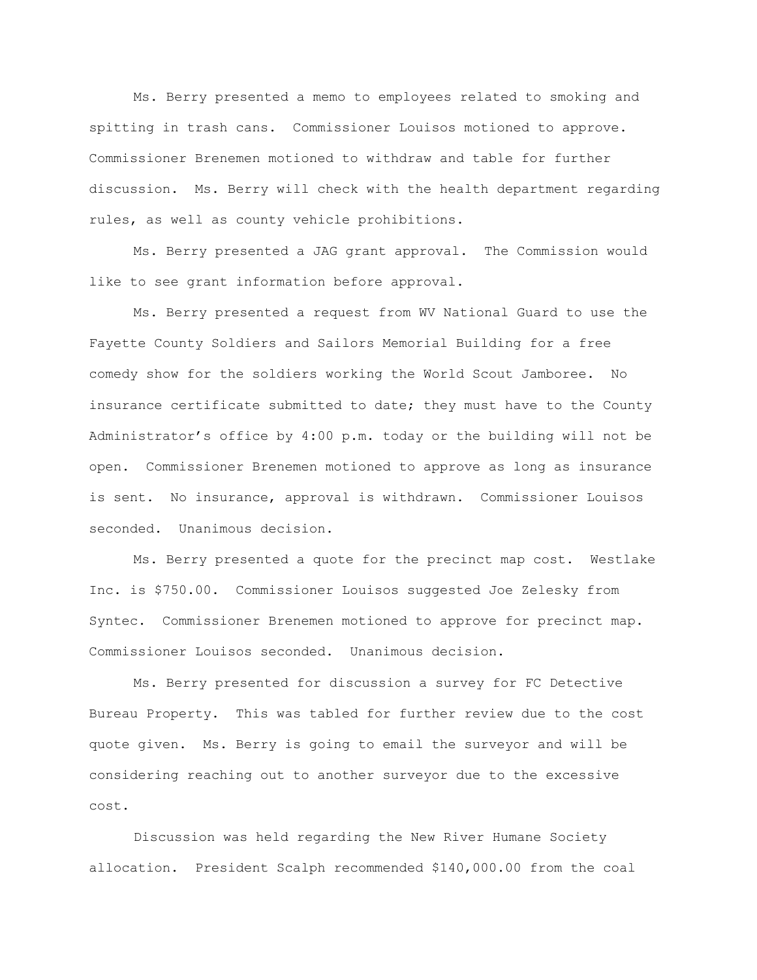Ms. Berry presented a memo to employees related to smoking and spitting in trash cans. Commissioner Louisos motioned to approve. Commissioner Brenemen motioned to withdraw and table for further discussion. Ms. Berry will check with the health department regarding rules, as well as county vehicle prohibitions.

Ms. Berry presented a JAG grant approval. The Commission would like to see grant information before approval.

Ms. Berry presented a request from WV National Guard to use the Fayette County Soldiers and Sailors Memorial Building for a free comedy show for the soldiers working the World Scout Jamboree. No insurance certificate submitted to date; they must have to the County Administrator's office by 4:00 p.m. today or the building will not be open. Commissioner Brenemen motioned to approve as long as insurance is sent. No insurance, approval is withdrawn. Commissioner Louisos seconded. Unanimous decision.

Ms. Berry presented a quote for the precinct map cost. Westlake Inc. is \$750.00. Commissioner Louisos suggested Joe Zelesky from Syntec. Commissioner Brenemen motioned to approve for precinct map. Commissioner Louisos seconded. Unanimous decision.

Ms. Berry presented for discussion a survey for FC Detective Bureau Property. This was tabled for further review due to the cost quote given. Ms. Berry is going to email the surveyor and will be considering reaching out to another surveyor due to the excessive cost.

Discussion was held regarding the New River Humane Society allocation. President Scalph recommended \$140,000.00 from the coal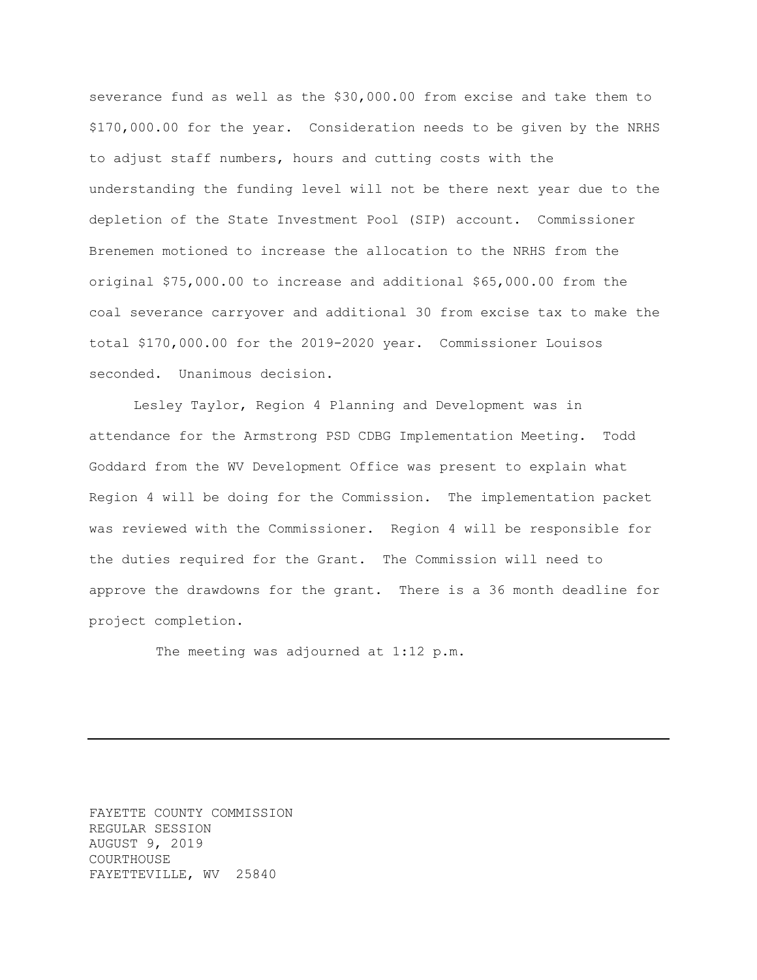severance fund as well as the \$30,000.00 from excise and take them to \$170,000.00 for the year. Consideration needs to be given by the NRHS to adjust staff numbers, hours and cutting costs with the understanding the funding level will not be there next year due to the depletion of the State Investment Pool (SIP) account. Commissioner Brenemen motioned to increase the allocation to the NRHS from the original \$75,000.00 to increase and additional \$65,000.00 from the coal severance carryover and additional 30 from excise tax to make the total \$170,000.00 for the 2019-2020 year. Commissioner Louisos seconded. Unanimous decision.

Lesley Taylor, Region 4 Planning and Development was in attendance for the Armstrong PSD CDBG Implementation Meeting. Todd Goddard from the WV Development Office was present to explain what Region 4 will be doing for the Commission. The implementation packet was reviewed with the Commissioner. Region 4 will be responsible for the duties required for the Grant. The Commission will need to approve the drawdowns for the grant. There is a 36 month deadline for project completion.

The meeting was adjourned at 1:12 p.m.

FAYETTE COUNTY COMMISSION REGULAR SESSION AUGUST 9, 2019 COURTHOUSE FAYETTEVILLE, WV 25840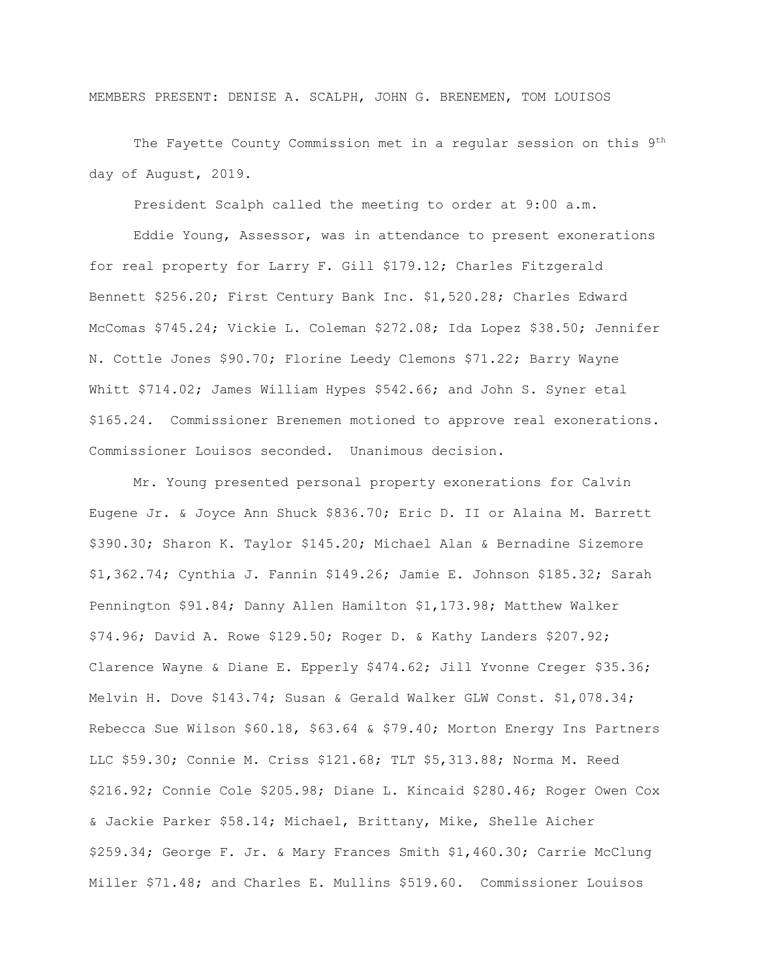MEMBERS PRESENT: DENISE A. SCALPH, JOHN G. BRENEMEN, TOM LOUISOS

The Fayette County Commission met in a regular session on this 9th day of August, 2019.

President Scalph called the meeting to order at 9:00 a.m.

Eddie Young, Assessor, was in attendance to present exonerations for real property for Larry F. Gill \$179.12; Charles Fitzgerald Bennett \$256.20; First Century Bank Inc. \$1,520.28; Charles Edward McComas \$745.24; Vickie L. Coleman \$272.08; Ida Lopez \$38.50; Jennifer N. Cottle Jones \$90.70; Florine Leedy Clemons \$71.22; Barry Wayne Whitt \$714.02; James William Hypes \$542.66; and John S. Syner etal \$165.24. Commissioner Brenemen motioned to approve real exonerations. Commissioner Louisos seconded. Unanimous decision.

Mr. Young presented personal property exonerations for Calvin Eugene Jr. & Joyce Ann Shuck \$836.70; Eric D. II or Alaina M. Barrett \$390.30; Sharon K. Taylor \$145.20; Michael Alan & Bernadine Sizemore \$1,362.74; Cynthia J. Fannin \$149.26; Jamie E. Johnson \$185.32; Sarah Pennington \$91.84; Danny Allen Hamilton \$1,173.98; Matthew Walker \$74.96; David A. Rowe \$129.50; Roger D. & Kathy Landers \$207.92; Clarence Wayne & Diane E. Epperly \$474.62; Jill Yvonne Creger \$35.36; Melvin H. Dove \$143.74; Susan & Gerald Walker GLW Const. \$1,078.34; Rebecca Sue Wilson \$60.18, \$63.64 & \$79.40; Morton Energy Ins Partners LLC \$59.30; Connie M. Criss \$121.68; TLT \$5,313.88; Norma M. Reed \$216.92; Connie Cole \$205.98; Diane L. Kincaid \$280.46; Roger Owen Cox & Jackie Parker \$58.14; Michael, Brittany, Mike, Shelle Aicher \$259.34; George F. Jr. & Mary Frances Smith \$1,460.30; Carrie McClung Miller \$71.48; and Charles E. Mullins \$519.60. Commissioner Louisos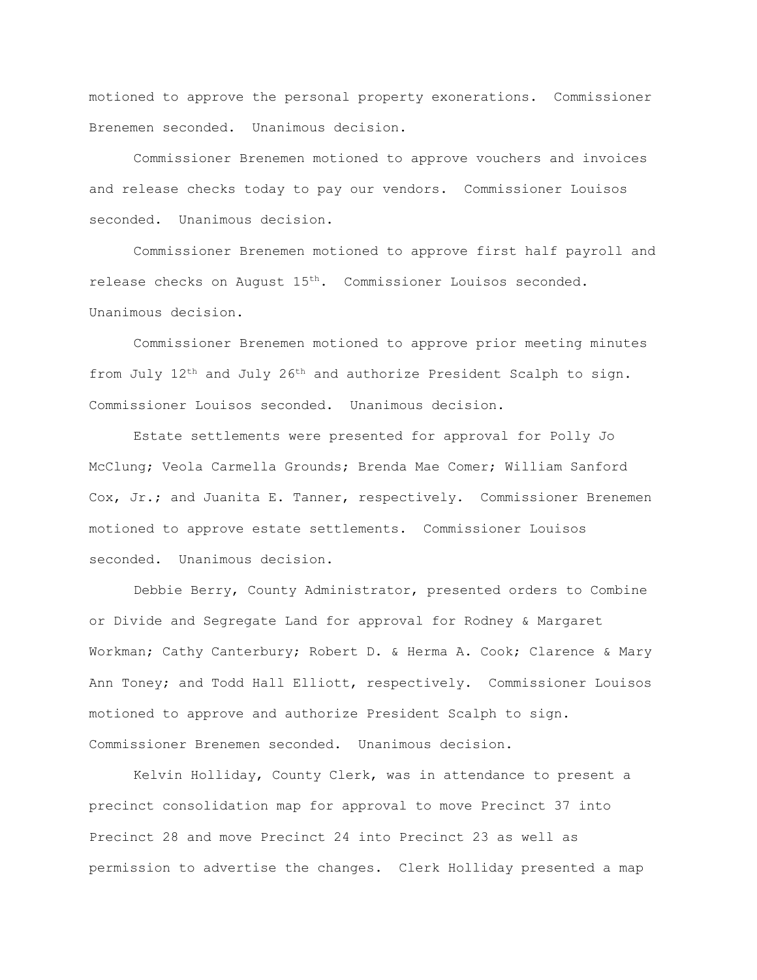motioned to approve the personal property exonerations. Commissioner Brenemen seconded. Unanimous decision.

Commissioner Brenemen motioned to approve vouchers and invoices and release checks today to pay our vendors. Commissioner Louisos seconded. Unanimous decision.

Commissioner Brenemen motioned to approve first half payroll and release checks on August 15<sup>th</sup>. Commissioner Louisos seconded. Unanimous decision.

Commissioner Brenemen motioned to approve prior meeting minutes from July 12<sup>th</sup> and July 26<sup>th</sup> and authorize President Scalph to sign. Commissioner Louisos seconded. Unanimous decision.

Estate settlements were presented for approval for Polly Jo McClung; Veola Carmella Grounds; Brenda Mae Comer; William Sanford Cox, Jr.; and Juanita E. Tanner, respectively. Commissioner Brenemen motioned to approve estate settlements. Commissioner Louisos seconded. Unanimous decision.

Debbie Berry, County Administrator, presented orders to Combine or Divide and Segregate Land for approval for Rodney & Margaret Workman; Cathy Canterbury; Robert D. & Herma A. Cook; Clarence & Mary Ann Toney; and Todd Hall Elliott, respectively. Commissioner Louisos motioned to approve and authorize President Scalph to sign. Commissioner Brenemen seconded. Unanimous decision.

Kelvin Holliday, County Clerk, was in attendance to present a precinct consolidation map for approval to move Precinct 37 into Precinct 28 and move Precinct 24 into Precinct 23 as well as permission to advertise the changes. Clerk Holliday presented a map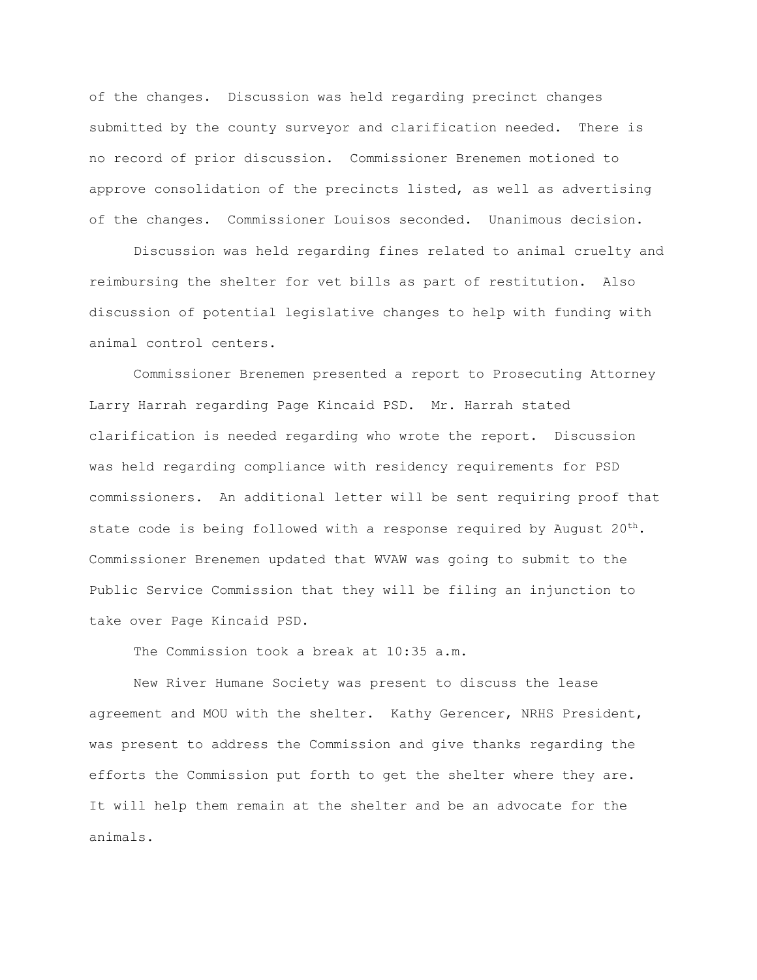of the changes. Discussion was held regarding precinct changes submitted by the county surveyor and clarification needed. There is no record of prior discussion. Commissioner Brenemen motioned to approve consolidation of the precincts listed, as well as advertising of the changes. Commissioner Louisos seconded. Unanimous decision.

Discussion was held regarding fines related to animal cruelty and reimbursing the shelter for vet bills as part of restitution. Also discussion of potential legislative changes to help with funding with animal control centers.

Commissioner Brenemen presented a report to Prosecuting Attorney Larry Harrah regarding Page Kincaid PSD. Mr. Harrah stated clarification is needed regarding who wrote the report. Discussion was held regarding compliance with residency requirements for PSD commissioners. An additional letter will be sent requiring proof that state code is being followed with a response required by August 20<sup>th</sup>. Commissioner Brenemen updated that WVAW was going to submit to the Public Service Commission that they will be filing an injunction to take over Page Kincaid PSD.

The Commission took a break at 10:35 a.m.

New River Humane Society was present to discuss the lease agreement and MOU with the shelter. Kathy Gerencer, NRHS President, was present to address the Commission and give thanks regarding the efforts the Commission put forth to get the shelter where they are. It will help them remain at the shelter and be an advocate for the animals.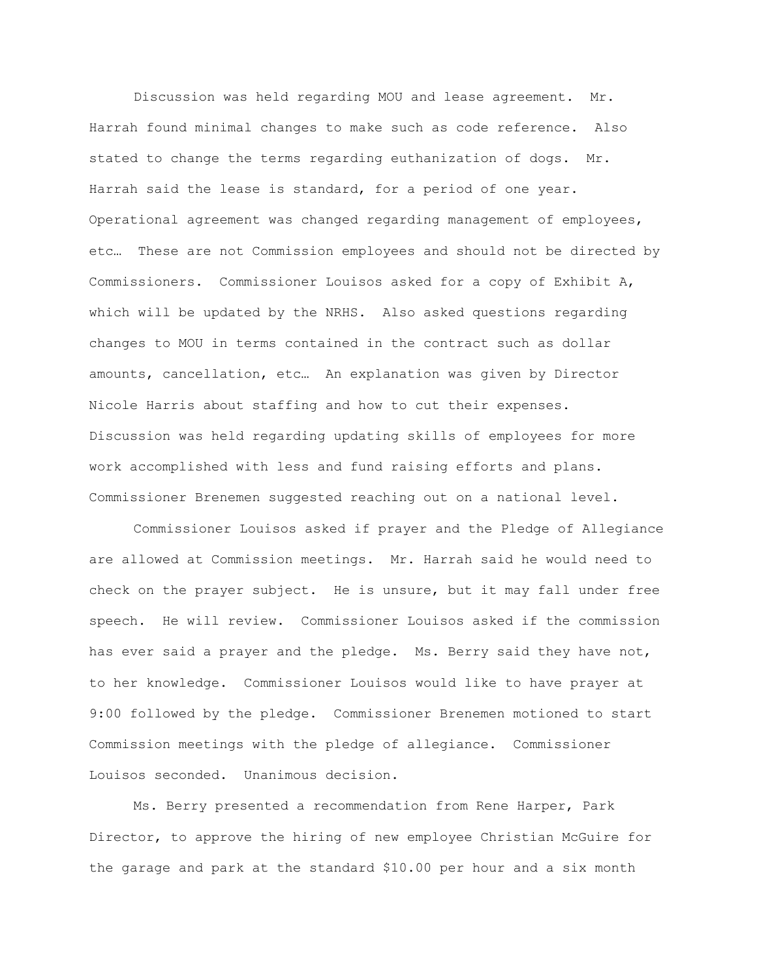Discussion was held regarding MOU and lease agreement. Mr. Harrah found minimal changes to make such as code reference. Also stated to change the terms regarding euthanization of dogs. Mr. Harrah said the lease is standard, for a period of one year. Operational agreement was changed regarding management of employees, etc… These are not Commission employees and should not be directed by Commissioners. Commissioner Louisos asked for a copy of Exhibit A, which will be updated by the NRHS. Also asked questions regarding changes to MOU in terms contained in the contract such as dollar amounts, cancellation, etc… An explanation was given by Director Nicole Harris about staffing and how to cut their expenses. Discussion was held regarding updating skills of employees for more work accomplished with less and fund raising efforts and plans. Commissioner Brenemen suggested reaching out on a national level.

Commissioner Louisos asked if prayer and the Pledge of Allegiance are allowed at Commission meetings. Mr. Harrah said he would need to check on the prayer subject. He is unsure, but it may fall under free speech. He will review. Commissioner Louisos asked if the commission has ever said a prayer and the pledge. Ms. Berry said they have not, to her knowledge. Commissioner Louisos would like to have prayer at 9:00 followed by the pledge. Commissioner Brenemen motioned to start Commission meetings with the pledge of allegiance. Commissioner Louisos seconded. Unanimous decision.

Ms. Berry presented a recommendation from Rene Harper, Park Director, to approve the hiring of new employee Christian McGuire for the garage and park at the standard \$10.00 per hour and a six month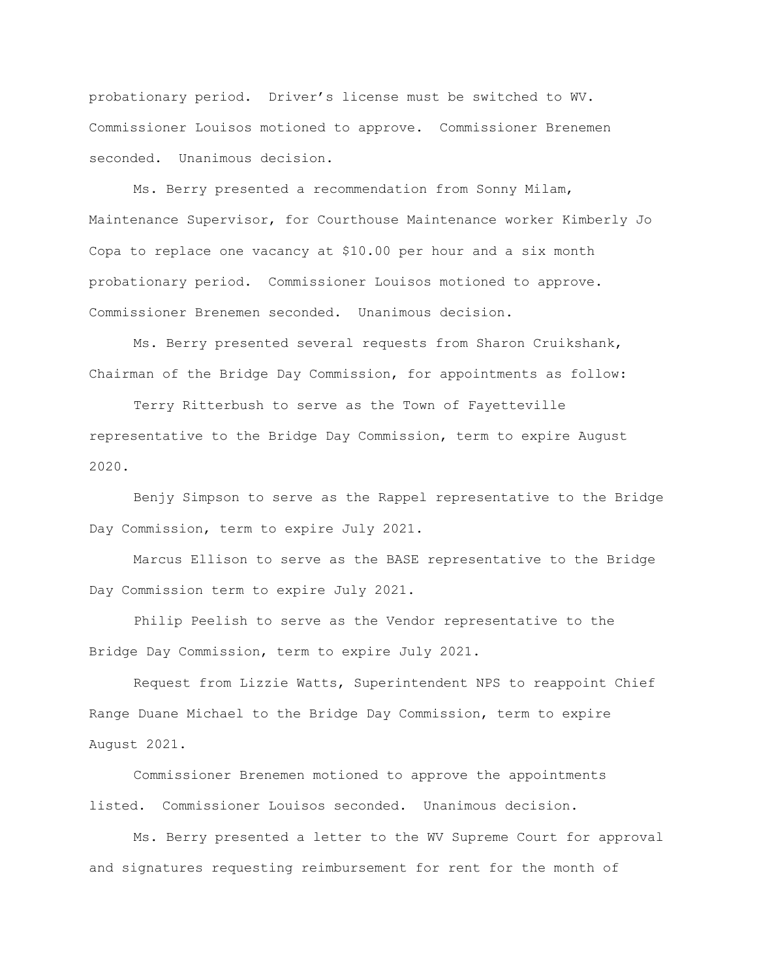probationary period. Driver's license must be switched to WV. Commissioner Louisos motioned to approve. Commissioner Brenemen seconded. Unanimous decision.

Ms. Berry presented a recommendation from Sonny Milam, Maintenance Supervisor, for Courthouse Maintenance worker Kimberly Jo Copa to replace one vacancy at \$10.00 per hour and a six month probationary period. Commissioner Louisos motioned to approve. Commissioner Brenemen seconded. Unanimous decision.

Ms. Berry presented several requests from Sharon Cruikshank, Chairman of the Bridge Day Commission, for appointments as follow:

Terry Ritterbush to serve as the Town of Fayetteville representative to the Bridge Day Commission, term to expire August 2020.

Benjy Simpson to serve as the Rappel representative to the Bridge Day Commission, term to expire July 2021.

Marcus Ellison to serve as the BASE representative to the Bridge Day Commission term to expire July 2021.

Philip Peelish to serve as the Vendor representative to the Bridge Day Commission, term to expire July 2021.

Request from Lizzie Watts, Superintendent NPS to reappoint Chief Range Duane Michael to the Bridge Day Commission, term to expire August 2021.

Commissioner Brenemen motioned to approve the appointments listed. Commissioner Louisos seconded. Unanimous decision.

Ms. Berry presented a letter to the WV Supreme Court for approval and signatures requesting reimbursement for rent for the month of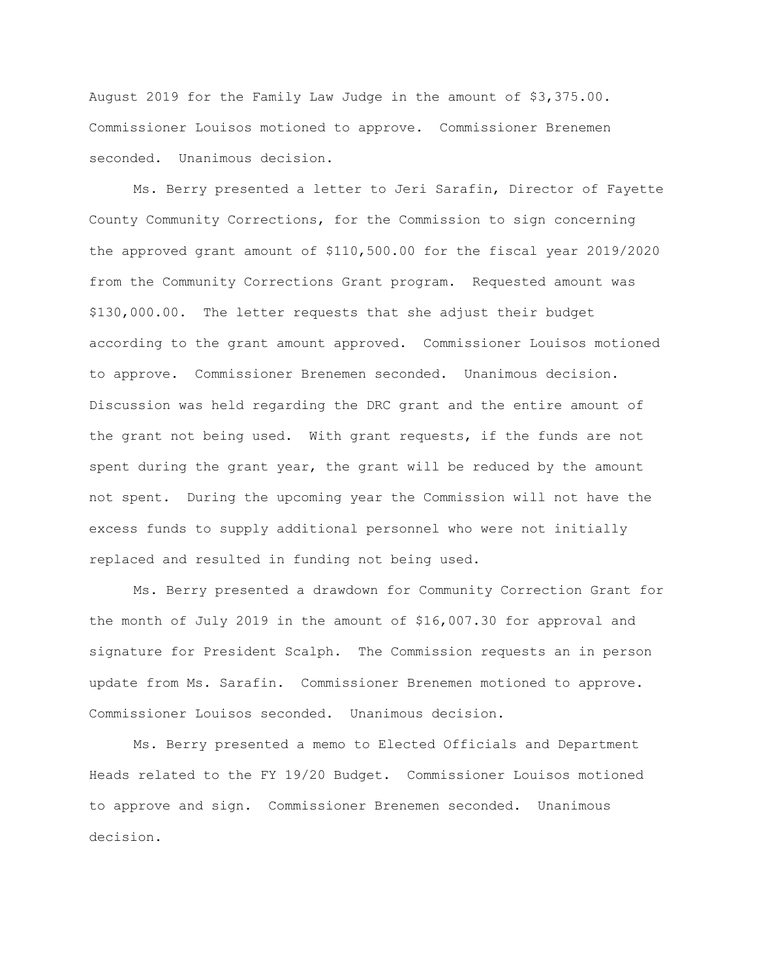August 2019 for the Family Law Judge in the amount of \$3,375.00. Commissioner Louisos motioned to approve. Commissioner Brenemen seconded. Unanimous decision.

Ms. Berry presented a letter to Jeri Sarafin, Director of Fayette County Community Corrections, for the Commission to sign concerning the approved grant amount of \$110,500.00 for the fiscal year 2019/2020 from the Community Corrections Grant program. Requested amount was \$130,000.00. The letter requests that she adjust their budget according to the grant amount approved. Commissioner Louisos motioned to approve. Commissioner Brenemen seconded. Unanimous decision. Discussion was held regarding the DRC grant and the entire amount of the grant not being used. With grant requests, if the funds are not spent during the grant year, the grant will be reduced by the amount not spent. During the upcoming year the Commission will not have the excess funds to supply additional personnel who were not initially replaced and resulted in funding not being used.

Ms. Berry presented a drawdown for Community Correction Grant for the month of July 2019 in the amount of \$16,007.30 for approval and signature for President Scalph. The Commission requests an in person update from Ms. Sarafin. Commissioner Brenemen motioned to approve. Commissioner Louisos seconded. Unanimous decision.

Ms. Berry presented a memo to Elected Officials and Department Heads related to the FY 19/20 Budget. Commissioner Louisos motioned to approve and sign. Commissioner Brenemen seconded. Unanimous decision.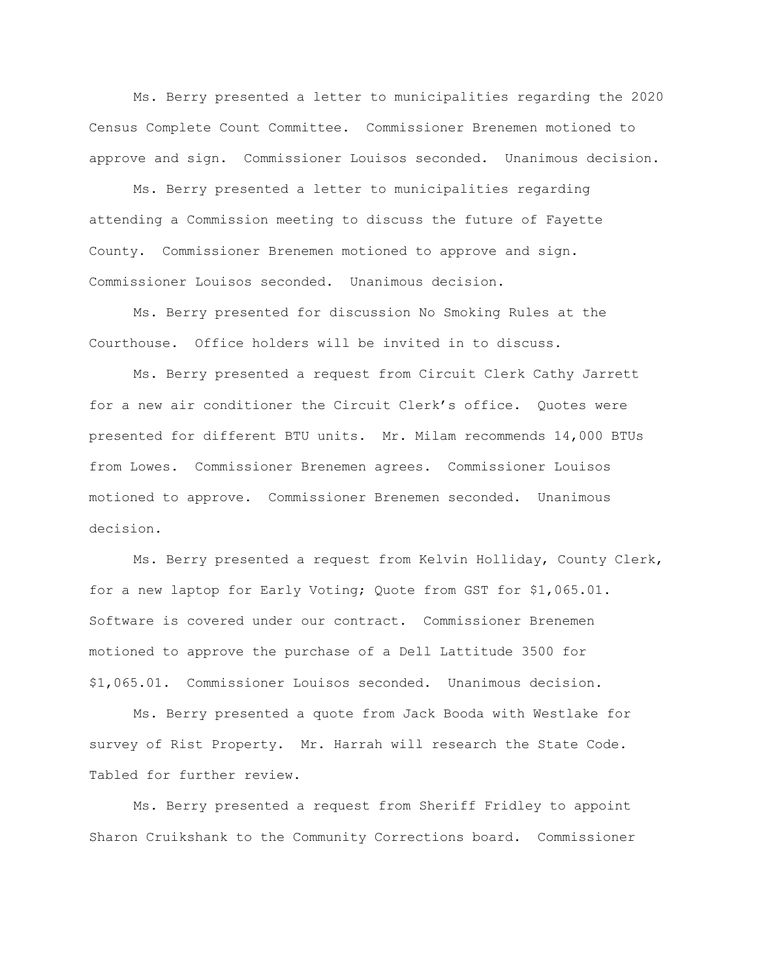Ms. Berry presented a letter to municipalities regarding the 2020 Census Complete Count Committee. Commissioner Brenemen motioned to approve and sign. Commissioner Louisos seconded. Unanimous decision.

Ms. Berry presented a letter to municipalities regarding attending a Commission meeting to discuss the future of Fayette County. Commissioner Brenemen motioned to approve and sign. Commissioner Louisos seconded. Unanimous decision.

Ms. Berry presented for discussion No Smoking Rules at the Courthouse. Office holders will be invited in to discuss.

Ms. Berry presented a request from Circuit Clerk Cathy Jarrett for a new air conditioner the Circuit Clerk's office. Quotes were presented for different BTU units. Mr. Milam recommends 14,000 BTUs from Lowes. Commissioner Brenemen agrees. Commissioner Louisos motioned to approve. Commissioner Brenemen seconded. Unanimous decision.

Ms. Berry presented a request from Kelvin Holliday, County Clerk, for a new laptop for Early Voting; Quote from GST for \$1,065.01. Software is covered under our contract. Commissioner Brenemen motioned to approve the purchase of a Dell Lattitude 3500 for \$1,065.01. Commissioner Louisos seconded. Unanimous decision.

Ms. Berry presented a quote from Jack Booda with Westlake for survey of Rist Property. Mr. Harrah will research the State Code. Tabled for further review.

Ms. Berry presented a request from Sheriff Fridley to appoint Sharon Cruikshank to the Community Corrections board. Commissioner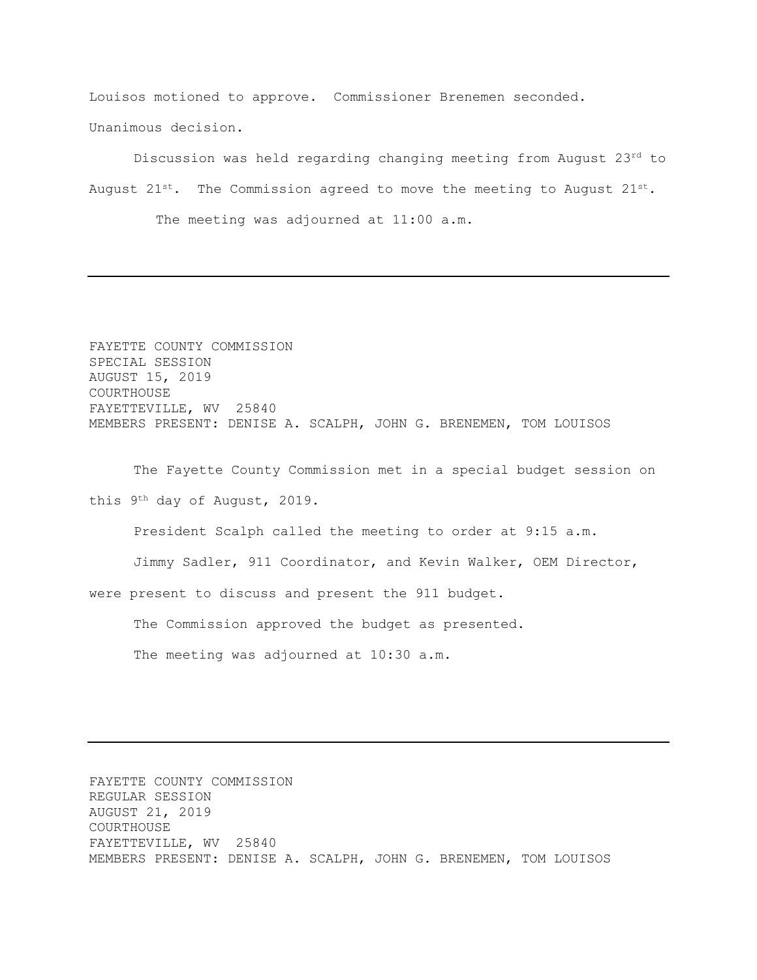Louisos motioned to approve. Commissioner Brenemen seconded. Unanimous decision.

Discussion was held regarding changing meeting from August 23rd to August  $21^{st}$ . The Commission agreed to move the meeting to August  $21^{st}$ .

The meeting was adjourned at 11:00 a.m.

FAYETTE COUNTY COMMISSION SPECIAL SESSION AUGUST 15, 2019 COURTHOUSE FAYETTEVILLE, WV 25840 MEMBERS PRESENT: DENISE A. SCALPH, JOHN G. BRENEMEN, TOM LOUISOS

The Fayette County Commission met in a special budget session on this 9th day of August, 2019.

President Scalph called the meeting to order at 9:15 a.m.

Jimmy Sadler, 911 Coordinator, and Kevin Walker, OEM Director,

were present to discuss and present the 911 budget.

The Commission approved the budget as presented.

The meeting was adjourned at 10:30 a.m.

FAYETTE COUNTY COMMISSION REGULAR SESSION AUGUST 21, 2019 COURTHOUSE FAYETTEVILLE, WV 25840 MEMBERS PRESENT: DENISE A. SCALPH, JOHN G. BRENEMEN, TOM LOUISOS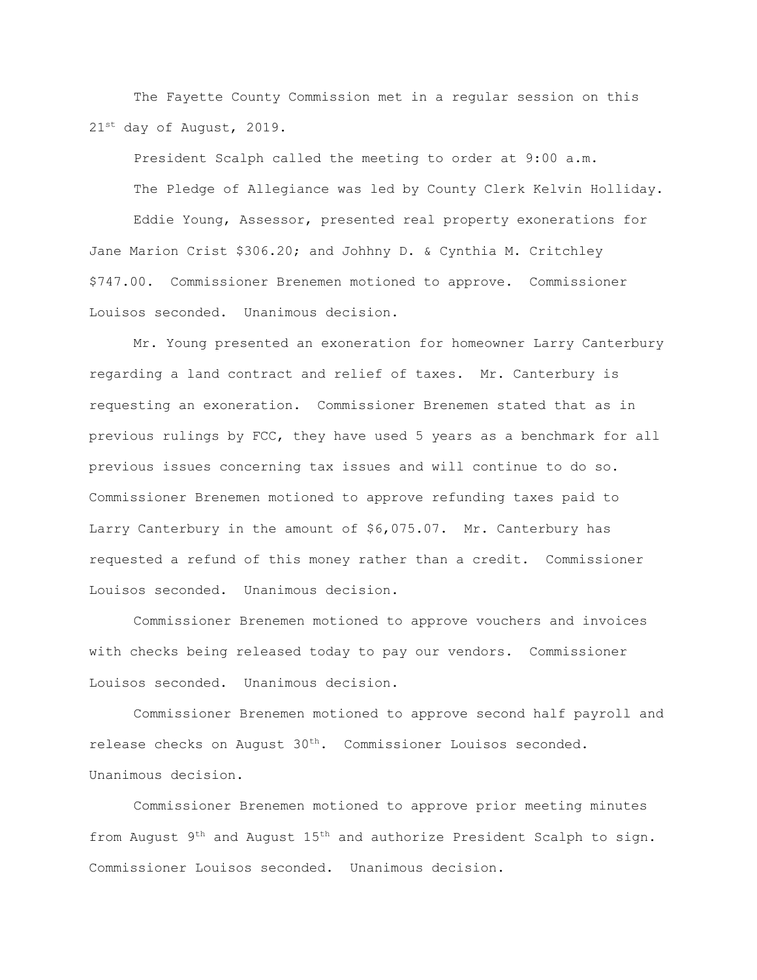The Fayette County Commission met in a regular session on this 21st day of August, 2019.

President Scalph called the meeting to order at 9:00 a.m. The Pledge of Allegiance was led by County Clerk Kelvin Holliday. Eddie Young, Assessor, presented real property exonerations for Jane Marion Crist \$306.20; and Johhny D. & Cynthia M. Critchley \$747.00. Commissioner Brenemen motioned to approve. Commissioner Louisos seconded. Unanimous decision.

Mr. Young presented an exoneration for homeowner Larry Canterbury regarding a land contract and relief of taxes. Mr. Canterbury is requesting an exoneration. Commissioner Brenemen stated that as in previous rulings by FCC, they have used 5 years as a benchmark for all previous issues concerning tax issues and will continue to do so. Commissioner Brenemen motioned to approve refunding taxes paid to Larry Canterbury in the amount of \$6,075.07. Mr. Canterbury has requested a refund of this money rather than a credit. Commissioner Louisos seconded. Unanimous decision.

Commissioner Brenemen motioned to approve vouchers and invoices with checks being released today to pay our vendors. Commissioner Louisos seconded. Unanimous decision.

Commissioner Brenemen motioned to approve second half payroll and release checks on August 30<sup>th</sup>. Commissioner Louisos seconded. Unanimous decision.

Commissioner Brenemen motioned to approve prior meeting minutes from August 9<sup>th</sup> and August 15<sup>th</sup> and authorize President Scalph to sign. Commissioner Louisos seconded. Unanimous decision.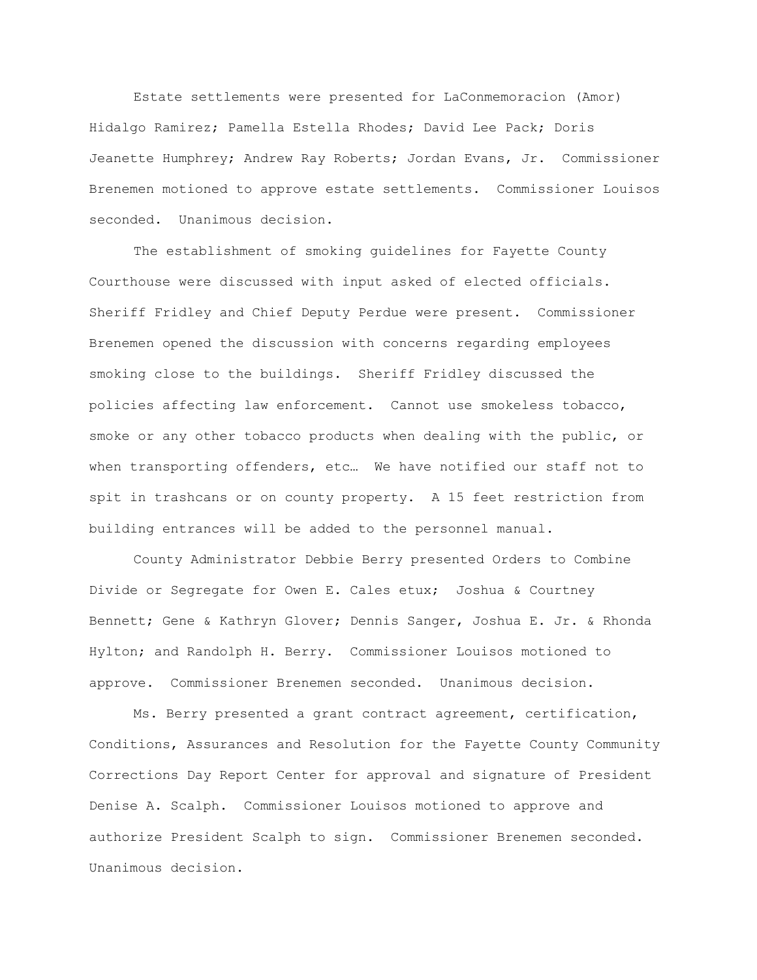Estate settlements were presented for LaConmemoracion (Amor) Hidalgo Ramirez; Pamella Estella Rhodes; David Lee Pack; Doris Jeanette Humphrey; Andrew Ray Roberts; Jordan Evans, Jr. Commissioner Brenemen motioned to approve estate settlements. Commissioner Louisos seconded. Unanimous decision.

The establishment of smoking guidelines for Fayette County Courthouse were discussed with input asked of elected officials. Sheriff Fridley and Chief Deputy Perdue were present. Commissioner Brenemen opened the discussion with concerns regarding employees smoking close to the buildings. Sheriff Fridley discussed the policies affecting law enforcement. Cannot use smokeless tobacco, smoke or any other tobacco products when dealing with the public, or when transporting offenders, etc… We have notified our staff not to spit in trashcans or on county property. A 15 feet restriction from building entrances will be added to the personnel manual.

County Administrator Debbie Berry presented Orders to Combine Divide or Segregate for Owen E. Cales etux; Joshua & Courtney Bennett; Gene & Kathryn Glover; Dennis Sanger, Joshua E. Jr. & Rhonda Hylton; and Randolph H. Berry. Commissioner Louisos motioned to approve. Commissioner Brenemen seconded. Unanimous decision.

Ms. Berry presented a grant contract agreement, certification, Conditions, Assurances and Resolution for the Fayette County Community Corrections Day Report Center for approval and signature of President Denise A. Scalph. Commissioner Louisos motioned to approve and authorize President Scalph to sign. Commissioner Brenemen seconded. Unanimous decision.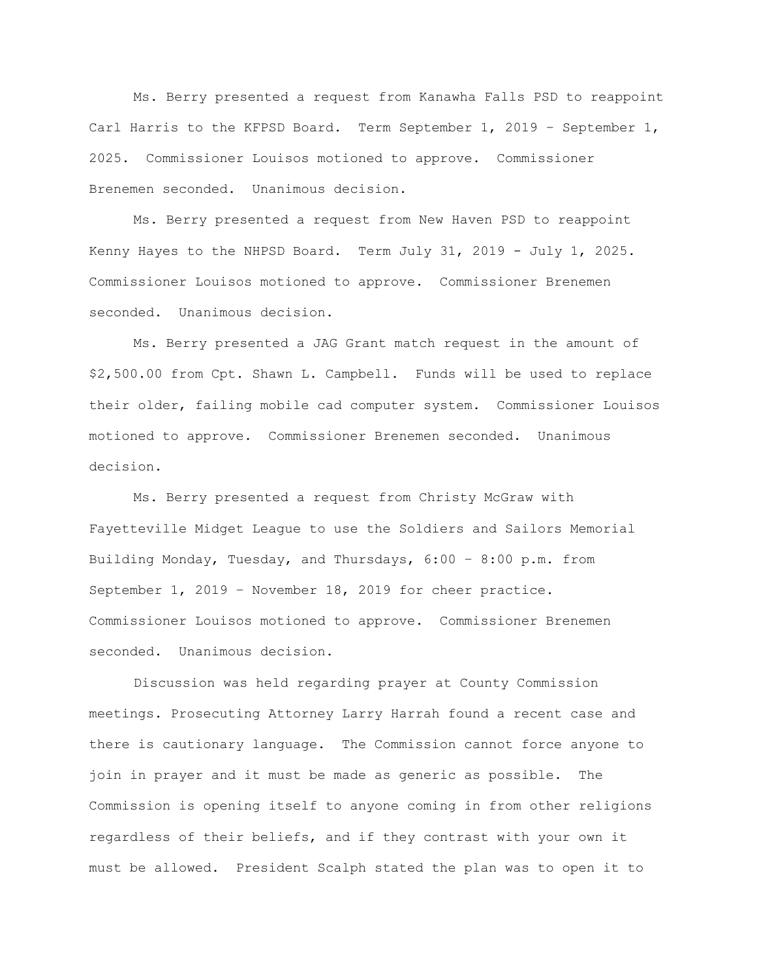Ms. Berry presented a request from Kanawha Falls PSD to reappoint Carl Harris to the KFPSD Board. Term September 1, 2019 – September 1, 2025. Commissioner Louisos motioned to approve. Commissioner Brenemen seconded. Unanimous decision.

Ms. Berry presented a request from New Haven PSD to reappoint Kenny Hayes to the NHPSD Board. Term July 31, 2019 - July 1, 2025. Commissioner Louisos motioned to approve. Commissioner Brenemen seconded. Unanimous decision.

Ms. Berry presented a JAG Grant match request in the amount of \$2,500.00 from Cpt. Shawn L. Campbell. Funds will be used to replace their older, failing mobile cad computer system. Commissioner Louisos motioned to approve. Commissioner Brenemen seconded. Unanimous decision.

Ms. Berry presented a request from Christy McGraw with Fayetteville Midget League to use the Soldiers and Sailors Memorial Building Monday, Tuesday, and Thursdays, 6:00 – 8:00 p.m. from September 1, 2019 – November 18, 2019 for cheer practice. Commissioner Louisos motioned to approve. Commissioner Brenemen seconded. Unanimous decision.

Discussion was held regarding prayer at County Commission meetings. Prosecuting Attorney Larry Harrah found a recent case and there is cautionary language. The Commission cannot force anyone to join in prayer and it must be made as generic as possible. The Commission is opening itself to anyone coming in from other religions regardless of their beliefs, and if they contrast with your own it must be allowed. President Scalph stated the plan was to open it to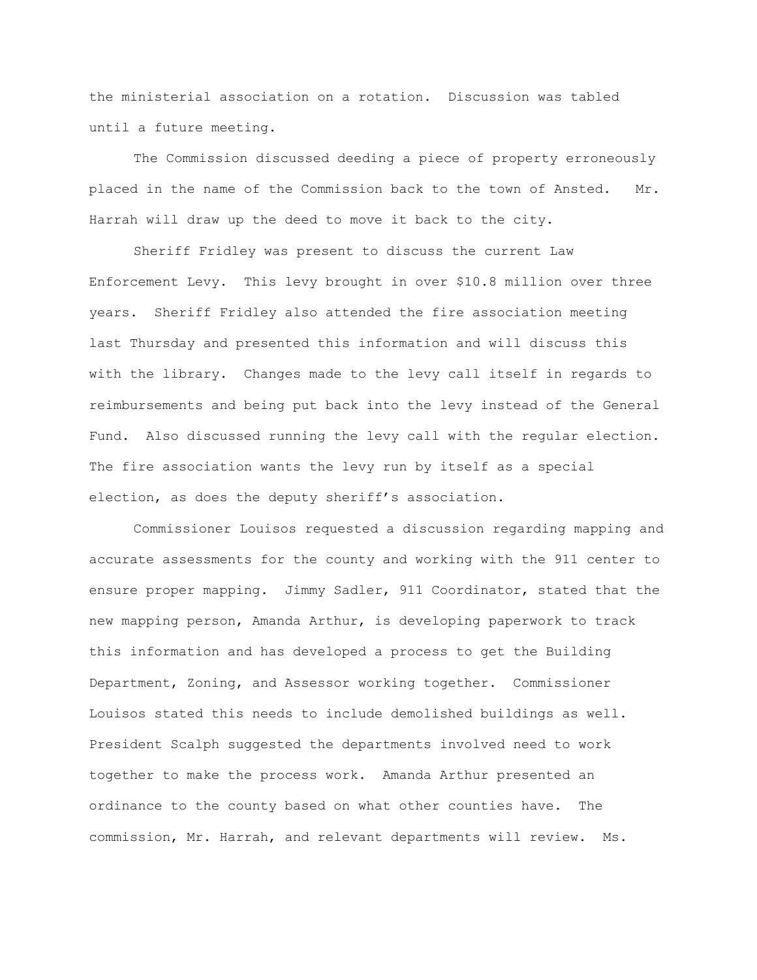the ministerial association on a rotation. Discussion was tabled until a future meeting.

The Commission discussed deeding a piece of property erroneously placed in the name of the Commission back to the town of Ansted. Mr. Harrah will draw up the deed to move it back to the city.

Sheriff Fridley was present to discuss the current Law Enforcement Levy. This levy brought in over \$10.8 million over three years. Sheriff Fridley also attended the fire association meeting last Thursday and presented this information and will discuss this with the library. Changes made to the levy call itself in regards to reimbursements and being put back into the levy instead of the General Fund. Also discussed running the levy call with the regular election. The fire association wants the levy run by itself as a special election, as does the deputy sheriff's association.

Commissioner Louisos requested a discussion regarding mapping and accurate assessments for the county and working with the 911 center to ensure proper mapping. Jimmy Sadler, 911 Coordinator, stated that the new mapping person, Amanda Arthur, is developing paperwork to track this information and has developed a process to get the Building Department, Zoning, and Assessor working together. Commissioner Louisos stated this needs to include demolished buildings as well. President Scalph suggested the departments involved need to work together to make the process work. Amanda Arthur presented an ordinance to the county based on what other counties have. The commission, Mr. Harrah, and relevant departments will review. Ms.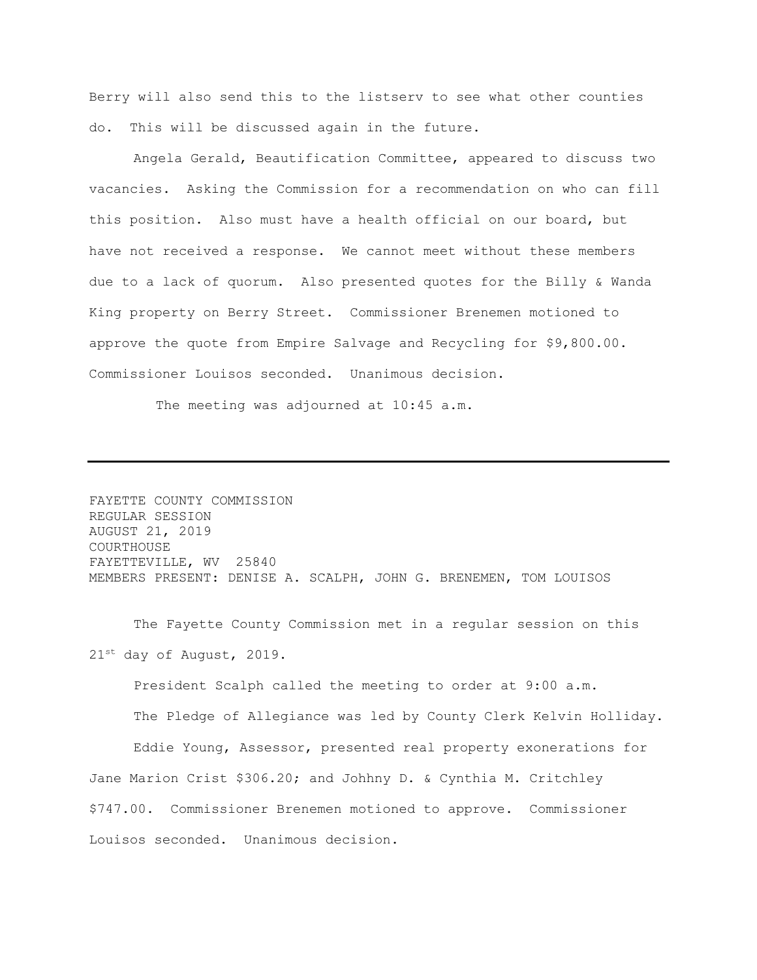Berry will also send this to the listserv to see what other counties do. This will be discussed again in the future.

Angela Gerald, Beautification Committee, appeared to discuss two vacancies. Asking the Commission for a recommendation on who can fill this position. Also must have a health official on our board, but have not received a response. We cannot meet without these members due to a lack of quorum. Also presented quotes for the Billy & Wanda King property on Berry Street. Commissioner Brenemen motioned to approve the quote from Empire Salvage and Recycling for \$9,800.00. Commissioner Louisos seconded. Unanimous decision.

The meeting was adjourned at 10:45 a.m.

FAYETTE COUNTY COMMISSION REGULAR SESSION AUGUST 21, 2019 COURTHOUSE FAYETTEVILLE, WV 25840 MEMBERS PRESENT: DENISE A. SCALPH, JOHN G. BRENEMEN, TOM LOUISOS

The Fayette County Commission met in a regular session on this 21st day of August, 2019.

President Scalph called the meeting to order at 9:00 a.m. The Pledge of Allegiance was led by County Clerk Kelvin Holliday. Eddie Young, Assessor, presented real property exonerations for Jane Marion Crist \$306.20; and Johhny D. & Cynthia M. Critchley \$747.00. Commissioner Brenemen motioned to approve. Commissioner Louisos seconded. Unanimous decision.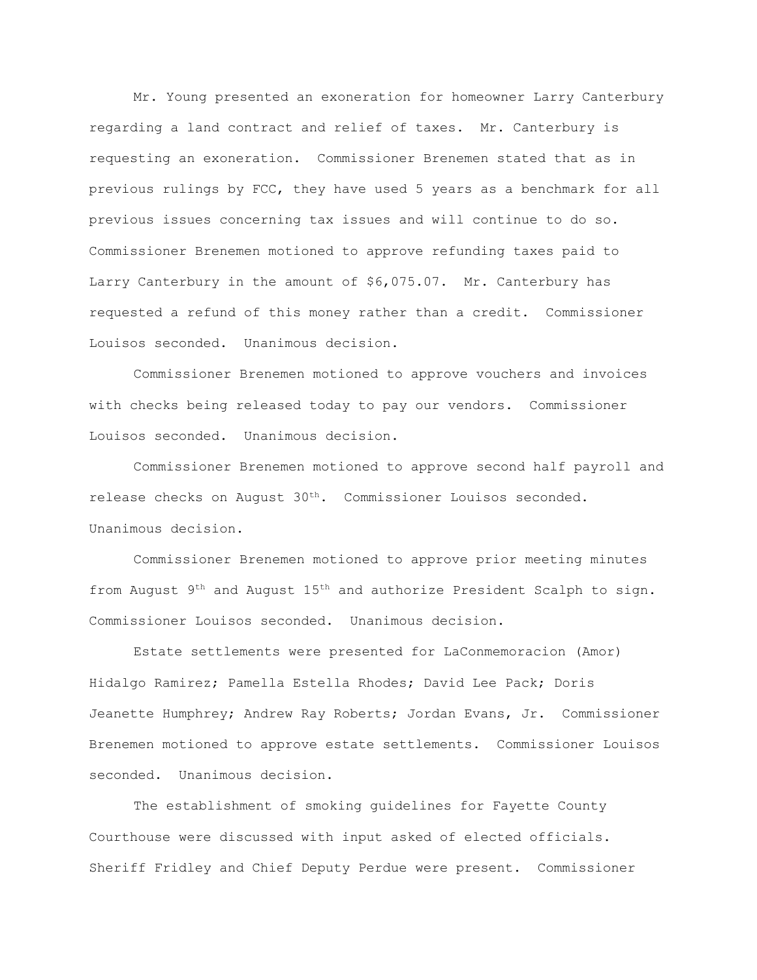Mr. Young presented an exoneration for homeowner Larry Canterbury regarding a land contract and relief of taxes. Mr. Canterbury is requesting an exoneration. Commissioner Brenemen stated that as in previous rulings by FCC, they have used 5 years as a benchmark for all previous issues concerning tax issues and will continue to do so. Commissioner Brenemen motioned to approve refunding taxes paid to Larry Canterbury in the amount of \$6,075.07. Mr. Canterbury has requested a refund of this money rather than a credit. Commissioner Louisos seconded. Unanimous decision.

Commissioner Brenemen motioned to approve vouchers and invoices with checks being released today to pay our vendors. Commissioner Louisos seconded. Unanimous decision.

Commissioner Brenemen motioned to approve second half payroll and release checks on August 30<sup>th</sup>. Commissioner Louisos seconded. Unanimous decision.

Commissioner Brenemen motioned to approve prior meeting minutes from August  $9<sup>th</sup>$  and August  $15<sup>th</sup>$  and authorize President Scalph to sign. Commissioner Louisos seconded. Unanimous decision.

Estate settlements were presented for LaConmemoracion (Amor) Hidalgo Ramirez; Pamella Estella Rhodes; David Lee Pack; Doris Jeanette Humphrey; Andrew Ray Roberts; Jordan Evans, Jr. Commissioner Brenemen motioned to approve estate settlements. Commissioner Louisos seconded. Unanimous decision.

The establishment of smoking guidelines for Fayette County Courthouse were discussed with input asked of elected officials. Sheriff Fridley and Chief Deputy Perdue were present. Commissioner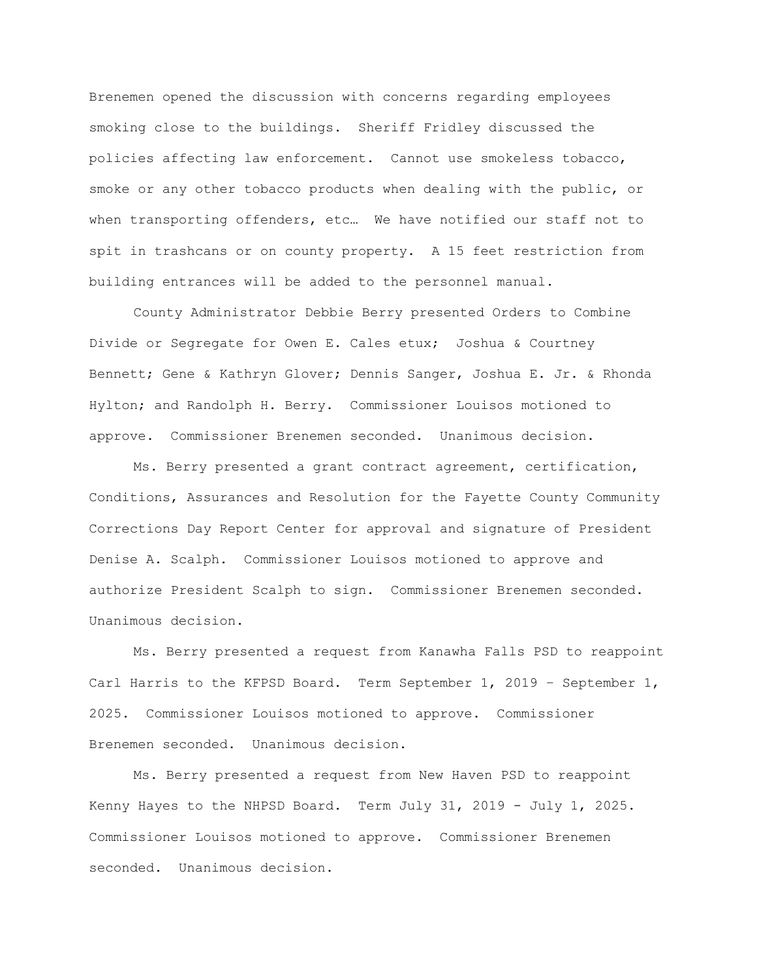Brenemen opened the discussion with concerns regarding employees smoking close to the buildings. Sheriff Fridley discussed the policies affecting law enforcement. Cannot use smokeless tobacco, smoke or any other tobacco products when dealing with the public, or when transporting offenders, etc… We have notified our staff not to spit in trashcans or on county property. A 15 feet restriction from building entrances will be added to the personnel manual.

County Administrator Debbie Berry presented Orders to Combine Divide or Segregate for Owen E. Cales etux; Joshua & Courtney Bennett; Gene & Kathryn Glover; Dennis Sanger, Joshua E. Jr. & Rhonda Hylton; and Randolph H. Berry. Commissioner Louisos motioned to approve. Commissioner Brenemen seconded. Unanimous decision.

Ms. Berry presented a grant contract agreement, certification, Conditions, Assurances and Resolution for the Fayette County Community Corrections Day Report Center for approval and signature of President Denise A. Scalph. Commissioner Louisos motioned to approve and authorize President Scalph to sign. Commissioner Brenemen seconded. Unanimous decision.

Ms. Berry presented a request from Kanawha Falls PSD to reappoint Carl Harris to the KFPSD Board. Term September 1, 2019 – September 1, 2025. Commissioner Louisos motioned to approve. Commissioner Brenemen seconded. Unanimous decision.

Ms. Berry presented a request from New Haven PSD to reappoint Kenny Hayes to the NHPSD Board. Term July 31, 2019 - July 1, 2025. Commissioner Louisos motioned to approve. Commissioner Brenemen seconded. Unanimous decision.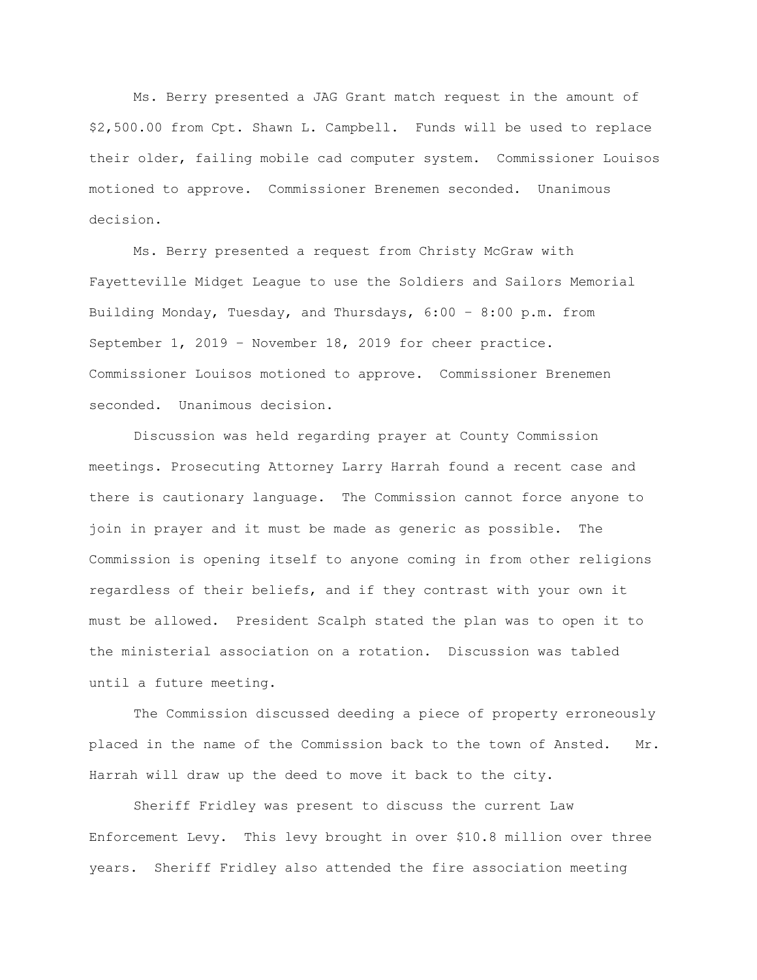Ms. Berry presented a JAG Grant match request in the amount of \$2,500.00 from Cpt. Shawn L. Campbell. Funds will be used to replace their older, failing mobile cad computer system. Commissioner Louisos motioned to approve. Commissioner Brenemen seconded. Unanimous decision.

Ms. Berry presented a request from Christy McGraw with Fayetteville Midget League to use the Soldiers and Sailors Memorial Building Monday, Tuesday, and Thursdays, 6:00 – 8:00 p.m. from September 1, 2019 – November 18, 2019 for cheer practice. Commissioner Louisos motioned to approve. Commissioner Brenemen seconded. Unanimous decision.

Discussion was held regarding prayer at County Commission meetings. Prosecuting Attorney Larry Harrah found a recent case and there is cautionary language. The Commission cannot force anyone to join in prayer and it must be made as generic as possible. The Commission is opening itself to anyone coming in from other religions regardless of their beliefs, and if they contrast with your own it must be allowed. President Scalph stated the plan was to open it to the ministerial association on a rotation. Discussion was tabled until a future meeting.

The Commission discussed deeding a piece of property erroneously placed in the name of the Commission back to the town of Ansted. Mr. Harrah will draw up the deed to move it back to the city.

Sheriff Fridley was present to discuss the current Law Enforcement Levy. This levy brought in over \$10.8 million over three years. Sheriff Fridley also attended the fire association meeting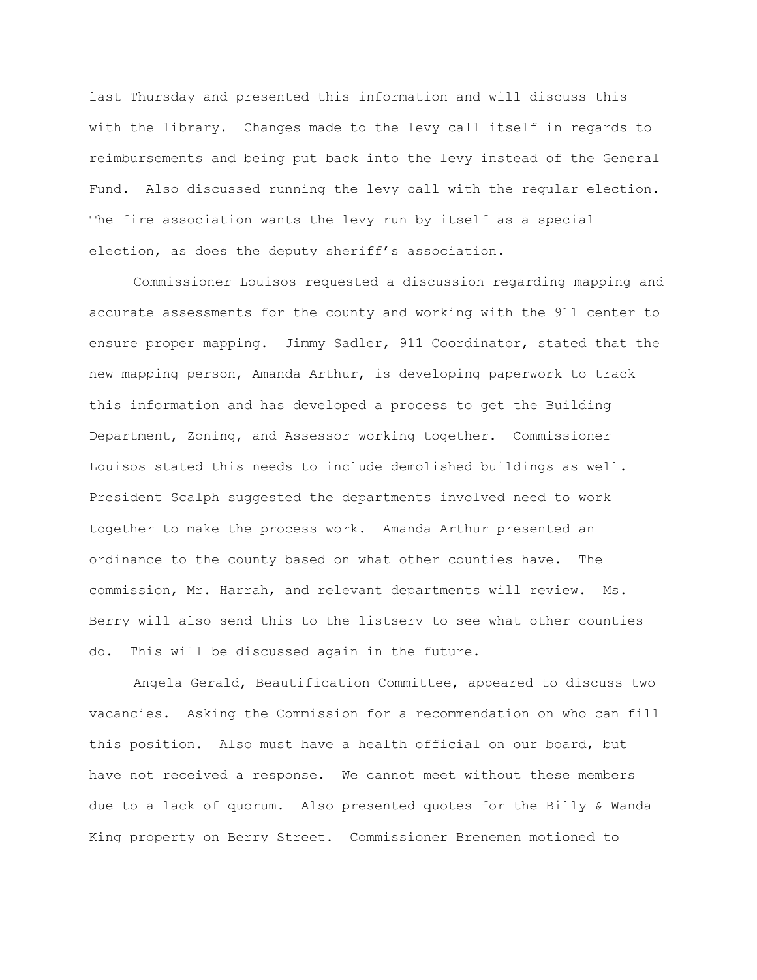last Thursday and presented this information and will discuss this with the library. Changes made to the levy call itself in regards to reimbursements and being put back into the levy instead of the General Fund. Also discussed running the levy call with the regular election. The fire association wants the levy run by itself as a special election, as does the deputy sheriff's association.

Commissioner Louisos requested a discussion regarding mapping and accurate assessments for the county and working with the 911 center to ensure proper mapping. Jimmy Sadler, 911 Coordinator, stated that the new mapping person, Amanda Arthur, is developing paperwork to track this information and has developed a process to get the Building Department, Zoning, and Assessor working together. Commissioner Louisos stated this needs to include demolished buildings as well. President Scalph suggested the departments involved need to work together to make the process work. Amanda Arthur presented an ordinance to the county based on what other counties have. The commission, Mr. Harrah, and relevant departments will review. Ms. Berry will also send this to the listserv to see what other counties do. This will be discussed again in the future.

Angela Gerald, Beautification Committee, appeared to discuss two vacancies. Asking the Commission for a recommendation on who can fill this position. Also must have a health official on our board, but have not received a response. We cannot meet without these members due to a lack of quorum. Also presented quotes for the Billy & Wanda King property on Berry Street. Commissioner Brenemen motioned to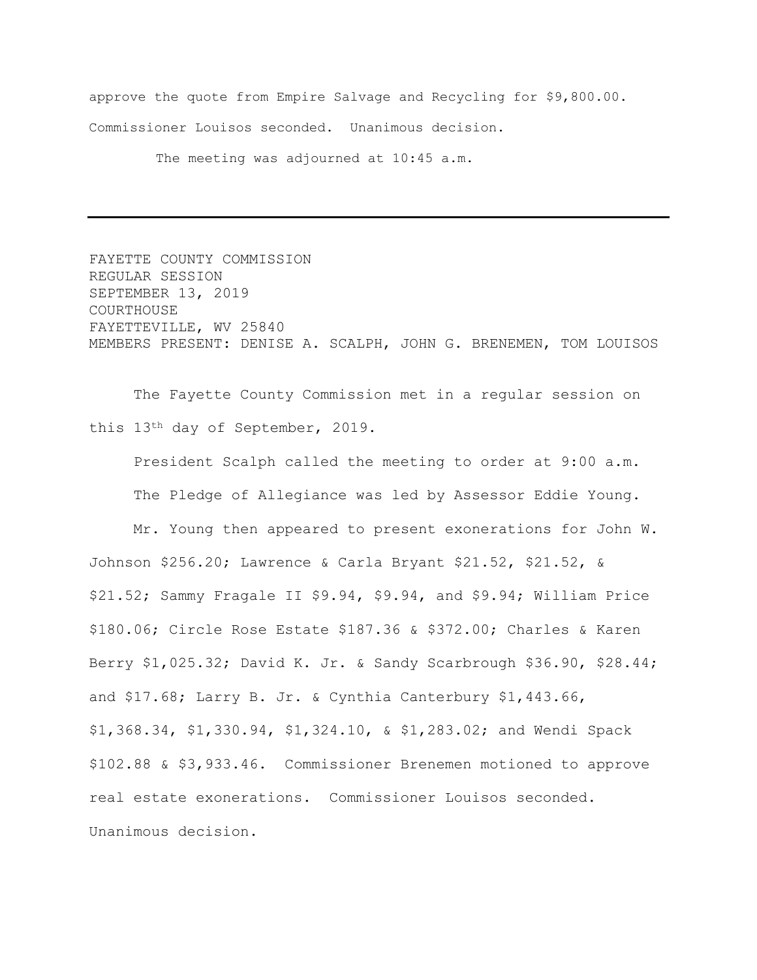approve the quote from Empire Salvage and Recycling for \$9,800.00. Commissioner Louisos seconded. Unanimous decision.

The meeting was adjourned at 10:45 a.m.

FAYETTE COUNTY COMMISSION REGULAR SESSION SEPTEMBER 13, 2019 COURTHOUSE FAYETTEVILLE, WV 25840 MEMBERS PRESENT: DENISE A. SCALPH, JOHN G. BRENEMEN, TOM LOUISOS

The Fayette County Commission met in a regular session on this 13th day of September, 2019.

President Scalph called the meeting to order at 9:00 a.m. The Pledge of Allegiance was led by Assessor Eddie Young.

Mr. Young then appeared to present exonerations for John W. Johnson \$256.20; Lawrence & Carla Bryant \$21.52, \$21.52, & \$21.52; Sammy Fragale II \$9.94, \$9.94, and \$9.94; William Price \$180.06; Circle Rose Estate \$187.36 & \$372.00; Charles & Karen Berry \$1,025.32; David K. Jr. & Sandy Scarbrough \$36.90, \$28.44; and \$17.68; Larry B. Jr. & Cynthia Canterbury \$1,443.66, \$1,368.34, \$1,330.94, \$1,324.10, & \$1,283.02; and Wendi Spack \$102.88 & \$3,933.46. Commissioner Brenemen motioned to approve real estate exonerations. Commissioner Louisos seconded. Unanimous decision.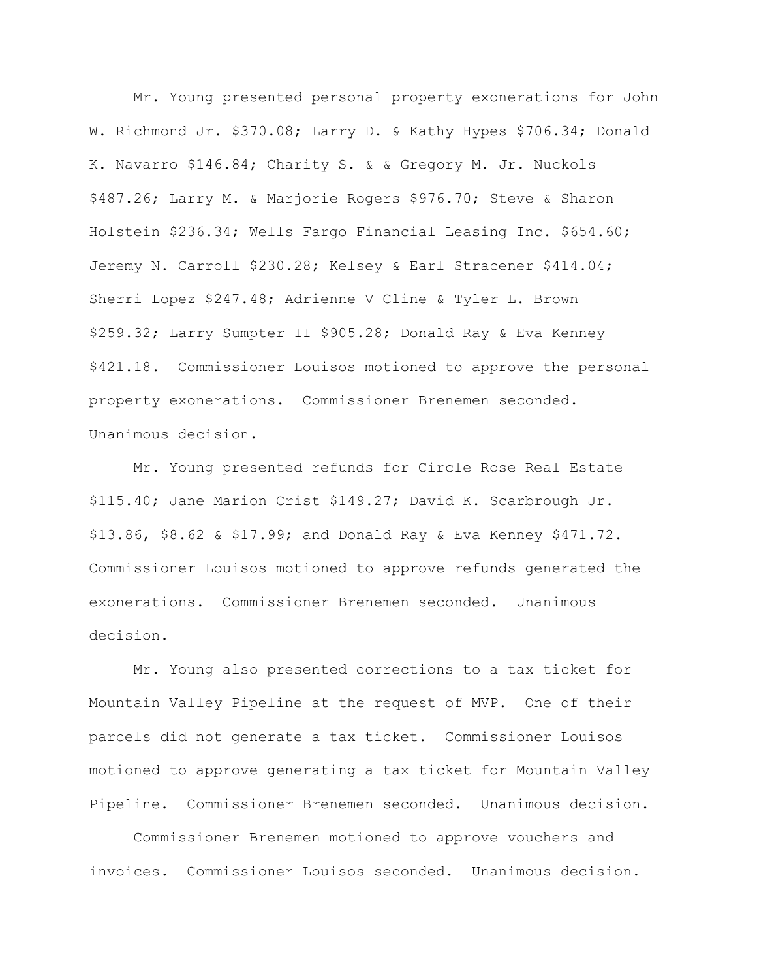Mr. Young presented personal property exonerations for John W. Richmond Jr. \$370.08; Larry D. & Kathy Hypes \$706.34; Donald K. Navarro \$146.84; Charity S. & & Gregory M. Jr. Nuckols \$487.26; Larry M. & Marjorie Rogers \$976.70; Steve & Sharon Holstein \$236.34; Wells Fargo Financial Leasing Inc. \$654.60; Jeremy N. Carroll \$230.28; Kelsey & Earl Stracener \$414.04; Sherri Lopez \$247.48; Adrienne V Cline & Tyler L. Brown \$259.32; Larry Sumpter II \$905.28; Donald Ray & Eva Kenney \$421.18. Commissioner Louisos motioned to approve the personal property exonerations. Commissioner Brenemen seconded. Unanimous decision.

Mr. Young presented refunds for Circle Rose Real Estate \$115.40; Jane Marion Crist \$149.27; David K. Scarbrough Jr. \$13.86, \$8.62 & \$17.99; and Donald Ray & Eva Kenney \$471.72. Commissioner Louisos motioned to approve refunds generated the exonerations. Commissioner Brenemen seconded. Unanimous decision.

Mr. Young also presented corrections to a tax ticket for Mountain Valley Pipeline at the request of MVP. One of their parcels did not generate a tax ticket. Commissioner Louisos motioned to approve generating a tax ticket for Mountain Valley Pipeline. Commissioner Brenemen seconded. Unanimous decision.

Commissioner Brenemen motioned to approve vouchers and invoices. Commissioner Louisos seconded. Unanimous decision.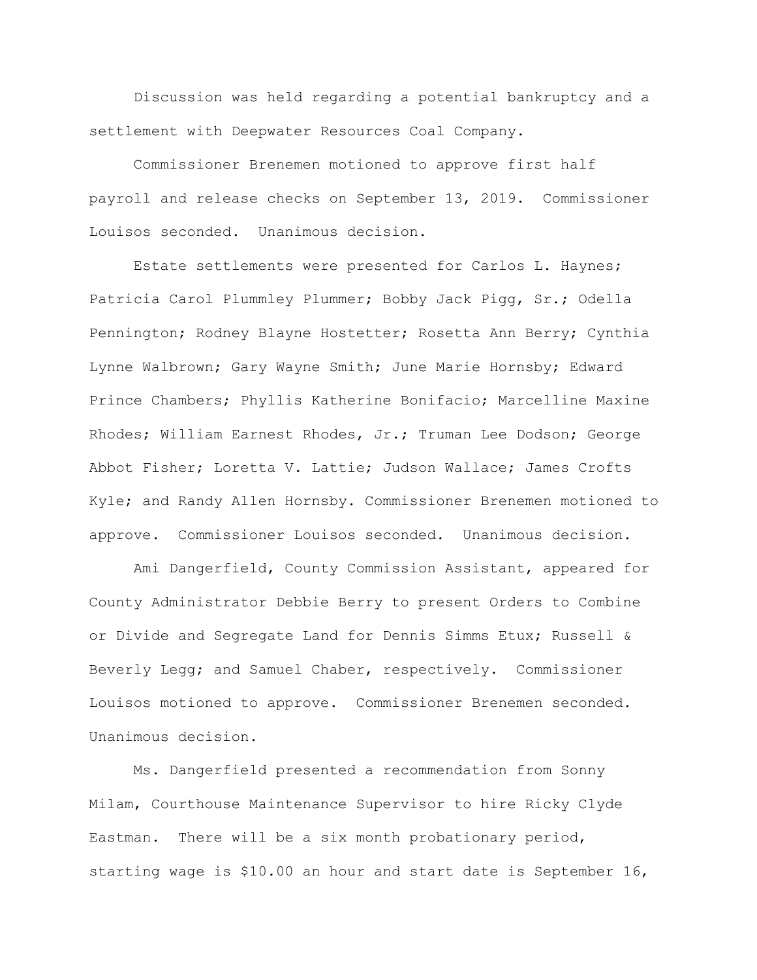Discussion was held regarding a potential bankruptcy and a settlement with Deepwater Resources Coal Company.

Commissioner Brenemen motioned to approve first half payroll and release checks on September 13, 2019. Commissioner Louisos seconded. Unanimous decision.

Estate settlements were presented for Carlos L. Haynes; Patricia Carol Plummley Plummer; Bobby Jack Pigg, Sr.; Odella Pennington; Rodney Blayne Hostetter; Rosetta Ann Berry; Cynthia Lynne Walbrown; Gary Wayne Smith; June Marie Hornsby; Edward Prince Chambers; Phyllis Katherine Bonifacio; Marcelline Maxine Rhodes; William Earnest Rhodes, Jr.; Truman Lee Dodson; George Abbot Fisher; Loretta V. Lattie; Judson Wallace; James Crofts Kyle; and Randy Allen Hornsby. Commissioner Brenemen motioned to approve. Commissioner Louisos seconded. Unanimous decision.

Ami Dangerfield, County Commission Assistant, appeared for County Administrator Debbie Berry to present Orders to Combine or Divide and Segregate Land for Dennis Simms Etux; Russell & Beverly Legg; and Samuel Chaber, respectively. Commissioner Louisos motioned to approve. Commissioner Brenemen seconded. Unanimous decision.

Ms. Dangerfield presented a recommendation from Sonny Milam, Courthouse Maintenance Supervisor to hire Ricky Clyde Eastman. There will be a six month probationary period, starting wage is \$10.00 an hour and start date is September 16,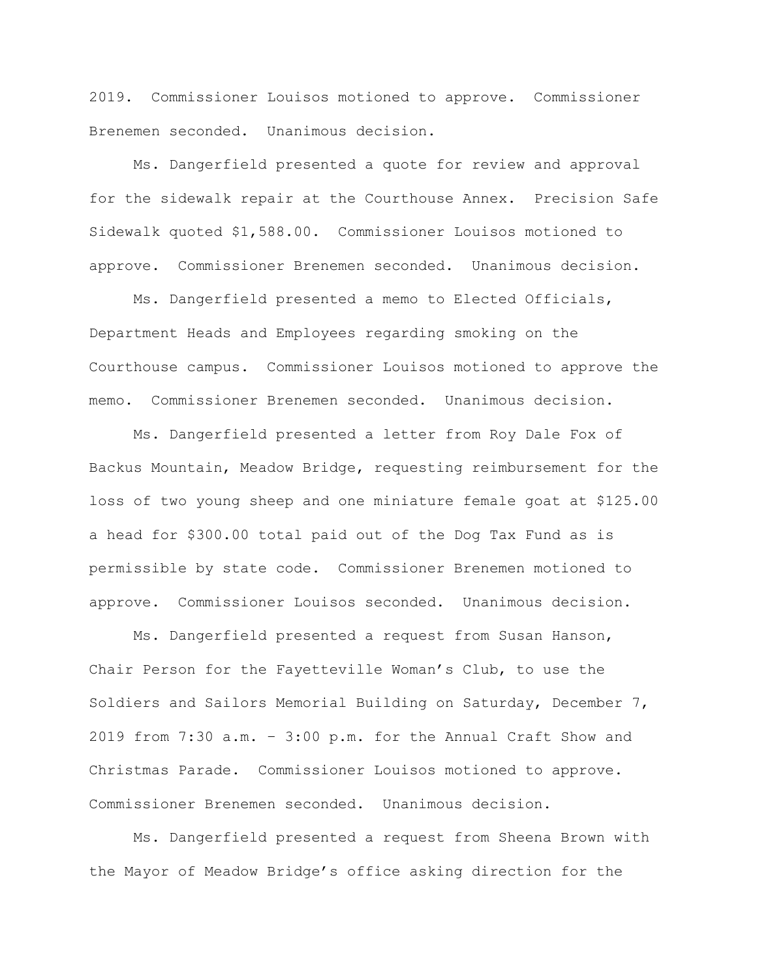2019. Commissioner Louisos motioned to approve. Commissioner Brenemen seconded. Unanimous decision.

Ms. Dangerfield presented a quote for review and approval for the sidewalk repair at the Courthouse Annex. Precision Safe Sidewalk quoted \$1,588.00. Commissioner Louisos motioned to approve. Commissioner Brenemen seconded. Unanimous decision.

Ms. Dangerfield presented a memo to Elected Officials, Department Heads and Employees regarding smoking on the Courthouse campus. Commissioner Louisos motioned to approve the memo. Commissioner Brenemen seconded. Unanimous decision.

Ms. Dangerfield presented a letter from Roy Dale Fox of Backus Mountain, Meadow Bridge, requesting reimbursement for the loss of two young sheep and one miniature female goat at \$125.00 a head for \$300.00 total paid out of the Dog Tax Fund as is permissible by state code. Commissioner Brenemen motioned to approve. Commissioner Louisos seconded. Unanimous decision.

Ms. Dangerfield presented a request from Susan Hanson, Chair Person for the Fayetteville Woman's Club, to use the Soldiers and Sailors Memorial Building on Saturday, December 7, 2019 from 7:30 a.m. – 3:00 p.m. for the Annual Craft Show and Christmas Parade. Commissioner Louisos motioned to approve. Commissioner Brenemen seconded. Unanimous decision.

Ms. Dangerfield presented a request from Sheena Brown with the Mayor of Meadow Bridge's office asking direction for the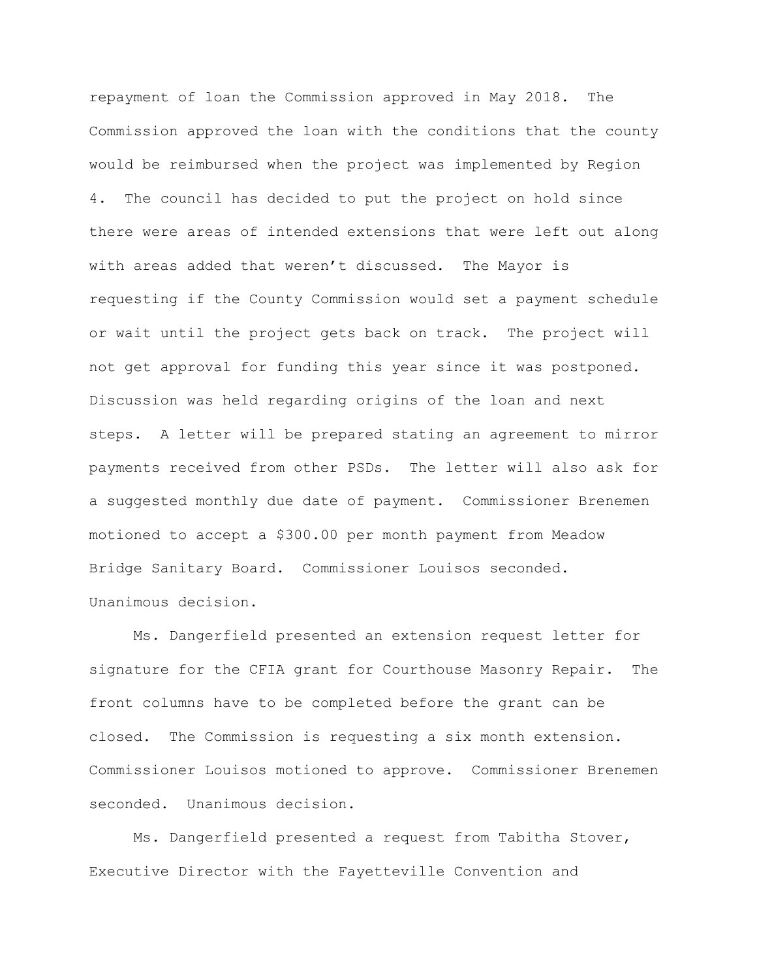repayment of loan the Commission approved in May 2018. The Commission approved the loan with the conditions that the county would be reimbursed when the project was implemented by Region 4. The council has decided to put the project on hold since there were areas of intended extensions that were left out along with areas added that weren't discussed. The Mayor is requesting if the County Commission would set a payment schedule or wait until the project gets back on track. The project will not get approval for funding this year since it was postponed. Discussion was held regarding origins of the loan and next steps. A letter will be prepared stating an agreement to mirror payments received from other PSDs. The letter will also ask for a suggested monthly due date of payment. Commissioner Brenemen motioned to accept a \$300.00 per month payment from Meadow Bridge Sanitary Board. Commissioner Louisos seconded. Unanimous decision.

Ms. Dangerfield presented an extension request letter for signature for the CFIA grant for Courthouse Masonry Repair. The front columns have to be completed before the grant can be closed. The Commission is requesting a six month extension. Commissioner Louisos motioned to approve. Commissioner Brenemen seconded. Unanimous decision.

Ms. Dangerfield presented a request from Tabitha Stover, Executive Director with the Fayetteville Convention and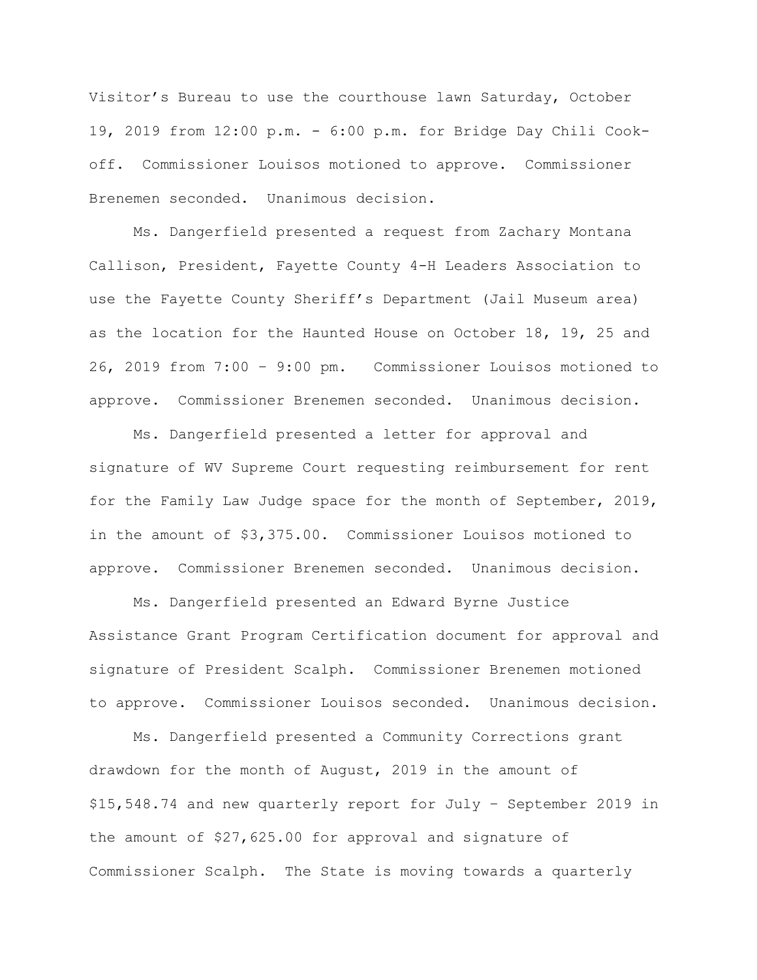Visitor's Bureau to use the courthouse lawn Saturday, October 19, 2019 from 12:00 p.m. - 6:00 p.m. for Bridge Day Chili Cookoff. Commissioner Louisos motioned to approve. Commissioner Brenemen seconded. Unanimous decision.

Ms. Dangerfield presented a request from Zachary Montana Callison, President, Fayette County 4-H Leaders Association to use the Fayette County Sheriff's Department (Jail Museum area) as the location for the Haunted House on October 18, 19, 25 and 26, 2019 from 7:00 – 9:00 pm. Commissioner Louisos motioned to approve. Commissioner Brenemen seconded. Unanimous decision.

Ms. Dangerfield presented a letter for approval and signature of WV Supreme Court requesting reimbursement for rent for the Family Law Judge space for the month of September, 2019, in the amount of \$3,375.00. Commissioner Louisos motioned to approve. Commissioner Brenemen seconded. Unanimous decision.

Ms. Dangerfield presented an Edward Byrne Justice Assistance Grant Program Certification document for approval and signature of President Scalph. Commissioner Brenemen motioned to approve. Commissioner Louisos seconded. Unanimous decision.

Ms. Dangerfield presented a Community Corrections grant drawdown for the month of August, 2019 in the amount of \$15,548.74 and new quarterly report for July – September 2019 in the amount of \$27,625.00 for approval and signature of Commissioner Scalph. The State is moving towards a quarterly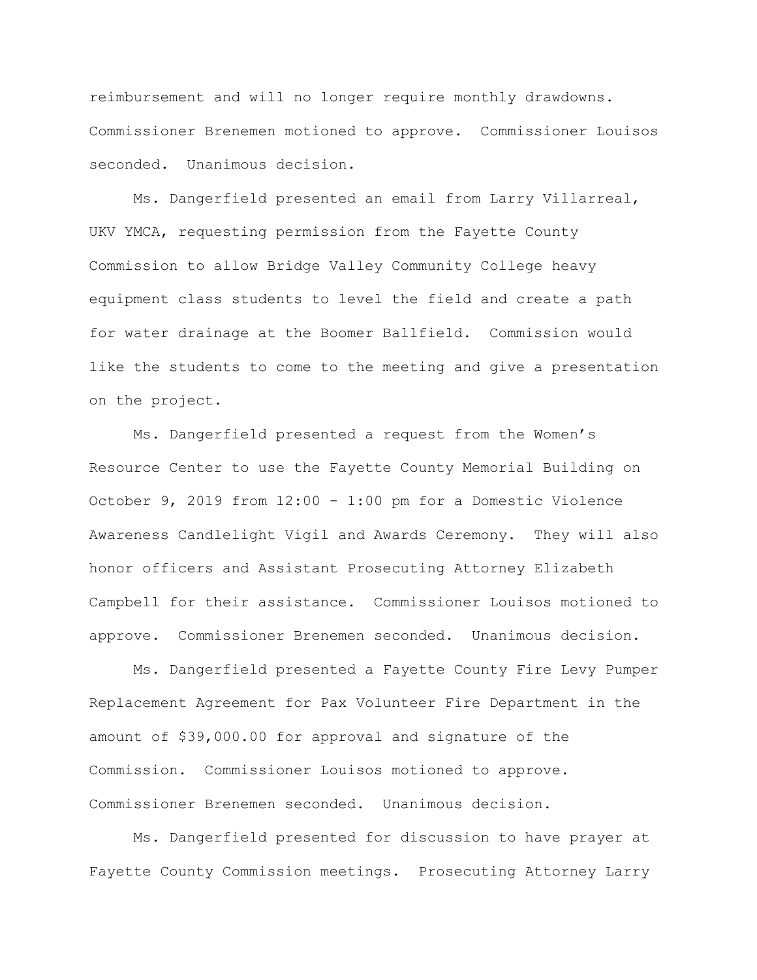reimbursement and will no longer require monthly drawdowns. Commissioner Brenemen motioned to approve. Commissioner Louisos seconded. Unanimous decision.

Ms. Dangerfield presented an email from Larry Villarreal, UKV YMCA, requesting permission from the Fayette County Commission to allow Bridge Valley Community College heavy equipment class students to level the field and create a path for water drainage at the Boomer Ballfield. Commission would like the students to come to the meeting and give a presentation on the project.

Ms. Dangerfield presented a request from the Women's Resource Center to use the Fayette County Memorial Building on October 9, 2019 from 12:00 - 1:00 pm for a Domestic Violence Awareness Candlelight Vigil and Awards Ceremony. They will also honor officers and Assistant Prosecuting Attorney Elizabeth Campbell for their assistance. Commissioner Louisos motioned to approve. Commissioner Brenemen seconded. Unanimous decision.

Ms. Dangerfield presented a Fayette County Fire Levy Pumper Replacement Agreement for Pax Volunteer Fire Department in the amount of \$39,000.00 for approval and signature of the Commission. Commissioner Louisos motioned to approve. Commissioner Brenemen seconded. Unanimous decision.

Ms. Dangerfield presented for discussion to have prayer at Fayette County Commission meetings. Prosecuting Attorney Larry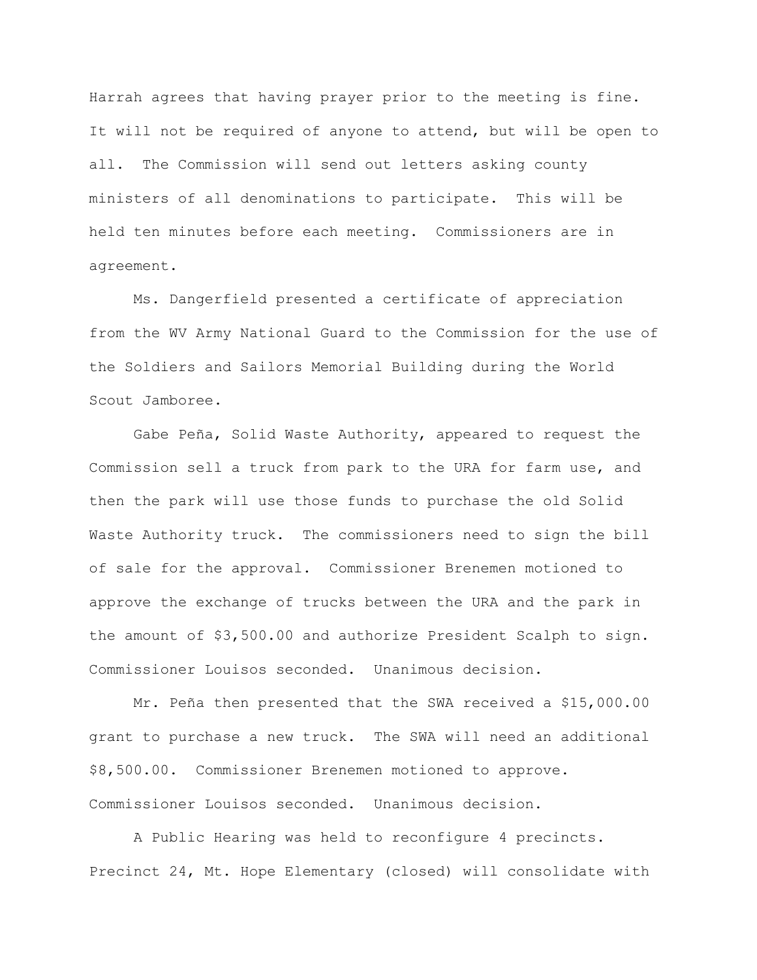Harrah agrees that having prayer prior to the meeting is fine. It will not be required of anyone to attend, but will be open to all. The Commission will send out letters asking county ministers of all denominations to participate. This will be held ten minutes before each meeting. Commissioners are in agreement.

Ms. Dangerfield presented a certificate of appreciation from the WV Army National Guard to the Commission for the use of the Soldiers and Sailors Memorial Building during the World Scout Jamboree.

Gabe Peña, Solid Waste Authority, appeared to request the Commission sell a truck from park to the URA for farm use, and then the park will use those funds to purchase the old Solid Waste Authority truck. The commissioners need to sign the bill of sale for the approval. Commissioner Brenemen motioned to approve the exchange of trucks between the URA and the park in the amount of \$3,500.00 and authorize President Scalph to sign. Commissioner Louisos seconded. Unanimous decision.

Mr. Peña then presented that the SWA received a \$15,000.00 grant to purchase a new truck. The SWA will need an additional \$8,500.00. Commissioner Brenemen motioned to approve. Commissioner Louisos seconded. Unanimous decision.

A Public Hearing was held to reconfigure 4 precincts. Precinct 24, Mt. Hope Elementary (closed) will consolidate with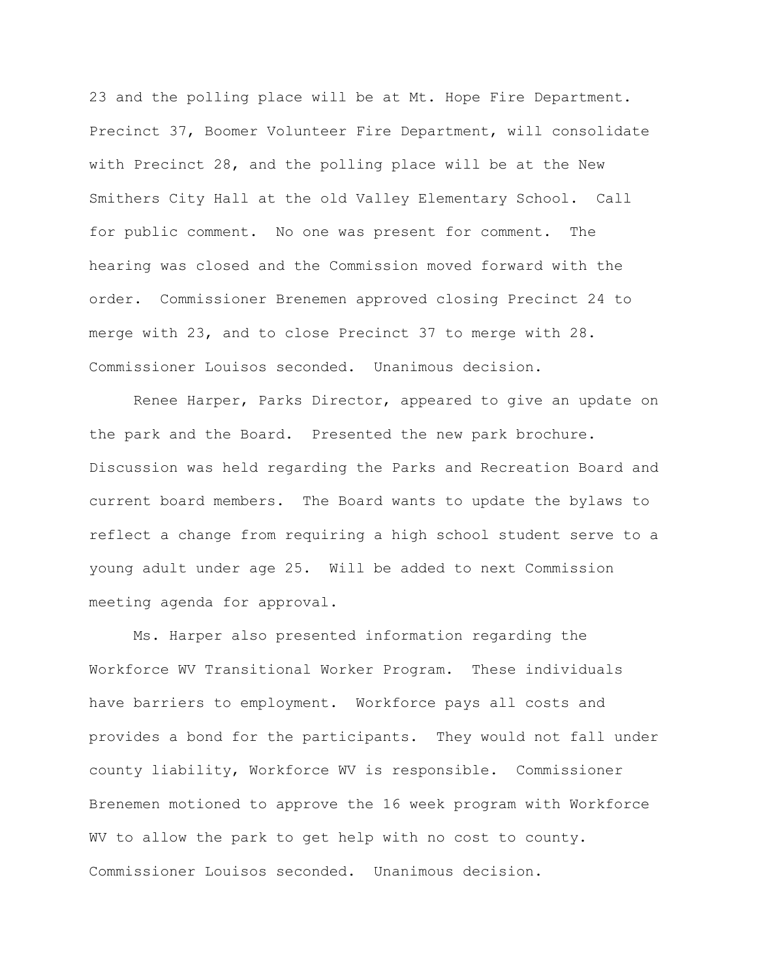23 and the polling place will be at Mt. Hope Fire Department. Precinct 37, Boomer Volunteer Fire Department, will consolidate with Precinct 28, and the polling place will be at the New Smithers City Hall at the old Valley Elementary School. Call for public comment. No one was present for comment. The hearing was closed and the Commission moved forward with the order. Commissioner Brenemen approved closing Precinct 24 to merge with 23, and to close Precinct 37 to merge with 28. Commissioner Louisos seconded. Unanimous decision.

Renee Harper, Parks Director, appeared to give an update on the park and the Board. Presented the new park brochure. Discussion was held regarding the Parks and Recreation Board and current board members. The Board wants to update the bylaws to reflect a change from requiring a high school student serve to a young adult under age 25. Will be added to next Commission meeting agenda for approval.

Ms. Harper also presented information regarding the Workforce WV Transitional Worker Program. These individuals have barriers to employment. Workforce pays all costs and provides a bond for the participants. They would not fall under county liability, Workforce WV is responsible. Commissioner Brenemen motioned to approve the 16 week program with Workforce WV to allow the park to get help with no cost to county. Commissioner Louisos seconded. Unanimous decision.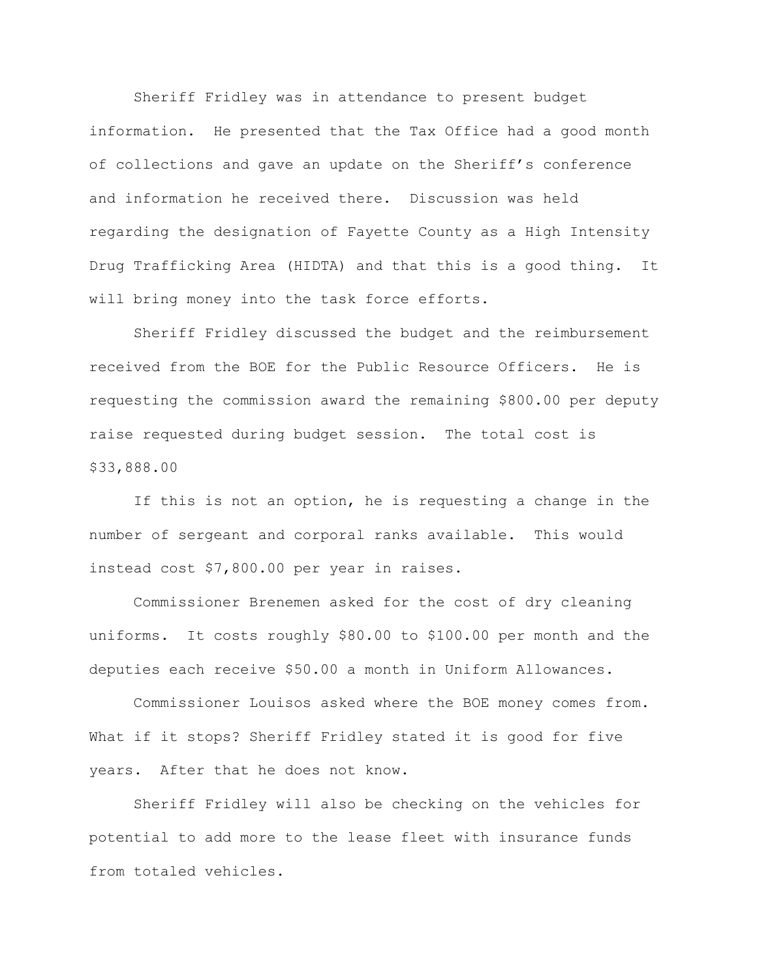Sheriff Fridley was in attendance to present budget information. He presented that the Tax Office had a good month of collections and gave an update on the Sheriff's conference and information he received there. Discussion was held regarding the designation of Fayette County as a High Intensity Drug Trafficking Area (HIDTA) and that this is a good thing. It will bring money into the task force efforts.

Sheriff Fridley discussed the budget and the reimbursement received from the BOE for the Public Resource Officers. He is requesting the commission award the remaining \$800.00 per deputy raise requested during budget session. The total cost is \$33,888.00

If this is not an option, he is requesting a change in the number of sergeant and corporal ranks available. This would instead cost \$7,800.00 per year in raises.

Commissioner Brenemen asked for the cost of dry cleaning uniforms. It costs roughly \$80.00 to \$100.00 per month and the deputies each receive \$50.00 a month in Uniform Allowances.

Commissioner Louisos asked where the BOE money comes from. What if it stops? Sheriff Fridley stated it is good for five years. After that he does not know.

Sheriff Fridley will also be checking on the vehicles for potential to add more to the lease fleet with insurance funds from totaled vehicles.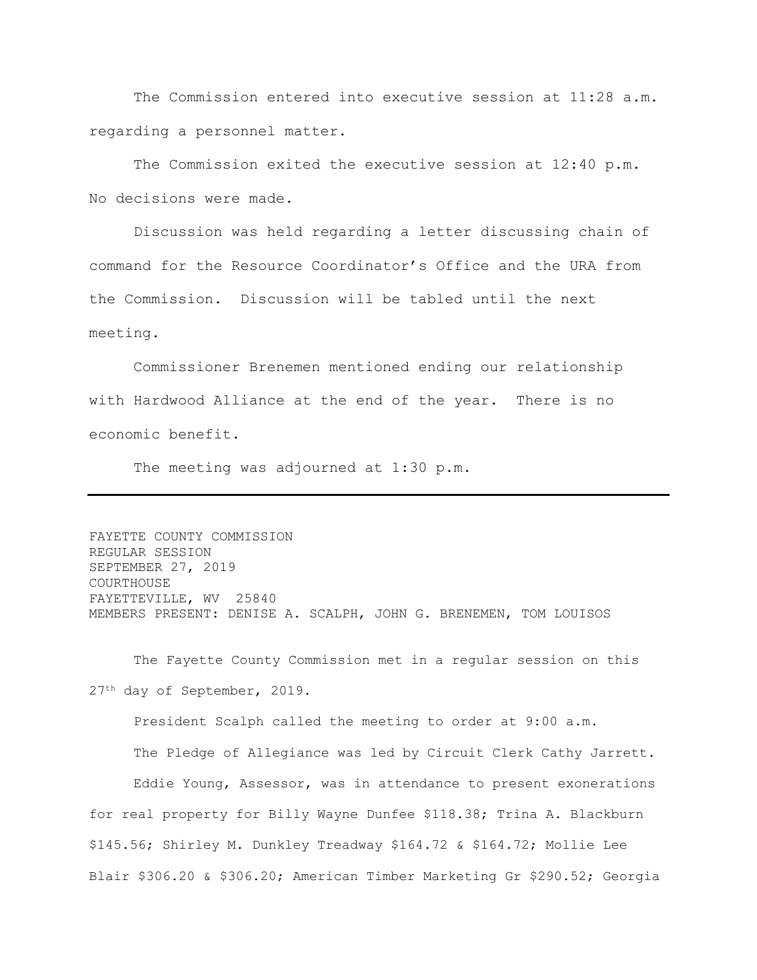The Commission entered into executive session at 11:28 a.m. regarding a personnel matter.

The Commission exited the executive session at 12:40 p.m. No decisions were made.

Discussion was held regarding a letter discussing chain of command for the Resource Coordinator's Office and the URA from the Commission. Discussion will be tabled until the next meeting.

Commissioner Brenemen mentioned ending our relationship with Hardwood Alliance at the end of the year. There is no economic benefit.

The meeting was adjourned at 1:30 p.m.

FAYETTE COUNTY COMMISSION REGULAR SESSION SEPTEMBER 27, 2019 COURTHOUSE FAYETTEVILLE, WV 25840 MEMBERS PRESENT: DENISE A. SCALPH, JOHN G. BRENEMEN, TOM LOUISOS

The Fayette County Commission met in a regular session on this 27th day of September, 2019.

President Scalph called the meeting to order at 9:00 a.m.

The Pledge of Allegiance was led by Circuit Clerk Cathy Jarrett. Eddie Young, Assessor, was in attendance to present exonerations for real property for Billy Wayne Dunfee \$118.38; Trina A. Blackburn \$145.56; Shirley M. Dunkley Treadway \$164.72 & \$164.72; Mollie Lee Blair \$306.20 & \$306.20; American Timber Marketing Gr \$290.52; Georgia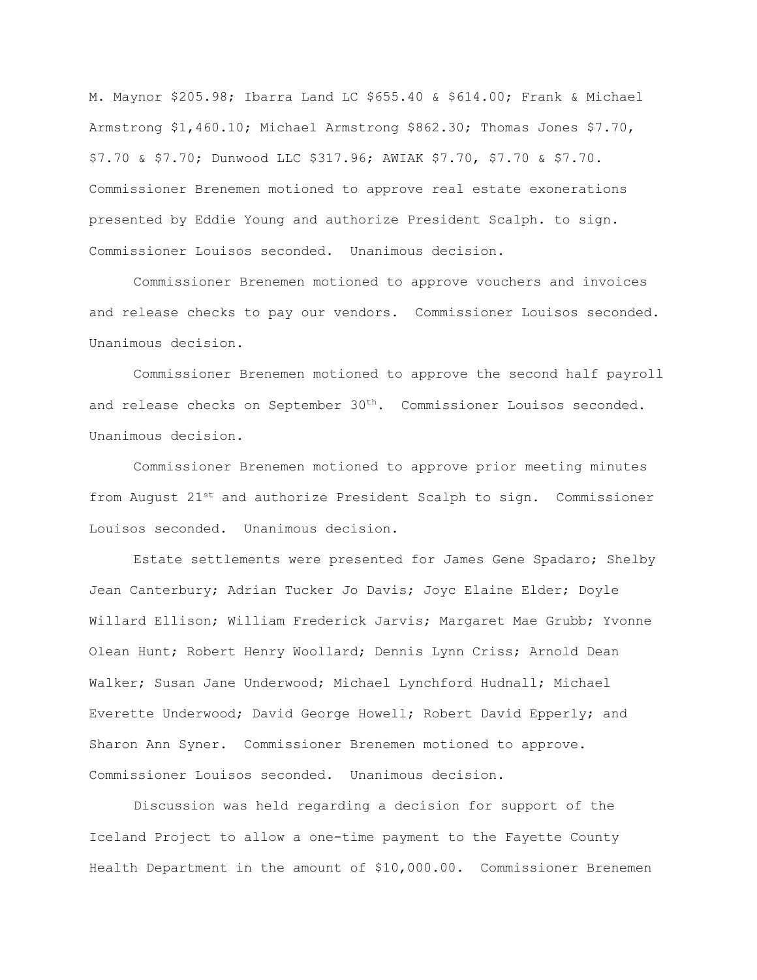M. Maynor \$205.98; Ibarra Land LC \$655.40 & \$614.00; Frank & Michael Armstrong \$1,460.10; Michael Armstrong \$862.30; Thomas Jones \$7.70, \$7.70 & \$7.70; Dunwood LLC \$317.96; AWIAK \$7.70, \$7.70 & \$7.70. Commissioner Brenemen motioned to approve real estate exonerations presented by Eddie Young and authorize President Scalph. to sign. Commissioner Louisos seconded. Unanimous decision.

Commissioner Brenemen motioned to approve vouchers and invoices and release checks to pay our vendors. Commissioner Louisos seconded. Unanimous decision.

Commissioner Brenemen motioned to approve the second half payroll and release checks on September  $30<sup>th</sup>$ . Commissioner Louisos seconded. Unanimous decision.

Commissioner Brenemen motioned to approve prior meeting minutes from August 21<sup>st</sup> and authorize President Scalph to sign. Commissioner Louisos seconded. Unanimous decision.

Estate settlements were presented for James Gene Spadaro; Shelby Jean Canterbury; Adrian Tucker Jo Davis; Joyc Elaine Elder; Doyle Willard Ellison; William Frederick Jarvis; Margaret Mae Grubb; Yvonne Olean Hunt; Robert Henry Woollard; Dennis Lynn Criss; Arnold Dean Walker; Susan Jane Underwood; Michael Lynchford Hudnall; Michael Everette Underwood; David George Howell; Robert David Epperly; and Sharon Ann Syner. Commissioner Brenemen motioned to approve. Commissioner Louisos seconded. Unanimous decision.

Discussion was held regarding a decision for support of the Iceland Project to allow a one-time payment to the Fayette County Health Department in the amount of \$10,000.00. Commissioner Brenemen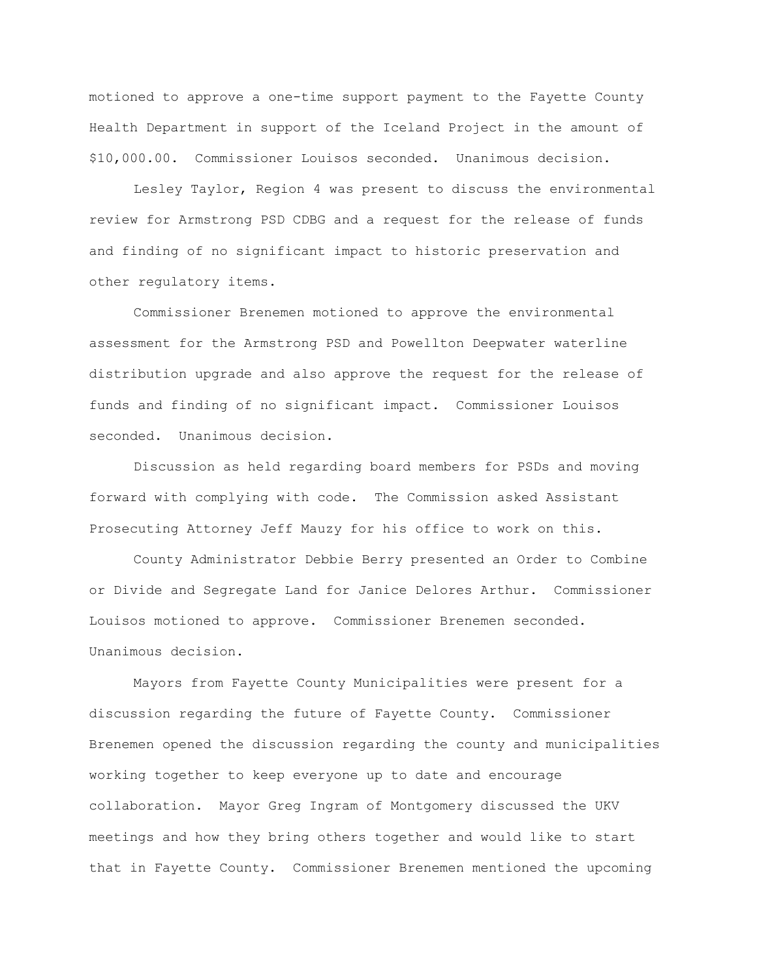motioned to approve a one-time support payment to the Fayette County Health Department in support of the Iceland Project in the amount of \$10,000.00. Commissioner Louisos seconded. Unanimous decision.

Lesley Taylor, Region 4 was present to discuss the environmental review for Armstrong PSD CDBG and a request for the release of funds and finding of no significant impact to historic preservation and other regulatory items.

Commissioner Brenemen motioned to approve the environmental assessment for the Armstrong PSD and Powellton Deepwater waterline distribution upgrade and also approve the request for the release of funds and finding of no significant impact. Commissioner Louisos seconded. Unanimous decision.

Discussion as held regarding board members for PSDs and moving forward with complying with code. The Commission asked Assistant Prosecuting Attorney Jeff Mauzy for his office to work on this.

County Administrator Debbie Berry presented an Order to Combine or Divide and Segregate Land for Janice Delores Arthur. Commissioner Louisos motioned to approve. Commissioner Brenemen seconded. Unanimous decision.

Mayors from Fayette County Municipalities were present for a discussion regarding the future of Fayette County. Commissioner Brenemen opened the discussion regarding the county and municipalities working together to keep everyone up to date and encourage collaboration. Mayor Greg Ingram of Montgomery discussed the UKV meetings and how they bring others together and would like to start that in Fayette County. Commissioner Brenemen mentioned the upcoming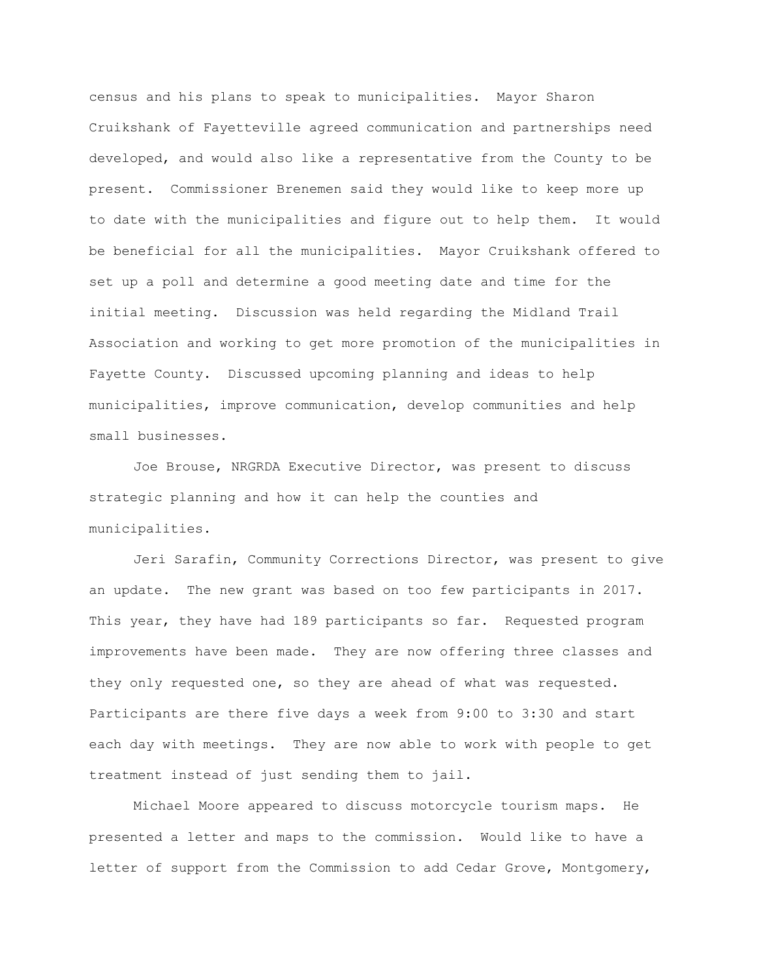census and his plans to speak to municipalities. Mayor Sharon Cruikshank of Fayetteville agreed communication and partnerships need developed, and would also like a representative from the County to be present. Commissioner Brenemen said they would like to keep more up to date with the municipalities and figure out to help them. It would be beneficial for all the municipalities. Mayor Cruikshank offered to set up a poll and determine a good meeting date and time for the initial meeting. Discussion was held regarding the Midland Trail Association and working to get more promotion of the municipalities in Fayette County. Discussed upcoming planning and ideas to help municipalities, improve communication, develop communities and help small businesses.

Joe Brouse, NRGRDA Executive Director, was present to discuss strategic planning and how it can help the counties and municipalities.

Jeri Sarafin, Community Corrections Director, was present to give an update. The new grant was based on too few participants in 2017. This year, they have had 189 participants so far. Requested program improvements have been made. They are now offering three classes and they only requested one, so they are ahead of what was requested. Participants are there five days a week from 9:00 to 3:30 and start each day with meetings. They are now able to work with people to get treatment instead of just sending them to jail.

Michael Moore appeared to discuss motorcycle tourism maps. He presented a letter and maps to the commission. Would like to have a letter of support from the Commission to add Cedar Grove, Montgomery,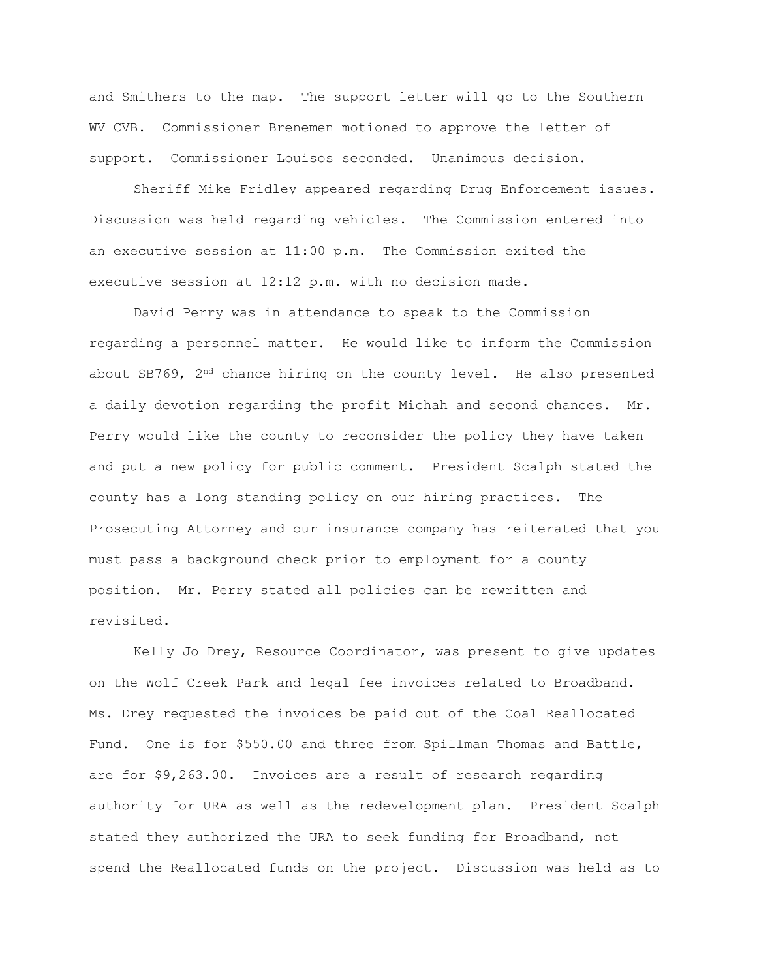and Smithers to the map. The support letter will go to the Southern WV CVB. Commissioner Brenemen motioned to approve the letter of support. Commissioner Louisos seconded. Unanimous decision.

Sheriff Mike Fridley appeared regarding Drug Enforcement issues. Discussion was held regarding vehicles. The Commission entered into an executive session at 11:00 p.m. The Commission exited the executive session at 12:12 p.m. with no decision made.

David Perry was in attendance to speak to the Commission regarding a personnel matter. He would like to inform the Commission about SB769, 2<sup>nd</sup> chance hiring on the county level. He also presented a daily devotion regarding the profit Michah and second chances. Mr. Perry would like the county to reconsider the policy they have taken and put a new policy for public comment. President Scalph stated the county has a long standing policy on our hiring practices. The Prosecuting Attorney and our insurance company has reiterated that you must pass a background check prior to employment for a county position. Mr. Perry stated all policies can be rewritten and revisited.

Kelly Jo Drey, Resource Coordinator, was present to give updates on the Wolf Creek Park and legal fee invoices related to Broadband. Ms. Drey requested the invoices be paid out of the Coal Reallocated Fund. One is for \$550.00 and three from Spillman Thomas and Battle, are for \$9,263.00. Invoices are a result of research regarding authority for URA as well as the redevelopment plan. President Scalph stated they authorized the URA to seek funding for Broadband, not spend the Reallocated funds on the project. Discussion was held as to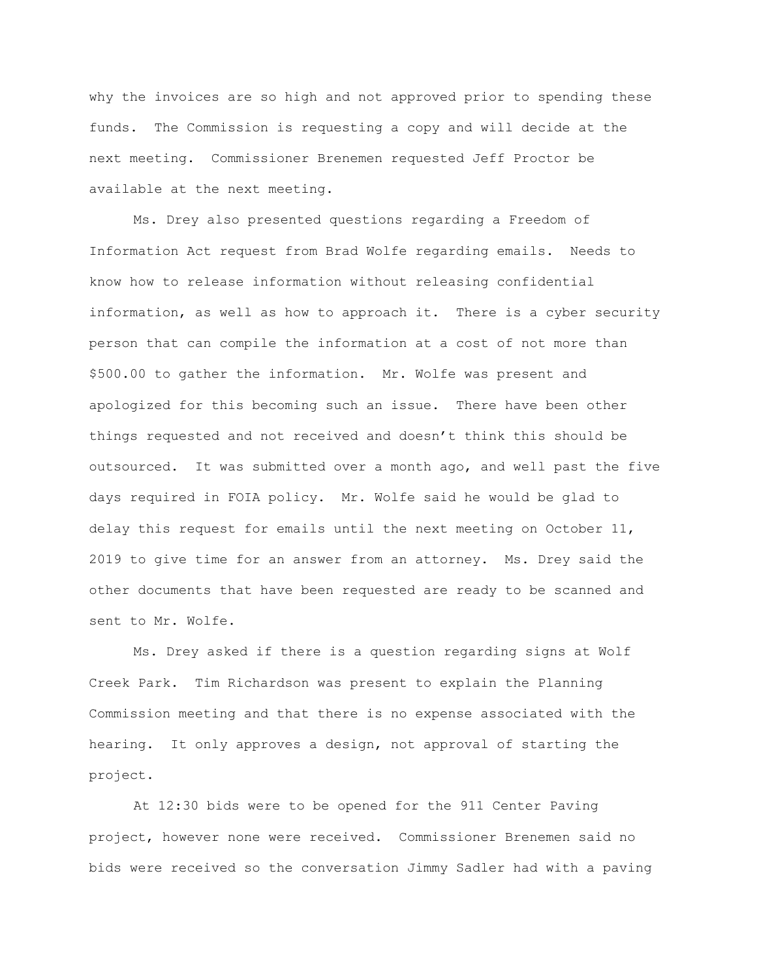why the invoices are so high and not approved prior to spending these funds. The Commission is requesting a copy and will decide at the next meeting. Commissioner Brenemen requested Jeff Proctor be available at the next meeting.

Ms. Drey also presented questions regarding a Freedom of Information Act request from Brad Wolfe regarding emails. Needs to know how to release information without releasing confidential information, as well as how to approach it. There is a cyber security person that can compile the information at a cost of not more than \$500.00 to gather the information. Mr. Wolfe was present and apologized for this becoming such an issue. There have been other things requested and not received and doesn't think this should be outsourced. It was submitted over a month ago, and well past the five days required in FOIA policy. Mr. Wolfe said he would be glad to delay this request for emails until the next meeting on October 11, 2019 to give time for an answer from an attorney. Ms. Drey said the other documents that have been requested are ready to be scanned and sent to Mr. Wolfe.

Ms. Drey asked if there is a question regarding signs at Wolf Creek Park. Tim Richardson was present to explain the Planning Commission meeting and that there is no expense associated with the hearing. It only approves a design, not approval of starting the project.

At 12:30 bids were to be opened for the 911 Center Paving project, however none were received. Commissioner Brenemen said no bids were received so the conversation Jimmy Sadler had with a paving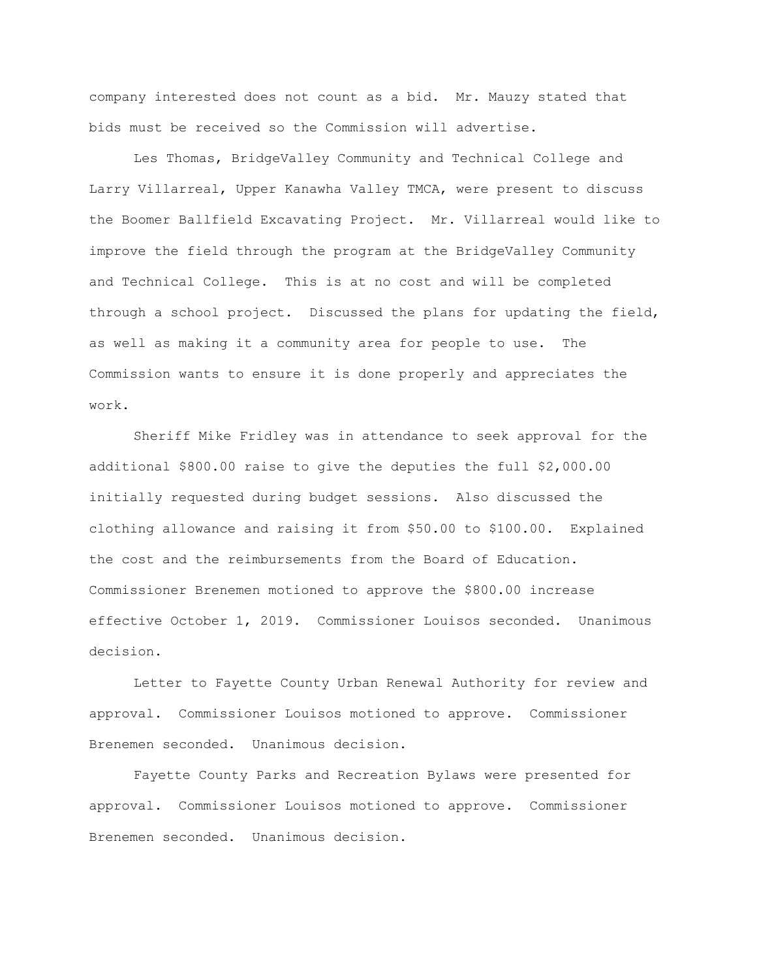company interested does not count as a bid. Mr. Mauzy stated that bids must be received so the Commission will advertise.

Les Thomas, BridgeValley Community and Technical College and Larry Villarreal, Upper Kanawha Valley TMCA, were present to discuss the Boomer Ballfield Excavating Project. Mr. Villarreal would like to improve the field through the program at the BridgeValley Community and Technical College. This is at no cost and will be completed through a school project. Discussed the plans for updating the field, as well as making it a community area for people to use. The Commission wants to ensure it is done properly and appreciates the work.

Sheriff Mike Fridley was in attendance to seek approval for the additional \$800.00 raise to give the deputies the full \$2,000.00 initially requested during budget sessions. Also discussed the clothing allowance and raising it from \$50.00 to \$100.00. Explained the cost and the reimbursements from the Board of Education. Commissioner Brenemen motioned to approve the \$800.00 increase effective October 1, 2019. Commissioner Louisos seconded. Unanimous decision.

Letter to Fayette County Urban Renewal Authority for review and approval. Commissioner Louisos motioned to approve. Commissioner Brenemen seconded. Unanimous decision.

Fayette County Parks and Recreation Bylaws were presented for approval. Commissioner Louisos motioned to approve. Commissioner Brenemen seconded. Unanimous decision.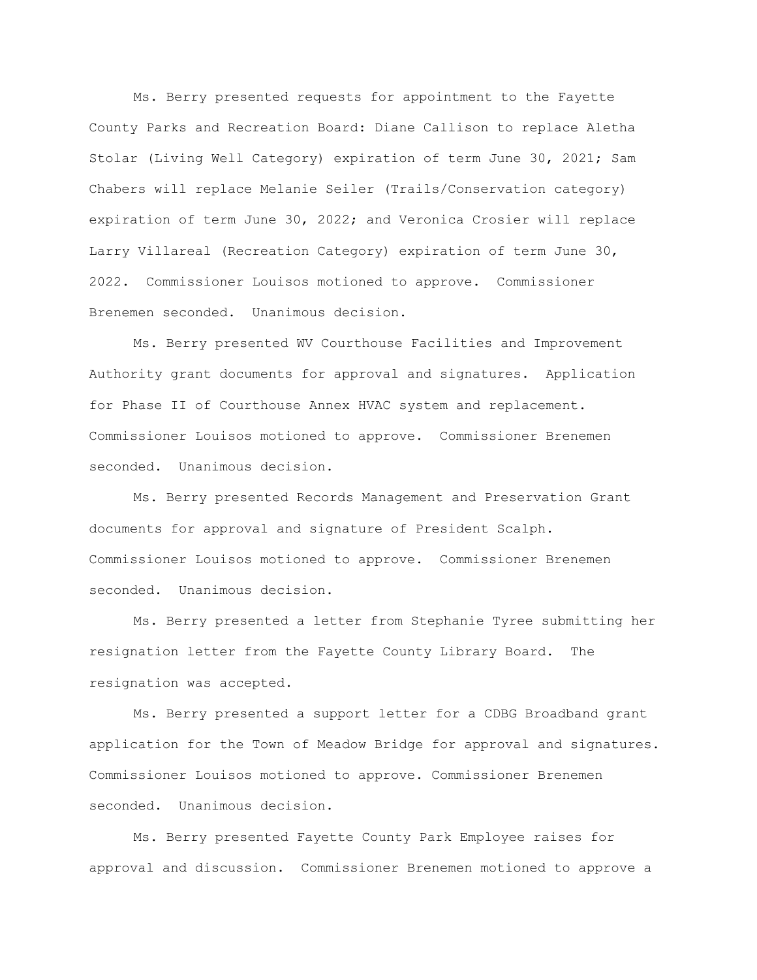Ms. Berry presented requests for appointment to the Fayette County Parks and Recreation Board: Diane Callison to replace Aletha Stolar (Living Well Category) expiration of term June 30, 2021; Sam Chabers will replace Melanie Seiler (Trails/Conservation category) expiration of term June 30, 2022; and Veronica Crosier will replace Larry Villareal (Recreation Category) expiration of term June 30, 2022. Commissioner Louisos motioned to approve. Commissioner Brenemen seconded. Unanimous decision.

Ms. Berry presented WV Courthouse Facilities and Improvement Authority grant documents for approval and signatures. Application for Phase II of Courthouse Annex HVAC system and replacement. Commissioner Louisos motioned to approve. Commissioner Brenemen seconded. Unanimous decision.

Ms. Berry presented Records Management and Preservation Grant documents for approval and signature of President Scalph. Commissioner Louisos motioned to approve. Commissioner Brenemen seconded. Unanimous decision.

Ms. Berry presented a letter from Stephanie Tyree submitting her resignation letter from the Fayette County Library Board. The resignation was accepted.

Ms. Berry presented a support letter for a CDBG Broadband grant application for the Town of Meadow Bridge for approval and signatures. Commissioner Louisos motioned to approve. Commissioner Brenemen seconded. Unanimous decision.

Ms. Berry presented Fayette County Park Employee raises for approval and discussion. Commissioner Brenemen motioned to approve a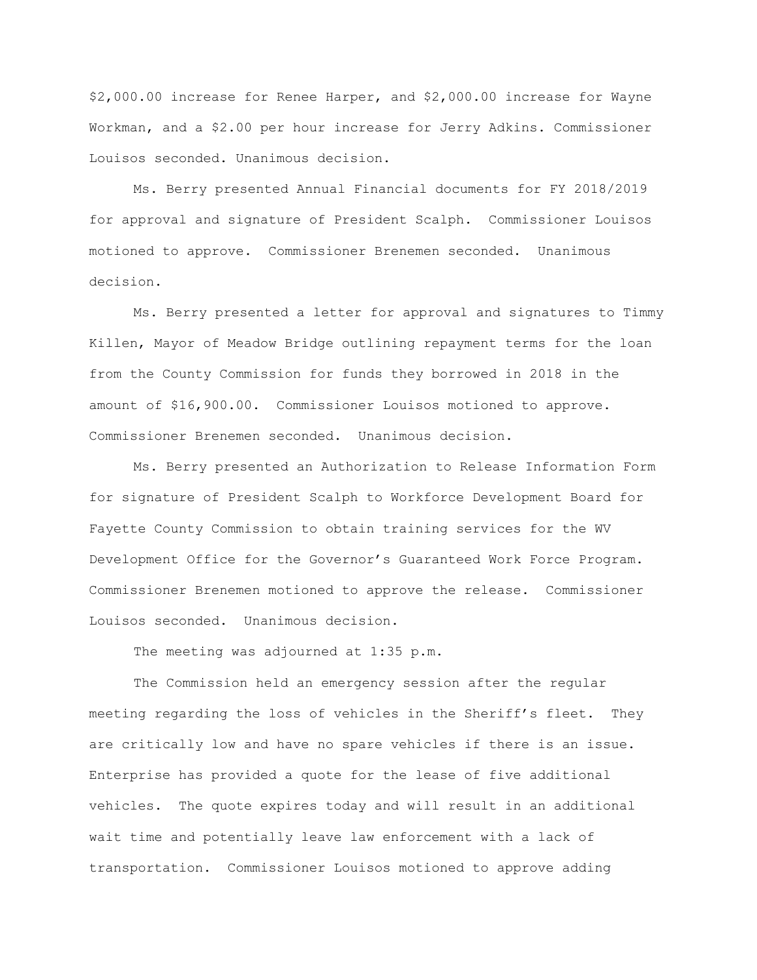\$2,000.00 increase for Renee Harper, and \$2,000.00 increase for Wayne Workman, and a \$2.00 per hour increase for Jerry Adkins. Commissioner Louisos seconded. Unanimous decision.

Ms. Berry presented Annual Financial documents for FY 2018/2019 for approval and signature of President Scalph. Commissioner Louisos motioned to approve. Commissioner Brenemen seconded. Unanimous decision.

Ms. Berry presented a letter for approval and signatures to Timmy Killen, Mayor of Meadow Bridge outlining repayment terms for the loan from the County Commission for funds they borrowed in 2018 in the amount of \$16,900.00. Commissioner Louisos motioned to approve. Commissioner Brenemen seconded. Unanimous decision.

Ms. Berry presented an Authorization to Release Information Form for signature of President Scalph to Workforce Development Board for Fayette County Commission to obtain training services for the WV Development Office for the Governor's Guaranteed Work Force Program. Commissioner Brenemen motioned to approve the release. Commissioner Louisos seconded. Unanimous decision.

The meeting was adjourned at 1:35 p.m.

The Commission held an emergency session after the regular meeting regarding the loss of vehicles in the Sheriff's fleet. They are critically low and have no spare vehicles if there is an issue. Enterprise has provided a quote for the lease of five additional vehicles. The quote expires today and will result in an additional wait time and potentially leave law enforcement with a lack of transportation. Commissioner Louisos motioned to approve adding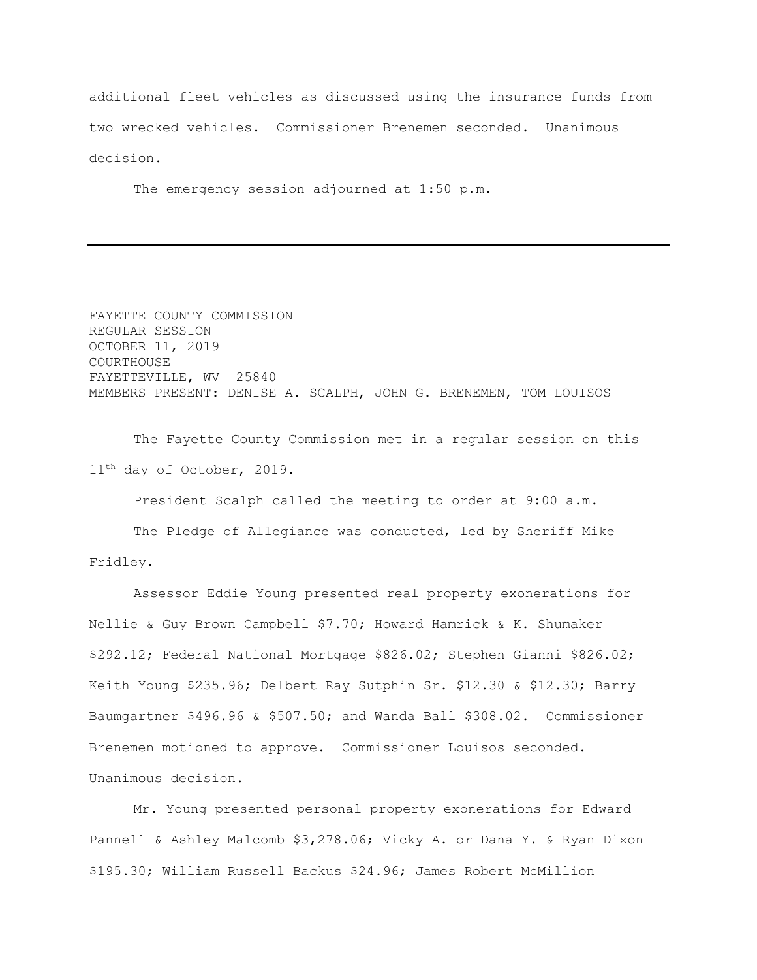additional fleet vehicles as discussed using the insurance funds from two wrecked vehicles. Commissioner Brenemen seconded. Unanimous decision.

The emergency session adjourned at 1:50 p.m.

FAYETTE COUNTY COMMISSION REGULAR SESSION OCTOBER 11, 2019 COURTHOUSE FAYETTEVILLE, WV 25840 MEMBERS PRESENT: DENISE A. SCALPH, JOHN G. BRENEMEN, TOM LOUISOS

The Fayette County Commission met in a regular session on this 11th day of October, 2019.

President Scalph called the meeting to order at 9:00 a.m.

The Pledge of Allegiance was conducted, led by Sheriff Mike Fridley.

Assessor Eddie Young presented real property exonerations for Nellie & Guy Brown Campbell \$7.70; Howard Hamrick & K. Shumaker \$292.12; Federal National Mortgage \$826.02; Stephen Gianni \$826.02; Keith Young \$235.96; Delbert Ray Sutphin Sr. \$12.30 & \$12.30; Barry Baumgartner \$496.96 & \$507.50; and Wanda Ball \$308.02. Commissioner Brenemen motioned to approve. Commissioner Louisos seconded. Unanimous decision.

Mr. Young presented personal property exonerations for Edward Pannell & Ashley Malcomb \$3,278.06; Vicky A. or Dana Y. & Ryan Dixon \$195.30; William Russell Backus \$24.96; James Robert McMillion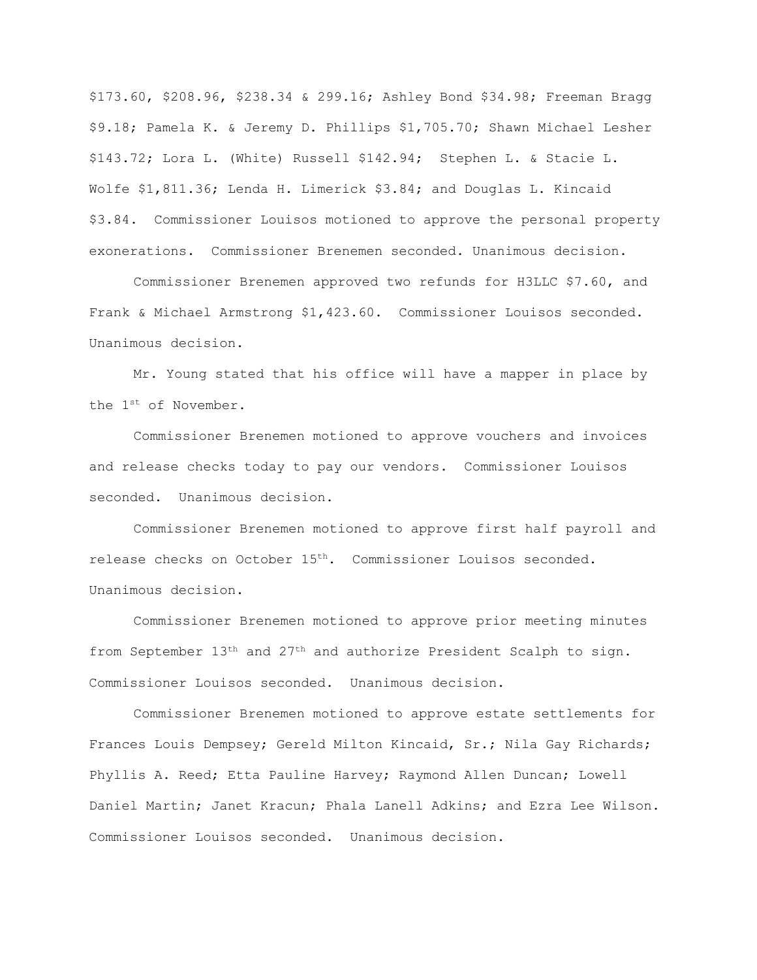\$173.60, \$208.96, \$238.34 & 299.16; Ashley Bond \$34.98; Freeman Bragg \$9.18; Pamela K. & Jeremy D. Phillips \$1,705.70; Shawn Michael Lesher \$143.72; Lora L. (White) Russell \$142.94; Stephen L. & Stacie L. Wolfe \$1,811.36; Lenda H. Limerick \$3.84; and Douglas L. Kincaid \$3.84. Commissioner Louisos motioned to approve the personal property exonerations. Commissioner Brenemen seconded. Unanimous decision.

Commissioner Brenemen approved two refunds for H3LLC \$7.60, and Frank & Michael Armstrong \$1,423.60. Commissioner Louisos seconded. Unanimous decision.

Mr. Young stated that his office will have a mapper in place by the 1st of November.

Commissioner Brenemen motioned to approve vouchers and invoices and release checks today to pay our vendors. Commissioner Louisos seconded. Unanimous decision.

Commissioner Brenemen motioned to approve first half payroll and release checks on October 15th. Commissioner Louisos seconded. Unanimous decision.

Commissioner Brenemen motioned to approve prior meeting minutes from September 13<sup>th</sup> and 27<sup>th</sup> and authorize President Scalph to sign. Commissioner Louisos seconded. Unanimous decision.

Commissioner Brenemen motioned to approve estate settlements for Frances Louis Dempsey; Gereld Milton Kincaid, Sr.; Nila Gay Richards; Phyllis A. Reed; Etta Pauline Harvey; Raymond Allen Duncan; Lowell Daniel Martin; Janet Kracun; Phala Lanell Adkins; and Ezra Lee Wilson. Commissioner Louisos seconded. Unanimous decision.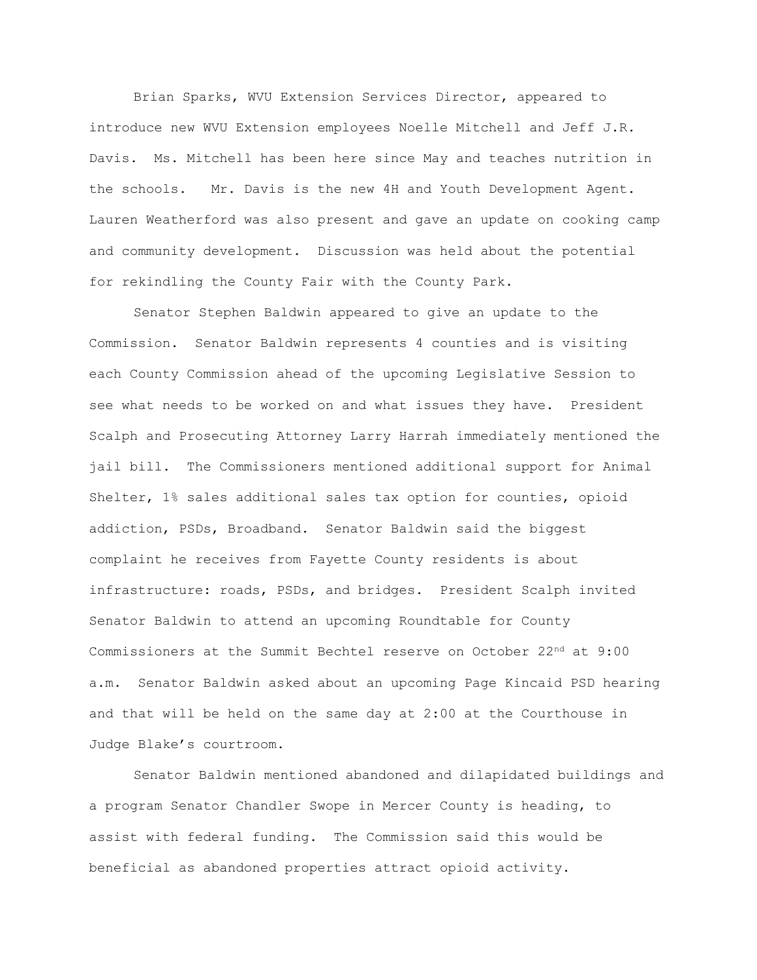Brian Sparks, WVU Extension Services Director, appeared to introduce new WVU Extension employees Noelle Mitchell and Jeff J.R. Davis. Ms. Mitchell has been here since May and teaches nutrition in the schools. Mr. Davis is the new 4H and Youth Development Agent. Lauren Weatherford was also present and gave an update on cooking camp and community development. Discussion was held about the potential for rekindling the County Fair with the County Park.

Senator Stephen Baldwin appeared to give an update to the Commission. Senator Baldwin represents 4 counties and is visiting each County Commission ahead of the upcoming Legislative Session to see what needs to be worked on and what issues they have. President Scalph and Prosecuting Attorney Larry Harrah immediately mentioned the jail bill. The Commissioners mentioned additional support for Animal Shelter, 1% sales additional sales tax option for counties, opioid addiction, PSDs, Broadband. Senator Baldwin said the biggest complaint he receives from Fayette County residents is about infrastructure: roads, PSDs, and bridges. President Scalph invited Senator Baldwin to attend an upcoming Roundtable for County Commissioners at the Summit Bechtel reserve on October 22<sup>nd</sup> at 9:00 a.m. Senator Baldwin asked about an upcoming Page Kincaid PSD hearing and that will be held on the same day at 2:00 at the Courthouse in Judge Blake's courtroom.

Senator Baldwin mentioned abandoned and dilapidated buildings and a program Senator Chandler Swope in Mercer County is heading, to assist with federal funding. The Commission said this would be beneficial as abandoned properties attract opioid activity.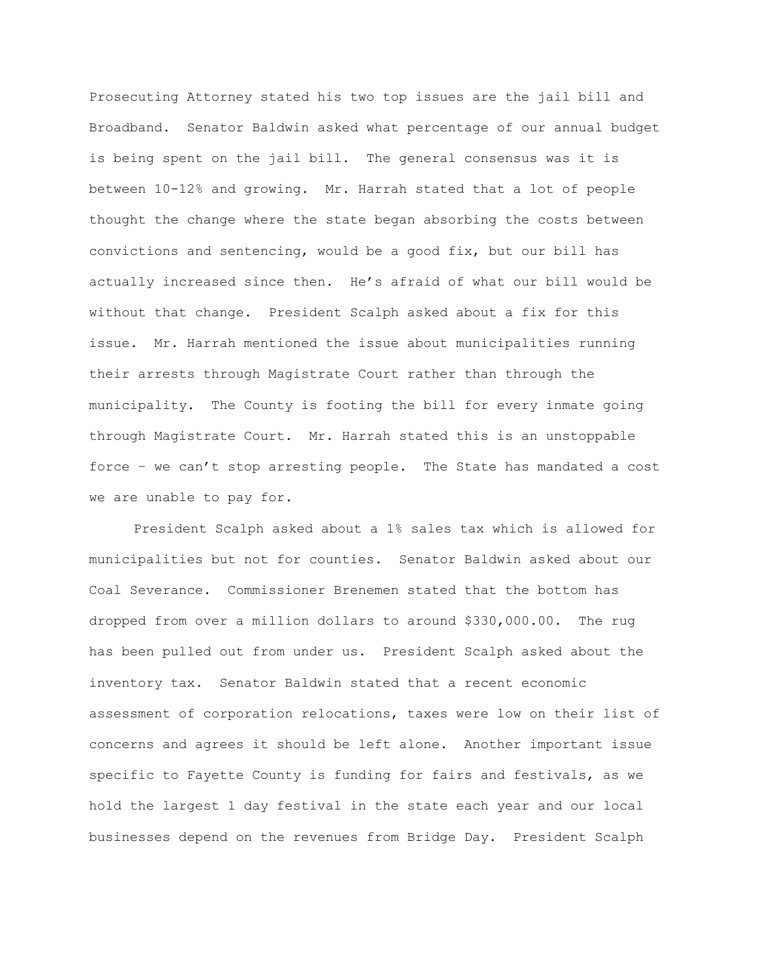Prosecuting Attorney stated his two top issues are the jail bill and Broadband. Senator Baldwin asked what percentage of our annual budget is being spent on the jail bill. The general consensus was it is between 10-12% and growing. Mr. Harrah stated that a lot of people thought the change where the state began absorbing the costs between convictions and sentencing, would be a good fix, but our bill has actually increased since then. He's afraid of what our bill would be without that change. President Scalph asked about a fix for this issue. Mr. Harrah mentioned the issue about municipalities running their arrests through Magistrate Court rather than through the municipality. The County is footing the bill for every inmate going through Magistrate Court. Mr. Harrah stated this is an unstoppable force – we can't stop arresting people. The State has mandated a cost we are unable to pay for.

President Scalph asked about a 1% sales tax which is allowed for municipalities but not for counties. Senator Baldwin asked about our Coal Severance. Commissioner Brenemen stated that the bottom has dropped from over a million dollars to around \$330,000.00. The rug has been pulled out from under us. President Scalph asked about the inventory tax. Senator Baldwin stated that a recent economic assessment of corporation relocations, taxes were low on their list of concerns and agrees it should be left alone. Another important issue specific to Fayette County is funding for fairs and festivals, as we hold the largest 1 day festival in the state each year and our local businesses depend on the revenues from Bridge Day. President Scalph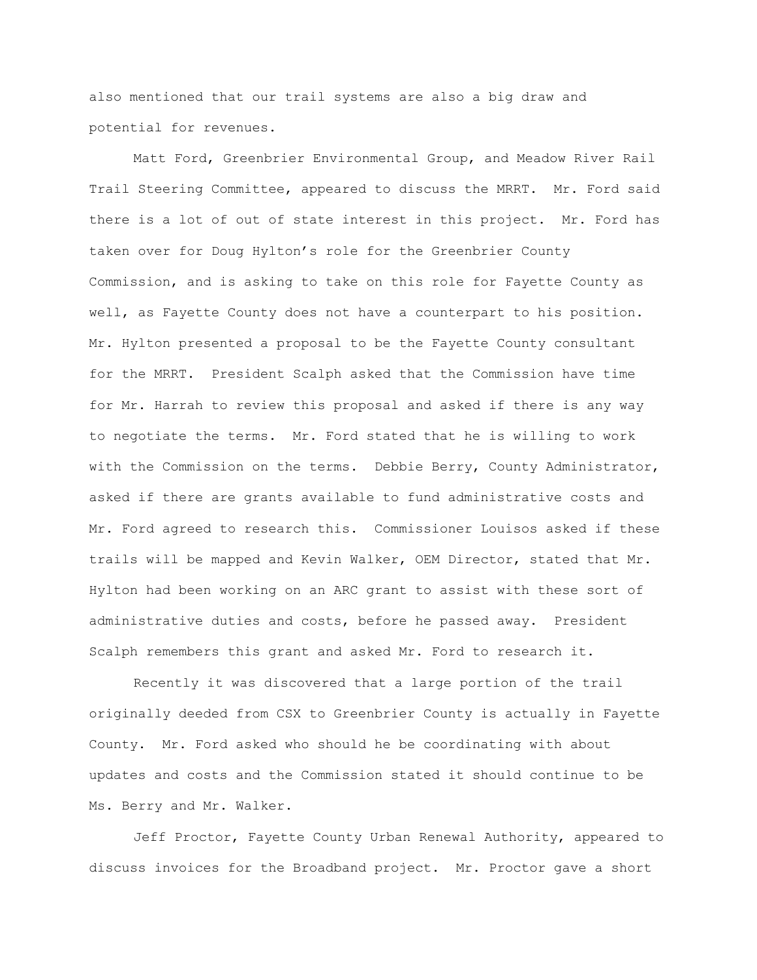also mentioned that our trail systems are also a big draw and potential for revenues.

Matt Ford, Greenbrier Environmental Group, and Meadow River Rail Trail Steering Committee, appeared to discuss the MRRT. Mr. Ford said there is a lot of out of state interest in this project. Mr. Ford has taken over for Doug Hylton's role for the Greenbrier County Commission, and is asking to take on this role for Fayette County as well, as Fayette County does not have a counterpart to his position. Mr. Hylton presented a proposal to be the Fayette County consultant for the MRRT. President Scalph asked that the Commission have time for Mr. Harrah to review this proposal and asked if there is any way to negotiate the terms. Mr. Ford stated that he is willing to work with the Commission on the terms. Debbie Berry, County Administrator, asked if there are grants available to fund administrative costs and Mr. Ford agreed to research this. Commissioner Louisos asked if these trails will be mapped and Kevin Walker, OEM Director, stated that Mr. Hylton had been working on an ARC grant to assist with these sort of administrative duties and costs, before he passed away. President Scalph remembers this grant and asked Mr. Ford to research it.

Recently it was discovered that a large portion of the trail originally deeded from CSX to Greenbrier County is actually in Fayette County. Mr. Ford asked who should he be coordinating with about updates and costs and the Commission stated it should continue to be Ms. Berry and Mr. Walker.

Jeff Proctor, Fayette County Urban Renewal Authority, appeared to discuss invoices for the Broadband project. Mr. Proctor gave a short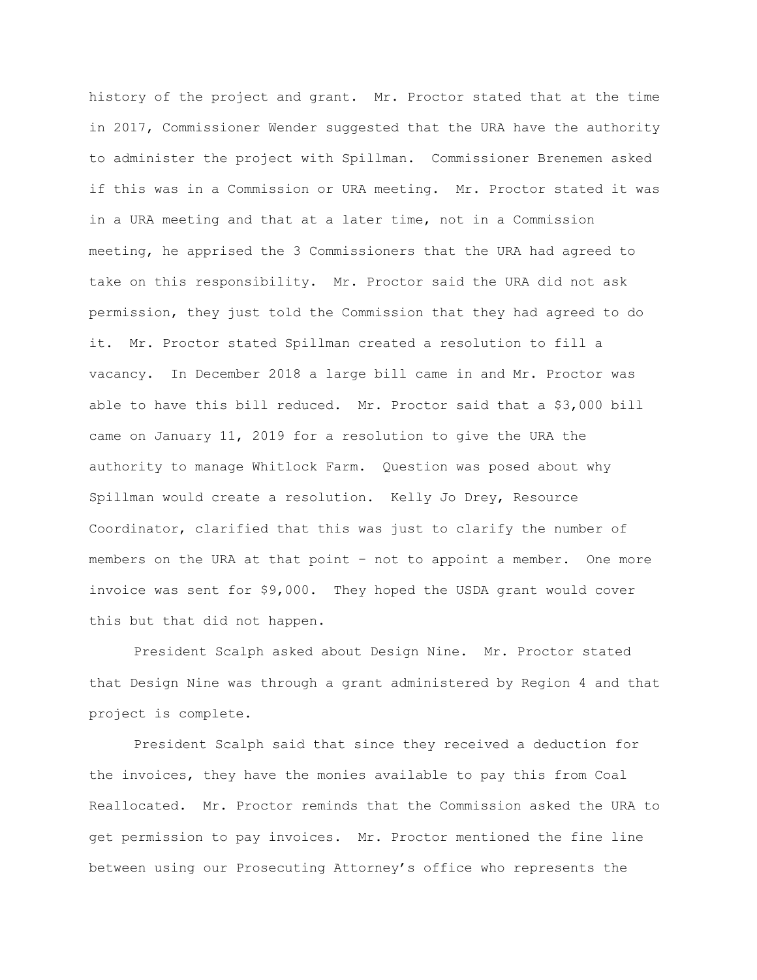history of the project and grant. Mr. Proctor stated that at the time in 2017, Commissioner Wender suggested that the URA have the authority to administer the project with Spillman. Commissioner Brenemen asked if this was in a Commission or URA meeting. Mr. Proctor stated it was in a URA meeting and that at a later time, not in a Commission meeting, he apprised the 3 Commissioners that the URA had agreed to take on this responsibility. Mr. Proctor said the URA did not ask permission, they just told the Commission that they had agreed to do it. Mr. Proctor stated Spillman created a resolution to fill a vacancy. In December 2018 a large bill came in and Mr. Proctor was able to have this bill reduced. Mr. Proctor said that a \$3,000 bill came on January 11, 2019 for a resolution to give the URA the authority to manage Whitlock Farm. Question was posed about why Spillman would create a resolution. Kelly Jo Drey, Resource Coordinator, clarified that this was just to clarify the number of members on the URA at that point – not to appoint a member. One more invoice was sent for \$9,000. They hoped the USDA grant would cover this but that did not happen.

President Scalph asked about Design Nine. Mr. Proctor stated that Design Nine was through a grant administered by Region 4 and that project is complete.

President Scalph said that since they received a deduction for the invoices, they have the monies available to pay this from Coal Reallocated. Mr. Proctor reminds that the Commission asked the URA to get permission to pay invoices. Mr. Proctor mentioned the fine line between using our Prosecuting Attorney's office who represents the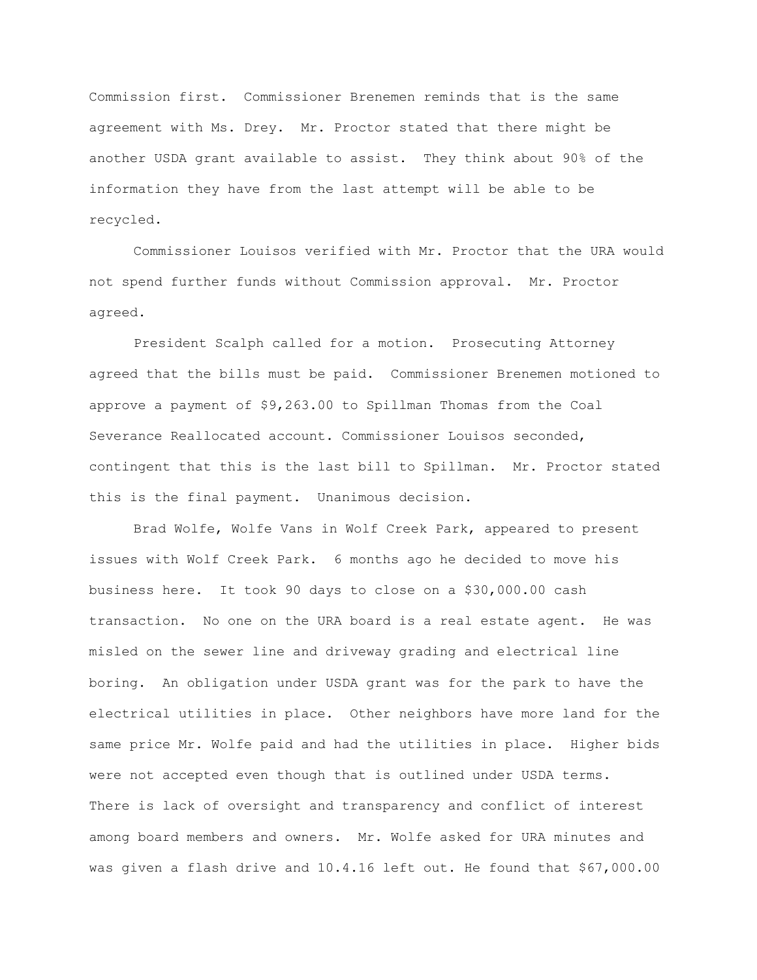Commission first. Commissioner Brenemen reminds that is the same agreement with Ms. Drey. Mr. Proctor stated that there might be another USDA grant available to assist. They think about 90% of the information they have from the last attempt will be able to be recycled.

Commissioner Louisos verified with Mr. Proctor that the URA would not spend further funds without Commission approval. Mr. Proctor agreed.

President Scalph called for a motion. Prosecuting Attorney agreed that the bills must be paid. Commissioner Brenemen motioned to approve a payment of \$9,263.00 to Spillman Thomas from the Coal Severance Reallocated account. Commissioner Louisos seconded, contingent that this is the last bill to Spillman. Mr. Proctor stated this is the final payment. Unanimous decision.

Brad Wolfe, Wolfe Vans in Wolf Creek Park, appeared to present issues with Wolf Creek Park. 6 months ago he decided to move his business here. It took 90 days to close on a \$30,000.00 cash transaction. No one on the URA board is a real estate agent. He was misled on the sewer line and driveway grading and electrical line boring. An obligation under USDA grant was for the park to have the electrical utilities in place. Other neighbors have more land for the same price Mr. Wolfe paid and had the utilities in place. Higher bids were not accepted even though that is outlined under USDA terms. There is lack of oversight and transparency and conflict of interest among board members and owners. Mr. Wolfe asked for URA minutes and was given a flash drive and 10.4.16 left out. He found that \$67,000.00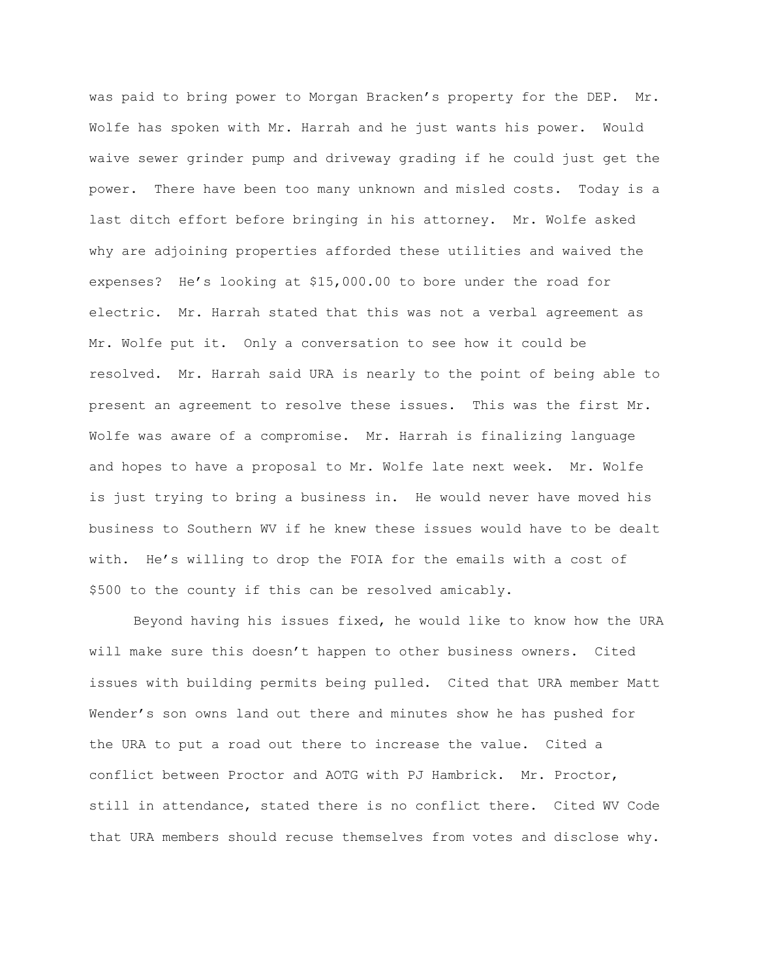was paid to bring power to Morgan Bracken's property for the DEP. Mr. Wolfe has spoken with Mr. Harrah and he just wants his power. Would waive sewer grinder pump and driveway grading if he could just get the power. There have been too many unknown and misled costs. Today is a last ditch effort before bringing in his attorney. Mr. Wolfe asked why are adjoining properties afforded these utilities and waived the expenses? He's looking at \$15,000.00 to bore under the road for electric. Mr. Harrah stated that this was not a verbal agreement as Mr. Wolfe put it. Only a conversation to see how it could be resolved. Mr. Harrah said URA is nearly to the point of being able to present an agreement to resolve these issues. This was the first Mr. Wolfe was aware of a compromise. Mr. Harrah is finalizing language and hopes to have a proposal to Mr. Wolfe late next week. Mr. Wolfe is just trying to bring a business in. He would never have moved his business to Southern WV if he knew these issues would have to be dealt with. He's willing to drop the FOIA for the emails with a cost of \$500 to the county if this can be resolved amicably.

Beyond having his issues fixed, he would like to know how the URA will make sure this doesn't happen to other business owners. Cited issues with building permits being pulled. Cited that URA member Matt Wender's son owns land out there and minutes show he has pushed for the URA to put a road out there to increase the value. Cited a conflict between Proctor and AOTG with PJ Hambrick. Mr. Proctor, still in attendance, stated there is no conflict there. Cited WV Code that URA members should recuse themselves from votes and disclose why.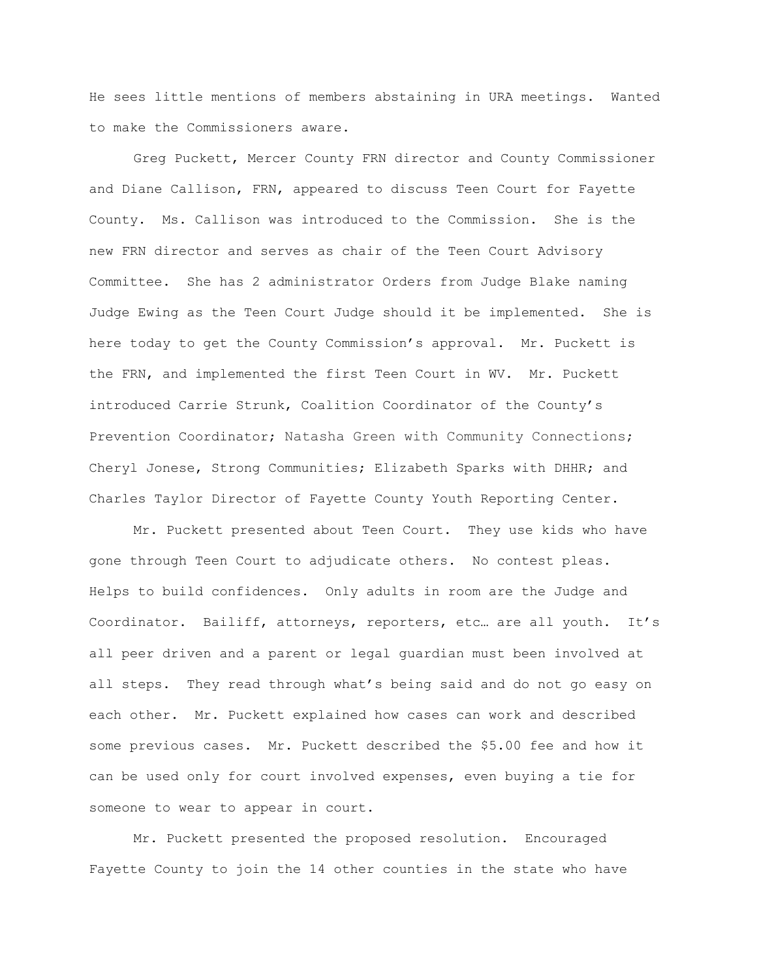He sees little mentions of members abstaining in URA meetings. Wanted to make the Commissioners aware.

Greg Puckett, Mercer County FRN director and County Commissioner and Diane Callison, FRN, appeared to discuss Teen Court for Fayette County. Ms. Callison was introduced to the Commission. She is the new FRN director and serves as chair of the Teen Court Advisory Committee. She has 2 administrator Orders from Judge Blake naming Judge Ewing as the Teen Court Judge should it be implemented. She is here today to get the County Commission's approval. Mr. Puckett is the FRN, and implemented the first Teen Court in WV. Mr. Puckett introduced Carrie Strunk, Coalition Coordinator of the County's Prevention Coordinator; Natasha Green with Community Connections; Cheryl Jonese, Strong Communities; Elizabeth Sparks with DHHR; and Charles Taylor Director of Fayette County Youth Reporting Center.

Mr. Puckett presented about Teen Court. They use kids who have gone through Teen Court to adjudicate others. No contest pleas. Helps to build confidences. Only adults in room are the Judge and Coordinator. Bailiff, attorneys, reporters, etc… are all youth. It's all peer driven and a parent or legal guardian must been involved at all steps. They read through what's being said and do not go easy on each other. Mr. Puckett explained how cases can work and described some previous cases. Mr. Puckett described the \$5.00 fee and how it can be used only for court involved expenses, even buying a tie for someone to wear to appear in court.

Mr. Puckett presented the proposed resolution. Encouraged Fayette County to join the 14 other counties in the state who have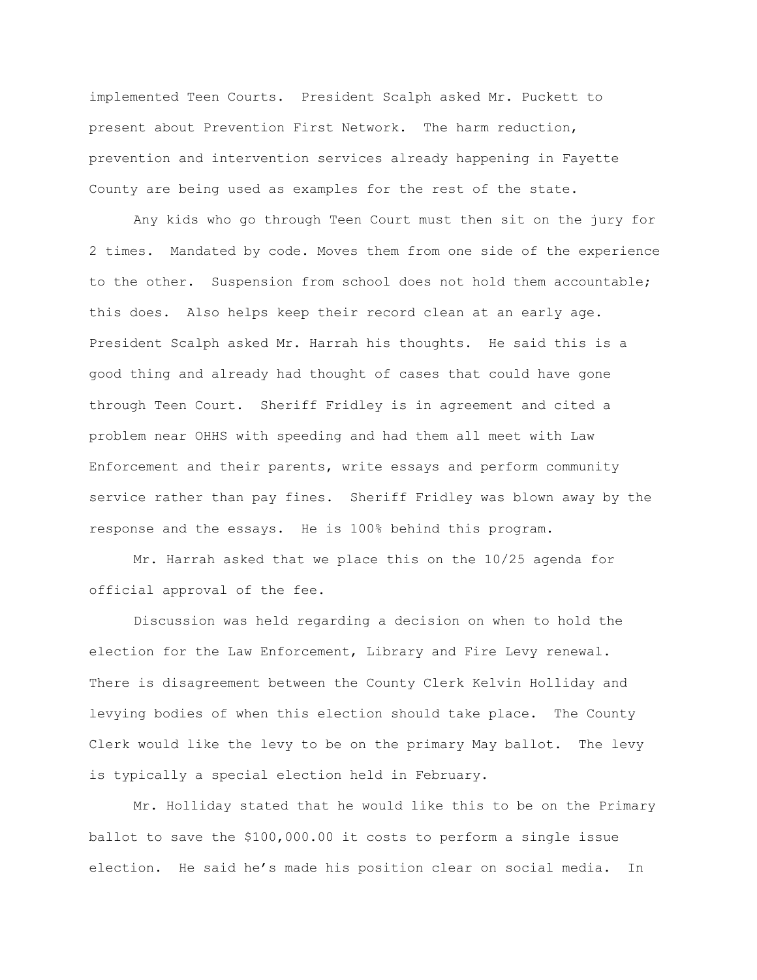implemented Teen Courts. President Scalph asked Mr. Puckett to present about Prevention First Network. The harm reduction, prevention and intervention services already happening in Fayette County are being used as examples for the rest of the state.

Any kids who go through Teen Court must then sit on the jury for 2 times. Mandated by code. Moves them from one side of the experience to the other. Suspension from school does not hold them accountable; this does. Also helps keep their record clean at an early age. President Scalph asked Mr. Harrah his thoughts. He said this is a good thing and already had thought of cases that could have gone through Teen Court. Sheriff Fridley is in agreement and cited a problem near OHHS with speeding and had them all meet with Law Enforcement and their parents, write essays and perform community service rather than pay fines. Sheriff Fridley was blown away by the response and the essays. He is 100% behind this program.

Mr. Harrah asked that we place this on the 10/25 agenda for official approval of the fee.

Discussion was held regarding a decision on when to hold the election for the Law Enforcement, Library and Fire Levy renewal. There is disagreement between the County Clerk Kelvin Holliday and levying bodies of when this election should take place. The County Clerk would like the levy to be on the primary May ballot. The levy is typically a special election held in February.

Mr. Holliday stated that he would like this to be on the Primary ballot to save the \$100,000.00 it costs to perform a single issue election. He said he's made his position clear on social media. In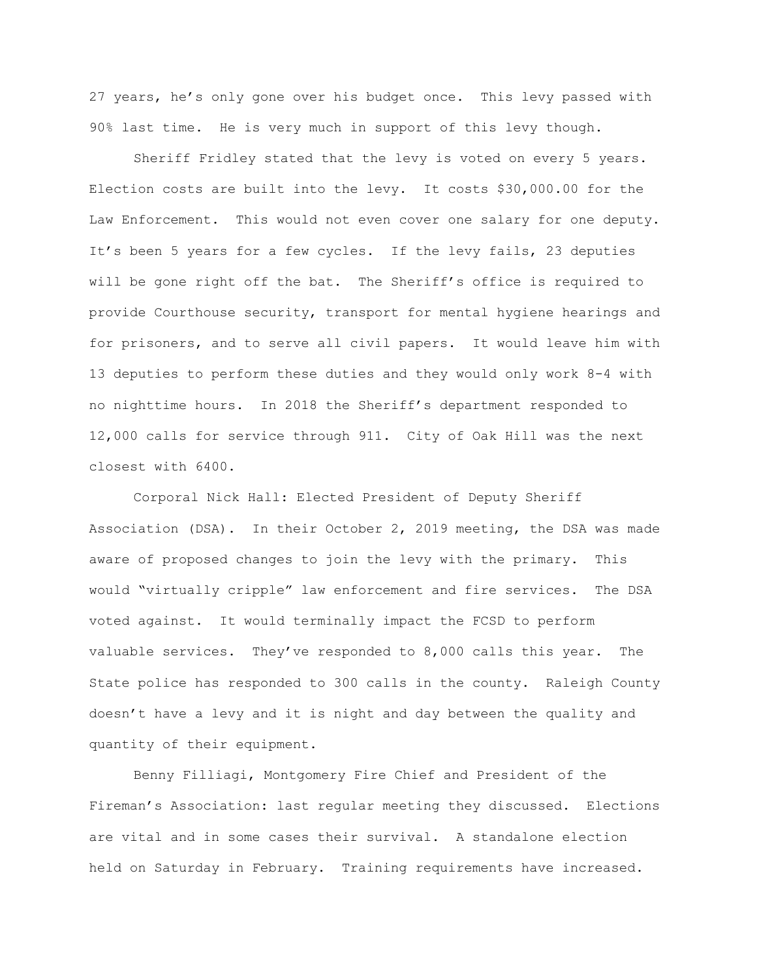27 years, he's only gone over his budget once. This levy passed with 90% last time. He is very much in support of this levy though.

Sheriff Fridley stated that the levy is voted on every 5 years. Election costs are built into the levy. It costs \$30,000.00 for the Law Enforcement. This would not even cover one salary for one deputy. It's been 5 years for a few cycles. If the levy fails, 23 deputies will be gone right off the bat. The Sheriff's office is required to provide Courthouse security, transport for mental hygiene hearings and for prisoners, and to serve all civil papers. It would leave him with 13 deputies to perform these duties and they would only work 8-4 with no nighttime hours. In 2018 the Sheriff's department responded to 12,000 calls for service through 911. City of Oak Hill was the next closest with 6400.

Corporal Nick Hall: Elected President of Deputy Sheriff Association (DSA). In their October 2, 2019 meeting, the DSA was made aware of proposed changes to join the levy with the primary. This would "virtually cripple" law enforcement and fire services. The DSA voted against. It would terminally impact the FCSD to perform valuable services. They've responded to 8,000 calls this year. The State police has responded to 300 calls in the county. Raleigh County doesn't have a levy and it is night and day between the quality and quantity of their equipment.

Benny Filliagi, Montgomery Fire Chief and President of the Fireman's Association: last regular meeting they discussed. Elections are vital and in some cases their survival. A standalone election held on Saturday in February. Training requirements have increased.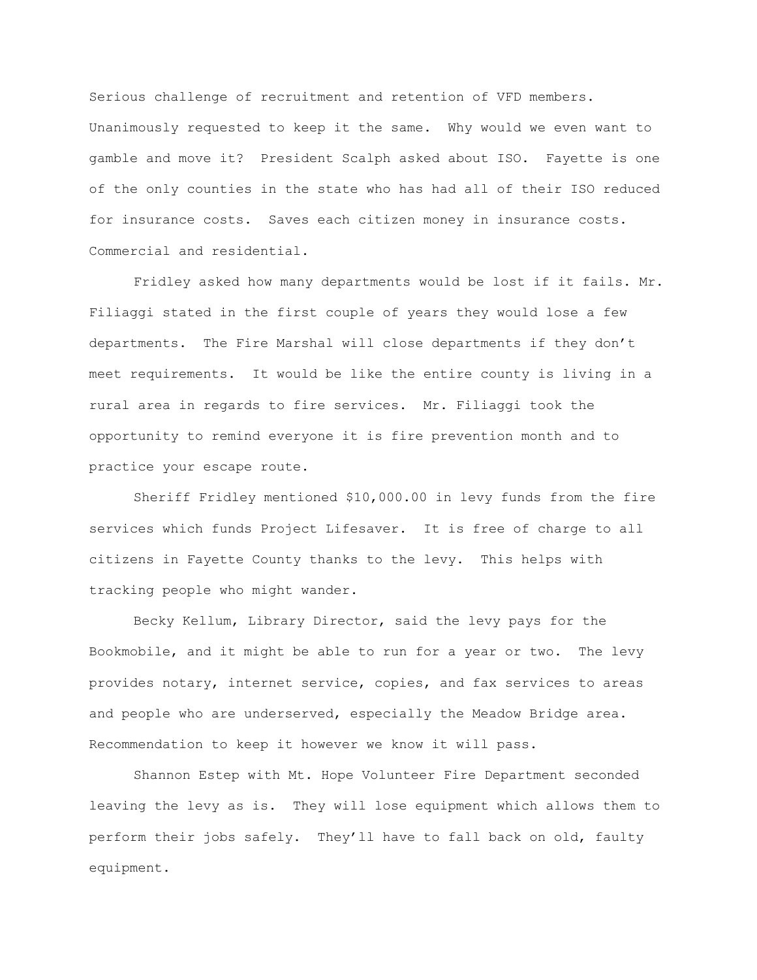Serious challenge of recruitment and retention of VFD members. Unanimously requested to keep it the same. Why would we even want to gamble and move it? President Scalph asked about ISO. Fayette is one of the only counties in the state who has had all of their ISO reduced for insurance costs. Saves each citizen money in insurance costs. Commercial and residential.

Fridley asked how many departments would be lost if it fails. Mr. Filiaggi stated in the first couple of years they would lose a few departments. The Fire Marshal will close departments if they don't meet requirements. It would be like the entire county is living in a rural area in regards to fire services. Mr. Filiaggi took the opportunity to remind everyone it is fire prevention month and to practice your escape route.

Sheriff Fridley mentioned \$10,000.00 in levy funds from the fire services which funds Project Lifesaver. It is free of charge to all citizens in Fayette County thanks to the levy. This helps with tracking people who might wander.

Becky Kellum, Library Director, said the levy pays for the Bookmobile, and it might be able to run for a year or two. The levy provides notary, internet service, copies, and fax services to areas and people who are underserved, especially the Meadow Bridge area. Recommendation to keep it however we know it will pass.

Shannon Estep with Mt. Hope Volunteer Fire Department seconded leaving the levy as is. They will lose equipment which allows them to perform their jobs safely. They'll have to fall back on old, faulty equipment.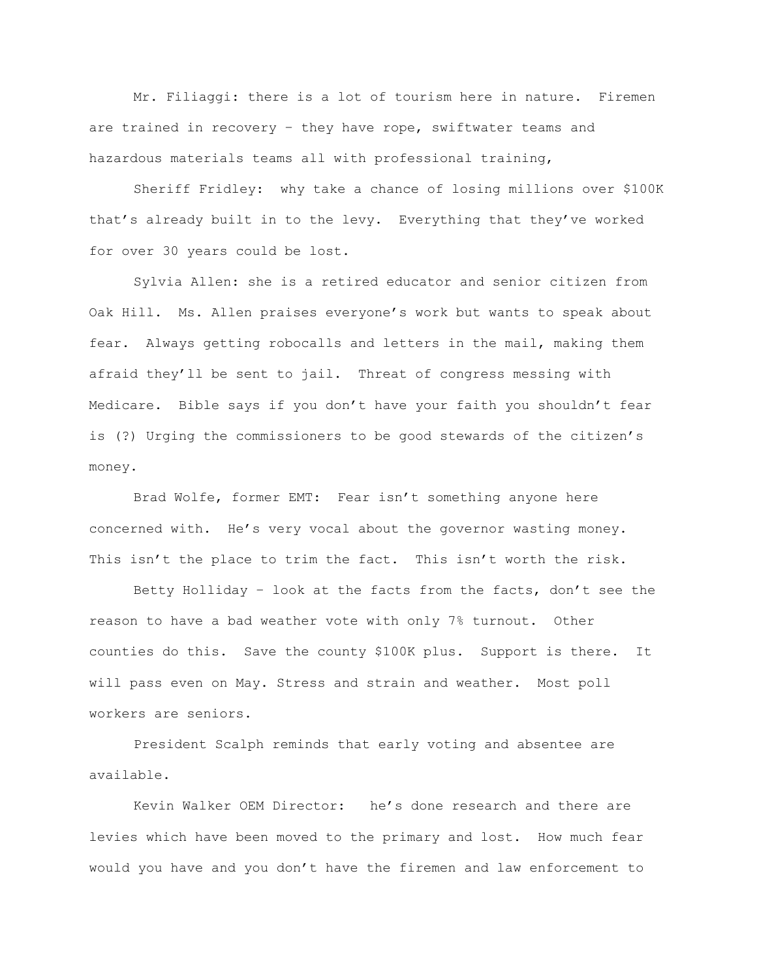Mr. Filiaggi: there is a lot of tourism here in nature. Firemen are trained in recovery – they have rope, swiftwater teams and hazardous materials teams all with professional training,

Sheriff Fridley: why take a chance of losing millions over \$100K that's already built in to the levy. Everything that they've worked for over 30 years could be lost.

Sylvia Allen: she is a retired educator and senior citizen from Oak Hill. Ms. Allen praises everyone's work but wants to speak about fear. Always getting robocalls and letters in the mail, making them afraid they'll be sent to jail. Threat of congress messing with Medicare. Bible says if you don't have your faith you shouldn't fear is (?) Urging the commissioners to be good stewards of the citizen's money.

Brad Wolfe, former EMT: Fear isn't something anyone here concerned with. He's very vocal about the governor wasting money. This isn't the place to trim the fact. This isn't worth the risk.

Betty Holliday – look at the facts from the facts, don't see the reason to have a bad weather vote with only 7% turnout. Other counties do this. Save the county \$100K plus. Support is there. It will pass even on May. Stress and strain and weather. Most poll workers are seniors.

President Scalph reminds that early voting and absentee are available.

Kevin Walker OEM Director: he's done research and there are levies which have been moved to the primary and lost. How much fear would you have and you don't have the firemen and law enforcement to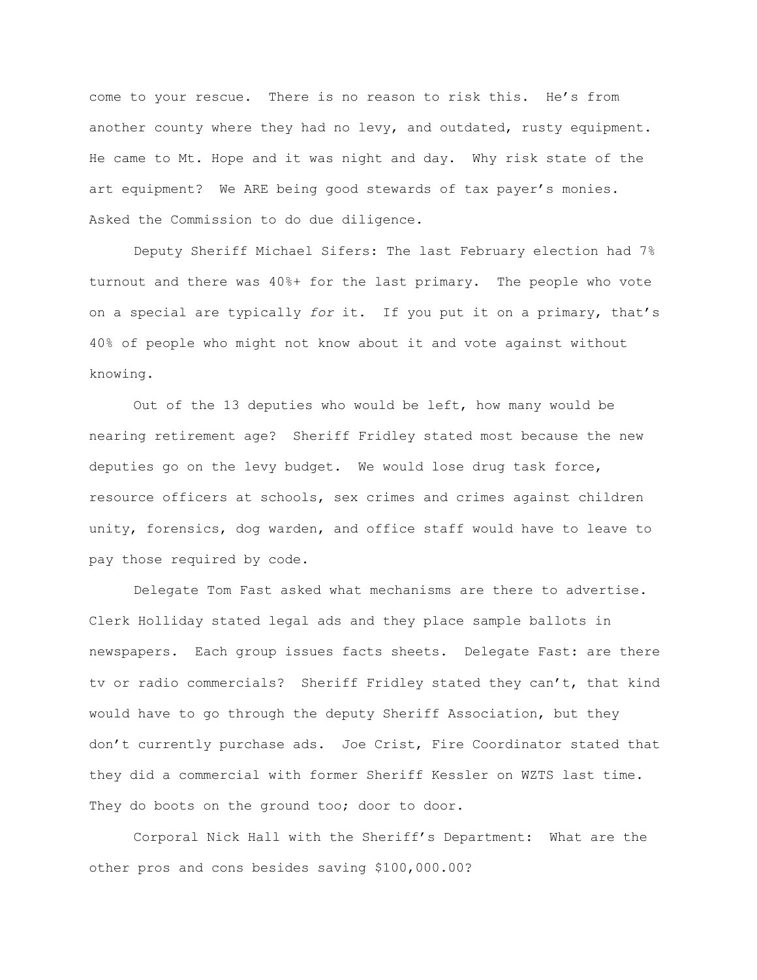come to your rescue. There is no reason to risk this. He's from another county where they had no levy, and outdated, rusty equipment. He came to Mt. Hope and it was night and day. Why risk state of the art equipment? We ARE being good stewards of tax payer's monies. Asked the Commission to do due diligence.

Deputy Sheriff Michael Sifers: The last February election had 7% turnout and there was 40%+ for the last primary. The people who vote on a special are typically *for* it. If you put it on a primary, that's 40% of people who might not know about it and vote against without knowing.

Out of the 13 deputies who would be left, how many would be nearing retirement age? Sheriff Fridley stated most because the new deputies go on the levy budget. We would lose drug task force, resource officers at schools, sex crimes and crimes against children unity, forensics, dog warden, and office staff would have to leave to pay those required by code.

Delegate Tom Fast asked what mechanisms are there to advertise. Clerk Holliday stated legal ads and they place sample ballots in newspapers. Each group issues facts sheets. Delegate Fast: are there tv or radio commercials? Sheriff Fridley stated they can't, that kind would have to go through the deputy Sheriff Association, but they don't currently purchase ads. Joe Crist, Fire Coordinator stated that they did a commercial with former Sheriff Kessler on WZTS last time. They do boots on the ground too; door to door.

Corporal Nick Hall with the Sheriff's Department: What are the other pros and cons besides saving \$100,000.00?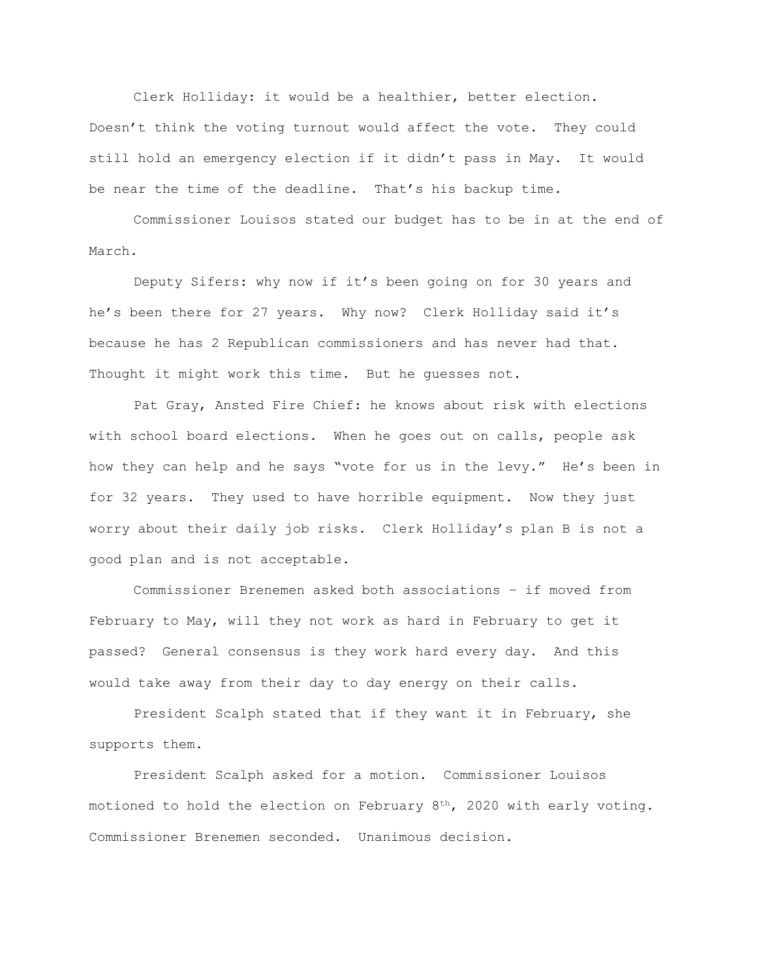Clerk Holliday: it would be a healthier, better election. Doesn't think the voting turnout would affect the vote. They could still hold an emergency election if it didn't pass in May. It would be near the time of the deadline. That's his backup time.

Commissioner Louisos stated our budget has to be in at the end of March.

Deputy Sifers: why now if it's been going on for 30 years and he's been there for 27 years. Why now? Clerk Holliday said it's because he has 2 Republican commissioners and has never had that. Thought it might work this time. But he guesses not.

Pat Gray, Ansted Fire Chief: he knows about risk with elections with school board elections. When he goes out on calls, people ask how they can help and he says "vote for us in the levy." He's been in for 32 years. They used to have horrible equipment. Now they just worry about their daily job risks. Clerk Holliday's plan B is not a good plan and is not acceptable.

Commissioner Brenemen asked both associations – if moved from February to May, will they not work as hard in February to get it passed? General consensus is they work hard every day. And this would take away from their day to day energy on their calls.

President Scalph stated that if they want it in February, she supports them.

President Scalph asked for a motion. Commissioner Louisos motioned to hold the election on February  $8<sup>th</sup>$ , 2020 with early voting. Commissioner Brenemen seconded. Unanimous decision.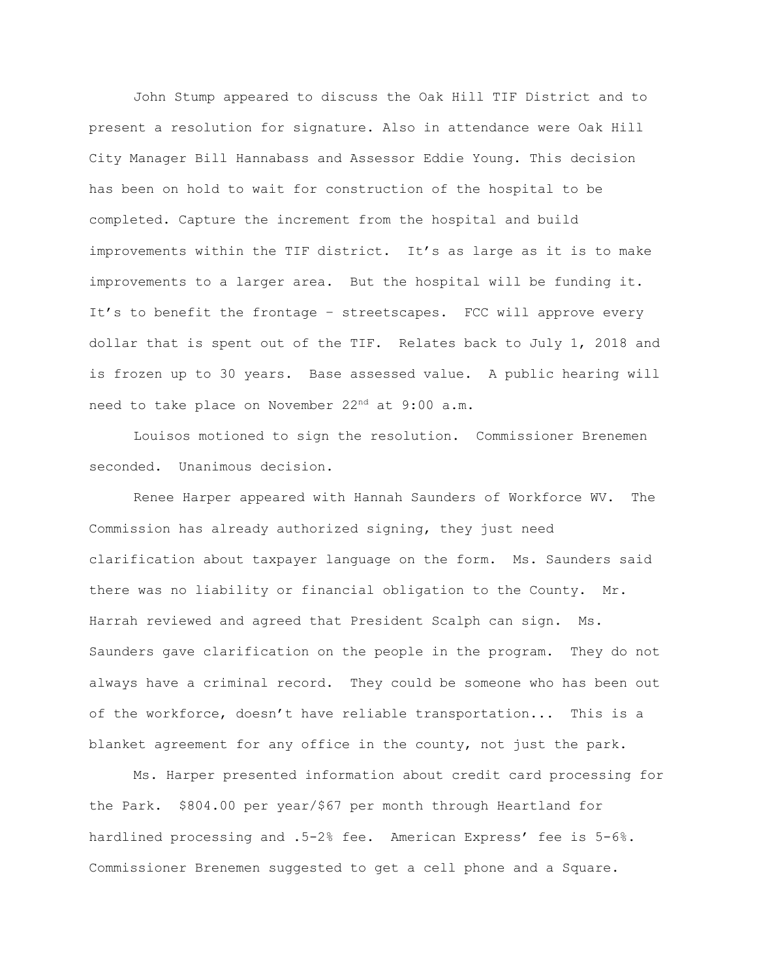John Stump appeared to discuss the Oak Hill TIF District and to present a resolution for signature. Also in attendance were Oak Hill City Manager Bill Hannabass and Assessor Eddie Young. This decision has been on hold to wait for construction of the hospital to be completed. Capture the increment from the hospital and build improvements within the TIF district. It's as large as it is to make improvements to a larger area. But the hospital will be funding it. It's to benefit the frontage – streetscapes. FCC will approve every dollar that is spent out of the TIF. Relates back to July 1, 2018 and is frozen up to 30 years. Base assessed value. A public hearing will need to take place on November 22<sup>nd</sup> at 9:00 a.m.

Louisos motioned to sign the resolution. Commissioner Brenemen seconded. Unanimous decision.

Renee Harper appeared with Hannah Saunders of Workforce WV. The Commission has already authorized signing, they just need clarification about taxpayer language on the form. Ms. Saunders said there was no liability or financial obligation to the County. Mr. Harrah reviewed and agreed that President Scalph can sign. Ms. Saunders gave clarification on the people in the program. They do not always have a criminal record. They could be someone who has been out of the workforce, doesn't have reliable transportation... This is a blanket agreement for any office in the county, not just the park.

Ms. Harper presented information about credit card processing for the Park. \$804.00 per year/\$67 per month through Heartland for hardlined processing and .5-2% fee. American Express' fee is 5-6%. Commissioner Brenemen suggested to get a cell phone and a Square.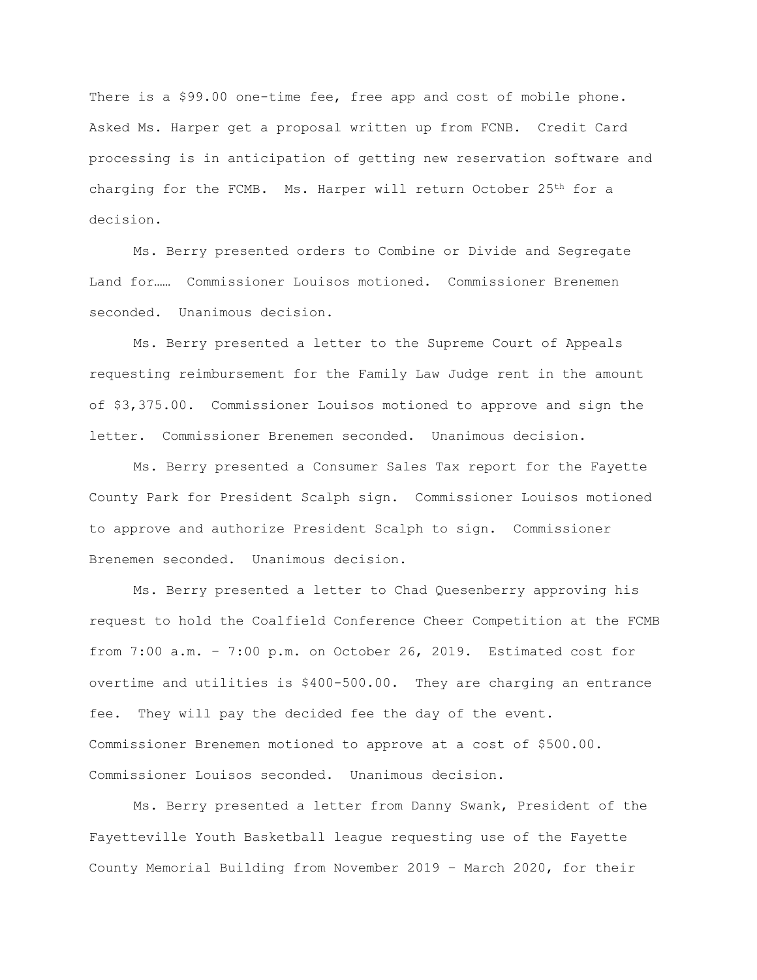There is a \$99.00 one-time fee, free app and cost of mobile phone. Asked Ms. Harper get a proposal written up from FCNB. Credit Card processing is in anticipation of getting new reservation software and charging for the FCMB. Ms. Harper will return October 25<sup>th</sup> for a decision.

Ms. Berry presented orders to Combine or Divide and Segregate Land for…… Commissioner Louisos motioned. Commissioner Brenemen seconded. Unanimous decision.

Ms. Berry presented a letter to the Supreme Court of Appeals requesting reimbursement for the Family Law Judge rent in the amount of \$3,375.00. Commissioner Louisos motioned to approve and sign the letter. Commissioner Brenemen seconded. Unanimous decision.

Ms. Berry presented a Consumer Sales Tax report for the Fayette County Park for President Scalph sign. Commissioner Louisos motioned to approve and authorize President Scalph to sign. Commissioner Brenemen seconded. Unanimous decision.

Ms. Berry presented a letter to Chad Quesenberry approving his request to hold the Coalfield Conference Cheer Competition at the FCMB from 7:00 a.m. – 7:00 p.m. on October 26, 2019. Estimated cost for overtime and utilities is \$400-500.00. They are charging an entrance fee. They will pay the decided fee the day of the event. Commissioner Brenemen motioned to approve at a cost of \$500.00. Commissioner Louisos seconded. Unanimous decision.

Ms. Berry presented a letter from Danny Swank, President of the Fayetteville Youth Basketball league requesting use of the Fayette County Memorial Building from November 2019 – March 2020, for their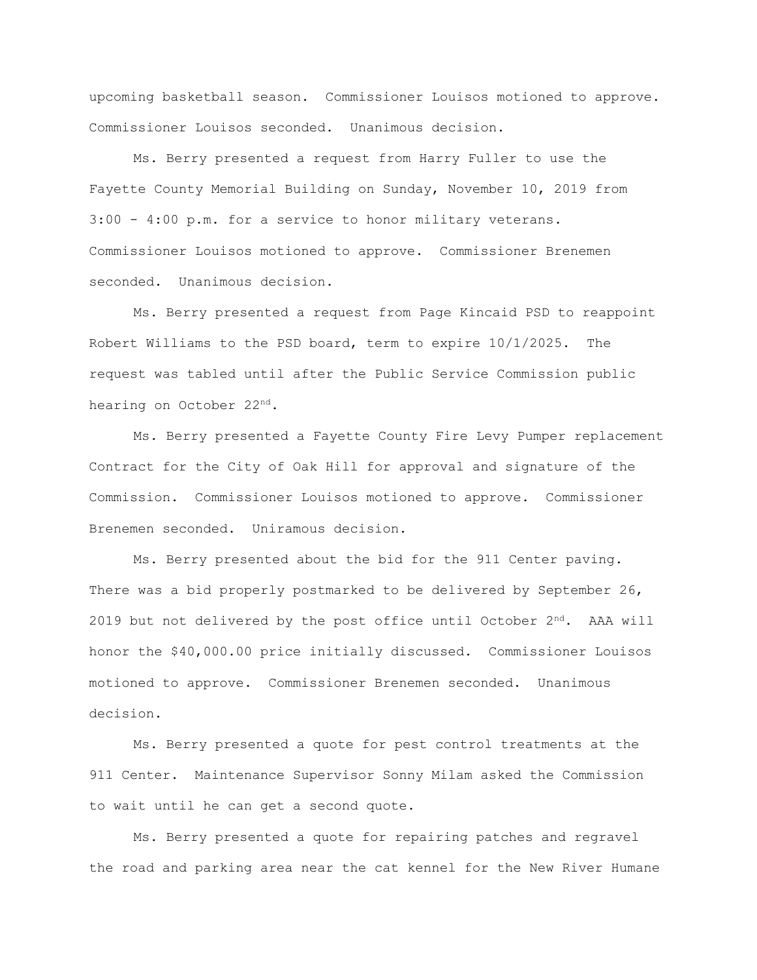upcoming basketball season. Commissioner Louisos motioned to approve. Commissioner Louisos seconded. Unanimous decision.

Ms. Berry presented a request from Harry Fuller to use the Fayette County Memorial Building on Sunday, November 10, 2019 from 3:00 - 4:00 p.m. for a service to honor military veterans. Commissioner Louisos motioned to approve. Commissioner Brenemen seconded. Unanimous decision.

Ms. Berry presented a request from Page Kincaid PSD to reappoint Robert Williams to the PSD board, term to expire 10/1/2025. The request was tabled until after the Public Service Commission public hearing on October 22nd.

Ms. Berry presented a Fayette County Fire Levy Pumper replacement Contract for the City of Oak Hill for approval and signature of the Commission. Commissioner Louisos motioned to approve. Commissioner Brenemen seconded. Uniramous decision.

Ms. Berry presented about the bid for the 911 Center paving. There was a bid properly postmarked to be delivered by September 26, 2019 but not delivered by the post office until October  $2<sup>nd</sup>$ . AAA will honor the \$40,000.00 price initially discussed. Commissioner Louisos motioned to approve. Commissioner Brenemen seconded. Unanimous decision.

Ms. Berry presented a quote for pest control treatments at the 911 Center. Maintenance Supervisor Sonny Milam asked the Commission to wait until he can get a second quote.

Ms. Berry presented a quote for repairing patches and regravel the road and parking area near the cat kennel for the New River Humane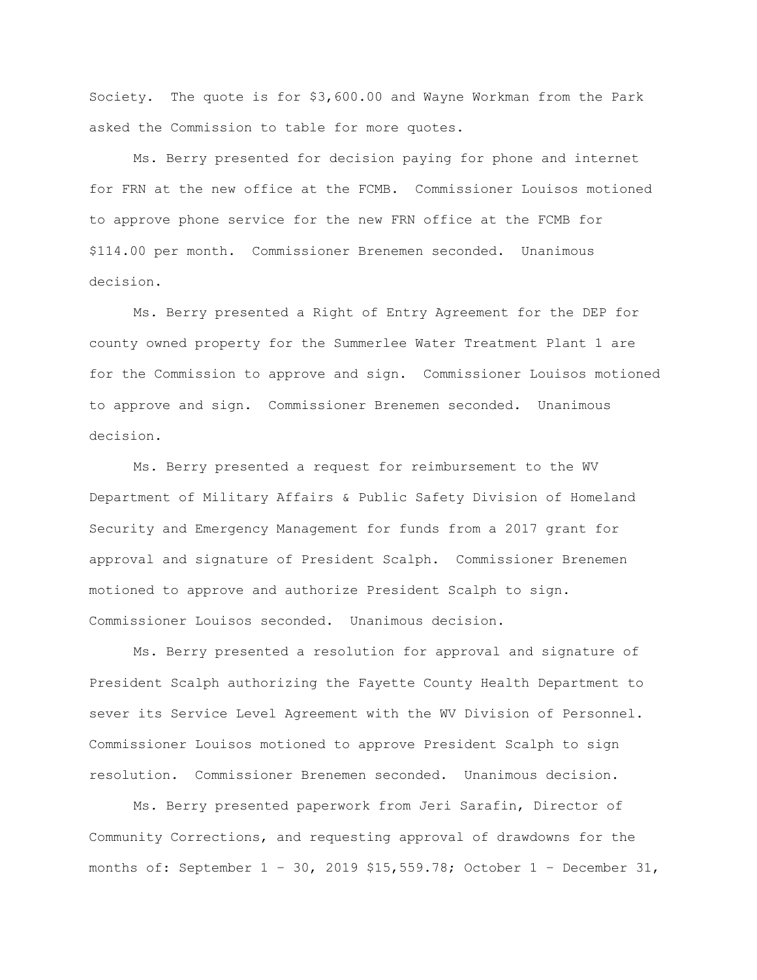Society. The quote is for \$3,600.00 and Wayne Workman from the Park asked the Commission to table for more quotes.

Ms. Berry presented for decision paying for phone and internet for FRN at the new office at the FCMB. Commissioner Louisos motioned to approve phone service for the new FRN office at the FCMB for \$114.00 per month. Commissioner Brenemen seconded. Unanimous decision.

Ms. Berry presented a Right of Entry Agreement for the DEP for county owned property for the Summerlee Water Treatment Plant 1 are for the Commission to approve and sign. Commissioner Louisos motioned to approve and sign. Commissioner Brenemen seconded. Unanimous decision.

Ms. Berry presented a request for reimbursement to the WV Department of Military Affairs & Public Safety Division of Homeland Security and Emergency Management for funds from a 2017 grant for approval and signature of President Scalph. Commissioner Brenemen motioned to approve and authorize President Scalph to sign. Commissioner Louisos seconded. Unanimous decision.

Ms. Berry presented a resolution for approval and signature of President Scalph authorizing the Fayette County Health Department to sever its Service Level Agreement with the WV Division of Personnel. Commissioner Louisos motioned to approve President Scalph to sign resolution. Commissioner Brenemen seconded. Unanimous decision.

Ms. Berry presented paperwork from Jeri Sarafin, Director of Community Corrections, and requesting approval of drawdowns for the months of: September  $1 - 30$ , 2019 \$15,559.78; October  $1 -$  December 31,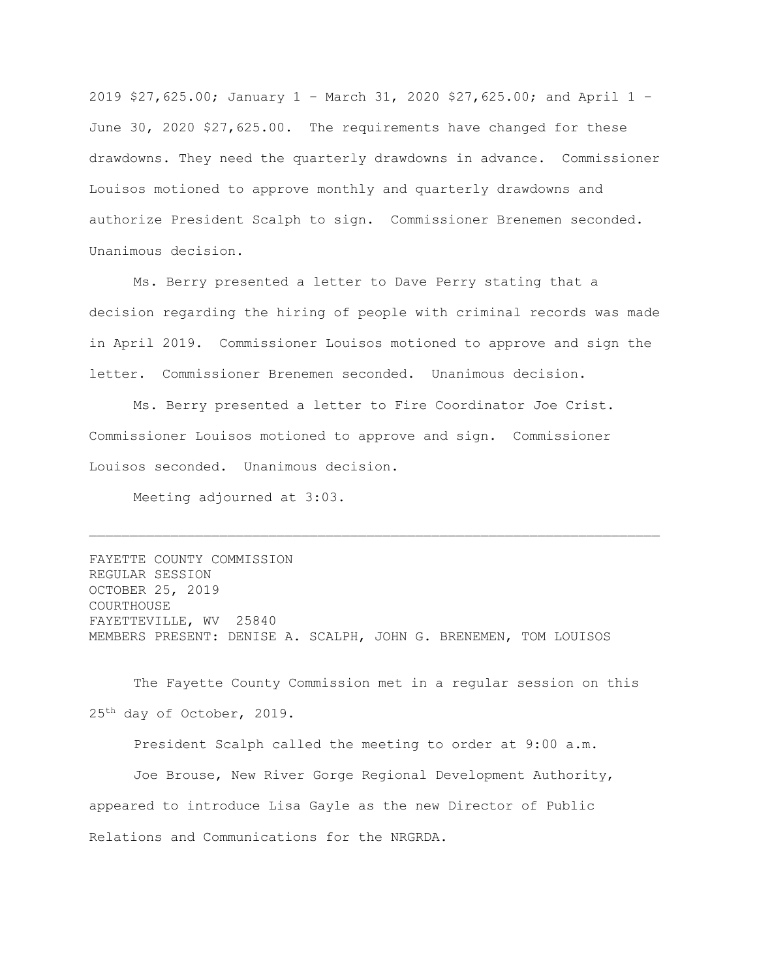2019 \$27,625.00; January 1 – March 31, 2020 \$27,625.00; and April 1 – June 30, 2020 \$27,625.00. The requirements have changed for these drawdowns. They need the quarterly drawdowns in advance. Commissioner Louisos motioned to approve monthly and quarterly drawdowns and authorize President Scalph to sign. Commissioner Brenemen seconded. Unanimous decision.

Ms. Berry presented a letter to Dave Perry stating that a decision regarding the hiring of people with criminal records was made in April 2019. Commissioner Louisos motioned to approve and sign the letter. Commissioner Brenemen seconded. Unanimous decision.

Ms. Berry presented a letter to Fire Coordinator Joe Crist. Commissioner Louisos motioned to approve and sign. Commissioner Louisos seconded. Unanimous decision.

Meeting adjourned at 3:03.

FAYETTE COUNTY COMMISSION REGULAR SESSION OCTOBER 25, 2019 COURTHOUSE FAYETTEVILLE, WV 25840 MEMBERS PRESENT: DENISE A. SCALPH, JOHN G. BRENEMEN, TOM LOUISOS

The Fayette County Commission met in a regular session on this 25th day of October, 2019.

President Scalph called the meeting to order at 9:00 a.m.

Joe Brouse, New River Gorge Regional Development Authority, appeared to introduce Lisa Gayle as the new Director of Public Relations and Communications for the NRGRDA.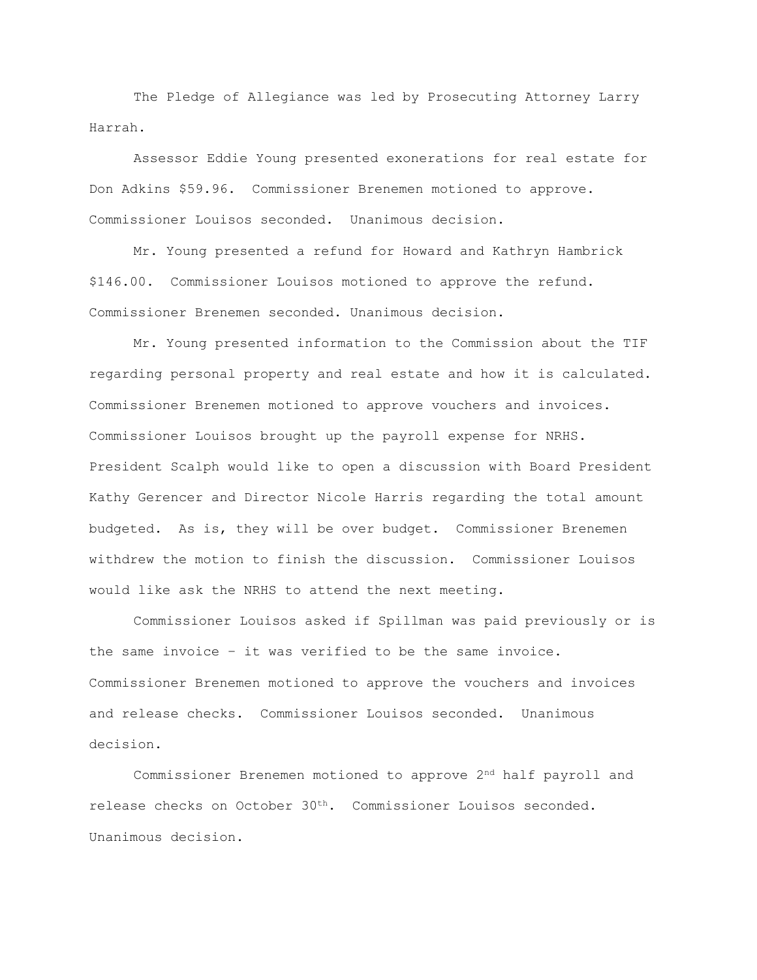The Pledge of Allegiance was led by Prosecuting Attorney Larry Harrah.

Assessor Eddie Young presented exonerations for real estate for Don Adkins \$59.96. Commissioner Brenemen motioned to approve. Commissioner Louisos seconded. Unanimous decision.

Mr. Young presented a refund for Howard and Kathryn Hambrick \$146.00. Commissioner Louisos motioned to approve the refund. Commissioner Brenemen seconded. Unanimous decision.

Mr. Young presented information to the Commission about the TIF regarding personal property and real estate and how it is calculated. Commissioner Brenemen motioned to approve vouchers and invoices. Commissioner Louisos brought up the payroll expense for NRHS. President Scalph would like to open a discussion with Board President Kathy Gerencer and Director Nicole Harris regarding the total amount budgeted. As is, they will be over budget. Commissioner Brenemen withdrew the motion to finish the discussion. Commissioner Louisos would like ask the NRHS to attend the next meeting.

Commissioner Louisos asked if Spillman was paid previously or is the same invoice – it was verified to be the same invoice. Commissioner Brenemen motioned to approve the vouchers and invoices and release checks. Commissioner Louisos seconded. Unanimous decision.

Commissioner Brenemen motioned to approve 2nd half payroll and release checks on October 30th. Commissioner Louisos seconded. Unanimous decision.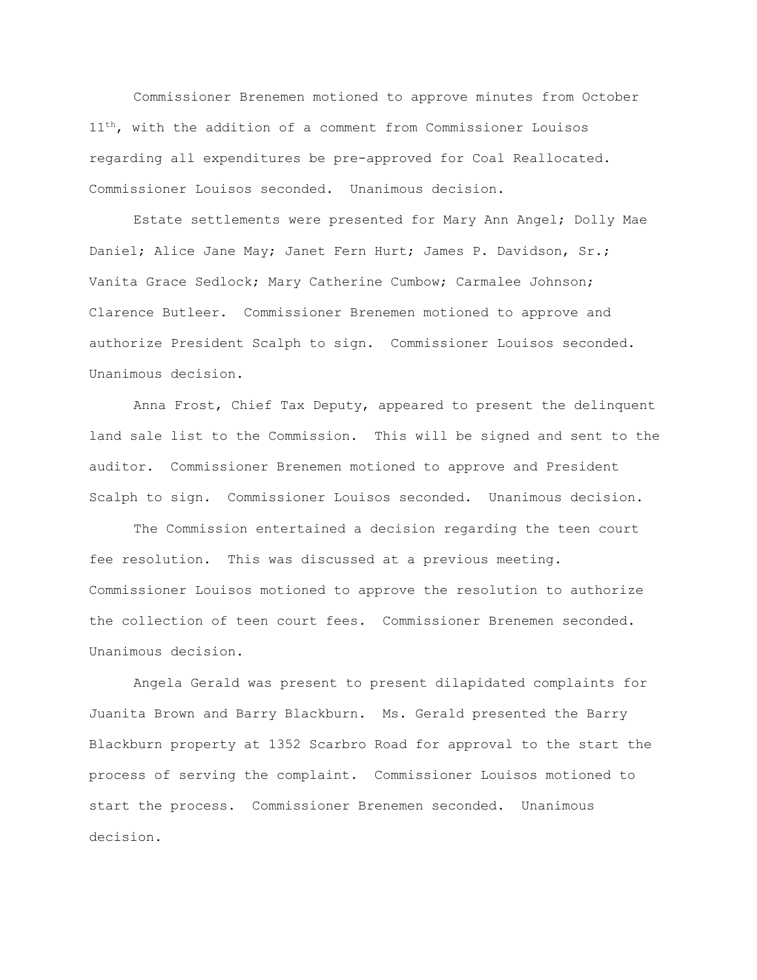Commissioner Brenemen motioned to approve minutes from October 11<sup>th</sup>, with the addition of a comment from Commissioner Louisos regarding all expenditures be pre-approved for Coal Reallocated. Commissioner Louisos seconded. Unanimous decision.

Estate settlements were presented for Mary Ann Angel; Dolly Mae Daniel; Alice Jane May; Janet Fern Hurt; James P. Davidson, Sr.; Vanita Grace Sedlock; Mary Catherine Cumbow; Carmalee Johnson; Clarence Butleer. Commissioner Brenemen motioned to approve and authorize President Scalph to sign. Commissioner Louisos seconded. Unanimous decision.

Anna Frost, Chief Tax Deputy, appeared to present the delinquent land sale list to the Commission. This will be signed and sent to the auditor. Commissioner Brenemen motioned to approve and President Scalph to sign. Commissioner Louisos seconded. Unanimous decision.

The Commission entertained a decision regarding the teen court fee resolution. This was discussed at a previous meeting. Commissioner Louisos motioned to approve the resolution to authorize the collection of teen court fees. Commissioner Brenemen seconded. Unanimous decision.

Angela Gerald was present to present dilapidated complaints for Juanita Brown and Barry Blackburn. Ms. Gerald presented the Barry Blackburn property at 1352 Scarbro Road for approval to the start the process of serving the complaint. Commissioner Louisos motioned to start the process. Commissioner Brenemen seconded. Unanimous decision.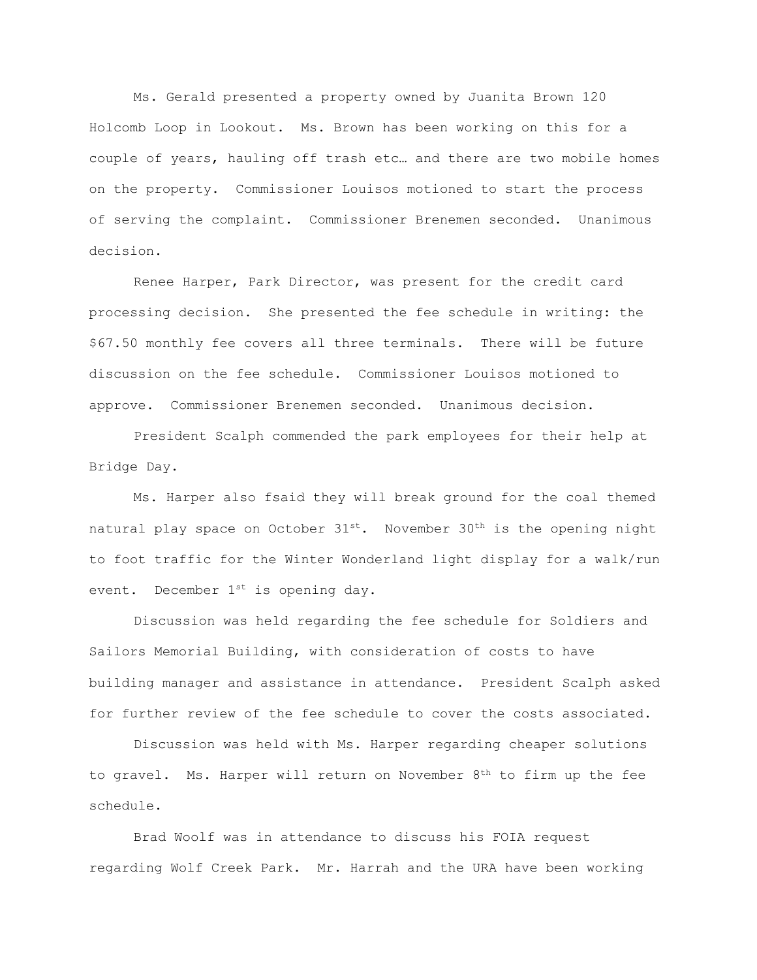Ms. Gerald presented a property owned by Juanita Brown 120 Holcomb Loop in Lookout. Ms. Brown has been working on this for a couple of years, hauling off trash etc… and there are two mobile homes on the property. Commissioner Louisos motioned to start the process of serving the complaint. Commissioner Brenemen seconded. Unanimous decision.

Renee Harper, Park Director, was present for the credit card processing decision. She presented the fee schedule in writing: the \$67.50 monthly fee covers all three terminals. There will be future discussion on the fee schedule. Commissioner Louisos motioned to approve. Commissioner Brenemen seconded. Unanimous decision.

President Scalph commended the park employees for their help at Bridge Day.

Ms. Harper also fsaid they will break ground for the coal themed natural play space on October  $31^{st}$ . November  $30^{th}$  is the opening night to foot traffic for the Winter Wonderland light display for a walk/run event. December  $1^{st}$  is opening day.

Discussion was held regarding the fee schedule for Soldiers and Sailors Memorial Building, with consideration of costs to have building manager and assistance in attendance. President Scalph asked for further review of the fee schedule to cover the costs associated.

Discussion was held with Ms. Harper regarding cheaper solutions to gravel. Ms. Harper will return on November 8<sup>th</sup> to firm up the fee schedule.

Brad Woolf was in attendance to discuss his FOIA request regarding Wolf Creek Park. Mr. Harrah and the URA have been working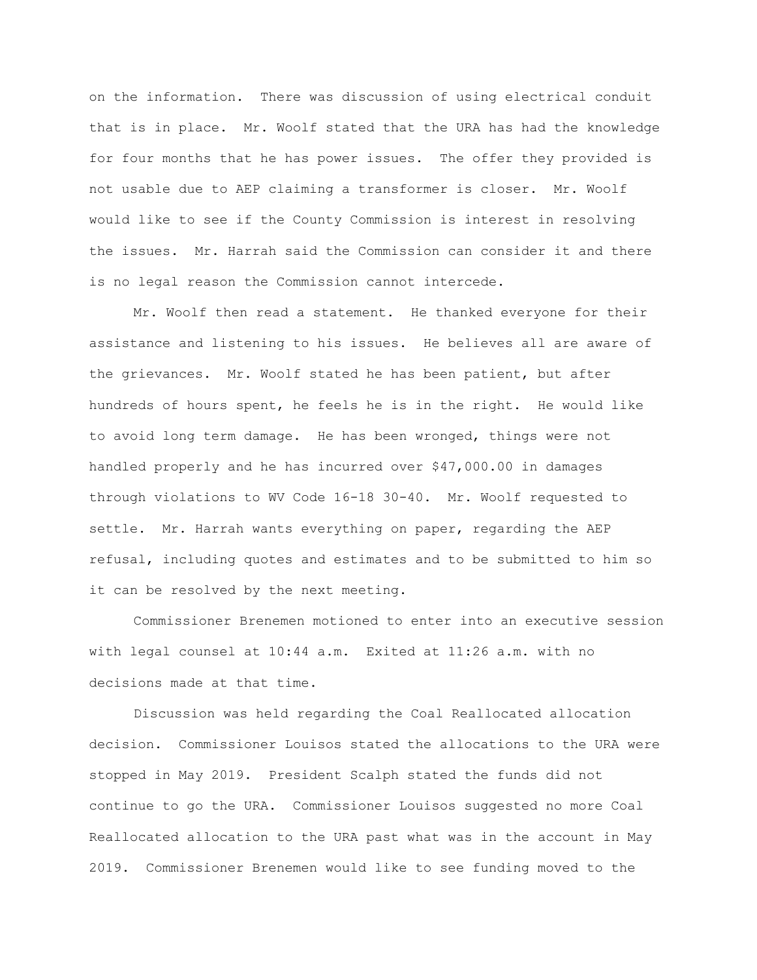on the information. There was discussion of using electrical conduit that is in place. Mr. Woolf stated that the URA has had the knowledge for four months that he has power issues. The offer they provided is not usable due to AEP claiming a transformer is closer. Mr. Woolf would like to see if the County Commission is interest in resolving the issues. Mr. Harrah said the Commission can consider it and there is no legal reason the Commission cannot intercede.

Mr. Woolf then read a statement. He thanked everyone for their assistance and listening to his issues. He believes all are aware of the grievances. Mr. Woolf stated he has been patient, but after hundreds of hours spent, he feels he is in the right. He would like to avoid long term damage. He has been wronged, things were not handled properly and he has incurred over \$47,000.00 in damages through violations to WV Code 16-18 30-40. Mr. Woolf requested to settle. Mr. Harrah wants everything on paper, regarding the AEP refusal, including quotes and estimates and to be submitted to him so it can be resolved by the next meeting.

Commissioner Brenemen motioned to enter into an executive session with legal counsel at 10:44 a.m. Exited at 11:26 a.m. with no decisions made at that time.

Discussion was held regarding the Coal Reallocated allocation decision. Commissioner Louisos stated the allocations to the URA were stopped in May 2019. President Scalph stated the funds did not continue to go the URA. Commissioner Louisos suggested no more Coal Reallocated allocation to the URA past what was in the account in May 2019. Commissioner Brenemen would like to see funding moved to the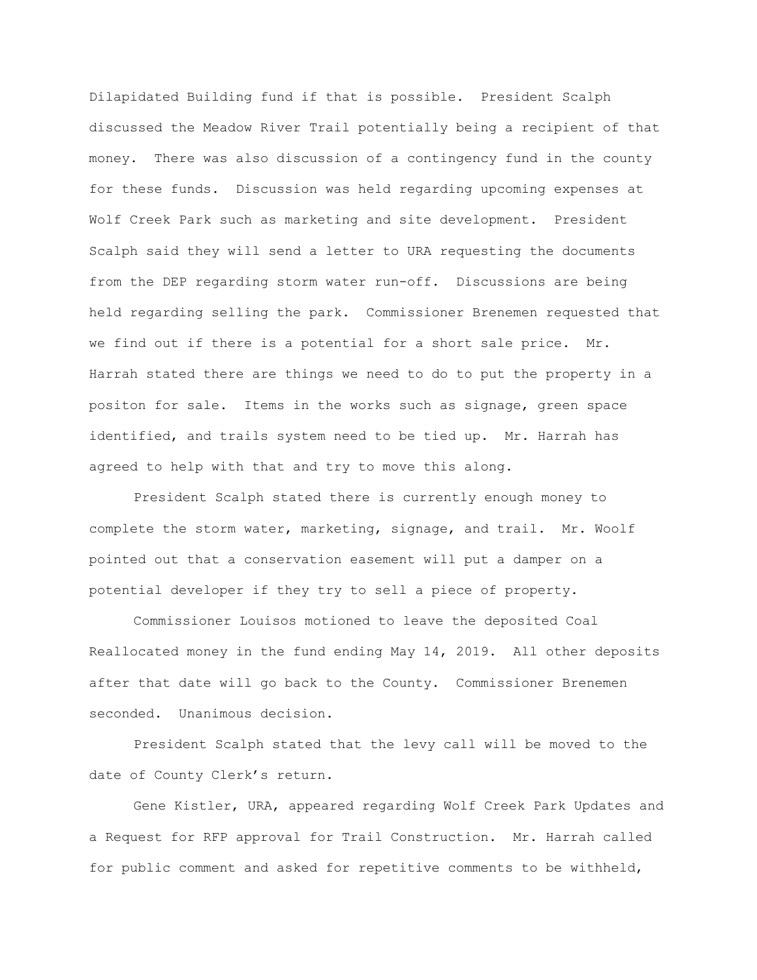Dilapidated Building fund if that is possible. President Scalph discussed the Meadow River Trail potentially being a recipient of that money. There was also discussion of a contingency fund in the county for these funds. Discussion was held regarding upcoming expenses at Wolf Creek Park such as marketing and site development. President Scalph said they will send a letter to URA requesting the documents from the DEP regarding storm water run-off. Discussions are being held regarding selling the park. Commissioner Brenemen requested that we find out if there is a potential for a short sale price. Mr. Harrah stated there are things we need to do to put the property in a positon for sale. Items in the works such as signage, green space identified, and trails system need to be tied up. Mr. Harrah has agreed to help with that and try to move this along.

President Scalph stated there is currently enough money to complete the storm water, marketing, signage, and trail. Mr. Woolf pointed out that a conservation easement will put a damper on a potential developer if they try to sell a piece of property.

Commissioner Louisos motioned to leave the deposited Coal Reallocated money in the fund ending May 14, 2019. All other deposits after that date will go back to the County. Commissioner Brenemen seconded. Unanimous decision.

President Scalph stated that the levy call will be moved to the date of County Clerk's return.

Gene Kistler, URA, appeared regarding Wolf Creek Park Updates and a Request for RFP approval for Trail Construction. Mr. Harrah called for public comment and asked for repetitive comments to be withheld,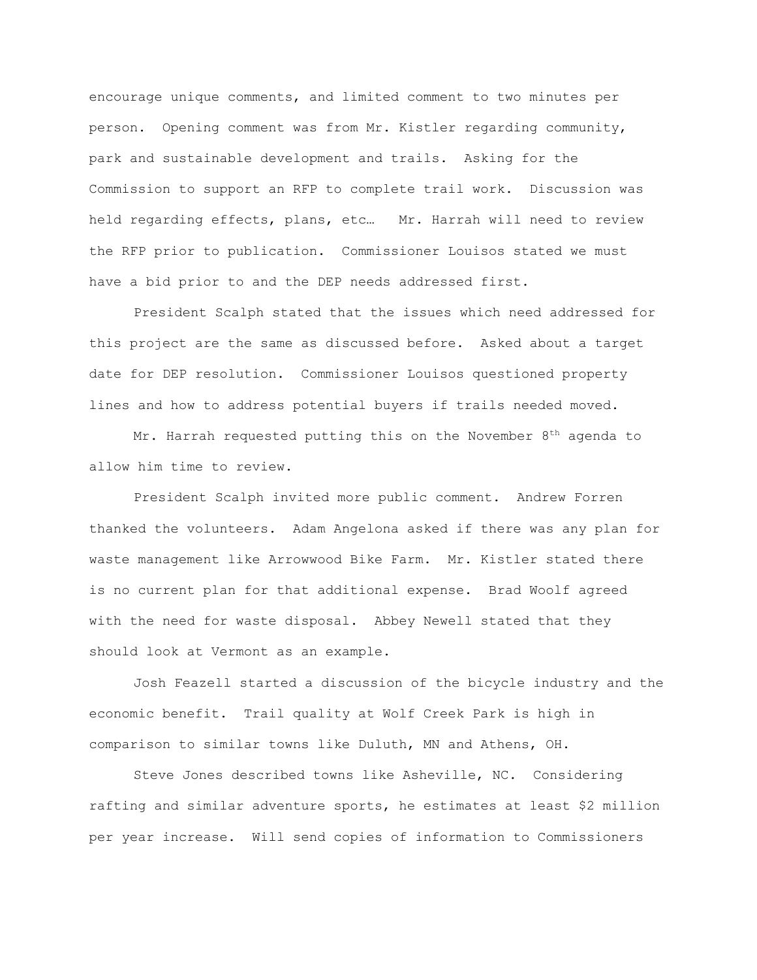encourage unique comments, and limited comment to two minutes per person. Opening comment was from Mr. Kistler regarding community, park and sustainable development and trails. Asking for the Commission to support an RFP to complete trail work. Discussion was held regarding effects, plans, etc… Mr. Harrah will need to review the RFP prior to publication. Commissioner Louisos stated we must have a bid prior to and the DEP needs addressed first.

President Scalph stated that the issues which need addressed for this project are the same as discussed before. Asked about a target date for DEP resolution. Commissioner Louisos questioned property lines and how to address potential buyers if trails needed moved.

Mr. Harrah requested putting this on the November  $8<sup>th</sup>$  agenda to allow him time to review.

President Scalph invited more public comment. Andrew Forren thanked the volunteers. Adam Angelona asked if there was any plan for waste management like Arrowwood Bike Farm. Mr. Kistler stated there is no current plan for that additional expense. Brad Woolf agreed with the need for waste disposal. Abbey Newell stated that they should look at Vermont as an example.

Josh Feazell started a discussion of the bicycle industry and the economic benefit. Trail quality at Wolf Creek Park is high in comparison to similar towns like Duluth, MN and Athens, OH.

Steve Jones described towns like Asheville, NC. Considering rafting and similar adventure sports, he estimates at least \$2 million per year increase. Will send copies of information to Commissioners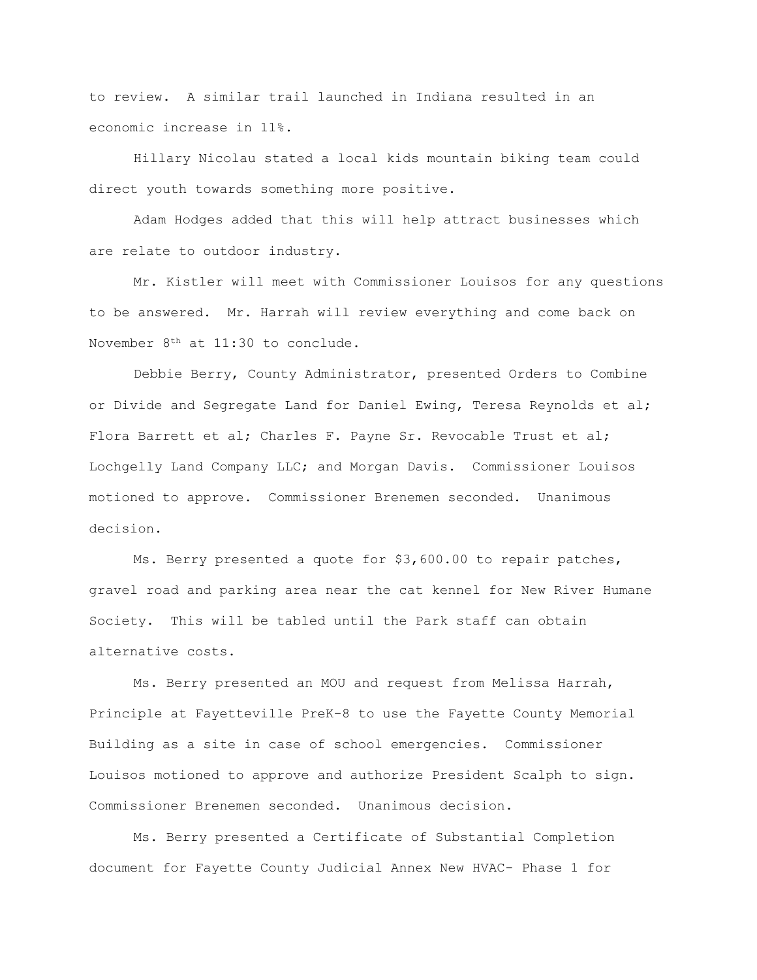to review. A similar trail launched in Indiana resulted in an economic increase in 11%.

Hillary Nicolau stated a local kids mountain biking team could direct youth towards something more positive.

Adam Hodges added that this will help attract businesses which are relate to outdoor industry.

Mr. Kistler will meet with Commissioner Louisos for any questions to be answered. Mr. Harrah will review everything and come back on November  $8<sup>th</sup>$  at 11:30 to conclude.

Debbie Berry, County Administrator, presented Orders to Combine or Divide and Segregate Land for Daniel Ewing, Teresa Reynolds et al; Flora Barrett et al; Charles F. Payne Sr. Revocable Trust et al; Lochgelly Land Company LLC; and Morgan Davis. Commissioner Louisos motioned to approve. Commissioner Brenemen seconded. Unanimous decision.

Ms. Berry presented a quote for \$3,600.00 to repair patches, gravel road and parking area near the cat kennel for New River Humane Society. This will be tabled until the Park staff can obtain alternative costs.

Ms. Berry presented an MOU and request from Melissa Harrah, Principle at Fayetteville PreK-8 to use the Fayette County Memorial Building as a site in case of school emergencies. Commissioner Louisos motioned to approve and authorize President Scalph to sign. Commissioner Brenemen seconded. Unanimous decision.

Ms. Berry presented a Certificate of Substantial Completion document for Fayette County Judicial Annex New HVAC- Phase 1 for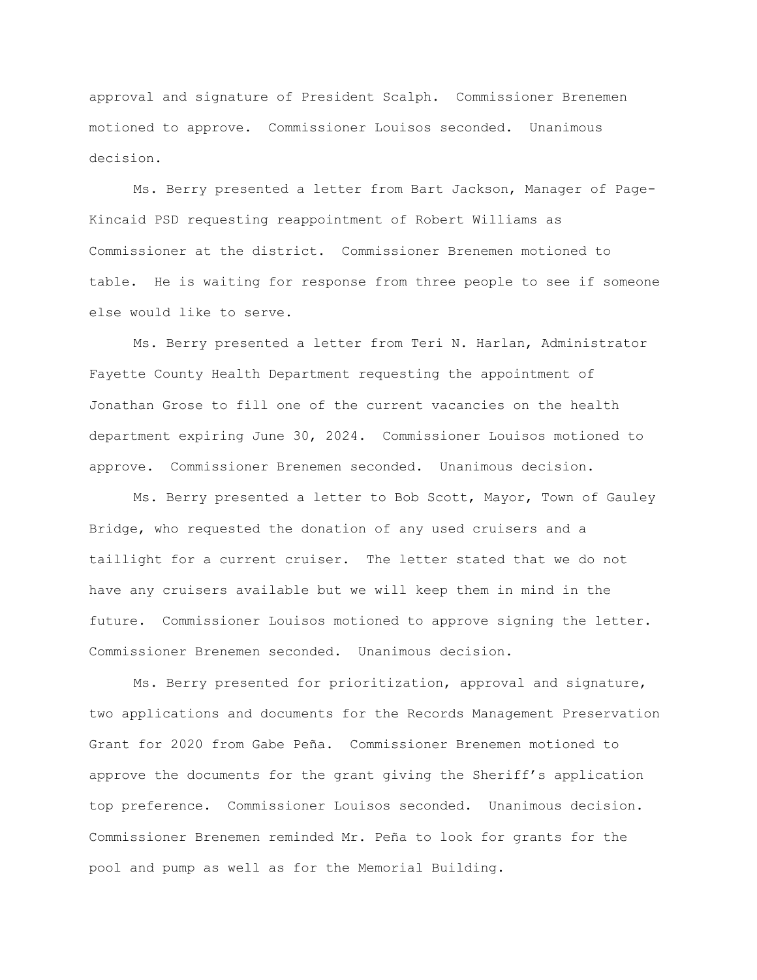approval and signature of President Scalph. Commissioner Brenemen motioned to approve. Commissioner Louisos seconded. Unanimous decision.

Ms. Berry presented a letter from Bart Jackson, Manager of Page-Kincaid PSD requesting reappointment of Robert Williams as Commissioner at the district. Commissioner Brenemen motioned to table. He is waiting for response from three people to see if someone else would like to serve.

Ms. Berry presented a letter from Teri N. Harlan, Administrator Fayette County Health Department requesting the appointment of Jonathan Grose to fill one of the current vacancies on the health department expiring June 30, 2024. Commissioner Louisos motioned to approve. Commissioner Brenemen seconded. Unanimous decision.

Ms. Berry presented a letter to Bob Scott, Mayor, Town of Gauley Bridge, who requested the donation of any used cruisers and a taillight for a current cruiser. The letter stated that we do not have any cruisers available but we will keep them in mind in the future. Commissioner Louisos motioned to approve signing the letter. Commissioner Brenemen seconded. Unanimous decision.

Ms. Berry presented for prioritization, approval and signature, two applications and documents for the Records Management Preservation Grant for 2020 from Gabe Peña. Commissioner Brenemen motioned to approve the documents for the grant giving the Sheriff's application top preference. Commissioner Louisos seconded. Unanimous decision. Commissioner Brenemen reminded Mr. Peña to look for grants for the pool and pump as well as for the Memorial Building.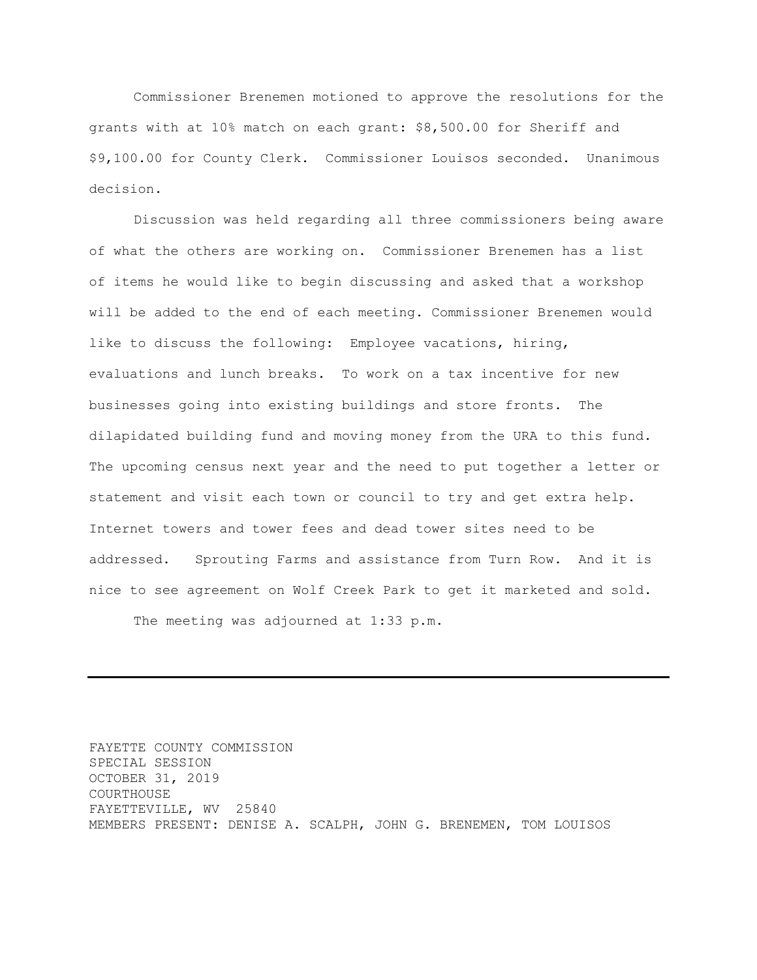Commissioner Brenemen motioned to approve the resolutions for the grants with at 10% match on each grant: \$8,500.00 for Sheriff and \$9,100.00 for County Clerk. Commissioner Louisos seconded. Unanimous decision.

Discussion was held regarding all three commissioners being aware of what the others are working on. Commissioner Brenemen has a list of items he would like to begin discussing and asked that a workshop will be added to the end of each meeting. Commissioner Brenemen would like to discuss the following: Employee vacations, hiring, evaluations and lunch breaks. To work on a tax incentive for new businesses going into existing buildings and store fronts. The dilapidated building fund and moving money from the URA to this fund. The upcoming census next year and the need to put together a letter or statement and visit each town or council to try and get extra help. Internet towers and tower fees and dead tower sites need to be addressed. Sprouting Farms and assistance from Turn Row. And it is nice to see agreement on Wolf Creek Park to get it marketed and sold.

The meeting was adjourned at 1:33 p.m.

FAYETTE COUNTY COMMISSION SPECIAL SESSION OCTOBER 31, 2019 COURTHOUSE FAYETTEVILLE, WV 25840 MEMBERS PRESENT: DENISE A. SCALPH, JOHN G. BRENEMEN, TOM LOUISOS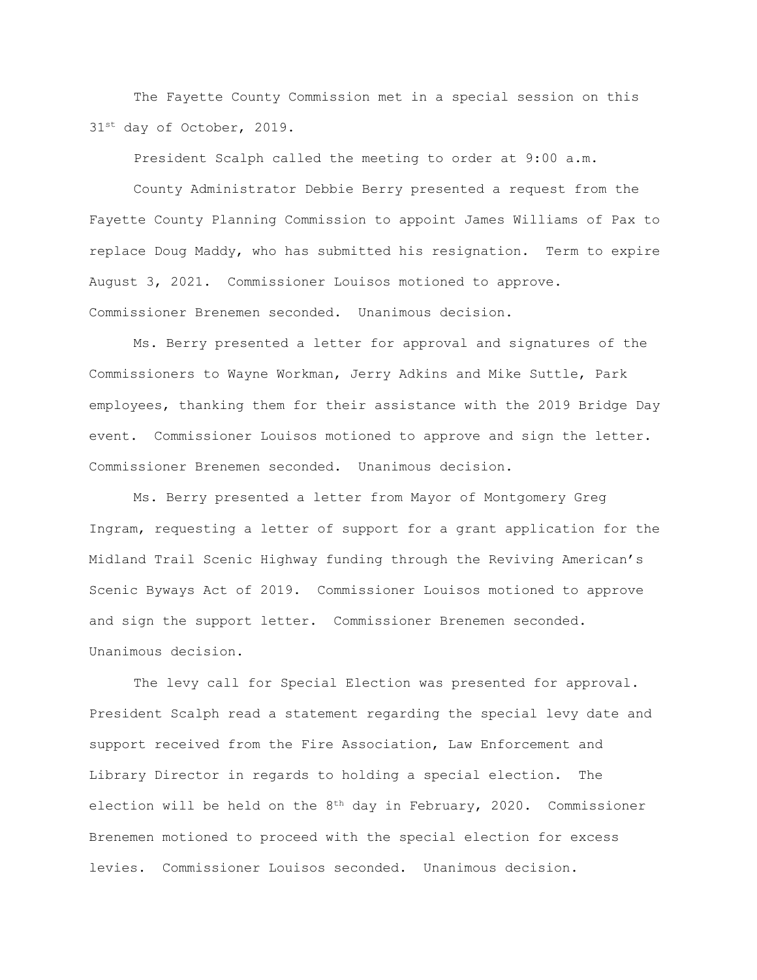The Fayette County Commission met in a special session on this 31<sup>st</sup> day of October, 2019.

President Scalph called the meeting to order at 9:00 a.m.

County Administrator Debbie Berry presented a request from the Fayette County Planning Commission to appoint James Williams of Pax to replace Doug Maddy, who has submitted his resignation. Term to expire August 3, 2021. Commissioner Louisos motioned to approve. Commissioner Brenemen seconded. Unanimous decision.

Ms. Berry presented a letter for approval and signatures of the Commissioners to Wayne Workman, Jerry Adkins and Mike Suttle, Park employees, thanking them for their assistance with the 2019 Bridge Day event. Commissioner Louisos motioned to approve and sign the letter. Commissioner Brenemen seconded. Unanimous decision.

Ms. Berry presented a letter from Mayor of Montgomery Greg Ingram, requesting a letter of support for a grant application for the Midland Trail Scenic Highway funding through the Reviving American's Scenic Byways Act of 2019. Commissioner Louisos motioned to approve and sign the support letter. Commissioner Brenemen seconded. Unanimous decision.

The levy call for Special Election was presented for approval. President Scalph read a statement regarding the special levy date and support received from the Fire Association, Law Enforcement and Library Director in regards to holding a special election. The election will be held on the  $8<sup>th</sup>$  day in February, 2020. Commissioner Brenemen motioned to proceed with the special election for excess levies. Commissioner Louisos seconded. Unanimous decision.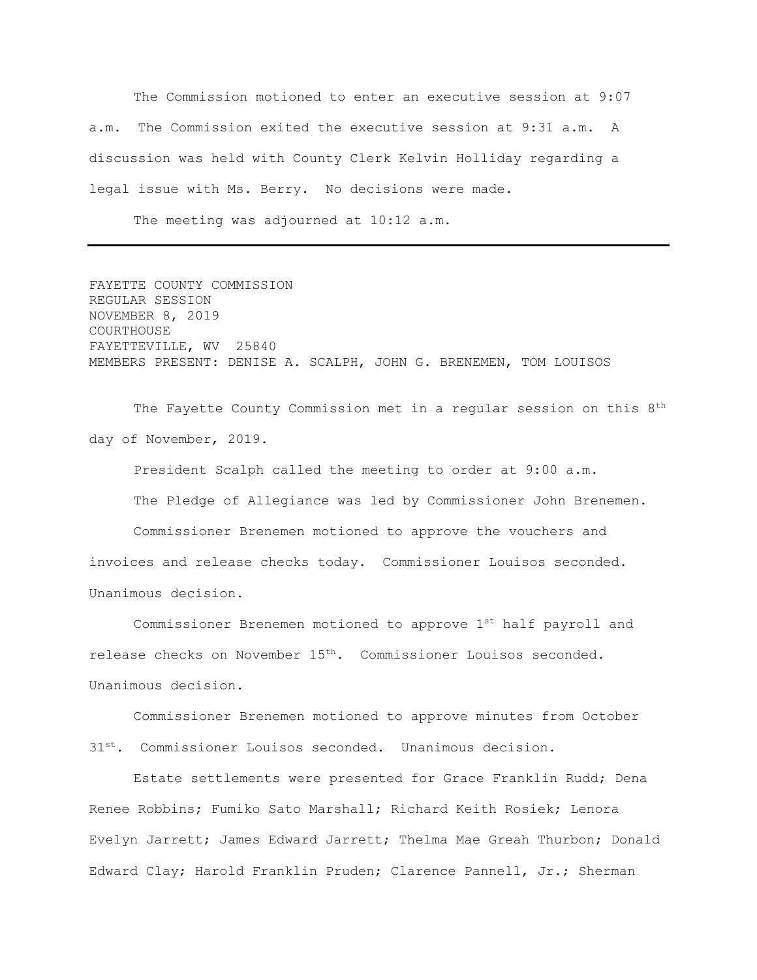The Commission motioned to enter an executive session at 9:07 a.m. The Commission exited the executive session at 9:31 a.m. A discussion was held with County Clerk Kelvin Holliday regarding a legal issue with Ms. Berry. No decisions were made.

The meeting was adjourned at 10:12 a.m.

FAYETTE COUNTY COMMISSION REGULAR SESSION NOVEMBER 8, 2019 COURTHOUSE FAYETTEVILLE, WV 25840 MEMBERS PRESENT: DENISE A. SCALPH, JOHN G. BRENEMEN, TOM LOUISOS

The Fayette County Commission met in a regular session on this 8<sup>th</sup> day of November, 2019.

President Scalph called the meeting to order at 9:00 a.m. The Pledge of Allegiance was led by Commissioner John Brenemen. Commissioner Brenemen motioned to approve the vouchers and invoices and release checks today. Commissioner Louisos seconded. Unanimous decision.

Commissioner Brenemen motioned to approve 1st half payroll and release checks on November 15th. Commissioner Louisos seconded. Unanimous decision.

Commissioner Brenemen motioned to approve minutes from October

31st. Commissioner Louisos seconded. Unanimous decision.

Estate settlements were presented for Grace Franklin Rudd; Dena Renee Robbins; Fumiko Sato Marshall; Richard Keith Rosiek; Lenora Evelyn Jarrett; James Edward Jarrett; Thelma Mae Greah Thurbon; Donald Edward Clay; Harold Franklin Pruden; Clarence Pannell, Jr.; Sherman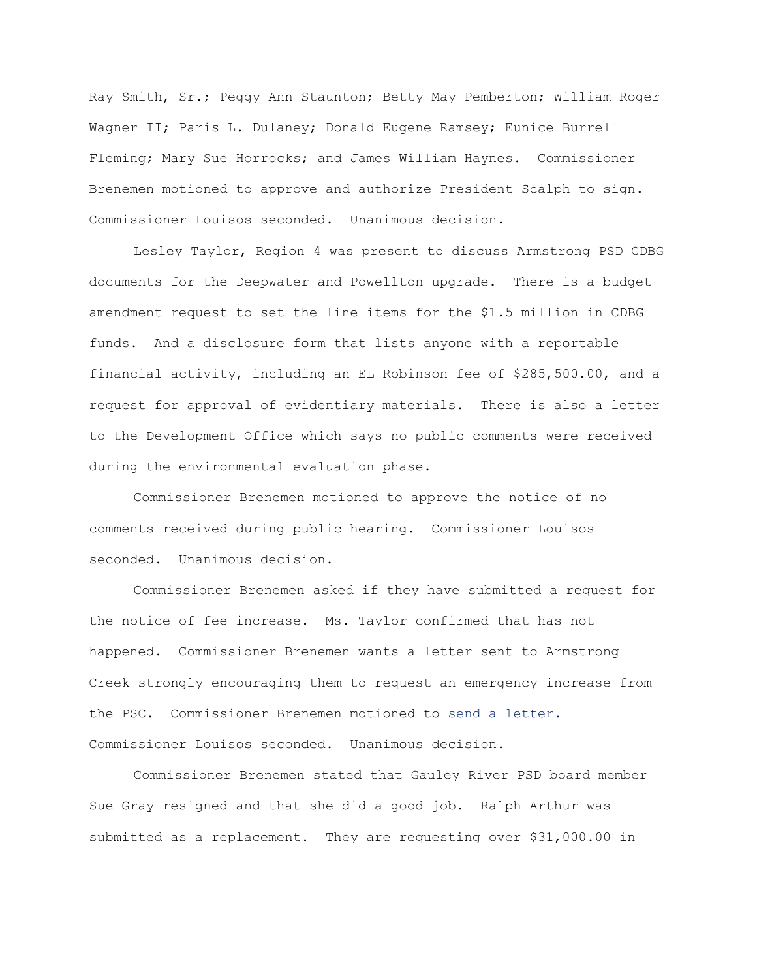Ray Smith, Sr.; Peggy Ann Staunton; Betty May Pemberton; William Roger Wagner II; Paris L. Dulaney; Donald Eugene Ramsey; Eunice Burrell Fleming; Mary Sue Horrocks; and James William Haynes. Commissioner Brenemen motioned to approve and authorize President Scalph to sign. Commissioner Louisos seconded. Unanimous decision.

Lesley Taylor, Region 4 was present to discuss Armstrong PSD CDBG documents for the Deepwater and Powellton upgrade. There is a budget amendment request to set the line items for the \$1.5 million in CDBG funds. And a disclosure form that lists anyone with a reportable financial activity, including an EL Robinson fee of \$285,500.00, and a request for approval of evidentiary materials. There is also a letter to the Development Office which says no public comments were received during the environmental evaluation phase.

Commissioner Brenemen motioned to approve the notice of no comments received during public hearing. Commissioner Louisos seconded. Unanimous decision.

Commissioner Brenemen asked if they have submitted a request for the notice of fee increase. Ms. Taylor confirmed that has not happened. Commissioner Brenemen wants a letter sent to Armstrong Creek strongly encouraging them to request an emergency increase from the PSC. Commissioner Brenemen motioned to send a letter. Commissioner Louisos seconded. Unanimous decision.

Commissioner Brenemen stated that Gauley River PSD board member Sue Gray resigned and that she did a good job. Ralph Arthur was submitted as a replacement. They are requesting over \$31,000.00 in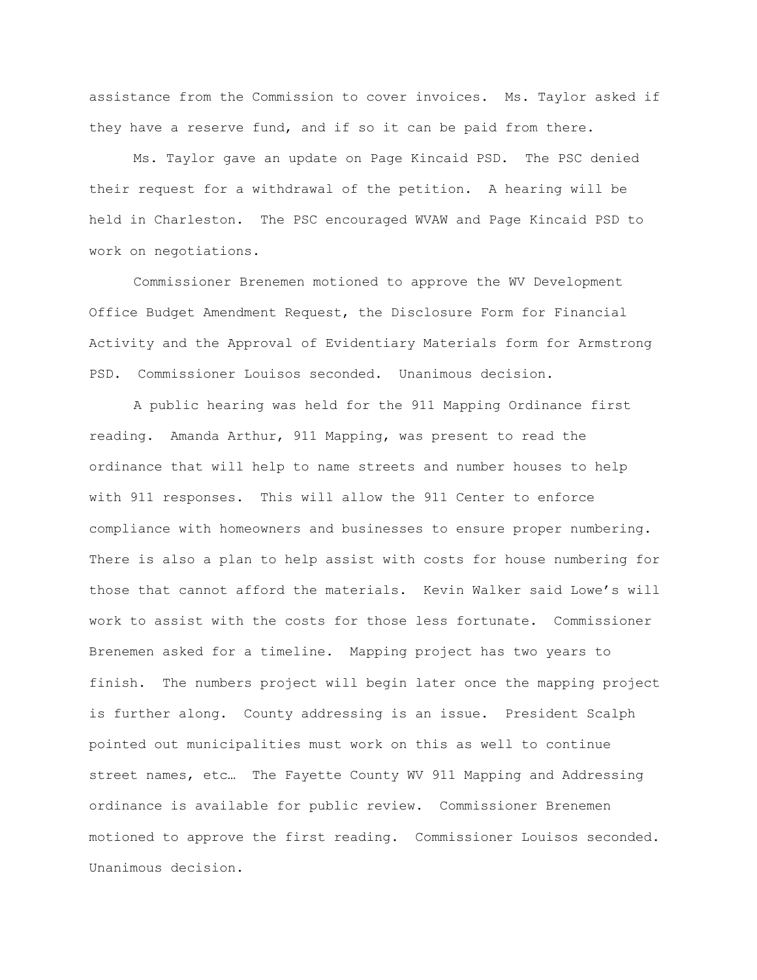assistance from the Commission to cover invoices. Ms. Taylor asked if they have a reserve fund, and if so it can be paid from there.

Ms. Taylor gave an update on Page Kincaid PSD. The PSC denied their request for a withdrawal of the petition. A hearing will be held in Charleston. The PSC encouraged WVAW and Page Kincaid PSD to work on negotiations.

Commissioner Brenemen motioned to approve the WV Development Office Budget Amendment Request, the Disclosure Form for Financial Activity and the Approval of Evidentiary Materials form for Armstrong PSD. Commissioner Louisos seconded. Unanimous decision.

A public hearing was held for the 911 Mapping Ordinance first reading. Amanda Arthur, 911 Mapping, was present to read the ordinance that will help to name streets and number houses to help with 911 responses. This will allow the 911 Center to enforce compliance with homeowners and businesses to ensure proper numbering. There is also a plan to help assist with costs for house numbering for those that cannot afford the materials. Kevin Walker said Lowe's will work to assist with the costs for those less fortunate. Commissioner Brenemen asked for a timeline. Mapping project has two years to finish. The numbers project will begin later once the mapping project is further along. County addressing is an issue. President Scalph pointed out municipalities must work on this as well to continue street names, etc… The Fayette County WV 911 Mapping and Addressing ordinance is available for public review. Commissioner Brenemen motioned to approve the first reading. Commissioner Louisos seconded. Unanimous decision.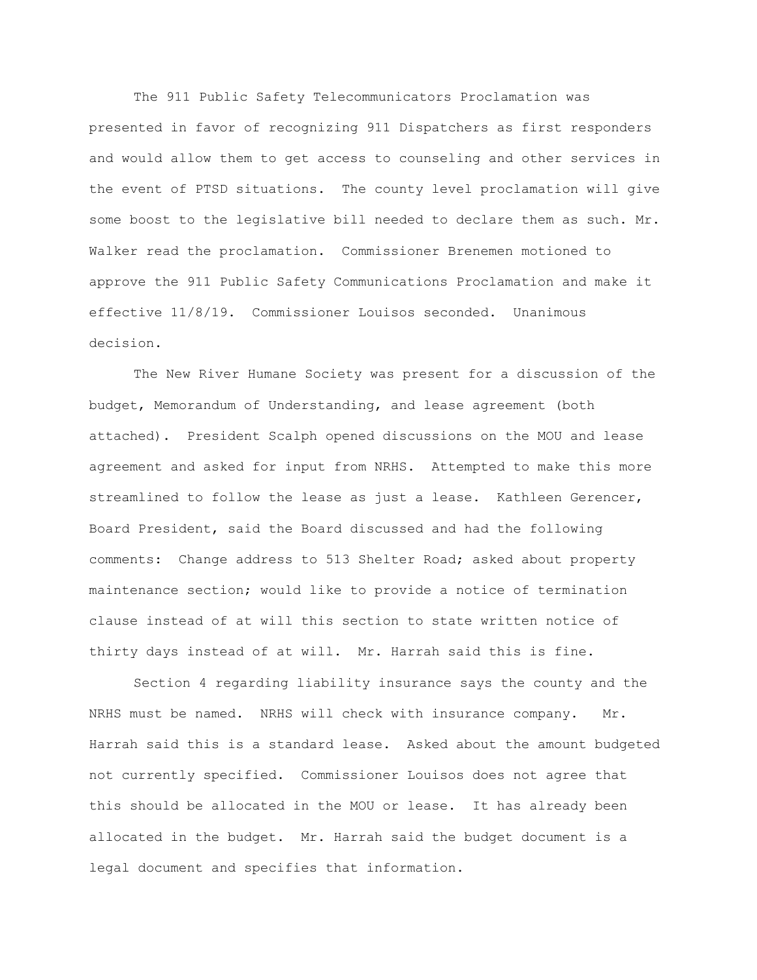The 911 Public Safety Telecommunicators Proclamation was presented in favor of recognizing 911 Dispatchers as first responders and would allow them to get access to counseling and other services in the event of PTSD situations. The county level proclamation will give some boost to the legislative bill needed to declare them as such. Mr. Walker read the proclamation. Commissioner Brenemen motioned to approve the 911 Public Safety Communications Proclamation and make it effective 11/8/19. Commissioner Louisos seconded. Unanimous decision.

The New River Humane Society was present for a discussion of the budget, Memorandum of Understanding, and lease agreement (both attached). President Scalph opened discussions on the MOU and lease agreement and asked for input from NRHS. Attempted to make this more streamlined to follow the lease as just a lease. Kathleen Gerencer, Board President, said the Board discussed and had the following comments: Change address to 513 Shelter Road; asked about property maintenance section; would like to provide a notice of termination clause instead of at will this section to state written notice of thirty days instead of at will. Mr. Harrah said this is fine.

Section 4 regarding liability insurance says the county and the NRHS must be named. NRHS will check with insurance company. Mr. Harrah said this is a standard lease. Asked about the amount budgeted not currently specified. Commissioner Louisos does not agree that this should be allocated in the MOU or lease. It has already been allocated in the budget. Mr. Harrah said the budget document is a legal document and specifies that information.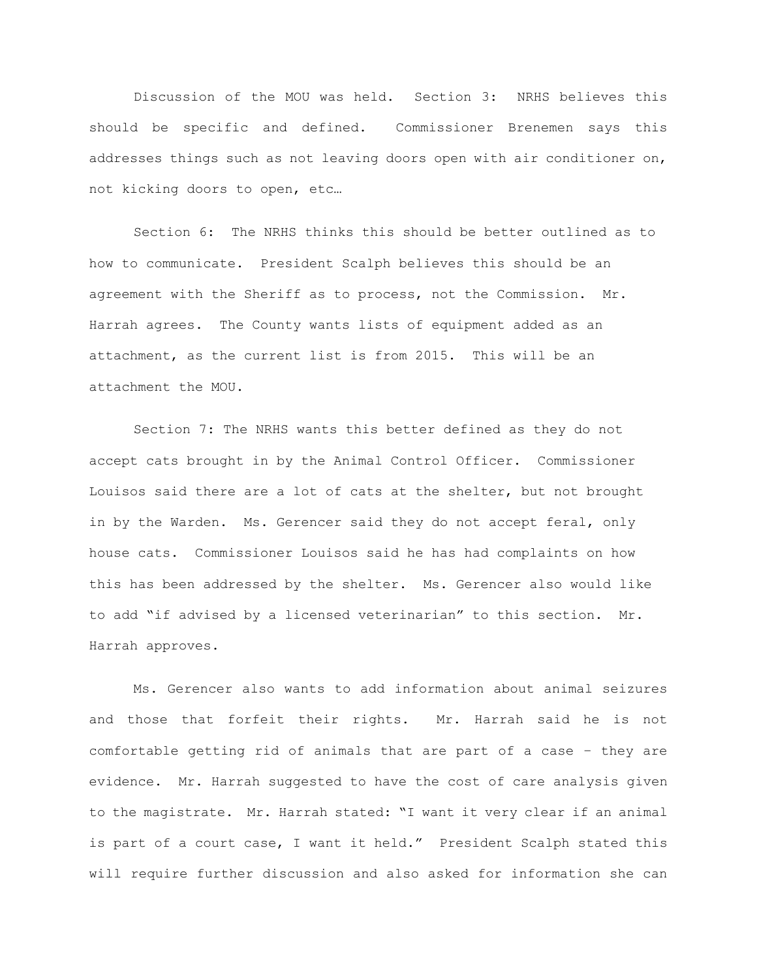Discussion of the MOU was held. Section 3: NRHS believes this should be specific and defined. Commissioner Brenemen says this addresses things such as not leaving doors open with air conditioner on, not kicking doors to open, etc…

Section 6: The NRHS thinks this should be better outlined as to how to communicate. President Scalph believes this should be an agreement with the Sheriff as to process, not the Commission. Mr. Harrah agrees. The County wants lists of equipment added as an attachment, as the current list is from 2015. This will be an attachment the MOU.

Section 7: The NRHS wants this better defined as they do not accept cats brought in by the Animal Control Officer. Commissioner Louisos said there are a lot of cats at the shelter, but not brought in by the Warden. Ms. Gerencer said they do not accept feral, only house cats. Commissioner Louisos said he has had complaints on how this has been addressed by the shelter. Ms. Gerencer also would like to add "if advised by a licensed veterinarian" to this section. Mr. Harrah approves.

Ms. Gerencer also wants to add information about animal seizures and those that forfeit their rights. Mr. Harrah said he is not comfortable getting rid of animals that are part of a case – they are evidence. Mr. Harrah suggested to have the cost of care analysis given to the magistrate. Mr. Harrah stated: "I want it very clear if an animal is part of a court case, I want it held." President Scalph stated this will require further discussion and also asked for information she can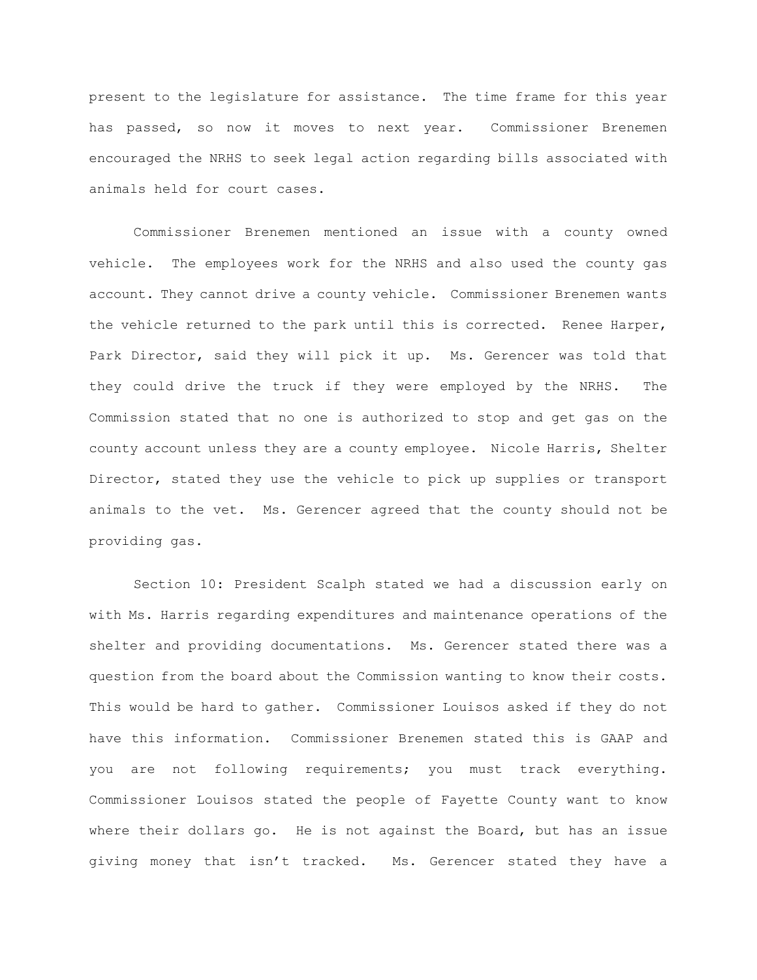present to the legislature for assistance. The time frame for this year has passed, so now it moves to next year. Commissioner Brenemen encouraged the NRHS to seek legal action regarding bills associated with animals held for court cases.

Commissioner Brenemen mentioned an issue with a county owned vehicle. The employees work for the NRHS and also used the county gas account. They cannot drive a county vehicle. Commissioner Brenemen wants the vehicle returned to the park until this is corrected. Renee Harper, Park Director, said they will pick it up. Ms. Gerencer was told that they could drive the truck if they were employed by the NRHS. The Commission stated that no one is authorized to stop and get gas on the county account unless they are a county employee. Nicole Harris, Shelter Director, stated they use the vehicle to pick up supplies or transport animals to the vet. Ms. Gerencer agreed that the county should not be providing gas.

Section 10: President Scalph stated we had a discussion early on with Ms. Harris regarding expenditures and maintenance operations of the shelter and providing documentations. Ms. Gerencer stated there was a question from the board about the Commission wanting to know their costs. This would be hard to gather. Commissioner Louisos asked if they do not have this information. Commissioner Brenemen stated this is GAAP and you are not following requirements; you must track everything. Commissioner Louisos stated the people of Fayette County want to know where their dollars go. He is not against the Board, but has an issue giving money that isn't tracked. Ms. Gerencer stated they have a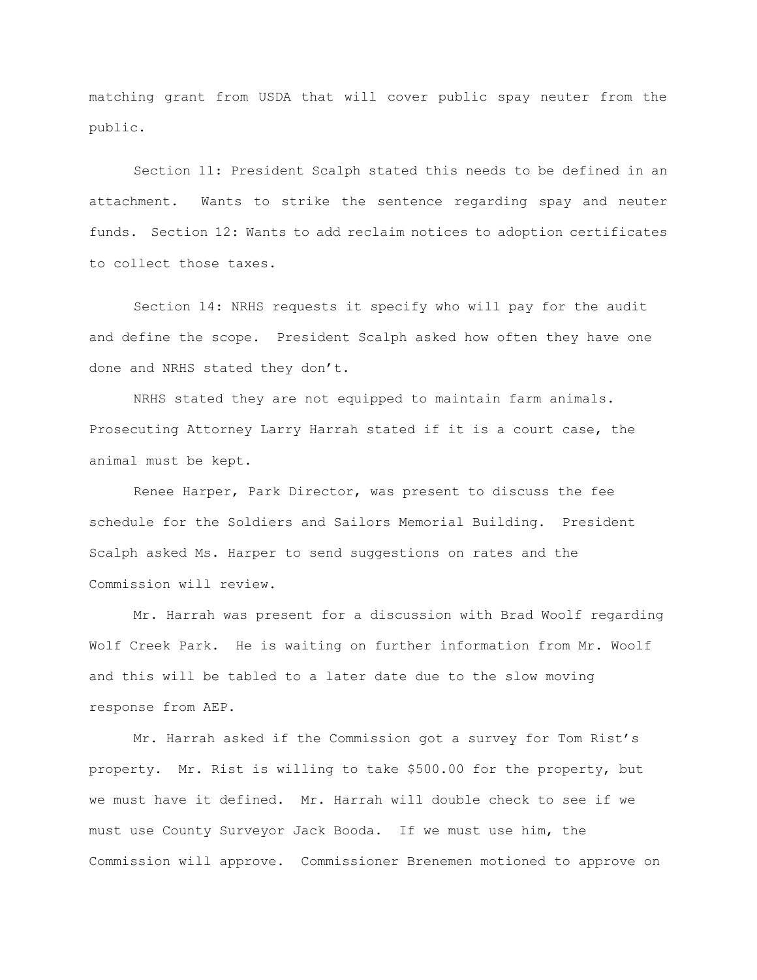matching grant from USDA that will cover public spay neuter from the public.

Section 11: President Scalph stated this needs to be defined in an attachment. Wants to strike the sentence regarding spay and neuter funds. Section 12: Wants to add reclaim notices to adoption certificates to collect those taxes.

Section 14: NRHS requests it specify who will pay for the audit and define the scope. President Scalph asked how often they have one done and NRHS stated they don't.

NRHS stated they are not equipped to maintain farm animals. Prosecuting Attorney Larry Harrah stated if it is a court case, the animal must be kept.

Renee Harper, Park Director, was present to discuss the fee schedule for the Soldiers and Sailors Memorial Building. President Scalph asked Ms. Harper to send suggestions on rates and the Commission will review.

Mr. Harrah was present for a discussion with Brad Woolf regarding Wolf Creek Park. He is waiting on further information from Mr. Woolf and this will be tabled to a later date due to the slow moving response from AEP.

Mr. Harrah asked if the Commission got a survey for Tom Rist's property. Mr. Rist is willing to take \$500.00 for the property, but we must have it defined. Mr. Harrah will double check to see if we must use County Surveyor Jack Booda. If we must use him, the Commission will approve. Commissioner Brenemen motioned to approve on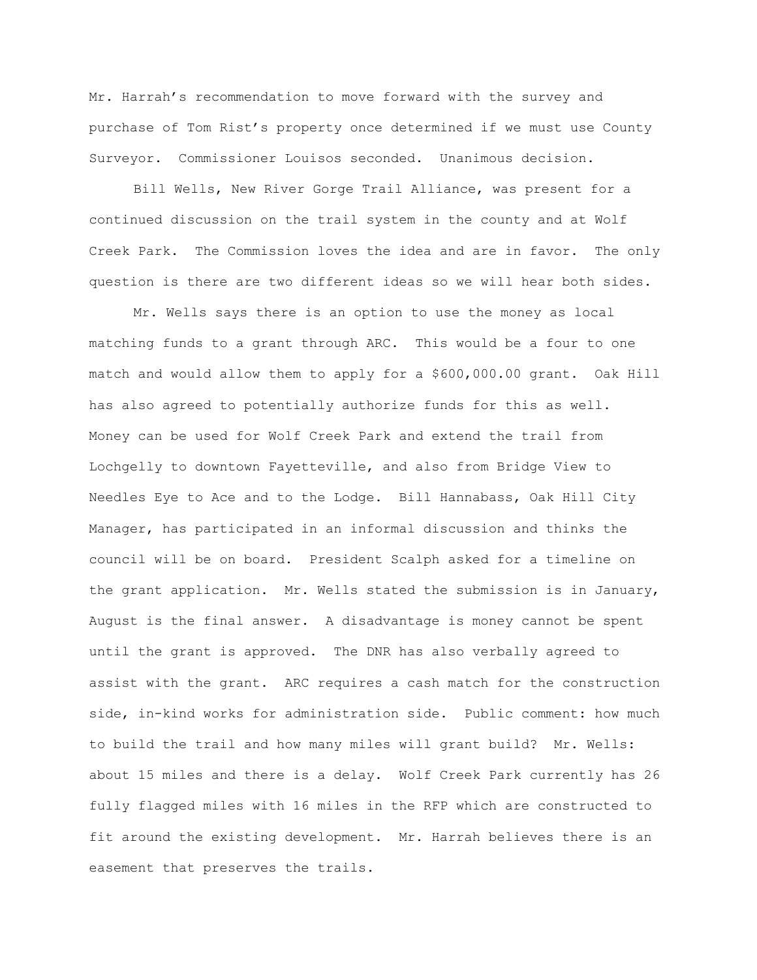Mr. Harrah's recommendation to move forward with the survey and purchase of Tom Rist's property once determined if we must use County Surveyor. Commissioner Louisos seconded. Unanimous decision.

Bill Wells, New River Gorge Trail Alliance, was present for a continued discussion on the trail system in the county and at Wolf Creek Park. The Commission loves the idea and are in favor. The only question is there are two different ideas so we will hear both sides.

Mr. Wells says there is an option to use the money as local matching funds to a grant through ARC. This would be a four to one match and would allow them to apply for a \$600,000.00 grant. Oak Hill has also agreed to potentially authorize funds for this as well. Money can be used for Wolf Creek Park and extend the trail from Lochgelly to downtown Fayetteville, and also from Bridge View to Needles Eye to Ace and to the Lodge. Bill Hannabass, Oak Hill City Manager, has participated in an informal discussion and thinks the council will be on board. President Scalph asked for a timeline on the grant application. Mr. Wells stated the submission is in January, August is the final answer. A disadvantage is money cannot be spent until the grant is approved. The DNR has also verbally agreed to assist with the grant. ARC requires a cash match for the construction side, in-kind works for administration side. Public comment: how much to build the trail and how many miles will grant build? Mr. Wells: about 15 miles and there is a delay. Wolf Creek Park currently has 26 fully flagged miles with 16 miles in the RFP which are constructed to fit around the existing development. Mr. Harrah believes there is an easement that preserves the trails.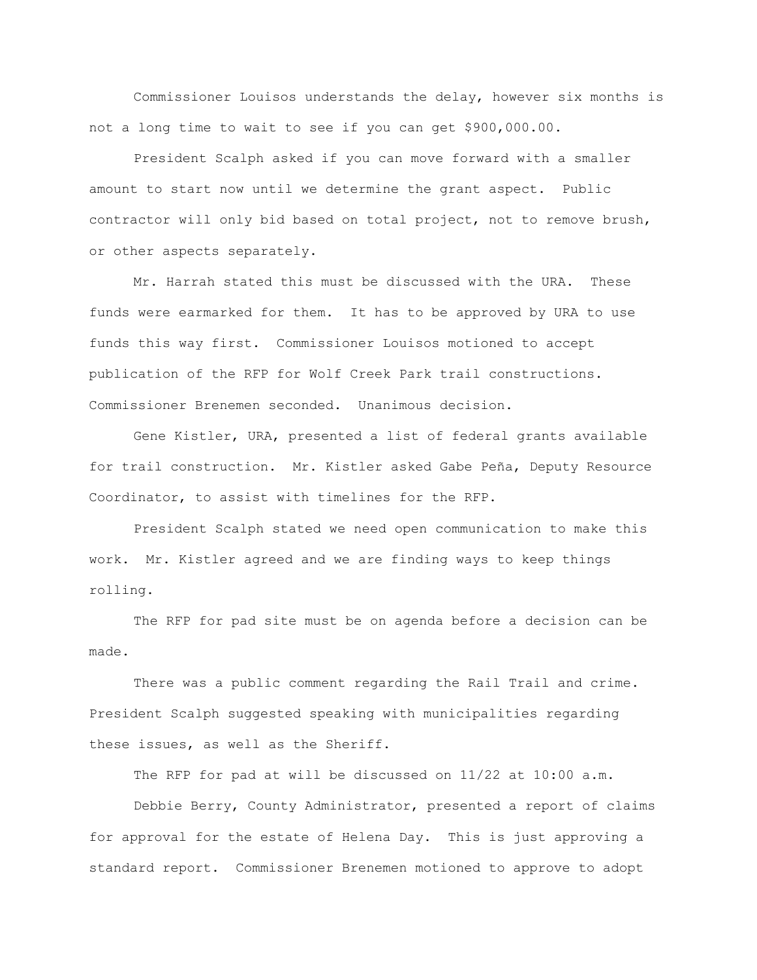Commissioner Louisos understands the delay, however six months is not a long time to wait to see if you can get \$900,000.00.

President Scalph asked if you can move forward with a smaller amount to start now until we determine the grant aspect. Public contractor will only bid based on total project, not to remove brush, or other aspects separately.

Mr. Harrah stated this must be discussed with the URA. These funds were earmarked for them. It has to be approved by URA to use funds this way first. Commissioner Louisos motioned to accept publication of the RFP for Wolf Creek Park trail constructions. Commissioner Brenemen seconded. Unanimous decision.

Gene Kistler, URA, presented a list of federal grants available for trail construction. Mr. Kistler asked Gabe Peña, Deputy Resource Coordinator, to assist with timelines for the RFP.

President Scalph stated we need open communication to make this work. Mr. Kistler agreed and we are finding ways to keep things rolling.

The RFP for pad site must be on agenda before a decision can be made.

There was a public comment regarding the Rail Trail and crime. President Scalph suggested speaking with municipalities regarding these issues, as well as the Sheriff.

The RFP for pad at will be discussed on 11/22 at 10:00 a.m.

Debbie Berry, County Administrator, presented a report of claims for approval for the estate of Helena Day. This is just approving a standard report. Commissioner Brenemen motioned to approve to adopt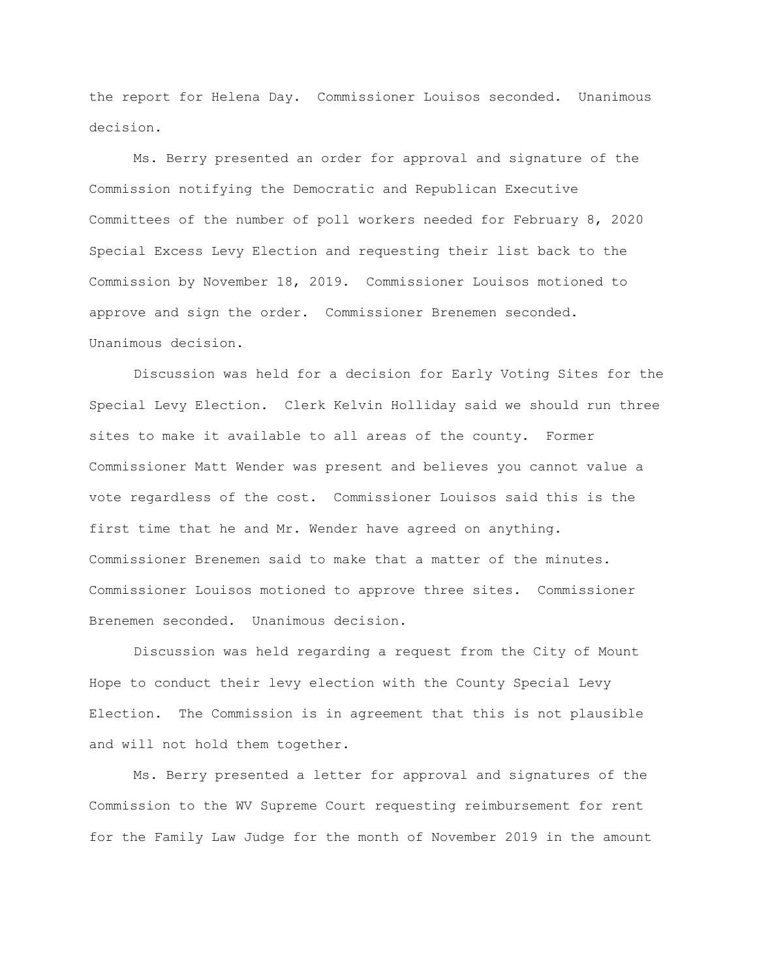the report for Helena Day. Commissioner Louisos seconded. Unanimous decision.

Ms. Berry presented an order for approval and signature of the Commission notifying the Democratic and Republican Executive Committees of the number of poll workers needed for February 8, 2020 Special Excess Levy Election and requesting their list back to the Commission by November 18, 2019. Commissioner Louisos motioned to approve and sign the order. Commissioner Brenemen seconded. Unanimous decision.

Discussion was held for a decision for Early Voting Sites for the Special Levy Election. Clerk Kelvin Holliday said we should run three sites to make it available to all areas of the county. Former Commissioner Matt Wender was present and believes you cannot value a vote regardless of the cost. Commissioner Louisos said this is the first time that he and Mr. Wender have agreed on anything. Commissioner Brenemen said to make that a matter of the minutes. Commissioner Louisos motioned to approve three sites. Commissioner Brenemen seconded. Unanimous decision.

Discussion was held regarding a request from the City of Mount Hope to conduct their levy election with the County Special Levy Election. The Commission is in agreement that this is not plausible and will not hold them together.

Ms. Berry presented a letter for approval and signatures of the Commission to the WV Supreme Court requesting reimbursement for rent for the Family Law Judge for the month of November 2019 in the amount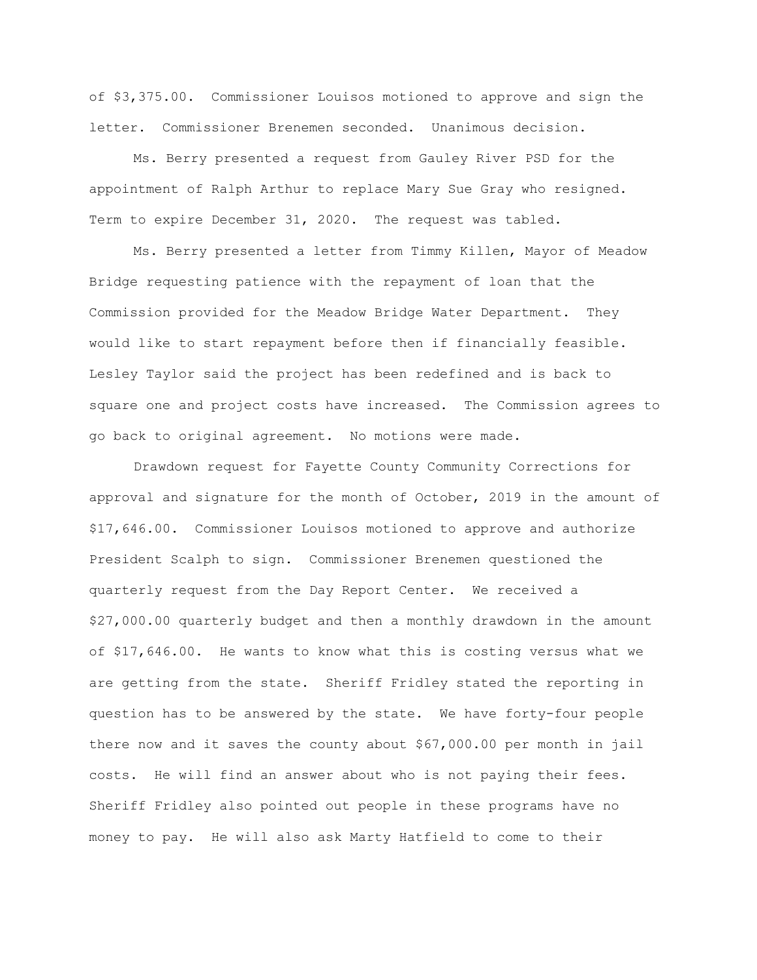of \$3,375.00. Commissioner Louisos motioned to approve and sign the letter. Commissioner Brenemen seconded. Unanimous decision.

Ms. Berry presented a request from Gauley River PSD for the appointment of Ralph Arthur to replace Mary Sue Gray who resigned. Term to expire December 31, 2020. The request was tabled.

Ms. Berry presented a letter from Timmy Killen, Mayor of Meadow Bridge requesting patience with the repayment of loan that the Commission provided for the Meadow Bridge Water Department. They would like to start repayment before then if financially feasible. Lesley Taylor said the project has been redefined and is back to square one and project costs have increased. The Commission agrees to go back to original agreement. No motions were made.

Drawdown request for Fayette County Community Corrections for approval and signature for the month of October, 2019 in the amount of \$17,646.00. Commissioner Louisos motioned to approve and authorize President Scalph to sign. Commissioner Brenemen questioned the quarterly request from the Day Report Center. We received a \$27,000.00 quarterly budget and then a monthly drawdown in the amount of \$17,646.00. He wants to know what this is costing versus what we are getting from the state. Sheriff Fridley stated the reporting in question has to be answered by the state. We have forty-four people there now and it saves the county about \$67,000.00 per month in jail costs. He will find an answer about who is not paying their fees. Sheriff Fridley also pointed out people in these programs have no money to pay. He will also ask Marty Hatfield to come to their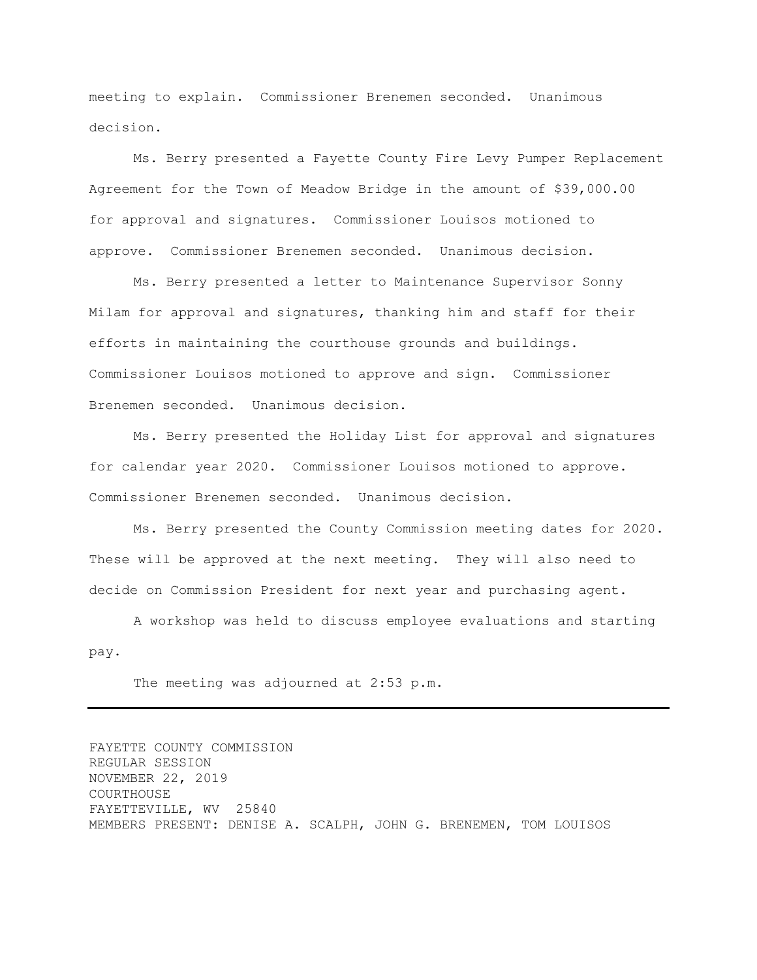meeting to explain. Commissioner Brenemen seconded. Unanimous decision.

Ms. Berry presented a Fayette County Fire Levy Pumper Replacement Agreement for the Town of Meadow Bridge in the amount of \$39,000.00 for approval and signatures. Commissioner Louisos motioned to approve. Commissioner Brenemen seconded. Unanimous decision.

Ms. Berry presented a letter to Maintenance Supervisor Sonny Milam for approval and signatures, thanking him and staff for their efforts in maintaining the courthouse grounds and buildings. Commissioner Louisos motioned to approve and sign. Commissioner Brenemen seconded. Unanimous decision.

Ms. Berry presented the Holiday List for approval and signatures for calendar year 2020. Commissioner Louisos motioned to approve. Commissioner Brenemen seconded. Unanimous decision.

Ms. Berry presented the County Commission meeting dates for 2020. These will be approved at the next meeting. They will also need to decide on Commission President for next year and purchasing agent.

A workshop was held to discuss employee evaluations and starting pay.

The meeting was adjourned at 2:53 p.m.

FAYETTE COUNTY COMMISSION REGULAR SESSION NOVEMBER 22, 2019 COURTHOUSE FAYETTEVILLE, WV 25840 MEMBERS PRESENT: DENISE A. SCALPH, JOHN G. BRENEMEN, TOM LOUISOS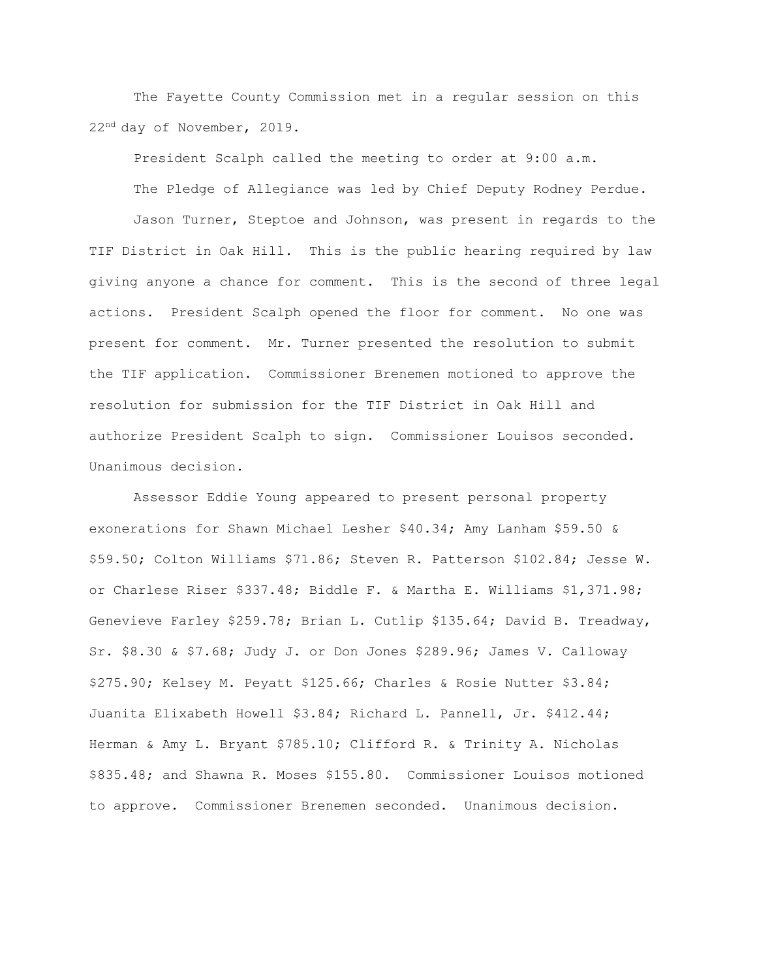The Fayette County Commission met in a regular session on this 22nd day of November, 2019.

President Scalph called the meeting to order at 9:00 a.m.

The Pledge of Allegiance was led by Chief Deputy Rodney Perdue.

Jason Turner, Steptoe and Johnson, was present in regards to the TIF District in Oak Hill. This is the public hearing required by law giving anyone a chance for comment. This is the second of three legal actions. President Scalph opened the floor for comment. No one was present for comment. Mr. Turner presented the resolution to submit the TIF application. Commissioner Brenemen motioned to approve the resolution for submission for the TIF District in Oak Hill and authorize President Scalph to sign. Commissioner Louisos seconded. Unanimous decision.

Assessor Eddie Young appeared to present personal property exonerations for Shawn Michael Lesher \$40.34; Amy Lanham \$59.50 & \$59.50; Colton Williams \$71.86; Steven R. Patterson \$102.84; Jesse W. or Charlese Riser \$337.48; Biddle F. & Martha E. Williams \$1,371.98; Genevieve Farley \$259.78; Brian L. Cutlip \$135.64; David B. Treadway, Sr. \$8.30 & \$7.68; Judy J. or Don Jones \$289.96; James V. Calloway \$275.90; Kelsey M. Peyatt \$125.66; Charles & Rosie Nutter \$3.84; Juanita Elixabeth Howell \$3.84; Richard L. Pannell, Jr. \$412.44; Herman & Amy L. Bryant \$785.10; Clifford R. & Trinity A. Nicholas \$835.48; and Shawna R. Moses \$155.80. Commissioner Louisos motioned to approve. Commissioner Brenemen seconded. Unanimous decision.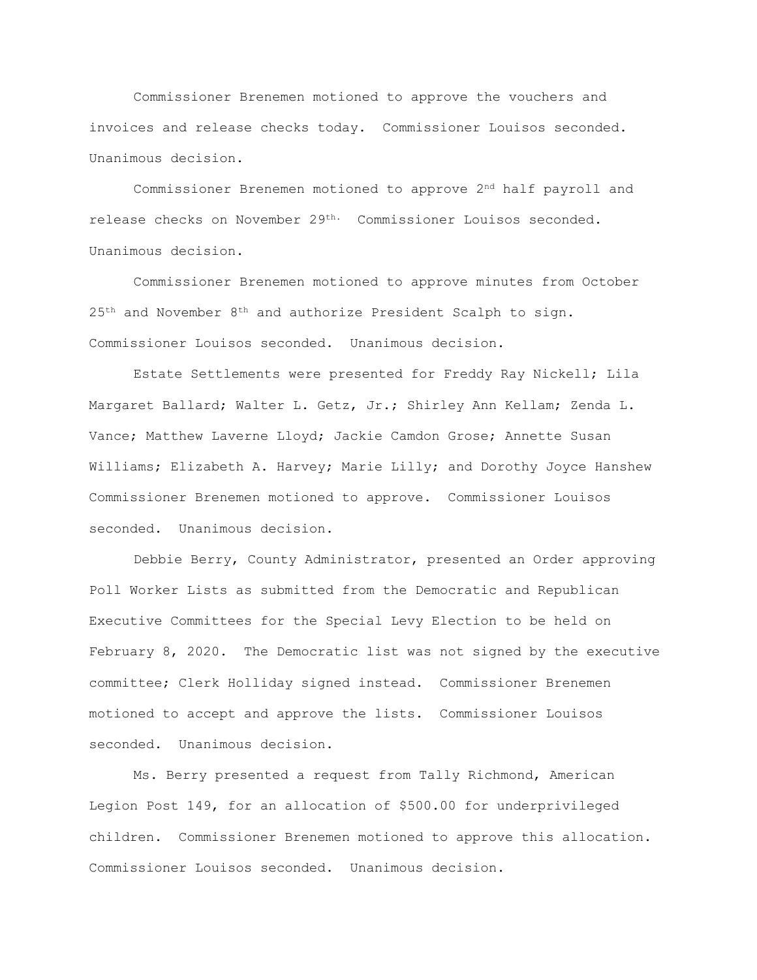Commissioner Brenemen motioned to approve the vouchers and invoices and release checks today. Commissioner Louisos seconded. Unanimous decision.

Commissioner Brenemen motioned to approve 2<sup>nd</sup> half payroll and release checks on November 29th. Commissioner Louisos seconded. Unanimous decision.

Commissioner Brenemen motioned to approve minutes from October 25<sup>th</sup> and November 8<sup>th</sup> and authorize President Scalph to sign. Commissioner Louisos seconded. Unanimous decision.

Estate Settlements were presented for Freddy Ray Nickell; Lila Margaret Ballard; Walter L. Getz, Jr.; Shirley Ann Kellam; Zenda L. Vance; Matthew Laverne Lloyd; Jackie Camdon Grose; Annette Susan Williams; Elizabeth A. Harvey; Marie Lilly; and Dorothy Joyce Hanshew Commissioner Brenemen motioned to approve. Commissioner Louisos seconded. Unanimous decision.

Debbie Berry, County Administrator, presented an Order approving Poll Worker Lists as submitted from the Democratic and Republican Executive Committees for the Special Levy Election to be held on February 8, 2020. The Democratic list was not signed by the executive committee; Clerk Holliday signed instead. Commissioner Brenemen motioned to accept and approve the lists. Commissioner Louisos seconded. Unanimous decision.

Ms. Berry presented a request from Tally Richmond, American Legion Post 149, for an allocation of \$500.00 for underprivileged children. Commissioner Brenemen motioned to approve this allocation. Commissioner Louisos seconded. Unanimous decision.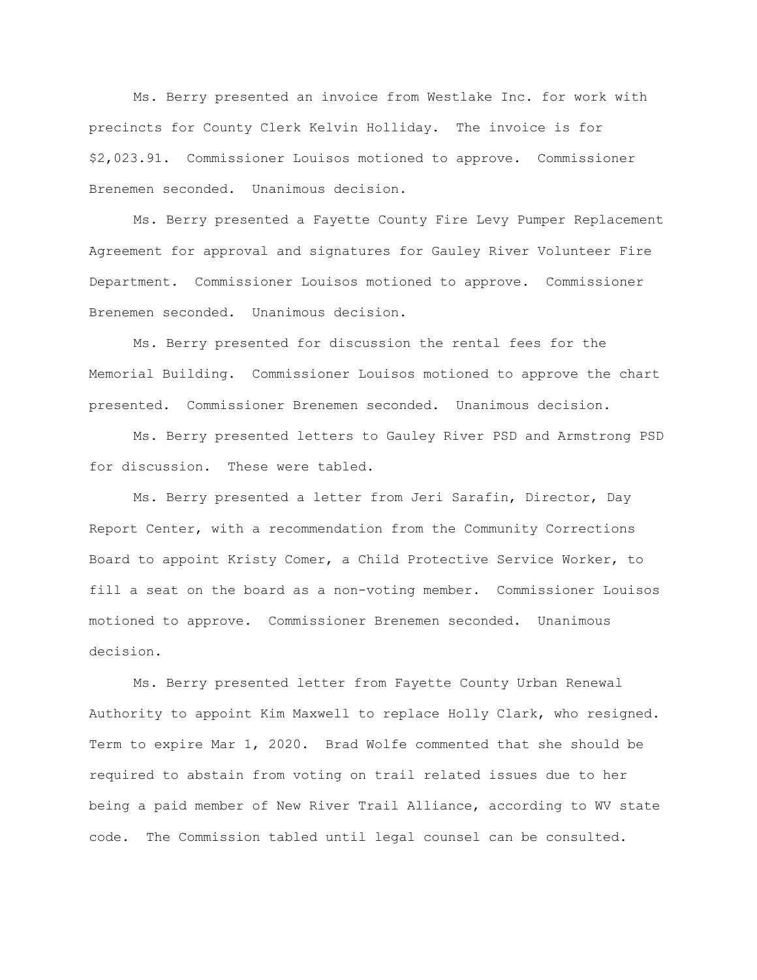Ms. Berry presented an invoice from Westlake Inc. for work with precincts for County Clerk Kelvin Holliday. The invoice is for \$2,023.91. Commissioner Louisos motioned to approve. Commissioner Brenemen seconded. Unanimous decision.

Ms. Berry presented a Fayette County Fire Levy Pumper Replacement Agreement for approval and signatures for Gauley River Volunteer Fire Department. Commissioner Louisos motioned to approve. Commissioner Brenemen seconded. Unanimous decision.

Ms. Berry presented for discussion the rental fees for the Memorial Building. Commissioner Louisos motioned to approve the chart presented. Commissioner Brenemen seconded. Unanimous decision.

Ms. Berry presented letters to Gauley River PSD and Armstrong PSD for discussion. These were tabled.

Ms. Berry presented a letter from Jeri Sarafin, Director, Day Report Center, with a recommendation from the Community Corrections Board to appoint Kristy Comer, a Child Protective Service Worker, to fill a seat on the board as a non-voting member. Commissioner Louisos motioned to approve. Commissioner Brenemen seconded. Unanimous decision.

Ms. Berry presented letter from Fayette County Urban Renewal Authority to appoint Kim Maxwell to replace Holly Clark, who resigned. Term to expire Mar 1, 2020. Brad Wolfe commented that she should be required to abstain from voting on trail related issues due to her being a paid member of New River Trail Alliance, according to WV state code. The Commission tabled until legal counsel can be consulted.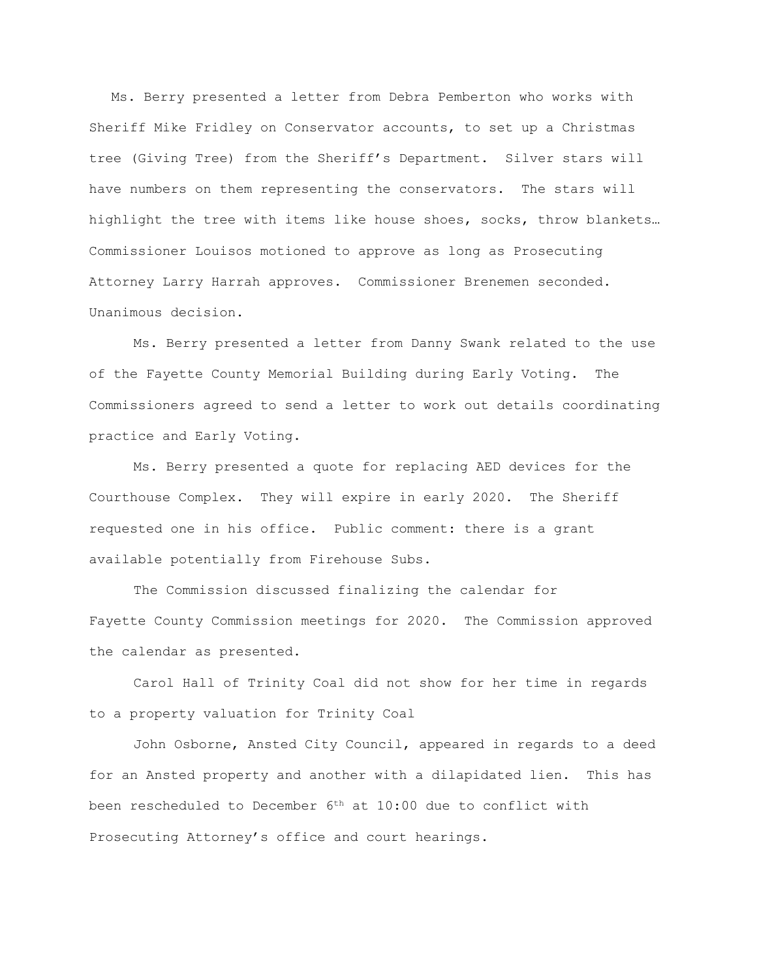Ms. Berry presented a letter from Debra Pemberton who works with Sheriff Mike Fridley on Conservator accounts, to set up a Christmas tree (Giving Tree) from the Sheriff's Department. Silver stars will have numbers on them representing the conservators. The stars will highlight the tree with items like house shoes, socks, throw blankets… Commissioner Louisos motioned to approve as long as Prosecuting Attorney Larry Harrah approves. Commissioner Brenemen seconded. Unanimous decision.

Ms. Berry presented a letter from Danny Swank related to the use of the Fayette County Memorial Building during Early Voting. The Commissioners agreed to send a letter to work out details coordinating practice and Early Voting.

Ms. Berry presented a quote for replacing AED devices for the Courthouse Complex. They will expire in early 2020. The Sheriff requested one in his office. Public comment: there is a grant available potentially from Firehouse Subs.

The Commission discussed finalizing the calendar for Fayette County Commission meetings for 2020. The Commission approved the calendar as presented.

Carol Hall of Trinity Coal did not show for her time in regards to a property valuation for Trinity Coal

John Osborne, Ansted City Council, appeared in regards to a deed for an Ansted property and another with a dilapidated lien. This has been rescheduled to December 6th at 10:00 due to conflict with Prosecuting Attorney's office and court hearings.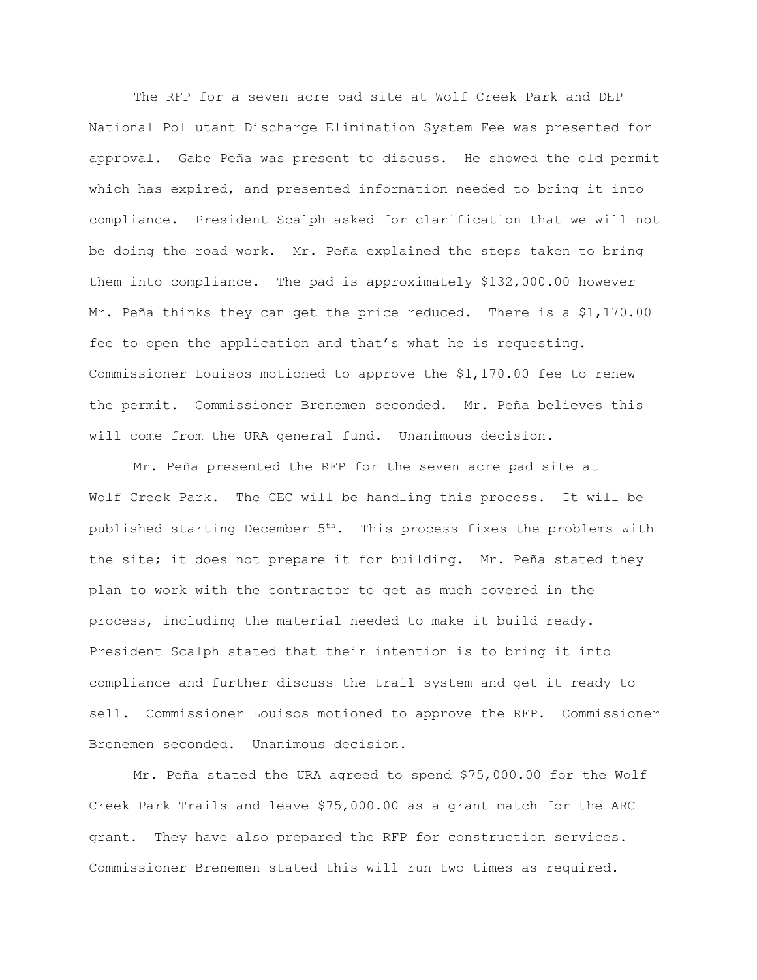The RFP for a seven acre pad site at Wolf Creek Park and DEP National Pollutant Discharge Elimination System Fee was presented for approval. Gabe Peña was present to discuss. He showed the old permit which has expired, and presented information needed to bring it into compliance. President Scalph asked for clarification that we will not be doing the road work. Mr. Peña explained the steps taken to bring them into compliance. The pad is approximately \$132,000.00 however Mr. Peña thinks they can get the price reduced. There is a \$1,170.00 fee to open the application and that's what he is requesting. Commissioner Louisos motioned to approve the \$1,170.00 fee to renew the permit. Commissioner Brenemen seconded. Mr. Peña believes this will come from the URA general fund. Unanimous decision.

Mr. Peña presented the RFP for the seven acre pad site at Wolf Creek Park. The CEC will be handling this process. It will be published starting December  $5<sup>th</sup>$ . This process fixes the problems with the site; it does not prepare it for building. Mr. Peña stated they plan to work with the contractor to get as much covered in the process, including the material needed to make it build ready. President Scalph stated that their intention is to bring it into compliance and further discuss the trail system and get it ready to sell. Commissioner Louisos motioned to approve the RFP. Commissioner Brenemen seconded. Unanimous decision.

Mr. Peña stated the URA agreed to spend \$75,000.00 for the Wolf Creek Park Trails and leave \$75,000.00 as a grant match for the ARC grant. They have also prepared the RFP for construction services. Commissioner Brenemen stated this will run two times as required.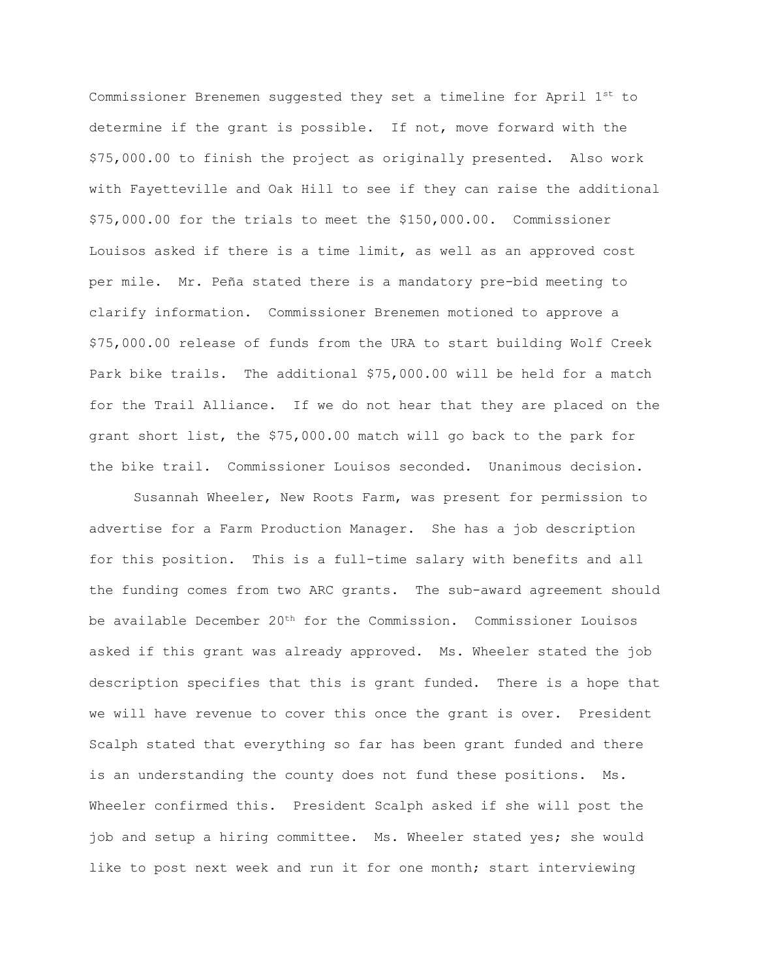Commissioner Brenemen suggested they set a timeline for April 1st to determine if the grant is possible. If not, move forward with the \$75,000.00 to finish the project as originally presented. Also work with Fayetteville and Oak Hill to see if they can raise the additional \$75,000.00 for the trials to meet the \$150,000.00. Commissioner Louisos asked if there is a time limit, as well as an approved cost per mile. Mr. Peña stated there is a mandatory pre-bid meeting to clarify information. Commissioner Brenemen motioned to approve a \$75,000.00 release of funds from the URA to start building Wolf Creek Park bike trails. The additional \$75,000.00 will be held for a match for the Trail Alliance. If we do not hear that they are placed on the grant short list, the \$75,000.00 match will go back to the park for the bike trail. Commissioner Louisos seconded. Unanimous decision.

Susannah Wheeler, New Roots Farm, was present for permission to advertise for a Farm Production Manager. She has a job description for this position. This is a full-time salary with benefits and all the funding comes from two ARC grants. The sub-award agreement should be available December  $20<sup>th</sup>$  for the Commission. Commissioner Louisos asked if this grant was already approved. Ms. Wheeler stated the job description specifies that this is grant funded. There is a hope that we will have revenue to cover this once the grant is over. President Scalph stated that everything so far has been grant funded and there is an understanding the county does not fund these positions. Ms. Wheeler confirmed this. President Scalph asked if she will post the job and setup a hiring committee. Ms. Wheeler stated yes; she would like to post next week and run it for one month; start interviewing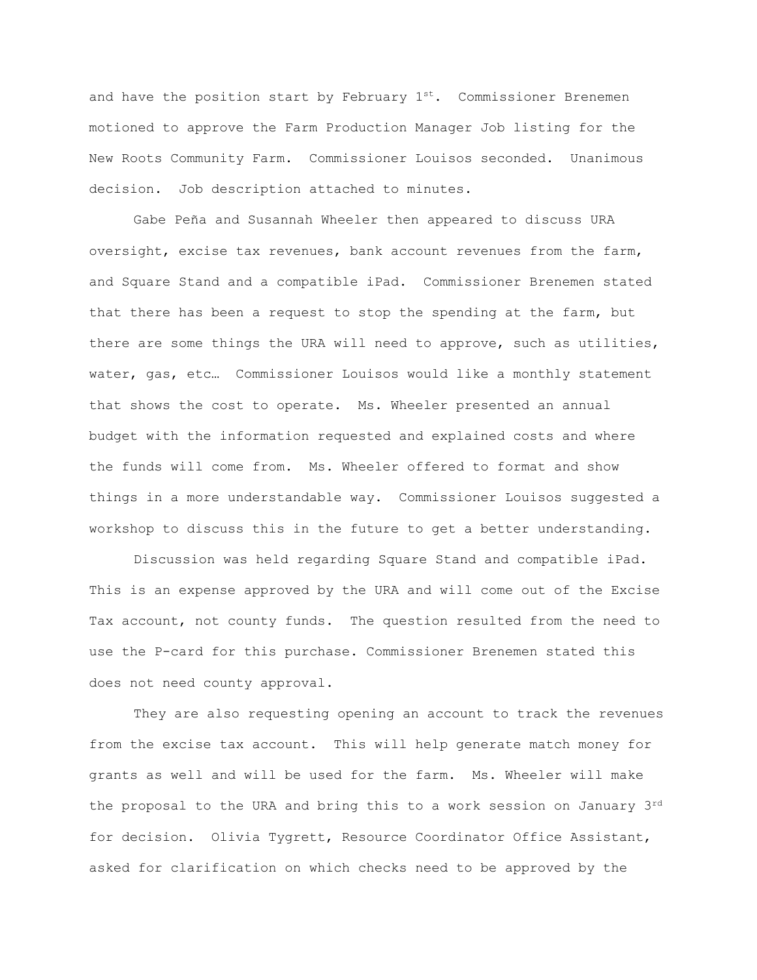and have the position start by February  $1^{st}$ . Commissioner Brenemen motioned to approve the Farm Production Manager Job listing for the New Roots Community Farm. Commissioner Louisos seconded. Unanimous decision. Job description attached to minutes.

Gabe Peña and Susannah Wheeler then appeared to discuss URA oversight, excise tax revenues, bank account revenues from the farm, and Square Stand and a compatible iPad. Commissioner Brenemen stated that there has been a request to stop the spending at the farm, but there are some things the URA will need to approve, such as utilities, water, gas, etc… Commissioner Louisos would like a monthly statement that shows the cost to operate. Ms. Wheeler presented an annual budget with the information requested and explained costs and where the funds will come from. Ms. Wheeler offered to format and show things in a more understandable way. Commissioner Louisos suggested a workshop to discuss this in the future to get a better understanding.

Discussion was held regarding Square Stand and compatible iPad. This is an expense approved by the URA and will come out of the Excise Tax account, not county funds. The question resulted from the need to use the P-card for this purchase. Commissioner Brenemen stated this does not need county approval.

They are also requesting opening an account to track the revenues from the excise tax account. This will help generate match money for grants as well and will be used for the farm. Ms. Wheeler will make the proposal to the URA and bring this to a work session on January 3rd for decision. Olivia Tygrett, Resource Coordinator Office Assistant, asked for clarification on which checks need to be approved by the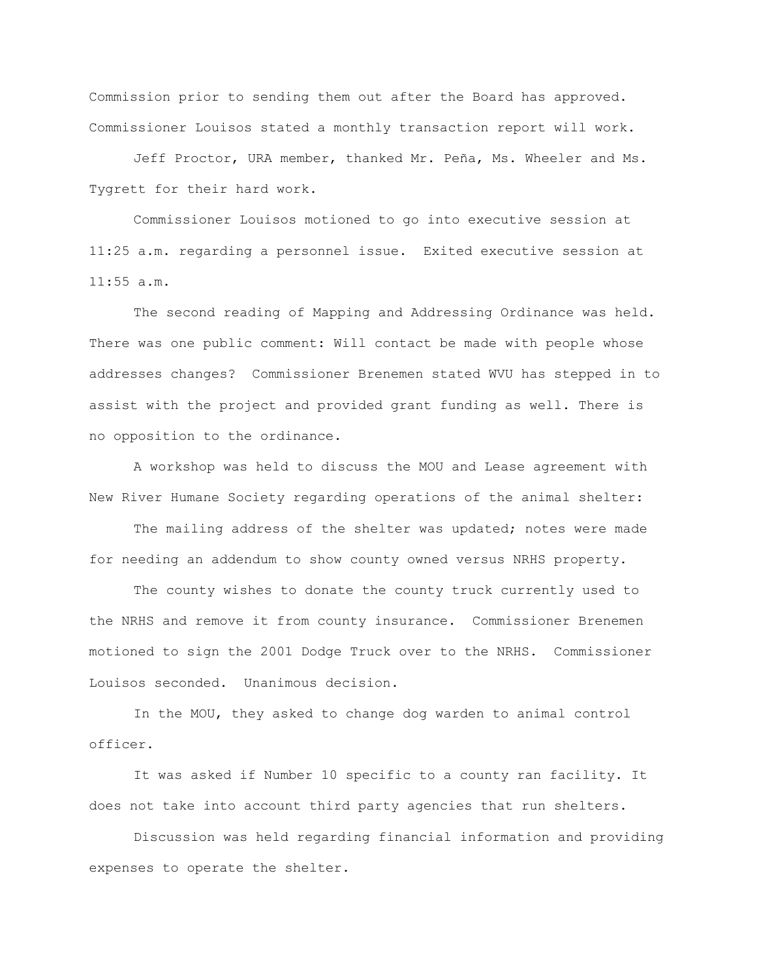Commission prior to sending them out after the Board has approved. Commissioner Louisos stated a monthly transaction report will work.

Jeff Proctor, URA member, thanked Mr. Peña, Ms. Wheeler and Ms. Tygrett for their hard work.

Commissioner Louisos motioned to go into executive session at 11:25 a.m. regarding a personnel issue. Exited executive session at 11:55 a.m.

The second reading of Mapping and Addressing Ordinance was held. There was one public comment: Will contact be made with people whose addresses changes? Commissioner Brenemen stated WVU has stepped in to assist with the project and provided grant funding as well. There is no opposition to the ordinance.

A workshop was held to discuss the MOU and Lease agreement with New River Humane Society regarding operations of the animal shelter:

The mailing address of the shelter was updated; notes were made for needing an addendum to show county owned versus NRHS property.

The county wishes to donate the county truck currently used to the NRHS and remove it from county insurance. Commissioner Brenemen motioned to sign the 2001 Dodge Truck over to the NRHS. Commissioner Louisos seconded. Unanimous decision.

In the MOU, they asked to change dog warden to animal control officer.

It was asked if Number 10 specific to a county ran facility. It does not take into account third party agencies that run shelters.

Discussion was held regarding financial information and providing expenses to operate the shelter.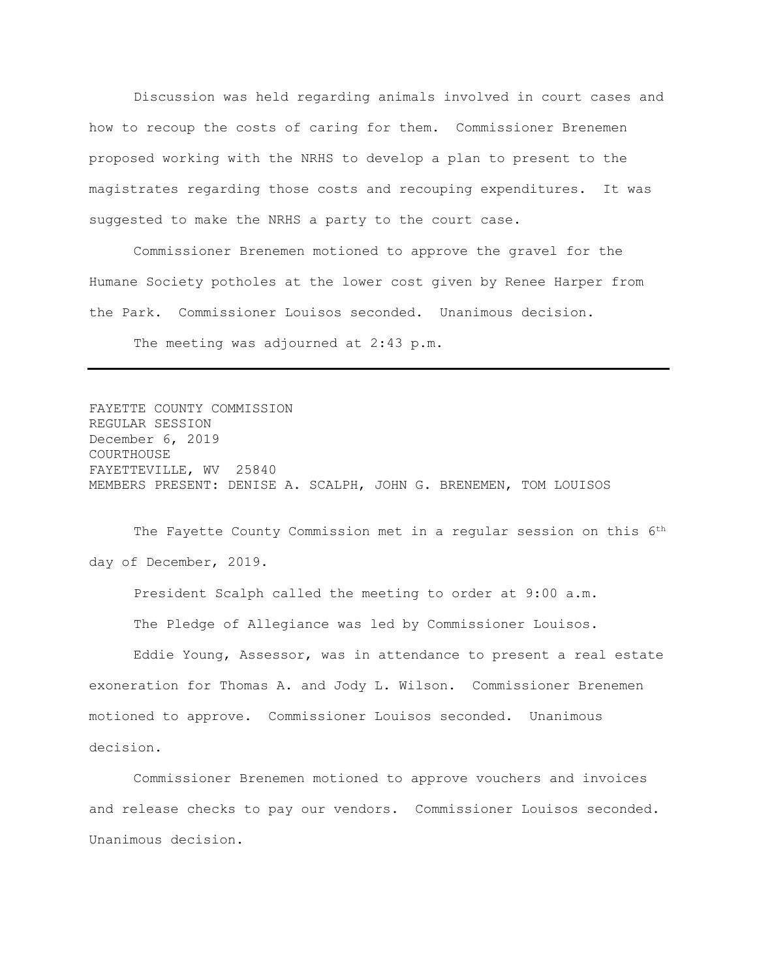Discussion was held regarding animals involved in court cases and how to recoup the costs of caring for them. Commissioner Brenemen proposed working with the NRHS to develop a plan to present to the magistrates regarding those costs and recouping expenditures. It was suggested to make the NRHS a party to the court case.

Commissioner Brenemen motioned to approve the gravel for the Humane Society potholes at the lower cost given by Renee Harper from the Park. Commissioner Louisos seconded. Unanimous decision.

The meeting was adjourned at 2:43 p.m.

FAYETTE COUNTY COMMISSION REGULAR SESSION December 6, 2019 COURTHOUSE FAYETTEVILLE, WV 25840 MEMBERS PRESENT: DENISE A. SCALPH, JOHN G. BRENEMEN, TOM LOUISOS

The Fayette County Commission met in a regular session on this 6<sup>th</sup> day of December, 2019.

President Scalph called the meeting to order at 9:00 a.m. The Pledge of Allegiance was led by Commissioner Louisos.

Eddie Young, Assessor, was in attendance to present a real estate exoneration for Thomas A. and Jody L. Wilson. Commissioner Brenemen motioned to approve. Commissioner Louisos seconded. Unanimous decision.

Commissioner Brenemen motioned to approve vouchers and invoices and release checks to pay our vendors. Commissioner Louisos seconded. Unanimous decision.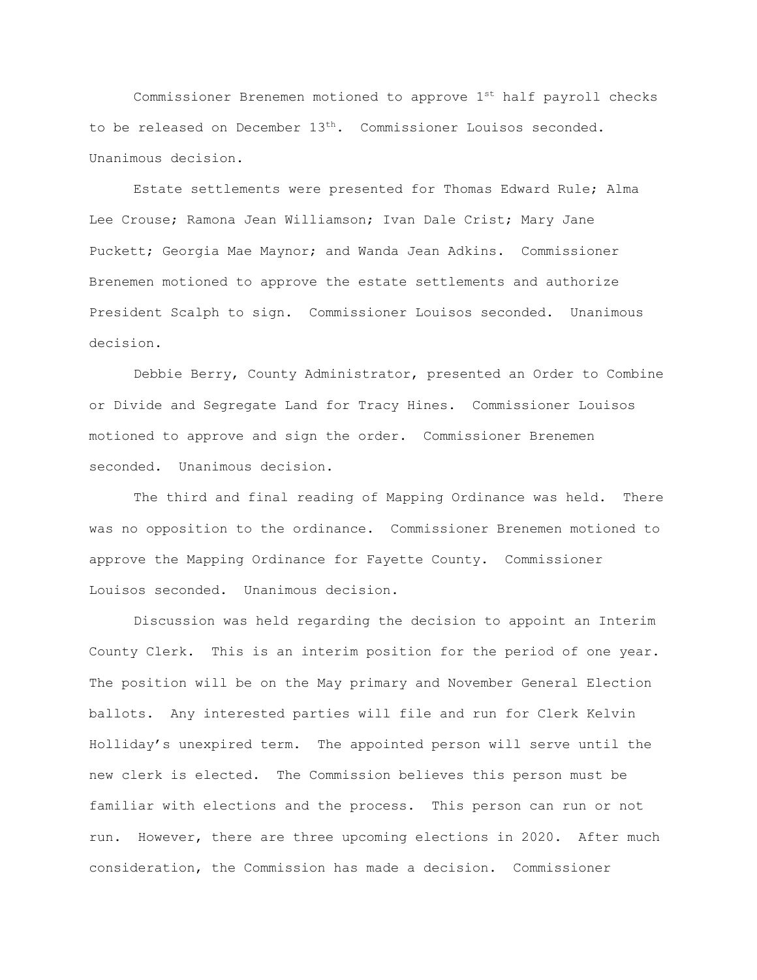Commissioner Brenemen motioned to approve  $1^{st}$  half payroll checks to be released on December 13th. Commissioner Louisos seconded. Unanimous decision.

Estate settlements were presented for Thomas Edward Rule; Alma Lee Crouse; Ramona Jean Williamson; Ivan Dale Crist; Mary Jane Puckett; Georgia Mae Maynor; and Wanda Jean Adkins. Commissioner Brenemen motioned to approve the estate settlements and authorize President Scalph to sign. Commissioner Louisos seconded. Unanimous decision.

Debbie Berry, County Administrator, presented an Order to Combine or Divide and Segregate Land for Tracy Hines. Commissioner Louisos motioned to approve and sign the order. Commissioner Brenemen seconded. Unanimous decision.

The third and final reading of Mapping Ordinance was held. There was no opposition to the ordinance. Commissioner Brenemen motioned to approve the Mapping Ordinance for Fayette County. Commissioner Louisos seconded. Unanimous decision.

Discussion was held regarding the decision to appoint an Interim County Clerk. This is an interim position for the period of one year. The position will be on the May primary and November General Election ballots. Any interested parties will file and run for Clerk Kelvin Holliday's unexpired term. The appointed person will serve until the new clerk is elected. The Commission believes this person must be familiar with elections and the process. This person can run or not run. However, there are three upcoming elections in 2020. After much consideration, the Commission has made a decision. Commissioner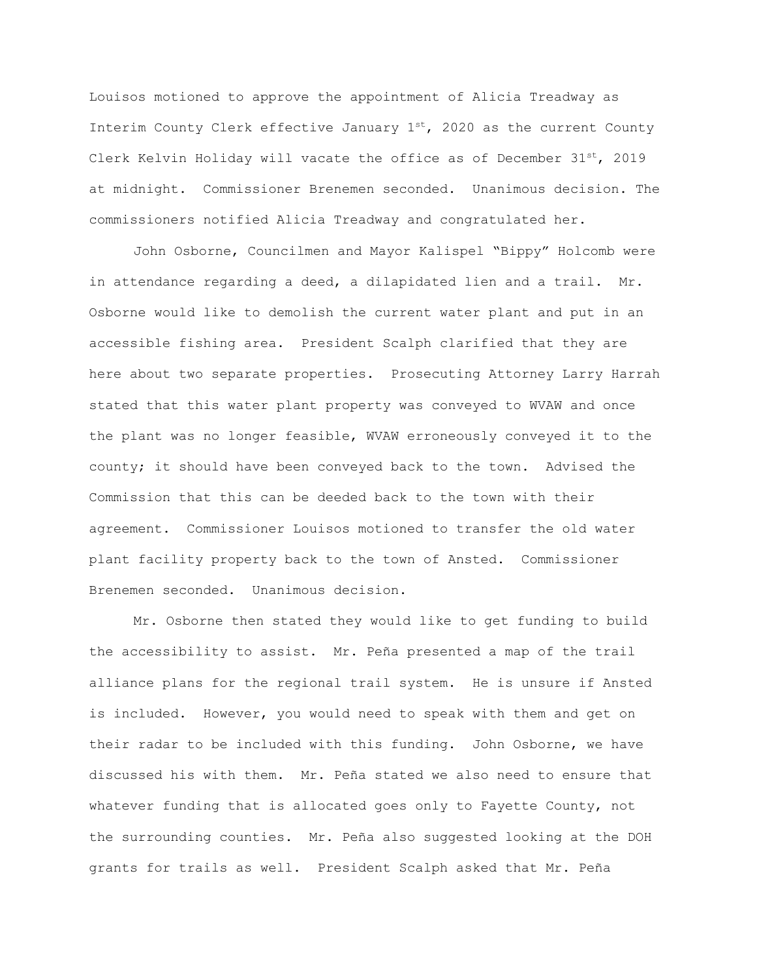Louisos motioned to approve the appointment of Alicia Treadway as Interim County Clerk effective January  $1^{st}$ , 2020 as the current County Clerk Kelvin Holiday will vacate the office as of December  $31^{st}$ , 2019 at midnight. Commissioner Brenemen seconded. Unanimous decision. The commissioners notified Alicia Treadway and congratulated her.

John Osborne, Councilmen and Mayor Kalispel "Bippy" Holcomb were in attendance regarding a deed, a dilapidated lien and a trail. Mr. Osborne would like to demolish the current water plant and put in an accessible fishing area. President Scalph clarified that they are here about two separate properties. Prosecuting Attorney Larry Harrah stated that this water plant property was conveyed to WVAW and once the plant was no longer feasible, WVAW erroneously conveyed it to the county; it should have been conveyed back to the town. Advised the Commission that this can be deeded back to the town with their agreement. Commissioner Louisos motioned to transfer the old water plant facility property back to the town of Ansted. Commissioner Brenemen seconded. Unanimous decision.

Mr. Osborne then stated they would like to get funding to build the accessibility to assist. Mr. Peña presented a map of the trail alliance plans for the regional trail system. He is unsure if Ansted is included. However, you would need to speak with them and get on their radar to be included with this funding. John Osborne, we have discussed his with them. Mr. Peña stated we also need to ensure that whatever funding that is allocated goes only to Fayette County, not the surrounding counties. Mr. Peña also suggested looking at the DOH grants for trails as well. President Scalph asked that Mr. Peña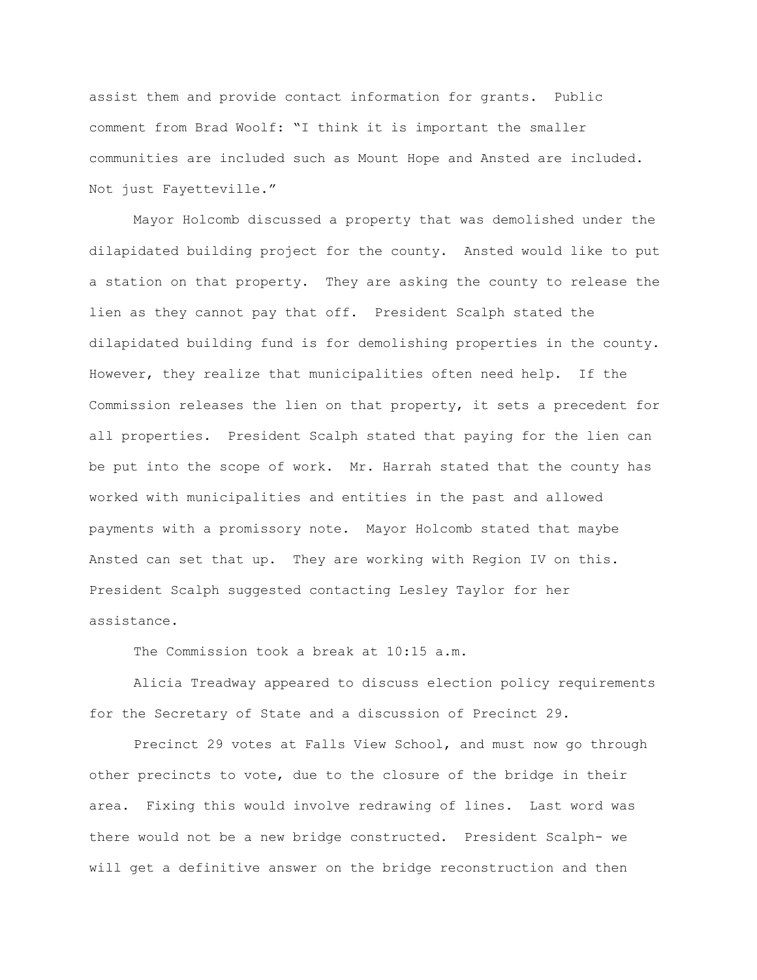assist them and provide contact information for grants. Public comment from Brad Woolf: "I think it is important the smaller communities are included such as Mount Hope and Ansted are included. Not just Fayetteville."

Mayor Holcomb discussed a property that was demolished under the dilapidated building project for the county. Ansted would like to put a station on that property. They are asking the county to release the lien as they cannot pay that off. President Scalph stated the dilapidated building fund is for demolishing properties in the county. However, they realize that municipalities often need help. If the Commission releases the lien on that property, it sets a precedent for all properties. President Scalph stated that paying for the lien can be put into the scope of work. Mr. Harrah stated that the county has worked with municipalities and entities in the past and allowed payments with a promissory note. Mayor Holcomb stated that maybe Ansted can set that up. They are working with Region IV on this. President Scalph suggested contacting Lesley Taylor for her assistance.

The Commission took a break at 10:15 a.m.

Alicia Treadway appeared to discuss election policy requirements for the Secretary of State and a discussion of Precinct 29.

Precinct 29 votes at Falls View School, and must now go through other precincts to vote, due to the closure of the bridge in their area. Fixing this would involve redrawing of lines. Last word was there would not be a new bridge constructed. President Scalph- we will get a definitive answer on the bridge reconstruction and then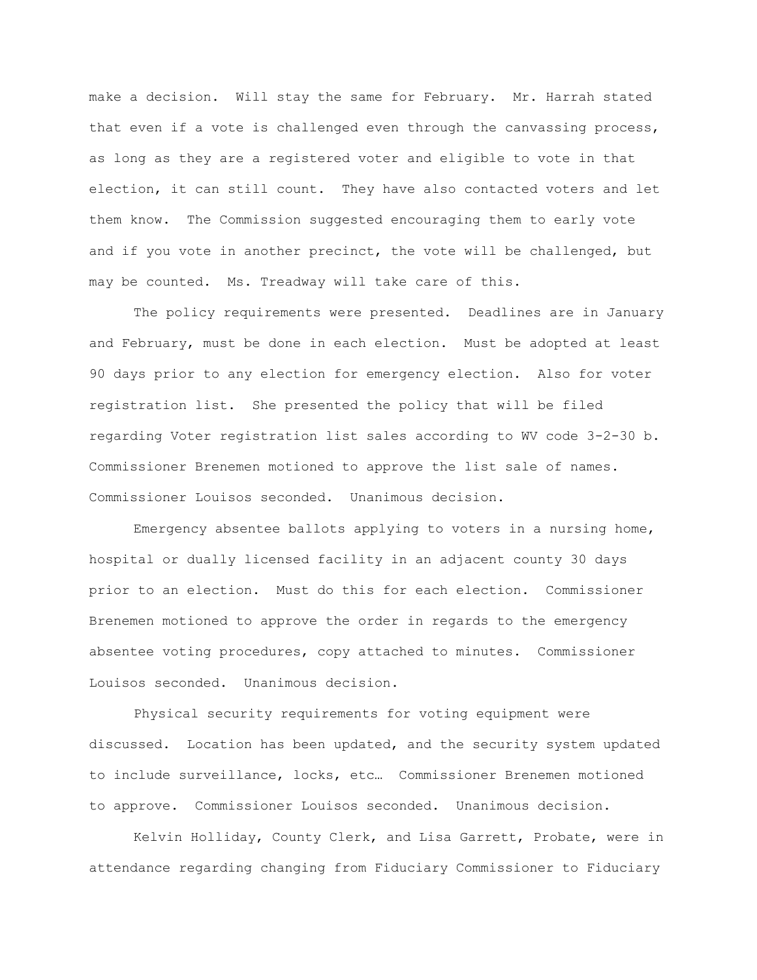make a decision. Will stay the same for February. Mr. Harrah stated that even if a vote is challenged even through the canvassing process, as long as they are a registered voter and eligible to vote in that election, it can still count. They have also contacted voters and let them know. The Commission suggested encouraging them to early vote and if you vote in another precinct, the vote will be challenged, but may be counted. Ms. Treadway will take care of this.

The policy requirements were presented. Deadlines are in January and February, must be done in each election. Must be adopted at least 90 days prior to any election for emergency election. Also for voter registration list. She presented the policy that will be filed regarding Voter registration list sales according to WV code 3-2-30 b. Commissioner Brenemen motioned to approve the list sale of names. Commissioner Louisos seconded. Unanimous decision.

Emergency absentee ballots applying to voters in a nursing home, hospital or dually licensed facility in an adjacent county 30 days prior to an election. Must do this for each election. Commissioner Brenemen motioned to approve the order in regards to the emergency absentee voting procedures, copy attached to minutes. Commissioner Louisos seconded. Unanimous decision.

Physical security requirements for voting equipment were discussed. Location has been updated, and the security system updated to include surveillance, locks, etc… Commissioner Brenemen motioned to approve. Commissioner Louisos seconded. Unanimous decision.

Kelvin Holliday, County Clerk, and Lisa Garrett, Probate, were in attendance regarding changing from Fiduciary Commissioner to Fiduciary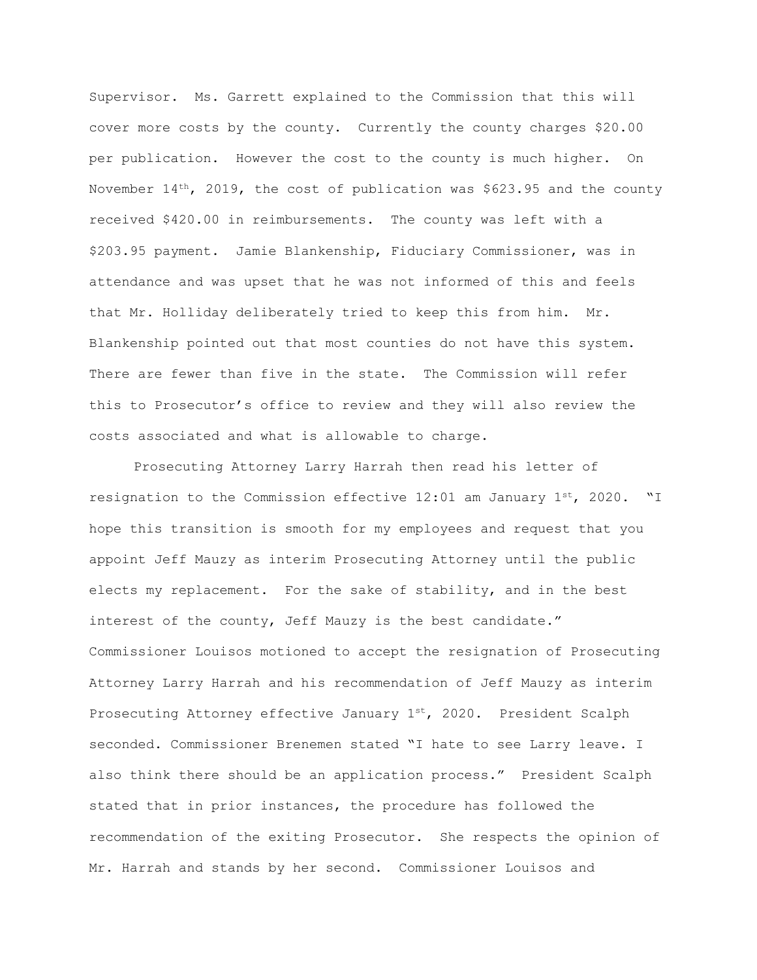Supervisor. Ms. Garrett explained to the Commission that this will cover more costs by the county. Currently the county charges \$20.00 per publication. However the cost to the county is much higher. On November  $14<sup>th</sup>$ , 2019, the cost of publication was \$623.95 and the county received \$420.00 in reimbursements. The county was left with a \$203.95 payment. Jamie Blankenship, Fiduciary Commissioner, was in attendance and was upset that he was not informed of this and feels that Mr. Holliday deliberately tried to keep this from him. Mr. Blankenship pointed out that most counties do not have this system. There are fewer than five in the state. The Commission will refer this to Prosecutor's office to review and they will also review the costs associated and what is allowable to charge.

Prosecuting Attorney Larry Harrah then read his letter of resignation to the Commission effective  $12:01$  am January  $1^{st}$ , 2020. "I hope this transition is smooth for my employees and request that you appoint Jeff Mauzy as interim Prosecuting Attorney until the public elects my replacement. For the sake of stability, and in the best interest of the county, Jeff Mauzy is the best candidate." Commissioner Louisos motioned to accept the resignation of Prosecuting Attorney Larry Harrah and his recommendation of Jeff Mauzy as interim Prosecuting Attorney effective January 1st, 2020. President Scalph seconded. Commissioner Brenemen stated "I hate to see Larry leave. I also think there should be an application process." President Scalph stated that in prior instances, the procedure has followed the recommendation of the exiting Prosecutor. She respects the opinion of Mr. Harrah and stands by her second. Commissioner Louisos and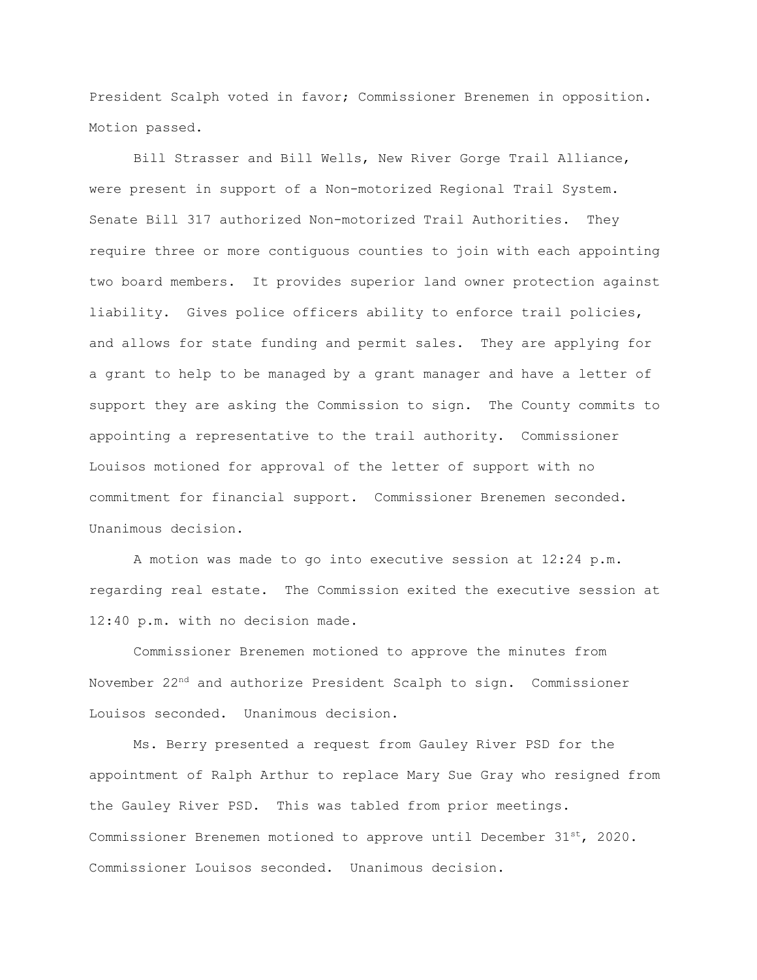President Scalph voted in favor; Commissioner Brenemen in opposition. Motion passed.

Bill Strasser and Bill Wells, New River Gorge Trail Alliance, were present in support of a Non-motorized Regional Trail System. Senate Bill 317 authorized Non-motorized Trail Authorities. They require three or more contiguous counties to join with each appointing two board members. It provides superior land owner protection against liability. Gives police officers ability to enforce trail policies, and allows for state funding and permit sales. They are applying for a grant to help to be managed by a grant manager and have a letter of support they are asking the Commission to sign. The County commits to appointing a representative to the trail authority. Commissioner Louisos motioned for approval of the letter of support with no commitment for financial support. Commissioner Brenemen seconded. Unanimous decision.

A motion was made to go into executive session at 12:24 p.m. regarding real estate. The Commission exited the executive session at 12:40 p.m. with no decision made.

Commissioner Brenemen motioned to approve the minutes from November 22nd and authorize President Scalph to sign. Commissioner Louisos seconded. Unanimous decision.

Ms. Berry presented a request from Gauley River PSD for the appointment of Ralph Arthur to replace Mary Sue Gray who resigned from the Gauley River PSD. This was tabled from prior meetings. Commissioner Brenemen motioned to approve until December  $31^{st}$ , 2020. Commissioner Louisos seconded. Unanimous decision.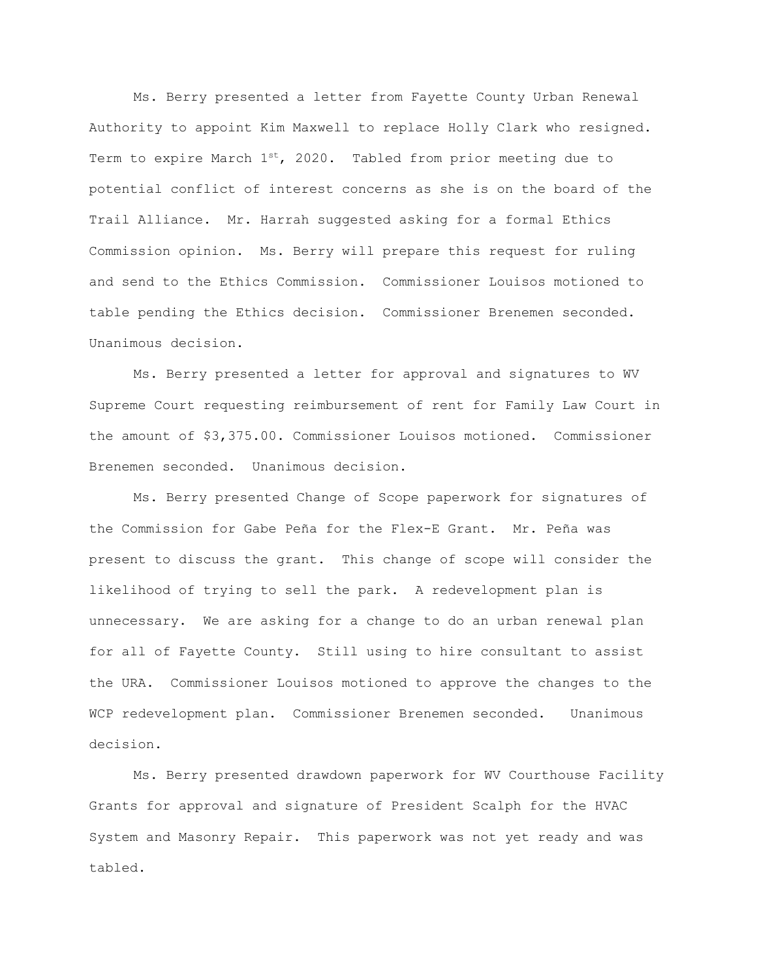Ms. Berry presented a letter from Fayette County Urban Renewal Authority to appoint Kim Maxwell to replace Holly Clark who resigned. Term to expire March  $1^{st}$ , 2020. Tabled from prior meeting due to potential conflict of interest concerns as she is on the board of the Trail Alliance. Mr. Harrah suggested asking for a formal Ethics Commission opinion. Ms. Berry will prepare this request for ruling and send to the Ethics Commission. Commissioner Louisos motioned to table pending the Ethics decision. Commissioner Brenemen seconded. Unanimous decision.

Ms. Berry presented a letter for approval and signatures to WV Supreme Court requesting reimbursement of rent for Family Law Court in the amount of \$3,375.00. Commissioner Louisos motioned. Commissioner Brenemen seconded. Unanimous decision.

Ms. Berry presented Change of Scope paperwork for signatures of the Commission for Gabe Peña for the Flex-E Grant. Mr. Peña was present to discuss the grant. This change of scope will consider the likelihood of trying to sell the park. A redevelopment plan is unnecessary. We are asking for a change to do an urban renewal plan for all of Fayette County. Still using to hire consultant to assist the URA. Commissioner Louisos motioned to approve the changes to the WCP redevelopment plan. Commissioner Brenemen seconded. Unanimous decision.

Ms. Berry presented drawdown paperwork for WV Courthouse Facility Grants for approval and signature of President Scalph for the HVAC System and Masonry Repair. This paperwork was not yet ready and was tabled.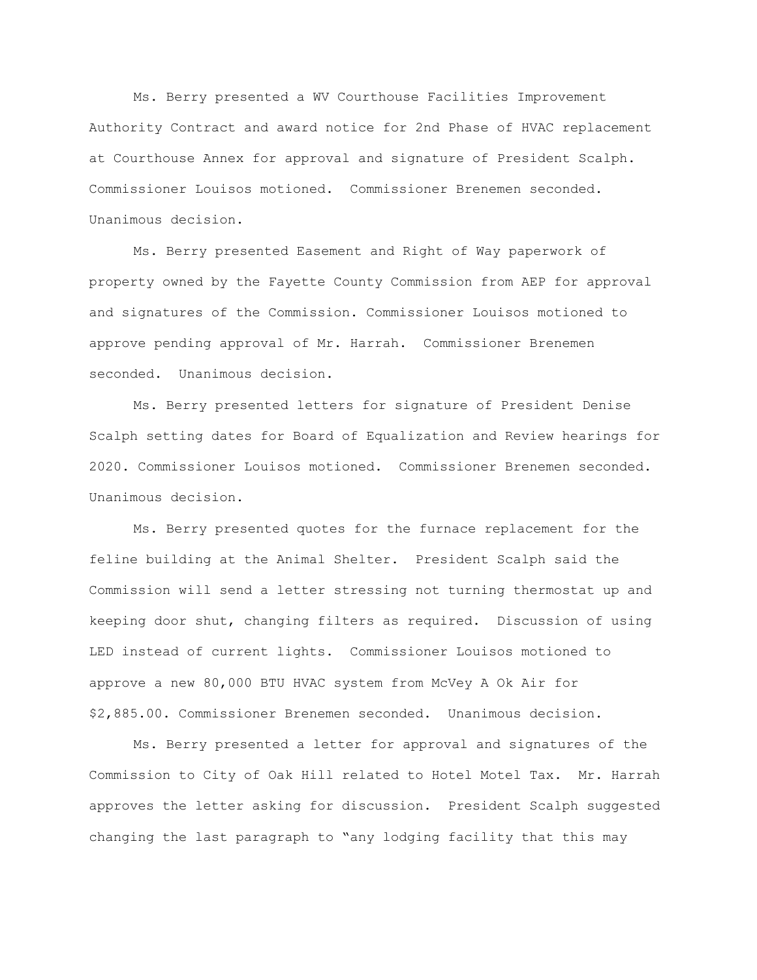Ms. Berry presented a WV Courthouse Facilities Improvement Authority Contract and award notice for 2nd Phase of HVAC replacement at Courthouse Annex for approval and signature of President Scalph. Commissioner Louisos motioned. Commissioner Brenemen seconded. Unanimous decision.

Ms. Berry presented Easement and Right of Way paperwork of property owned by the Fayette County Commission from AEP for approval and signatures of the Commission. Commissioner Louisos motioned to approve pending approval of Mr. Harrah. Commissioner Brenemen seconded. Unanimous decision.

Ms. Berry presented letters for signature of President Denise Scalph setting dates for Board of Equalization and Review hearings for 2020. Commissioner Louisos motioned. Commissioner Brenemen seconded. Unanimous decision.

Ms. Berry presented quotes for the furnace replacement for the feline building at the Animal Shelter. President Scalph said the Commission will send a letter stressing not turning thermostat up and keeping door shut, changing filters as required. Discussion of using LED instead of current lights. Commissioner Louisos motioned to approve a new 80,000 BTU HVAC system from McVey A Ok Air for \$2,885.00. Commissioner Brenemen seconded. Unanimous decision.

Ms. Berry presented a letter for approval and signatures of the Commission to City of Oak Hill related to Hotel Motel Tax. Mr. Harrah approves the letter asking for discussion. President Scalph suggested changing the last paragraph to "any lodging facility that this may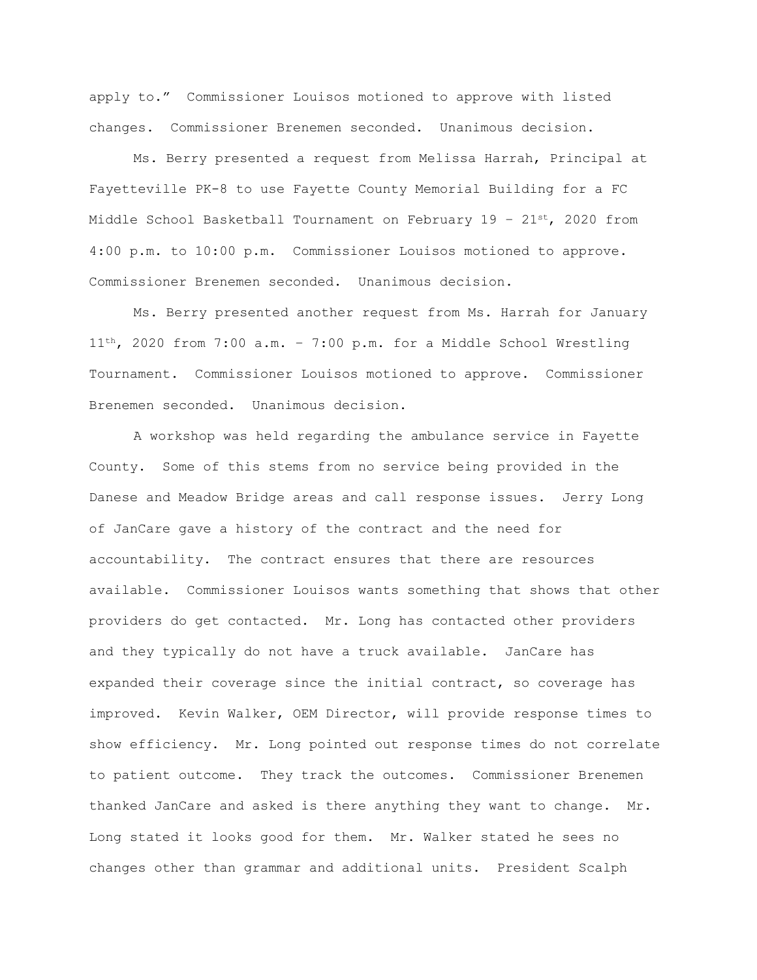apply to." Commissioner Louisos motioned to approve with listed changes. Commissioner Brenemen seconded. Unanimous decision.

Ms. Berry presented a request from Melissa Harrah, Principal at Fayetteville PK-8 to use Fayette County Memorial Building for a FC Middle School Basketball Tournament on February  $19 - 21^{st}$ , 2020 from 4:00 p.m. to 10:00 p.m. Commissioner Louisos motioned to approve. Commissioner Brenemen seconded. Unanimous decision.

Ms. Berry presented another request from Ms. Harrah for January 11th, 2020 from 7:00 a.m. – 7:00 p.m. for a Middle School Wrestling Tournament. Commissioner Louisos motioned to approve. Commissioner Brenemen seconded. Unanimous decision.

A workshop was held regarding the ambulance service in Fayette County. Some of this stems from no service being provided in the Danese and Meadow Bridge areas and call response issues. Jerry Long of JanCare gave a history of the contract and the need for accountability. The contract ensures that there are resources available. Commissioner Louisos wants something that shows that other providers do get contacted. Mr. Long has contacted other providers and they typically do not have a truck available. JanCare has expanded their coverage since the initial contract, so coverage has improved. Kevin Walker, OEM Director, will provide response times to show efficiency. Mr. Long pointed out response times do not correlate to patient outcome. They track the outcomes. Commissioner Brenemen thanked JanCare and asked is there anything they want to change. Mr. Long stated it looks good for them. Mr. Walker stated he sees no changes other than grammar and additional units. President Scalph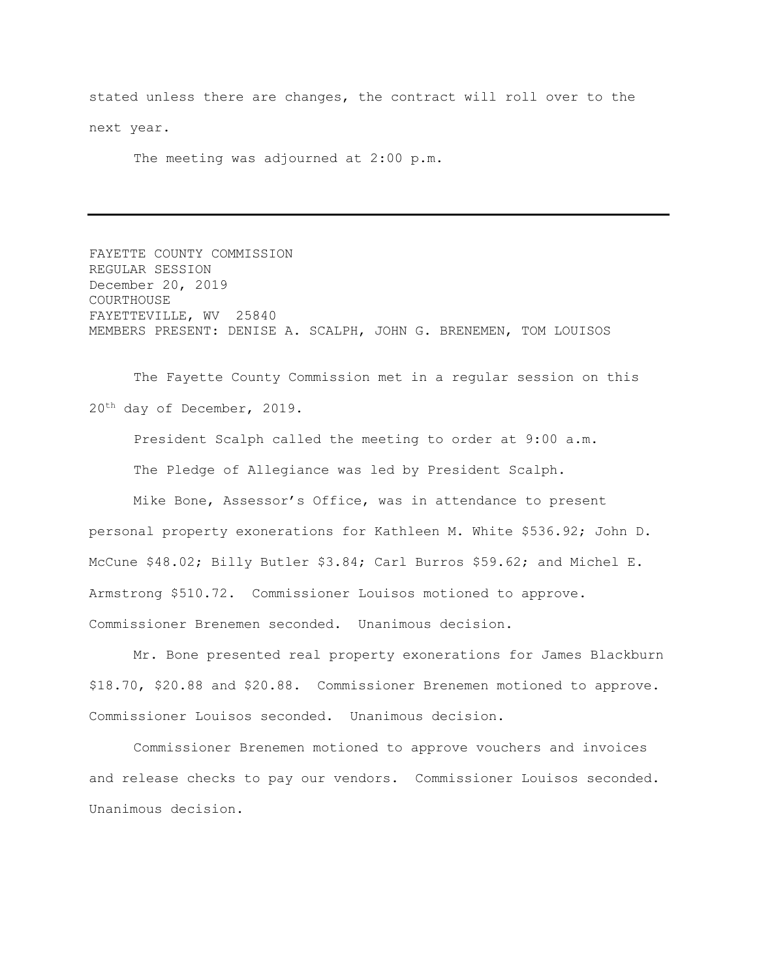stated unless there are changes, the contract will roll over to the next year.

The meeting was adjourned at 2:00 p.m.

FAYETTE COUNTY COMMISSION REGULAR SESSION December 20, 2019 COURTHOUSE FAYETTEVILLE, WV 25840 MEMBERS PRESENT: DENISE A. SCALPH, JOHN G. BRENEMEN, TOM LOUISOS

The Fayette County Commission met in a regular session on this 20th day of December, 2019.

President Scalph called the meeting to order at 9:00 a.m. The Pledge of Allegiance was led by President Scalph.

Mike Bone, Assessor's Office, was in attendance to present personal property exonerations for Kathleen M. White \$536.92; John D. McCune \$48.02; Billy Butler \$3.84; Carl Burros \$59.62; and Michel E. Armstrong \$510.72. Commissioner Louisos motioned to approve. Commissioner Brenemen seconded. Unanimous decision.

Mr. Bone presented real property exonerations for James Blackburn \$18.70, \$20.88 and \$20.88. Commissioner Brenemen motioned to approve. Commissioner Louisos seconded. Unanimous decision.

Commissioner Brenemen motioned to approve vouchers and invoices and release checks to pay our vendors. Commissioner Louisos seconded. Unanimous decision.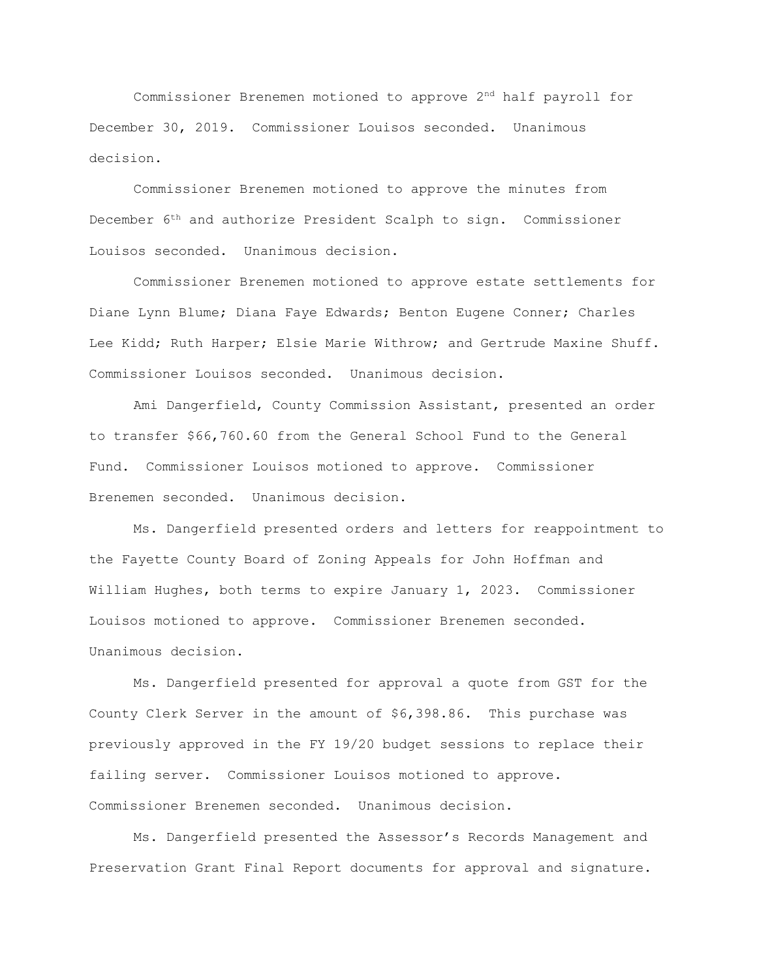Commissioner Brenemen motioned to approve 2nd half payroll for December 30, 2019. Commissioner Louisos seconded. Unanimous decision.

Commissioner Brenemen motioned to approve the minutes from December 6th and authorize President Scalph to sign. Commissioner Louisos seconded. Unanimous decision.

Commissioner Brenemen motioned to approve estate settlements for Diane Lynn Blume; Diana Faye Edwards; Benton Eugene Conner; Charles Lee Kidd; Ruth Harper; Elsie Marie Withrow; and Gertrude Maxine Shuff. Commissioner Louisos seconded. Unanimous decision.

Ami Dangerfield, County Commission Assistant, presented an order to transfer \$66,760.60 from the General School Fund to the General Fund. Commissioner Louisos motioned to approve. Commissioner Brenemen seconded. Unanimous decision.

Ms. Dangerfield presented orders and letters for reappointment to the Fayette County Board of Zoning Appeals for John Hoffman and William Hughes, both terms to expire January 1, 2023. Commissioner Louisos motioned to approve. Commissioner Brenemen seconded. Unanimous decision.

Ms. Dangerfield presented for approval a quote from GST for the County Clerk Server in the amount of \$6,398.86. This purchase was previously approved in the FY 19/20 budget sessions to replace their failing server. Commissioner Louisos motioned to approve. Commissioner Brenemen seconded. Unanimous decision.

Ms. Dangerfield presented the Assessor's Records Management and Preservation Grant Final Report documents for approval and signature.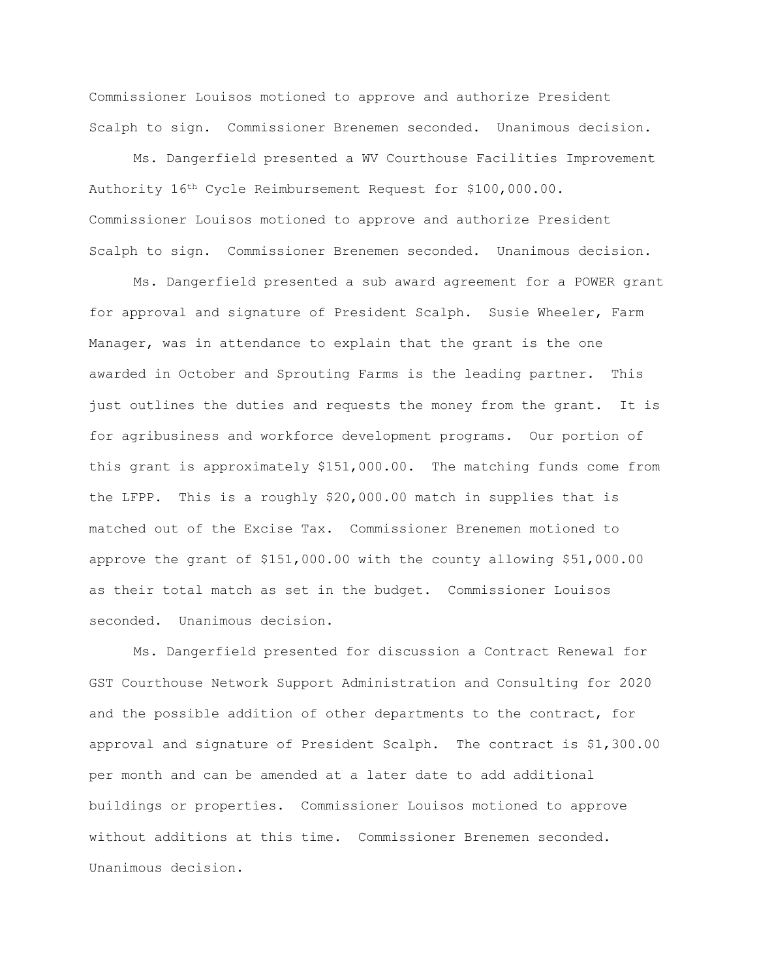Commissioner Louisos motioned to approve and authorize President Scalph to sign. Commissioner Brenemen seconded. Unanimous decision.

Ms. Dangerfield presented a WV Courthouse Facilities Improvement Authority 16th Cycle Reimbursement Request for \$100,000.00. Commissioner Louisos motioned to approve and authorize President Scalph to sign. Commissioner Brenemen seconded. Unanimous decision.

Ms. Dangerfield presented a sub award agreement for a POWER grant for approval and signature of President Scalph. Susie Wheeler, Farm Manager, was in attendance to explain that the grant is the one awarded in October and Sprouting Farms is the leading partner. This just outlines the duties and requests the money from the grant. It is for agribusiness and workforce development programs. Our portion of this grant is approximately \$151,000.00. The matching funds come from the LFPP. This is a roughly \$20,000.00 match in supplies that is matched out of the Excise Tax. Commissioner Brenemen motioned to approve the grant of \$151,000.00 with the county allowing \$51,000.00 as their total match as set in the budget. Commissioner Louisos seconded. Unanimous decision.

Ms. Dangerfield presented for discussion a Contract Renewal for GST Courthouse Network Support Administration and Consulting for 2020 and the possible addition of other departments to the contract, for approval and signature of President Scalph. The contract is \$1,300.00 per month and can be amended at a later date to add additional buildings or properties. Commissioner Louisos motioned to approve without additions at this time. Commissioner Brenemen seconded. Unanimous decision.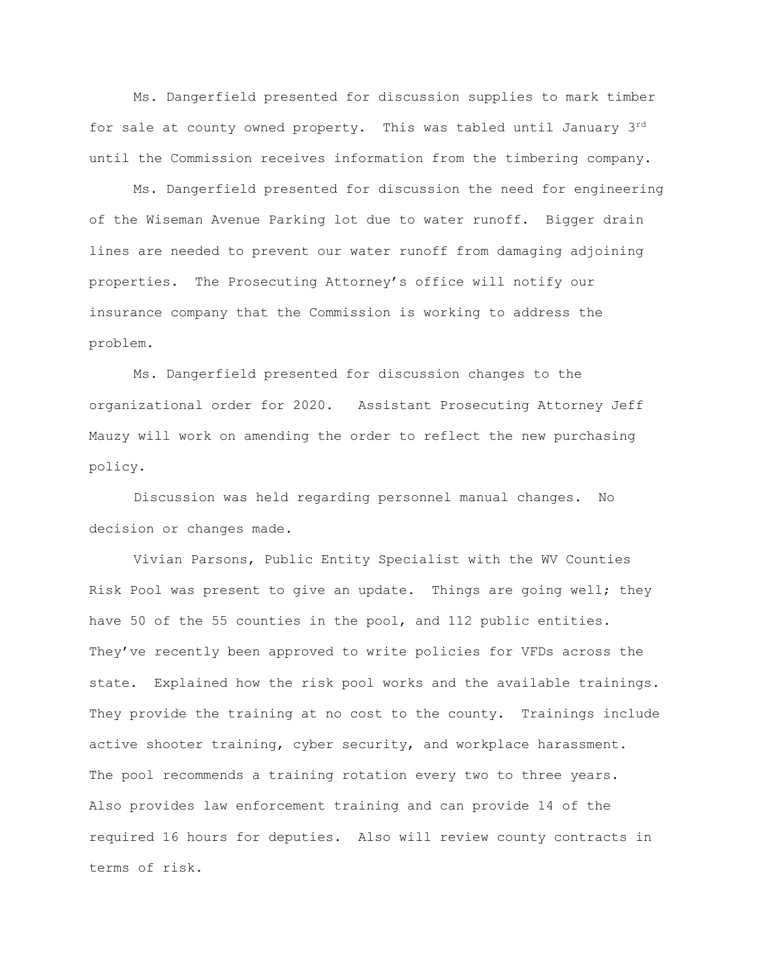Ms. Dangerfield presented for discussion supplies to mark timber for sale at county owned property. This was tabled until January 3rd until the Commission receives information from the timbering company.

Ms. Dangerfield presented for discussion the need for engineering of the Wiseman Avenue Parking lot due to water runoff. Bigger drain lines are needed to prevent our water runoff from damaging adjoining properties. The Prosecuting Attorney's office will notify our insurance company that the Commission is working to address the problem.

Ms. Dangerfield presented for discussion changes to the organizational order for 2020. Assistant Prosecuting Attorney Jeff Mauzy will work on amending the order to reflect the new purchasing policy.

Discussion was held regarding personnel manual changes. No decision or changes made.

Vivian Parsons, Public Entity Specialist with the WV Counties Risk Pool was present to give an update. Things are going well; they have 50 of the 55 counties in the pool, and 112 public entities. They've recently been approved to write policies for VFDs across the state. Explained how the risk pool works and the available trainings. They provide the training at no cost to the county. Trainings include active shooter training, cyber security, and workplace harassment. The pool recommends a training rotation every two to three years. Also provides law enforcement training and can provide 14 of the required 16 hours for deputies. Also will review county contracts in terms of risk.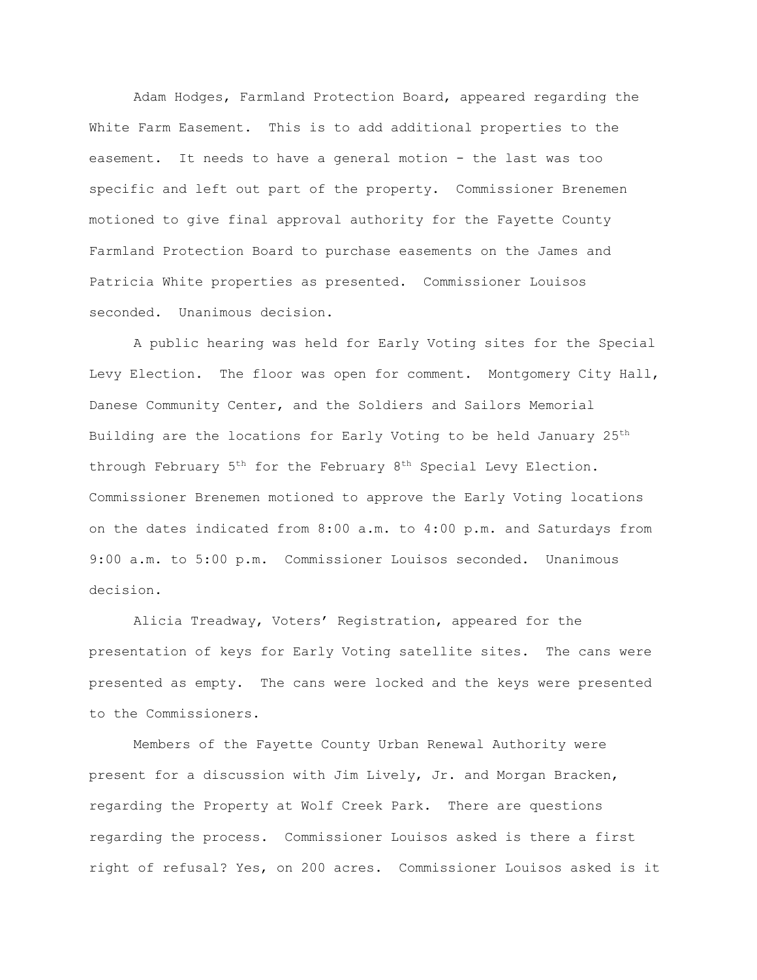Adam Hodges, Farmland Protection Board, appeared regarding the White Farm Easement. This is to add additional properties to the easement. It needs to have a general motion - the last was too specific and left out part of the property. Commissioner Brenemen motioned to give final approval authority for the Fayette County Farmland Protection Board to purchase easements on the James and Patricia White properties as presented. Commissioner Louisos seconded. Unanimous decision.

A public hearing was held for Early Voting sites for the Special Levy Election. The floor was open for comment. Montgomery City Hall, Danese Community Center, and the Soldiers and Sailors Memorial Building are the locations for Early Voting to be held January 25<sup>th</sup> through February  $5<sup>th</sup>$  for the February  $8<sup>th</sup>$  Special Levy Election. Commissioner Brenemen motioned to approve the Early Voting locations on the dates indicated from 8:00 a.m. to 4:00 p.m. and Saturdays from 9:00 a.m. to 5:00 p.m. Commissioner Louisos seconded. Unanimous decision.

Alicia Treadway, Voters' Registration, appeared for the presentation of keys for Early Voting satellite sites. The cans were presented as empty. The cans were locked and the keys were presented to the Commissioners.

Members of the Fayette County Urban Renewal Authority were present for a discussion with Jim Lively, Jr. and Morgan Bracken, regarding the Property at Wolf Creek Park. There are questions regarding the process. Commissioner Louisos asked is there a first right of refusal? Yes, on 200 acres. Commissioner Louisos asked is it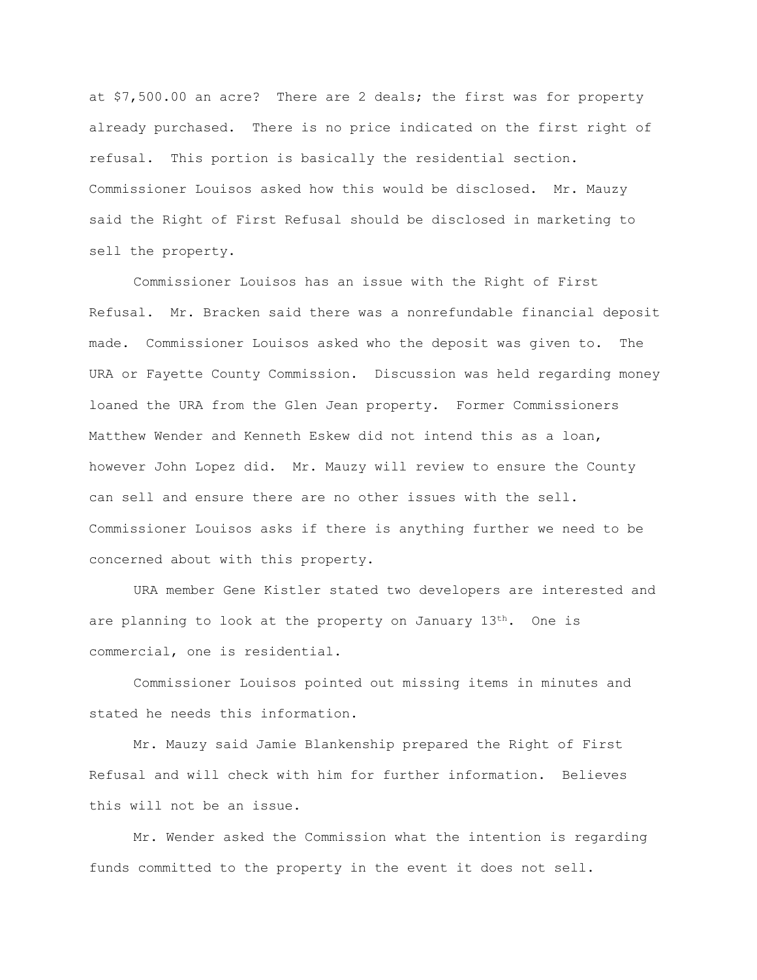at \$7,500.00 an acre? There are 2 deals; the first was for property already purchased. There is no price indicated on the first right of refusal. This portion is basically the residential section. Commissioner Louisos asked how this would be disclosed. Mr. Mauzy said the Right of First Refusal should be disclosed in marketing to sell the property.

Commissioner Louisos has an issue with the Right of First Refusal. Mr. Bracken said there was a nonrefundable financial deposit made. Commissioner Louisos asked who the deposit was given to. The URA or Fayette County Commission. Discussion was held regarding money loaned the URA from the Glen Jean property. Former Commissioners Matthew Wender and Kenneth Eskew did not intend this as a loan, however John Lopez did. Mr. Mauzy will review to ensure the County can sell and ensure there are no other issues with the sell. Commissioner Louisos asks if there is anything further we need to be concerned about with this property.

URA member Gene Kistler stated two developers are interested and are planning to look at the property on January  $13<sup>th</sup>$ . One is commercial, one is residential.

Commissioner Louisos pointed out missing items in minutes and stated he needs this information.

Mr. Mauzy said Jamie Blankenship prepared the Right of First Refusal and will check with him for further information. Believes this will not be an issue.

Mr. Wender asked the Commission what the intention is regarding funds committed to the property in the event it does not sell.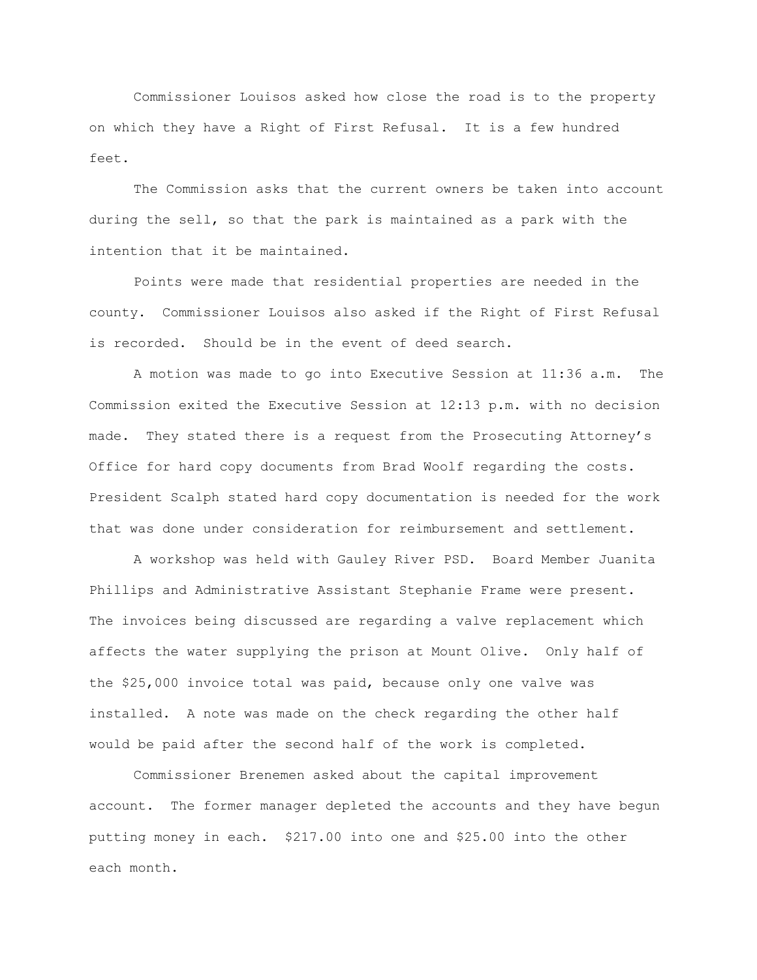Commissioner Louisos asked how close the road is to the property on which they have a Right of First Refusal. It is a few hundred feet.

The Commission asks that the current owners be taken into account during the sell, so that the park is maintained as a park with the intention that it be maintained.

Points were made that residential properties are needed in the county. Commissioner Louisos also asked if the Right of First Refusal is recorded. Should be in the event of deed search.

A motion was made to go into Executive Session at 11:36 a.m. The Commission exited the Executive Session at 12:13 p.m. with no decision made. They stated there is a request from the Prosecuting Attorney's Office for hard copy documents from Brad Woolf regarding the costs. President Scalph stated hard copy documentation is needed for the work that was done under consideration for reimbursement and settlement.

A workshop was held with Gauley River PSD. Board Member Juanita Phillips and Administrative Assistant Stephanie Frame were present. The invoices being discussed are regarding a valve replacement which affects the water supplying the prison at Mount Olive. Only half of the \$25,000 invoice total was paid, because only one valve was installed. A note was made on the check regarding the other half would be paid after the second half of the work is completed.

Commissioner Brenemen asked about the capital improvement account. The former manager depleted the accounts and they have begun putting money in each. \$217.00 into one and \$25.00 into the other each month.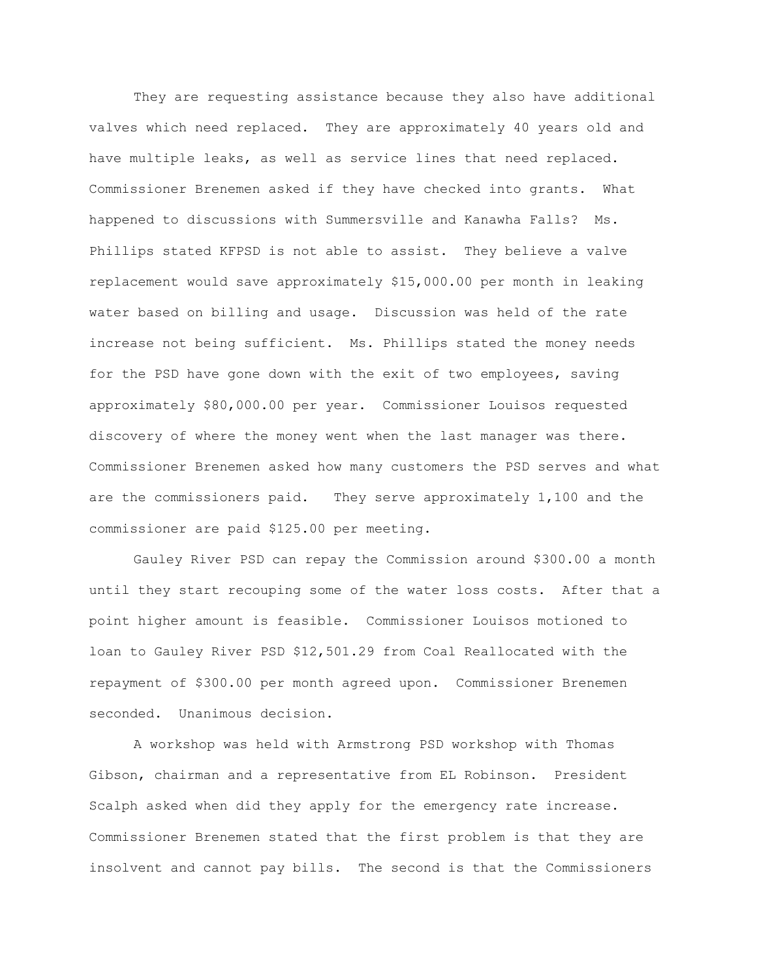They are requesting assistance because they also have additional valves which need replaced. They are approximately 40 years old and have multiple leaks, as well as service lines that need replaced. Commissioner Brenemen asked if they have checked into grants. What happened to discussions with Summersville and Kanawha Falls? Ms. Phillips stated KFPSD is not able to assist. They believe a valve replacement would save approximately \$15,000.00 per month in leaking water based on billing and usage. Discussion was held of the rate increase not being sufficient. Ms. Phillips stated the money needs for the PSD have gone down with the exit of two employees, saving approximately \$80,000.00 per year. Commissioner Louisos requested discovery of where the money went when the last manager was there. Commissioner Brenemen asked how many customers the PSD serves and what are the commissioners paid. They serve approximately 1,100 and the commissioner are paid \$125.00 per meeting.

Gauley River PSD can repay the Commission around \$300.00 a month until they start recouping some of the water loss costs. After that a point higher amount is feasible. Commissioner Louisos motioned to loan to Gauley River PSD \$12,501.29 from Coal Reallocated with the repayment of \$300.00 per month agreed upon. Commissioner Brenemen seconded. Unanimous decision.

A workshop was held with Armstrong PSD workshop with Thomas Gibson, chairman and a representative from EL Robinson. President Scalph asked when did they apply for the emergency rate increase. Commissioner Brenemen stated that the first problem is that they are insolvent and cannot pay bills. The second is that the Commissioners